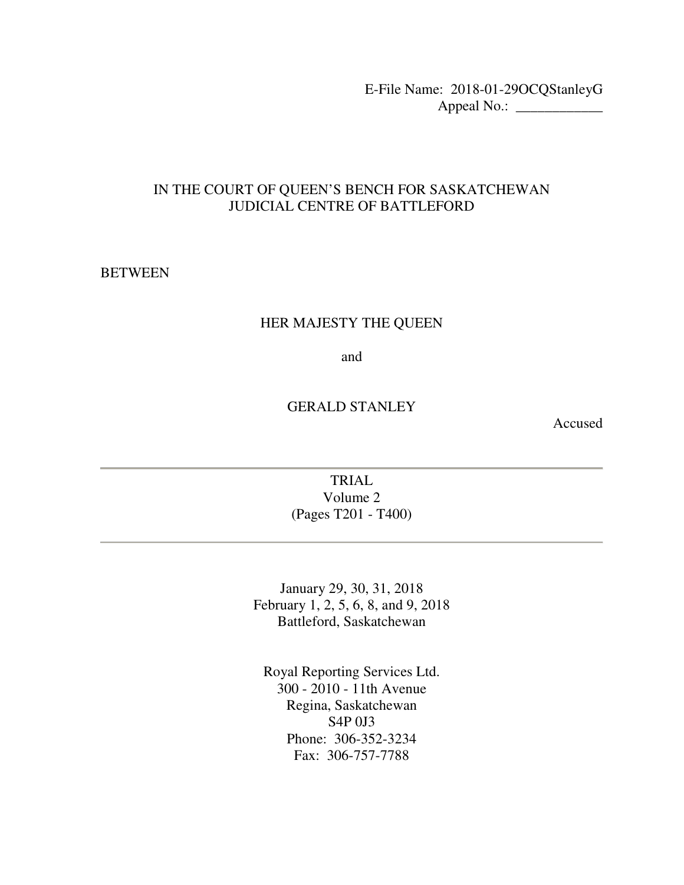E-File Name: 2018-01-29OCQStanleyG Appeal No.: \_\_\_\_\_\_\_\_\_\_\_\_

### IN THE COURT OF QUEEN'S BENCH FOR SASKATCHEWAN JUDICIAL CENTRE OF BATTLEFORD

### **BETWEEN**

#### HER MAJESTY THE QUEEN

and

### GERALD STANLEY

Accused

### TRIAL Volume 2 (Pages T201 - T400)

January 29, 30, 31, 2018 February 1, 2, 5, 6, 8, and 9, 2018 Battleford, Saskatchewan

Royal Reporting Services Ltd. 300 - 2010 - 11th Avenue Regina, Saskatchewan S4P 0J3 Phone: 306-352-3234 Fax: 306-757-7788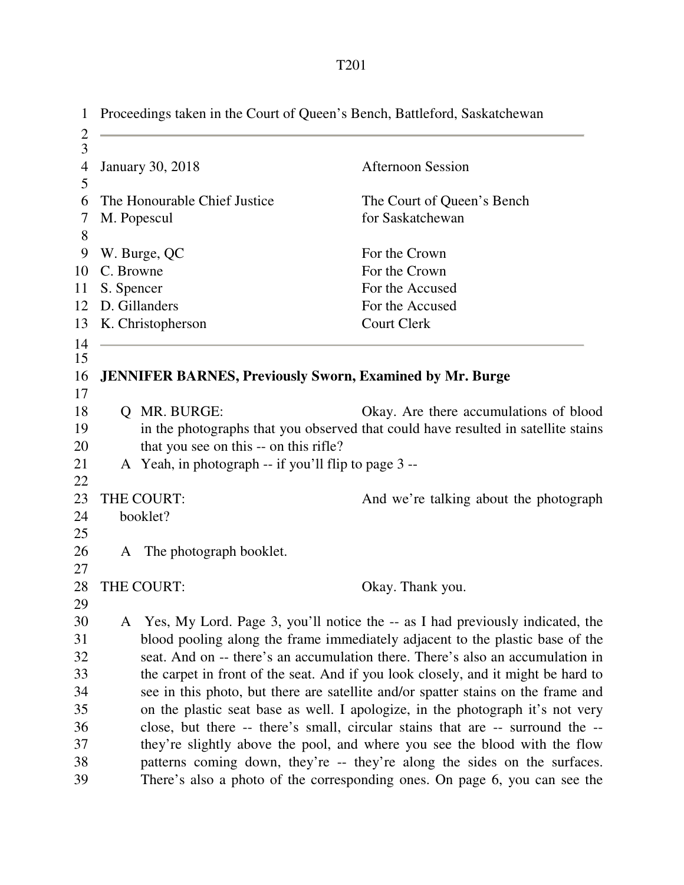| $\mathbf{1}$            | Proceedings taken in the Court of Queen's Bench, Battleford, Saskatchewan |                                                                 |                                                                                   |
|-------------------------|---------------------------------------------------------------------------|-----------------------------------------------------------------|-----------------------------------------------------------------------------------|
| $\overline{\mathbf{c}}$ |                                                                           |                                                                 |                                                                                   |
| $\overline{3}$          |                                                                           |                                                                 |                                                                                   |
| $\overline{4}$          |                                                                           | <b>January 30, 2018</b>                                         | <b>Afternoon Session</b>                                                          |
| 5                       |                                                                           |                                                                 |                                                                                   |
| 6                       |                                                                           | The Honourable Chief Justice                                    | The Court of Queen's Bench                                                        |
| 7                       |                                                                           | M. Popescul                                                     | for Saskatchewan                                                                  |
| 8                       |                                                                           |                                                                 |                                                                                   |
| 9                       |                                                                           | W. Burge, QC                                                    | For the Crown                                                                     |
| 10                      | C. Browne                                                                 |                                                                 | For the Crown                                                                     |
| 11                      | S. Spencer                                                                |                                                                 | For the Accused                                                                   |
| 12                      |                                                                           | D. Gillanders                                                   | For the Accused                                                                   |
| 13                      |                                                                           | K. Christopherson                                               | <b>Court Clerk</b>                                                                |
| 14                      |                                                                           |                                                                 |                                                                                   |
| 15                      |                                                                           |                                                                 |                                                                                   |
| 16<br>17                |                                                                           | <b>JENNIFER BARNES, Previously Sworn, Examined by Mr. Burge</b> |                                                                                   |
| 18                      | Q                                                                         | MR. BURGE:                                                      | Okay. Are there accumulations of blood                                            |
| 19                      |                                                                           |                                                                 | in the photographs that you observed that could have resulted in satellite stains |
| 20                      |                                                                           | that you see on this -- on this rifle?                          |                                                                                   |
| 21                      |                                                                           | A Yeah, in photograph -- if you'll flip to page 3 --            |                                                                                   |
| 22                      |                                                                           |                                                                 |                                                                                   |
| 23                      |                                                                           | THE COURT:                                                      | And we're talking about the photograph                                            |
| 24                      |                                                                           | booklet?                                                        |                                                                                   |
| 25                      |                                                                           |                                                                 |                                                                                   |
| 26                      | A                                                                         | The photograph booklet.                                         |                                                                                   |
| 27                      |                                                                           |                                                                 |                                                                                   |
| 28                      |                                                                           | THE COURT:                                                      | Okay. Thank you.                                                                  |
| 29                      |                                                                           |                                                                 |                                                                                   |
| 30                      |                                                                           |                                                                 | A Yes, My Lord. Page 3, you'll notice the -- as I had previously indicated, the   |
| 31                      |                                                                           |                                                                 | blood pooling along the frame immediately adjacent to the plastic base of the     |
| 32                      |                                                                           |                                                                 | seat. And on -- there's an accumulation there. There's also an accumulation in    |
| 33                      |                                                                           |                                                                 | the carpet in front of the seat. And if you look closely, and it might be hard to |
| 34                      |                                                                           |                                                                 | see in this photo, but there are satellite and/or spatter stains on the frame and |
| 35                      |                                                                           |                                                                 | on the plastic seat base as well. I apologize, in the photograph it's not very    |
| 36                      |                                                                           |                                                                 | close, but there -- there's small, circular stains that are -- surround the --    |
| 37                      |                                                                           |                                                                 | they're slightly above the pool, and where you see the blood with the flow        |
| 38                      |                                                                           |                                                                 | patterns coming down, they're -- they're along the sides on the surfaces.         |
| 39                      |                                                                           |                                                                 | There's also a photo of the corresponding ones. On page 6, you can see the        |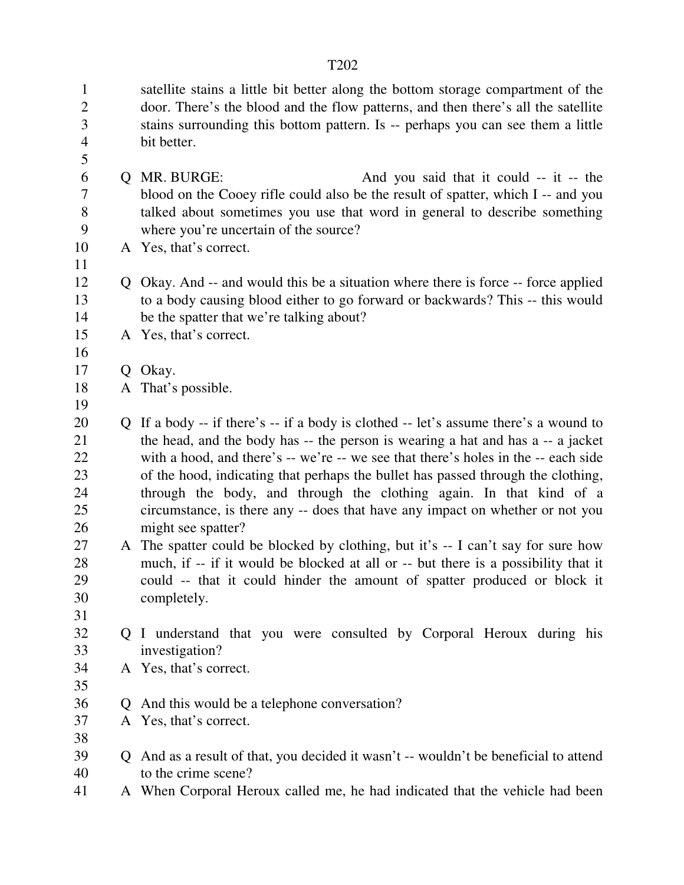| $\mathbf{1}$<br>$\overline{2}$<br>3 |              | satellite stains a little bit better along the bottom storage compartment of the<br>door. There's the blood and the flow patterns, and then there's all the satellite<br>stains surrounding this bottom pattern. Is -- perhaps you can see them a little |
|-------------------------------------|--------------|----------------------------------------------------------------------------------------------------------------------------------------------------------------------------------------------------------------------------------------------------------|
| $\overline{4}$<br>5                 |              | bit better.                                                                                                                                                                                                                                              |
| 6                                   | Q            | MR. BURGE:<br>And you said that it could -- it -- the                                                                                                                                                                                                    |
| 7                                   |              | blood on the Cooey rifle could also be the result of spatter, which I -- and you                                                                                                                                                                         |
| 8                                   |              | talked about sometimes you use that word in general to describe something                                                                                                                                                                                |
| 9                                   |              | where you're uncertain of the source?                                                                                                                                                                                                                    |
| 10                                  |              | A Yes, that's correct.                                                                                                                                                                                                                                   |
| 11                                  |              |                                                                                                                                                                                                                                                          |
| 12                                  |              | Q Okay. And -- and would this be a situation where there is force -- force applied                                                                                                                                                                       |
| 13                                  |              | to a body causing blood either to go forward or backwards? This -- this would                                                                                                                                                                            |
| 14                                  |              | be the spatter that we're talking about?                                                                                                                                                                                                                 |
| 15                                  |              | A Yes, that's correct.                                                                                                                                                                                                                                   |
| 16<br>17                            | Q            | Okay.                                                                                                                                                                                                                                                    |
| 18                                  |              | A That's possible.                                                                                                                                                                                                                                       |
| 19                                  |              |                                                                                                                                                                                                                                                          |
| 20                                  | $\mathbf{Q}$ | If a body -- if there's -- if a body is clothed -- let's assume there's a wound to                                                                                                                                                                       |
| 21                                  |              | the head, and the body has -- the person is wearing a hat and has a -- a jacket                                                                                                                                                                          |
| 22                                  |              | with a hood, and there's -- we're -- we see that there's holes in the -- each side                                                                                                                                                                       |
| 23                                  |              | of the hood, indicating that perhaps the bullet has passed through the clothing,                                                                                                                                                                         |
| 24                                  |              | through the body, and through the clothing again. In that kind of a                                                                                                                                                                                      |
| 25                                  |              | circumstance, is there any -- does that have any impact on whether or not you                                                                                                                                                                            |
| 26                                  |              | might see spatter?                                                                                                                                                                                                                                       |
| 27                                  | A            | The spatter could be blocked by clothing, but it's -- I can't say for sure how                                                                                                                                                                           |
| 28                                  |              | much, if -- if it would be blocked at all or -- but there is a possibility that it                                                                                                                                                                       |
| 29<br>30                            |              | could -- that it could hinder the amount of spatter produced or block it<br>completely.                                                                                                                                                                  |
| 31                                  |              |                                                                                                                                                                                                                                                          |
| 32                                  |              | Q I understand that you were consulted by Corporal Heroux during his                                                                                                                                                                                     |
| 33                                  |              | investigation?                                                                                                                                                                                                                                           |
| 34                                  |              | A Yes, that's correct.                                                                                                                                                                                                                                   |
| 35                                  |              |                                                                                                                                                                                                                                                          |
| 36                                  | $\mathsf{O}$ | And this would be a telephone conversation?                                                                                                                                                                                                              |
| 37                                  |              | A Yes, that's correct.                                                                                                                                                                                                                                   |
| 38                                  |              |                                                                                                                                                                                                                                                          |
| 39                                  | $\mathbf{Q}$ | And as a result of that, you decided it wasn't -- wouldn't be beneficial to attend                                                                                                                                                                       |
| 40                                  |              | to the crime scene?                                                                                                                                                                                                                                      |
| 41                                  |              | A When Corporal Heroux called me, he had indicated that the vehicle had been                                                                                                                                                                             |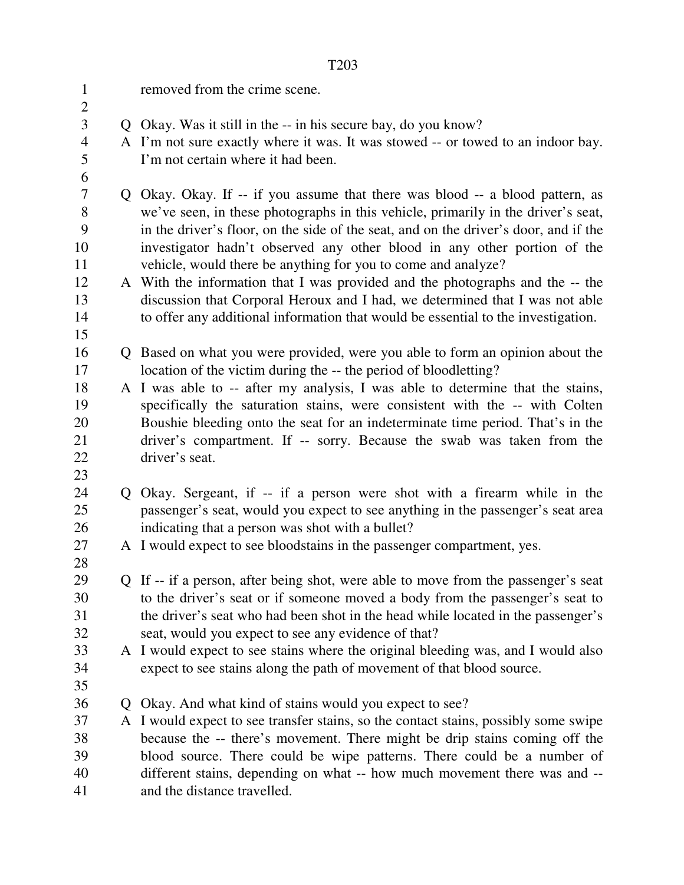| $\mathbf{1}$        |             | removed from the crime scene.                                                        |
|---------------------|-------------|--------------------------------------------------------------------------------------|
| $\overline{2}$<br>3 |             | Q Okay. Was it still in the -- in his secure bay, do you know?                       |
| 4                   |             | A I'm not sure exactly where it was. It was stowed -- or towed to an indoor bay.     |
| 5                   |             | I'm not certain where it had been.                                                   |
| 6                   |             |                                                                                      |
| $\overline{7}$      |             | Q Okay. Okay. If -- if you assume that there was blood -- a blood pattern, as        |
| 8                   |             | we've seen, in these photographs in this vehicle, primarily in the driver's seat,    |
| 9                   |             | in the driver's floor, on the side of the seat, and on the driver's door, and if the |
| 10                  |             | investigator hadn't observed any other blood in any other portion of the             |
| 11                  |             | vehicle, would there be anything for you to come and analyze?                        |
| 12                  |             | A With the information that I was provided and the photographs and the -- the        |
| 13                  |             | discussion that Corporal Heroux and I had, we determined that I was not able         |
| 14                  |             | to offer any additional information that would be essential to the investigation.    |
| 15                  |             |                                                                                      |
| 16                  |             | Q Based on what you were provided, were you able to form an opinion about the        |
| 17                  |             | location of the victim during the -- the period of bloodletting?                     |
| 18                  |             | A I was able to -- after my analysis, I was able to determine that the stains,       |
| 19                  |             | specifically the saturation stains, were consistent with the -- with Colten          |
| 20                  |             | Boushie bleeding onto the seat for an indeterminate time period. That's in the       |
| 21                  |             | driver's compartment. If -- sorry. Because the swab was taken from the               |
| 22                  |             | driver's seat.                                                                       |
| 23                  |             |                                                                                      |
| 24                  |             | Q Okay. Sergeant, if -- if a person were shot with a firearm while in the            |
| 25                  |             | passenger's seat, would you expect to see anything in the passenger's seat area      |
| 26                  |             | indicating that a person was shot with a bullet?                                     |
| 27                  |             | A I would expect to see bloodstains in the passenger compartment, yes.               |
| 28                  |             |                                                                                      |
| 29                  |             | Q If -- if a person, after being shot, were able to move from the passenger's seat   |
| 30                  |             | to the driver's seat or if someone moved a body from the passenger's seat to         |
| 31                  |             | the driver's seat who had been shot in the head while located in the passenger's     |
| 32<br>33            |             | seat, would you expect to see any evidence of that?                                  |
| 34                  |             | A I would expect to see stains where the original bleeding was, and I would also     |
| 35                  |             | expect to see stains along the path of movement of that blood source.                |
| 36                  | $\mathbf Q$ | Okay. And what kind of stains would you expect to see?                               |
| 37                  |             | A I would expect to see transfer stains, so the contact stains, possibly some swipe  |
| 38                  |             | because the -- there's movement. There might be drip stains coming off the           |
| 39                  |             | blood source. There could be wipe patterns. There could be a number of               |
| 40                  |             | different stains, depending on what -- how much movement there was and --            |
| 41                  |             | and the distance travelled.                                                          |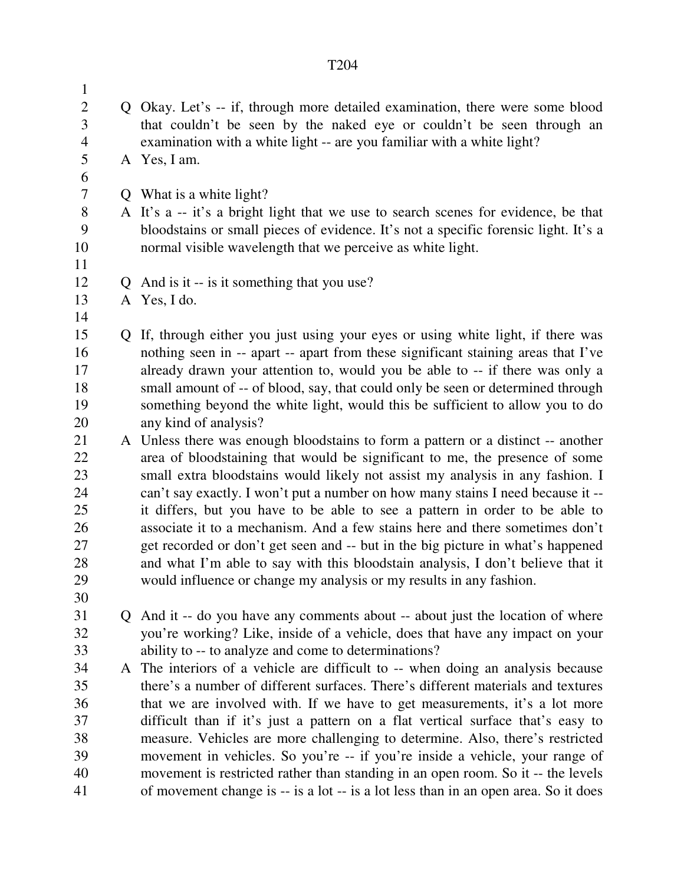| $\mathbf{1}$   |   |                                                                                                                                                        |  |  |
|----------------|---|--------------------------------------------------------------------------------------------------------------------------------------------------------|--|--|
| $\overline{2}$ |   | Q Okay. Let's -- if, through more detailed examination, there were some blood                                                                          |  |  |
| 3              |   | that couldn't be seen by the naked eye or couldn't be seen through an                                                                                  |  |  |
| $\overline{4}$ |   | examination with a white light -- are you familiar with a white light?                                                                                 |  |  |
| 5              |   | A Yes, I am.                                                                                                                                           |  |  |
| 6              |   |                                                                                                                                                        |  |  |
| 7              |   | Q What is a white light?                                                                                                                               |  |  |
| 8              |   | A It's a -- it's a bright light that we use to search scenes for evidence, be that                                                                     |  |  |
| 9              |   | bloodstains or small pieces of evidence. It's not a specific forensic light. It's a                                                                    |  |  |
| 10             |   | normal visible wavelength that we perceive as white light.                                                                                             |  |  |
| 11             |   |                                                                                                                                                        |  |  |
| 12             |   | Q And is it -- is it something that you use?                                                                                                           |  |  |
| 13             |   | A Yes, I do.                                                                                                                                           |  |  |
| 14             |   |                                                                                                                                                        |  |  |
| 15             | Q | If, through either you just using your eyes or using white light, if there was                                                                         |  |  |
| 16             |   | nothing seen in -- apart -- apart from these significant staining areas that I've                                                                      |  |  |
| 17             |   | already drawn your attention to, would you be able to -- if there was only a                                                                           |  |  |
| 18             |   | small amount of -- of blood, say, that could only be seen or determined through                                                                        |  |  |
| 19             |   | something beyond the white light, would this be sufficient to allow you to do                                                                          |  |  |
| 20             |   | any kind of analysis?                                                                                                                                  |  |  |
| 21             |   | A Unless there was enough bloodstains to form a pattern or a distinct -- another                                                                       |  |  |
| 22             |   | area of bloodstaining that would be significant to me, the presence of some                                                                            |  |  |
| 23             |   | small extra bloodstains would likely not assist my analysis in any fashion. I                                                                          |  |  |
| 24             |   | can't say exactly. I won't put a number on how many stains I need because it --                                                                        |  |  |
| 25             |   | it differs, but you have to be able to see a pattern in order to be able to                                                                            |  |  |
| 26             |   | associate it to a mechanism. And a few stains here and there sometimes don't                                                                           |  |  |
| 27             |   | get recorded or don't get seen and -- but in the big picture in what's happened                                                                        |  |  |
| 28<br>29       |   | and what I'm able to say with this bloodstain analysis, I don't believe that it<br>would influence or change my analysis or my results in any fashion. |  |  |
| 30             |   |                                                                                                                                                        |  |  |
| 31             |   | And it -- do you have any comments about -- about just the location of where                                                                           |  |  |
| 32             |   | you're working? Like, inside of a vehicle, does that have any impact on your                                                                           |  |  |
| 33             |   | ability to -- to analyze and come to determinations?                                                                                                   |  |  |
| 34             |   | A The interiors of a vehicle are difficult to -- when doing an analysis because                                                                        |  |  |
| 35             |   | there's a number of different surfaces. There's different materials and textures                                                                       |  |  |
| 36             |   | that we are involved with. If we have to get measurements, it's a lot more                                                                             |  |  |
| 37             |   | difficult than if it's just a pattern on a flat vertical surface that's easy to                                                                        |  |  |
| 38             |   | measure. Vehicles are more challenging to determine. Also, there's restricted                                                                          |  |  |
| 39             |   | movement in vehicles. So you're -- if you're inside a vehicle, your range of                                                                           |  |  |
| 40             |   | movement is restricted rather than standing in an open room. So it -- the levels                                                                       |  |  |
| 41             |   | of movement change is -- is a lot -- is a lot less than in an open area. So it does                                                                    |  |  |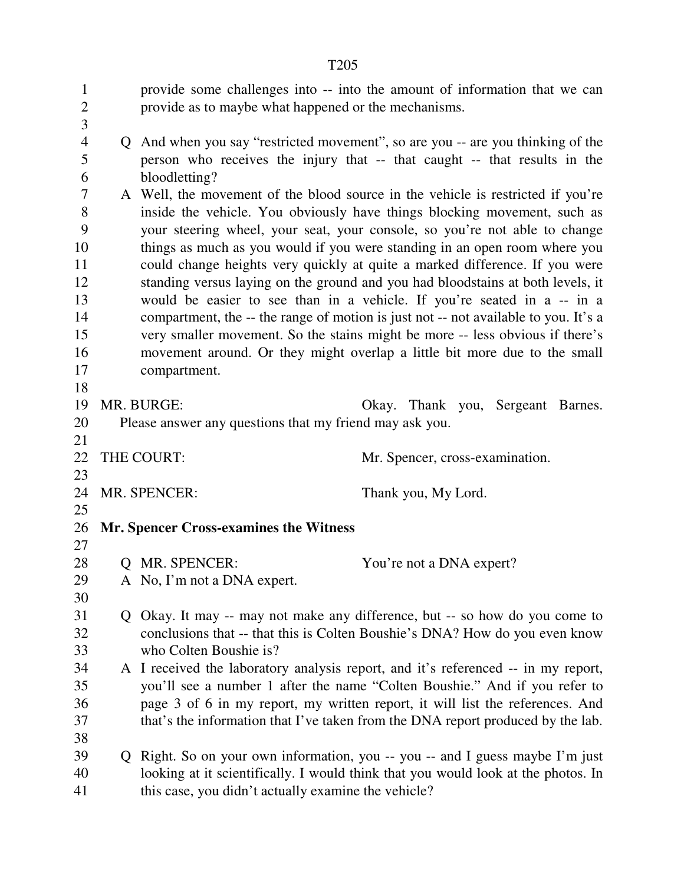|                                     | T <sub>205</sub>                                                                                                                                                              |
|-------------------------------------|-------------------------------------------------------------------------------------------------------------------------------------------------------------------------------|
| $\mathbf{1}$<br>$\overline{2}$<br>3 | provide some challenges into -- into the amount of information that we can<br>provide as to maybe what happened or the mechanisms.                                            |
| $\overline{4}$<br>5<br>6            | Q And when you say "restricted movement", so are you -- are you thinking of the<br>person who receives the injury that -- that caught -- that results in the<br>bloodletting? |
| $\overline{7}$                      | A Well, the movement of the blood source in the vehicle is restricted if you're                                                                                               |
| 8<br>9                              | inside the vehicle. You obviously have things blocking movement, such as<br>your steering wheel, your seat, your console, so you're not able to change                        |
| 10                                  | things as much as you would if you were standing in an open room where you                                                                                                    |
| 11                                  | could change heights very quickly at quite a marked difference. If you were                                                                                                   |
| 12                                  | standing versus laying on the ground and you had bloodstains at both levels, it                                                                                               |
| 13                                  | would be easier to see than in a vehicle. If you're seated in a -- in a                                                                                                       |
| 14                                  | compartment, the -- the range of motion is just not -- not available to you. It's a                                                                                           |
| 15                                  | very smaller movement. So the stains might be more -- less obvious if there's                                                                                                 |
| 16                                  | movement around. Or they might overlap a little bit more due to the small                                                                                                     |
| 17                                  | compartment.                                                                                                                                                                  |
| 18                                  |                                                                                                                                                                               |
| 19                                  | MR. BURGE:<br>Okay. Thank you, Sergeant Barnes.                                                                                                                               |
| 20                                  | Please answer any questions that my friend may ask you.                                                                                                                       |
| 21                                  |                                                                                                                                                                               |
| 22                                  | THE COURT:<br>Mr. Spencer, cross-examination.                                                                                                                                 |
| 23<br>24                            | MR. SPENCER:<br>Thank you, My Lord.                                                                                                                                           |
| 25                                  |                                                                                                                                                                               |
| 26                                  | <b>Mr. Spencer Cross-examines the Witness</b>                                                                                                                                 |
| 27                                  |                                                                                                                                                                               |
| 28                                  | Q MR. SPENCER:<br>You're not a DNA expert?                                                                                                                                    |
| 29                                  | A No, I'm not a DNA expert.                                                                                                                                                   |
| 30                                  |                                                                                                                                                                               |
| 31                                  | Q Okay. It may -- may not make any difference, but -- so how do you come to                                                                                                   |
| 32                                  | conclusions that -- that this is Colten Boushie's DNA? How do you even know                                                                                                   |
| 33                                  | who Colten Boushie is?                                                                                                                                                        |
| 34                                  | A I received the laboratory analysis report, and it's referenced -- in my report,                                                                                             |
| 35                                  | you'll see a number 1 after the name "Colten Boushie." And if you refer to                                                                                                    |
| 36                                  | page 3 of 6 in my report, my written report, it will list the references. And                                                                                                 |
| 37                                  | that's the information that I've taken from the DNA report produced by the lab.                                                                                               |
| 38                                  |                                                                                                                                                                               |
| 39<br>40                            | Q Right. So on your own information, you -- you -- and I guess maybe I'm just<br>looking at it scientifically. I would think that you would look at the photos. In            |
| 41                                  | this case, you didn't actually examine the vehicle?                                                                                                                           |
|                                     |                                                                                                                                                                               |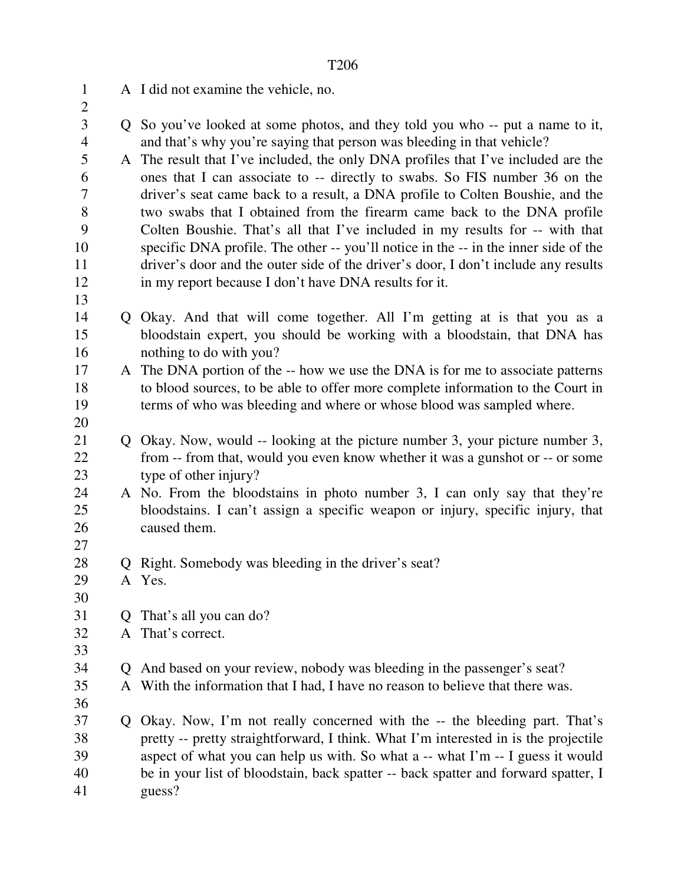| $\mathbf{1}$<br>$\overline{2}$ |             | A I did not examine the vehicle, no.                                                                                                                    |
|--------------------------------|-------------|---------------------------------------------------------------------------------------------------------------------------------------------------------|
| 3<br>$\overline{4}$            |             | Q So you've looked at some photos, and they told you who -- put a name to it,<br>and that's why you're saying that person was bleeding in that vehicle? |
| 5                              |             | A The result that I've included, the only DNA profiles that I've included are the                                                                       |
| 6                              |             | ones that I can associate to -- directly to swabs. So FIS number 36 on the                                                                              |
| $\tau$                         |             | driver's seat came back to a result, a DNA profile to Colten Boushie, and the                                                                           |
| 8                              |             | two swabs that I obtained from the firearm came back to the DNA profile                                                                                 |
| 9                              |             | Colten Boushie. That's all that I've included in my results for -- with that                                                                            |
| 10                             |             | specific DNA profile. The other -- you'll notice in the -- in the inner side of the                                                                     |
| 11                             |             | driver's door and the outer side of the driver's door, I don't include any results                                                                      |
| 12                             |             | in my report because I don't have DNA results for it.                                                                                                   |
| 13                             |             |                                                                                                                                                         |
| 14                             |             | Q Okay. And that will come together. All I'm getting at is that you as a                                                                                |
| 15                             |             | bloodstain expert, you should be working with a bloodstain, that DNA has                                                                                |
| 16                             |             | nothing to do with you?                                                                                                                                 |
| 17                             |             | A The DNA portion of the -- how we use the DNA is for me to associate patterns                                                                          |
| 18                             |             | to blood sources, to be able to offer more complete information to the Court in                                                                         |
| 19                             |             | terms of who was bleeding and where or whose blood was sampled where.                                                                                   |
| 20                             |             |                                                                                                                                                         |
| 21                             |             | Q Okay. Now, would -- looking at the picture number 3, your picture number 3,                                                                           |
| 22                             |             | from -- from that, would you even know whether it was a gunshot or -- or some                                                                           |
| 23                             |             | type of other injury?                                                                                                                                   |
| 24                             |             | A No. From the bloodstains in photo number 3, I can only say that they're                                                                               |
| 25                             |             | bloodstains. I can't assign a specific weapon or injury, specific injury, that                                                                          |
| 26                             |             | caused them.                                                                                                                                            |
| 27                             |             |                                                                                                                                                         |
| 28                             |             | Right. Somebody was bleeding in the driver's seat?                                                                                                      |
| 29                             |             | A Yes.                                                                                                                                                  |
| 30                             |             |                                                                                                                                                         |
| 31                             |             | That's all you can do?                                                                                                                                  |
| 32                             |             | A That's correct.                                                                                                                                       |
| 33                             |             |                                                                                                                                                         |
| 34                             |             | Q And based on your review, nobody was bleeding in the passenger's seat?                                                                                |
| 35                             |             | A With the information that I had, I have no reason to believe that there was.                                                                          |
| 36                             |             |                                                                                                                                                         |
| 37                             | $Q_{\perp}$ | Okay. Now, I'm not really concerned with the -- the bleeding part. That's                                                                               |
| 38                             |             | pretty -- pretty straightforward, I think. What I'm interested in is the projectile                                                                     |
| 39                             |             | aspect of what you can help us with. So what a -- what I'm -- I guess it would                                                                          |
| 40                             |             | be in your list of bloodstain, back spatter -- back spatter and forward spatter, I                                                                      |
| 41                             |             | guess?                                                                                                                                                  |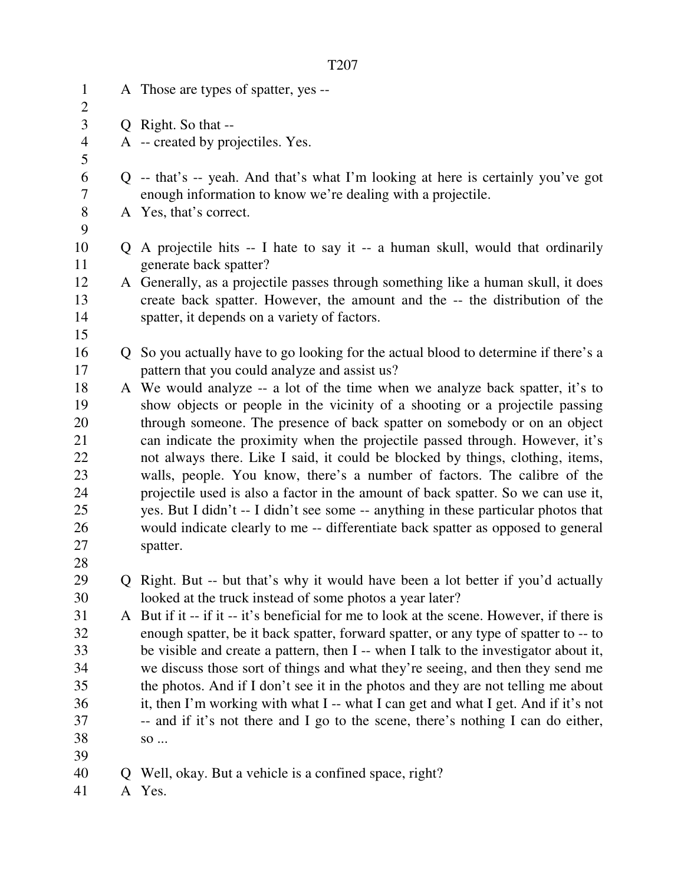| $\mathbf{1}$<br>$\mathbf{2}$ |    | A Those are types of spatter, yes --                                                                                                                                    |
|------------------------------|----|-------------------------------------------------------------------------------------------------------------------------------------------------------------------------|
| 3                            |    | Q Right. So that --                                                                                                                                                     |
| $\overline{4}$               |    | A -- created by projectiles. Yes.                                                                                                                                       |
| 5                            |    |                                                                                                                                                                         |
| 6                            |    | Q -- that's -- yeah. And that's what I'm looking at here is certainly you've got                                                                                        |
| 7                            |    | enough information to know we're dealing with a projectile.                                                                                                             |
| $8\,$                        |    | A Yes, that's correct.                                                                                                                                                  |
| 9                            |    |                                                                                                                                                                         |
| 10                           | Q. | A projectile hits -- I hate to say it -- a human skull, would that ordinarily                                                                                           |
| 11                           |    | generate back spatter?                                                                                                                                                  |
| 12                           |    | A Generally, as a projectile passes through something like a human skull, it does                                                                                       |
| 13                           |    | create back spatter. However, the amount and the -- the distribution of the                                                                                             |
| 14                           |    | spatter, it depends on a variety of factors.                                                                                                                            |
| 15                           |    |                                                                                                                                                                         |
| 16                           |    | Q So you actually have to go looking for the actual blood to determine if there's a                                                                                     |
| 17                           |    | pattern that you could analyze and assist us?                                                                                                                           |
| 18                           |    | A We would analyze -- a lot of the time when we analyze back spatter, it's to                                                                                           |
| 19                           |    | show objects or people in the vicinity of a shooting or a projectile passing                                                                                            |
| 20                           |    | through someone. The presence of back spatter on somebody or on an object                                                                                               |
| 21                           |    | can indicate the proximity when the projectile passed through. However, it's                                                                                            |
| 22                           |    | not always there. Like I said, it could be blocked by things, clothing, items,                                                                                          |
| 23<br>24                     |    | walls, people. You know, there's a number of factors. The calibre of the                                                                                                |
| 25                           |    | projectile used is also a factor in the amount of back spatter. So we can use it,<br>yes. But I didn't -- I didn't see some -- anything in these particular photos that |
| 26                           |    | would indicate clearly to me -- differentiate back spatter as opposed to general                                                                                        |
| 27                           |    | spatter.                                                                                                                                                                |
| 28                           |    |                                                                                                                                                                         |
| 29                           |    | Q Right. But -- but that's why it would have been a lot better if you'd actually                                                                                        |
| 30                           |    | looked at the truck instead of some photos a year later?                                                                                                                |
| 31                           |    | A But if it -- if it -- it's beneficial for me to look at the scene. However, if there is                                                                               |
| 32                           |    | enough spatter, be it back spatter, forward spatter, or any type of spatter to -- to                                                                                    |
| 33                           |    | be visible and create a pattern, then I -- when I talk to the investigator about it,                                                                                    |
| 34                           |    | we discuss those sort of things and what they're seeing, and then they send me                                                                                          |
| 35                           |    | the photos. And if I don't see it in the photos and they are not telling me about                                                                                       |
| 36                           |    | it, then I'm working with what I -- what I can get and what I get. And if it's not                                                                                      |
| 37                           |    | -- and if it's not there and I go to the scene, there's nothing I can do either,                                                                                        |
| 38                           |    | $\rm SO~$                                                                                                                                                               |
| 39                           |    |                                                                                                                                                                         |
| 40                           |    | Q Well, okay. But a vehicle is a confined space, right?                                                                                                                 |
| 41                           |    | A Yes.                                                                                                                                                                  |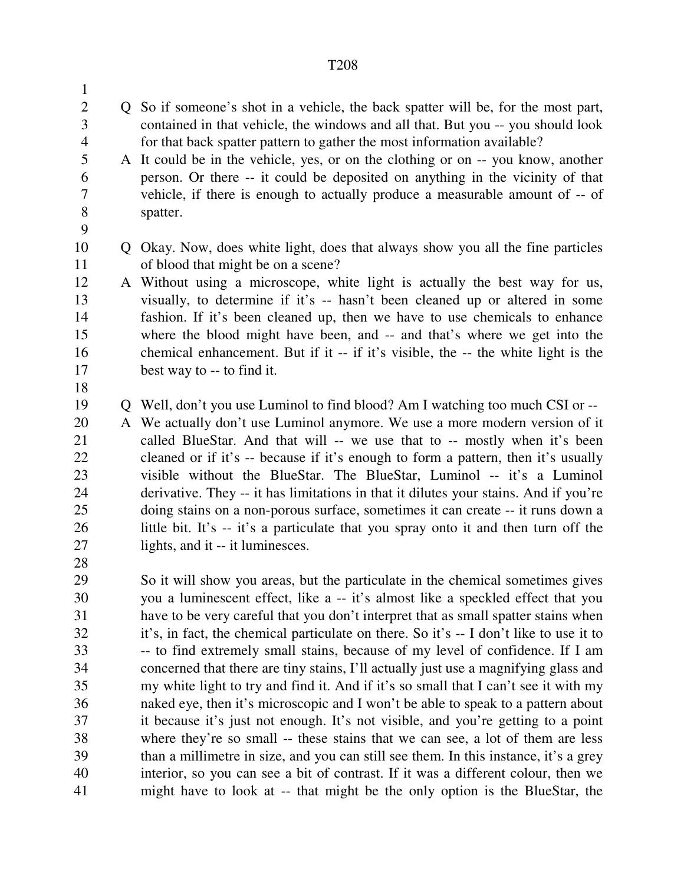- 2 Q So if someone's shot in a vehicle, the back spatter will be, for the most part, 3 contained in that vehicle, the windows and all that. But you -- you should look 4 for that back spatter pattern to gather the most information available?
- 5 A It could be in the vehicle, yes, or on the clothing or on -- you know, another 6 person. Or there -- it could be deposited on anything in the vicinity of that 7 vehicle, if there is enough to actually produce a measurable amount of -- of 8 spatter.
- 9

1

10 Q Okay. Now, does white light, does that always show you all the fine particles 11 of blood that might be on a scene?

12 A Without using a microscope, white light is actually the best way for us, 13 visually, to determine if it's -- hasn't been cleaned up or altered in some 14 fashion. If it's been cleaned up, then we have to use chemicals to enhance 15 where the blood might have been, and -- and that's where we get into the 16 chemical enhancement. But if it -- if it's visible, the -- the white light is the 17 best way to -- to find it.

18

28

19 Q Well, don't you use Luminol to find blood? Am I watching too much CSI or --

20 A We actually don't use Luminol anymore. We use a more modern version of it 21 called BlueStar. And that will -- we use that to -- mostly when it's been 22 cleaned or if it's -- because if it's enough to form a pattern, then it's usually 23 visible without the BlueStar. The BlueStar, Luminol -- it's a Luminol 24 derivative. They -- it has limitations in that it dilutes your stains. And if you're 25 doing stains on a non-porous surface, sometimes it can create -- it runs down a 26 little bit. It's -- it's a particulate that you spray onto it and then turn off the 27 lights, and it -- it luminesces.

29 So it will show you areas, but the particulate in the chemical sometimes gives 30 you a luminescent effect, like a -- it's almost like a speckled effect that you 31 have to be very careful that you don't interpret that as small spatter stains when 32 it's, in fact, the chemical particulate on there. So it's -- I don't like to use it to 33 -- to find extremely small stains, because of my level of confidence. If I am 34 concerned that there are tiny stains, I'll actually just use a magnifying glass and 35 my white light to try and find it. And if it's so small that I can't see it with my 36 naked eye, then it's microscopic and I won't be able to speak to a pattern about 37 it because it's just not enough. It's not visible, and you're getting to a point 38 where they're so small -- these stains that we can see, a lot of them are less 39 than a millimetre in size, and you can still see them. In this instance, it's a grey 40 interior, so you can see a bit of contrast. If it was a different colour, then we 41 might have to look at -- that might be the only option is the BlueStar, the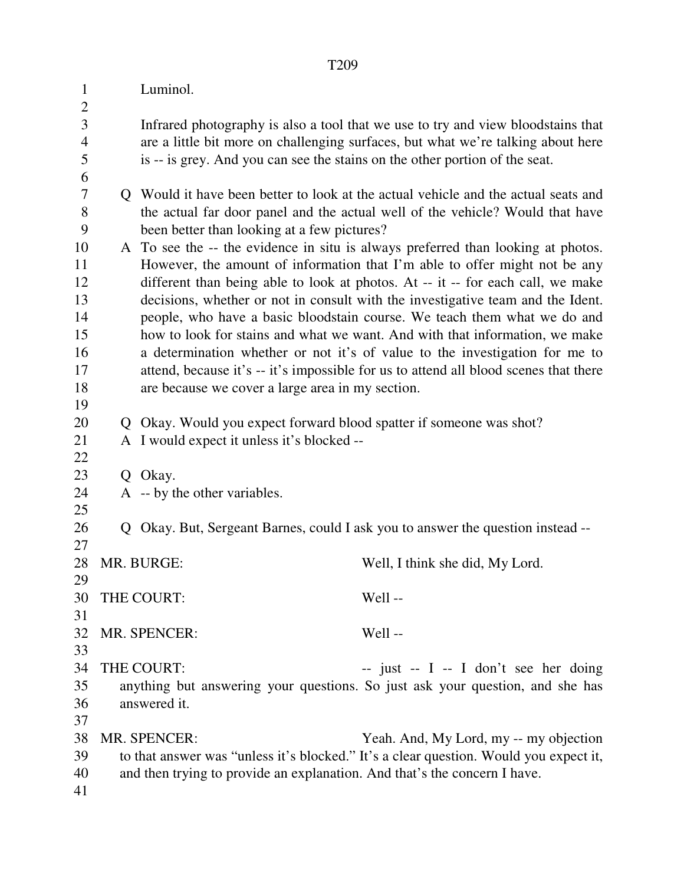| $\mathbf{1}$<br>$\overline{2}$ |              | Luminol.                                                                           |                                                                                                                                                                      |  |
|--------------------------------|--------------|------------------------------------------------------------------------------------|----------------------------------------------------------------------------------------------------------------------------------------------------------------------|--|
| 3<br>$\overline{4}$<br>5<br>6  |              | is -- is grey. And you can see the stains on the other portion of the seat.        | Infrared photography is also a tool that we use to try and view bloodstains that<br>are a little bit more on challenging surfaces, but what we're talking about here |  |
| $\overline{7}$                 |              | Q Would it have been better to look at the actual vehicle and the actual seats and |                                                                                                                                                                      |  |
| 8                              |              | the actual far door panel and the actual well of the vehicle? Would that have      |                                                                                                                                                                      |  |
| 9                              |              | been better than looking at a few pictures?                                        |                                                                                                                                                                      |  |
| 10                             |              | A To see the -- the evidence in situ is always preferred than looking at photos.   |                                                                                                                                                                      |  |
| 11                             |              | However, the amount of information that I'm able to offer might not be any         |                                                                                                                                                                      |  |
| 12                             |              |                                                                                    | different than being able to look at photos. At -- it -- for each call, we make                                                                                      |  |
| 13                             |              |                                                                                    | decisions, whether or not in consult with the investigative team and the Ident.                                                                                      |  |
| 14                             |              |                                                                                    | people, who have a basic bloodstain course. We teach them what we do and                                                                                             |  |
| 15                             |              |                                                                                    | how to look for stains and what we want. And with that information, we make                                                                                          |  |
| 16                             |              |                                                                                    | a determination whether or not it's of value to the investigation for me to                                                                                          |  |
| 17                             |              |                                                                                    | attend, because it's -- it's impossible for us to attend all blood scenes that there                                                                                 |  |
| 18                             |              | are because we cover a large area in my section.                                   |                                                                                                                                                                      |  |
| 19                             |              |                                                                                    |                                                                                                                                                                      |  |
| 20                             | $\mathbf{Q}$ | Okay. Would you expect forward blood spatter if someone was shot?                  |                                                                                                                                                                      |  |
| 21                             |              | A I would expect it unless it's blocked --                                         |                                                                                                                                                                      |  |
| 22                             |              |                                                                                    |                                                                                                                                                                      |  |
| 23                             | Q            | Okay.                                                                              |                                                                                                                                                                      |  |
| 24                             |              | A -- by the other variables.                                                       |                                                                                                                                                                      |  |
| 25                             |              |                                                                                    |                                                                                                                                                                      |  |
| 26                             |              |                                                                                    | Q Okay. But, Sergeant Barnes, could I ask you to answer the question instead --                                                                                      |  |
| 27                             |              |                                                                                    |                                                                                                                                                                      |  |
| 28<br>29                       |              | MR. BURGE:                                                                         | Well, I think she did, My Lord.                                                                                                                                      |  |
| 30                             |              | THE COURT:                                                                         | Well-                                                                                                                                                                |  |
| 31                             |              |                                                                                    |                                                                                                                                                                      |  |
| 32                             |              | MR. SPENCER:                                                                       | Well-                                                                                                                                                                |  |
| 33                             |              |                                                                                    |                                                                                                                                                                      |  |
| 34                             |              | THE COURT:                                                                         | $-$ just $-$ I $-$ I don't see her doing                                                                                                                             |  |
| 35                             |              |                                                                                    | anything but answering your questions. So just ask your question, and she has                                                                                        |  |
| 36                             |              | answered it.                                                                       |                                                                                                                                                                      |  |
| 37                             |              |                                                                                    |                                                                                                                                                                      |  |
| 38                             |              | MR. SPENCER:                                                                       | Yeah. And, My Lord, my -- my objection                                                                                                                               |  |
| 39                             |              |                                                                                    | to that answer was "unless it's blocked." It's a clear question. Would you expect it,                                                                                |  |
| 40                             |              | and then trying to provide an explanation. And that's the concern I have.          |                                                                                                                                                                      |  |
| 41                             |              |                                                                                    |                                                                                                                                                                      |  |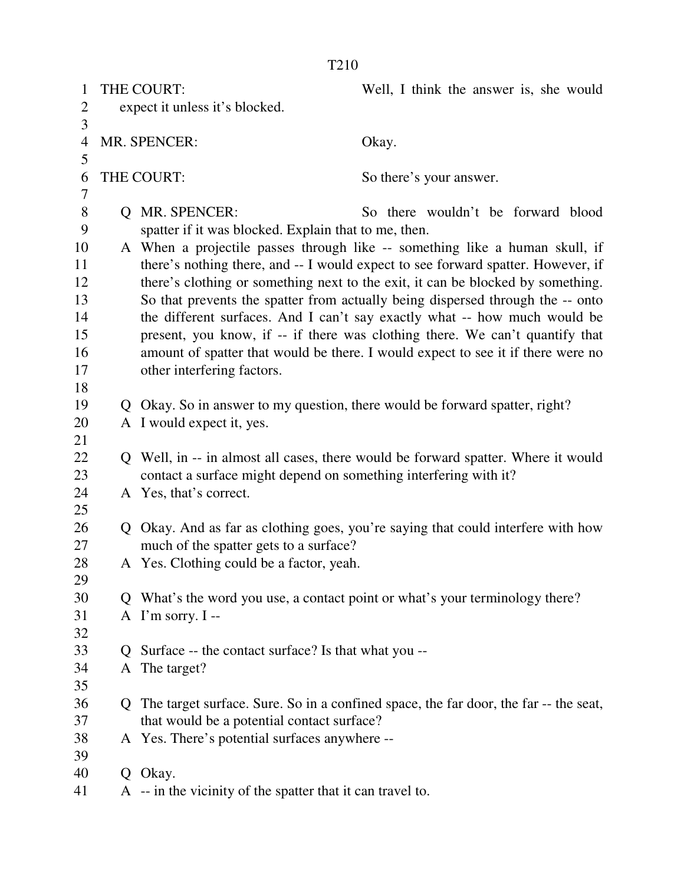| $\mathbf{1}$   |                                | THE COURT:                                                                     | Well, I think the answer is, she would                                                 |  |
|----------------|--------------------------------|--------------------------------------------------------------------------------|----------------------------------------------------------------------------------------|--|
| $\overline{2}$ | expect it unless it's blocked. |                                                                                |                                                                                        |  |
| 3              |                                |                                                                                |                                                                                        |  |
| $\overline{4}$ | MR. SPENCER:                   |                                                                                | Okay.                                                                                  |  |
| 5              |                                |                                                                                |                                                                                        |  |
| 6              |                                | THE COURT:                                                                     | So there's your answer.                                                                |  |
| $\tau$         |                                |                                                                                |                                                                                        |  |
| $8\,$          |                                | Q MR. SPENCER:                                                                 | So there wouldn't be forward blood                                                     |  |
| 9              |                                | spatter if it was blocked. Explain that to me, then.                           |                                                                                        |  |
| 10             |                                |                                                                                | A When a projectile passes through like -- something like a human skull, if            |  |
| 11             |                                |                                                                                | there's nothing there, and -- I would expect to see forward spatter. However, if       |  |
| 12             |                                |                                                                                | there's clothing or something next to the exit, it can be blocked by something.        |  |
| 13             |                                |                                                                                | So that prevents the spatter from actually being dispersed through the -- onto         |  |
| 14             |                                |                                                                                | the different surfaces. And I can't say exactly what -- how much would be              |  |
| 15             |                                |                                                                                | present, you know, if -- if there was clothing there. We can't quantify that           |  |
| 16             |                                |                                                                                | amount of spatter that would be there. I would expect to see it if there were no       |  |
| 17             |                                | other interfering factors.                                                     |                                                                                        |  |
| 18             |                                |                                                                                |                                                                                        |  |
| 19             |                                | Q Okay. So in answer to my question, there would be forward spatter, right?    |                                                                                        |  |
| 20             |                                | A I would expect it, yes.                                                      |                                                                                        |  |
| 21             |                                |                                                                                |                                                                                        |  |
| 22             |                                |                                                                                | Q Well, in -- in almost all cases, there would be forward spatter. Where it would      |  |
| 23             |                                | contact a surface might depend on something interfering with it?               |                                                                                        |  |
| 24             |                                | A Yes, that's correct.                                                         |                                                                                        |  |
| 25             |                                |                                                                                |                                                                                        |  |
| 26             | Q.                             | Okay. And as far as clothing goes, you're saying that could interfere with how |                                                                                        |  |
| 27             |                                | much of the spatter gets to a surface?                                         |                                                                                        |  |
| 28             |                                | A Yes. Clothing could be a factor, yeah.                                       |                                                                                        |  |
| 29             |                                |                                                                                |                                                                                        |  |
| 30             |                                |                                                                                | Q What's the word you use, a contact point or what's your terminology there?           |  |
| 31             |                                | A I'm sorry. I --                                                              |                                                                                        |  |
| 32             |                                |                                                                                |                                                                                        |  |
| 33             | $\Omega$                       | Surface -- the contact surface? Is that what you --                            |                                                                                        |  |
| 34             |                                | A The target?                                                                  |                                                                                        |  |
| 35             |                                |                                                                                |                                                                                        |  |
| 36             |                                |                                                                                | Q The target surface. Sure. So in a confined space, the far door, the far -- the seat, |  |
| 37             |                                | that would be a potential contact surface?                                     |                                                                                        |  |
| 38             |                                | A Yes. There's potential surfaces anywhere --                                  |                                                                                        |  |
| 39             |                                |                                                                                |                                                                                        |  |
| 40             |                                | Q Okay.                                                                        |                                                                                        |  |
| 41             |                                | A -- in the vicinity of the spatter that it can travel to.                     |                                                                                        |  |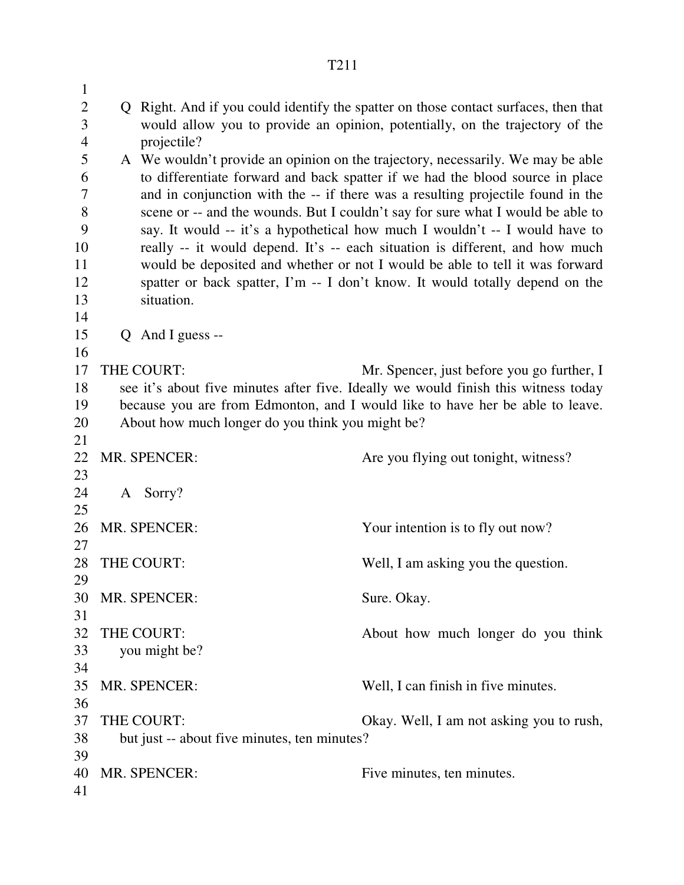| $\mathbf{1}$   |                                                  |                                                                                     |
|----------------|--------------------------------------------------|-------------------------------------------------------------------------------------|
| 2              |                                                  | Q Right. And if you could identify the spatter on those contact surfaces, then that |
| 3              |                                                  | would allow you to provide an opinion, potentially, on the trajectory of the        |
| $\overline{4}$ | projectile?                                      |                                                                                     |
| 5              |                                                  | A We wouldn't provide an opinion on the trajectory, necessarily. We may be able     |
| 6              |                                                  | to differentiate forward and back spatter if we had the blood source in place       |
| 7              |                                                  | and in conjunction with the -- if there was a resulting projectile found in the     |
| 8              |                                                  | scene or -- and the wounds. But I couldn't say for sure what I would be able to     |
| 9              |                                                  | say. It would -- it's a hypothetical how much I wouldn't -- I would have to         |
| 10<br>11       |                                                  | really -- it would depend. It's -- each situation is different, and how much        |
| 12             |                                                  | would be deposited and whether or not I would be able to tell it was forward        |
| 13             | situation.                                       | spatter or back spatter, I'm -- I don't know. It would totally depend on the        |
| 14             |                                                  |                                                                                     |
| 15             | $Q$ And I guess --                               |                                                                                     |
| 16             |                                                  |                                                                                     |
| 17             | THE COURT:                                       | Mr. Spencer, just before you go further, I                                          |
| 18             |                                                  | see it's about five minutes after five. Ideally we would finish this witness today  |
| 19             |                                                  | because you are from Edmonton, and I would like to have her be able to leave.       |
| 20             | About how much longer do you think you might be? |                                                                                     |
| 21             |                                                  |                                                                                     |
| 22             | MR. SPENCER:                                     | Are you flying out tonight, witness?                                                |
| 23             |                                                  |                                                                                     |
| 24             | A Sorry?                                         |                                                                                     |
| 25             |                                                  |                                                                                     |
| 26             | MR. SPENCER:                                     | Your intention is to fly out now?                                                   |
| 27             | THE COURT:                                       |                                                                                     |
| 28<br>29       |                                                  | Well, I am asking you the question.                                                 |
| 30             | MR. SPENCER:                                     | Sure. Okay.                                                                         |
| 31             |                                                  |                                                                                     |
| 32             | THE COURT:                                       | About how much longer do you think                                                  |
| 33             | you might be?                                    |                                                                                     |
| 34             |                                                  |                                                                                     |
| 35             | MR. SPENCER:                                     | Well, I can finish in five minutes.                                                 |
| 36             |                                                  |                                                                                     |
| 37             | THE COURT:                                       | Okay. Well, I am not asking you to rush,                                            |
| 38             | but just -- about five minutes, ten minutes?     |                                                                                     |
| 39             |                                                  |                                                                                     |
| 40             | MR. SPENCER:                                     | Five minutes, ten minutes.                                                          |
| 41             |                                                  |                                                                                     |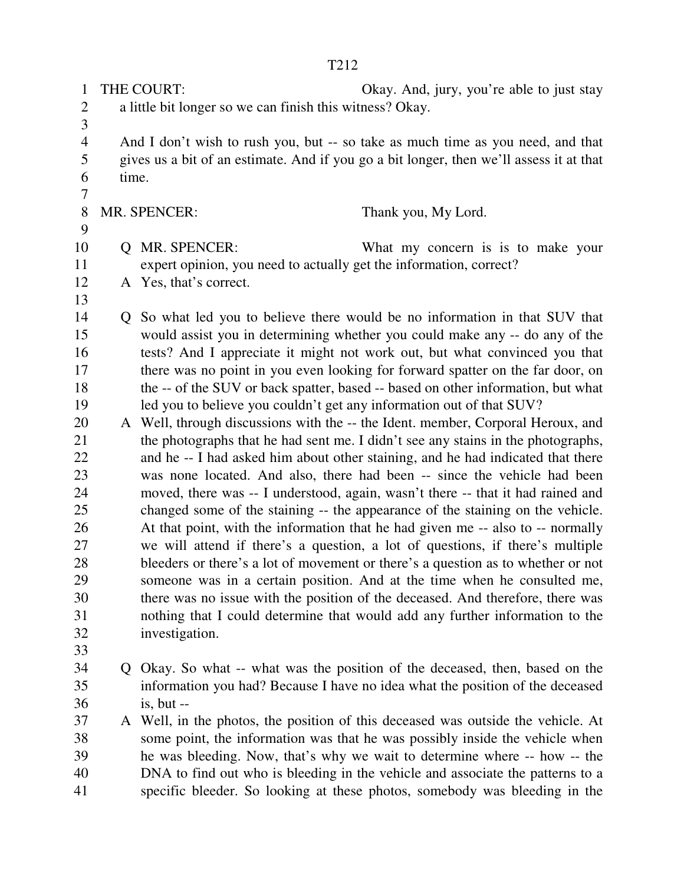1 THE COURT: Okay. And, jury, you're able to just stay 2 a little bit longer so we can finish this witness? Okay.

4 And I don't wish to rush you, but -- so take as much time as you need, and that 5 gives us a bit of an estimate. And if you go a bit longer, then we'll assess it at that 6 time. 7

8 MR. SPENCER: Thank you, My Lord.

9

3

- 10 Q MR. SPENCER: What my concern is is to make your
- 11 expert opinion, you need to actually get the information, correct?

13

12 A Yes, that's correct.

14 Q So what led you to believe there would be no information in that SUV that 15 would assist you in determining whether you could make any -- do any of the 16 tests? And I appreciate it might not work out, but what convinced you that 17 there was no point in you even looking for forward spatter on the far door, on 18 the -- of the SUV or back spatter, based -- based on other information, but what 19 led you to believe you couldn't get any information out of that SUV?

20 A Well, through discussions with the -- the Ident. member, Corporal Heroux, and 21 the photographs that he had sent me. I didn't see any stains in the photographs, 22 and he -- I had asked him about other staining, and he had indicated that there 23 was none located. And also, there had been -- since the vehicle had been 24 moved, there was -- I understood, again, wasn't there -- that it had rained and 25 changed some of the staining -- the appearance of the staining on the vehicle. 26 At that point, with the information that he had given me -- also to -- normally 27 we will attend if there's a question, a lot of questions, if there's multiple 28 bleeders or there's a lot of movement or there's a question as to whether or not 29 someone was in a certain position. And at the time when he consulted me, 30 there was no issue with the position of the deceased. And therefore, there was 31 nothing that I could determine that would add any further information to the 32 investigation.

- 33
- 34 Q Okay. So what -- what was the position of the deceased, then, based on the 35 information you had? Because I have no idea what the position of the deceased 36 is, but --

37 A Well, in the photos, the position of this deceased was outside the vehicle. At 38 some point, the information was that he was possibly inside the vehicle when 39 he was bleeding. Now, that's why we wait to determine where -- how -- the 40 DNA to find out who is bleeding in the vehicle and associate the patterns to a 41 specific bleeder. So looking at these photos, somebody was bleeding in the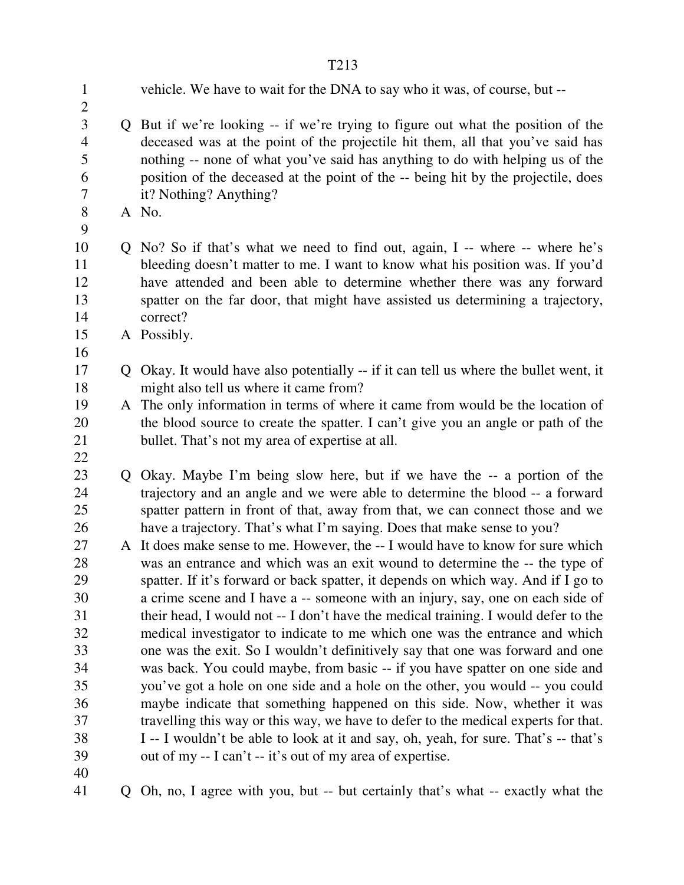| $\mathbf{1}$   | vehicle. We have to wait for the DNA to say who it was, of course, but --             |
|----------------|---------------------------------------------------------------------------------------|
| $\overline{2}$ |                                                                                       |
| $\overline{3}$ | Q But if we're looking -- if we're trying to figure out what the position of the      |
| $\overline{4}$ | deceased was at the point of the projectile hit them, all that you've said has        |
| 5              | nothing -- none of what you've said has anything to do with helping us of the         |
| 6              | position of the deceased at the point of the -- being hit by the projectile, does     |
| 7              | it? Nothing? Anything?                                                                |
| 8              | A No.                                                                                 |
| 9              |                                                                                       |
| 10             | Q No? So if that's what we need to find out, again, I -- where -- where he's          |
| 11             | bleeding doesn't matter to me. I want to know what his position was. If you'd         |
| 12             | have attended and been able to determine whether there was any forward                |
| 13             | spatter on the far door, that might have assisted us determining a trajectory,        |
| 14             | correct?                                                                              |
| 15             | A Possibly.                                                                           |
| 16             |                                                                                       |
| 17             | Q Okay. It would have also potentially -- if it can tell us where the bullet went, it |
| 18             | might also tell us where it came from?                                                |
| 19             | A The only information in terms of where it came from would be the location of        |
| 20             | the blood source to create the spatter. I can't give you an angle or path of the      |
| 21             | bullet. That's not my area of expertise at all.                                       |
| 22             |                                                                                       |
| 23             | Q Okay. Maybe I'm being slow here, but if we have the -- a portion of the             |
| 24             | trajectory and an angle and we were able to determine the blood -- a forward          |
| 25             | spatter pattern in front of that, away from that, we can connect those and we         |
| 26             | have a trajectory. That's what I'm saying. Does that make sense to you?               |
| 27             | A It does make sense to me. However, the -- I would have to know for sure which       |
| 28             | was an entrance and which was an exit wound to determine the -- the type of           |
| 29             | spatter. If it's forward or back spatter, it depends on which way. And if I go to     |
| 30             | a crime scene and I have a -- someone with an injury, say, one on each side of        |
| 31             | their head, I would not -- I don't have the medical training. I would defer to the    |
| 32             | medical investigator to indicate to me which one was the entrance and which           |
| 33             | one was the exit. So I wouldn't definitively say that one was forward and one         |
| 34             | was back. You could maybe, from basic -- if you have spatter on one side and          |
| 35             | you've got a hole on one side and a hole on the other, you would -- you could         |
| 36             | maybe indicate that something happened on this side. Now, whether it was              |
| 37             | travelling this way or this way, we have to defer to the medical experts for that.    |
| 38             | I -- I wouldn't be able to look at it and say, oh, yeah, for sure. That's -- that's   |
| 39             | out of my -- I can't -- it's out of my area of expertise.                             |
| 40             |                                                                                       |
| 41             | Q Oh, no, I agree with you, but -- but certainly that's what -- exactly what the      |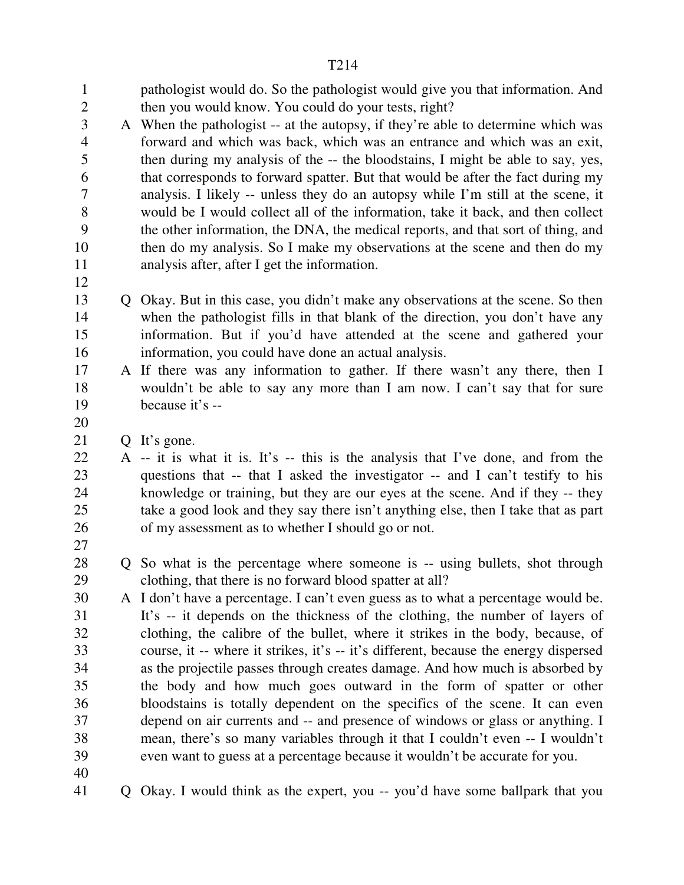1 pathologist would do. So the pathologist would give you that information. And 2 then you would know. You could do your tests, right? 3 A When the pathologist -- at the autopsy, if they're able to determine which was 4 forward and which was back, which was an entrance and which was an exit, 5 then during my analysis of the -- the bloodstains, I might be able to say, yes, 6 that corresponds to forward spatter. But that would be after the fact during my 7 analysis. I likely -- unless they do an autopsy while I'm still at the scene, it 8 would be I would collect all of the information, take it back, and then collect 9 the other information, the DNA, the medical reports, and that sort of thing, and 10 then do my analysis. So I make my observations at the scene and then do my 11 analysis after, after I get the information. 12 13 Q Okay. But in this case, you didn't make any observations at the scene. So then 14 when the pathologist fills in that blank of the direction, you don't have any 15 information. But if you'd have attended at the scene and gathered your 16 information, you could have done an actual analysis. 17 A If there was any information to gather. If there wasn't any there, then I 18 wouldn't be able to say any more than I am now. I can't say that for sure 19 because it's -- 20 21 Q It's gone. 22 A -- it is what it is. It's -- this is the analysis that I've done, and from the 23 questions that -- that I asked the investigator -- and I can't testify to his 24 knowledge or training, but they are our eyes at the scene. And if they -- they 25 take a good look and they say there isn't anything else, then I take that as part 26 of my assessment as to whether I should go or not. 27 28 Q So what is the percentage where someone is -- using bullets, shot through 29 clothing, that there is no forward blood spatter at all? 30 A I don't have a percentage. I can't even guess as to what a percentage would be. 31 It's -- it depends on the thickness of the clothing, the number of layers of 32 clothing, the calibre of the bullet, where it strikes in the body, because, of 33 course, it -- where it strikes, it's -- it's different, because the energy dispersed 34 as the projectile passes through creates damage. And how much is absorbed by 35 the body and how much goes outward in the form of spatter or other 36 bloodstains is totally dependent on the specifics of the scene. It can even 37 depend on air currents and -- and presence of windows or glass or anything. I 38 mean, there's so many variables through it that I couldn't even -- I wouldn't 39 even want to guess at a percentage because it wouldn't be accurate for you. 40 41 Q Okay. I would think as the expert, you -- you'd have some ballpark that you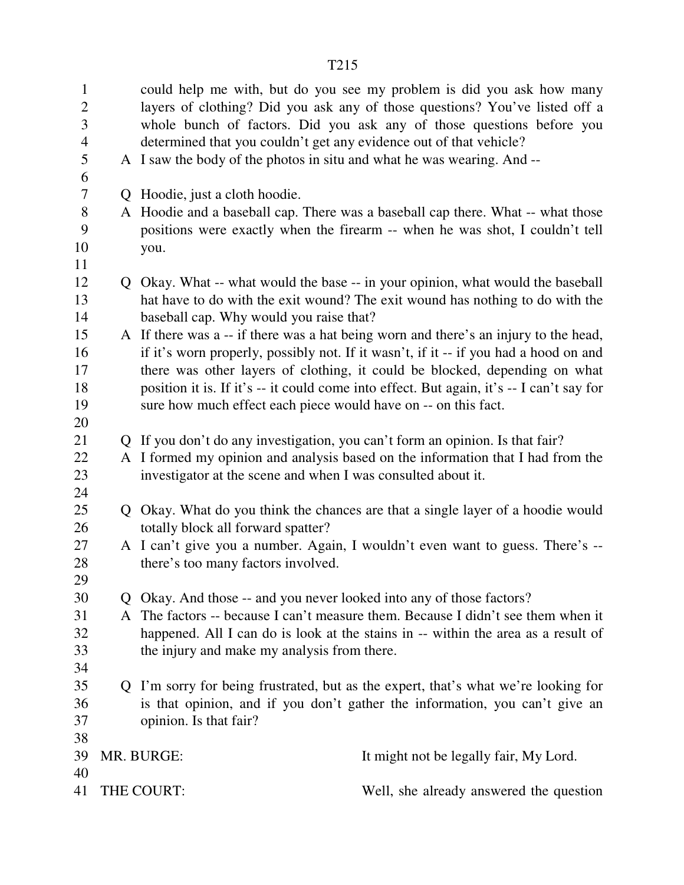|                                                       |                                                                                                                                                                                                                                                                                                                                                                                                                          | T215                                                                                                                                                                                                                             |                                                                                                                                                                                                                               |
|-------------------------------------------------------|--------------------------------------------------------------------------------------------------------------------------------------------------------------------------------------------------------------------------------------------------------------------------------------------------------------------------------------------------------------------------------------------------------------------------|----------------------------------------------------------------------------------------------------------------------------------------------------------------------------------------------------------------------------------|-------------------------------------------------------------------------------------------------------------------------------------------------------------------------------------------------------------------------------|
| $\mathbf{1}$<br>$\overline{2}$<br>3<br>$\overline{4}$ |                                                                                                                                                                                                                                                                                                                                                                                                                          | determined that you couldn't get any evidence out of that vehicle?                                                                                                                                                               | could help me with, but do you see my problem is did you ask how many<br>layers of clothing? Did you ask any of those questions? You've listed off a<br>whole bunch of factors. Did you ask any of those questions before you |
| 5<br>6                                                |                                                                                                                                                                                                                                                                                                                                                                                                                          | A I saw the body of the photos in situ and what he was wearing. And --                                                                                                                                                           |                                                                                                                                                                                                                               |
| 7                                                     |                                                                                                                                                                                                                                                                                                                                                                                                                          | Q Hoodie, just a cloth hoodie.                                                                                                                                                                                                   |                                                                                                                                                                                                                               |
| 8<br>9<br>10                                          |                                                                                                                                                                                                                                                                                                                                                                                                                          |                                                                                                                                                                                                                                  | A Hoodie and a baseball cap. There was a baseball cap there. What -- what those<br>positions were exactly when the firearm -- when he was shot, I couldn't tell                                                               |
| 11                                                    |                                                                                                                                                                                                                                                                                                                                                                                                                          | you.                                                                                                                                                                                                                             |                                                                                                                                                                                                                               |
| 12<br>13<br>14                                        |                                                                                                                                                                                                                                                                                                                                                                                                                          | baseball cap. Why would you raise that?                                                                                                                                                                                          | Q Okay. What -- what would the base -- in your opinion, what would the baseball<br>hat have to do with the exit wound? The exit wound has nothing to do with the                                                              |
| 15<br>16<br>17<br>18<br>19                            | A If there was a -- if there was a hat being worn and there's an injury to the head,<br>if it's worn properly, possibly not. If it wasn't, if it -- if you had a hood on and<br>there was other layers of clothing, it could be blocked, depending on what<br>position it is. If it's -- it could come into effect. But again, it's -- I can't say for<br>sure how much effect each piece would have on -- on this fact. |                                                                                                                                                                                                                                  |                                                                                                                                                                                                                               |
| 20                                                    |                                                                                                                                                                                                                                                                                                                                                                                                                          |                                                                                                                                                                                                                                  |                                                                                                                                                                                                                               |
| 21<br>22<br>23                                        |                                                                                                                                                                                                                                                                                                                                                                                                                          | Q If you don't do any investigation, you can't form an opinion. Is that fair?<br>A I formed my opinion and analysis based on the information that I had from the<br>investigator at the scene and when I was consulted about it. |                                                                                                                                                                                                                               |
| 24<br>25                                              |                                                                                                                                                                                                                                                                                                                                                                                                                          | Q Okay. What do you think the chances are that a single layer of a hoodie would                                                                                                                                                  |                                                                                                                                                                                                                               |
| 26<br>27<br>28                                        |                                                                                                                                                                                                                                                                                                                                                                                                                          | totally block all forward spatter?<br>A I can't give you a number. Again, I wouldn't even want to guess. There's --<br>there's too many factors involved.                                                                        |                                                                                                                                                                                                                               |
| 29<br>30                                              |                                                                                                                                                                                                                                                                                                                                                                                                                          |                                                                                                                                                                                                                                  |                                                                                                                                                                                                                               |
| 31<br>32<br>33                                        | Q Okay. And those -- and you never looked into any of those factors?<br>A The factors -- because I can't measure them. Because I didn't see them when it<br>happened. All I can do is look at the stains in -- within the area as a result of<br>the injury and make my analysis from there.                                                                                                                             |                                                                                                                                                                                                                                  |                                                                                                                                                                                                                               |
| 34<br>35<br>36<br>37                                  |                                                                                                                                                                                                                                                                                                                                                                                                                          | opinion. Is that fair?                                                                                                                                                                                                           | Q I'm sorry for being frustrated, but as the expert, that's what we're looking for<br>is that opinion, and if you don't gather the information, you can't give an                                                             |
| 38<br>39                                              |                                                                                                                                                                                                                                                                                                                                                                                                                          | MR. BURGE:                                                                                                                                                                                                                       | It might not be legally fair, My Lord.                                                                                                                                                                                        |
| 41                                                    | 40<br>THE COURT:                                                                                                                                                                                                                                                                                                                                                                                                         |                                                                                                                                                                                                                                  | Well, she already answered the question                                                                                                                                                                                       |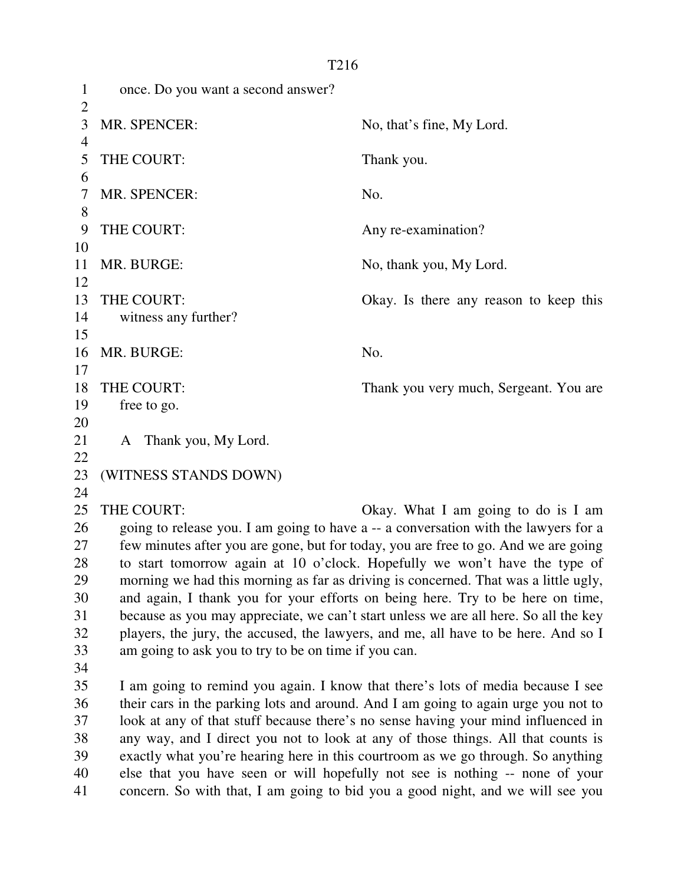1 once. Do you want a second answer?  $\overline{2}$ 3 MR. SPENCER: No, that's fine, My Lord. 4 5 THE COURT: Thank you. 6 7 MR. SPENCER: No. 8 9 THE COURT: Any re-examination? 10 11 MR. BURGE: No, thank you, My Lord. 12 13 THE COURT: Okay. Is there any reason to keep this 14 witness any further? 15 16 MR. BURGE: No. 17 18 THE COURT: Thank you very much, Sergeant. You are 19 free to go. 20 21 A Thank you, My Lord. 22 23 (WITNESS STANDS DOWN) 24 25 THE COURT: Okay. What I am going to do is I am 26 going to release you. I am going to have a -- a conversation with the lawyers for a 27 few minutes after you are gone, but for today, you are free to go. And we are going 28 to start tomorrow again at 10 o'clock. Hopefully we won't have the type of 29 morning we had this morning as far as driving is concerned. That was a little ugly, 30 and again, I thank you for your efforts on being here. Try to be here on time, 31 because as you may appreciate, we can't start unless we are all here. So all the key 32 players, the jury, the accused, the lawyers, and me, all have to be here. And so I 33 am going to ask you to try to be on time if you can. 34 35 I am going to remind you again. I know that there's lots of media because I see 36 their cars in the parking lots and around. And I am going to again urge you not to 37 look at any of that stuff because there's no sense having your mind influenced in 38 any way, and I direct you not to look at any of those things. All that counts is 39 exactly what you're hearing here in this courtroom as we go through. So anything 40 else that you have seen or will hopefully not see is nothing -- none of your 41 concern. So with that, I am going to bid you a good night, and we will see you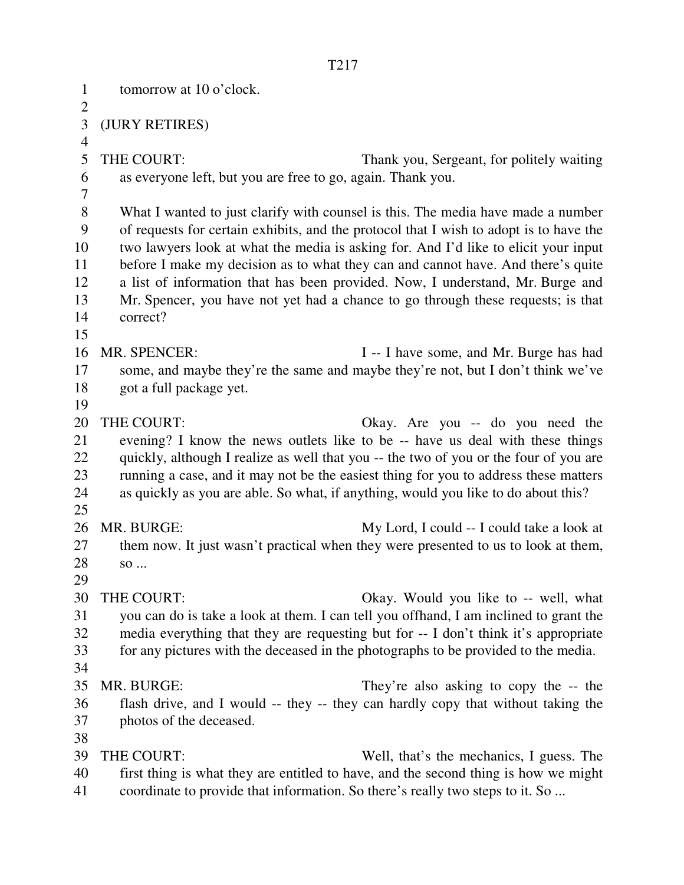1 tomorrow at 10 o'clock.  $\overline{2}$ 3 (JURY RETIRES) 4 5 THE COURT: Thank you, Sergeant, for politely waiting 6 as everyone left, but you are free to go, again. Thank you. 7 8 What I wanted to just clarify with counsel is this. The media have made a number 9 of requests for certain exhibits, and the protocol that I wish to adopt is to have the 10 two lawyers look at what the media is asking for. And I'd like to elicit your input 11 before I make my decision as to what they can and cannot have. And there's quite 12 a list of information that has been provided. Now, I understand, Mr. Burge and 13 Mr. Spencer, you have not yet had a chance to go through these requests; is that 14 correct? 15 16 MR. SPENCER: I -- I have some, and Mr. Burge has had 17 some, and maybe they're the same and maybe they're not, but I don't think we've 18 got a full package yet. 19 20 THE COURT: Okay. Are you -- do you need the 21 evening? I know the news outlets like to be -- have us deal with these things 22 quickly, although I realize as well that you -- the two of you or the four of you are 23 running a case, and it may not be the easiest thing for you to address these matters 24 as quickly as you are able. So what, if anything, would you like to do about this? 25 26 MR. BURGE: My Lord, I could -- I could take a look at 27 them now. It just wasn't practical when they were presented to us to look at them, 28 so ... 29 30 THE COURT: Okay. Would you like to -- well, what 31 you can do is take a look at them. I can tell you offhand, I am inclined to grant the 32 media everything that they are requesting but for -- I don't think it's appropriate 33 for any pictures with the deceased in the photographs to be provided to the media. 34 35 MR. BURGE: They're also asking to copy the -- the 36 flash drive, and I would -- they -- they can hardly copy that without taking the 37 photos of the deceased. 38 39 THE COURT: Well, that's the mechanics, I guess. The 40 first thing is what they are entitled to have, and the second thing is how we might 41 coordinate to provide that information. So there's really two steps to it. So ...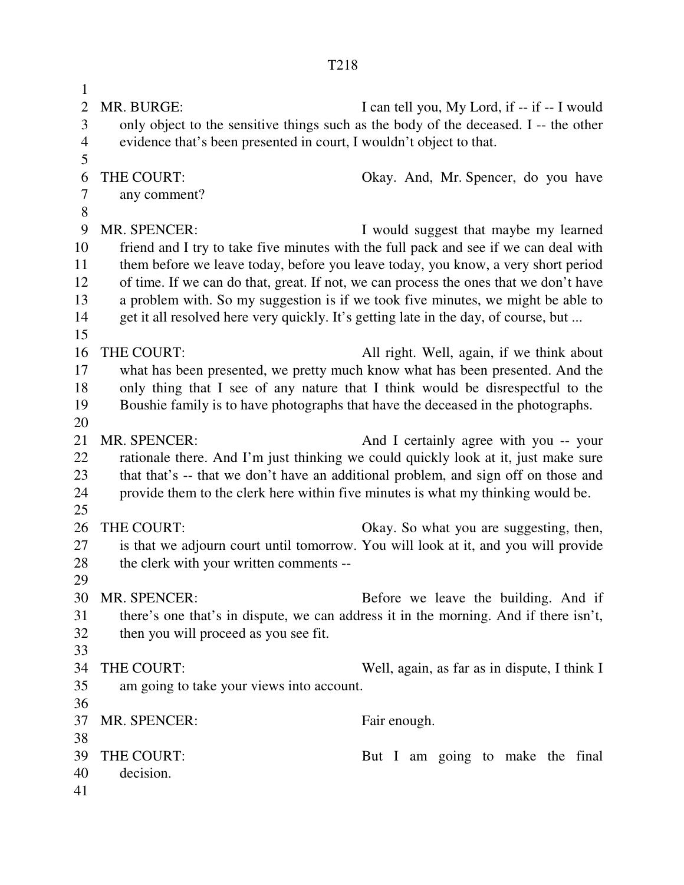1 2 MR. BURGE: I can tell you, My Lord, if -- if -- I would 3 only object to the sensitive things such as the body of the deceased. I -- the other 4 evidence that's been presented in court, I wouldn't object to that. 5 6 THE COURT: Okay. And, Mr. Spencer, do you have 7 any comment? 8 9 MR. SPENCER: I would suggest that maybe my learned 10 friend and I try to take five minutes with the full pack and see if we can deal with 11 them before we leave today, before you leave today, you know, a very short period 12 of time. If we can do that, great. If not, we can process the ones that we don't have 13 a problem with. So my suggestion is if we took five minutes, we might be able to 14 get it all resolved here very quickly. It's getting late in the day, of course, but ... 15 16 THE COURT: All right. Well, again, if we think about 17 what has been presented, we pretty much know what has been presented. And the 18 only thing that I see of any nature that I think would be disrespectful to the 19 Boushie family is to have photographs that have the deceased in the photographs. 20 21 MR. SPENCER: And I certainly agree with you -- your 22 rationale there. And I'm just thinking we could quickly look at it, just make sure 23 that that's -- that we don't have an additional problem, and sign off on those and 24 provide them to the clerk here within five minutes is what my thinking would be. 25 26 THE COURT: Okay. So what you are suggesting, then, 27 is that we adjourn court until tomorrow. You will look at it, and you will provide 28 the clerk with your written comments --29 30 MR. SPENCER: Before we leave the building. And if 31 there's one that's in dispute, we can address it in the morning. And if there isn't, 32 then you will proceed as you see fit. 33 34 THE COURT: Well, again, as far as in dispute, I think I 35 am going to take your views into account. 36 37 MR. SPENCER: Fair enough. 38 39 THE COURT: But I am going to make the final 40 decision.

41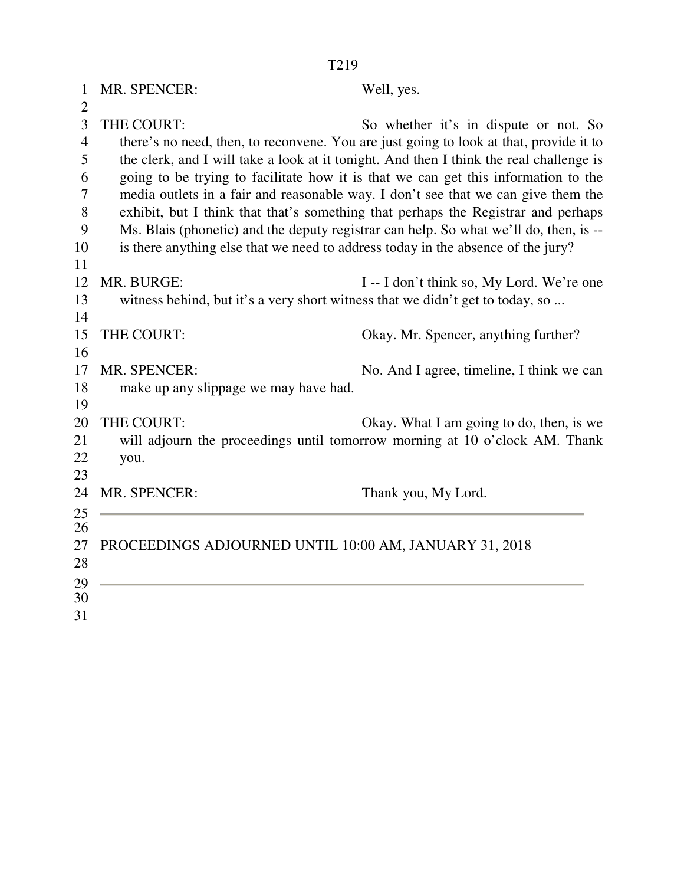| 1              | MR. SPENCER:                                                                     | Well, yes.                                                                              |
|----------------|----------------------------------------------------------------------------------|-----------------------------------------------------------------------------------------|
| $\mathbf{2}$   |                                                                                  |                                                                                         |
| 3              | THE COURT:                                                                       | So whether it's in dispute or not. So                                                   |
| $\overline{4}$ |                                                                                  | there's no need, then, to reconvene. You are just going to look at that, provide it to  |
| 5              |                                                                                  | the clerk, and I will take a look at it tonight. And then I think the real challenge is |
| 6              |                                                                                  | going to be trying to facilitate how it is that we can get this information to the      |
| 7              |                                                                                  | media outlets in a fair and reasonable way. I don't see that we can give them the       |
| 8              |                                                                                  | exhibit, but I think that that's something that perhaps the Registrar and perhaps       |
| 9              |                                                                                  | Ms. Blais (phonetic) and the deputy registrar can help. So what we'll do, then, is --   |
| 10             | is there anything else that we need to address today in the absence of the jury? |                                                                                         |
| 11<br>12       | MR. BURGE:                                                                       |                                                                                         |
| 13             |                                                                                  | I -- I don't think so, My Lord. We're one                                               |
| 14             | witness behind, but it's a very short witness that we didn't get to today, so    |                                                                                         |
| 15             | THE COURT:                                                                       | Okay. Mr. Spencer, anything further?                                                    |
| 16             |                                                                                  |                                                                                         |
| 17             | <b>MR. SPENCER:</b>                                                              | No. And I agree, timeline, I think we can                                               |
| 18             | make up any slippage we may have had.                                            |                                                                                         |
| 19             |                                                                                  |                                                                                         |
| 20             | THE COURT:                                                                       | Okay. What I am going to do, then, is we                                                |
| 21             |                                                                                  | will adjourn the proceedings until tomorrow morning at 10 o'clock AM. Thank             |
| 22             | you.                                                                             |                                                                                         |
| 23             |                                                                                  |                                                                                         |
| 24             | MR. SPENCER:                                                                     | Thank you, My Lord.                                                                     |
| 25             |                                                                                  |                                                                                         |
| 26             |                                                                                  |                                                                                         |
| 27             | PROCEEDINGS ADJOURNED UNTIL 10:00 AM, JANUARY 31, 2018                           |                                                                                         |
| 28             |                                                                                  |                                                                                         |
| 29             |                                                                                  |                                                                                         |
| 30             |                                                                                  |                                                                                         |

31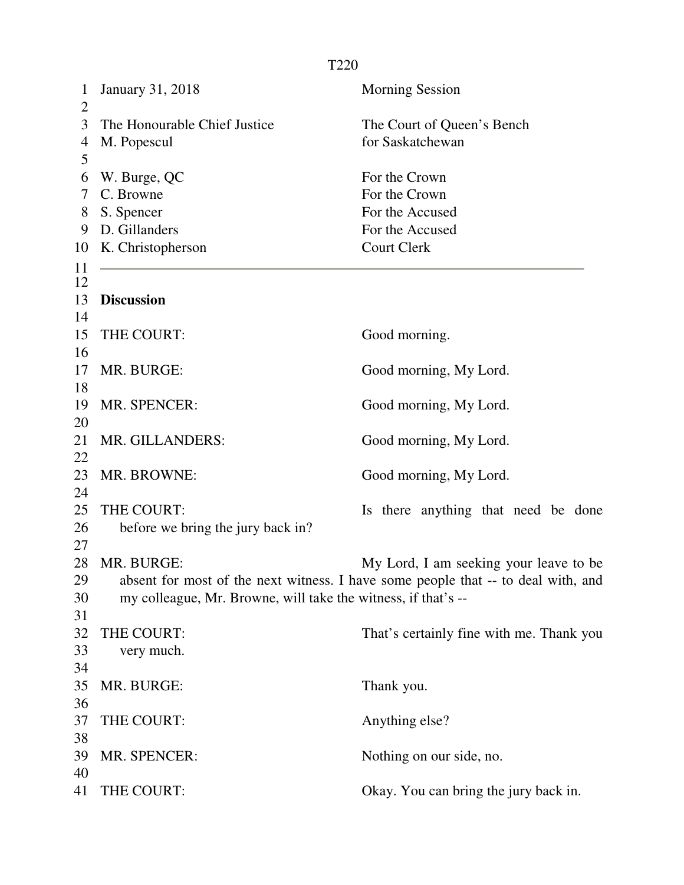| $\mathbf 1$<br>$\overline{2}$ | <b>January 31, 2018</b>                                       | <b>Morning Session</b>                                                            |  |  |
|-------------------------------|---------------------------------------------------------------|-----------------------------------------------------------------------------------|--|--|
| 3                             | The Honourable Chief Justice                                  | The Court of Queen's Bench                                                        |  |  |
| 4                             | M. Popescul                                                   | for Saskatchewan                                                                  |  |  |
| 5                             |                                                               |                                                                                   |  |  |
| 6                             | W. Burge, QC                                                  | For the Crown                                                                     |  |  |
| 7                             | C. Browne                                                     | For the Crown                                                                     |  |  |
| 8                             | S. Spencer                                                    | For the Accused                                                                   |  |  |
| 9                             | D. Gillanders                                                 | For the Accused                                                                   |  |  |
| 10                            | K. Christopherson                                             | <b>Court Clerk</b>                                                                |  |  |
| 11                            |                                                               |                                                                                   |  |  |
| 12                            |                                                               |                                                                                   |  |  |
| 13                            | <b>Discussion</b>                                             |                                                                                   |  |  |
| 14                            |                                                               |                                                                                   |  |  |
| 15                            | THE COURT:                                                    | Good morning.                                                                     |  |  |
| 16                            |                                                               |                                                                                   |  |  |
| 17                            | MR. BURGE:                                                    | Good morning, My Lord.                                                            |  |  |
| 18<br>19                      | MR. SPENCER:                                                  |                                                                                   |  |  |
| 20                            |                                                               | Good morning, My Lord.                                                            |  |  |
| 21                            | MR. GILLANDERS:                                               | Good morning, My Lord.                                                            |  |  |
| 22                            |                                                               |                                                                                   |  |  |
| 23                            | MR. BROWNE:                                                   | Good morning, My Lord.                                                            |  |  |
| 24                            |                                                               |                                                                                   |  |  |
| 25                            | THE COURT:                                                    | Is there anything that need be done                                               |  |  |
| 26                            | before we bring the jury back in?                             |                                                                                   |  |  |
| 27                            |                                                               |                                                                                   |  |  |
| 28                            | MR. BURGE:                                                    | My Lord, I am seeking your leave to be                                            |  |  |
| 29                            |                                                               | absent for most of the next witness. I have some people that -- to deal with, and |  |  |
| 30                            | my colleague, Mr. Browne, will take the witness, if that's -- |                                                                                   |  |  |
| 31                            |                                                               |                                                                                   |  |  |
| 32                            | THE COURT:                                                    | That's certainly fine with me. Thank you                                          |  |  |
| 33                            | very much.                                                    |                                                                                   |  |  |
| 34                            |                                                               |                                                                                   |  |  |
| 35                            | MR. BURGE:                                                    | Thank you.                                                                        |  |  |
| 36                            |                                                               |                                                                                   |  |  |
| 37                            | THE COURT:                                                    | Anything else?                                                                    |  |  |
| 38                            |                                                               |                                                                                   |  |  |
| 39                            | MR. SPENCER:                                                  | Nothing on our side, no.                                                          |  |  |
| 40                            |                                                               |                                                                                   |  |  |
| 41                            | THE COURT:                                                    | Okay. You can bring the jury back in.                                             |  |  |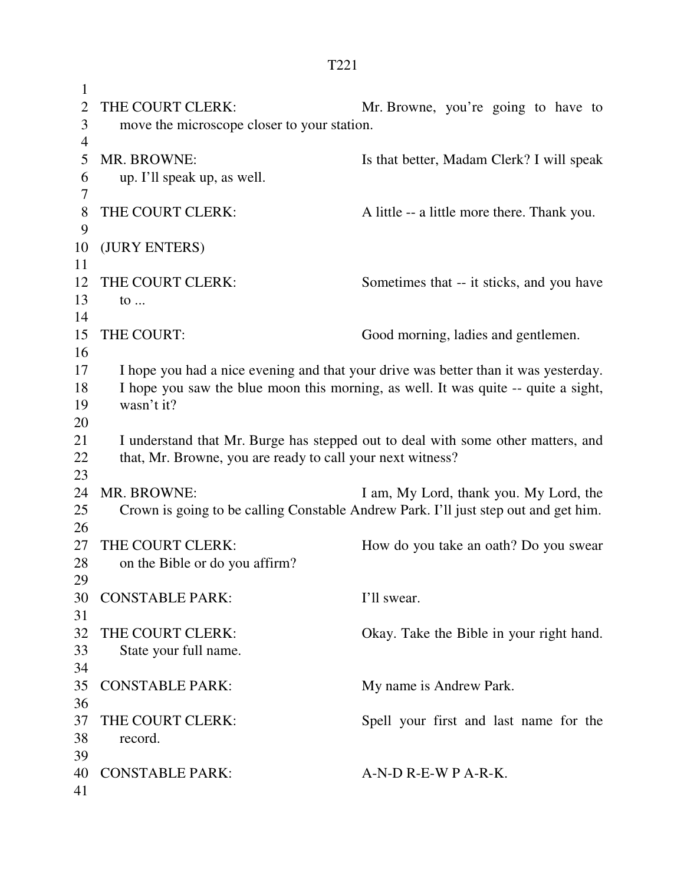1 2 THE COURT CLERK: Mr. Browne, you're going to have to 3 move the microscope closer to your station. 4 5 MR. BROWNE: Is that better, Madam Clerk? I will speak 6 up. I'll speak up, as well. 7 8 THE COURT CLERK: A little -- a little more there. Thank you. 9 10 (JURY ENTERS) 11 12 THE COURT CLERK: Sometimes that -- it sticks, and you have 13 to ... 14 15 THE COURT: Good morning, ladies and gentlemen. 16 17 I hope you had a nice evening and that your drive was better than it was yesterday. 18 I hope you saw the blue moon this morning, as well. It was quite -- quite a sight, 19 wasn't it? 20 21 I understand that Mr. Burge has stepped out to deal with some other matters, and 22 that, Mr. Browne, you are ready to call your next witness? 23 24 MR. BROWNE: I am, My Lord, thank you. My Lord, the 25 Crown is going to be calling Constable Andrew Park. I'll just step out and get him. 26 27 THE COURT CLERK: How do you take an oath? Do you swear 28 on the Bible or do you affirm? 29 30 CONSTABLE PARK: I'll swear. 31 32 THE COURT CLERK: Okay. Take the Bible in your right hand. 33 State your full name. 34 35 CONSTABLE PARK: My name is Andrew Park. 36 37 THE COURT CLERK: Spell your first and last name for the 38 record. 39 40 CONSTABLE PARK: A-N-D R-E-W P A-R-K. 41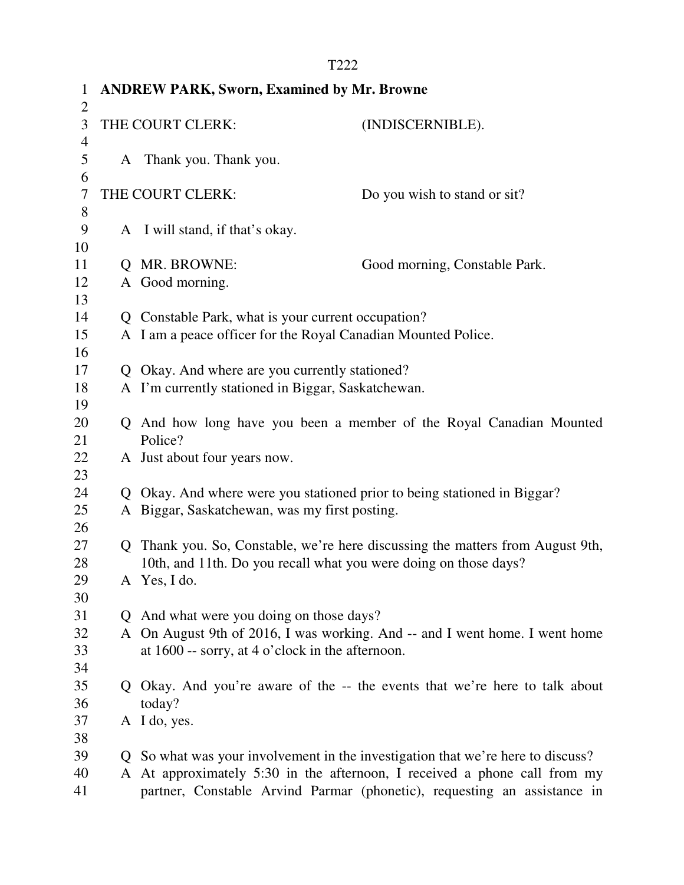| $\mathbf 1$    | <b>ANDREW PARK, Sworn, Examined by Mr. Browne</b>                |                                                                        |                                                                                                                                                              |  |  |
|----------------|------------------------------------------------------------------|------------------------------------------------------------------------|--------------------------------------------------------------------------------------------------------------------------------------------------------------|--|--|
| 2              |                                                                  |                                                                        |                                                                                                                                                              |  |  |
| 3              |                                                                  | THE COURT CLERK:                                                       | (INDISCERNIBLE).                                                                                                                                             |  |  |
| $\overline{4}$ |                                                                  |                                                                        |                                                                                                                                                              |  |  |
| 5              |                                                                  | A Thank you. Thank you.                                                |                                                                                                                                                              |  |  |
| 6<br>7         |                                                                  | THE COURT CLERK:                                                       | Do you wish to stand or sit?                                                                                                                                 |  |  |
| 8              |                                                                  |                                                                        |                                                                                                                                                              |  |  |
| 9              |                                                                  | A I will stand, if that's okay.                                        |                                                                                                                                                              |  |  |
| 10             |                                                                  |                                                                        |                                                                                                                                                              |  |  |
| 11             | $\mathbf O$                                                      | MR. BROWNE:                                                            | Good morning, Constable Park.                                                                                                                                |  |  |
| 12             | A                                                                | Good morning.                                                          |                                                                                                                                                              |  |  |
| 13             |                                                                  |                                                                        |                                                                                                                                                              |  |  |
| 14             |                                                                  | Q Constable Park, what is your current occupation?                     |                                                                                                                                                              |  |  |
| 15             |                                                                  | A I am a peace officer for the Royal Canadian Mounted Police.          |                                                                                                                                                              |  |  |
| 16             |                                                                  |                                                                        |                                                                                                                                                              |  |  |
| 17             | $\mathbf{O}$                                                     | Okay. And where are you currently stationed?                           |                                                                                                                                                              |  |  |
| 18             |                                                                  | A I'm currently stationed in Biggar, Saskatchewan.                     |                                                                                                                                                              |  |  |
| 19             |                                                                  |                                                                        |                                                                                                                                                              |  |  |
| 20             |                                                                  |                                                                        | Q And how long have you been a member of the Royal Canadian Mounted                                                                                          |  |  |
| 21             |                                                                  | Police?                                                                |                                                                                                                                                              |  |  |
| 22<br>23       |                                                                  | A Just about four years now.                                           |                                                                                                                                                              |  |  |
| 24             | Q                                                                | Okay. And where were you stationed prior to being stationed in Biggar? |                                                                                                                                                              |  |  |
| 25             |                                                                  | A Biggar, Saskatchewan, was my first posting.                          |                                                                                                                                                              |  |  |
| 26             |                                                                  |                                                                        |                                                                                                                                                              |  |  |
| 27             |                                                                  |                                                                        | Q Thank you. So, Constable, we're here discussing the matters from August 9th,                                                                               |  |  |
| 28             | 10th, and 11th. Do you recall what you were doing on those days? |                                                                        |                                                                                                                                                              |  |  |
| 29             |                                                                  | A Yes, I do.                                                           |                                                                                                                                                              |  |  |
| 30             |                                                                  |                                                                        |                                                                                                                                                              |  |  |
| 31             |                                                                  | Q And what were you doing on those days?                               |                                                                                                                                                              |  |  |
| 32             |                                                                  |                                                                        | A On August 9th of 2016, I was working. And -- and I went home. I went home                                                                                  |  |  |
| 33             |                                                                  | at $1600$ -- sorry, at 4 o'clock in the afternoon.                     |                                                                                                                                                              |  |  |
| 34             |                                                                  |                                                                        |                                                                                                                                                              |  |  |
| 35             |                                                                  |                                                                        | Q Okay. And you're aware of the -- the events that we're here to talk about                                                                                  |  |  |
| 36             |                                                                  | today?                                                                 |                                                                                                                                                              |  |  |
| 37             |                                                                  | A I do, yes.                                                           |                                                                                                                                                              |  |  |
| 38             |                                                                  |                                                                        |                                                                                                                                                              |  |  |
| 39<br>40       |                                                                  |                                                                        | Q So what was your involvement in the investigation that we're here to discuss?<br>A At approximately 5:30 in the afternoon, I received a phone call from my |  |  |
| 41             |                                                                  |                                                                        | partner, Constable Arvind Parmar (phonetic), requesting an assistance in                                                                                     |  |  |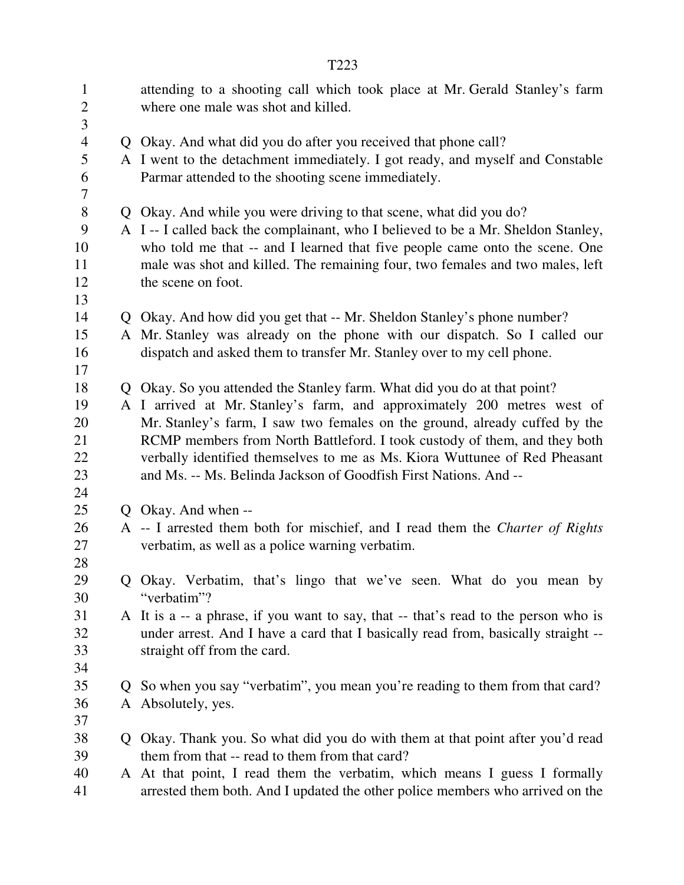| $\mathbf{1}$<br>$\overline{2}$<br>3                  | attending to a shooting call which took place at Mr. Gerald Stanley's farm<br>where one male was shot and killed.                                                                                                                                                                                                                                                                                                                                                |
|------------------------------------------------------|------------------------------------------------------------------------------------------------------------------------------------------------------------------------------------------------------------------------------------------------------------------------------------------------------------------------------------------------------------------------------------------------------------------------------------------------------------------|
| $\overline{\mathcal{A}}$<br>5<br>6<br>$\overline{7}$ | Q Okay. And what did you do after you received that phone call?<br>A I went to the detachment immediately. I got ready, and myself and Constable<br>Parmar attended to the shooting scene immediately.                                                                                                                                                                                                                                                           |
| 8<br>9<br>10<br>11<br>12<br>13                       | Q Okay. And while you were driving to that scene, what did you do?<br>A I -- I called back the complainant, who I believed to be a Mr. Sheldon Stanley,<br>who told me that -- and I learned that five people came onto the scene. One<br>male was shot and killed. The remaining four, two females and two males, left<br>the scene on foot.                                                                                                                    |
| 14<br>15<br>16<br>17                                 | Q Okay. And how did you get that -- Mr. Sheldon Stanley's phone number?<br>A Mr. Stanley was already on the phone with our dispatch. So I called our<br>dispatch and asked them to transfer Mr. Stanley over to my cell phone.                                                                                                                                                                                                                                   |
| 18<br>19<br>20<br>21<br>22<br>23<br>24               | Q Okay. So you attended the Stanley farm. What did you do at that point?<br>A I arrived at Mr. Stanley's farm, and approximately 200 metres west of<br>Mr. Stanley's farm, I saw two females on the ground, already cuffed by the<br>RCMP members from North Battleford. I took custody of them, and they both<br>verbally identified themselves to me as Ms. Kiora Wuttunee of Red Pheasant<br>and Ms. -- Ms. Belinda Jackson of Goodfish First Nations. And -- |
| 25<br>26<br>27<br>28                                 | Q Okay. And when --<br>A -- I arrested them both for mischief, and I read them the Charter of Rights<br>verbatim, as well as a police warning verbatim.                                                                                                                                                                                                                                                                                                          |
| 29<br>30                                             | Q Okay. Verbatim, that's lingo that we've seen. What do you mean by<br>"verbatim"?                                                                                                                                                                                                                                                                                                                                                                               |
| 31<br>32<br>33<br>34                                 | A It is a -- a phrase, if you want to say, that -- that's read to the person who is<br>under arrest. And I have a card that I basically read from, basically straight --<br>straight off from the card.                                                                                                                                                                                                                                                          |
| 35<br>36<br>37                                       | Q So when you say "verbatim", you mean you're reading to them from that card?<br>A Absolutely, yes.                                                                                                                                                                                                                                                                                                                                                              |
| 38<br>39<br>40<br>41                                 | Q Okay. Thank you. So what did you do with them at that point after you'd read<br>them from that -- read to them from that card?<br>A At that point, I read them the verbatim, which means I guess I formally<br>arrested them both. And I updated the other police members who arrived on the                                                                                                                                                                   |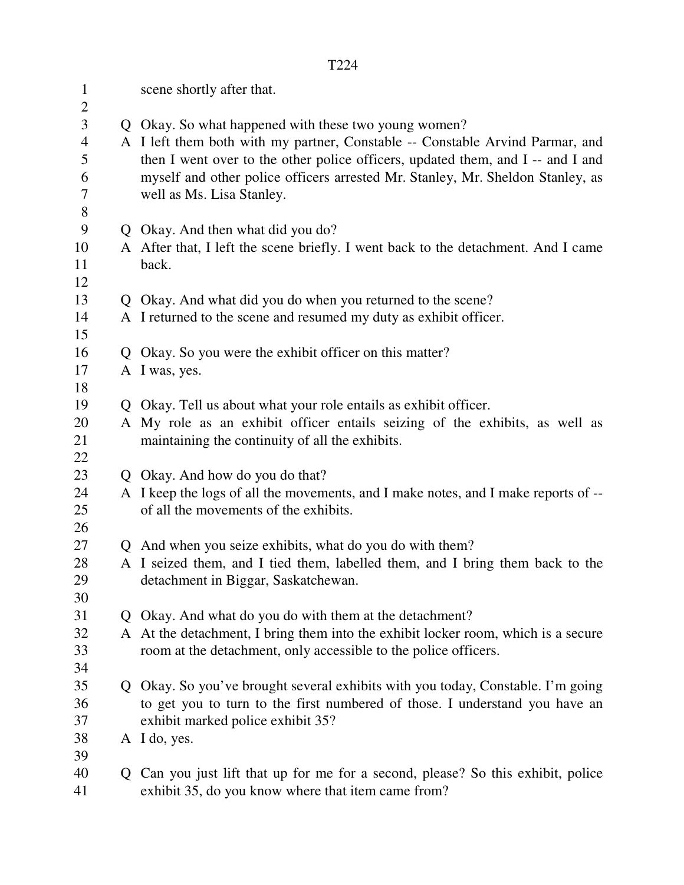| $\mathbf{1}$<br>$\overline{2}$                             | scene shortly after that.                                                                                                                                                                                                                                                                                                               |
|------------------------------------------------------------|-----------------------------------------------------------------------------------------------------------------------------------------------------------------------------------------------------------------------------------------------------------------------------------------------------------------------------------------|
| 3<br>$\overline{\mathcal{A}}$<br>5<br>6<br>$\tau$<br>$8\,$ | Q Okay. So what happened with these two young women?<br>A I left them both with my partner, Constable -- Constable Arvind Parmar, and<br>then I went over to the other police officers, updated them, and I -- and I and<br>myself and other police officers arrested Mr. Stanley, Mr. Sheldon Stanley, as<br>well as Ms. Lisa Stanley. |
| 9                                                          | Q Okay. And then what did you do?                                                                                                                                                                                                                                                                                                       |
| 10                                                         | A After that, I left the scene briefly. I went back to the detachment. And I came                                                                                                                                                                                                                                                       |
| 11<br>12                                                   | back.                                                                                                                                                                                                                                                                                                                                   |
| 13                                                         | Q Okay. And what did you do when you returned to the scene?                                                                                                                                                                                                                                                                             |
| 14                                                         | A I returned to the scene and resumed my duty as exhibit officer.                                                                                                                                                                                                                                                                       |
| 15                                                         |                                                                                                                                                                                                                                                                                                                                         |
| 16                                                         | Q Okay. So you were the exhibit officer on this matter?                                                                                                                                                                                                                                                                                 |
| 17                                                         | A I was, yes.                                                                                                                                                                                                                                                                                                                           |
| 18                                                         |                                                                                                                                                                                                                                                                                                                                         |
| 19                                                         | Q Okay. Tell us about what your role entails as exhibit officer.                                                                                                                                                                                                                                                                        |
| 20<br>21<br>22                                             | A My role as an exhibit officer entails seizing of the exhibits, as well as<br>maintaining the continuity of all the exhibits.                                                                                                                                                                                                          |
| 23                                                         | Q Okay. And how do you do that?                                                                                                                                                                                                                                                                                                         |
| 24                                                         | A I keep the logs of all the movements, and I make notes, and I make reports of --                                                                                                                                                                                                                                                      |
| 25<br>26                                                   | of all the movements of the exhibits.                                                                                                                                                                                                                                                                                                   |
| 27                                                         | Q And when you seize exhibits, what do you do with them?                                                                                                                                                                                                                                                                                |
| 28                                                         | A I seized them, and I tied them, labelled them, and I bring them back to the                                                                                                                                                                                                                                                           |
| 29                                                         | detachment in Biggar, Saskatchewan.                                                                                                                                                                                                                                                                                                     |
| 30                                                         |                                                                                                                                                                                                                                                                                                                                         |
| 31                                                         | Q Okay. And what do you do with them at the detachment?                                                                                                                                                                                                                                                                                 |
| 32                                                         | A At the detachment, I bring them into the exhibit locker room, which is a secure                                                                                                                                                                                                                                                       |
| 33                                                         | room at the detachment, only accessible to the police officers.                                                                                                                                                                                                                                                                         |
| 34                                                         |                                                                                                                                                                                                                                                                                                                                         |
| 35                                                         | Q Okay. So you've brought several exhibits with you today, Constable. I'm going                                                                                                                                                                                                                                                         |
| 36                                                         | to get you to turn to the first numbered of those. I understand you have an                                                                                                                                                                                                                                                             |
| 37                                                         | exhibit marked police exhibit 35?                                                                                                                                                                                                                                                                                                       |
| 38                                                         | A I do, yes.                                                                                                                                                                                                                                                                                                                            |
| 39                                                         |                                                                                                                                                                                                                                                                                                                                         |
| 40<br>41                                                   | Q Can you just lift that up for me for a second, please? So this exhibit, police<br>exhibit 35, do you know where that item came from?                                                                                                                                                                                                  |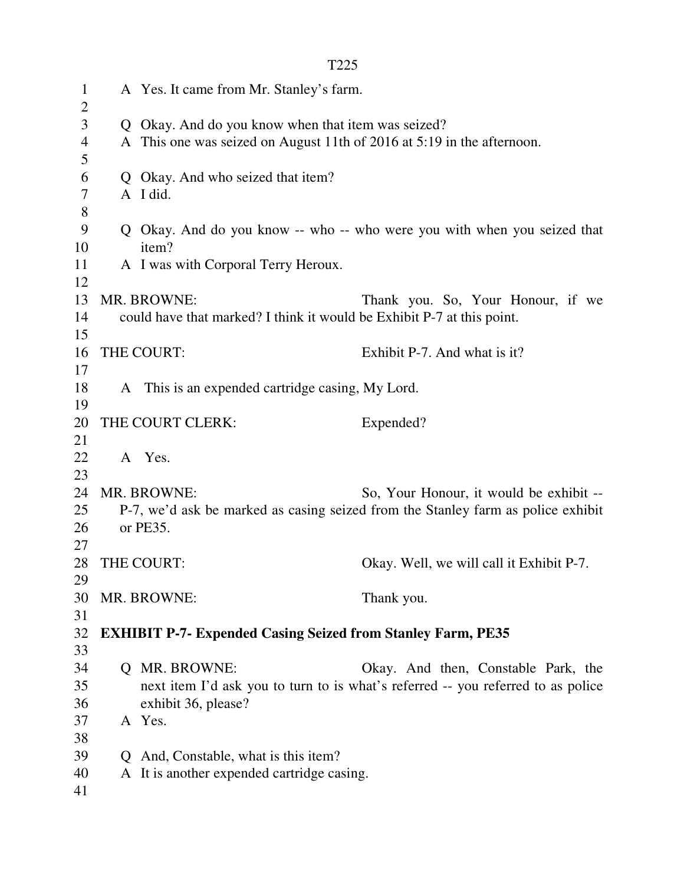| $\mathbf{1}$<br>$\overline{2}$ |              | A Yes. It came from Mr. Stanley's farm.                                |                                                                                  |
|--------------------------------|--------------|------------------------------------------------------------------------|----------------------------------------------------------------------------------|
| 3                              |              | Q Okay. And do you know when that item was seized?                     |                                                                                  |
| $\overline{4}$                 |              | A This one was seized on August 11th of 2016 at 5:19 in the afternoon. |                                                                                  |
| 5                              |              |                                                                        |                                                                                  |
| 6                              |              | Q Okay. And who seized that item?                                      |                                                                                  |
| 7                              |              | A I did.                                                               |                                                                                  |
| $8\,$                          |              |                                                                        |                                                                                  |
| 9                              |              |                                                                        | Q Okay. And do you know -- who -- who were you with when you seized that         |
| 10                             |              | item?                                                                  |                                                                                  |
| 11                             |              | A I was with Corporal Terry Heroux.                                    |                                                                                  |
| 12                             |              |                                                                        |                                                                                  |
| 13                             |              | MR. BROWNE:                                                            | Thank you. So, Your Honour, if we                                                |
| 14                             |              | could have that marked? I think it would be Exhibit P-7 at this point. |                                                                                  |
| 15                             |              |                                                                        |                                                                                  |
| 16                             |              | THE COURT:                                                             | Exhibit P-7. And what is it?                                                     |
| 17                             |              |                                                                        |                                                                                  |
| 18                             |              | A This is an expended cartridge casing, My Lord.                       |                                                                                  |
| 19                             |              |                                                                        |                                                                                  |
| 20                             |              | THE COURT CLERK:                                                       | Expended?                                                                        |
| 21                             |              |                                                                        |                                                                                  |
| 22                             |              | A Yes.                                                                 |                                                                                  |
| 23                             |              |                                                                        |                                                                                  |
| 24                             |              | MR. BROWNE:                                                            | So, Your Honour, it would be exhibit --                                          |
| 25                             |              |                                                                        | P-7, we'd ask be marked as casing seized from the Stanley farm as police exhibit |
| 26                             |              | or PE35.                                                               |                                                                                  |
| 27                             |              |                                                                        |                                                                                  |
| 28                             |              | THE COURT:                                                             | Okay. Well, we will call it Exhibit P-7.                                         |
| 29                             |              |                                                                        |                                                                                  |
| 30                             |              | MR. BROWNE:                                                            | Thank you.                                                                       |
| 31                             |              |                                                                        |                                                                                  |
| 32<br>33                       |              | <b>EXHIBIT P-7- Expended Casing Seized from Stanley Farm, PE35</b>     |                                                                                  |
| 34                             |              | Q MR. BROWNE:                                                          | Okay. And then, Constable Park, the                                              |
| 35                             |              |                                                                        | next item I'd ask you to turn to is what's referred -- you referred to as police |
| 36                             |              | exhibit 36, please?                                                    |                                                                                  |
| 37                             |              | A Yes.                                                                 |                                                                                  |
| 38                             |              |                                                                        |                                                                                  |
| 39                             | $\mathbf{O}$ | And, Constable, what is this item?                                     |                                                                                  |
| 40                             |              | A It is another expended cartridge casing.                             |                                                                                  |
| 41                             |              |                                                                        |                                                                                  |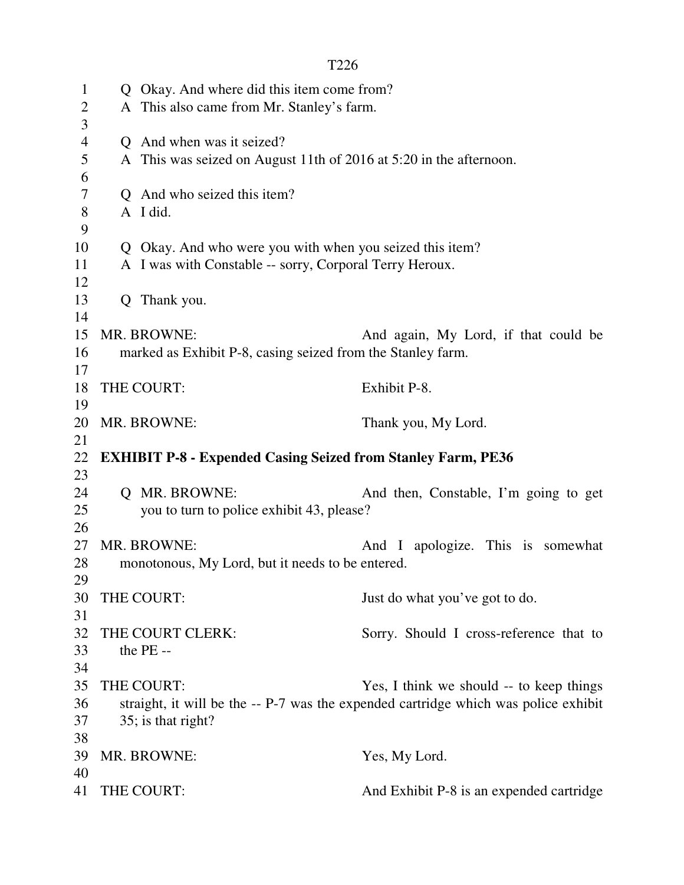```
T226
```
1 Q Okay. And where did this item come from? 2 A This also came from Mr. Stanley's farm. 3 4 Q And when was it seized? 5 A This was seized on August 11th of 2016 at 5:20 in the afternoon. 6 7 Q And who seized this item? 8 A I did. 9 10 Q Okay. And who were you with when you seized this item? 11 A I was with Constable -- sorry, Corporal Terry Heroux. 12 13 Q Thank you. 14 15 MR. BROWNE: And again, My Lord, if that could be 16 marked as Exhibit P-8, casing seized from the Stanley farm. 17 18 THE COURT: Exhibit P-8. 19 20 MR. BROWNE: Thank you, My Lord. 21 22 **EXHIBIT P-8 - Expended Casing Seized from Stanley Farm, PE36**  23 24 Q MR. BROWNE: And then, Constable, I'm going to get 25 you to turn to police exhibit 43, please? 26 27 MR. BROWNE: And I apologize. This is somewhat 28 monotonous, My Lord, but it needs to be entered. 29 30 THE COURT: Just do what you've got to do. 31 32 THE COURT CLERK: Sorry. Should I cross-reference that to 33 the PE -- 34 35 THE COURT: Yes, I think we should -- to keep things 36 straight, it will be the -- P-7 was the expended cartridge which was police exhibit 37 35; is that right? 38 39 MR. BROWNE: Yes, My Lord. 40 41 THE COURT: And Exhibit P-8 is an expended cartridge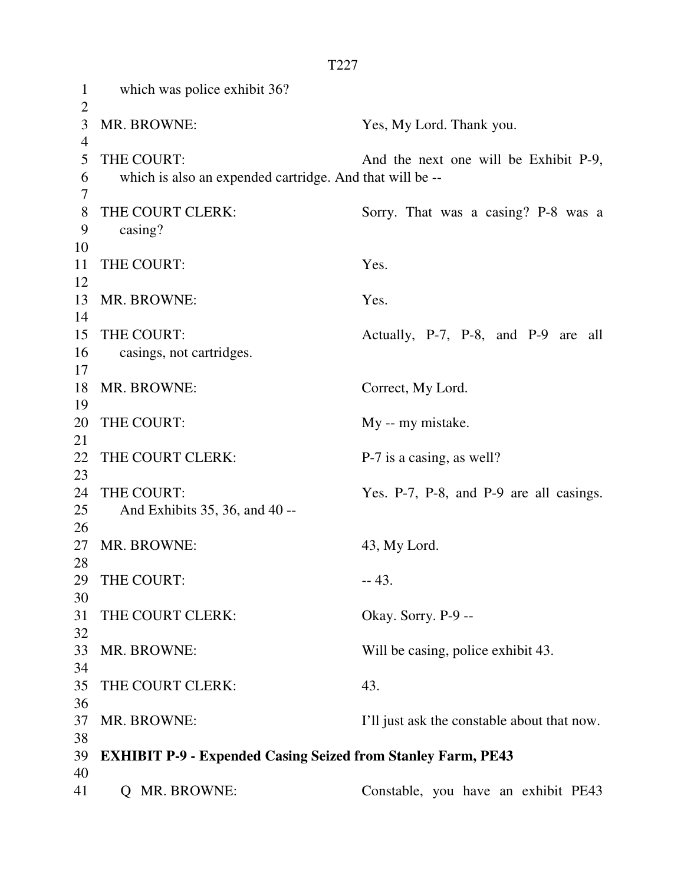1 which was police exhibit 36?  $\overline{2}$ 3 MR. BROWNE: Yes, My Lord. Thank you. 4 5 THE COURT: And the next one will be Exhibit P-9, 6 which is also an expended cartridge. And that will be -- 7 8 THE COURT CLERK: Sorry. That was a casing? P-8 was a 9 casing? 10 11 THE COURT: Yes. 12 13 MR. BROWNE: Yes. 14 15 THE COURT: Actually, P-7, P-8, and P-9 are all 16 casings, not cartridges. 17 18 MR. BROWNE: Correct, My Lord. 19 20 THE COURT: My -- my mistake. 21 22 THE COURT CLERK: P-7 is a casing, as well? 23 24 THE COURT: Yes. P-7, P-8, and P-9 are all casings. 25 And Exhibits 35, 36, and 40 -- 26 27 MR. BROWNE: 43, My Lord. 28 29 THE COURT: -- 43. 30 31 THE COURT CLERK: Okay. Sorry. P-9 --32 33 MR. BROWNE: Will be casing, police exhibit 43. 34 35 THE COURT CLERK: 43. 36 37 MR. BROWNE: I'll just ask the constable about that now. 38 39 **EXHIBIT P-9 - Expended Casing Seized from Stanley Farm, PE43**  40 41 Q MR. BROWNE: Constable, you have an exhibit PE43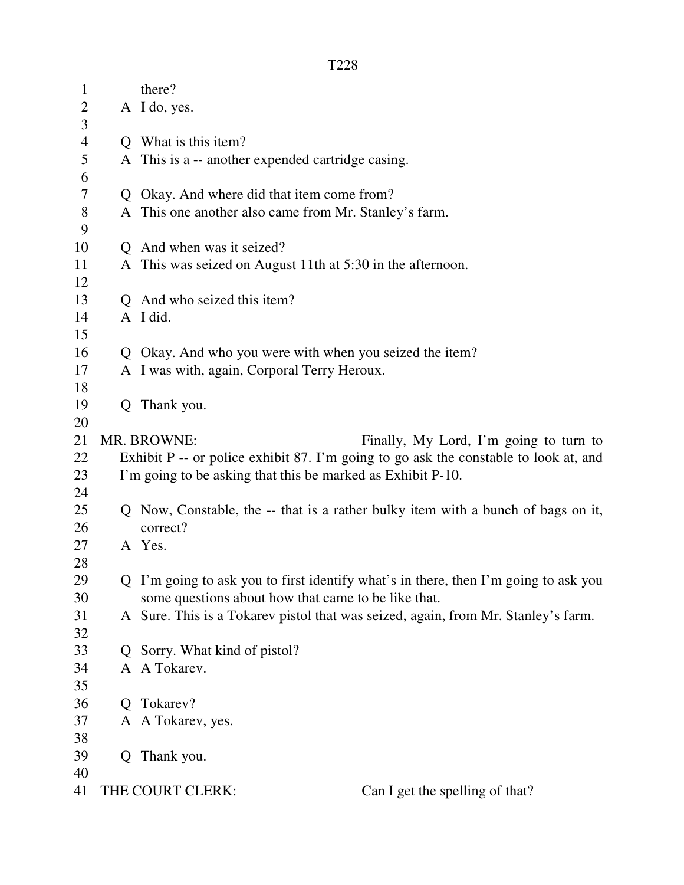| $\mathbf{1}$   |    | there?                                                                               |  |  |
|----------------|----|--------------------------------------------------------------------------------------|--|--|
| $\overline{2}$ |    | A I do, yes.                                                                         |  |  |
| 3              |    |                                                                                      |  |  |
| $\overline{4}$ |    | Q What is this item?                                                                 |  |  |
| $\mathfrak s$  |    | A This is a -- another expended cartridge casing.                                    |  |  |
| 6              |    |                                                                                      |  |  |
| $\tau$         |    | Q Okay. And where did that item come from?                                           |  |  |
| $8\,$          |    | A This one another also came from Mr. Stanley's farm.                                |  |  |
| 9              |    |                                                                                      |  |  |
| 10             |    | Q And when was it seized?                                                            |  |  |
| 11             |    | A This was seized on August 11th at 5:30 in the afternoon.                           |  |  |
| 12             |    |                                                                                      |  |  |
| 13             |    | Q And who seized this item?                                                          |  |  |
| 14             |    | A I did.                                                                             |  |  |
| 15             |    |                                                                                      |  |  |
| 16             |    | Q Okay. And who you were with when you seized the item?                              |  |  |
| 17             |    | A I was with, again, Corporal Terry Heroux.                                          |  |  |
| 18             |    |                                                                                      |  |  |
| 19             |    | Q Thank you.                                                                         |  |  |
| 20             |    |                                                                                      |  |  |
| 21             |    | MR. BROWNE:<br>Finally, My Lord, I'm going to turn to                                |  |  |
| 22             |    | Exhibit P -- or police exhibit 87. I'm going to go ask the constable to look at, and |  |  |
| 23             |    | I'm going to be asking that this be marked as Exhibit P-10.                          |  |  |
| 24             |    |                                                                                      |  |  |
| 25             |    | Q Now, Constable, the -- that is a rather bulky item with a bunch of bags on it,     |  |  |
| 26             |    | correct?                                                                             |  |  |
| 27             |    | A Yes.                                                                               |  |  |
| 28             |    |                                                                                      |  |  |
| 29             |    | Q I'm going to ask you to first identify what's in there, then I'm going to ask you  |  |  |
| 30             |    | some questions about how that came to be like that.                                  |  |  |
| 31             |    | A Sure. This is a Tokarev pistol that was seized, again, from Mr. Stanley's farm.    |  |  |
| 32             |    |                                                                                      |  |  |
| 33             |    | Q Sorry. What kind of pistol?                                                        |  |  |
| 34             |    | A A Tokarev.                                                                         |  |  |
| 35             |    |                                                                                      |  |  |
| 36             | Q. | Tokarev?                                                                             |  |  |
| 37             |    | A A Tokarev, yes.                                                                    |  |  |
| 38             |    |                                                                                      |  |  |
| 39             |    | Q Thank you.                                                                         |  |  |
| 40             |    |                                                                                      |  |  |
| 41             |    | THE COURT CLERK:<br>Can I get the spelling of that?                                  |  |  |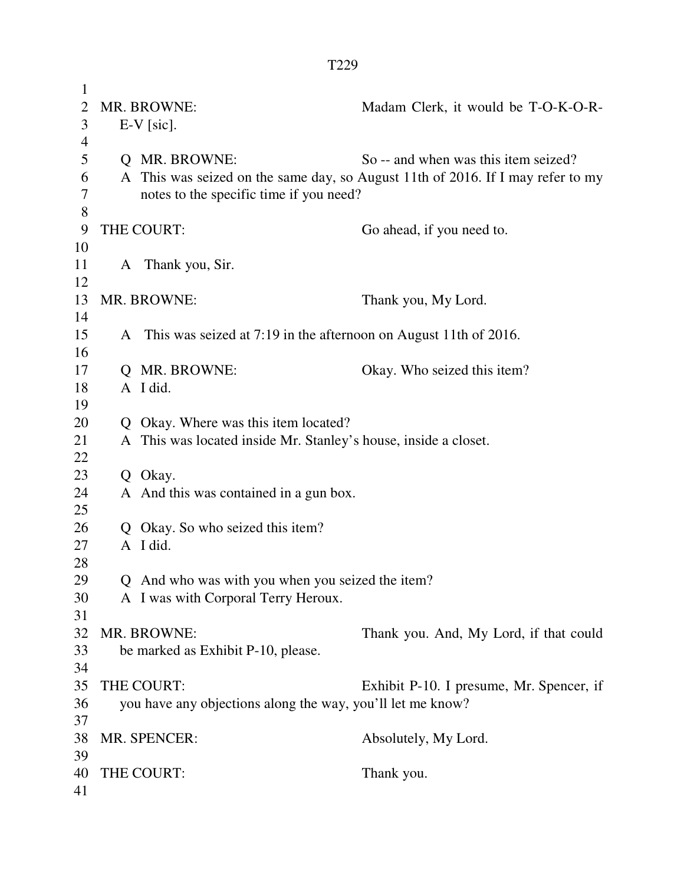| $\mathbf{1}$   |              |                                                                    |                                                                                 |  |
|----------------|--------------|--------------------------------------------------------------------|---------------------------------------------------------------------------------|--|
| $\overline{2}$ |              | MR. BROWNE:                                                        | Madam Clerk, it would be T-O-K-O-R-                                             |  |
| 3              | $E-V$ [sic]. |                                                                    |                                                                                 |  |
| 4              |              |                                                                    |                                                                                 |  |
| 5              |              | <b>Q</b> MR. BROWNE:                                               | So -- and when was this item seized?                                            |  |
| 6<br>7         |              |                                                                    | A This was seized on the same day, so August 11th of 2016. If I may refer to my |  |
| 8              |              | notes to the specific time if you need?                            |                                                                                 |  |
| 9              |              | THE COURT:                                                         | Go ahead, if you need to.                                                       |  |
| 10             |              |                                                                    |                                                                                 |  |
| 11             |              | A Thank you, Sir.                                                  |                                                                                 |  |
| 12             |              |                                                                    |                                                                                 |  |
| 13             |              | MR. BROWNE:                                                        | Thank you, My Lord.                                                             |  |
| 14             |              |                                                                    |                                                                                 |  |
| 15             |              | A This was seized at 7:19 in the afternoon on August 11th of 2016. |                                                                                 |  |
| 16             |              |                                                                    |                                                                                 |  |
| 17             |              | Q MR. BROWNE:                                                      | Okay. Who seized this item?                                                     |  |
| 18             |              | A I did.                                                           |                                                                                 |  |
| 19             |              |                                                                    |                                                                                 |  |
| 20             |              | Q Okay. Where was this item located?                               |                                                                                 |  |
| 21             |              | A This was located inside Mr. Stanley's house, inside a closet.    |                                                                                 |  |
| 22             |              |                                                                    |                                                                                 |  |
| 23             |              | Q Okay.                                                            |                                                                                 |  |
| 24<br>25       |              | A And this was contained in a gun box.                             |                                                                                 |  |
| 26             |              | Okay. So who seized this item?                                     |                                                                                 |  |
| 27             |              | A I did.                                                           |                                                                                 |  |
| 28             |              |                                                                    |                                                                                 |  |
| 29             |              | Q And who was with you when you seized the item?                   |                                                                                 |  |
| 30             |              | A I was with Corporal Terry Heroux.                                |                                                                                 |  |
| 31             |              |                                                                    |                                                                                 |  |
| 32             |              | MR. BROWNE:                                                        | Thank you. And, My Lord, if that could                                          |  |
| 33             |              | be marked as Exhibit P-10, please.                                 |                                                                                 |  |
| 34             |              |                                                                    |                                                                                 |  |
| 35             |              | THE COURT:                                                         | Exhibit P-10. I presume, Mr. Spencer, if                                        |  |
| 36             |              | you have any objections along the way, you'll let me know?         |                                                                                 |  |
| 37             |              |                                                                    |                                                                                 |  |
| 38             |              | MR. SPENCER:                                                       | Absolutely, My Lord.                                                            |  |
| 39             |              |                                                                    |                                                                                 |  |
| 40             |              | THE COURT:                                                         | Thank you.                                                                      |  |
| 41             |              |                                                                    |                                                                                 |  |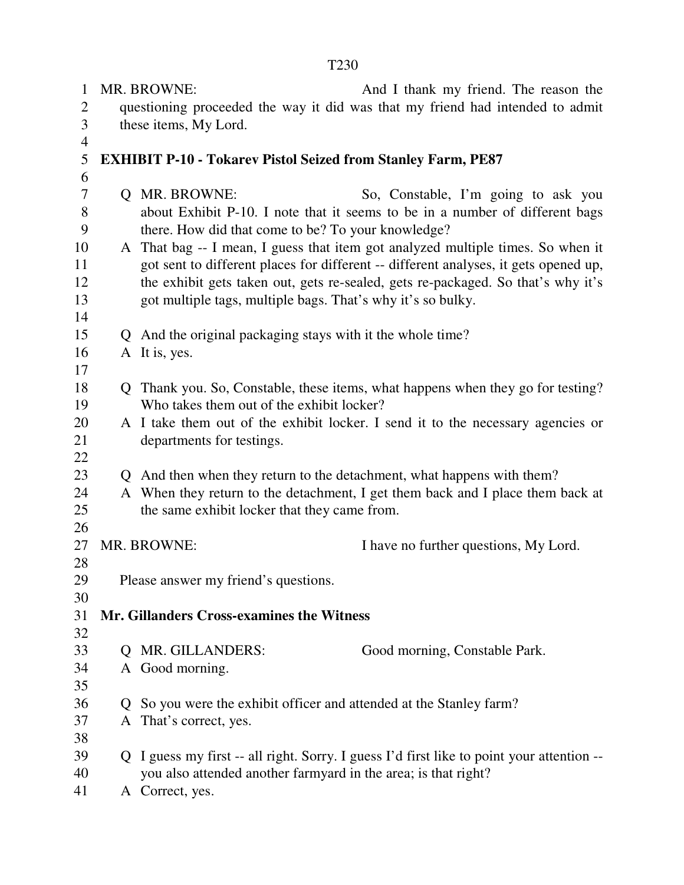1 MR. BROWNE: And I thank my friend. The reason the 2 questioning proceeded the way it did was that my friend had intended to admit 3 these items, My Lord. 4 5 **EXHIBIT P-10 - Tokarev Pistol Seized from Stanley Farm, PE87**  6 7 Q MR. BROWNE: So, Constable, I'm going to ask you 8 about Exhibit P-10. I note that it seems to be in a number of different bags 9 there. How did that come to be? To your knowledge? 10 A That bag -- I mean, I guess that item got analyzed multiple times. So when it 11 got sent to different places for different -- different analyses, it gets opened up, 12 the exhibit gets taken out, gets re-sealed, gets re-packaged. So that's why it's 13 got multiple tags, multiple bags. That's why it's so bulky. 14 15 Q And the original packaging stays with it the whole time? 16 A It is, yes. 17 18 Q Thank you. So, Constable, these items, what happens when they go for testing? 19 Who takes them out of the exhibit locker? 20 A I take them out of the exhibit locker. I send it to the necessary agencies or 21 departments for testings. 22 23 Q And then when they return to the detachment, what happens with them? 24 A When they return to the detachment, I get them back and I place them back at 25 the same exhibit locker that they came from. 26 27 MR. BROWNE: I have no further questions, My Lord. 28 29 Please answer my friend's questions. 30 31 **Mr. Gillanders Cross-examines the Witness**  32 33 Q MR. GILLANDERS: Good morning, Constable Park. 34 A Good morning. 35 36 Q So you were the exhibit officer and attended at the Stanley farm? 37 A That's correct, yes. 38 39 Q I guess my first -- all right. Sorry. I guess I'd first like to point your attention -- 40 you also attended another farmyard in the area; is that right? 41 A Correct, yes.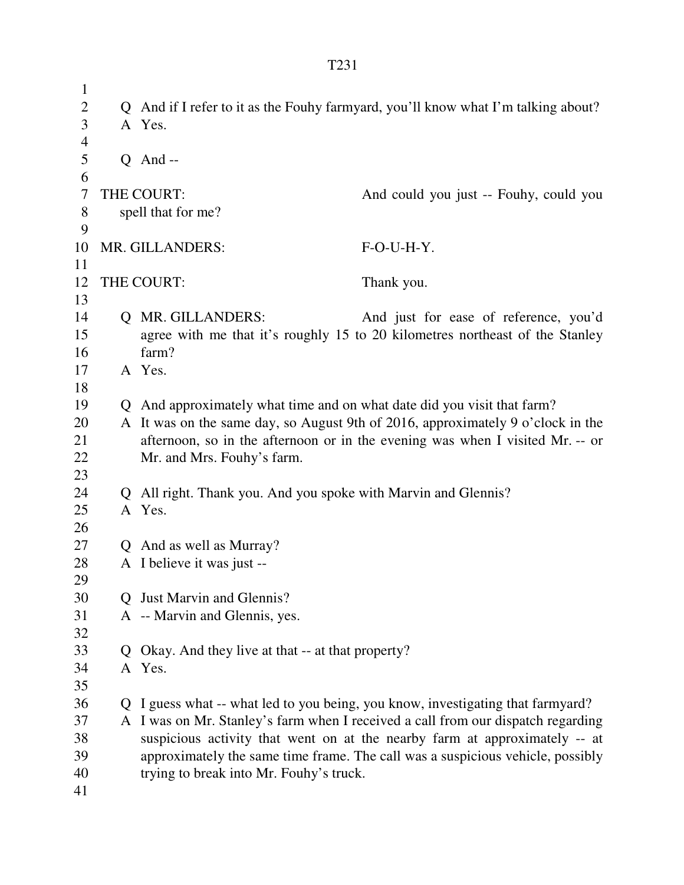1 2 Q And if I refer to it as the Fouhy farmyard, you'll know what I'm talking about? 3 A Yes. 4 5 Q And -- 6 7 THE COURT: And could you just -- Fouhy, could you 8 spell that for me? 9 10 MR. GILLANDERS: F-O-U-H-Y. 11 12 THE COURT: Thank you. 13 14 Q MR. GILLANDERS: And just for ease of reference, you'd 15 agree with me that it's roughly 15 to 20 kilometres northeast of the Stanley 16 farm? 17 A Yes. 18 19 Q And approximately what time and on what date did you visit that farm? 20 A It was on the same day, so August 9th of 2016, approximately 9 o'clock in the 21 afternoon, so in the afternoon or in the evening was when I visited Mr. -- or 22 Mr. and Mrs. Fouhy's farm. 23 24 Q All right. Thank you. And you spoke with Marvin and Glennis? 25 A Yes. 26 27 Q And as well as Murray? 28 A I believe it was just -- 29 30 Q Just Marvin and Glennis? 31 A -- Marvin and Glennis, yes. 32 33 Q Okay. And they live at that -- at that property? 34 A Yes. 35 36 Q I guess what -- what led to you being, you know, investigating that farmyard? 37 A I was on Mr. Stanley's farm when I received a call from our dispatch regarding 38 suspicious activity that went on at the nearby farm at approximately -- at 39 approximately the same time frame. The call was a suspicious vehicle, possibly 40 trying to break into Mr. Fouhy's truck. 41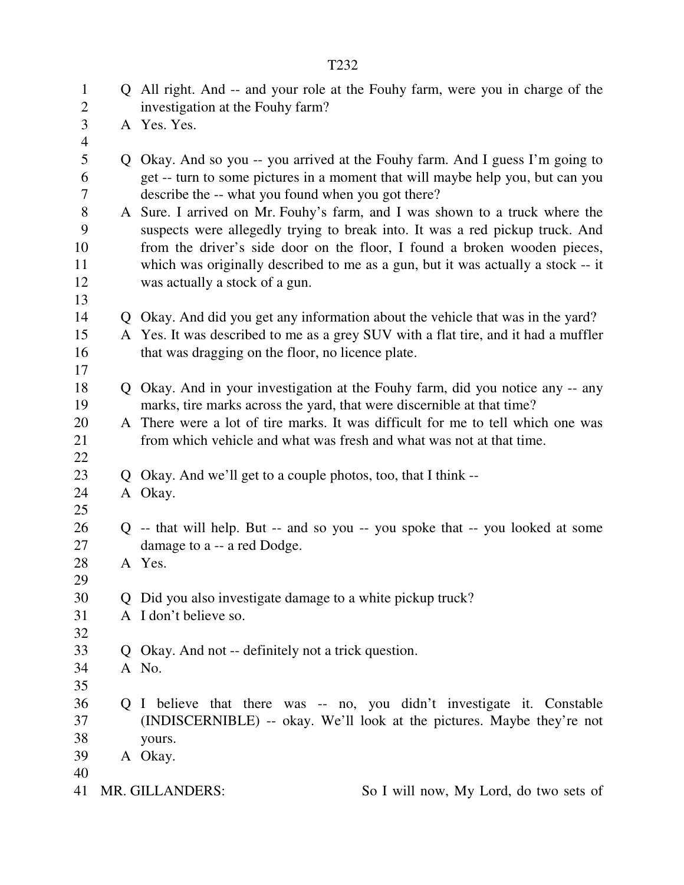| $\mathbf{1}$<br>$\mathbf{2}$ | Q All right. And -- and your role at the Fouhy farm, were you in charge of the<br>investigation at the Fouhy farm?                   |
|------------------------------|--------------------------------------------------------------------------------------------------------------------------------------|
| 3                            | A Yes. Yes.                                                                                                                          |
| $\overline{4}$               |                                                                                                                                      |
| 5                            | Q Okay. And so you -- you arrived at the Fouhy farm. And I guess I'm going to                                                        |
| 6                            |                                                                                                                                      |
| $\tau$                       | get -- turn to some pictures in a moment that will maybe help you, but can you<br>describe the -- what you found when you got there? |
| 8                            | A Sure. I arrived on Mr. Fouhy's farm, and I was shown to a truck where the                                                          |
| 9                            | suspects were allegedly trying to break into. It was a red pickup truck. And                                                         |
| 10                           | from the driver's side door on the floor, I found a broken wooden pieces,                                                            |
| 11                           | which was originally described to me as a gun, but it was actually a stock -- it                                                     |
| 12                           | was actually a stock of a gun.                                                                                                       |
| 13                           |                                                                                                                                      |
| 14                           | Q Okay. And did you get any information about the vehicle that was in the yard?                                                      |
| 15                           | A Yes. It was described to me as a grey SUV with a flat tire, and it had a muffler                                                   |
| 16                           | that was dragging on the floor, no licence plate.                                                                                    |
| 17                           |                                                                                                                                      |
| 18                           | Q Okay. And in your investigation at the Fouhy farm, did you notice any -- any                                                       |
| 19                           | marks, tire marks across the yard, that were discernible at that time?                                                               |
| 20                           | A There were a lot of tire marks. It was difficult for me to tell which one was                                                      |
| 21                           | from which vehicle and what was fresh and what was not at that time.                                                                 |
| 22                           |                                                                                                                                      |
| 23                           | Q Okay. And we'll get to a couple photos, too, that I think --                                                                       |
| 24                           | A Okay.                                                                                                                              |
| 25                           |                                                                                                                                      |
| 26                           | Q -- that will help. But -- and so you -- you spoke that -- you looked at some                                                       |
| 27                           | damage to a -- a red Dodge.                                                                                                          |
| 28                           | A Yes.                                                                                                                               |
| 29                           |                                                                                                                                      |
| 30                           | Q Did you also investigate damage to a white pickup truck?                                                                           |
| 31                           | A I don't believe so.                                                                                                                |
| 32                           |                                                                                                                                      |
| 33                           | Q Okay. And not -- definitely not a trick question.                                                                                  |
| 34                           | A No.                                                                                                                                |
| 35                           |                                                                                                                                      |
| 36                           | Q I believe that there was -- no, you didn't investigate it. Constable                                                               |
| 37                           | (INDISCERNIBLE) -- okay. We'll look at the pictures. Maybe they're not                                                               |
| 38                           | yours.                                                                                                                               |
| 39                           | A Okay.                                                                                                                              |
| 40                           |                                                                                                                                      |
| 41                           | MR. GILLANDERS:<br>So I will now, My Lord, do two sets of                                                                            |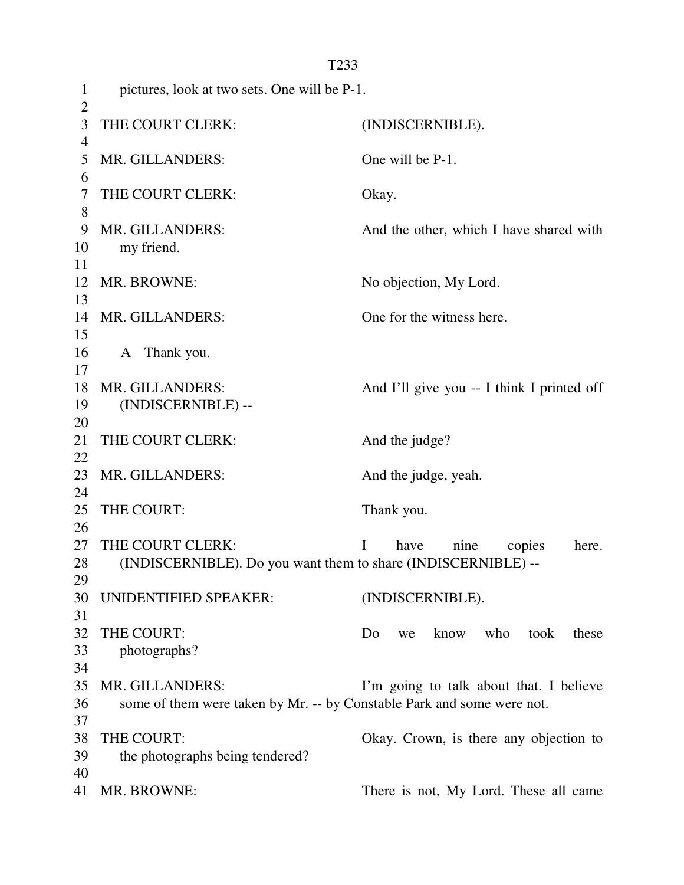1 pictures, look at two sets. One will be P-1.  $\overline{2}$ 3 THE COURT CLERK: (INDISCERNIBLE). 4 5 MR. GILLANDERS: One will be P-1. 6 7 THE COURT CLERK: Okay. 8 9 MR. GILLANDERS: And the other, which I have shared with 10 my friend. 11 12 MR. BROWNE: No objection, My Lord. 13 14 MR. GILLANDERS: One for the witness here. 15 16 A Thank you. 17 18 MR. GILLANDERS: And I'll give you -- I think I printed off 19 (INDISCERNIBLE) -- 20 21 THE COURT CLERK: And the judge? 22 23 MR. GILLANDERS: And the judge, yeah. 24 25 THE COURT: Thank you. 26 27 THE COURT CLERK: I have nine copies here. 28 (INDISCERNIBLE). Do you want them to share (INDISCERNIBLE) -- 29 30 UNIDENTIFIED SPEAKER: (INDISCERNIBLE). 31 32 THE COURT: Do we know who took these 33 photographs? 34 35 MR. GILLANDERS: I'm going to talk about that. I believe 36 some of them were taken by Mr. -- by Constable Park and some were not. 37 38 THE COURT: Okay. Crown, is there any objection to 39 the photographs being tendered? 40 41 MR. BROWNE: There is not, My Lord. These all came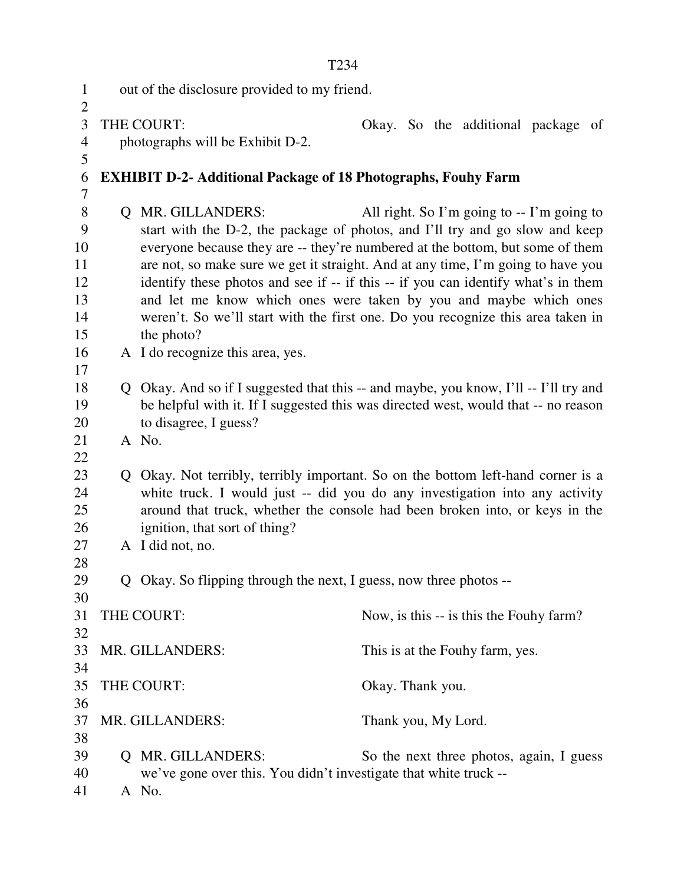|                |                                              | T <sub>234</sub>                                                                              |                     |  |  |                                             |  |
|----------------|----------------------------------------------|-----------------------------------------------------------------------------------------------|---------------------|--|--|---------------------------------------------|--|
| $\mathbf{1}$   | out of the disclosure provided to my friend. |                                                                                               |                     |  |  |                                             |  |
| $\overline{2}$ |                                              |                                                                                               |                     |  |  |                                             |  |
| 3              |                                              | THE COURT:                                                                                    |                     |  |  | Okay. So the additional package of          |  |
| 4              |                                              | photographs will be Exhibit D-2.                                                              |                     |  |  |                                             |  |
| 5              |                                              |                                                                                               |                     |  |  |                                             |  |
| 6              |                                              | <b>EXHIBIT D-2- Additional Package of 18 Photographs, Fouhy Farm</b>                          |                     |  |  |                                             |  |
| 7              |                                              |                                                                                               |                     |  |  |                                             |  |
| 8              |                                              | <b>Q MR. GILLANDERS:</b>                                                                      |                     |  |  | All right. So I'm going to $-$ I'm going to |  |
| 9              |                                              | start with the D-2, the package of photos, and I'll try and go slow and keep                  |                     |  |  |                                             |  |
| 10             |                                              | everyone because they are -- they're numbered at the bottom, but some of them                 |                     |  |  |                                             |  |
| 11             |                                              | are not, so make sure we get it straight. And at any time, I'm going to have you              |                     |  |  |                                             |  |
| 12             |                                              | identify these photos and see if -- if this -- if you can identify what's in them             |                     |  |  |                                             |  |
| 13<br>14       |                                              | and let me know which ones were taken by you and maybe which ones                             |                     |  |  |                                             |  |
| 15             |                                              | weren't. So we'll start with the first one. Do you recognize this area taken in<br>the photo? |                     |  |  |                                             |  |
| 16             |                                              | A I do recognize this area, yes.                                                              |                     |  |  |                                             |  |
| 17             |                                              |                                                                                               |                     |  |  |                                             |  |
| 18             |                                              | Q Okay. And so if I suggested that this -- and maybe, you know, I'll -- I'll try and          |                     |  |  |                                             |  |
| 19             |                                              | be helpful with it. If I suggested this was directed west, would that -- no reason            |                     |  |  |                                             |  |
| 20             |                                              | to disagree, I guess?                                                                         |                     |  |  |                                             |  |
| 21             |                                              | A No.                                                                                         |                     |  |  |                                             |  |
| 22             |                                              |                                                                                               |                     |  |  |                                             |  |
| 23             |                                              | Q Okay. Not terribly, terribly important. So on the bottom left-hand corner is a              |                     |  |  |                                             |  |
| 24             |                                              | white truck. I would just -- did you do any investigation into any activity                   |                     |  |  |                                             |  |
| 25             |                                              | around that truck, whether the console had been broken into, or keys in the                   |                     |  |  |                                             |  |
| 26             |                                              | ignition, that sort of thing?                                                                 |                     |  |  |                                             |  |
| 27             |                                              | A I did not, no.                                                                              |                     |  |  |                                             |  |
| 28<br>29       |                                              |                                                                                               |                     |  |  |                                             |  |
| 30             |                                              | Q Okay. So flipping through the next, I guess, now three photos --                            |                     |  |  |                                             |  |
| 31             |                                              | THE COURT:                                                                                    |                     |  |  | Now, is this -- is this the Fouhy farm?     |  |
| 32             |                                              |                                                                                               |                     |  |  |                                             |  |
| 33             |                                              | MR. GILLANDERS:                                                                               |                     |  |  | This is at the Fouhy farm, yes.             |  |
| 34             |                                              |                                                                                               |                     |  |  |                                             |  |
| 35             |                                              | THE COURT:                                                                                    | Okay. Thank you.    |  |  |                                             |  |
| 36             |                                              |                                                                                               |                     |  |  |                                             |  |
| 37             |                                              | MR. GILLANDERS:                                                                               | Thank you, My Lord. |  |  |                                             |  |
| 38             |                                              |                                                                                               |                     |  |  |                                             |  |
| 39             |                                              | Q MR. GILLANDERS:                                                                             |                     |  |  | So the next three photos, again, I guess    |  |
| 40             |                                              | we've gone over this. You didn't investigate that white truck --                              |                     |  |  |                                             |  |
| 41             |                                              | A No.                                                                                         |                     |  |  |                                             |  |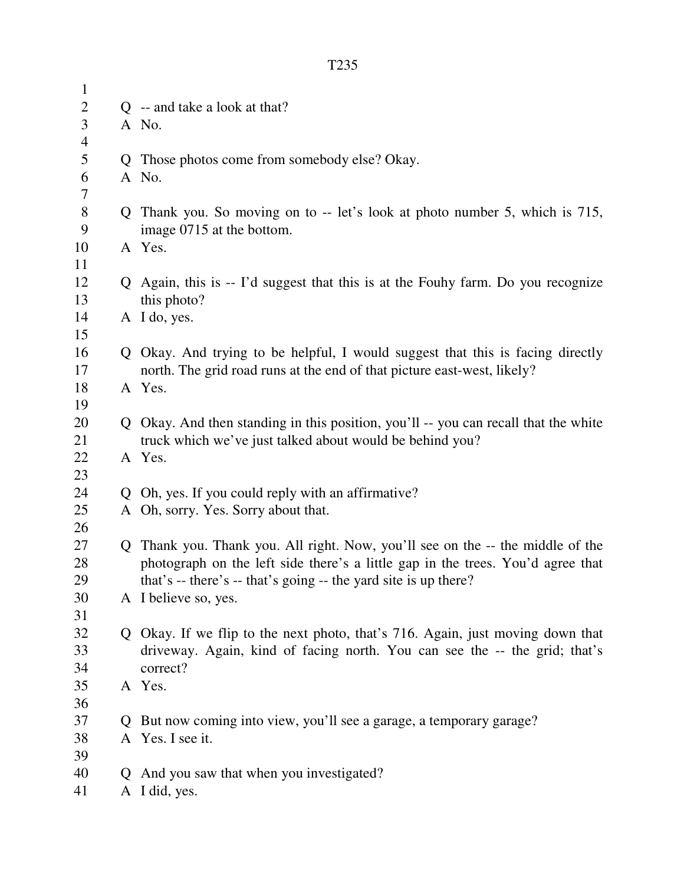| $\mathbf{1}$   |              |                                                                                     |
|----------------|--------------|-------------------------------------------------------------------------------------|
| $\overline{c}$ |              | Q -- and take a look at that?                                                       |
| 3              |              | A No.                                                                               |
| $\overline{4}$ |              |                                                                                     |
| 5              |              | Q Those photos come from somebody else? Okay.                                       |
| 6              |              | A No.                                                                               |
| 7              |              |                                                                                     |
| $8\,$          |              | Q Thank you. So moving on to -- let's look at photo number 5, which is 715,         |
| 9              |              | image 0715 at the bottom.                                                           |
| 10             |              | A Yes.                                                                              |
| 11             |              |                                                                                     |
| 12             |              | Q Again, this is -- I'd suggest that this is at the Fouhy farm. Do you recognize    |
| 13             |              | this photo?                                                                         |
| 14             |              | A I do, yes.                                                                        |
| 15             |              |                                                                                     |
| 16             |              | Q Okay. And trying to be helpful, I would suggest that this is facing directly      |
| 17             |              | north. The grid road runs at the end of that picture east-west, likely?             |
| 18             |              | A Yes.                                                                              |
| 19             |              |                                                                                     |
| 20             |              | Q Okay. And then standing in this position, you'll -- you can recall that the white |
| 21             |              | truck which we've just talked about would be behind you?                            |
| 22             |              | A Yes.                                                                              |
| 23             |              |                                                                                     |
| 24             |              | Q Oh, yes. If you could reply with an affirmative?                                  |
| 25             |              | A Oh, sorry. Yes. Sorry about that.                                                 |
| 26             |              |                                                                                     |
| 27             |              | Q Thank you. Thank you. All right. Now, you'll see on the -- the middle of the      |
| 28             |              | photograph on the left side there's a little gap in the trees. You'd agree that     |
| 29             |              | that's -- there's -- that's going -- the yard site is up there?                     |
| 30             |              | A I believe so, yes.                                                                |
| 31             |              |                                                                                     |
| 32             |              | Q Okay. If we flip to the next photo, that's 716. Again, just moving down that      |
| 33             |              | driveway. Again, kind of facing north. You can see the -- the grid; that's          |
| 34             |              | correct?                                                                            |
| 35             |              | A Yes.                                                                              |
| 36             |              |                                                                                     |
| 37             | $\mathbf{O}$ | But now coming into view, you'll see a garage, a temporary garage?                  |
| 38             |              | A Yes. I see it.                                                                    |
| 39             |              |                                                                                     |
| 40             | $\mathbf{O}$ | And you saw that when you investigated?                                             |
| 41             |              | A I did, yes.                                                                       |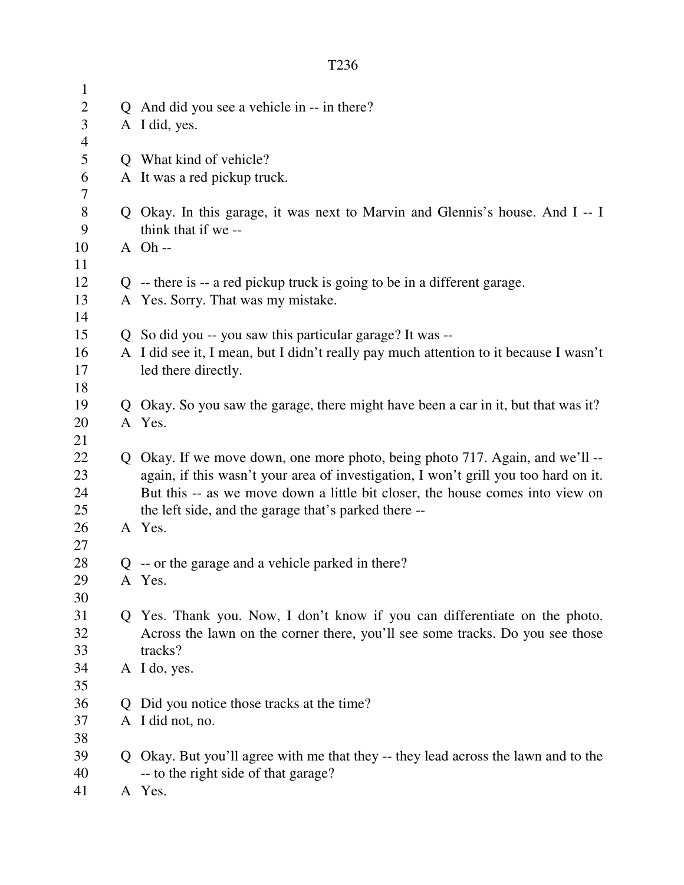| $\mathbf{1}$   |              |                                                                                       |
|----------------|--------------|---------------------------------------------------------------------------------------|
| $\mathbf{2}$   |              | Q And did you see a vehicle in -- in there?                                           |
| 3              |              | A I did, yes.                                                                         |
| $\overline{4}$ |              |                                                                                       |
| 5              |              | Q What kind of vehicle?                                                               |
| 6              |              | A It was a red pickup truck.                                                          |
| 7              |              |                                                                                       |
| $8\,$          |              | Q Okay. In this garage, it was next to Marvin and Glennis's house. And I -- I         |
| 9              |              | think that if we --                                                                   |
| 10             |              | $A$ Oh --                                                                             |
| 11             |              |                                                                                       |
| 12             |              | $Q$ -- there is -- a red pickup truck is going to be in a different garage.           |
| 13             |              | A Yes. Sorry. That was my mistake.                                                    |
| 14             |              |                                                                                       |
| 15             |              | Q So did you -- you saw this particular garage? It was --                             |
| 16             |              | A I did see it, I mean, but I didn't really pay much attention to it because I wasn't |
| 17             |              | led there directly.                                                                   |
| 18             |              |                                                                                       |
| 19             |              | Q Okay. So you saw the garage, there might have been a car in it, but that was it?    |
| 20             |              | A Yes.                                                                                |
| 21             |              |                                                                                       |
| 22             |              | Q Okay. If we move down, one more photo, being photo 717. Again, and we'll --         |
| 23             |              | again, if this wasn't your area of investigation, I won't grill you too hard on it.   |
| 24             |              | But this -- as we move down a little bit closer, the house comes into view on         |
| 25             |              | the left side, and the garage that's parked there --                                  |
| 26             |              | A Yes.                                                                                |
| 27             |              |                                                                                       |
| 28             |              | $Q$ -- or the garage and a vehicle parked in there?                                   |
| 29             |              | A Yes.                                                                                |
| 30             |              |                                                                                       |
| 31             |              | Q Yes. Thank you. Now, I don't know if you can differentiate on the photo.            |
| 32             |              | Across the lawn on the corner there, you'll see some tracks. Do you see those         |
| 33             |              | tracks?                                                                               |
| 34             |              | A I do, yes.                                                                          |
| 35             |              |                                                                                       |
| 36             | $\mathbf{O}$ | Did you notice those tracks at the time?                                              |
| 37             |              | A I did not, no.                                                                      |
| 38             |              |                                                                                       |
| 39             |              | Q Okay. But you'll agree with me that they -- they lead across the lawn and to the    |
| 40             |              | -- to the right side of that garage?                                                  |
| 41             |              | A Yes.                                                                                |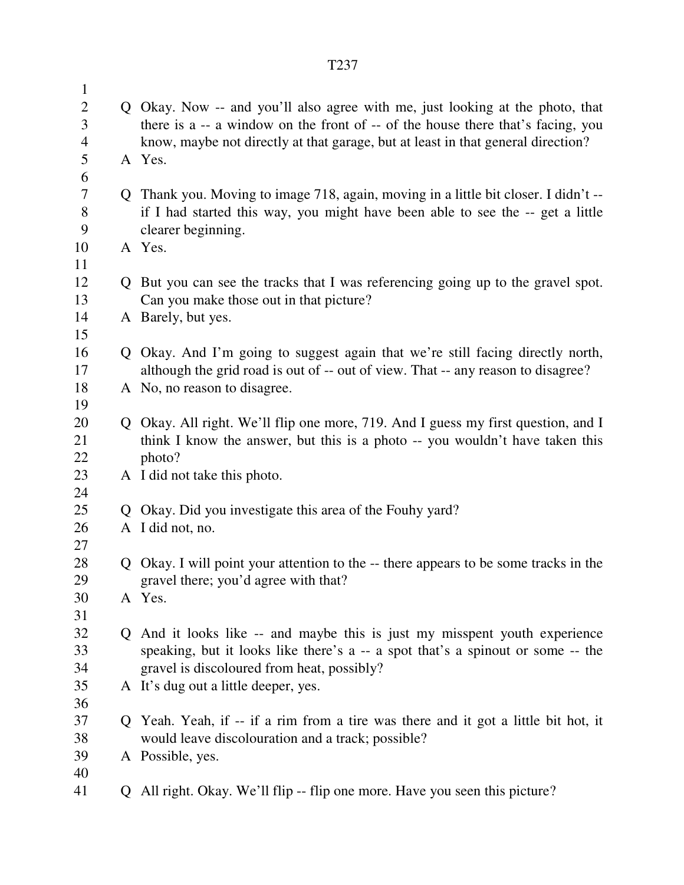| $\mathbf{1}$        |             |                                                                                            |
|---------------------|-------------|--------------------------------------------------------------------------------------------|
| $\overline{2}$      |             | Q Okay. Now -- and you'll also agree with me, just looking at the photo, that              |
| 3                   |             | there is a -- a window on the front of -- of the house there that's facing, you            |
| $\overline{4}$<br>5 |             | know, maybe not directly at that garage, but at least in that general direction?<br>A Yes. |
| 6                   |             |                                                                                            |
| 7                   |             | Q Thank you. Moving to image 718, again, moving in a little bit closer. I didn't --        |
| 8                   |             | if I had started this way, you might have been able to see the -- get a little             |
| 9                   |             | clearer beginning.                                                                         |
| 10                  |             | A Yes.                                                                                     |
| 11                  |             |                                                                                            |
| 12                  |             | But you can see the tracks that I was referencing going up to the gravel spot.             |
| 13                  |             | Can you make those out in that picture?                                                    |
| 14                  |             | A Barely, but yes.                                                                         |
| 15<br>16            | Q           | Okay. And I'm going to suggest again that we're still facing directly north,               |
| 17                  |             | although the grid road is out of -- out of view. That -- any reason to disagree?           |
| 18                  |             | A No, no reason to disagree.                                                               |
| 19                  |             |                                                                                            |
| 20                  |             | Q Okay. All right. We'll flip one more, 719. And I guess my first question, and I          |
| 21                  |             | think I know the answer, but this is a photo -- you wouldn't have taken this               |
| 22                  |             | photo?                                                                                     |
| 23                  |             | A I did not take this photo.                                                               |
| 24<br>25            | $\mathbf O$ | Okay. Did you investigate this area of the Fouhy yard?                                     |
| 26                  |             | A I did not, no.                                                                           |
| 27                  |             |                                                                                            |
| 28                  | Q           | Okay. I will point your attention to the -- there appears to be some tracks in the         |
| 29                  |             | gravel there; you'd agree with that?                                                       |
| 30                  |             | A Yes.                                                                                     |
| 31                  |             |                                                                                            |
| 32                  |             | Q And it looks like -- and maybe this is just my misspent youth experience                 |
| 33                  |             | speaking, but it looks like there's a -- a spot that's a spinout or some -- the            |
| 34                  |             | gravel is discoloured from heat, possibly?                                                 |
| 35<br>36            |             | A It's dug out a little deeper, yes.                                                       |
| 37                  |             | Yeah. Yeah, if -- if a rim from a tire was there and it got a little bit hot, it           |
| 38                  |             | would leave discolouration and a track; possible?                                          |
| 39                  |             | A Possible, yes.                                                                           |
| 40                  |             |                                                                                            |
| 41                  | Q           | All right. Okay. We'll flip -- flip one more. Have you seen this picture?                  |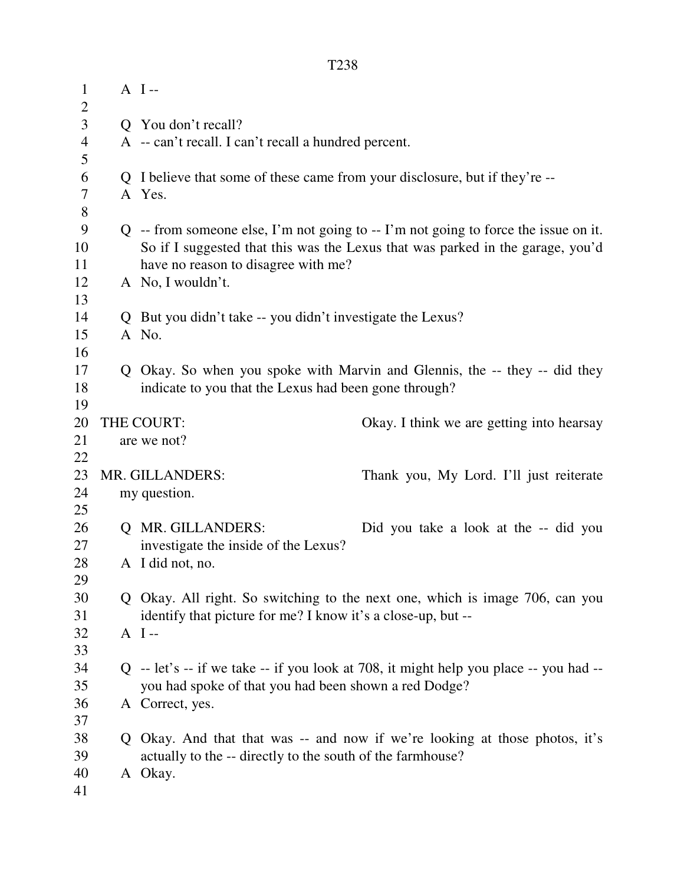| $\mathbf{1}$<br>$\overline{2}$ | $A$ I--                                                                               |                                           |
|--------------------------------|---------------------------------------------------------------------------------------|-------------------------------------------|
| 3                              | Q You don't recall?                                                                   |                                           |
| $\overline{4}$                 | A -- can't recall. I can't recall a hundred percent.                                  |                                           |
| 5                              |                                                                                       |                                           |
| 6                              | Q I believe that some of these came from your disclosure, but if they're --           |                                           |
| 7                              | A Yes.                                                                                |                                           |
| $8\,$                          |                                                                                       |                                           |
| 9                              | $Q$ -- from someone else, I'm not going to -- I'm not going to force the issue on it. |                                           |
| 10                             | So if I suggested that this was the Lexus that was parked in the garage, you'd        |                                           |
| 11                             | have no reason to disagree with me?                                                   |                                           |
| 12                             | A No, I wouldn't.                                                                     |                                           |
| 13                             |                                                                                       |                                           |
| 14                             | Q But you didn't take -- you didn't investigate the Lexus?                            |                                           |
| 15                             | A No.                                                                                 |                                           |
| 16                             |                                                                                       |                                           |
| 17                             | Q Okay. So when you spoke with Marvin and Glennis, the -- they -- did they            |                                           |
| 18                             | indicate to you that the Lexus had been gone through?                                 |                                           |
| 19                             |                                                                                       |                                           |
| 20                             | THE COURT:                                                                            | Okay. I think we are getting into hearsay |
| 21                             | are we not?                                                                           |                                           |
| 22                             |                                                                                       |                                           |
| 23                             | MR. GILLANDERS:                                                                       | Thank you, My Lord. I'll just reiterate   |
| 24                             | my question.                                                                          |                                           |
| 25                             |                                                                                       |                                           |
| 26                             | <b>Q MR. GILLANDERS:</b>                                                              | Did you take a look at the -- did you     |
| 27<br>28                       | investigate the inside of the Lexus?<br>A I did not, no.                              |                                           |
| 29                             |                                                                                       |                                           |
| 30                             | Q Okay. All right. So switching to the next one, which is image 706, can you          |                                           |
| 31                             | identify that picture for me? I know it's a close-up, but --                          |                                           |
| 32                             | $A$ I--                                                                               |                                           |
| 33                             |                                                                                       |                                           |
| 34                             | Q -- let's -- if we take -- if you look at 708, it might help you place -- you had -- |                                           |
| 35                             | you had spoke of that you had been shown a red Dodge?                                 |                                           |
| 36                             | A Correct, yes.                                                                       |                                           |
| 37                             |                                                                                       |                                           |
| 38                             | Q Okay. And that that was -- and now if we're looking at those photos, it's           |                                           |
| 39                             | actually to the -- directly to the south of the farmhouse?                            |                                           |
| 40                             | A Okay.                                                                               |                                           |
| 41                             |                                                                                       |                                           |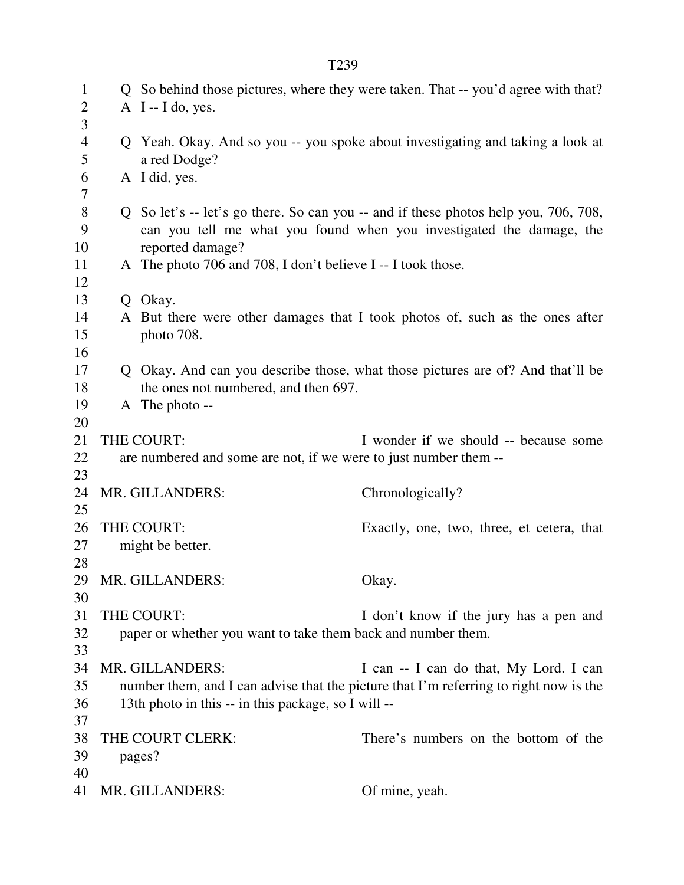| 3<br>$\overline{4}$<br>Q Yeah. Okay. And so you -- you spoke about investigating and taking a look at<br>5<br>a red Dodge? |  |
|----------------------------------------------------------------------------------------------------------------------------|--|
| 6<br>A I did, yes.                                                                                                         |  |
| 7<br>$8\,$<br>Q So let's -- let's go there. So can you -- and if these photos help you, 706, 708,                          |  |
| 9<br>can you tell me what you found when you investigated the damage, the                                                  |  |
| 10<br>reported damage?<br>11                                                                                               |  |
| A The photo 706 and 708, I don't believe I -- I took those.<br>12                                                          |  |
| 13<br>Q Okay.                                                                                                              |  |
| A But there were other damages that I took photos of, such as the ones after<br>14                                         |  |
| 15<br>photo 708.                                                                                                           |  |
| 16                                                                                                                         |  |
| 17<br>Q Okay. And can you describe those, what those pictures are of? And that'll be                                       |  |
| 18<br>the ones not numbered, and then 697.                                                                                 |  |
| 19<br>A The photo --                                                                                                       |  |
| 20                                                                                                                         |  |
| 21<br>THE COURT:<br>I wonder if we should -- because some                                                                  |  |
| are numbered and some are not, if we were to just number them --<br>22                                                     |  |
| 23                                                                                                                         |  |
| 24<br>MR. GILLANDERS:<br>Chronologically?                                                                                  |  |
| 25                                                                                                                         |  |
| THE COURT:<br>26<br>Exactly, one, two, three, et cetera, that                                                              |  |
| 27<br>might be better.                                                                                                     |  |
| 28                                                                                                                         |  |
| 29 MR. GILLANDERS:<br>Okay.                                                                                                |  |
| 30                                                                                                                         |  |
| 31<br>THE COURT:<br>I don't know if the jury has a pen and                                                                 |  |
| 32<br>paper or whether you want to take them back and number them.                                                         |  |
| 33                                                                                                                         |  |
| 34<br>MR. GILLANDERS:<br>I can -- I can do that, My Lord. I can                                                            |  |
| 35<br>number them, and I can advise that the picture that I'm referring to right now is the                                |  |
| 13th photo in this -- in this package, so I will --<br>36                                                                  |  |
| 37<br>38<br>THE COURT CLERK:<br>There's numbers on the bottom of the                                                       |  |
| 39<br>pages?                                                                                                               |  |
| 40                                                                                                                         |  |
| 41<br>MR. GILLANDERS:<br>Of mine, yeah.                                                                                    |  |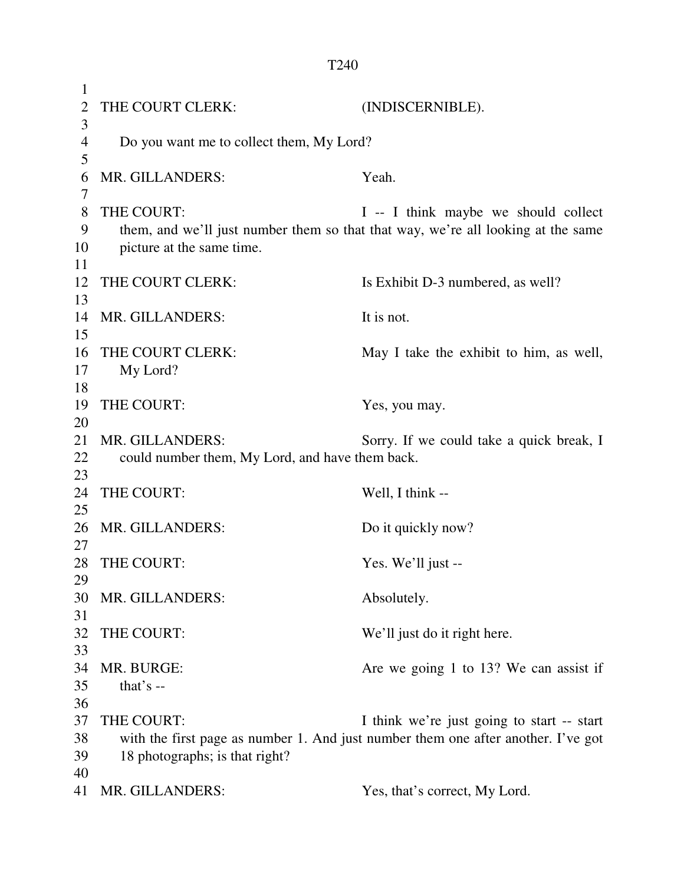1 2 THE COURT CLERK: (INDISCERNIBLE). 3 4 Do you want me to collect them, My Lord? 5 6 MR. GILLANDERS: Yeah. 7 8 THE COURT: I -- I think maybe we should collect 9 them, and we'll just number them so that that way, we're all looking at the same 10 picture at the same time. 11 12 THE COURT CLERK: Is Exhibit D-3 numbered, as well? 13 14 MR. GILLANDERS: It is not. 15 16 THE COURT CLERK: May I take the exhibit to him, as well, 17 My Lord? 18 19 THE COURT: Yes, you may. 20 21 MR. GILLANDERS: Sorry. If we could take a quick break, I 22 could number them, My Lord, and have them back. 23 24 THE COURT: Well, I think --25 26 MR. GILLANDERS: Do it quickly now? 27 28 THE COURT: Yes. We'll just --29 30 MR. GILLANDERS: Absolutely. 31 32 THE COURT: We'll just do it right here. 33 34 MR. BURGE: Are we going 1 to 13? We can assist if 35 that's -- 36 37 THE COURT: I think we're just going to start -- start 38 with the first page as number 1. And just number them one after another. I've got 39 18 photographs; is that right? 40

41 MR. GILLANDERS: Yes, that's correct, My Lord.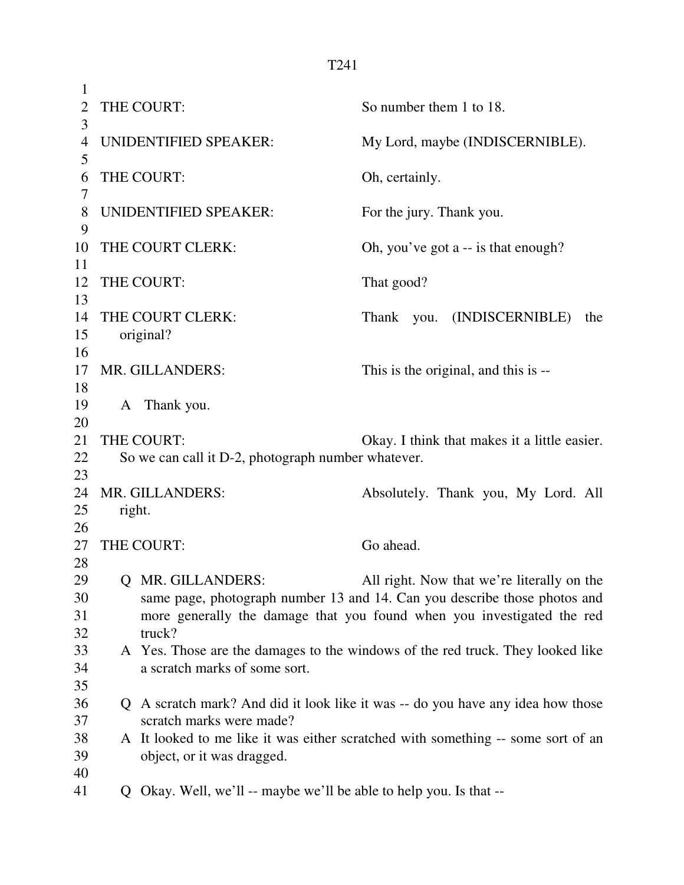| 1                    |        |                                                                                                                                                                                    |                          |                                              |
|----------------------|--------|------------------------------------------------------------------------------------------------------------------------------------------------------------------------------------|--------------------------|----------------------------------------------|
| $\overline{2}$<br>3  |        | THE COURT:                                                                                                                                                                         | So number them 1 to 18.  |                                              |
| 4<br>5               |        | UNIDENTIFIED SPEAKER:                                                                                                                                                              |                          | My Lord, maybe (INDISCERNIBLE).              |
| 6<br>7               |        | THE COURT:                                                                                                                                                                         | Oh, certainly.           |                                              |
| 8<br>9               |        | UNIDENTIFIED SPEAKER:                                                                                                                                                              | For the jury. Thank you. |                                              |
| 10<br>11             |        | THE COURT CLERK:                                                                                                                                                                   |                          | Oh, you've got a -- is that enough?          |
| 12<br>13             |        | THE COURT:                                                                                                                                                                         | That good?               |                                              |
| 14<br>15<br>16       |        | THE COURT CLERK:<br>original?                                                                                                                                                      | Thank                    | you. (INDISCERNIBLE)<br>the                  |
| 17<br>18             |        | MR. GILLANDERS:                                                                                                                                                                    |                          | This is the original, and this is --         |
| 19<br>20             |        | A Thank you.                                                                                                                                                                       |                          |                                              |
| 21<br>22             |        | THE COURT:<br>So we can call it D-2, photograph number whatever.                                                                                                                   |                          | Okay. I think that makes it a little easier. |
| 23<br>24<br>25<br>26 | right. | MR. GILLANDERS:                                                                                                                                                                    |                          | Absolutely. Thank you, My Lord. All          |
| 27<br>28             |        | THE COURT:                                                                                                                                                                         | Go ahead.                |                                              |
| 29<br>30<br>31<br>32 |        | Q MR. GILLANDERS:<br>same page, photograph number 13 and 14. Can you describe those photos and<br>more generally the damage that you found when you investigated the red<br>truck? |                          | All right. Now that we're literally on the   |
| 33<br>34<br>35       |        | A Yes. Those are the damages to the windows of the red truck. They looked like<br>a scratch marks of some sort.                                                                    |                          |                                              |
| 36<br>37             |        | Q A scratch mark? And did it look like it was -- do you have any idea how those<br>scratch marks were made?                                                                        |                          |                                              |
| 38<br>39<br>40       |        | A It looked to me like it was either scratched with something -- some sort of an<br>object, or it was dragged.                                                                     |                          |                                              |
| 41                   |        | Q Okay. Well, we'll -- maybe we'll be able to help you. Is that --                                                                                                                 |                          |                                              |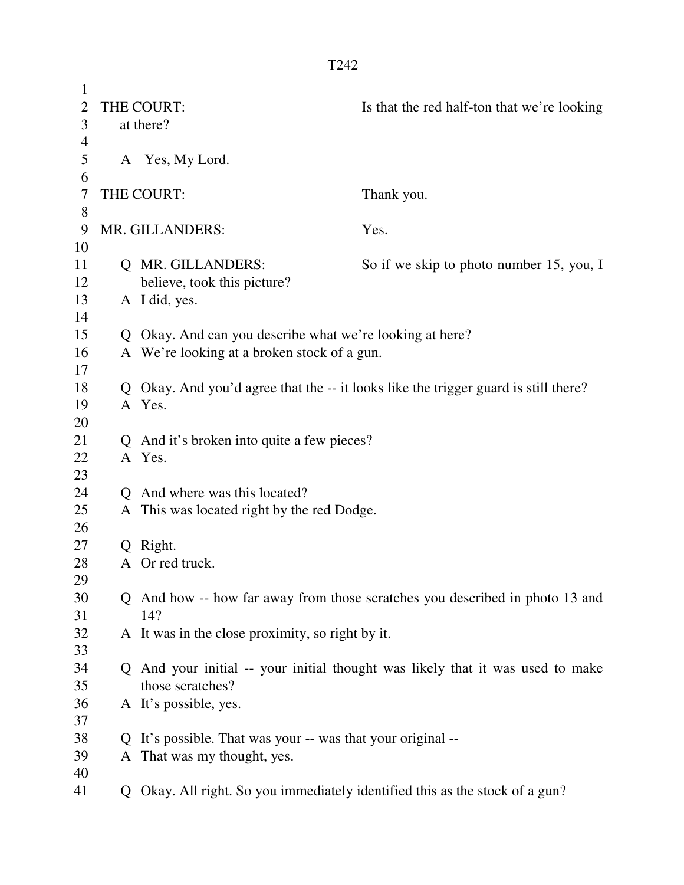| $\mathbf{1}$   |   |                                                                              |                                                                                     |
|----------------|---|------------------------------------------------------------------------------|-------------------------------------------------------------------------------------|
| $\overline{2}$ |   | THE COURT:                                                                   | Is that the red half-ton that we're looking                                         |
| 3              |   | at there?                                                                    |                                                                                     |
| 4              |   |                                                                              |                                                                                     |
| 5              |   | A Yes, My Lord.                                                              |                                                                                     |
| 6              |   |                                                                              |                                                                                     |
| 7              |   | THE COURT:                                                                   | Thank you.                                                                          |
| 8              |   |                                                                              |                                                                                     |
| 9              |   | MR. GILLANDERS:                                                              | Yes.                                                                                |
| 10             |   |                                                                              |                                                                                     |
| 11             |   | Q MR. GILLANDERS:                                                            | So if we skip to photo number 15, you, I                                            |
| 12             |   | believe, took this picture?                                                  |                                                                                     |
| 13             |   | A I did, yes.                                                                |                                                                                     |
| 14             |   |                                                                              |                                                                                     |
| 15             |   | Q Okay. And can you describe what we're looking at here?                     |                                                                                     |
| 16             |   | A We're looking at a broken stock of a gun.                                  |                                                                                     |
| 17             |   |                                                                              |                                                                                     |
| 18             |   |                                                                              | Q Okay. And you'd agree that the -- it looks like the trigger guard is still there? |
| 19             |   | A Yes.                                                                       |                                                                                     |
| 20             |   |                                                                              |                                                                                     |
| 21             |   | Q And it's broken into quite a few pieces?                                   |                                                                                     |
| 22             |   | A Yes.                                                                       |                                                                                     |
| 23             |   |                                                                              |                                                                                     |
| 24             |   | Q And where was this located?                                                |                                                                                     |
| 25             |   | A This was located right by the red Dodge.                                   |                                                                                     |
| 26             |   |                                                                              |                                                                                     |
| 27             |   | Q Right.                                                                     |                                                                                     |
| 28             |   | A Or red truck.                                                              |                                                                                     |
| 29             |   |                                                                              |                                                                                     |
| 30             |   |                                                                              | Q And how -- how far away from those scratches you described in photo 13 and        |
| 31             |   | 14?                                                                          |                                                                                     |
| 32             |   | A It was in the close proximity, so right by it.                             |                                                                                     |
| 33             |   |                                                                              |                                                                                     |
| 34             |   |                                                                              | Q And your initial -- your initial thought was likely that it was used to make      |
| 35             |   | those scratches?                                                             |                                                                                     |
| 36             |   | A It's possible, yes.                                                        |                                                                                     |
| 37             |   |                                                                              |                                                                                     |
| 38             | Q | It's possible. That was your -- was that your original --                    |                                                                                     |
| 39             |   | A That was my thought, yes.                                                  |                                                                                     |
| 40             |   |                                                                              |                                                                                     |
| 41             |   | Q Okay. All right. So you immediately identified this as the stock of a gun? |                                                                                     |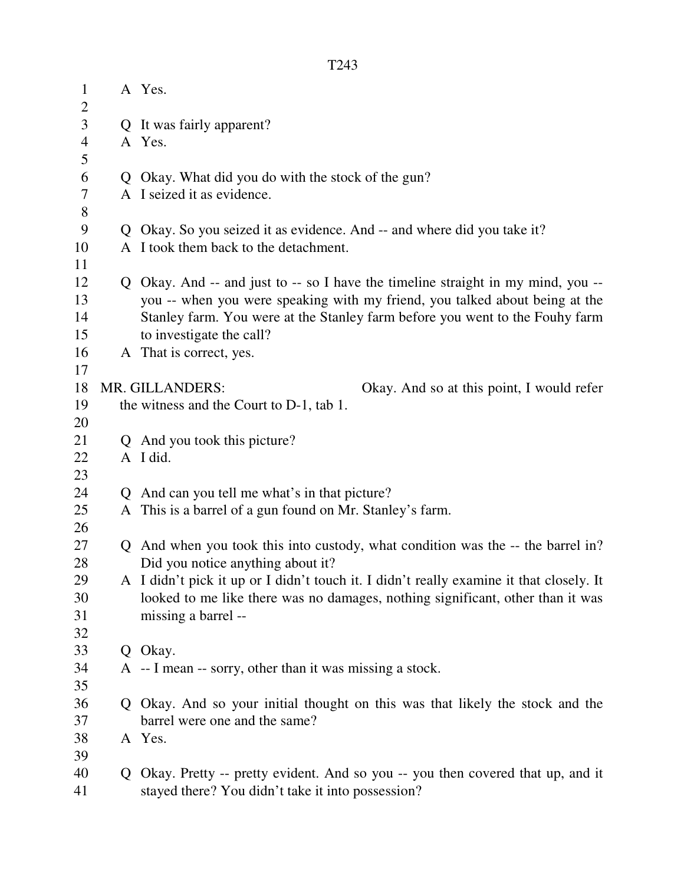| $\mathbf{1}$   |   | A Yes.                                                                                  |
|----------------|---|-----------------------------------------------------------------------------------------|
| $\overline{c}$ |   |                                                                                         |
| 3              |   | Q It was fairly apparent?                                                               |
| $\overline{4}$ |   | A Yes.                                                                                  |
| 5              |   |                                                                                         |
| 6              | Q | Okay. What did you do with the stock of the gun?                                        |
| 7              |   | A I seized it as evidence.                                                              |
| 8              |   |                                                                                         |
| 9              |   | Q Okay. So you seized it as evidence. And -- and where did you take it?                 |
| 10             |   | A I took them back to the detachment.                                                   |
| 11             |   |                                                                                         |
| 12             |   | Q Okay. And -- and just to -- so I have the timeline straight in my mind, you --        |
| 13             |   | you -- when you were speaking with my friend, you talked about being at the             |
| 14             |   | Stanley farm. You were at the Stanley farm before you went to the Fouhy farm            |
| 15             |   | to investigate the call?                                                                |
| 16             |   | A That is correct, yes.                                                                 |
| 17             |   |                                                                                         |
| 18             |   | MR. GILLANDERS:<br>Okay. And so at this point, I would refer                            |
| 19             |   | the witness and the Court to D-1, tab 1.                                                |
| 20             |   |                                                                                         |
| 21             |   | Q And you took this picture?                                                            |
| 22             |   | A I did.                                                                                |
| 23             |   |                                                                                         |
| 24             |   | Q And can you tell me what's in that picture?                                           |
| 25             |   | A This is a barrel of a gun found on Mr. Stanley's farm.                                |
| 26             |   |                                                                                         |
| 27             |   | Q And when you took this into custody, what condition was the -- the barrel in?         |
| 28             |   | Did you notice anything about it?                                                       |
| 29             |   | A I didn't pick it up or I didn't touch it. I didn't really examine it that closely. It |
| 30             |   | looked to me like there was no damages, nothing significant, other than it was          |
| 31             |   | missing a barrel --                                                                     |
| 32             |   |                                                                                         |
| 33             |   | Q Okay.                                                                                 |
| 34             |   | A -- I mean -- sorry, other than it was missing a stock.                                |
| 35             |   |                                                                                         |
| 36             |   | Q Okay. And so your initial thought on this was that likely the stock and the           |
| 37             |   | barrel were one and the same?                                                           |
| 38             |   | A Yes.                                                                                  |
| 39             |   |                                                                                         |
| 40             |   | Q Okay. Pretty -- pretty evident. And so you -- you then covered that up, and it        |
| 41             |   | stayed there? You didn't take it into possession?                                       |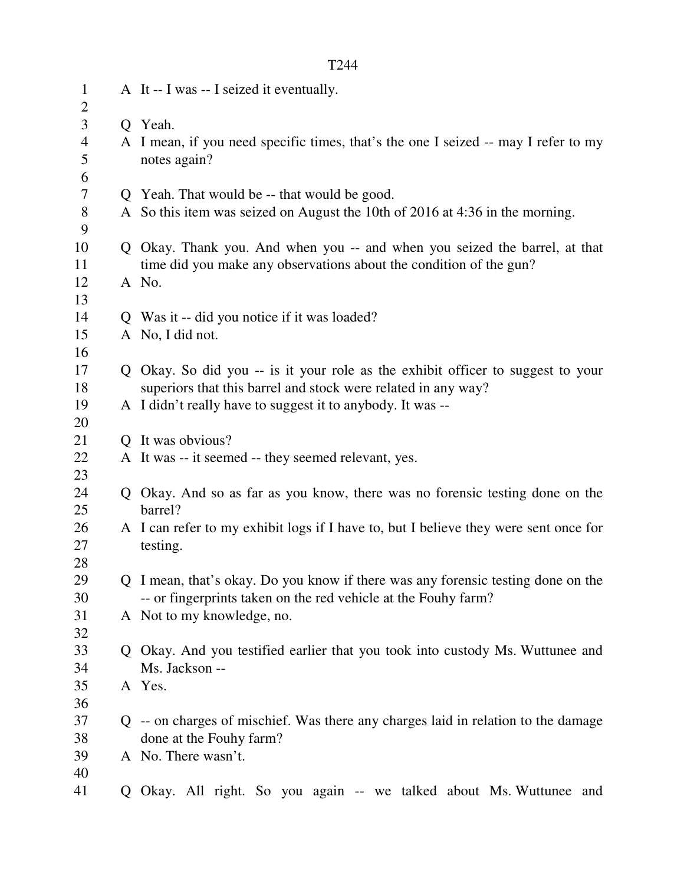| $\mathbf{1}$        |              | A It -- I was -- I seized it eventually.                                                           |
|---------------------|--------------|----------------------------------------------------------------------------------------------------|
| 2                   |              |                                                                                                    |
| 3                   |              | Q Yeah.                                                                                            |
| $\overline{4}$<br>5 |              | A I mean, if you need specific times, that's the one I seized -- may I refer to my<br>notes again? |
| 6                   |              |                                                                                                    |
| 7                   |              | Q Yeah. That would be -- that would be good.                                                       |
| 8<br>9              |              | A So this item was seized on August the 10th of 2016 at 4:36 in the morning.                       |
| 10                  |              | Q Okay. Thank you. And when you -- and when you seized the barrel, at that                         |
| 11                  |              | time did you make any observations about the condition of the gun?                                 |
| 12                  |              | A No.                                                                                              |
| 13                  |              |                                                                                                    |
| 14                  |              | Q Was it -- did you notice if it was loaded?                                                       |
| 15                  |              | A No, I did not.                                                                                   |
| 16                  |              |                                                                                                    |
| 17                  |              | Q Okay. So did you -- is it your role as the exhibit officer to suggest to your                    |
| 18                  |              | superiors that this barrel and stock were related in any way?                                      |
| 19                  |              | A I didn't really have to suggest it to anybody. It was --                                         |
| 20                  |              |                                                                                                    |
| 21                  | $\mathbf{O}$ | It was obvious?                                                                                    |
| 22                  |              | A It was -- it seemed -- they seemed relevant, yes.                                                |
| 23                  |              |                                                                                                    |
| 24                  |              | Q Okay. And so as far as you know, there was no forensic testing done on the                       |
| 25                  |              | barrel?                                                                                            |
| 26                  |              | A I can refer to my exhibit logs if I have to, but I believe they were sent once for               |
| 27                  |              | testing.                                                                                           |
| 28                  |              |                                                                                                    |
| 29                  |              | Q I mean, that's okay. Do you know if there was any forensic testing done on the                   |
| 30                  |              | -- or fingerprints taken on the red vehicle at the Fouhy farm?                                     |
| 31                  |              | A Not to my knowledge, no.                                                                         |
| 32                  |              |                                                                                                    |
| 33                  |              | Q Okay. And you testified earlier that you took into custody Ms. Wuttunee and                      |
| 34                  |              | Ms. Jackson --                                                                                     |
| 35                  |              | A Yes.                                                                                             |
| 36                  |              |                                                                                                    |
| 37                  |              | Q -- on charges of mischief. Was there any charges laid in relation to the damage                  |
| 38                  |              | done at the Fouhy farm?                                                                            |
| 39                  |              | A No. There wasn't.                                                                                |
| 40                  |              |                                                                                                    |
| 41                  | Q            | Okay. All right. So you again -- we talked about Ms. Wuttunee and                                  |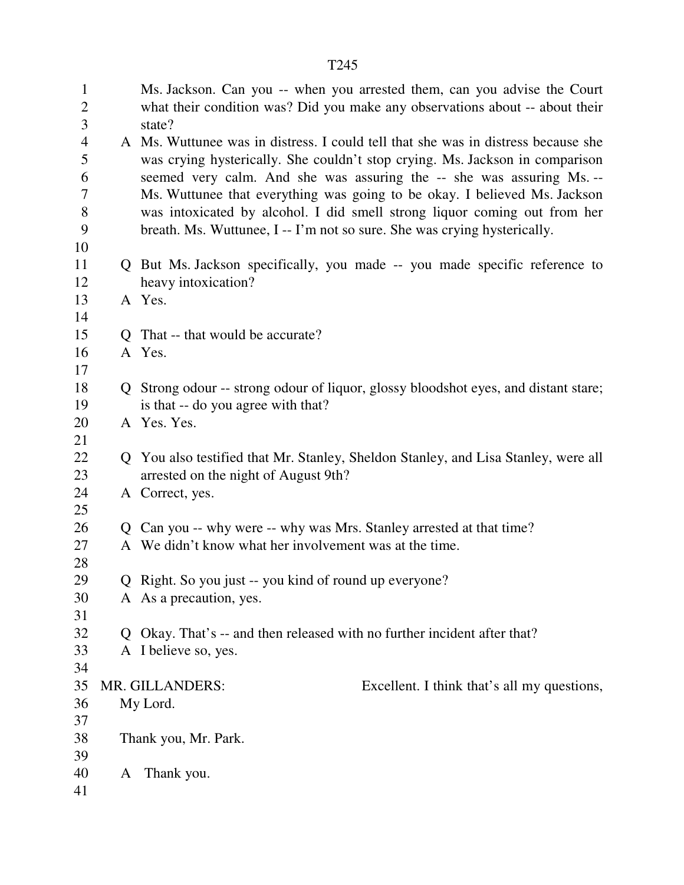| $\mathbf{1}$<br>$\overline{2}$ |   | Ms. Jackson. Can you -- when you arrested them, can you advise the Court<br>what their condition was? Did you make any observations about -- about their |
|--------------------------------|---|----------------------------------------------------------------------------------------------------------------------------------------------------------|
| 3                              |   | state?                                                                                                                                                   |
| $\overline{4}$                 |   | A Ms. Wuttunee was in distress. I could tell that she was in distress because she                                                                        |
| 5                              |   | was crying hysterically. She couldn't stop crying. Ms. Jackson in comparison                                                                             |
| 6                              |   | seemed very calm. And she was assuring the -- she was assuring Ms. --                                                                                    |
| $\tau$                         |   | Ms. Wuttunee that everything was going to be okay. I believed Ms. Jackson                                                                                |
| 8<br>9                         |   | was intoxicated by alcohol. I did smell strong liquor coming out from her<br>breath. Ms. Wuttunee, I -- I'm not so sure. She was crying hysterically.    |
| 10                             |   |                                                                                                                                                          |
| 11                             |   | Q But Ms. Jackson specifically, you made -- you made specific reference to                                                                               |
| 12                             |   | heavy intoxication?                                                                                                                                      |
| 13                             |   | A Yes.                                                                                                                                                   |
| 14                             |   |                                                                                                                                                          |
| 15                             |   | Q That -- that would be accurate?                                                                                                                        |
| 16                             |   | A Yes.                                                                                                                                                   |
| 17                             |   |                                                                                                                                                          |
| 18                             |   | Q Strong odour -- strong odour of liquor, glossy bloodshot eyes, and distant stare;                                                                      |
| 19                             |   | is that -- do you agree with that?                                                                                                                       |
| 20                             |   | A Yes. Yes.                                                                                                                                              |
| 21                             |   |                                                                                                                                                          |
| 22                             |   | Q You also testified that Mr. Stanley, Sheldon Stanley, and Lisa Stanley, were all                                                                       |
| 23                             |   | arrested on the night of August 9th?                                                                                                                     |
| 24                             |   | A Correct, yes.                                                                                                                                          |
| 25                             |   |                                                                                                                                                          |
| 26                             |   | Q Can you -- why were -- why was Mrs. Stanley arrested at that time?                                                                                     |
| 27                             |   | A We didn't know what her involvement was at the time.                                                                                                   |
| 28                             |   |                                                                                                                                                          |
| 29                             |   | Q Right. So you just -- you kind of round up everyone?                                                                                                   |
| 30                             |   | A As a precaution, yes.                                                                                                                                  |
| 31                             |   |                                                                                                                                                          |
| 32                             |   | Q Okay. That's -- and then released with no further incident after that?                                                                                 |
| 33                             |   | A I believe so, yes.                                                                                                                                     |
| 34                             |   |                                                                                                                                                          |
| 35                             |   | MR. GILLANDERS:<br>Excellent. I think that's all my questions,                                                                                           |
| 36                             |   | My Lord.                                                                                                                                                 |
| 37                             |   |                                                                                                                                                          |
| 38                             |   | Thank you, Mr. Park.                                                                                                                                     |
| 39                             |   |                                                                                                                                                          |
| 40                             | A | Thank you.                                                                                                                                               |
| 41                             |   |                                                                                                                                                          |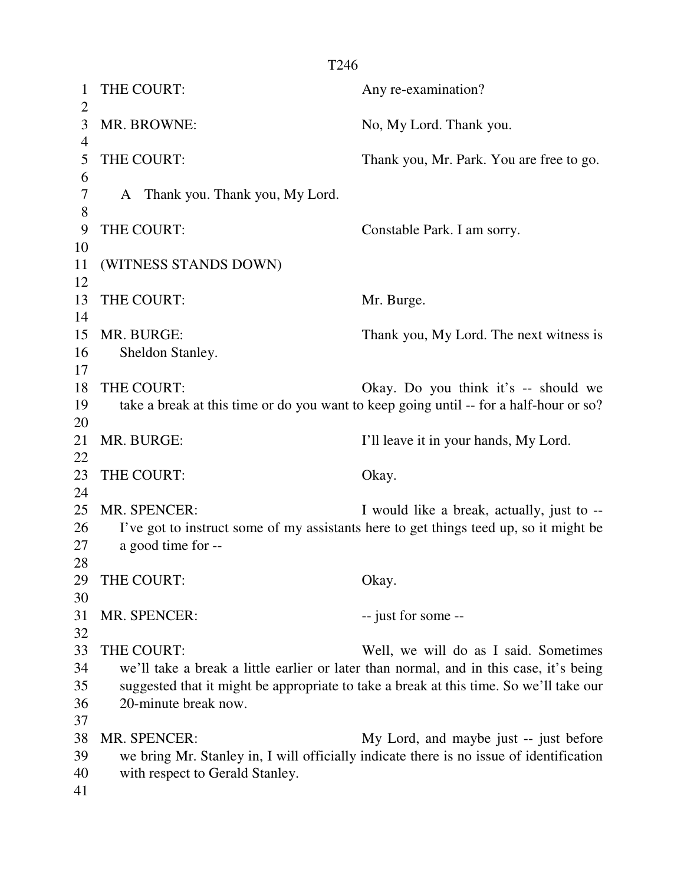1 THE COURT: Any re-examination?  $\overline{2}$ 3 MR. BROWNE: No, My Lord. Thank you. 4 5 THE COURT: Thank you, Mr. Park. You are free to go. 6 7 A Thank you. Thank you, My Lord. 8 9 THE COURT: Constable Park. I am sorry. 10 11 (WITNESS STANDS DOWN) 12 13 THE COURT: Mr. Burge. 14 15 MR. BURGE: Thank you, My Lord. The next witness is 16 Sheldon Stanley. 17 18 THE COURT: Okay. Do you think it's -- should we 19 take a break at this time or do you want to keep going until -- for a half-hour or so? 20 21 MR. BURGE: I'll leave it in your hands, My Lord. 22 23 THE COURT: Okay. 24 25 MR. SPENCER: I would like a break, actually, just to --26 I've got to instruct some of my assistants here to get things teed up, so it might be 27 a good time for -- 28 29 THE COURT: Okay. 30 31 MR. SPENCER: -- just for some --32 33 THE COURT: Well, we will do as I said. Sometimes 34 we'll take a break a little earlier or later than normal, and in this case, it's being 35 suggested that it might be appropriate to take a break at this time. So we'll take our 36 20-minute break now. 37 38 MR. SPENCER: My Lord, and maybe just -- just before 39 we bring Mr. Stanley in, I will officially indicate there is no issue of identification 40 with respect to Gerald Stanley. 41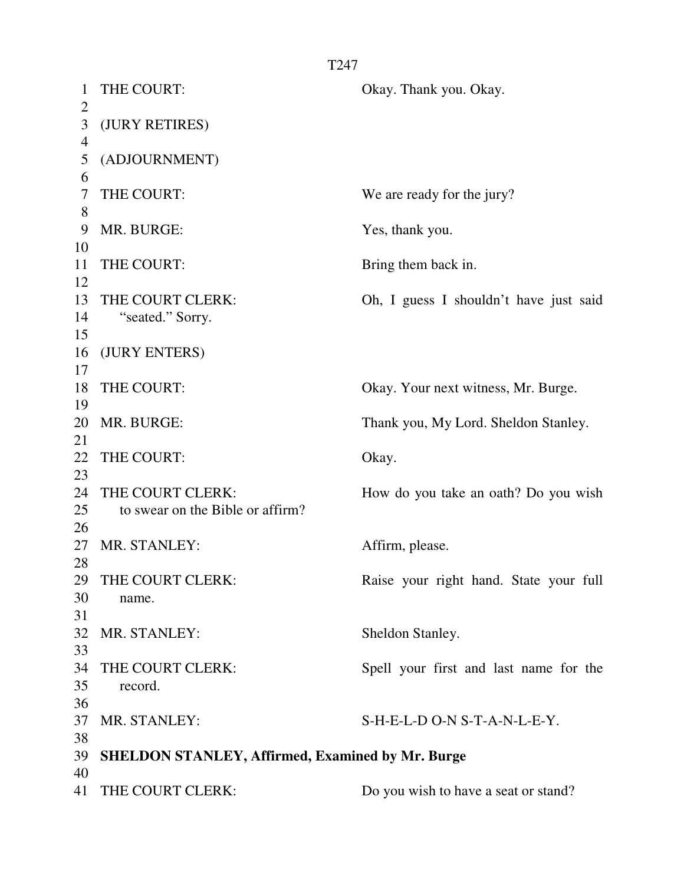1 THE COURT: Okay. Thank you. Okay.  $\mathfrak{D}$ 3 (JURY RETIRES) 4 5 (ADJOURNMENT) 6 7 THE COURT: We are ready for the jury? 8 9 MR. BURGE: Yes, thank you. 10 11 THE COURT: Bring them back in. 12 13 THE COURT CLERK: Oh, I guess I shouldn't have just said 14 "seated." Sorry. 15 16 (JURY ENTERS) 17 18 THE COURT: Okay. Your next witness, Mr. Burge. 19 20 MR. BURGE: Thank you, My Lord. Sheldon Stanley. 21 22 THE COURT: Okay. 23 24 THE COURT CLERK: How do you take an oath? Do you wish 25 to swear on the Bible or affirm? 26 27 MR. STANLEY: Affirm, please. 28 29 THE COURT CLERK: Raise your right hand. State your full 30 name. 31 32 MR. STANLEY: Sheldon Stanley. 33 34 THE COURT CLERK: Spell your first and last name for the 35 record. 36 37 MR. STANLEY: S-H-E-L-D O-N S-T-A-N-L-E-Y. 38 39 **SHELDON STANLEY, Affirmed, Examined by Mr. Burge**  40 41 THE COURT CLERK: Do you wish to have a seat or stand?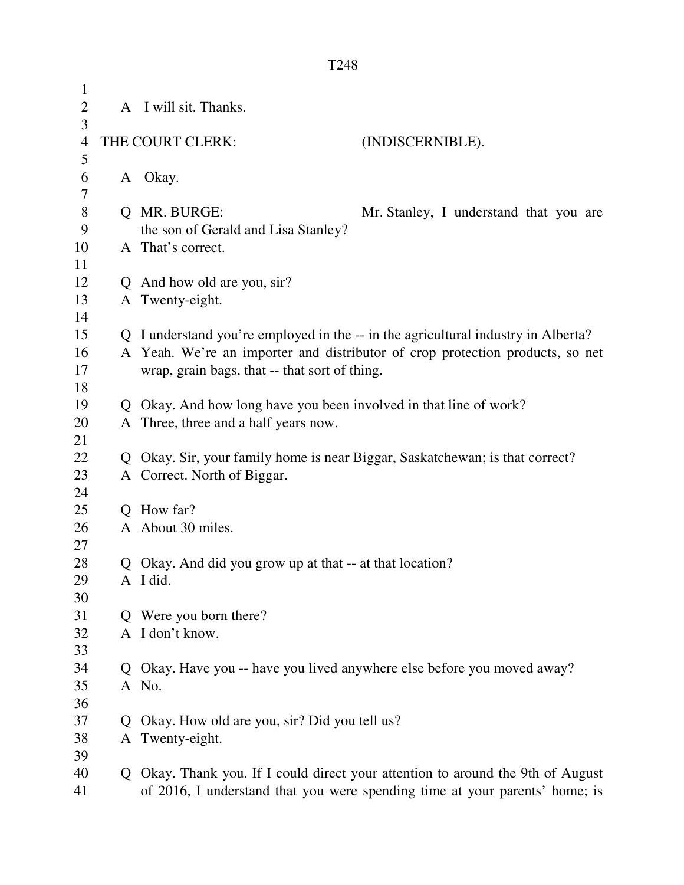| $\mathbf{1}$   |                |                                                                                   |                                        |
|----------------|----------------|-----------------------------------------------------------------------------------|----------------------------------------|
| $\overline{2}$ |                | A I will sit. Thanks.                                                             |                                        |
| 3              |                |                                                                                   |                                        |
| $\overline{4}$ |                | THE COURT CLERK:                                                                  | (INDISCERNIBLE).                       |
| 5              |                |                                                                                   |                                        |
| 6              | A              | Okay.                                                                             |                                        |
| 7              |                |                                                                                   |                                        |
| $8\,$          | $\overline{O}$ | MR. BURGE:                                                                        | Mr. Stanley, I understand that you are |
| 9              |                | the son of Gerald and Lisa Stanley?                                               |                                        |
| 10             |                | A That's correct.                                                                 |                                        |
| 11             |                |                                                                                   |                                        |
| 12             |                | Q And how old are you, sir?                                                       |                                        |
| 13             |                | A Twenty-eight.                                                                   |                                        |
| 14             |                |                                                                                   |                                        |
| 15             |                | Q I understand you're employed in the -- in the agricultural industry in Alberta? |                                        |
| 16             |                | A Yeah. We're an importer and distributor of crop protection products, so net     |                                        |
| 17             |                | wrap, grain bags, that -- that sort of thing.                                     |                                        |
| 18             |                |                                                                                   |                                        |
| 19             |                | Q Okay. And how long have you been involved in that line of work?                 |                                        |
| 20             |                | A Three, three and a half years now.                                              |                                        |
| 21             |                |                                                                                   |                                        |
| 22             |                | Q Okay. Sir, your family home is near Biggar, Saskatchewan; is that correct?      |                                        |
| 23             |                | A Correct. North of Biggar.                                                       |                                        |
| 24             |                |                                                                                   |                                        |
| 25             |                | Q How far?                                                                        |                                        |
| 26             |                | A About 30 miles.                                                                 |                                        |
| 27             |                |                                                                                   |                                        |
| 28             |                | Q Okay. And did you grow up at that -- at that location?                          |                                        |
| 29             |                | A I did.                                                                          |                                        |
| 30             |                |                                                                                   |                                        |
| 31             | Q              | Were you born there?                                                              |                                        |
| 32             |                | A I don't know.                                                                   |                                        |
| 33             |                |                                                                                   |                                        |
| 34             | Q              | Okay. Have you -- have you lived anywhere else before you moved away?             |                                        |
| 35             |                | A No.                                                                             |                                        |
| 36             |                |                                                                                   |                                        |
| 37             | $\mathbf O$    | Okay. How old are you, sir? Did you tell us?                                      |                                        |
| 38             |                | A Twenty-eight.                                                                   |                                        |
| 39             |                |                                                                                   |                                        |
| 40             |                | Q Okay. Thank you. If I could direct your attention to around the 9th of August   |                                        |
| 41             |                | of 2016, I understand that you were spending time at your parents' home; is       |                                        |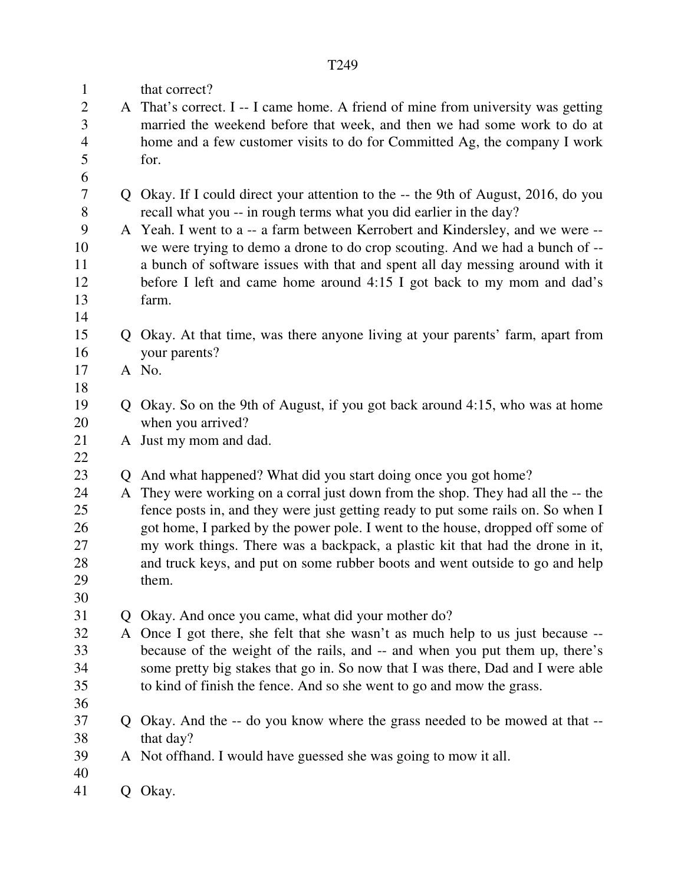| $\mathbf{1}$   | that correct?                                                                      |
|----------------|------------------------------------------------------------------------------------|
| $\overline{2}$ | A That's correct. I -- I came home. A friend of mine from university was getting   |
| 3              | married the weekend before that week, and then we had some work to do at           |
| $\overline{4}$ | home and a few customer visits to do for Committed Ag, the company I work          |
| 5              | for.                                                                               |
| 6              |                                                                                    |
| $\tau$         | Q Okay. If I could direct your attention to the -- the 9th of August, 2016, do you |
| 8              | recall what you -- in rough terms what you did earlier in the day?                 |
| 9              | A Yeah. I went to a -- a farm between Kerrobert and Kindersley, and we were --     |
| 10             | we were trying to demo a drone to do crop scouting. And we had a bunch of --       |
| 11             | a bunch of software issues with that and spent all day messing around with it      |
| 12             | before I left and came home around 4:15 I got back to my mom and dad's             |
| 13             | farm.                                                                              |
| 14             |                                                                                    |
| 15             | Q Okay. At that time, was there anyone living at your parents' farm, apart from    |
| 16             | your parents?                                                                      |
| 17             | A No.                                                                              |
| 18             |                                                                                    |
| 19             | Q Okay. So on the 9th of August, if you got back around 4:15, who was at home      |
| 20             | when you arrived?                                                                  |
| 21             | A Just my mom and dad.                                                             |
| 22             |                                                                                    |
| 23             | Q And what happened? What did you start doing once you got home?                   |
| 24             | A They were working on a corral just down from the shop. They had all the -- the   |
| 25             | fence posts in, and they were just getting ready to put some rails on. So when I   |
| 26             | got home, I parked by the power pole. I went to the house, dropped off some of     |
| 27             | my work things. There was a backpack, a plastic kit that had the drone in it,      |
| 28             | and truck keys, and put on some rubber boots and went outside to go and help       |
| 29             | them.                                                                              |
| 30             |                                                                                    |
| 31             | Q Okay. And once you came, what did your mother do?                                |
| 32             | A Once I got there, she felt that she wasn't as much help to us just because --    |
| 33             | because of the weight of the rails, and -- and when you put them up, there's       |
| 34             | some pretty big stakes that go in. So now that I was there, Dad and I were able    |
| 35             | to kind of finish the fence. And so she went to go and mow the grass.              |
| 36             |                                                                                    |
| 37             | Q Okay. And the -- do you know where the grass needed to be mowed at that --       |
| 38             | that day?                                                                          |
| 39             | A Not offhand. I would have guessed she was going to mow it all.                   |
| 40             |                                                                                    |
| 41             | Q Okay.                                                                            |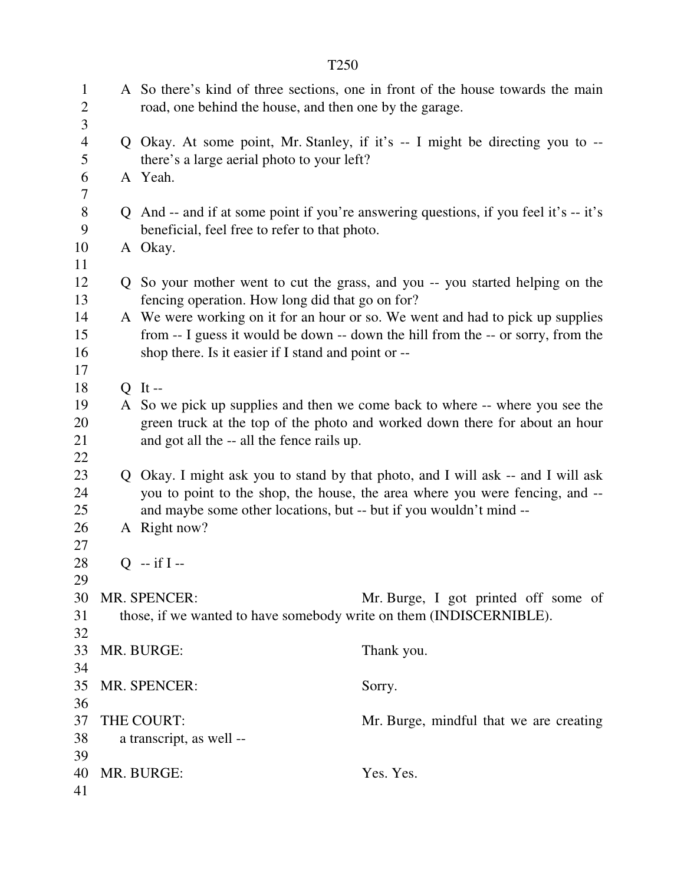| $\mathbf{1}$<br>$\overline{2}$<br>3 | road, one behind the house, and then one by the garage.             | A So there's kind of three sections, one in front of the house towards the main                                                                                    |
|-------------------------------------|---------------------------------------------------------------------|--------------------------------------------------------------------------------------------------------------------------------------------------------------------|
| $\overline{4}$<br>5                 | there's a large aerial photo to your left?                          | Q Okay. At some point, Mr. Stanley, if it's -- I might be directing you to --                                                                                      |
| 6<br>7                              | A Yeah.                                                             |                                                                                                                                                                    |
| $8\,$<br>9                          | beneficial, feel free to refer to that photo.                       | Q And -- and if at some point if you're answering questions, if you feel it's -- it's                                                                              |
| 10<br>11                            | A Okay.                                                             |                                                                                                                                                                    |
| 12<br>13                            | fencing operation. How long did that go on for?                     | Q So your mother went to cut the grass, and you -- you started helping on the                                                                                      |
| 14<br>15                            |                                                                     | A We were working on it for an hour or so. We went and had to pick up supplies<br>from -- I guess it would be down -- down the hill from the -- or sorry, from the |
| 16<br>17                            | shop there. Is it easier if I stand and point or --                 |                                                                                                                                                                    |
| 18                                  | $Q$ It --                                                           |                                                                                                                                                                    |
| 19                                  |                                                                     | A So we pick up supplies and then we come back to where -- where you see the                                                                                       |
| 20                                  |                                                                     | green truck at the top of the photo and worked down there for about an hour                                                                                        |
| 21                                  | and got all the -- all the fence rails up.                          |                                                                                                                                                                    |
| 22<br>23                            |                                                                     |                                                                                                                                                                    |
| 24                                  |                                                                     | Q Okay. I might ask you to stand by that photo, and I will ask -- and I will ask<br>you to point to the shop, the house, the area where you were fencing, and --   |
| 25                                  | and maybe some other locations, but -- but if you wouldn't mind --  |                                                                                                                                                                    |
| 26                                  | A Right now?                                                        |                                                                                                                                                                    |
| 27                                  |                                                                     |                                                                                                                                                                    |
| 28                                  | $Q - if I -$                                                        |                                                                                                                                                                    |
| 29                                  |                                                                     |                                                                                                                                                                    |
| 30                                  | MR. SPENCER:                                                        | Mr. Burge, I got printed off some of                                                                                                                               |
| 31                                  | those, if we wanted to have somebody write on them (INDISCERNIBLE). |                                                                                                                                                                    |
| 32                                  |                                                                     |                                                                                                                                                                    |
| 33                                  | MR. BURGE:                                                          | Thank you.                                                                                                                                                         |
| 34                                  |                                                                     |                                                                                                                                                                    |
| 35                                  | MR. SPENCER:                                                        | Sorry.                                                                                                                                                             |
| 36                                  |                                                                     |                                                                                                                                                                    |
| 37                                  | THE COURT:                                                          | Mr. Burge, mindful that we are creating                                                                                                                            |
| 38<br>39                            | a transcript, as well --                                            |                                                                                                                                                                    |
| 40                                  | MR. BURGE:                                                          | Yes. Yes.                                                                                                                                                          |
| 41                                  |                                                                     |                                                                                                                                                                    |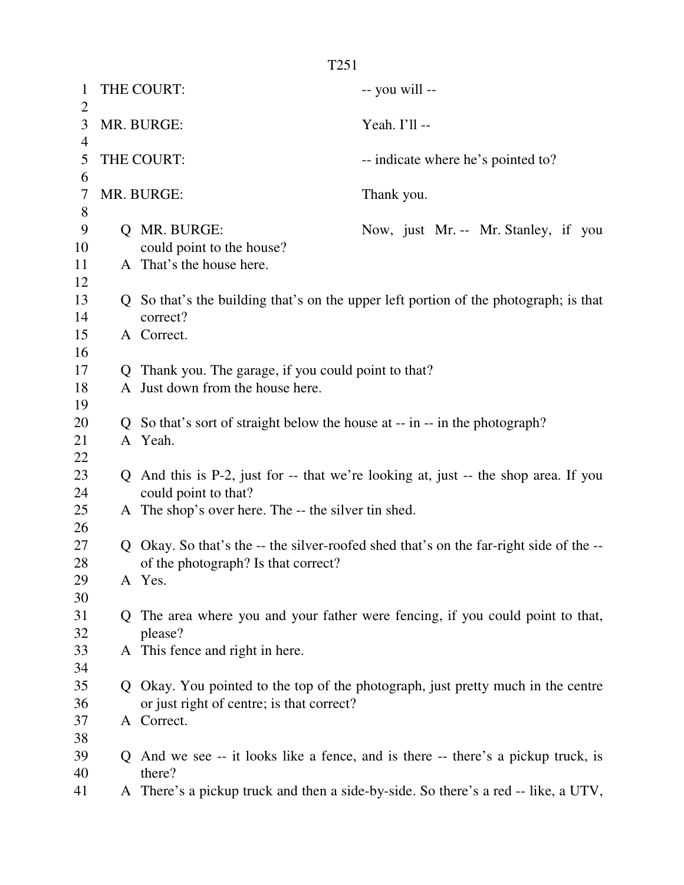| $\mathbf{1}$<br>$\overline{2}$ |    | THE COURT:                                                                | -- you will --                                                                         |
|--------------------------------|----|---------------------------------------------------------------------------|----------------------------------------------------------------------------------------|
| 3                              |    | MR. BURGE:                                                                | Yeah. I'll --                                                                          |
| 4<br>5                         |    | THE COURT:                                                                | -- indicate where he's pointed to?                                                     |
| 6<br>7                         |    | MR. BURGE:                                                                |                                                                                        |
| 8                              |    |                                                                           | Thank you.                                                                             |
| 9                              |    | Q MR. BURGE:                                                              | Now, just Mr. -- Mr. Stanley, if you                                                   |
| 10                             |    | could point to the house?                                                 |                                                                                        |
| 11                             |    | A That's the house here.                                                  |                                                                                        |
| 12                             |    |                                                                           |                                                                                        |
| 13                             |    |                                                                           | Q So that's the building that's on the upper left portion of the photograph; is that   |
| 14                             |    | correct?                                                                  |                                                                                        |
| 15                             |    | A Correct.                                                                |                                                                                        |
| 16                             |    |                                                                           |                                                                                        |
| 17                             |    | Q Thank you. The garage, if you could point to that?                      |                                                                                        |
| 18                             |    | A Just down from the house here.                                          |                                                                                        |
| 19                             |    |                                                                           |                                                                                        |
| 20                             |    | So that's sort of straight below the house at -- in -- in the photograph? |                                                                                        |
| 21                             |    | A Yeah.                                                                   |                                                                                        |
| 22                             |    |                                                                           |                                                                                        |
| 23<br>24                       |    | could point to that?                                                      | Q And this is P-2, just for -- that we're looking at, just -- the shop area. If you    |
| 25                             |    | A The shop's over here. The -- the silver tin shed.                       |                                                                                        |
| 26                             |    |                                                                           |                                                                                        |
| 27                             |    |                                                                           | Q Okay. So that's the -- the silver-roofed shed that's on the far-right side of the -- |
| 28                             |    | of the photograph? Is that correct?                                       |                                                                                        |
| 29                             |    | A Yes.                                                                    |                                                                                        |
| 30                             |    |                                                                           |                                                                                        |
| 31                             | Q. |                                                                           | The area where you and your father were fencing, if you could point to that,           |
| 32                             |    | please?                                                                   |                                                                                        |
| 33                             |    | A This fence and right in here.                                           |                                                                                        |
| 34<br>35                       |    |                                                                           |                                                                                        |
| 36                             |    | or just right of centre; is that correct?                                 | Q Okay. You pointed to the top of the photograph, just pretty much in the centre       |
| 37                             |    | A Correct.                                                                |                                                                                        |
| 38                             |    |                                                                           |                                                                                        |
| 39                             |    |                                                                           | Q And we see -- it looks like a fence, and is there -- there's a pickup truck, is      |
| 40                             |    | there?                                                                    |                                                                                        |
| 41                             |    |                                                                           | A There's a pickup truck and then a side-by-side. So there's a red -- like, a UTV,     |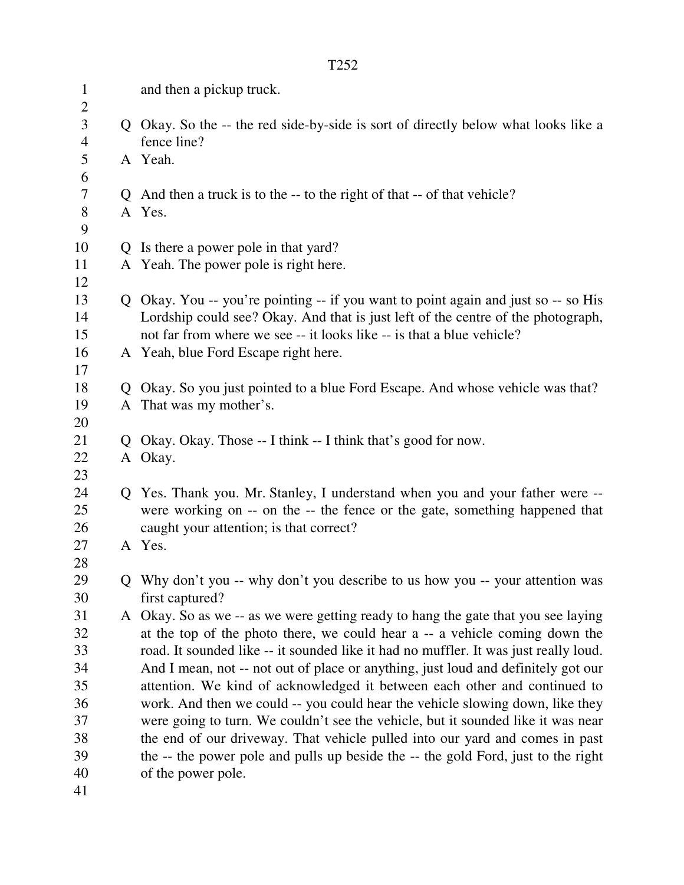| $\mathbf{1}$<br>$\mathbf{2}$ | and then a pickup truck.                                                                                                                                                                                                                        |
|------------------------------|-------------------------------------------------------------------------------------------------------------------------------------------------------------------------------------------------------------------------------------------------|
| 3<br>$\overline{4}$          | Q Okay. So the -- the red side-by-side is sort of directly below what looks like a<br>fence line?                                                                                                                                               |
| 5<br>6                       | A Yeah.                                                                                                                                                                                                                                         |
| 7                            | Q And then a truck is to the -- to the right of that -- of that vehicle?                                                                                                                                                                        |
| $8\,$<br>9                   | A Yes.                                                                                                                                                                                                                                          |
| 10                           | Q Is there a power pole in that yard?                                                                                                                                                                                                           |
| 11<br>12                     | A Yeah. The power pole is right here.                                                                                                                                                                                                           |
| 13<br>14<br>15               | Q Okay. You -- you're pointing -- if you want to point again and just so -- so His<br>Lordship could see? Okay. And that is just left of the centre of the photograph,<br>not far from where we see -- it looks like -- is that a blue vehicle? |
| 16<br>17                     | A Yeah, blue Ford Escape right here.                                                                                                                                                                                                            |
| 18                           | Q Okay. So you just pointed to a blue Ford Escape. And whose vehicle was that?                                                                                                                                                                  |
| 19<br>20                     | A That was my mother's.                                                                                                                                                                                                                         |
| 21                           | Q Okay. Okay. Those -- I think -- I think that's good for now.                                                                                                                                                                                  |
| 22<br>23                     | A Okay.                                                                                                                                                                                                                                         |
| 24<br>25<br>26               | Q Yes. Thank you. Mr. Stanley, I understand when you and your father were --<br>were working on -- on the -- the fence or the gate, something happened that<br>caught your attention; is that correct?                                          |
| 27<br>28                     | A Yes.                                                                                                                                                                                                                                          |
| 29<br>30                     | Q Why don't you -- why don't you describe to us how you -- your attention was<br>first captured?                                                                                                                                                |
| 31                           | A Okay. So as we -- as we were getting ready to hang the gate that you see laying                                                                                                                                                               |
| 32                           | at the top of the photo there, we could hear a -- a vehicle coming down the                                                                                                                                                                     |
| 33                           | road. It sounded like -- it sounded like it had no muffler. It was just really loud.                                                                                                                                                            |
| 34                           | And I mean, not -- not out of place or anything, just loud and definitely got our                                                                                                                                                               |
| 35                           | attention. We kind of acknowledged it between each other and continued to                                                                                                                                                                       |
| 36                           | work. And then we could -- you could hear the vehicle slowing down, like they                                                                                                                                                                   |
| 37                           | were going to turn. We couldn't see the vehicle, but it sounded like it was near                                                                                                                                                                |
| 38                           | the end of our driveway. That vehicle pulled into our yard and comes in past                                                                                                                                                                    |
| 39                           | the -- the power pole and pulls up beside the -- the gold Ford, just to the right                                                                                                                                                               |
| 40                           | of the power pole.                                                                                                                                                                                                                              |
| 41                           |                                                                                                                                                                                                                                                 |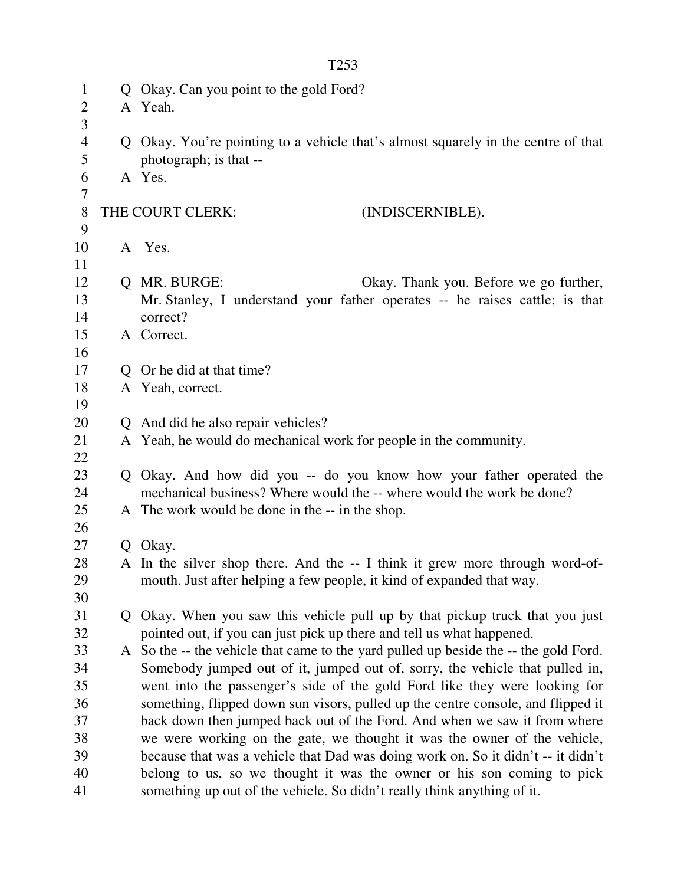| $\mathbf{1}$<br>$\mathbf{2}$ | Q Okay. Can you point to the gold Ford?<br>A Yeah.                                                          |
|------------------------------|-------------------------------------------------------------------------------------------------------------|
| 3                            |                                                                                                             |
| $\overline{4}$<br>5          | Q Okay. You're pointing to a vehicle that's almost squarely in the centre of that<br>photograph; is that -- |
| 6<br>7                       | A Yes.                                                                                                      |
| 8<br>9                       | THE COURT CLERK:<br>(INDISCERNIBLE).                                                                        |
| 10<br>11                     | A Yes.                                                                                                      |
| 12                           | Q MR. BURGE:<br>Okay. Thank you. Before we go further,                                                      |
| 13                           | Mr. Stanley, I understand your father operates -- he raises cattle; is that                                 |
| 14                           | correct?                                                                                                    |
| 15                           | A Correct.                                                                                                  |
| 16                           |                                                                                                             |
| 17                           | Q Or he did at that time?                                                                                   |
| 18                           | A Yeah, correct.                                                                                            |
| 19                           |                                                                                                             |
| 20                           | Q And did he also repair vehicles?                                                                          |
| 21                           | A Yeah, he would do mechanical work for people in the community.                                            |
| 22                           |                                                                                                             |
| 23                           | Q Okay. And how did you -- do you know how your father operated the                                         |
| 24                           | mechanical business? Where would the -- where would the work be done?                                       |
| 25                           | A The work would be done in the -- in the shop.                                                             |
| 26                           |                                                                                                             |
| 27                           | Q Okay.                                                                                                     |
| 28                           | A In the silver shop there. And the -- I think it grew more through word-of-                                |
| 29                           | mouth. Just after helping a few people, it kind of expanded that way.                                       |
| 30                           |                                                                                                             |
| 31                           | Q Okay. When you saw this vehicle pull up by that pickup truck that you just                                |
| 32                           | pointed out, if you can just pick up there and tell us what happened.                                       |
| 33                           | A So the -- the vehicle that came to the yard pulled up beside the -- the gold Ford.                        |
| 34                           | Somebody jumped out of it, jumped out of, sorry, the vehicle that pulled in,                                |
| 35                           | went into the passenger's side of the gold Ford like they were looking for                                  |
| 36                           | something, flipped down sun visors, pulled up the centre console, and flipped it                            |
| 37                           | back down then jumped back out of the Ford. And when we saw it from where                                   |
| 38                           | we were working on the gate, we thought it was the owner of the vehicle,                                    |
| 39                           | because that was a vehicle that Dad was doing work on. So it didn't -- it didn't                            |
| 40                           | belong to us, so we thought it was the owner or his son coming to pick                                      |
| 41                           | something up out of the vehicle. So didn't really think anything of it.                                     |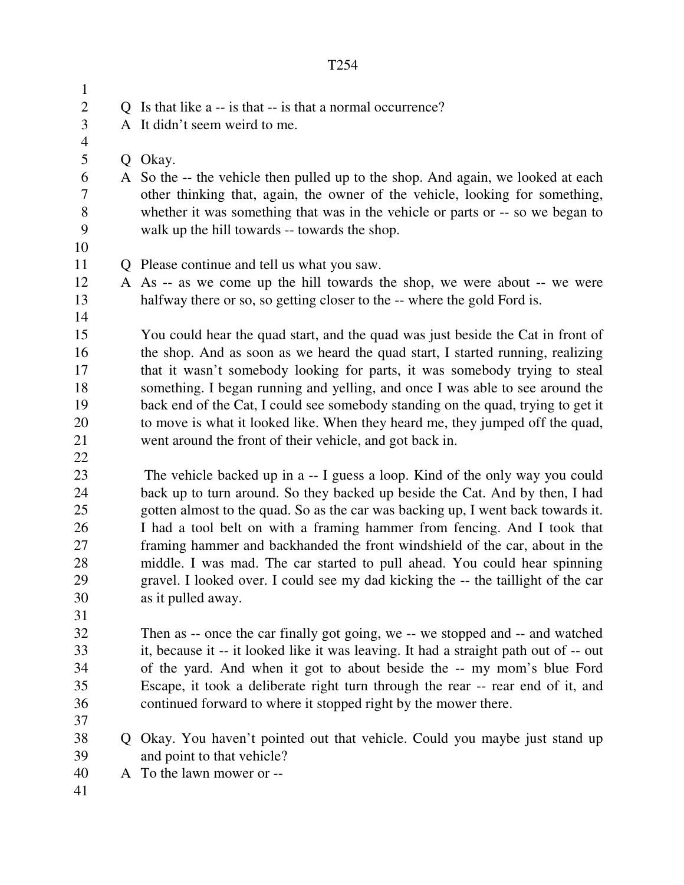|--|

| $\mathbf{1}$     |   |                                                                                       |
|------------------|---|---------------------------------------------------------------------------------------|
| $\boldsymbol{2}$ |   | Q Is that like a -- is that -- is that a normal occurrence?                           |
| $\overline{3}$   |   | A It didn't seem weird to me.                                                         |
| $\overline{4}$   |   |                                                                                       |
| 5                |   | Q Okay.                                                                               |
| 6                |   | A So the -- the vehicle then pulled up to the shop. And again, we looked at each      |
| 7                |   | other thinking that, again, the owner of the vehicle, looking for something,          |
| $8\,$            |   | whether it was something that was in the vehicle or parts or -- so we began to        |
| 9                |   | walk up the hill towards -- towards the shop.                                         |
| 10               |   |                                                                                       |
| 11               |   | Q Please continue and tell us what you saw.                                           |
| 12               |   | A As -- as we come up the hill towards the shop, we were about -- we were             |
| 13<br>14         |   | halfway there or so, so getting closer to the -- where the gold Ford is.              |
| 15               |   | You could hear the quad start, and the quad was just beside the Cat in front of       |
| 16               |   | the shop. And as soon as we heard the quad start, I started running, realizing        |
| 17               |   | that it wasn't somebody looking for parts, it was somebody trying to steal            |
| 18               |   | something. I began running and yelling, and once I was able to see around the         |
| 19               |   | back end of the Cat, I could see somebody standing on the quad, trying to get it      |
| 20               |   | to move is what it looked like. When they heard me, they jumped off the quad,         |
| 21               |   | went around the front of their vehicle, and got back in.                              |
| 22               |   |                                                                                       |
| 23               |   | The vehicle backed up in a -- I guess a loop. Kind of the only way you could          |
| 24               |   | back up to turn around. So they backed up beside the Cat. And by then, I had          |
| 25               |   | gotten almost to the quad. So as the car was backing up, I went back towards it.      |
| 26               |   | I had a tool belt on with a framing hammer from fencing. And I took that              |
| 27               |   | framing hammer and backhanded the front windshield of the car, about in the           |
| 28               |   | middle. I was mad. The car started to pull ahead. You could hear spinning             |
| 29               |   | gravel. I looked over. I could see my dad kicking the -- the taillight of the car     |
| 30               |   | as it pulled away.                                                                    |
| 31               |   |                                                                                       |
| 32               |   | Then as -- once the car finally got going, we -- we stopped and -- and watched        |
| 33               |   | it, because it -- it looked like it was leaving. It had a straight path out of -- out |
| 34               |   | of the yard. And when it got to about beside the -- my mom's blue Ford                |
| 35               |   | Escape, it took a deliberate right turn through the rear -- rear end of it, and       |
| 36               |   | continued forward to where it stopped right by the mower there.                       |
| 37               |   |                                                                                       |
| 38               | Q | Okay. You haven't pointed out that vehicle. Could you maybe just stand up             |
| 39               |   | and point to that vehicle?                                                            |
| 40               |   | A To the lawn mower or --                                                             |
|                  |   |                                                                                       |

41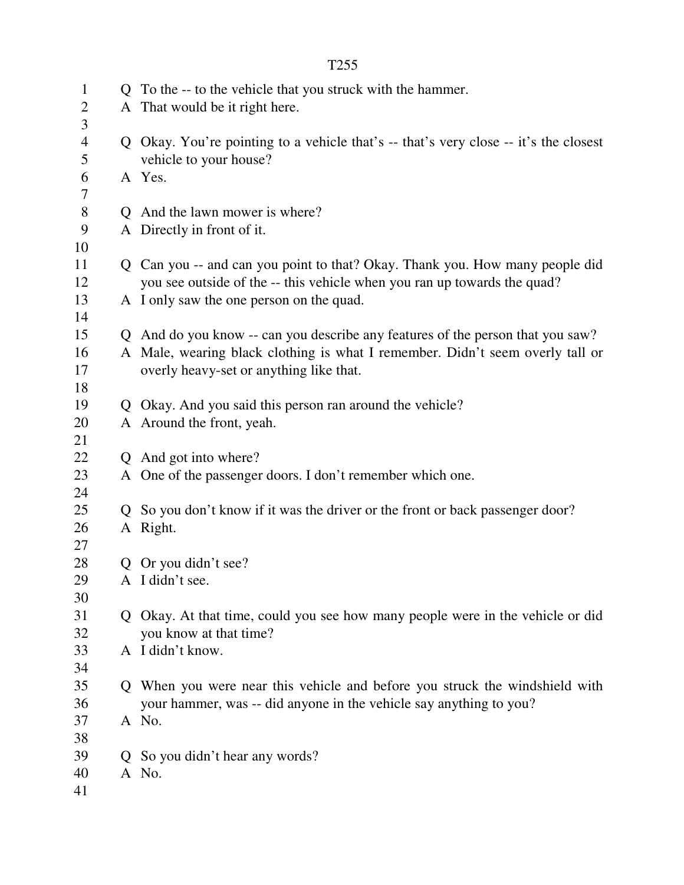| $\overline{2}$<br>A That would be it right here.<br>3<br>$\overline{4}$<br>Q Okay. You're pointing to a vehicle that's -- that's very close -- it's the closest<br>5<br>vehicle to your house?<br>A Yes.<br>6<br>7<br>$8\,$<br>Q And the lawn mower is where?<br>9<br>A Directly in front of it.<br>10<br>Q Can you -- and can you point to that? Okay. Thank you. How many people did<br>11<br>you see outside of the -- this vehicle when you ran up towards the quad?<br>12<br>A I only saw the one person on the quad.<br>13<br>14<br>Q And do you know -- can you describe any features of the person that you saw?<br>15<br>A Male, wearing black clothing is what I remember. Didn't seem overly tall or<br>16<br>17<br>overly heavy-set or anything like that.<br>18<br>19<br>Q Okay. And you said this person ran around the vehicle?<br>A Around the front, yeah.<br>20<br>21<br>22<br>Q And got into where?<br>23<br>A One of the passenger doors. I don't remember which one.<br>24<br>25<br>Q So you don't know if it was the driver or the front or back passenger door?<br>A Right.<br>26<br>27<br>28<br>Q Or you didn't see?<br>29<br>A I didn't see.<br>30<br>31<br>Q Okay. At that time, could you see how many people were in the vehicle or did<br>32<br>you know at that time?<br>A I didn't know.<br>33<br>34<br>35<br>Q When you were near this vehicle and before you struck the windshield with<br>your hammer, was -- did anyone in the vehicle say anything to you?<br>36<br>A No.<br>37<br>38<br>39<br>Q So you didn't hear any words?<br>40<br>A No. | $\mathbf{1}$ | Q To the -- to the vehicle that you struck with the hammer. |
|-----------------------------------------------------------------------------------------------------------------------------------------------------------------------------------------------------------------------------------------------------------------------------------------------------------------------------------------------------------------------------------------------------------------------------------------------------------------------------------------------------------------------------------------------------------------------------------------------------------------------------------------------------------------------------------------------------------------------------------------------------------------------------------------------------------------------------------------------------------------------------------------------------------------------------------------------------------------------------------------------------------------------------------------------------------------------------------------------------------------------------------------------------------------------------------------------------------------------------------------------------------------------------------------------------------------------------------------------------------------------------------------------------------------------------------------------------------------------------------------------------------------------------------------------------------------------------------|--------------|-------------------------------------------------------------|
|                                                                                                                                                                                                                                                                                                                                                                                                                                                                                                                                                                                                                                                                                                                                                                                                                                                                                                                                                                                                                                                                                                                                                                                                                                                                                                                                                                                                                                                                                                                                                                                   |              |                                                             |
|                                                                                                                                                                                                                                                                                                                                                                                                                                                                                                                                                                                                                                                                                                                                                                                                                                                                                                                                                                                                                                                                                                                                                                                                                                                                                                                                                                                                                                                                                                                                                                                   |              |                                                             |
|                                                                                                                                                                                                                                                                                                                                                                                                                                                                                                                                                                                                                                                                                                                                                                                                                                                                                                                                                                                                                                                                                                                                                                                                                                                                                                                                                                                                                                                                                                                                                                                   |              |                                                             |
|                                                                                                                                                                                                                                                                                                                                                                                                                                                                                                                                                                                                                                                                                                                                                                                                                                                                                                                                                                                                                                                                                                                                                                                                                                                                                                                                                                                                                                                                                                                                                                                   |              |                                                             |
|                                                                                                                                                                                                                                                                                                                                                                                                                                                                                                                                                                                                                                                                                                                                                                                                                                                                                                                                                                                                                                                                                                                                                                                                                                                                                                                                                                                                                                                                                                                                                                                   |              |                                                             |
|                                                                                                                                                                                                                                                                                                                                                                                                                                                                                                                                                                                                                                                                                                                                                                                                                                                                                                                                                                                                                                                                                                                                                                                                                                                                                                                                                                                                                                                                                                                                                                                   |              |                                                             |
|                                                                                                                                                                                                                                                                                                                                                                                                                                                                                                                                                                                                                                                                                                                                                                                                                                                                                                                                                                                                                                                                                                                                                                                                                                                                                                                                                                                                                                                                                                                                                                                   |              |                                                             |
|                                                                                                                                                                                                                                                                                                                                                                                                                                                                                                                                                                                                                                                                                                                                                                                                                                                                                                                                                                                                                                                                                                                                                                                                                                                                                                                                                                                                                                                                                                                                                                                   |              |                                                             |
|                                                                                                                                                                                                                                                                                                                                                                                                                                                                                                                                                                                                                                                                                                                                                                                                                                                                                                                                                                                                                                                                                                                                                                                                                                                                                                                                                                                                                                                                                                                                                                                   |              |                                                             |
|                                                                                                                                                                                                                                                                                                                                                                                                                                                                                                                                                                                                                                                                                                                                                                                                                                                                                                                                                                                                                                                                                                                                                                                                                                                                                                                                                                                                                                                                                                                                                                                   |              |                                                             |
|                                                                                                                                                                                                                                                                                                                                                                                                                                                                                                                                                                                                                                                                                                                                                                                                                                                                                                                                                                                                                                                                                                                                                                                                                                                                                                                                                                                                                                                                                                                                                                                   |              |                                                             |
|                                                                                                                                                                                                                                                                                                                                                                                                                                                                                                                                                                                                                                                                                                                                                                                                                                                                                                                                                                                                                                                                                                                                                                                                                                                                                                                                                                                                                                                                                                                                                                                   |              |                                                             |
|                                                                                                                                                                                                                                                                                                                                                                                                                                                                                                                                                                                                                                                                                                                                                                                                                                                                                                                                                                                                                                                                                                                                                                                                                                                                                                                                                                                                                                                                                                                                                                                   |              |                                                             |
|                                                                                                                                                                                                                                                                                                                                                                                                                                                                                                                                                                                                                                                                                                                                                                                                                                                                                                                                                                                                                                                                                                                                                                                                                                                                                                                                                                                                                                                                                                                                                                                   |              |                                                             |
|                                                                                                                                                                                                                                                                                                                                                                                                                                                                                                                                                                                                                                                                                                                                                                                                                                                                                                                                                                                                                                                                                                                                                                                                                                                                                                                                                                                                                                                                                                                                                                                   |              |                                                             |
|                                                                                                                                                                                                                                                                                                                                                                                                                                                                                                                                                                                                                                                                                                                                                                                                                                                                                                                                                                                                                                                                                                                                                                                                                                                                                                                                                                                                                                                                                                                                                                                   |              |                                                             |
|                                                                                                                                                                                                                                                                                                                                                                                                                                                                                                                                                                                                                                                                                                                                                                                                                                                                                                                                                                                                                                                                                                                                                                                                                                                                                                                                                                                                                                                                                                                                                                                   |              |                                                             |
|                                                                                                                                                                                                                                                                                                                                                                                                                                                                                                                                                                                                                                                                                                                                                                                                                                                                                                                                                                                                                                                                                                                                                                                                                                                                                                                                                                                                                                                                                                                                                                                   |              |                                                             |
|                                                                                                                                                                                                                                                                                                                                                                                                                                                                                                                                                                                                                                                                                                                                                                                                                                                                                                                                                                                                                                                                                                                                                                                                                                                                                                                                                                                                                                                                                                                                                                                   |              |                                                             |
|                                                                                                                                                                                                                                                                                                                                                                                                                                                                                                                                                                                                                                                                                                                                                                                                                                                                                                                                                                                                                                                                                                                                                                                                                                                                                                                                                                                                                                                                                                                                                                                   |              |                                                             |
|                                                                                                                                                                                                                                                                                                                                                                                                                                                                                                                                                                                                                                                                                                                                                                                                                                                                                                                                                                                                                                                                                                                                                                                                                                                                                                                                                                                                                                                                                                                                                                                   |              |                                                             |
|                                                                                                                                                                                                                                                                                                                                                                                                                                                                                                                                                                                                                                                                                                                                                                                                                                                                                                                                                                                                                                                                                                                                                                                                                                                                                                                                                                                                                                                                                                                                                                                   |              |                                                             |
|                                                                                                                                                                                                                                                                                                                                                                                                                                                                                                                                                                                                                                                                                                                                                                                                                                                                                                                                                                                                                                                                                                                                                                                                                                                                                                                                                                                                                                                                                                                                                                                   |              |                                                             |
|                                                                                                                                                                                                                                                                                                                                                                                                                                                                                                                                                                                                                                                                                                                                                                                                                                                                                                                                                                                                                                                                                                                                                                                                                                                                                                                                                                                                                                                                                                                                                                                   |              |                                                             |
|                                                                                                                                                                                                                                                                                                                                                                                                                                                                                                                                                                                                                                                                                                                                                                                                                                                                                                                                                                                                                                                                                                                                                                                                                                                                                                                                                                                                                                                                                                                                                                                   |              |                                                             |
|                                                                                                                                                                                                                                                                                                                                                                                                                                                                                                                                                                                                                                                                                                                                                                                                                                                                                                                                                                                                                                                                                                                                                                                                                                                                                                                                                                                                                                                                                                                                                                                   |              |                                                             |
|                                                                                                                                                                                                                                                                                                                                                                                                                                                                                                                                                                                                                                                                                                                                                                                                                                                                                                                                                                                                                                                                                                                                                                                                                                                                                                                                                                                                                                                                                                                                                                                   |              |                                                             |
|                                                                                                                                                                                                                                                                                                                                                                                                                                                                                                                                                                                                                                                                                                                                                                                                                                                                                                                                                                                                                                                                                                                                                                                                                                                                                                                                                                                                                                                                                                                                                                                   |              |                                                             |
|                                                                                                                                                                                                                                                                                                                                                                                                                                                                                                                                                                                                                                                                                                                                                                                                                                                                                                                                                                                                                                                                                                                                                                                                                                                                                                                                                                                                                                                                                                                                                                                   |              |                                                             |
|                                                                                                                                                                                                                                                                                                                                                                                                                                                                                                                                                                                                                                                                                                                                                                                                                                                                                                                                                                                                                                                                                                                                                                                                                                                                                                                                                                                                                                                                                                                                                                                   |              |                                                             |
|                                                                                                                                                                                                                                                                                                                                                                                                                                                                                                                                                                                                                                                                                                                                                                                                                                                                                                                                                                                                                                                                                                                                                                                                                                                                                                                                                                                                                                                                                                                                                                                   |              |                                                             |
|                                                                                                                                                                                                                                                                                                                                                                                                                                                                                                                                                                                                                                                                                                                                                                                                                                                                                                                                                                                                                                                                                                                                                                                                                                                                                                                                                                                                                                                                                                                                                                                   |              |                                                             |
|                                                                                                                                                                                                                                                                                                                                                                                                                                                                                                                                                                                                                                                                                                                                                                                                                                                                                                                                                                                                                                                                                                                                                                                                                                                                                                                                                                                                                                                                                                                                                                                   |              |                                                             |
|                                                                                                                                                                                                                                                                                                                                                                                                                                                                                                                                                                                                                                                                                                                                                                                                                                                                                                                                                                                                                                                                                                                                                                                                                                                                                                                                                                                                                                                                                                                                                                                   |              |                                                             |
|                                                                                                                                                                                                                                                                                                                                                                                                                                                                                                                                                                                                                                                                                                                                                                                                                                                                                                                                                                                                                                                                                                                                                                                                                                                                                                                                                                                                                                                                                                                                                                                   |              |                                                             |
|                                                                                                                                                                                                                                                                                                                                                                                                                                                                                                                                                                                                                                                                                                                                                                                                                                                                                                                                                                                                                                                                                                                                                                                                                                                                                                                                                                                                                                                                                                                                                                                   |              |                                                             |
|                                                                                                                                                                                                                                                                                                                                                                                                                                                                                                                                                                                                                                                                                                                                                                                                                                                                                                                                                                                                                                                                                                                                                                                                                                                                                                                                                                                                                                                                                                                                                                                   |              |                                                             |
|                                                                                                                                                                                                                                                                                                                                                                                                                                                                                                                                                                                                                                                                                                                                                                                                                                                                                                                                                                                                                                                                                                                                                                                                                                                                                                                                                                                                                                                                                                                                                                                   |              |                                                             |
| 41                                                                                                                                                                                                                                                                                                                                                                                                                                                                                                                                                                                                                                                                                                                                                                                                                                                                                                                                                                                                                                                                                                                                                                                                                                                                                                                                                                                                                                                                                                                                                                                |              |                                                             |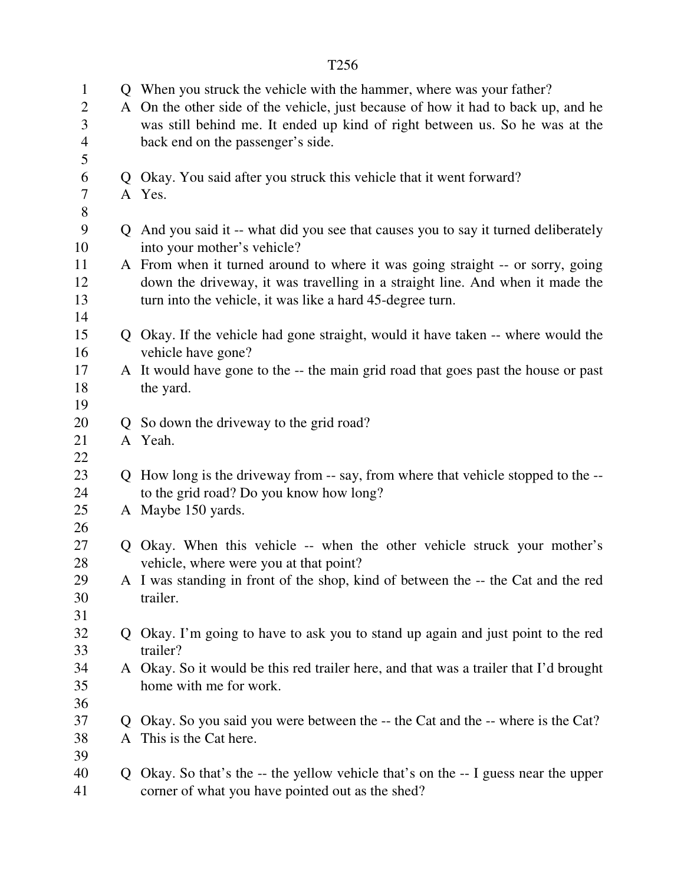| $\mathbf{1}$<br>$\overline{2}$<br>3 |                | Q When you struck the vehicle with the hammer, where was your father?<br>A On the other side of the vehicle, just because of how it had to back up, and he<br>was still behind me. It ended up kind of right between us. So he was at the |
|-------------------------------------|----------------|-------------------------------------------------------------------------------------------------------------------------------------------------------------------------------------------------------------------------------------------|
| $\overline{4}$<br>5                 |                | back end on the passenger's side.                                                                                                                                                                                                         |
| 6                                   |                | Q Okay. You said after you struck this vehicle that it went forward?                                                                                                                                                                      |
| 7                                   |                | A Yes.                                                                                                                                                                                                                                    |
| 8                                   |                |                                                                                                                                                                                                                                           |
| 9                                   |                | Q And you said it -- what did you see that causes you to say it turned deliberately                                                                                                                                                       |
| 10                                  |                | into your mother's vehicle?                                                                                                                                                                                                               |
| 11                                  |                | A From when it turned around to where it was going straight -- or sorry, going                                                                                                                                                            |
| 12                                  |                | down the driveway, it was travelling in a straight line. And when it made the                                                                                                                                                             |
| 13                                  |                | turn into the vehicle, it was like a hard 45-degree turn.                                                                                                                                                                                 |
| 14                                  |                |                                                                                                                                                                                                                                           |
| 15                                  |                | Q Okay. If the vehicle had gone straight, would it have taken -- where would the                                                                                                                                                          |
| 16                                  |                | vehicle have gone?                                                                                                                                                                                                                        |
| 17                                  |                | A It would have gone to the -- the main grid road that goes past the house or past                                                                                                                                                        |
| 18                                  |                | the yard.                                                                                                                                                                                                                                 |
| 19                                  |                |                                                                                                                                                                                                                                           |
| 20                                  |                | Q So down the driveway to the grid road?                                                                                                                                                                                                  |
| 21<br>22                            |                | A Yeah.                                                                                                                                                                                                                                   |
| 23                                  |                | Q How long is the driveway from -- say, from where that vehicle stopped to the --                                                                                                                                                         |
| 24                                  |                | to the grid road? Do you know how long?                                                                                                                                                                                                   |
| 25                                  |                | A Maybe 150 yards.                                                                                                                                                                                                                        |
| 26                                  |                |                                                                                                                                                                                                                                           |
| 27                                  |                | Q Okay. When this vehicle -- when the other vehicle struck your mother's                                                                                                                                                                  |
| 28                                  |                | vehicle, where were you at that point?                                                                                                                                                                                                    |
| 29                                  |                | A I was standing in front of the shop, kind of between the -- the Cat and the red                                                                                                                                                         |
| 30                                  |                | trailer.                                                                                                                                                                                                                                  |
| 31                                  |                |                                                                                                                                                                                                                                           |
| 32                                  |                | Q Okay. I'm going to have to ask you to stand up again and just point to the red                                                                                                                                                          |
| 33                                  |                | trailer?                                                                                                                                                                                                                                  |
| 34                                  |                | A Okay. So it would be this red trailer here, and that was a trailer that I'd brought                                                                                                                                                     |
| 35                                  |                | home with me for work.                                                                                                                                                                                                                    |
| 36                                  |                |                                                                                                                                                                                                                                           |
| 37                                  | $\mathbf{Q}$   | Okay. So you said you were between the -- the Cat and the -- where is the Cat?                                                                                                                                                            |
| 38                                  |                | A This is the Cat here.                                                                                                                                                                                                                   |
| 39                                  |                |                                                                                                                                                                                                                                           |
| 40                                  | $\overline{O}$ | Okay. So that's the -- the yellow vehicle that's on the -- I guess near the upper                                                                                                                                                         |
| 41                                  |                | corner of what you have pointed out as the shed?                                                                                                                                                                                          |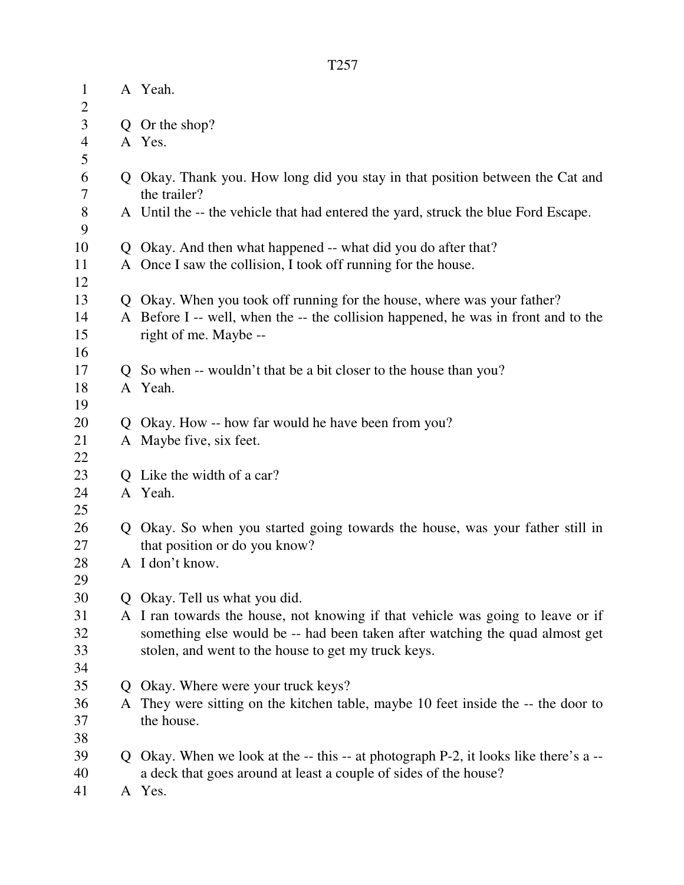| $\mathbf{1}$        |              | A Yeah.                                                                            |
|---------------------|--------------|------------------------------------------------------------------------------------|
| $\overline{2}$<br>3 |              | Q Or the shop?                                                                     |
| $\overline{4}$      |              | A Yes.                                                                             |
| 5                   |              |                                                                                    |
| 6                   |              | Q Okay. Thank you. How long did you stay in that position between the Cat and      |
| 7                   |              | the trailer?                                                                       |
| 8<br>9              |              | A Until the -- the vehicle that had entered the yard, struck the blue Ford Escape. |
| 10                  | Q            | Okay. And then what happened -- what did you do after that?                        |
| 11                  |              | A Once I saw the collision, I took off running for the house.                      |
| 12                  |              |                                                                                    |
| 13                  | Q            | Okay. When you took off running for the house, where was your father?              |
| 14                  |              | A Before I -- well, when the -- the collision happened, he was in front and to the |
| 15                  |              | right of me. Maybe --                                                              |
| 16                  |              |                                                                                    |
| 17                  |              | So when -- wouldn't that be a bit closer to the house than you?                    |
| 18                  |              | A Yeah.                                                                            |
| 19                  |              |                                                                                    |
| 20                  |              | Okay. How -- how far would he have been from you?                                  |
| 21                  |              | A Maybe five, six feet.                                                            |
| 22                  |              |                                                                                    |
| 23                  |              | Like the width of a car?                                                           |
| 24                  |              | A Yeah.                                                                            |
| 25                  |              |                                                                                    |
| 26                  | Q            | Okay. So when you started going towards the house, was your father still in        |
| 27                  |              | that position or do you know?                                                      |
| 28                  |              | A I don't know.                                                                    |
| 29                  |              |                                                                                    |
| 30                  | Q.           | Okay. Tell us what you did.                                                        |
| 31                  |              | A I ran towards the house, not knowing if that vehicle was going to leave or if    |
| 32                  |              | something else would be -- had been taken after watching the quad almost get       |
| 33                  |              | stolen, and went to the house to get my truck keys.                                |
| 34                  |              |                                                                                    |
| 35                  | $\mathsf{O}$ | Okay. Where were your truck keys?                                                  |
| 36                  | A            | They were sitting on the kitchen table, maybe 10 feet inside the -- the door to    |
| 37                  |              | the house.                                                                         |
| 38                  |              |                                                                                    |
| 39                  | Q.           | Okay. When we look at the -- this -- at photograph P-2, it looks like there's a -- |
| 40                  |              | a deck that goes around at least a couple of sides of the house?                   |
| 41                  |              | A Yes.                                                                             |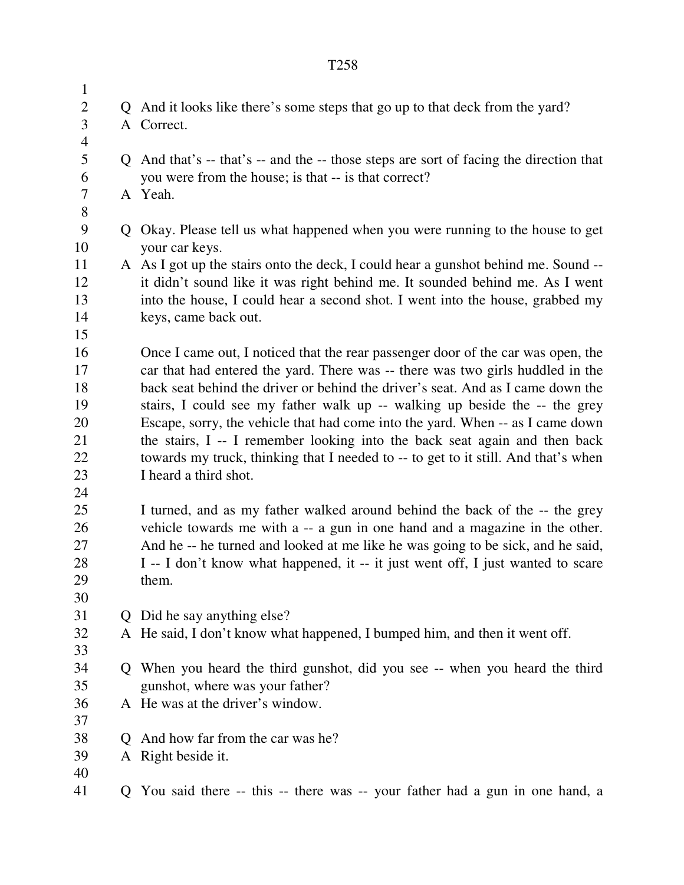1 2 Q And it looks like there's some steps that go up to that deck from the yard? 3 A Correct. 4 5 Q And that's -- that's -- and the -- those steps are sort of facing the direction that 6 you were from the house; is that -- is that correct? 7 A Yeah. 8 9 Q Okay. Please tell us what happened when you were running to the house to get 10 your car keys. 11 A As I got up the stairs onto the deck, I could hear a gunshot behind me. Sound -- 12 it didn't sound like it was right behind me. It sounded behind me. As I went 13 into the house, I could hear a second shot. I went into the house, grabbed my 14 keys, came back out. 15 16 Once I came out, I noticed that the rear passenger door of the car was open, the 17 car that had entered the yard. There was -- there was two girls huddled in the 18 back seat behind the driver or behind the driver's seat. And as I came down the 19 stairs, I could see my father walk up -- walking up beside the -- the grey 20 Escape, sorry, the vehicle that had come into the yard. When -- as I came down 21 the stairs, I -- I remember looking into the back seat again and then back 22 towards my truck, thinking that I needed to -- to get to it still. And that's when 23 I heard a third shot. 24 25 I turned, and as my father walked around behind the back of the -- the grey 26 vehicle towards me with a -- a gun in one hand and a magazine in the other. 27 And he -- he turned and looked at me like he was going to be sick, and he said, 28 I -- I don't know what happened, it -- it just went off, I just wanted to scare 29 them. 30 31 Q Did he say anything else? 32 A He said, I don't know what happened, I bumped him, and then it went off. 33

- 34 Q When you heard the third gunshot, did you see -- when you heard the third 35 gunshot, where was your father?
- 36 A He was at the driver's window.
- 38 Q And how far from the car was he?
- 39 A Right beside it.
- 40

37

41 Q You said there -- this -- there was -- your father had a gun in one hand, a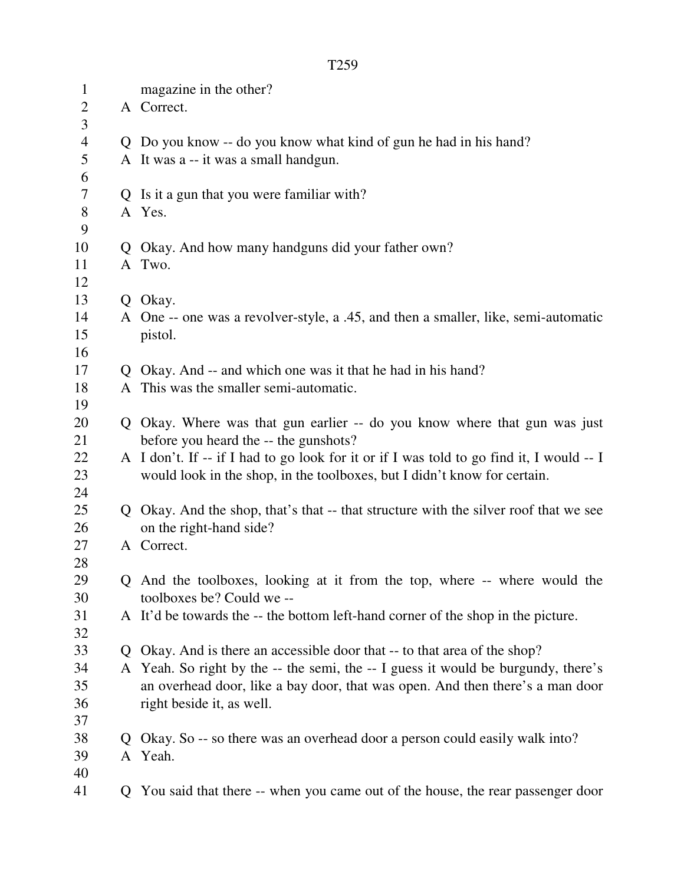| $\mathbf{1}$   |                | magazine in the other?                                                                   |
|----------------|----------------|------------------------------------------------------------------------------------------|
| $\overline{2}$ |                | A Correct.                                                                               |
| 3              |                |                                                                                          |
| $\overline{4}$ |                | Q Do you know -- do you know what kind of gun he had in his hand?                        |
| 5              |                | A It was a -- it was a small handgun.                                                    |
| 6              |                |                                                                                          |
| 7              |                | Q Is it a gun that you were familiar with?                                               |
| $8\,$          |                | A Yes.                                                                                   |
| 9              |                |                                                                                          |
| 10             |                | Q Okay. And how many handguns did your father own?                                       |
| 11             |                | A Two.                                                                                   |
| 12             |                |                                                                                          |
| 13             |                | Q Okay.                                                                                  |
| 14             |                | A One -- one was a revolver-style, a .45, and then a smaller, like, semi-automatic       |
| 15             |                | pistol.                                                                                  |
| 16             |                |                                                                                          |
| 17             |                | Q Okay. And -- and which one was it that he had in his hand?                             |
| 18             |                | A This was the smaller semi-automatic.                                                   |
| 19             |                |                                                                                          |
| 20             |                | Q Okay. Where was that gun earlier -- do you know where that gun was just                |
| 21             |                | before you heard the -- the gunshots?                                                    |
| 22             |                | A I don't. If -- if I had to go look for it or if I was told to go find it, I would -- I |
| 23             |                | would look in the shop, in the toolboxes, but I didn't know for certain.                 |
| 24             |                |                                                                                          |
| 25             |                | Q Okay. And the shop, that's that -- that structure with the silver roof that we see     |
| 26             |                | on the right-hand side?                                                                  |
| 27             |                | A Correct.                                                                               |
| 28             |                |                                                                                          |
| 29             |                | Q And the toolboxes, looking at it from the top, where -- where would the                |
| 30             |                | toolboxes be? Could we --                                                                |
| 31             |                | A It'd be towards the -- the bottom left-hand corner of the shop in the picture.         |
| 32             |                |                                                                                          |
| 33             |                | Q Okay. And is there an accessible door that -- to that area of the shop?                |
| 34             |                | A Yeah. So right by the -- the semi, the -- I guess it would be burgundy, there's        |
| 35             |                | an overhead door, like a bay door, that was open. And then there's a man door            |
| 36             |                | right beside it, as well.                                                                |
| 37             |                |                                                                                          |
| 38             | $\mathsf{O}^-$ | Okay. So -- so there was an overhead door a person could easily walk into?               |
| 39             |                | A Yeah.                                                                                  |
| 40             |                |                                                                                          |
| 41             |                | Q You said that there -- when you came out of the house, the rear passenger door         |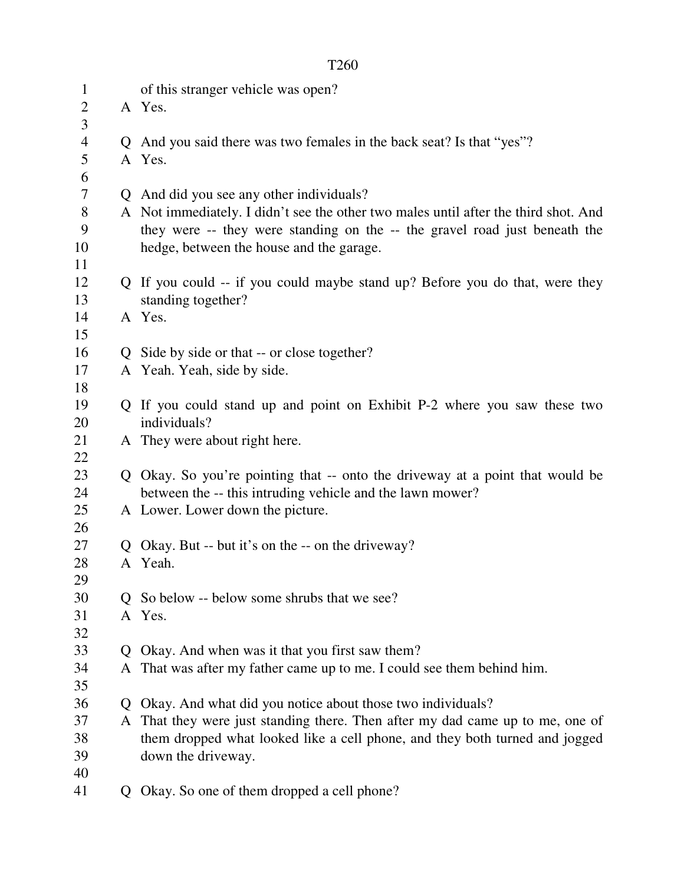| $\mathbf{1}$<br>$\mathbf{2}$ |             | of this stranger vehicle was open?<br>A Yes.                                        |
|------------------------------|-------------|-------------------------------------------------------------------------------------|
| 3                            |             |                                                                                     |
| $\overline{4}$               |             | Q And you said there was two females in the back seat? Is that "yes"?               |
| 5                            |             | A Yes.                                                                              |
| 6                            |             |                                                                                     |
| 7                            |             | Q And did you see any other individuals?                                            |
| $8\,$                        |             | A Not immediately. I didn't see the other two males until after the third shot. And |
| 9                            |             | they were -- they were standing on the -- the gravel road just beneath the          |
| 10                           |             | hedge, between the house and the garage.                                            |
| 11                           |             |                                                                                     |
| 12                           |             | Q If you could -- if you could maybe stand up? Before you do that, were they        |
| 13                           |             | standing together?                                                                  |
| 14                           |             | A Yes.                                                                              |
| 15                           |             |                                                                                     |
| 16                           |             | Q Side by side or that -- or close together?                                        |
| 17                           |             | A Yeah. Yeah, side by side.                                                         |
| 18                           |             |                                                                                     |
| 19                           |             | Q If you could stand up and point on Exhibit P-2 where you saw these two            |
| 20                           |             | individuals?                                                                        |
| 21                           |             | A They were about right here.                                                       |
| 22                           |             |                                                                                     |
| 23                           |             | Q Okay. So you're pointing that -- onto the driveway at a point that would be       |
| 24                           |             | between the -- this intruding vehicle and the lawn mower?                           |
| 25                           |             | A Lower. Lower down the picture.                                                    |
| 26                           |             |                                                                                     |
| 27                           |             | Q Okay. But -- but it's on the -- on the driveway?                                  |
| 28                           |             | A Yeah.                                                                             |
| 29                           |             |                                                                                     |
| 30                           |             | Q So below -- below some shrubs that we see?                                        |
| 31                           |             | A Yes.                                                                              |
| 32                           |             |                                                                                     |
| 33                           | $\mathbf O$ | Okay. And when was it that you first saw them?                                      |
| 34                           |             | A That was after my father came up to me. I could see them behind him.              |
| 35                           |             |                                                                                     |
| 36                           | $\mathbf O$ | Okay. And what did you notice about those two individuals?                          |
| 37                           | A           | That they were just standing there. Then after my dad came up to me, one of         |
| 38                           |             | them dropped what looked like a cell phone, and they both turned and jogged         |
| 39                           |             | down the driveway.                                                                  |
| 40                           |             |                                                                                     |
| 41                           | Q           | Okay. So one of them dropped a cell phone?                                          |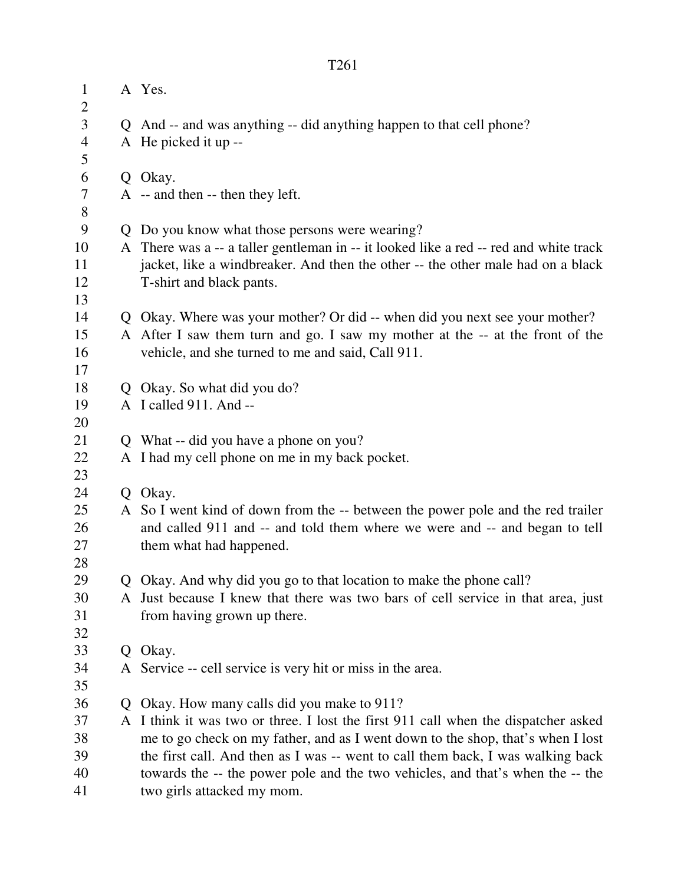| $\mathbf{1}$        |    | A Yes.                                                                                                                                                  |  |  |
|---------------------|----|---------------------------------------------------------------------------------------------------------------------------------------------------------|--|--|
| $\overline{2}$<br>3 |    |                                                                                                                                                         |  |  |
| $\overline{4}$      |    | Q And -- and was anything -- did anything happen to that cell phone?<br>A He picked it up --                                                            |  |  |
| 5                   |    |                                                                                                                                                         |  |  |
| 6                   |    | Q Okay.                                                                                                                                                 |  |  |
| 7                   |    | A -- and then -- then they left.                                                                                                                        |  |  |
| 8                   |    |                                                                                                                                                         |  |  |
| 9                   | Q  | Do you know what those persons were wearing?                                                                                                            |  |  |
| 10                  |    | A There was a -- a taller gentleman in -- it looked like a red -- red and white track                                                                   |  |  |
| 11                  |    | jacket, like a windbreaker. And then the other -- the other male had on a black                                                                         |  |  |
| 12                  |    | T-shirt and black pants.                                                                                                                                |  |  |
| 13                  |    |                                                                                                                                                         |  |  |
| 14                  |    | Q Okay. Where was your mother? Or did -- when did you next see your mother?                                                                             |  |  |
| 15                  |    | A After I saw them turn and go. I saw my mother at the -- at the front of the                                                                           |  |  |
| 16                  |    | vehicle, and she turned to me and said, Call 911.                                                                                                       |  |  |
| 17                  |    |                                                                                                                                                         |  |  |
| 18                  | Q. | Okay. So what did you do?                                                                                                                               |  |  |
| 19                  |    | A I called 911. And --                                                                                                                                  |  |  |
| 20                  |    |                                                                                                                                                         |  |  |
| 21                  | Q. | What -- did you have a phone on you?                                                                                                                    |  |  |
| 22                  |    | A I had my cell phone on me in my back pocket.                                                                                                          |  |  |
| 23                  |    |                                                                                                                                                         |  |  |
| 24                  |    | Q Okay.                                                                                                                                                 |  |  |
| 25                  |    | A So I went kind of down from the -- between the power pole and the red trailer                                                                         |  |  |
| 26                  |    | and called 911 and -- and told them where we were and -- and began to tell                                                                              |  |  |
| 27                  |    | them what had happened.                                                                                                                                 |  |  |
| 28                  |    |                                                                                                                                                         |  |  |
| 29<br>30            |    | Q Okay. And why did you go to that location to make the phone call?<br>A Just because I knew that there was two bars of cell service in that area, just |  |  |
| 31                  |    | from having grown up there.                                                                                                                             |  |  |
| 32                  |    |                                                                                                                                                         |  |  |
| 33                  | Q  | Okay.                                                                                                                                                   |  |  |
| 34                  |    | A Service -- cell service is very hit or miss in the area.                                                                                              |  |  |
| 35                  |    |                                                                                                                                                         |  |  |
| 36                  |    | Okay. How many calls did you make to 911?                                                                                                               |  |  |
| 37                  | A  | I think it was two or three. I lost the first 911 call when the dispatcher asked                                                                        |  |  |
| 38                  |    | me to go check on my father, and as I went down to the shop, that's when I lost                                                                         |  |  |
| 39                  |    | the first call. And then as I was -- went to call them back, I was walking back                                                                         |  |  |
| 40                  |    | towards the -- the power pole and the two vehicles, and that's when the -- the                                                                          |  |  |
| 41                  |    | two girls attacked my mom.                                                                                                                              |  |  |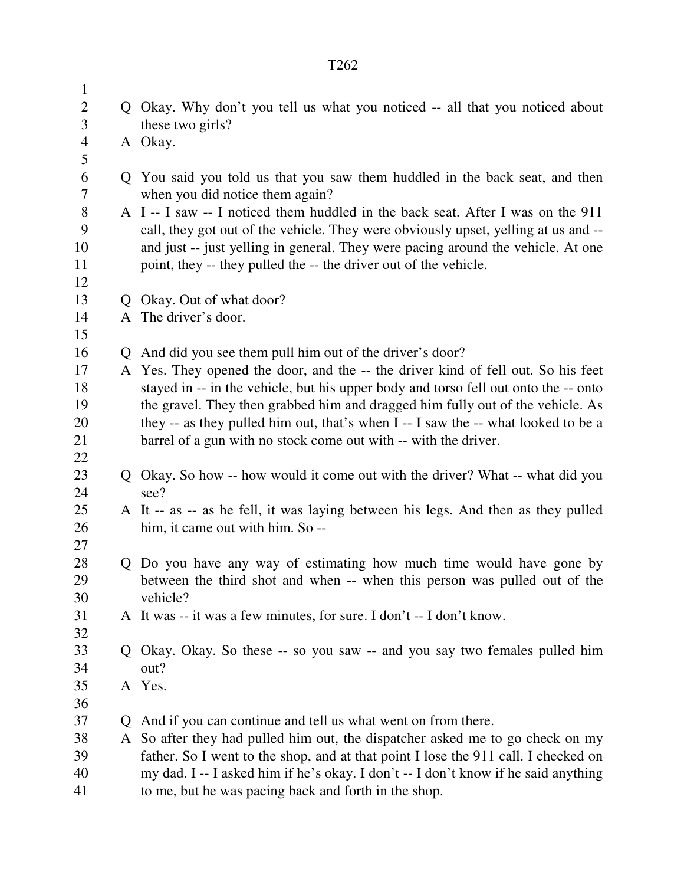2 Q Okay. Why don't you tell us what you noticed -- all that you noticed about 3 these two girls? 4 A Okay. 6 Q You said you told us that you saw them huddled in the back seat, and then 7 when you did notice them again? 8 A I -- I saw -- I noticed them huddled in the back seat. After I was on the 911 9 call, they got out of the vehicle. They were obviously upset, yelling at us and -- 10 and just -- just yelling in general. They were pacing around the vehicle. At one 11 point, they -- they pulled the -- the driver out of the vehicle. 13 Q Okay. Out of what door? 14 A The driver's door. 16 Q And did you see them pull him out of the driver's door? 17 A Yes. They opened the door, and the -- the driver kind of fell out. So his feet 18 stayed in -- in the vehicle, but his upper body and torso fell out onto the -- onto 19 the gravel. They then grabbed him and dragged him fully out of the vehicle. As 20 they -- as they pulled him out, that's when I -- I saw the -- what looked to be a 21 barrel of a gun with no stock come out with -- with the driver. 22 23 Q Okay. So how -- how would it come out with the driver? What -- what did you 24 see? 25 A It -- as -- as he fell, it was laying between his legs. And then as they pulled 26 him, it came out with him. So -- 28 Q Do you have any way of estimating how much time would have gone by 29 between the third shot and when -- when this person was pulled out of the 30 vehicle? 31 A It was -- it was a few minutes, for sure. I don't -- I don't know. 32 33 Q Okay. Okay. So these -- so you saw -- and you say two females pulled him 34 out? 35 A Yes. 37 Q And if you can continue and tell us what went on from there.

38 A So after they had pulled him out, the dispatcher asked me to go check on my 39 father. So I went to the shop, and at that point I lose the 911 call. I checked on 40 my dad. I -- I asked him if he's okay. I don't -- I don't know if he said anything 41 to me, but he was pacing back and forth in the shop.

1

5

12

15

27

36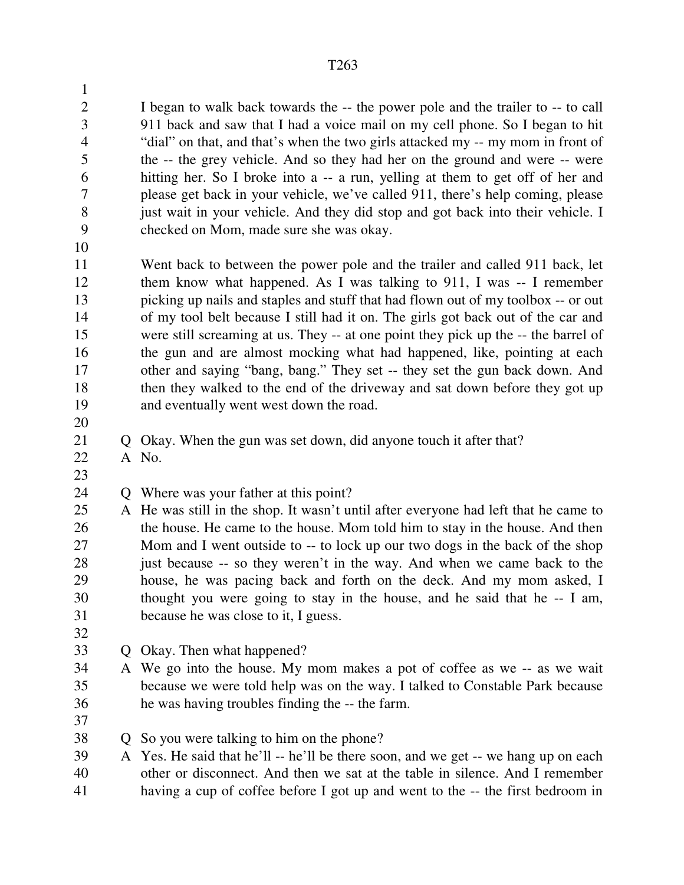2 I began to walk back towards the -- the power pole and the trailer to -- to call 3 911 back and saw that I had a voice mail on my cell phone. So I began to hit 4 "dial" on that, and that's when the two girls attacked my -- my mom in front of 5 the -- the grey vehicle. And so they had her on the ground and were -- were 6 hitting her. So I broke into a -- a run, yelling at them to get off of her and 7 please get back in your vehicle, we've called 911, there's help coming, please 8 just wait in your vehicle. And they did stop and got back into their vehicle. I 9 checked on Mom, made sure she was okay.

10

1

11 Went back to between the power pole and the trailer and called 911 back, let 12 them know what happened. As I was talking to 911, I was -- I remember 13 picking up nails and staples and stuff that had flown out of my toolbox -- or out 14 of my tool belt because I still had it on. The girls got back out of the car and 15 were still screaming at us. They -- at one point they pick up the -- the barrel of 16 the gun and are almost mocking what had happened, like, pointing at each 17 other and saying "bang, bang." They set -- they set the gun back down. And 18 then they walked to the end of the driveway and sat down before they got up 19 and eventually went west down the road.

20

23

21 Q Okay. When the gun was set down, did anyone touch it after that?

22 A No.

24 Q Where was your father at this point?

- 25 A He was still in the shop. It wasn't until after everyone had left that he came to 26 the house. He came to the house. Mom told him to stay in the house. And then 27 Mom and I went outside to -- to lock up our two dogs in the back of the shop 28 just because -- so they weren't in the way. And when we came back to the 29 house, he was pacing back and forth on the deck. And my mom asked, I 30 thought you were going to stay in the house, and he said that he -- I am, 31 because he was close to it, I guess.
- 32
- 33 Q Okay. Then what happened?
- 34 A We go into the house. My mom makes a pot of coffee as we -- as we wait 35 because we were told help was on the way. I talked to Constable Park because 36 he was having troubles finding the -- the farm.
- 37

38 Q So you were talking to him on the phone?

39 A Yes. He said that he'll -- he'll be there soon, and we get -- we hang up on each 40 other or disconnect. And then we sat at the table in silence. And I remember 41 having a cup of coffee before I got up and went to the -- the first bedroom in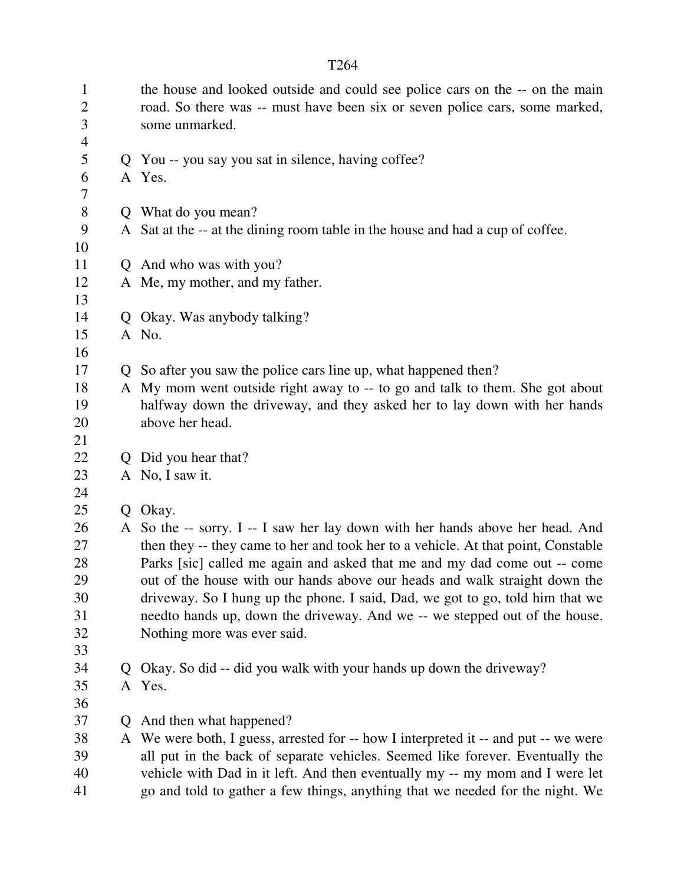| $\mathbf{1}$<br>$\overline{2}$<br>3<br>$\overline{4}$ |              | the house and looked outside and could see police cars on the -- on the main<br>road. So there was -- must have been six or seven police cars, some marked,<br>some unmarked. |
|-------------------------------------------------------|--------------|-------------------------------------------------------------------------------------------------------------------------------------------------------------------------------|
| 5<br>6                                                |              | Q You -- you say you sat in silence, having coffee?<br>A Yes.                                                                                                                 |
| 7<br>$8\,$                                            |              |                                                                                                                                                                               |
| 9                                                     |              | Q What do you mean?<br>A Sat at the -- at the dining room table in the house and had a cup of coffee.                                                                         |
| 10                                                    |              |                                                                                                                                                                               |
| 11                                                    |              | Q And who was with you?                                                                                                                                                       |
| 12                                                    |              | A Me, my mother, and my father.                                                                                                                                               |
| 13                                                    |              |                                                                                                                                                                               |
| 14                                                    |              | Q Okay. Was anybody talking?                                                                                                                                                  |
| 15                                                    |              | A No.                                                                                                                                                                         |
| 16                                                    |              |                                                                                                                                                                               |
| 17                                                    |              | Q So after you saw the police cars line up, what happened then?                                                                                                               |
| 18                                                    |              | A My mom went outside right away to -- to go and talk to them. She got about                                                                                                  |
| 19                                                    |              | halfway down the driveway, and they asked her to lay down with her hands                                                                                                      |
| 20                                                    |              | above her head.                                                                                                                                                               |
| 21                                                    |              |                                                                                                                                                                               |
| 22                                                    |              | Q Did you hear that?                                                                                                                                                          |
| 23                                                    |              | A No, I saw it.                                                                                                                                                               |
| 24                                                    |              |                                                                                                                                                                               |
| 25                                                    |              | Q Okay.                                                                                                                                                                       |
| 26<br>27                                              |              | A So the -- sorry. I -- I saw her lay down with her hands above her head. And<br>then they -- they came to her and took her to a vehicle. At that point, Constable            |
| 28                                                    |              | Parks [sic] called me again and asked that me and my dad come out -- come                                                                                                     |
| 29                                                    |              | out of the house with our hands above our heads and walk straight down the                                                                                                    |
| 30                                                    |              | driveway. So I hung up the phone. I said, Dad, we got to go, told him that we                                                                                                 |
| 31                                                    |              | needto hands up, down the driveway. And we -- we stepped out of the house.                                                                                                    |
| 32                                                    |              | Nothing more was ever said.                                                                                                                                                   |
| 33                                                    |              |                                                                                                                                                                               |
| 34                                                    | $\mathsf{O}$ | Okay. So did -- did you walk with your hands up down the driveway?                                                                                                            |
| 35                                                    |              | A Yes.                                                                                                                                                                        |
| 36                                                    |              |                                                                                                                                                                               |
| 37                                                    | Q.           | And then what happened?                                                                                                                                                       |
| 38                                                    |              | A We were both, I guess, arrested for -- how I interpreted it -- and put -- we were                                                                                           |
| 39                                                    |              | all put in the back of separate vehicles. Seemed like forever. Eventually the                                                                                                 |
| 40                                                    |              | vehicle with Dad in it left. And then eventually my -- my mom and I were let                                                                                                  |
| 41                                                    |              | go and told to gather a few things, anything that we needed for the night. We                                                                                                 |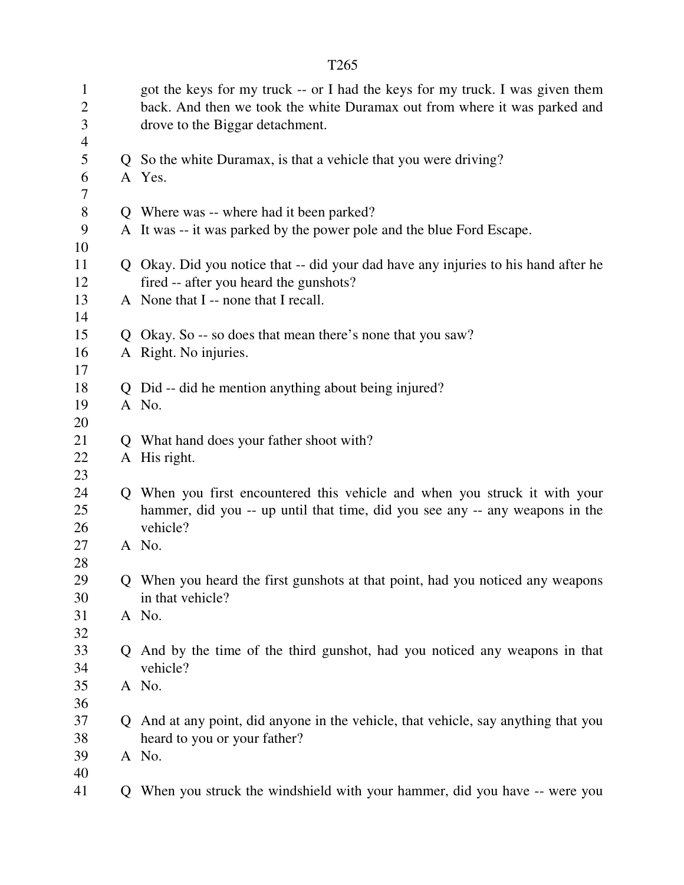| $\mathbf{1}$<br>$\overline{2}$<br>3<br>$\overline{4}$ | got the keys for my truck -- or I had the keys for my truck. I was given them<br>back. And then we took the white Duramax out from where it was parked and<br>drove to the Biggar detachment. |
|-------------------------------------------------------|-----------------------------------------------------------------------------------------------------------------------------------------------------------------------------------------------|
| 5                                                     | Q So the white Duramax, is that a vehicle that you were driving?                                                                                                                              |
| 6<br>$\tau$                                           | A Yes.                                                                                                                                                                                        |
| 8                                                     | Q Where was -- where had it been parked?                                                                                                                                                      |
| 9                                                     | A It was -- it was parked by the power pole and the blue Ford Escape.                                                                                                                         |
| 10                                                    |                                                                                                                                                                                               |
| 11                                                    | Q Okay. Did you notice that -- did your dad have any injuries to his hand after he                                                                                                            |
| 12                                                    | fired -- after you heard the gunshots?                                                                                                                                                        |
| 13                                                    | A None that I -- none that I recall.                                                                                                                                                          |
| 14                                                    |                                                                                                                                                                                               |
| 15                                                    | Q Okay. So -- so does that mean there's none that you saw?                                                                                                                                    |
| 16                                                    | A Right. No injuries.                                                                                                                                                                         |
| 17                                                    |                                                                                                                                                                                               |
| 18                                                    | Q Did -- did he mention anything about being injured?                                                                                                                                         |
| 19                                                    | A No.                                                                                                                                                                                         |
| 20                                                    |                                                                                                                                                                                               |
| 21                                                    | Q What hand does your father shoot with?                                                                                                                                                      |
| 22                                                    | A His right.                                                                                                                                                                                  |
| 23                                                    |                                                                                                                                                                                               |
| 24                                                    | Q When you first encountered this vehicle and when you struck it with your                                                                                                                    |
| 25                                                    | hammer, did you -- up until that time, did you see any -- any weapons in the                                                                                                                  |
| 26                                                    | vehicle?                                                                                                                                                                                      |
| 27                                                    | A No.                                                                                                                                                                                         |
| 28                                                    |                                                                                                                                                                                               |
| 29                                                    | Q When you heard the first gunshots at that point, had you noticed any weapons                                                                                                                |
| 30                                                    | in that vehicle?                                                                                                                                                                              |
| 31<br>32                                              | A No.                                                                                                                                                                                         |
| 33                                                    | Q And by the time of the third gunshot, had you noticed any weapons in that                                                                                                                   |
| 34                                                    | vehicle?                                                                                                                                                                                      |
| 35                                                    | A No.                                                                                                                                                                                         |
| 36                                                    |                                                                                                                                                                                               |
| 37                                                    | Q And at any point, did anyone in the vehicle, that vehicle, say anything that you                                                                                                            |
| 38                                                    | heard to you or your father?                                                                                                                                                                  |
| 39                                                    | A No.                                                                                                                                                                                         |
| 40                                                    |                                                                                                                                                                                               |
| 41                                                    | Q When you struck the windshield with your hammer, did you have -- were you                                                                                                                   |
|                                                       |                                                                                                                                                                                               |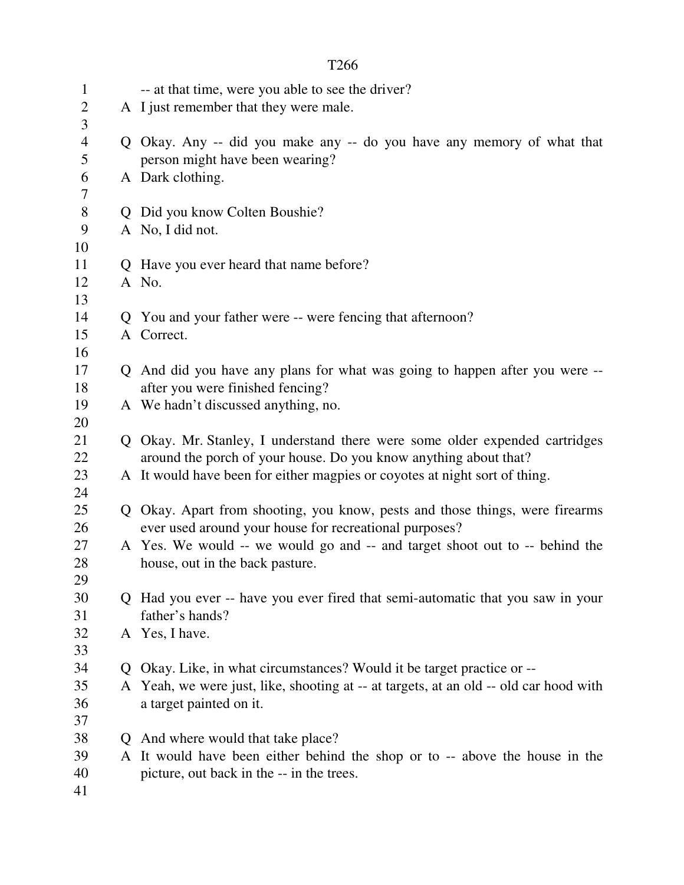| $\mathbf{1}$   |   | -- at that time, were you able to see the driver?                                   |  |
|----------------|---|-------------------------------------------------------------------------------------|--|
| $\overline{2}$ |   | A I just remember that they were male.                                              |  |
| 3              |   |                                                                                     |  |
| $\overline{4}$ |   | Q Okay. Any -- did you make any -- do you have any memory of what that              |  |
| 5              |   | person might have been wearing?                                                     |  |
| 6              |   | A Dark clothing.                                                                    |  |
| 7              |   |                                                                                     |  |
| 8              |   | Did you know Colten Boushie?                                                        |  |
| 9              |   | A No, I did not.                                                                    |  |
| 10             |   |                                                                                     |  |
| 11             |   | Q Have you ever heard that name before?                                             |  |
| 12             |   | A No.                                                                               |  |
| 13             |   |                                                                                     |  |
| 14             |   | Q You and your father were -- were fencing that afternoon?                          |  |
| 15             |   | A Correct.                                                                          |  |
| 16             |   |                                                                                     |  |
| 17             |   | Q And did you have any plans for what was going to happen after you were --         |  |
| 18             |   | after you were finished fencing?                                                    |  |
| 19             |   | A We hadn't discussed anything, no.                                                 |  |
| 20             |   |                                                                                     |  |
| 21             |   | Q Okay. Mr. Stanley, I understand there were some older expended cartridges         |  |
| 22             |   | around the porch of your house. Do you know anything about that?                    |  |
| 23             |   | A It would have been for either magpies or coyotes at night sort of thing.          |  |
| 24             |   |                                                                                     |  |
| 25             | Q | Okay. Apart from shooting, you know, pests and those things, were firearms          |  |
| 26             |   | ever used around your house for recreational purposes?                              |  |
| 27             |   | A Yes. We would -- we would go and -- and target shoot out to -- behind the         |  |
| 28             |   | house, out in the back pasture.                                                     |  |
| 29             |   |                                                                                     |  |
| 30             |   | Had you ever -- have you ever fired that semi-automatic that you saw in your        |  |
| 31             |   | father's hands?                                                                     |  |
| 32<br>33       |   | A Yes, I have.                                                                      |  |
| 34             |   | Okay. Like, in what circumstances? Would it be target practice or --                |  |
| 35             | A | Yeah, we were just, like, shooting at -- at targets, at an old -- old car hood with |  |
| 36             |   | a target painted on it.                                                             |  |
| 37             |   |                                                                                     |  |
| 38             | Ő | And where would that take place?                                                    |  |
| 39             |   | A It would have been either behind the shop or to -- above the house in the         |  |
| 40             |   | picture, out back in the -- in the trees.                                           |  |
| 41             |   |                                                                                     |  |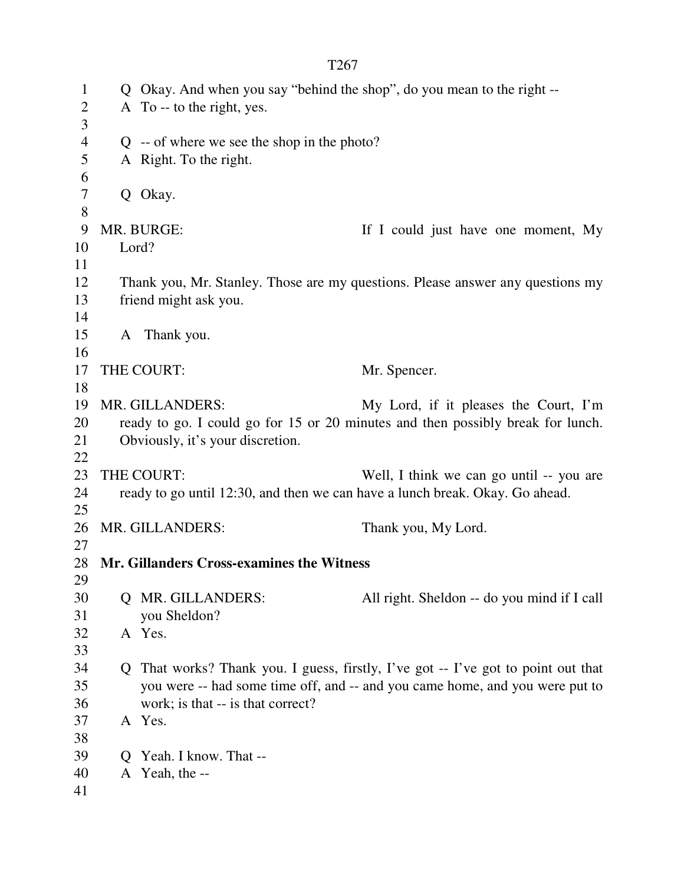| $\mathbf{1}$   |   | Q Okay. And when you say "behind the shop", do you mean to the right -- |                                                                                   |  |
|----------------|---|-------------------------------------------------------------------------|-----------------------------------------------------------------------------------|--|
| $\overline{2}$ |   | A To -- to the right, yes.                                              |                                                                                   |  |
| 3              |   |                                                                         |                                                                                   |  |
| $\overline{4}$ |   | $Q - of$ where we see the shop in the photo?                            |                                                                                   |  |
| $\mathfrak{S}$ |   | A Right. To the right.                                                  |                                                                                   |  |
| 6              |   |                                                                         |                                                                                   |  |
| $\tau$         |   | Q Okay.                                                                 |                                                                                   |  |
| $8\,$          |   |                                                                         |                                                                                   |  |
| 9              |   | MR. BURGE:                                                              | If I could just have one moment, My                                               |  |
| 10             |   | Lord?                                                                   |                                                                                   |  |
| 11             |   |                                                                         |                                                                                   |  |
| 12             |   |                                                                         | Thank you, Mr. Stanley. Those are my questions. Please answer any questions my    |  |
| 13             |   | friend might ask you.                                                   |                                                                                   |  |
| 14             |   |                                                                         |                                                                                   |  |
| 15             |   | A Thank you.                                                            |                                                                                   |  |
| 16             |   |                                                                         |                                                                                   |  |
| 17             |   | THE COURT:                                                              | Mr. Spencer.                                                                      |  |
| 18             |   |                                                                         |                                                                                   |  |
| 19             |   | MR. GILLANDERS:                                                         | My Lord, if it pleases the Court, I'm                                             |  |
| 20             |   |                                                                         | ready to go. I could go for 15 or 20 minutes and then possibly break for lunch.   |  |
| 21             |   | Obviously, it's your discretion.                                        |                                                                                   |  |
| 22             |   |                                                                         |                                                                                   |  |
| 23             |   | THE COURT:                                                              | Well, I think we can go until -- you are                                          |  |
| 24             |   |                                                                         | ready to go until 12:30, and then we can have a lunch break. Okay. Go ahead.      |  |
| 25             |   |                                                                         |                                                                                   |  |
| 26             |   | MR. GILLANDERS:                                                         | Thank you, My Lord.                                                               |  |
| 27             |   |                                                                         |                                                                                   |  |
| 28             |   | Mr. Gillanders Cross-examines the Witness                               |                                                                                   |  |
| 29             |   |                                                                         |                                                                                   |  |
| 30             |   | Q MR. GILLANDERS:                                                       | All right. Sheldon -- do you mind if I call                                       |  |
| 31             |   | you Sheldon?                                                            |                                                                                   |  |
| 32             |   | A Yes.                                                                  |                                                                                   |  |
| 33             |   |                                                                         |                                                                                   |  |
| 34             |   |                                                                         | Q That works? Thank you. I guess, firstly, I've got -- I've got to point out that |  |
| 35             |   |                                                                         | you were -- had some time off, and -- and you came home, and you were put to      |  |
| 36             |   | work; is that -- is that correct?                                       |                                                                                   |  |
| 37             |   | A Yes.                                                                  |                                                                                   |  |
| 38             |   |                                                                         |                                                                                   |  |
| 39             | Ő | Yeah. I know. That --                                                   |                                                                                   |  |
| 40             |   | A Yeah, the --                                                          |                                                                                   |  |
| 41             |   |                                                                         |                                                                                   |  |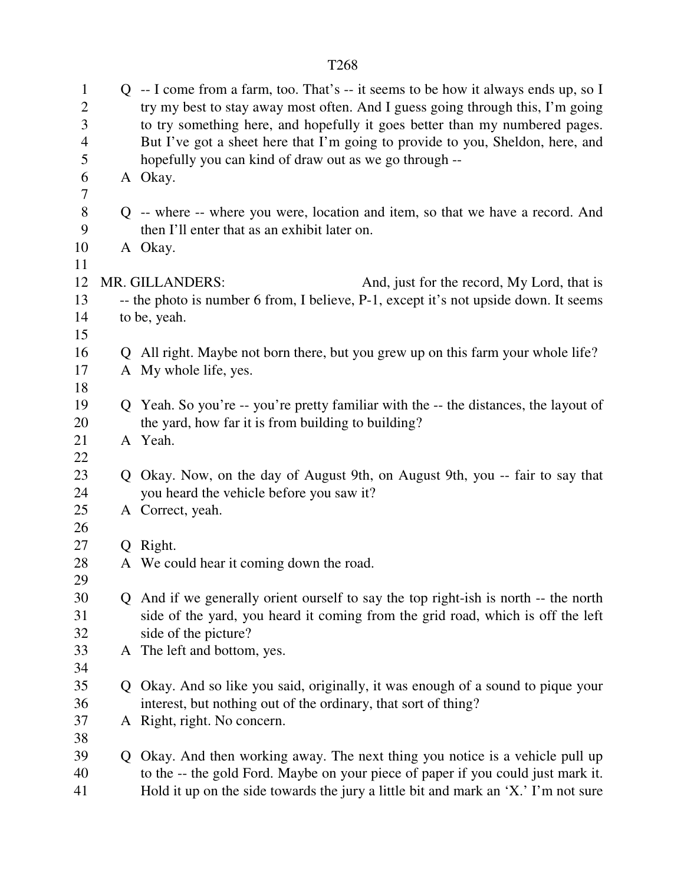| $\mathbf{1}$<br>$\overline{2}$<br>3<br>$\overline{4}$<br>5 | $Q$ -- I come from a farm, too. That's -- it seems to be how it always ends up, so I<br>try my best to stay away most often. And I guess going through this, I'm going<br>to try something here, and hopefully it goes better than my numbered pages.<br>But I've got a sheet here that I'm going to provide to you, Sheldon, here, and<br>hopefully you can kind of draw out as we go through -- |  |  |  |
|------------------------------------------------------------|---------------------------------------------------------------------------------------------------------------------------------------------------------------------------------------------------------------------------------------------------------------------------------------------------------------------------------------------------------------------------------------------------|--|--|--|
| 6<br>7                                                     | A Okay.                                                                                                                                                                                                                                                                                                                                                                                           |  |  |  |
| 8<br>9                                                     | Q -- where -- where you were, location and item, so that we have a record. And<br>then I'll enter that as an exhibit later on.                                                                                                                                                                                                                                                                    |  |  |  |
| 10<br>11                                                   | A Okay.                                                                                                                                                                                                                                                                                                                                                                                           |  |  |  |
| 12                                                         | MR. GILLANDERS:<br>And, just for the record, My Lord, that is                                                                                                                                                                                                                                                                                                                                     |  |  |  |
| 13                                                         | -- the photo is number 6 from, I believe, P-1, except it's not upside down. It seems                                                                                                                                                                                                                                                                                                              |  |  |  |
| 14                                                         | to be, yeah.                                                                                                                                                                                                                                                                                                                                                                                      |  |  |  |
| 15                                                         |                                                                                                                                                                                                                                                                                                                                                                                                   |  |  |  |
| 16                                                         | Q All right. Maybe not born there, but you grew up on this farm your whole life?                                                                                                                                                                                                                                                                                                                  |  |  |  |
| 17                                                         | A My whole life, yes.                                                                                                                                                                                                                                                                                                                                                                             |  |  |  |
| 18                                                         |                                                                                                                                                                                                                                                                                                                                                                                                   |  |  |  |
| 19                                                         | Q Yeah. So you're -- you're pretty familiar with the -- the distances, the layout of                                                                                                                                                                                                                                                                                                              |  |  |  |
| 20                                                         | the yard, how far it is from building to building?                                                                                                                                                                                                                                                                                                                                                |  |  |  |
| 21                                                         | A Yeah.                                                                                                                                                                                                                                                                                                                                                                                           |  |  |  |
| 22                                                         |                                                                                                                                                                                                                                                                                                                                                                                                   |  |  |  |
| 23<br>24                                                   | Q Okay. Now, on the day of August 9th, on August 9th, you -- fair to say that<br>you heard the vehicle before you saw it?                                                                                                                                                                                                                                                                         |  |  |  |
| 25                                                         | A Correct, yeah.                                                                                                                                                                                                                                                                                                                                                                                  |  |  |  |
| 26                                                         |                                                                                                                                                                                                                                                                                                                                                                                                   |  |  |  |
| 27                                                         | Q Right.                                                                                                                                                                                                                                                                                                                                                                                          |  |  |  |
| 28                                                         | A We could hear it coming down the road.                                                                                                                                                                                                                                                                                                                                                          |  |  |  |
| 29                                                         |                                                                                                                                                                                                                                                                                                                                                                                                   |  |  |  |
| 30                                                         | Q And if we generally orient ourself to say the top right-ish is north -- the north                                                                                                                                                                                                                                                                                                               |  |  |  |
| 31                                                         | side of the yard, you heard it coming from the grid road, which is off the left                                                                                                                                                                                                                                                                                                                   |  |  |  |
| 32                                                         | side of the picture?                                                                                                                                                                                                                                                                                                                                                                              |  |  |  |
| 33                                                         | A The left and bottom, yes.                                                                                                                                                                                                                                                                                                                                                                       |  |  |  |
| 34                                                         |                                                                                                                                                                                                                                                                                                                                                                                                   |  |  |  |
| 35                                                         | Q Okay. And so like you said, originally, it was enough of a sound to pique your                                                                                                                                                                                                                                                                                                                  |  |  |  |
| 36                                                         | interest, but nothing out of the ordinary, that sort of thing?                                                                                                                                                                                                                                                                                                                                    |  |  |  |
| 37                                                         | A Right, right. No concern.                                                                                                                                                                                                                                                                                                                                                                       |  |  |  |
| 38<br>39                                                   |                                                                                                                                                                                                                                                                                                                                                                                                   |  |  |  |
| 40                                                         | Q Okay. And then working away. The next thing you notice is a vehicle pull up<br>to the -- the gold Ford. Maybe on your piece of paper if you could just mark it.                                                                                                                                                                                                                                 |  |  |  |
|                                                            |                                                                                                                                                                                                                                                                                                                                                                                                   |  |  |  |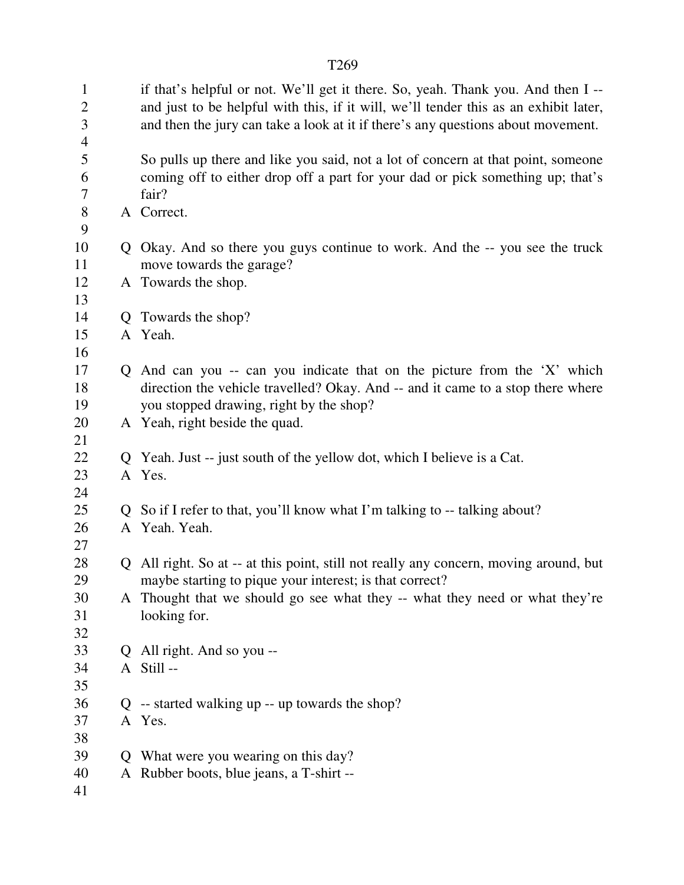| $\mathbf{1}$<br>$\overline{2}$<br>3<br>$\overline{4}$ |   | if that's helpful or not. We'll get it there. So, yeah. Thank you. And then I --<br>and just to be helpful with this, if it will, we'll tender this as an exhibit later,<br>and then the jury can take a look at it if there's any questions about movement. |
|-------------------------------------------------------|---|--------------------------------------------------------------------------------------------------------------------------------------------------------------------------------------------------------------------------------------------------------------|
| 5<br>6<br>7                                           |   | So pulls up there and like you said, not a lot of concern at that point, someone<br>coming off to either drop off a part for your dad or pick something up; that's<br>fair?                                                                                  |
| 8<br>9                                                |   | A Correct.                                                                                                                                                                                                                                                   |
| 10<br>11                                              |   | Q Okay. And so there you guys continue to work. And the -- you see the truck<br>move towards the garage?                                                                                                                                                     |
| 12<br>13                                              |   | A Towards the shop.                                                                                                                                                                                                                                          |
| 14                                                    |   | Q Towards the shop?                                                                                                                                                                                                                                          |
| 15                                                    |   | A Yeah.                                                                                                                                                                                                                                                      |
| 16                                                    |   |                                                                                                                                                                                                                                                              |
| 17                                                    |   | Q And can you -- can you indicate that on the picture from the 'X' which                                                                                                                                                                                     |
| 18                                                    |   | direction the vehicle travelled? Okay. And -- and it came to a stop there where                                                                                                                                                                              |
| 19                                                    |   | you stopped drawing, right by the shop?                                                                                                                                                                                                                      |
| 20                                                    |   | A Yeah, right beside the quad.                                                                                                                                                                                                                               |
| 21                                                    |   |                                                                                                                                                                                                                                                              |
| 22                                                    |   | Q Yeah. Just -- just south of the yellow dot, which I believe is a Cat.                                                                                                                                                                                      |
| 23                                                    |   | A Yes.                                                                                                                                                                                                                                                       |
| 24                                                    |   |                                                                                                                                                                                                                                                              |
| 25                                                    |   | Q So if I refer to that, you'll know what I'm talking to -- talking about?                                                                                                                                                                                   |
| 26                                                    |   | A Yeah. Yeah.                                                                                                                                                                                                                                                |
| 27                                                    |   |                                                                                                                                                                                                                                                              |
| 28                                                    |   | Q All right. So at -- at this point, still not really any concern, moving around, but                                                                                                                                                                        |
| 29                                                    |   | maybe starting to pique your interest; is that correct?                                                                                                                                                                                                      |
| 30                                                    |   | A Thought that we should go see what they -- what they need or what they're                                                                                                                                                                                  |
| 31                                                    |   | looking for.                                                                                                                                                                                                                                                 |
| 32                                                    |   |                                                                                                                                                                                                                                                              |
| 33                                                    |   | Q All right. And so you --<br>A Still --                                                                                                                                                                                                                     |
| 34<br>35                                              |   |                                                                                                                                                                                                                                                              |
| 36                                                    |   | $Q$ -- started walking up -- up towards the shop?                                                                                                                                                                                                            |
| 37                                                    |   | A Yes.                                                                                                                                                                                                                                                       |
| 38                                                    |   |                                                                                                                                                                                                                                                              |
| 39                                                    | O | What were you wearing on this day?                                                                                                                                                                                                                           |
| 40                                                    |   | A Rubber boots, blue jeans, a T-shirt --                                                                                                                                                                                                                     |
| 41                                                    |   |                                                                                                                                                                                                                                                              |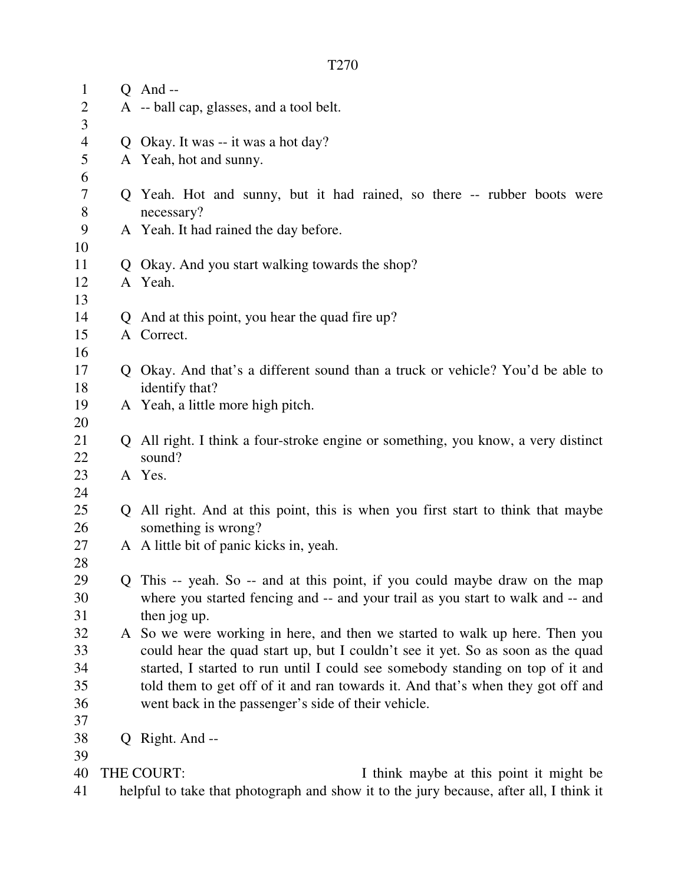| $\mathbf{1}$   |                                                                                        | $Q$ And --                                                                        |  |  |
|----------------|----------------------------------------------------------------------------------------|-----------------------------------------------------------------------------------|--|--|
| $\mathbf{2}$   |                                                                                        | A -- ball cap, glasses, and a tool belt.                                          |  |  |
| 3              |                                                                                        |                                                                                   |  |  |
| $\overline{4}$ |                                                                                        | Q Okay. It was -- it was a hot day?                                               |  |  |
| 5              |                                                                                        | A Yeah, hot and sunny.                                                            |  |  |
| 6              |                                                                                        |                                                                                   |  |  |
| $\overline{7}$ |                                                                                        | Q Yeah. Hot and sunny, but it had rained, so there -- rubber boots were           |  |  |
| $8\,$          |                                                                                        | necessary?                                                                        |  |  |
| 9              |                                                                                        | A Yeah. It had rained the day before.                                             |  |  |
| 10             |                                                                                        |                                                                                   |  |  |
| 11             |                                                                                        | Q Okay. And you start walking towards the shop?                                   |  |  |
| 12             |                                                                                        | A Yeah.                                                                           |  |  |
| 13             |                                                                                        |                                                                                   |  |  |
| 14             |                                                                                        | Q And at this point, you hear the quad fire up?                                   |  |  |
| 15             |                                                                                        | A Correct.                                                                        |  |  |
| 16             |                                                                                        |                                                                                   |  |  |
| 17             |                                                                                        | Q Okay. And that's a different sound than a truck or vehicle? You'd be able to    |  |  |
| 18             |                                                                                        | identify that?                                                                    |  |  |
| 19             |                                                                                        | A Yeah, a little more high pitch.                                                 |  |  |
| 20             |                                                                                        |                                                                                   |  |  |
| 21             |                                                                                        | Q All right. I think a four-stroke engine or something, you know, a very distinct |  |  |
| 22             |                                                                                        | sound?                                                                            |  |  |
| 23             |                                                                                        | A Yes.                                                                            |  |  |
| 24             |                                                                                        |                                                                                   |  |  |
| 25             |                                                                                        | Q All right. And at this point, this is when you first start to think that maybe  |  |  |
| 26             |                                                                                        | something is wrong?                                                               |  |  |
| 27             |                                                                                        | A A little bit of panic kicks in, yeah.                                           |  |  |
| 28             |                                                                                        |                                                                                   |  |  |
| 29             |                                                                                        | Q This -- yeah. So -- and at this point, if you could maybe draw on the map       |  |  |
| 30             |                                                                                        | where you started fencing and -- and your trail as you start to walk and -- and   |  |  |
| 31             |                                                                                        | then jog up.                                                                      |  |  |
| 32             |                                                                                        | A So we were working in here, and then we started to walk up here. Then you       |  |  |
| 33             |                                                                                        | could hear the quad start up, but I couldn't see it yet. So as soon as the quad   |  |  |
| 34             |                                                                                        | started, I started to run until I could see somebody standing on top of it and    |  |  |
| 35             |                                                                                        | told them to get off of it and ran towards it. And that's when they got off and   |  |  |
| 36             |                                                                                        | went back in the passenger's side of their vehicle.                               |  |  |
| 37             |                                                                                        |                                                                                   |  |  |
| 38             |                                                                                        | Q Right. And --                                                                   |  |  |
| 39             |                                                                                        |                                                                                   |  |  |
| 40             | THE COURT:<br>I think maybe at this point it might be                                  |                                                                                   |  |  |
| 41             | helpful to take that photograph and show it to the jury because, after all, I think it |                                                                                   |  |  |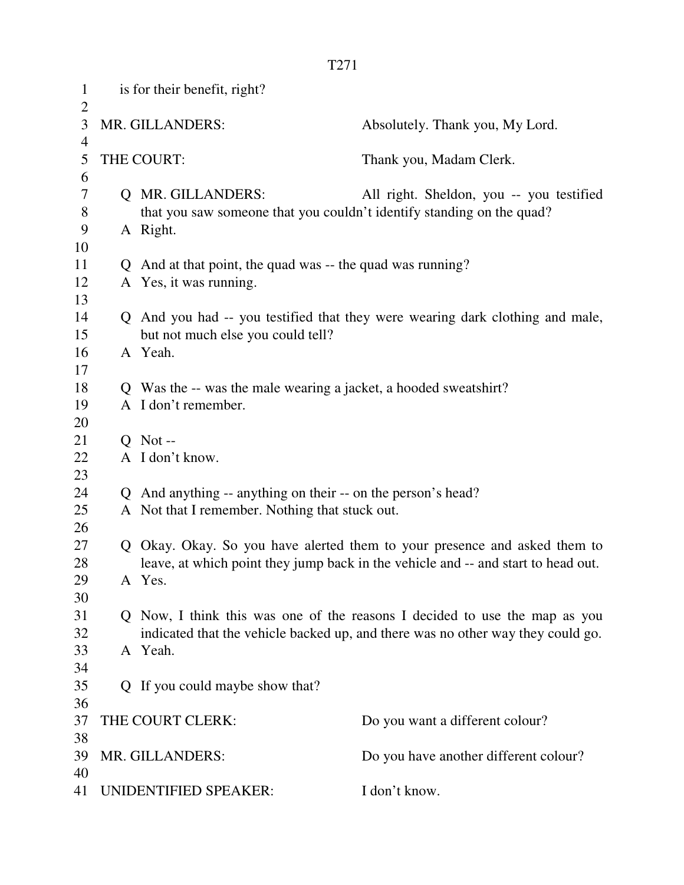| $\mathbf{1}$<br>$\overline{2}$ | is for their benefit, right?                        |                                                                                   |                                                                                 |  |
|--------------------------------|-----------------------------------------------------|-----------------------------------------------------------------------------------|---------------------------------------------------------------------------------|--|
| 3<br>4                         | MR. GILLANDERS:                                     |                                                                                   | Absolutely. Thank you, My Lord.                                                 |  |
| 5<br>6                         | THE COURT:                                          |                                                                                   | Thank you, Madam Clerk.                                                         |  |
| 7                              |                                                     | Q MR. GILLANDERS:                                                                 | All right. Sheldon, you -- you testified                                        |  |
| 8                              |                                                     | that you saw someone that you couldn't identify standing on the quad?             |                                                                                 |  |
| 9                              |                                                     | A Right.                                                                          |                                                                                 |  |
| 10                             |                                                     |                                                                                   |                                                                                 |  |
| 11                             |                                                     | Q And at that point, the quad was -- the quad was running?                        |                                                                                 |  |
| 12                             |                                                     | A Yes, it was running.                                                            |                                                                                 |  |
| 13                             |                                                     |                                                                                   |                                                                                 |  |
| 14                             |                                                     |                                                                                   | Q And you had -- you testified that they were wearing dark clothing and male,   |  |
| 15                             |                                                     | but not much else you could tell?                                                 |                                                                                 |  |
| 16                             |                                                     | A Yeah.                                                                           |                                                                                 |  |
| 17                             |                                                     |                                                                                   |                                                                                 |  |
| 18                             |                                                     | Q Was the -- was the male wearing a jacket, a hooded sweatshirt?                  |                                                                                 |  |
| 19                             |                                                     | A I don't remember.                                                               |                                                                                 |  |
| 20                             |                                                     |                                                                                   |                                                                                 |  |
| 21                             |                                                     | $Q$ Not --                                                                        |                                                                                 |  |
| 22                             |                                                     | A I don't know.                                                                   |                                                                                 |  |
| 23                             |                                                     |                                                                                   |                                                                                 |  |
| 24                             |                                                     | Q And anything -- anything on their -- on the person's head?                      |                                                                                 |  |
| 25                             |                                                     | A Not that I remember. Nothing that stuck out.                                    |                                                                                 |  |
| 26                             |                                                     |                                                                                   |                                                                                 |  |
| 27                             |                                                     | Q Okay. Okay. So you have alerted them to your presence and asked them to         |                                                                                 |  |
| 28                             |                                                     | leave, at which point they jump back in the vehicle and -- and start to head out. |                                                                                 |  |
| 29                             |                                                     | A Yes.                                                                            |                                                                                 |  |
| 30                             |                                                     |                                                                                   |                                                                                 |  |
| 31                             |                                                     |                                                                                   | Q Now, I think this was one of the reasons I decided to use the map as you      |  |
| 32                             |                                                     |                                                                                   | indicated that the vehicle backed up, and there was no other way they could go. |  |
| 33<br>34                       |                                                     | A Yeah.                                                                           |                                                                                 |  |
| 35                             |                                                     |                                                                                   |                                                                                 |  |
| 36                             |                                                     | Q If you could maybe show that?                                                   |                                                                                 |  |
| 37                             | THE COURT CLERK:<br>Do you want a different colour? |                                                                                   |                                                                                 |  |
| 38                             |                                                     |                                                                                   |                                                                                 |  |
| 39                             |                                                     | MR. GILLANDERS:                                                                   | Do you have another different colour?                                           |  |
| 40                             |                                                     |                                                                                   |                                                                                 |  |
| 41                             | UNIDENTIFIED SPEAKER:                               |                                                                                   | I don't know.                                                                   |  |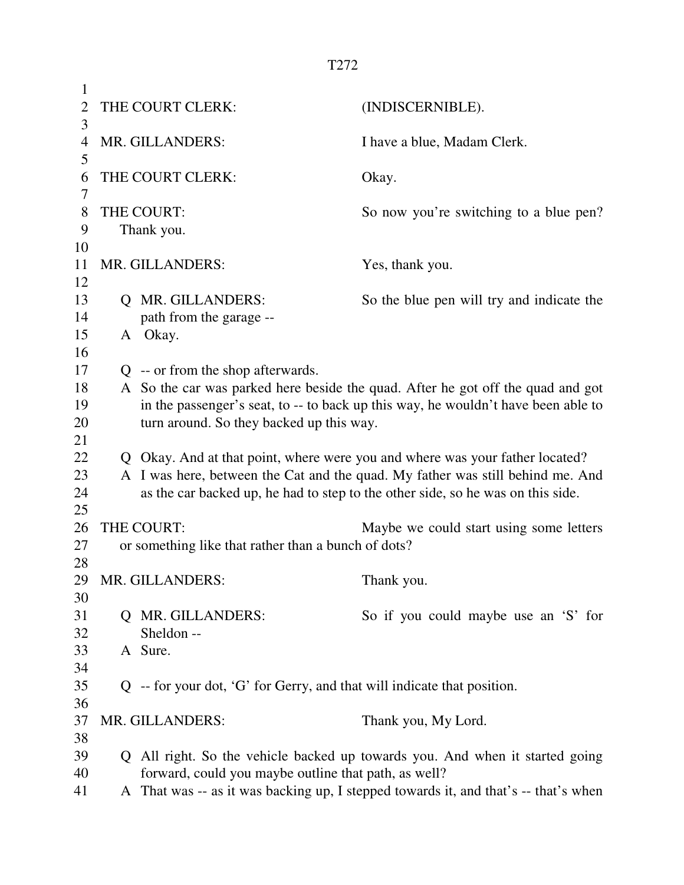| 1              |                                                                           |                                                                                     |
|----------------|---------------------------------------------------------------------------|-------------------------------------------------------------------------------------|
| $\overline{2}$ | THE COURT CLERK:                                                          | (INDISCERNIBLE).                                                                    |
| 3              |                                                                           |                                                                                     |
| 4              | MR. GILLANDERS:                                                           | I have a blue, Madam Clerk.                                                         |
| 5              |                                                                           |                                                                                     |
| 6              | THE COURT CLERK:                                                          | Okay.                                                                               |
| 7              |                                                                           |                                                                                     |
| 8              | THE COURT:                                                                | So now you're switching to a blue pen?                                              |
| 9              | Thank you.                                                                |                                                                                     |
| 10             |                                                                           |                                                                                     |
| 11             | MR. GILLANDERS:                                                           | Yes, thank you.                                                                     |
| 12             |                                                                           |                                                                                     |
| 13             | Q MR. GILLANDERS:                                                         | So the blue pen will try and indicate the                                           |
| 14             | path from the garage --                                                   |                                                                                     |
| 15             | A Okay.                                                                   |                                                                                     |
| 16             |                                                                           |                                                                                     |
| 17             | Q -- or from the shop afterwards.                                         |                                                                                     |
| 18             |                                                                           | A So the car was parked here beside the quad. After he got off the quad and got     |
| 19             |                                                                           | in the passenger's seat, to -- to back up this way, he wouldn't have been able to   |
| 20             | turn around. So they backed up this way.                                  |                                                                                     |
| 21             |                                                                           |                                                                                     |
| 22             |                                                                           | Q Okay. And at that point, where were you and where was your father located?        |
| 23             |                                                                           | A I was here, between the Cat and the quad. My father was still behind me. And      |
| 24             |                                                                           | as the car backed up, he had to step to the other side, so he was on this side.     |
| 25             |                                                                           |                                                                                     |
| 26             | THE COURT:                                                                | Maybe we could start using some letters                                             |
| 27             | or something like that rather than a bunch of dots?                       |                                                                                     |
| 28             |                                                                           |                                                                                     |
| 29             | MR. GILLANDERS:                                                           | Thank you.                                                                          |
| 30             |                                                                           |                                                                                     |
| 31             | Q MR. GILLANDERS:                                                         | So if you could maybe use an 'S' for                                                |
| 32             | Sheldon --                                                                |                                                                                     |
| 33             | A Sure.                                                                   |                                                                                     |
| 34             |                                                                           |                                                                                     |
| 35             | $Q$ -- for your dot, 'G' for Gerry, and that will indicate that position. |                                                                                     |
| 36             |                                                                           |                                                                                     |
| 37             | MR. GILLANDERS:                                                           | Thank you, My Lord.                                                                 |
| 38             |                                                                           |                                                                                     |
| 39             |                                                                           | Q All right. So the vehicle backed up towards you. And when it started going        |
| 40             | forward, could you maybe outline that path, as well?                      |                                                                                     |
| 41             |                                                                           | A That was -- as it was backing up, I stepped towards it, and that's -- that's when |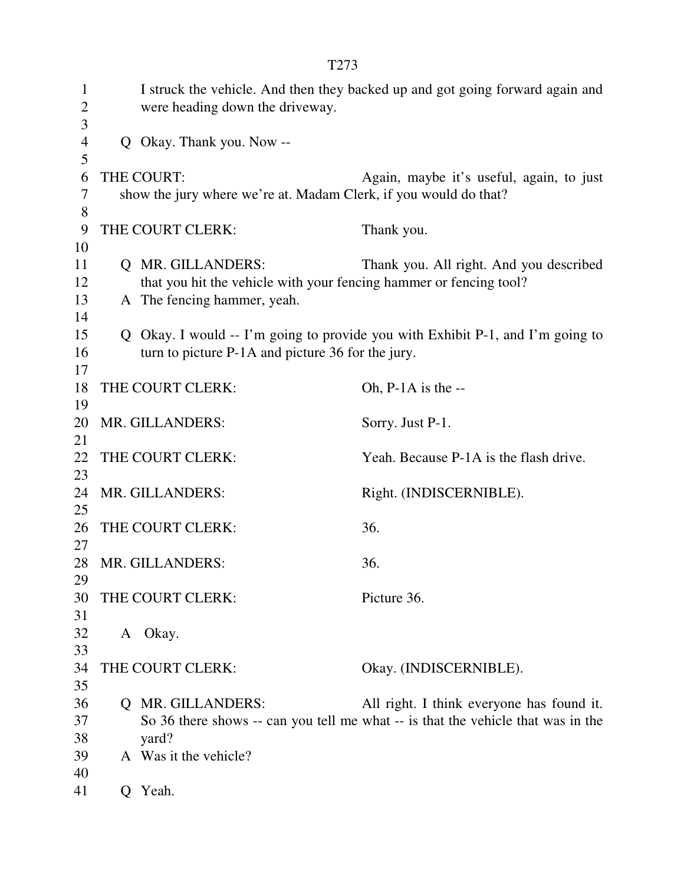| $\mathbf{1}$<br>$\overline{c}$<br>3 |   | were heading down the driveway.                                                                                        | I struck the vehicle. And then they backed up and got going forward again and                                                 |
|-------------------------------------|---|------------------------------------------------------------------------------------------------------------------------|-------------------------------------------------------------------------------------------------------------------------------|
| $\overline{4}$<br>5                 |   | Q Okay. Thank you. Now --                                                                                              |                                                                                                                               |
| 6<br>7                              |   | THE COURT:<br>show the jury where we're at. Madam Clerk, if you would do that?                                         | Again, maybe it's useful, again, to just                                                                                      |
| 8<br>9<br>10                        |   | THE COURT CLERK:                                                                                                       | Thank you.                                                                                                                    |
| 11<br>12<br>13<br>14                |   | Q MR. GILLANDERS:<br>that you hit the vehicle with your fencing hammer or fencing tool?<br>A The fencing hammer, yeah. | Thank you. All right. And you described                                                                                       |
| 15<br>16<br>17                      |   | turn to picture P-1A and picture 36 for the jury.                                                                      | Q Okay. I would $-$ I'm going to provide you with Exhibit P-1, and I'm going to                                               |
| 18<br>19                            |   | THE COURT CLERK:                                                                                                       | Oh, $P-1A$ is the $-$                                                                                                         |
| 20<br>21                            |   | MR. GILLANDERS:                                                                                                        | Sorry. Just P-1.                                                                                                              |
| 22<br>23                            |   | THE COURT CLERK:                                                                                                       | Yeah. Because P-1A is the flash drive.                                                                                        |
| 24<br>25                            |   | MR. GILLANDERS:                                                                                                        | Right. (INDISCERNIBLE).                                                                                                       |
| 26<br>27                            |   | THE COURT CLERK:                                                                                                       | 36.                                                                                                                           |
| 28<br>29                            |   | MR. GILLANDERS:                                                                                                        | 36.                                                                                                                           |
| 30<br>31                            |   | THE COURT CLERK:                                                                                                       | Picture 36.                                                                                                                   |
| 32<br>33                            |   | A Okay.                                                                                                                |                                                                                                                               |
| 34<br>35                            |   | THE COURT CLERK:                                                                                                       | Okay. (INDISCERNIBLE).                                                                                                        |
| 36<br>37<br>38                      |   | Q MR. GILLANDERS:<br>yard?                                                                                             | All right. I think everyone has found it.<br>So 36 there shows -- can you tell me what -- is that the vehicle that was in the |
| 39<br>40                            |   | A Was it the vehicle?                                                                                                  |                                                                                                                               |
| 41                                  | Q | Yeah.                                                                                                                  |                                                                                                                               |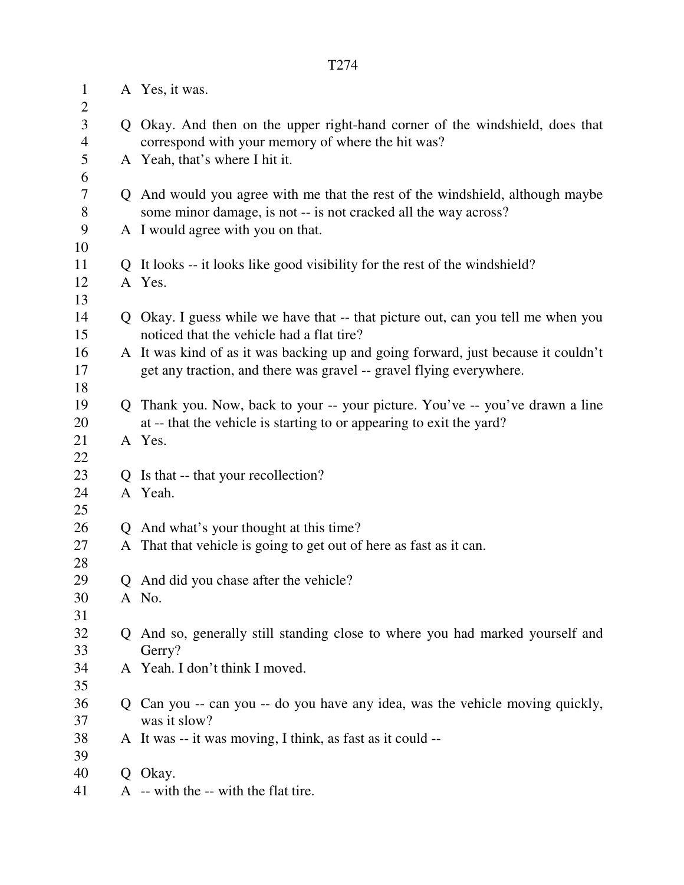| $\mathbf{1}$<br>$\overline{2}$   | A Yes, it was.                                                                                                                    |
|----------------------------------|-----------------------------------------------------------------------------------------------------------------------------------|
| $\mathfrak{Z}$<br>$\overline{4}$ | Q Okay. And then on the upper right-hand corner of the windshield, does that<br>correspond with your memory of where the hit was? |
| $\mathfrak{S}$                   | A Yeah, that's where I hit it.                                                                                                    |
| 6                                |                                                                                                                                   |
| $\overline{7}$<br>$8\,$          | Q And would you agree with me that the rest of the windshield, although maybe                                                     |
| 9                                | some minor damage, is not -- is not cracked all the way across?<br>A I would agree with you on that.                              |
| 10                               |                                                                                                                                   |
| 11                               | Q It looks -- it looks like good visibility for the rest of the windshield?                                                       |
| 12                               | A Yes.                                                                                                                            |
| 13                               |                                                                                                                                   |
| 14<br>15                         | Q Okay. I guess while we have that -- that picture out, can you tell me when you<br>noticed that the vehicle had a flat tire?     |
| 16                               | A It was kind of as it was backing up and going forward, just because it couldn't                                                 |
| 17                               | get any traction, and there was gravel -- gravel flying everywhere.                                                               |
| 18                               |                                                                                                                                   |
| 19                               | Q Thank you. Now, back to your -- your picture. You've -- you've drawn a line                                                     |
| 20                               | at -- that the vehicle is starting to or appearing to exit the yard?                                                              |
| 21                               | A Yes.                                                                                                                            |
| 22                               |                                                                                                                                   |
| 23                               | Q Is that -- that your recollection?                                                                                              |
| 24                               | A Yeah.                                                                                                                           |
| 25                               |                                                                                                                                   |
| 26                               | Q And what's your thought at this time?                                                                                           |
| 27<br>28                         | A That that vehicle is going to get out of here as fast as it can.                                                                |
| 29                               | Q And did you chase after the vehicle?                                                                                            |
| 30                               | A No.                                                                                                                             |
| 31                               |                                                                                                                                   |
| 32                               | Q And so, generally still standing close to where you had marked yourself and                                                     |
| 33                               | Gerry?                                                                                                                            |
| 34                               | A Yeah. I don't think I moved.                                                                                                    |
| 35                               |                                                                                                                                   |
| 36                               | Q Can you -- can you -- do you have any idea, was the vehicle moving quickly,                                                     |
| 37                               | was it slow?                                                                                                                      |
| 38<br>39                         | A It was -- it was moving, I think, as fast as it could --                                                                        |
| 40                               | Q Okay.                                                                                                                           |
| 41                               | A -- with the -- with the flat tire.                                                                                              |
|                                  |                                                                                                                                   |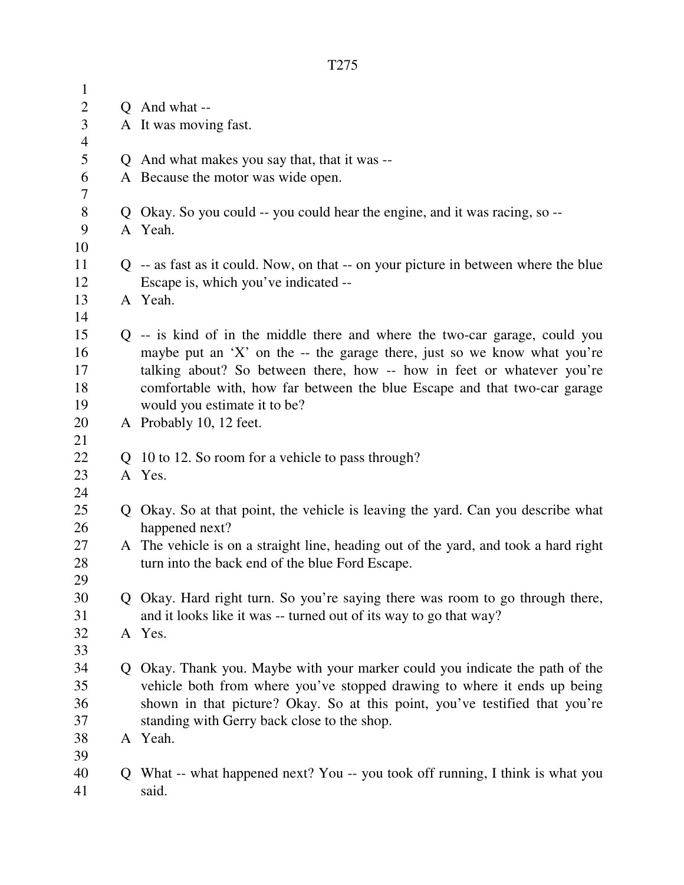| $\mathbf{1}$   |               |                                                                                                                                                         |
|----------------|---------------|---------------------------------------------------------------------------------------------------------------------------------------------------------|
| $\overline{c}$ |               | Q And what --                                                                                                                                           |
| $\mathfrak{Z}$ |               | A It was moving fast.                                                                                                                                   |
| $\overline{4}$ |               |                                                                                                                                                         |
| 5              |               | Q And what makes you say that, that it was --                                                                                                           |
| 6              |               | A Because the motor was wide open.                                                                                                                      |
| 7              |               |                                                                                                                                                         |
| $8\,$          |               | Q Okay. So you could -- you could hear the engine, and it was racing, so --                                                                             |
| 9              |               | A Yeah.                                                                                                                                                 |
| 10             |               |                                                                                                                                                         |
| 11             |               | $Q$ -- as fast as it could. Now, on that -- on your picture in between where the blue                                                                   |
| 12             |               | Escape is, which you've indicated --                                                                                                                    |
| 13             |               | A Yeah.                                                                                                                                                 |
| 14             |               |                                                                                                                                                         |
| 15             |               | $Q$ -- is kind of in the middle there and where the two-car garage, could you                                                                           |
| 16             |               | maybe put an 'X' on the $-$ the garage there, just so we know what you're                                                                               |
| 17             |               | talking about? So between there, how -- how in feet or whatever you're                                                                                  |
| 18             |               | comfortable with, how far between the blue Escape and that two-car garage                                                                               |
| 19             |               | would you estimate it to be?                                                                                                                            |
| 20             |               | A Probably 10, 12 feet.                                                                                                                                 |
|                |               |                                                                                                                                                         |
| 21             |               |                                                                                                                                                         |
| 22             |               | Q 10 to 12. So room for a vehicle to pass through?                                                                                                      |
| 23             |               | A Yes.                                                                                                                                                  |
| 24             |               |                                                                                                                                                         |
| 25             | Q             | Okay. So at that point, the vehicle is leaving the yard. Can you describe what                                                                          |
| 26             |               | happened next?                                                                                                                                          |
| 27             |               | A The vehicle is on a straight line, heading out of the yard, and took a hard right                                                                     |
| 28             |               | turn into the back end of the blue Ford Escape.                                                                                                         |
| 29             |               |                                                                                                                                                         |
| 30             |               | Q Okay. Hard right turn. So you're saying there was room to go through there,                                                                           |
| 31             |               | and it looks like it was -- turned out of its way to go that way?                                                                                       |
| 32<br>33       |               | A Yes.                                                                                                                                                  |
| 34             | $\mathcal{O}$ |                                                                                                                                                         |
| 35             |               | Okay. Thank you. Maybe with your marker could you indicate the path of the                                                                              |
| 36             |               | vehicle both from where you've stopped drawing to where it ends up being<br>shown in that picture? Okay. So at this point, you've testified that you're |
| 37             |               | standing with Gerry back close to the shop.                                                                                                             |
| 38             |               | A Yeah.                                                                                                                                                 |
| 39             |               |                                                                                                                                                         |
| 40             | Q             | What -- what happened next? You -- you took off running, I think is what you                                                                            |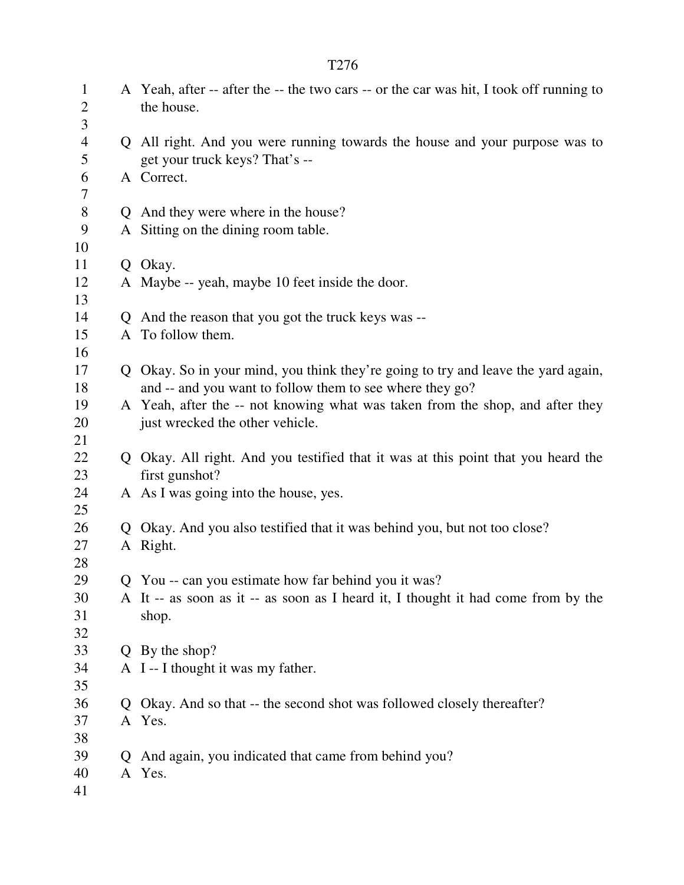| $\mathbf{1}$<br>$\overline{2}$ |    | A Yeah, after -- after the -- the two cars -- or the car was hit, I took off running to<br>the house.         |
|--------------------------------|----|---------------------------------------------------------------------------------------------------------------|
| 3<br>$\overline{4}$<br>5       |    | Q All right. And you were running towards the house and your purpose was to<br>get your truck keys? That's -- |
| 6<br>7                         |    | A Correct.                                                                                                    |
| $8\,$                          |    | Q And they were where in the house?                                                                           |
| 9                              |    | A Sitting on the dining room table.                                                                           |
| 10                             |    |                                                                                                               |
| 11                             |    | Q Okay.                                                                                                       |
| 12                             |    | A Maybe -- yeah, maybe 10 feet inside the door.                                                               |
| 13                             |    |                                                                                                               |
| 14                             |    | Q And the reason that you got the truck keys was --                                                           |
| 15                             |    | A To follow them.                                                                                             |
| 16                             |    |                                                                                                               |
| 17                             |    | Q Okay. So in your mind, you think they're going to try and leave the yard again,                             |
| 18                             |    | and -- and you want to follow them to see where they go?                                                      |
| 19                             |    | A Yeah, after the -- not knowing what was taken from the shop, and after they                                 |
| 20<br>21                       |    | just wrecked the other vehicle.                                                                               |
| 22                             |    | Q Okay. All right. And you testified that it was at this point that you heard the                             |
| 23                             |    | first gunshot?                                                                                                |
| 24                             |    | A As I was going into the house, yes.                                                                         |
| 25                             |    |                                                                                                               |
| 26                             |    | Q Okay. And you also testified that it was behind you, but not too close?                                     |
| 27                             |    | A Right.                                                                                                      |
| 28                             |    |                                                                                                               |
| 29                             |    | Q You -- can you estimate how far behind you it was?                                                          |
| 30                             |    | A It -- as soon as it -- as soon as I heard it, I thought it had come from by the                             |
| 31                             |    | shop.                                                                                                         |
| 32                             |    |                                                                                                               |
| 33                             |    | Q By the shop?                                                                                                |
| 34                             |    | A I--I thought it was my father.                                                                              |
| 35                             |    |                                                                                                               |
| 36                             | Q. | Okay. And so that -- the second shot was followed closely thereafter?                                         |
| 37                             |    | A Yes.                                                                                                        |
| 38                             |    |                                                                                                               |
| 39                             | Q  | And again, you indicated that came from behind you?                                                           |
| 40                             |    | A Yes.                                                                                                        |
| 41                             |    |                                                                                                               |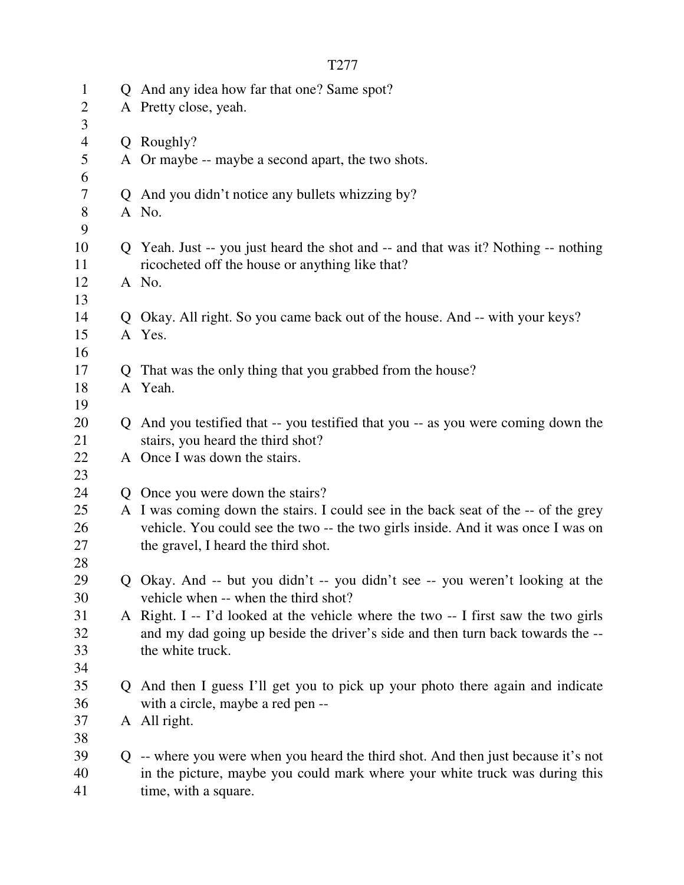|--|

| $\mathbf{1}$        |    | Q And any idea how far that one? Same spot?                                                                           |
|---------------------|----|-----------------------------------------------------------------------------------------------------------------------|
| $\overline{c}$<br>3 |    | A Pretty close, yeah.                                                                                                 |
| $\overline{4}$      |    | Q Roughly?                                                                                                            |
| 5                   |    | A Or maybe -- maybe a second apart, the two shots.                                                                    |
| 6                   |    |                                                                                                                       |
| 7                   |    | Q And you didn't notice any bullets whizzing by?                                                                      |
| $8\,$<br>9          |    | A No.                                                                                                                 |
| 10                  |    | Q Yeah. Just -- you just heard the shot and -- and that was it? Nothing -- nothing                                    |
| 11                  |    | ricocheted off the house or anything like that?                                                                       |
| 12                  |    | A No.                                                                                                                 |
| 13                  |    |                                                                                                                       |
| 14                  |    | Q Okay. All right. So you came back out of the house. And -- with your keys?                                          |
| 15                  |    | A Yes.                                                                                                                |
| 16                  |    |                                                                                                                       |
| 17                  | Q. | That was the only thing that you grabbed from the house?                                                              |
| 18                  |    | A Yeah.                                                                                                               |
| 19                  |    |                                                                                                                       |
| 20                  |    | Q And you testified that -- you testified that you -- as you were coming down the                                     |
| 21                  |    | stairs, you heard the third shot?                                                                                     |
| 22                  |    | A Once I was down the stairs.                                                                                         |
| 23                  |    |                                                                                                                       |
| 24                  |    | Q Once you were down the stairs?                                                                                      |
| 25                  |    | A I was coming down the stairs. I could see in the back seat of the -- of the grey                                    |
| 26                  |    | vehicle. You could see the two -- the two girls inside. And it was once I was on                                      |
| 27                  |    | the gravel, I heard the third shot.                                                                                   |
| 28                  |    |                                                                                                                       |
| 29<br>30            |    | Q Okay. And -- but you didn't -- you didn't see -- you weren't looking at the<br>vehicle when -- when the third shot? |
| 31                  |    | A Right. I -- I'd looked at the vehicle where the two -- I first saw the two girls                                    |
| 32                  |    | and my dad going up beside the driver's side and then turn back towards the --                                        |
| 33                  |    | the white truck.                                                                                                      |
| 34                  |    |                                                                                                                       |
| 35                  |    | Q And then I guess I'll get you to pick up your photo there again and indicate                                        |
| 36                  |    | with a circle, maybe a red pen --                                                                                     |
| 37                  |    | A All right.                                                                                                          |
| 38                  |    |                                                                                                                       |
| 39                  |    | Q -- where you were when you heard the third shot. And then just because it's not                                     |
| 40                  |    | in the picture, maybe you could mark where your white truck was during this                                           |
| 41                  |    | time, with a square.                                                                                                  |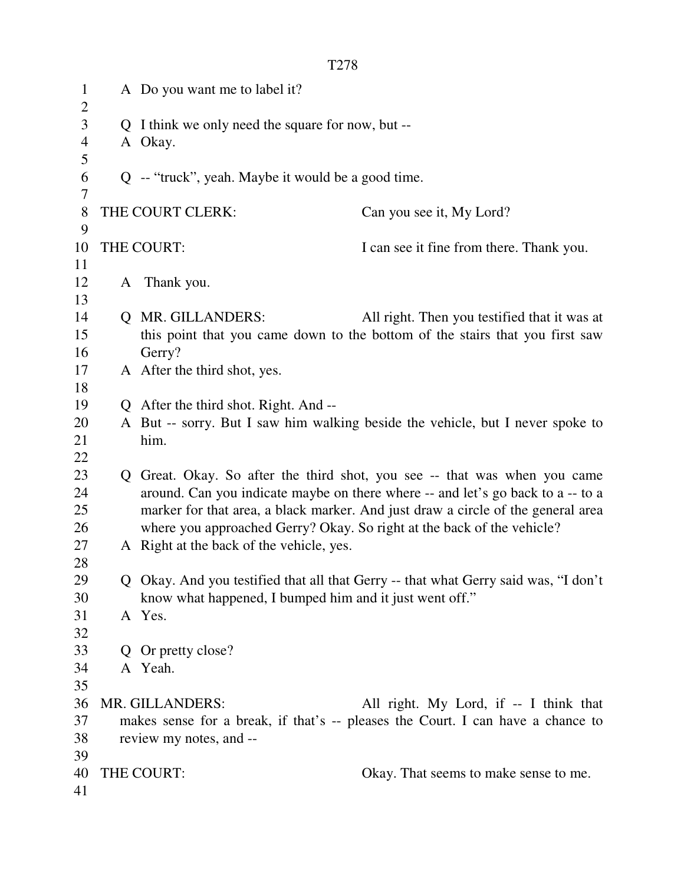| $\mathbf{1}$<br>$\overline{2}$ | A Do you want me to label it?                                                       |                                              |
|--------------------------------|-------------------------------------------------------------------------------------|----------------------------------------------|
| 3                              | Q I think we only need the square for now, but --                                   |                                              |
| $\overline{\mathcal{A}}$       | A Okay.                                                                             |                                              |
| 5                              |                                                                                     |                                              |
| 6                              | Q -- "truck", yeah. Maybe it would be a good time.                                  |                                              |
| 7                              |                                                                                     |                                              |
| 8                              | THE COURT CLERK:                                                                    | Can you see it, My Lord?                     |
| 9                              |                                                                                     |                                              |
| 10                             | THE COURT:                                                                          | I can see it fine from there. Thank you.     |
| 11                             |                                                                                     |                                              |
| 12                             | A Thank you.                                                                        |                                              |
| 13                             |                                                                                     |                                              |
| 14                             | Q MR. GILLANDERS:                                                                   | All right. Then you testified that it was at |
| 15                             | this point that you came down to the bottom of the stairs that you first saw        |                                              |
| 16                             | Gerry?                                                                              |                                              |
| 17                             | A After the third shot, yes.                                                        |                                              |
| 18                             |                                                                                     |                                              |
| 19                             | Q After the third shot. Right. And --                                               |                                              |
| 20                             | A But -- sorry. But I saw him walking beside the vehicle, but I never spoke to      |                                              |
| 21                             | him.                                                                                |                                              |
| 22                             |                                                                                     |                                              |
| 23                             | Q Great. Okay. So after the third shot, you see -- that was when you came           |                                              |
| 24                             | around. Can you indicate maybe on there where -- and let's go back to a -- to a     |                                              |
| 25                             | marker for that area, a black marker. And just draw a circle of the general area    |                                              |
| 26                             | where you approached Gerry? Okay. So right at the back of the vehicle?              |                                              |
| 27                             | A Right at the back of the vehicle, yes.                                            |                                              |
| 28                             |                                                                                     |                                              |
| 29                             | Q Okay. And you testified that all that Gerry -- that what Gerry said was, "I don't |                                              |
| 30                             | know what happened, I bumped him and it just went off."                             |                                              |
| 31                             | A Yes.                                                                              |                                              |
| 32                             |                                                                                     |                                              |
| 33                             | Q Or pretty close?                                                                  |                                              |
| 34                             | A Yeah.                                                                             |                                              |
| 35                             |                                                                                     |                                              |
| 36                             | MR. GILLANDERS:                                                                     | All right. My Lord, if -- I think that       |
| 37                             | makes sense for a break, if that's -- pleases the Court. I can have a chance to     |                                              |
| 38                             | review my notes, and --                                                             |                                              |
| 39                             |                                                                                     |                                              |
| 40                             | THE COURT:                                                                          | Okay. That seems to make sense to me.        |
| 41                             |                                                                                     |                                              |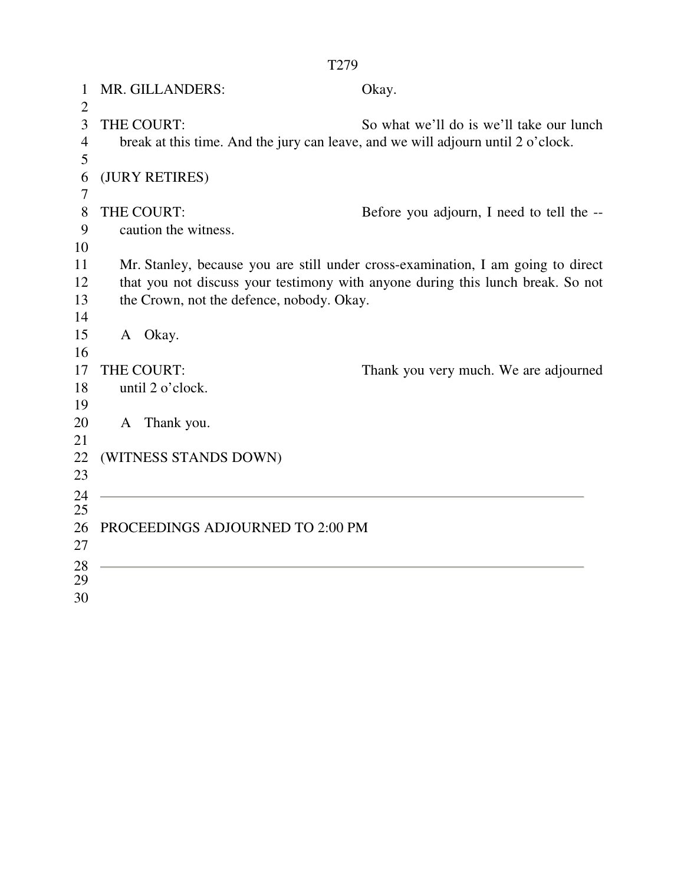1 MR. GILLANDERS: Okay.  $\mathcal{L}$ 3 THE COURT: So what we'll do is we'll take our lunch 4 break at this time. And the jury can leave, and we will adjourn until 2 o'clock. 5 6 (JURY RETIRES) 7 8 THE COURT: Before you adjourn, I need to tell the -- 9 caution the witness. 10 11 Mr. Stanley, because you are still under cross-examination, I am going to direct 12 that you not discuss your testimony with anyone during this lunch break. So not 13 the Crown, not the defence, nobody. Okay. 14 15 A Okay. 16 17 THE COURT: Thank you very much. We are adjourned 18 until 2 o'clock. 19 20 A Thank you. 21 22 (WITNESS STANDS DOWN) 23 24 25 26 PROCEEDINGS ADJOURNED TO 2:00 PM 27 28 29 30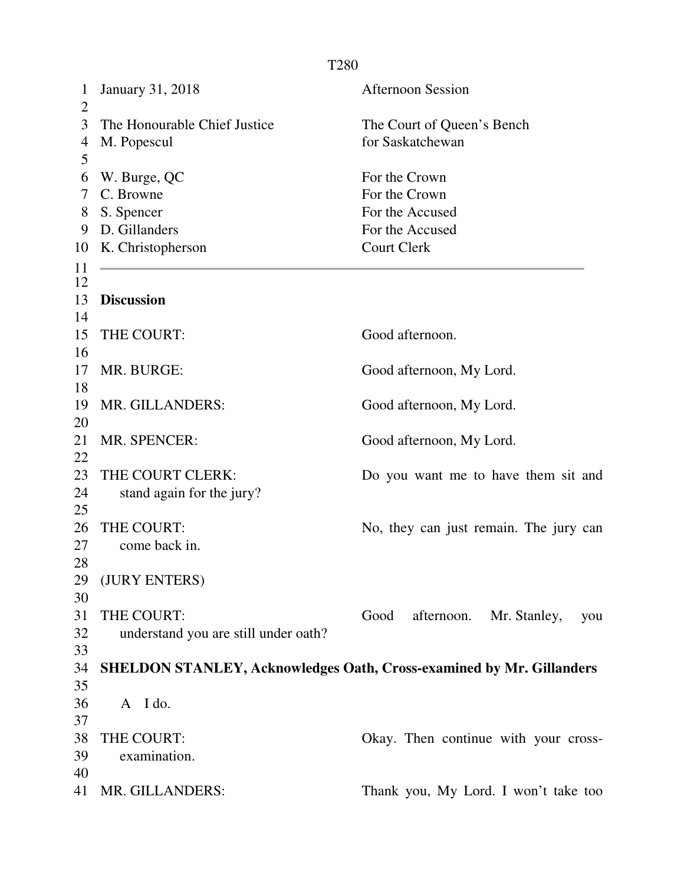1 January 31, 2018 Afternoon Session  $\overline{2}$ 3 The Honourable Chief Justice The Court of Queen's Bench 4 M. Popescul for Saskatchewan 5 6 W. Burge, QC For the Crown 7 C. Browne For the Crown 8 S. Spencer For the Accused 9 D. Gillanders For the Accused 10 K. Christopherson Court Clerk 11 12 13 **Discussion** 14 15 THE COURT: Good afternoon. 16 17 MR. BURGE: Good afternoon, My Lord. 18 19 MR. GILLANDERS: Good afternoon, My Lord. 20 21 MR. SPENCER: Good afternoon, My Lord. 22 23 THE COURT CLERK: Do you want me to have them sit and 24 stand again for the jury? 25 26 THE COURT: No, they can just remain. The jury can 27 come back in. 28 29 (JURY ENTERS) 30 31 THE COURT: Good afternoon. Mr. Stanley, you 32 understand you are still under oath? 33 34 **SHELDON STANLEY, Acknowledges Oath, Cross-examined by Mr. Gillanders**  35 36 A I do. 37 38 THE COURT: Okay. Then continue with your cross-39 examination. 40 41 MR. GILLANDERS: Thank you, My Lord. I won't take too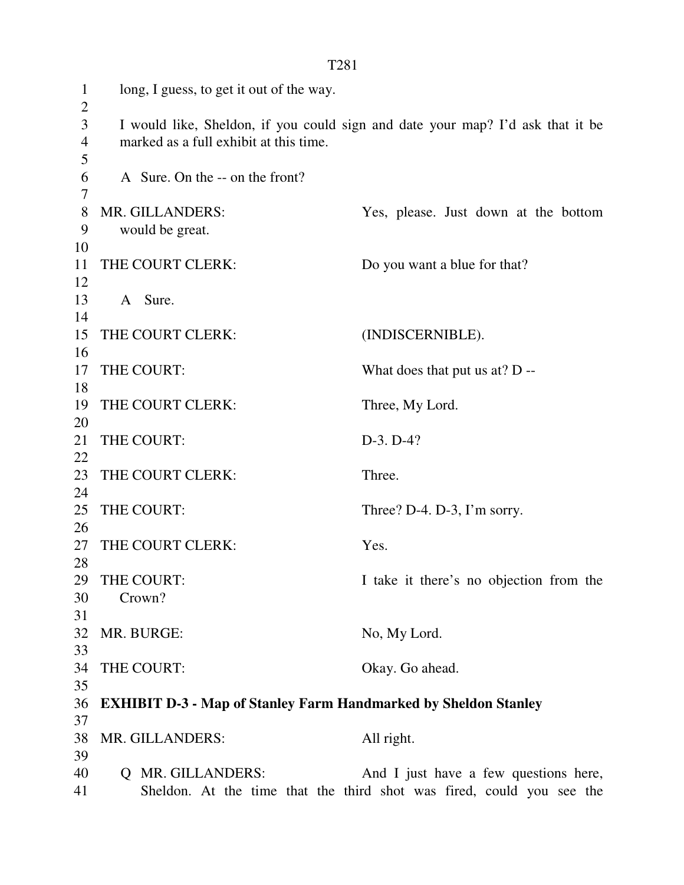1 long, I guess, to get it out of the way.  $\overline{2}$ 3 I would like, Sheldon, if you could sign and date your map? I'd ask that it be 4 marked as a full exhibit at this time. 5 6 A Sure. On the -- on the front? 7 8 MR. GILLANDERS: Yes, please. Just down at the bottom 9 would be great. 10 11 THE COURT CLERK: Do you want a blue for that? 12 13 A Sure. 14 15 THE COURT CLERK: (INDISCERNIBLE). 16 17 THE COURT: What does that put us at? D --18 19 THE COURT CLERK: Three, My Lord. 20 21 THE COURT: D-3. D-4? 22 23 THE COURT CLERK: Three. 24 25 THE COURT: Three? D-4. D-3, I'm sorry. 26 27 THE COURT CLERK: Yes. 28 29 THE COURT: I take it there's no objection from the 30 Crown? 31 32 MR. BURGE: No, My Lord. 33 34 THE COURT: Okay. Go ahead. 35 36 **EXHIBIT D-3 - Map of Stanley Farm Handmarked by Sheldon Stanley**  37 38 MR. GILLANDERS: All right. 39 40 Q MR. GILLANDERS: And I just have a few questions here, 41 Sheldon. At the time that the third shot was fired, could you see the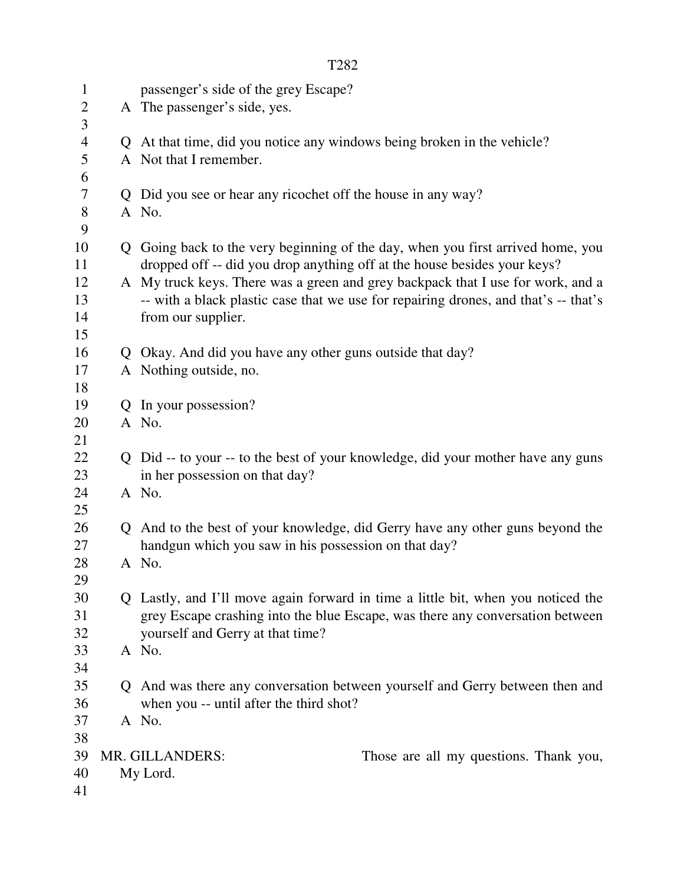|                | T282 |                                                                                                                    |  |  |
|----------------|------|--------------------------------------------------------------------------------------------------------------------|--|--|
| $\mathbf{1}$   |      | passenger's side of the grey Escape?                                                                               |  |  |
| $\overline{2}$ |      | A The passenger's side, yes.                                                                                       |  |  |
| 3              |      |                                                                                                                    |  |  |
| $\overline{4}$ |      | Q At that time, did you notice any windows being broken in the vehicle?                                            |  |  |
| 5              |      | A Not that I remember.                                                                                             |  |  |
| 6              |      |                                                                                                                    |  |  |
| $\tau$         |      | Q Did you see or hear any ricochet off the house in any way?                                                       |  |  |
| 8<br>9         |      | A No.                                                                                                              |  |  |
| 10             |      | Q Going back to the very beginning of the day, when you first arrived home, you                                    |  |  |
| 11             |      | dropped off -- did you drop anything off at the house besides your keys?                                           |  |  |
| 12             |      | A My truck keys. There was a green and grey backpack that I use for work, and a                                    |  |  |
| 13             |      | -- with a black plastic case that we use for repairing drones, and that's -- that's                                |  |  |
| 14             |      | from our supplier.                                                                                                 |  |  |
| 15             |      |                                                                                                                    |  |  |
| 16             |      | Q Okay. And did you have any other guns outside that day?                                                          |  |  |
| 17             |      | A Nothing outside, no.                                                                                             |  |  |
| 18             |      |                                                                                                                    |  |  |
| 19             |      | Q In your possession?                                                                                              |  |  |
| 20             |      | A No.                                                                                                              |  |  |
| 21<br>22       |      |                                                                                                                    |  |  |
| 23             |      | Q Did -- to your -- to the best of your knowledge, did your mother have any guns<br>in her possession on that day? |  |  |
| 24             |      | A No.                                                                                                              |  |  |
| 25             |      |                                                                                                                    |  |  |
| 26             |      | Q And to the best of your knowledge, did Gerry have any other guns beyond the                                      |  |  |
| 27             |      | handgun which you saw in his possession on that day?                                                               |  |  |
| 28             |      | A No.                                                                                                              |  |  |
| 29             |      |                                                                                                                    |  |  |
| 30             |      | Q Lastly, and I'll move again forward in time a little bit, when you noticed the                                   |  |  |
| 31             |      | grey Escape crashing into the blue Escape, was there any conversation between                                      |  |  |
| 32             |      | yourself and Gerry at that time?                                                                                   |  |  |
| 33<br>34       |      | A No.                                                                                                              |  |  |
| 35             |      | Q And was there any conversation between yourself and Gerry between then and                                       |  |  |
| 36             |      | when you -- until after the third shot?                                                                            |  |  |
| 37             |      | A No.                                                                                                              |  |  |
| 38             |      |                                                                                                                    |  |  |
| 39             |      | MR. GILLANDERS:<br>Those are all my questions. Thank you,                                                          |  |  |
| 40             |      | My Lord.                                                                                                           |  |  |
| 41             |      |                                                                                                                    |  |  |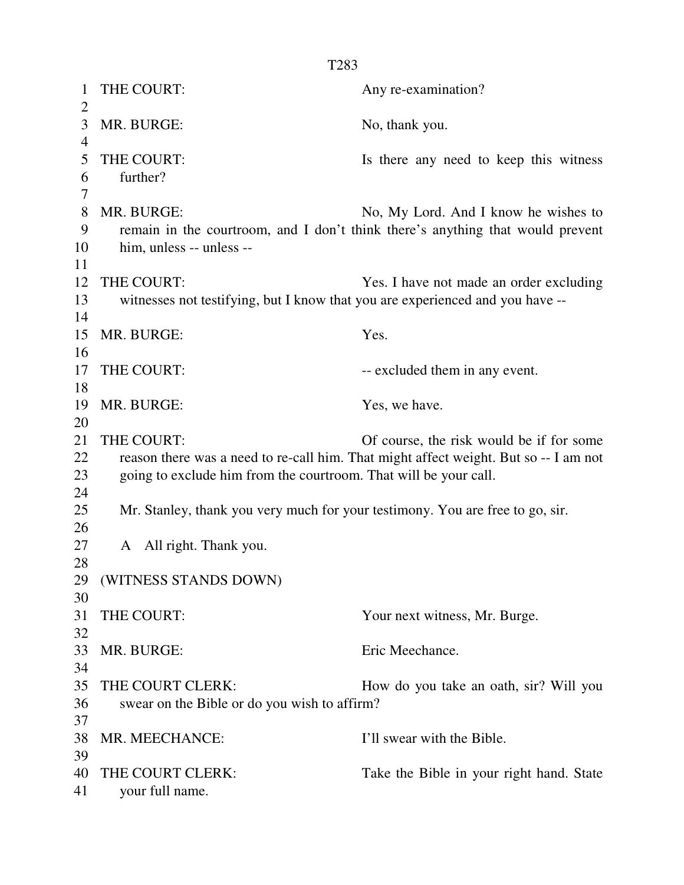| $\mathbf 1$<br>$\overline{2}$ | THE COURT:                                                                     | Any re-examination?                                                                                                              |
|-------------------------------|--------------------------------------------------------------------------------|----------------------------------------------------------------------------------------------------------------------------------|
| 3<br>$\overline{4}$           | MR. BURGE:                                                                     | No, thank you.                                                                                                                   |
| 5<br>6<br>7                   | THE COURT:<br>further?                                                         | Is there any need to keep this witness                                                                                           |
| 8<br>9<br>10<br>11            | MR. BURGE:<br>him, unless -- unless --                                         | No, My Lord. And I know he wishes to<br>remain in the courtroom, and I don't think there's anything that would prevent           |
| 12                            | THE COURT:                                                                     | Yes. I have not made an order excluding                                                                                          |
| 13<br>14                      | witnesses not testifying, but I know that you are experienced and you have --  |                                                                                                                                  |
| 15<br>16                      | MR. BURGE:                                                                     | Yes.                                                                                                                             |
| 17                            | THE COURT:                                                                     | -- excluded them in any event.                                                                                                   |
| 18                            |                                                                                |                                                                                                                                  |
| 19<br>20                      | MR. BURGE:                                                                     | Yes, we have.                                                                                                                    |
| 21<br>22<br>23                | THE COURT:<br>going to exclude him from the courtroom. That will be your call. | Of course, the risk would be if for some<br>reason there was a need to re-call him. That might affect weight. But so -- I am not |
| 24<br>25                      | Mr. Stanley, thank you very much for your testimony. You are free to go, sir.  |                                                                                                                                  |
| 26<br>27<br>28                | All right. Thank you.<br>A                                                     |                                                                                                                                  |
| 30                            | 29 (WITNESS STANDS DOWN)                                                       |                                                                                                                                  |
| 31                            | THE COURT:                                                                     | Your next witness, Mr. Burge.                                                                                                    |
| 32<br>33<br>34                | MR. BURGE:                                                                     | Eric Meechance.                                                                                                                  |
| 35<br>36                      | THE COURT CLERK:<br>swear on the Bible or do you wish to affirm?               | How do you take an oath, sir? Will you                                                                                           |
| 37<br>38<br>39                | MR. MEECHANCE:                                                                 | I'll swear with the Bible.                                                                                                       |
| 40<br>41                      | THE COURT CLERK:<br>your full name.                                            | Take the Bible in your right hand. State                                                                                         |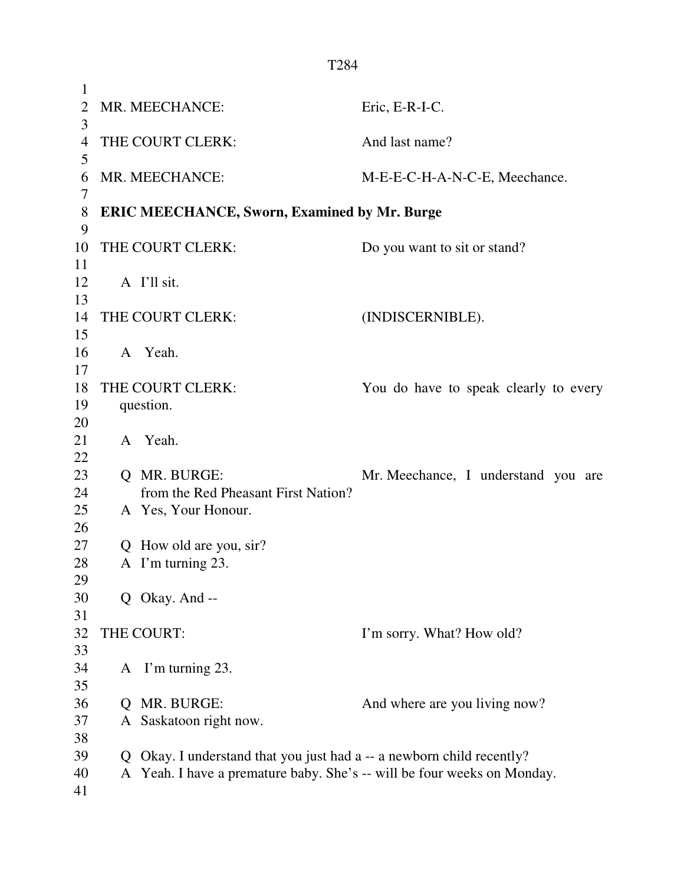|                     | T <sub>284</sub> |                                                                         |                                       |  |
|---------------------|------------------|-------------------------------------------------------------------------|---------------------------------------|--|
| $\mathbf{1}$        |                  |                                                                         |                                       |  |
| $\overline{2}$<br>3 |                  | MR. MEECHANCE:                                                          | Eric, E-R-I-C.                        |  |
| $\overline{4}$<br>5 |                  | THE COURT CLERK:                                                        | And last name?                        |  |
| 6<br>7              |                  | MR. MEECHANCE:                                                          | M-E-E-C-H-A-N-C-E, Meechance.         |  |
| 8<br>9              |                  | <b>ERIC MEECHANCE, Sworn, Examined by Mr. Burge</b>                     |                                       |  |
| 10<br>11            |                  | THE COURT CLERK:                                                        | Do you want to sit or stand?          |  |
| 12<br>13            |                  | A I'll sit.                                                             |                                       |  |
| 14<br>15            |                  | THE COURT CLERK:                                                        | (INDISCERNIBLE).                      |  |
| 16<br>17            |                  | A Yeah.                                                                 |                                       |  |
| 18<br>19            |                  | THE COURT CLERK:<br>question.                                           | You do have to speak clearly to every |  |
| 20                  |                  |                                                                         |                                       |  |
| 21<br>22            |                  | A Yeah.                                                                 |                                       |  |
| 23                  |                  | O MR. BURGE:                                                            | Mr. Meechance, I understand you are   |  |
| 24                  |                  | from the Red Pheasant First Nation?                                     |                                       |  |
| 25                  |                  | A Yes, Your Honour.                                                     |                                       |  |
| 26                  |                  |                                                                         |                                       |  |
| 27                  |                  | Q How old are you, sir?                                                 |                                       |  |
| 28<br>29            |                  | A I'm turning 23.                                                       |                                       |  |
| 30<br>31            |                  | Q Okay. And --                                                          |                                       |  |
| 32<br>33            |                  | THE COURT:                                                              | I'm sorry. What? How old?             |  |
| 34<br>35            |                  | A I'm turning 23.                                                       |                                       |  |
| 36                  | Q                | MR. BURGE:                                                              | And where are you living now?         |  |
| 37                  |                  | A Saskatoon right now.                                                  |                                       |  |
| 38                  |                  |                                                                         |                                       |  |
| 39                  | Q                | Okay. I understand that you just had a -- a newborn child recently?     |                                       |  |
| 40                  |                  | A Yeah. I have a premature baby. She's -- will be four weeks on Monday. |                                       |  |
| 41                  |                  |                                                                         |                                       |  |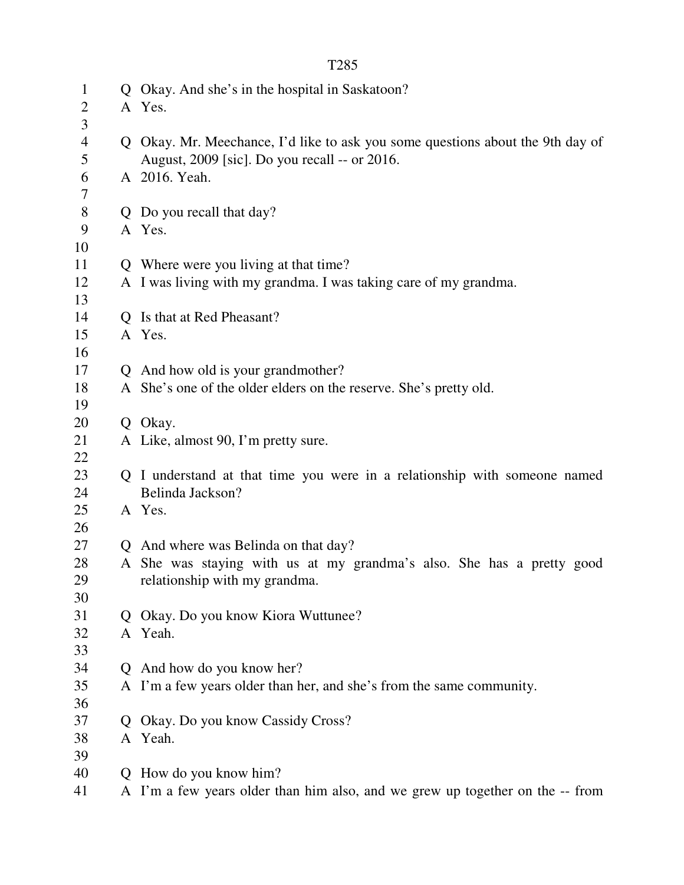| $\mathbf{1}$<br>$\overline{2}$ |              | Q Okay. And she's in the hospital in Saskatoon?<br>A Yes.                                                                       |
|--------------------------------|--------------|---------------------------------------------------------------------------------------------------------------------------------|
| 3                              |              |                                                                                                                                 |
| $\overline{4}$<br>5            |              | Q Okay. Mr. Meechance, I'd like to ask you some questions about the 9th day of<br>August, 2009 [sic]. Do you recall -- or 2016. |
| 6<br>7                         |              | A 2016. Yeah.                                                                                                                   |
|                                |              |                                                                                                                                 |
| $8\,$                          |              | Q Do you recall that day?                                                                                                       |
| 9                              |              | A Yes.                                                                                                                          |
| 10                             |              |                                                                                                                                 |
| 11                             |              | Q Where were you living at that time?                                                                                           |
| 12                             |              | A I was living with my grandma. I was taking care of my grandma.                                                                |
| 13                             |              |                                                                                                                                 |
| 14                             |              | Q Is that at Red Pheasant?                                                                                                      |
| 15                             |              | A Yes.                                                                                                                          |
| 16                             |              |                                                                                                                                 |
| 17                             |              | Q And how old is your grandmother?                                                                                              |
| 18<br>19                       |              | A She's one of the older elders on the reserve. She's pretty old.                                                               |
| 20                             |              | Q Okay.                                                                                                                         |
| 21                             |              | A Like, almost 90, I'm pretty sure.                                                                                             |
| 22                             |              |                                                                                                                                 |
| 23                             |              | Q I understand at that time you were in a relationship with someone named                                                       |
| 24                             |              | Belinda Jackson?                                                                                                                |
| 25                             |              | A Yes.                                                                                                                          |
| 26                             |              |                                                                                                                                 |
| 27                             |              | Q And where was Belinda on that day?                                                                                            |
| 28                             |              | A She was staying with us at my grandma's also. She has a pretty good                                                           |
| 29                             |              | relationship with my grandma.                                                                                                   |
| 30                             |              |                                                                                                                                 |
| 31                             | $\mathbf{O}$ | Okay. Do you know Kiora Wuttunee?                                                                                               |
| 32                             |              | A Yeah.                                                                                                                         |
| 33                             |              |                                                                                                                                 |
| 34                             |              | Q And how do you know her?                                                                                                      |
| 35                             |              | A I'm a few years older than her, and she's from the same community.                                                            |
| 36                             |              |                                                                                                                                 |
| 37                             | $\mathbf{O}$ | Okay. Do you know Cassidy Cross?                                                                                                |
| 38                             |              | A Yeah.                                                                                                                         |
| 39                             |              |                                                                                                                                 |
| 40                             |              | Q How do you know him?                                                                                                          |
| 41                             |              | A I'm a few years older than him also, and we grew up together on the -- from                                                   |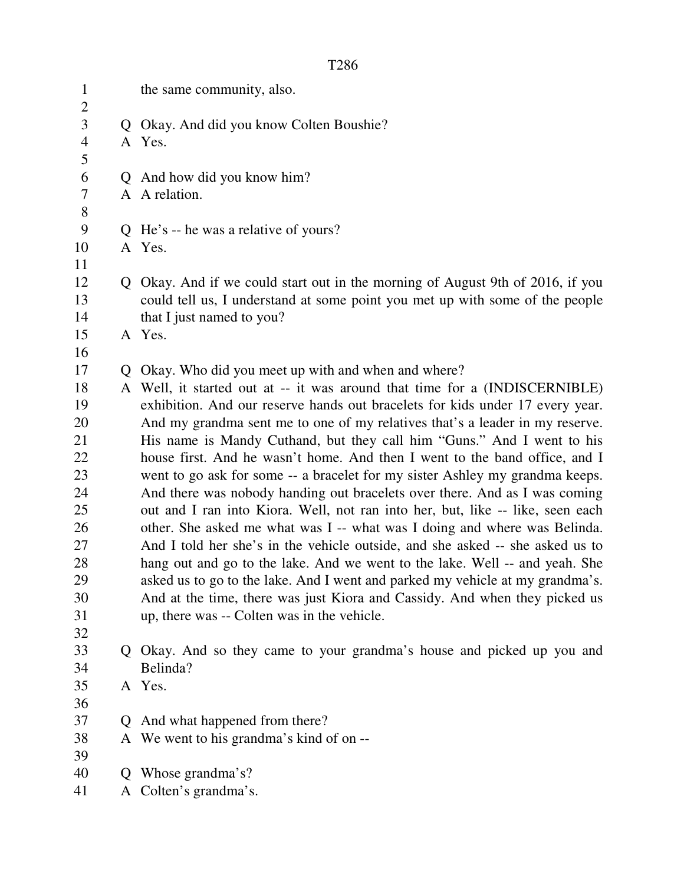|--|

| $\mathbf{1}$                     |    | the same community, also.                                                      |
|----------------------------------|----|--------------------------------------------------------------------------------|
| $\overline{c}$<br>$\overline{3}$ |    | Q Okay. And did you know Colten Boushie?                                       |
| $\overline{4}$                   |    | A Yes.                                                                         |
| 5                                |    |                                                                                |
| 6                                |    | Q And how did you know him?                                                    |
| $\tau$                           |    | A A relation.                                                                  |
| $8\,$                            |    |                                                                                |
| 9                                |    | Q He's -- he was a relative of yours?                                          |
| 10                               |    | A Yes.                                                                         |
| 11                               |    |                                                                                |
| 12                               |    | Q Okay. And if we could start out in the morning of August 9th of 2016, if you |
| 13                               |    | could tell us, I understand at some point you met up with some of the people   |
| 14                               |    | that I just named to you?                                                      |
| 15                               |    | A Yes.                                                                         |
| 16                               |    |                                                                                |
| 17                               | Q. | Okay. Who did you meet up with and when and where?                             |
| 18                               |    | A Well, it started out at -- it was around that time for a (INDISCERNIBLE)     |
| 19                               |    | exhibition. And our reserve hands out bracelets for kids under 17 every year.  |
| 20                               |    | And my grandma sent me to one of my relatives that's a leader in my reserve.   |
| 21                               |    | His name is Mandy Cuthand, but they call him "Guns." And I went to his         |
| 22                               |    | house first. And he wasn't home. And then I went to the band office, and I     |
| 23                               |    | went to go ask for some -- a bracelet for my sister Ashley my grandma keeps.   |
| 24                               |    | And there was nobody handing out bracelets over there. And as I was coming     |
| 25                               |    | out and I ran into Kiora. Well, not ran into her, but, like -- like, seen each |
| 26                               |    | other. She asked me what was I -- what was I doing and where was Belinda.      |
| 27                               |    | And I told her she's in the vehicle outside, and she asked -- she asked us to  |
| 28                               |    | hang out and go to the lake. And we went to the lake. Well -- and yeah. She    |
| 29                               |    | asked us to go to the lake. And I went and parked my vehicle at my grandma's.  |
| 30                               |    | And at the time, there was just Kiora and Cassidy. And when they picked us     |
| 31                               |    | up, there was -- Colten was in the vehicle.                                    |
| 32                               |    |                                                                                |
| 33                               |    | Q Okay. And so they came to your grandma's house and picked up you and         |
| 34                               |    | Belinda?                                                                       |
| 35                               |    | A Yes.                                                                         |
| 36                               |    |                                                                                |
| 37                               |    | Q And what happened from there?                                                |
| 38                               |    | A We went to his grandma's kind of on --                                       |
| 39<br>40                         |    |                                                                                |
| 41                               | Q  | Whose grandma's?                                                               |
|                                  |    | A Colten's grandma's.                                                          |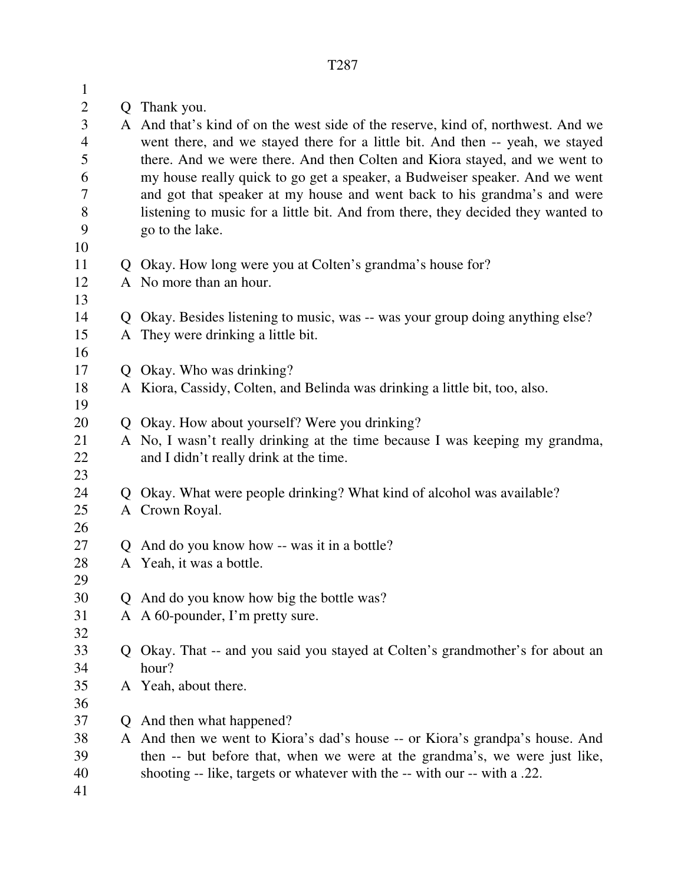| $\mathbf{1}$        |                |                                                                                                                                                                   |
|---------------------|----------------|-------------------------------------------------------------------------------------------------------------------------------------------------------------------|
| $\mathbf{2}$        |                | Q Thank you.                                                                                                                                                      |
| $\mathfrak{Z}$<br>4 |                | A And that's kind of on the west side of the reserve, kind of, northwest. And we<br>went there, and we stayed there for a little bit. And then -- yeah, we stayed |
| 5                   |                | there. And we were there. And then Colten and Kiora stayed, and we went to                                                                                        |
| 6                   |                | my house really quick to go get a speaker, a Budweiser speaker. And we went                                                                                       |
| 7                   |                | and got that speaker at my house and went back to his grandma's and were                                                                                          |
| 8<br>9              |                | listening to music for a little bit. And from there, they decided they wanted to<br>go to the lake.                                                               |
| 10                  |                |                                                                                                                                                                   |
| 11                  |                | Q Okay. How long were you at Colten's grandma's house for?                                                                                                        |
| 12                  |                | A No more than an hour.                                                                                                                                           |
| 13                  |                |                                                                                                                                                                   |
| 14                  |                | Q Okay. Besides listening to music, was -- was your group doing anything else?                                                                                    |
| 15                  |                | A They were drinking a little bit.                                                                                                                                |
| 16                  |                |                                                                                                                                                                   |
| 17                  |                | Q Okay. Who was drinking?                                                                                                                                         |
| 18                  |                | A Kiora, Cassidy, Colten, and Belinda was drinking a little bit, too, also.                                                                                       |
| 19                  |                |                                                                                                                                                                   |
| 20                  |                | Q Okay. How about yourself? Were you drinking?                                                                                                                    |
| 21                  |                | A No, I wasn't really drinking at the time because I was keeping my grandma,                                                                                      |
| 22                  |                | and I didn't really drink at the time.                                                                                                                            |
| 23                  |                |                                                                                                                                                                   |
| 24                  |                | Q Okay. What were people drinking? What kind of alcohol was available?                                                                                            |
| 25                  |                | A Crown Royal.                                                                                                                                                    |
| 26                  |                |                                                                                                                                                                   |
| 27                  | $\overline{O}$ | And do you know how -- was it in a bottle?                                                                                                                        |
| 28                  |                | A Yeah, it was a bottle.                                                                                                                                          |
| 29                  |                |                                                                                                                                                                   |
| 30                  |                | Q And do you know how big the bottle was?                                                                                                                         |
| 31                  |                | A A 60-pounder, I'm pretty sure.                                                                                                                                  |
| 32                  |                |                                                                                                                                                                   |
| 33                  |                | Q Okay. That -- and you said you stayed at Colten's grandmother's for about an                                                                                    |
| 34                  |                | hour?                                                                                                                                                             |
| 35                  |                | A Yeah, about there.                                                                                                                                              |
| 36                  |                |                                                                                                                                                                   |
| 37                  | Q              | And then what happened?                                                                                                                                           |
| 38                  |                | A And then we went to Kiora's dad's house -- or Kiora's grandpa's house. And                                                                                      |
| 39                  |                | then -- but before that, when we were at the grandma's, we were just like,                                                                                        |
| 40                  |                | shooting -- like, targets or whatever with the -- with our -- with a .22.                                                                                         |
| 41                  |                |                                                                                                                                                                   |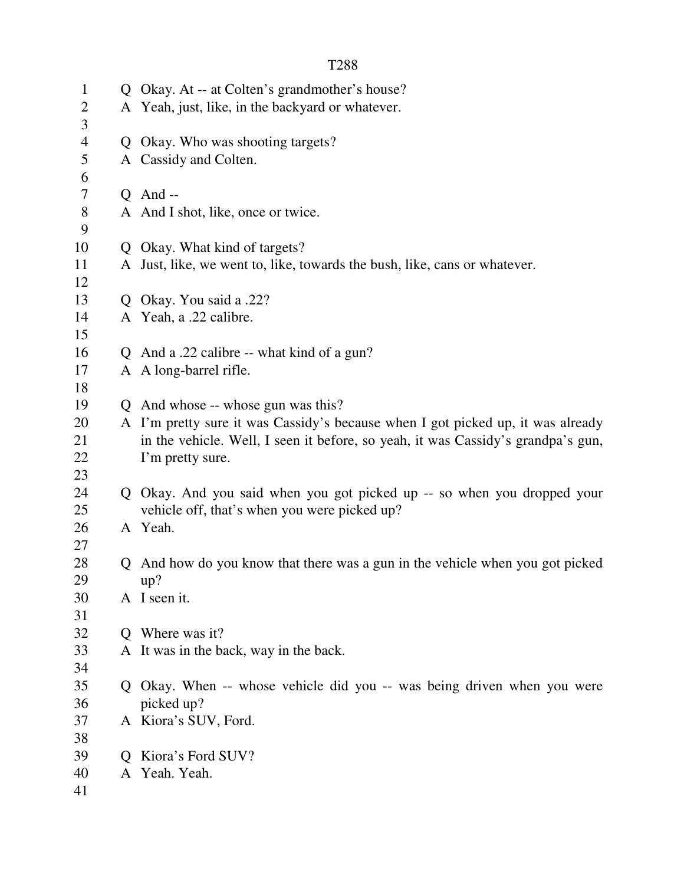| $\mathbf{1}$        |   | Q Okay. At -- at Colten's grandmother's house?                                   |
|---------------------|---|----------------------------------------------------------------------------------|
| $\overline{2}$<br>3 |   | A Yeah, just, like, in the backyard or whatever.                                 |
| $\overline{4}$      |   | Q Okay. Who was shooting targets?                                                |
| 5                   |   | A Cassidy and Colten.                                                            |
| 6                   |   |                                                                                  |
| 7                   |   | $Q$ And --                                                                       |
| $8\,$<br>9          |   | A And I shot, like, once or twice.                                               |
| 10                  |   | Q Okay. What kind of targets?                                                    |
| 11                  |   | A Just, like, we went to, like, towards the bush, like, cans or whatever.        |
| 12<br>13            |   | Q Okay. You said a .22?                                                          |
| 14                  |   | A Yeah, a .22 calibre.                                                           |
| 15                  |   |                                                                                  |
| 16                  |   | Q And a .22 calibre -- what kind of a gun?                                       |
| 17                  |   | A A long-barrel rifle.                                                           |
| 18                  |   |                                                                                  |
| 19                  |   | Q And whose -- whose gun was this?                                               |
| 20                  |   | A I'm pretty sure it was Cassidy's because when I got picked up, it was already  |
| 21                  |   | in the vehicle. Well, I seen it before, so yeah, it was Cassidy's grandpa's gun, |
| 22                  |   | I'm pretty sure.                                                                 |
| 23                  |   |                                                                                  |
| 24                  |   | Q Okay. And you said when you got picked up -- so when you dropped your          |
| 25                  |   | vehicle off, that's when you were picked up?                                     |
| 26                  |   | A Yeah.                                                                          |
| 27                  |   |                                                                                  |
| 28                  |   | Q And how do you know that there was a gun in the vehicle when you got picked    |
| 29                  |   | up?                                                                              |
| 30                  |   | A I seen it.                                                                     |
| 31                  |   |                                                                                  |
| 32                  | O | Where was it?                                                                    |
| 33                  |   | A It was in the back, way in the back.                                           |
| 34                  |   |                                                                                  |
| 35                  |   | Q Okay. When -- whose vehicle did you -- was being driven when you were          |
| 36                  |   | picked up?                                                                       |
| 37                  |   | A Kiora's SUV, Ford.                                                             |
| 38                  |   |                                                                                  |
| 39                  | O | Kiora's Ford SUV?                                                                |
| 40                  |   | A Yeah. Yeah.                                                                    |
| 41                  |   |                                                                                  |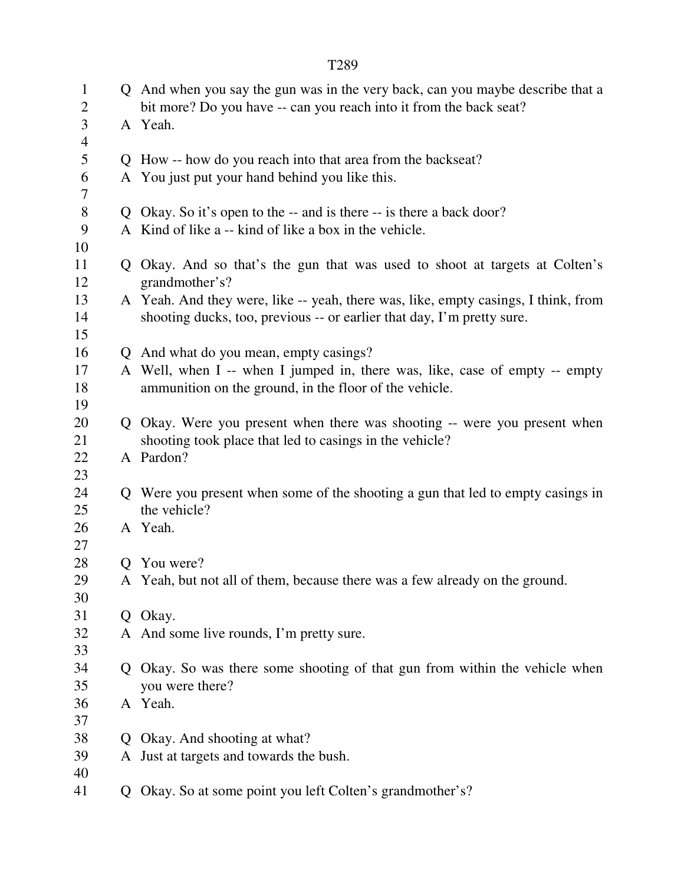|                                |   | T289                                                                                                                                                         |
|--------------------------------|---|--------------------------------------------------------------------------------------------------------------------------------------------------------------|
| $\mathbf{1}$<br>$\overline{2}$ |   | Q And when you say the gun was in the very back, can you maybe describe that a<br>bit more? Do you have -- can you reach into it from the back seat?         |
| 3<br>$\overline{4}$            |   | A Yeah.                                                                                                                                                      |
| 5                              |   | Q How -- how do you reach into that area from the backseat?                                                                                                  |
| 6<br>7                         |   | A You just put your hand behind you like this.                                                                                                               |
| $8\,$                          |   | Q Okay. So it's open to the -- and is there -- is there a back door?                                                                                         |
| 9<br>10                        |   | A Kind of like a -- kind of like a box in the vehicle.                                                                                                       |
| 11<br>12                       |   | Q Okay. And so that's the gun that was used to shoot at targets at Colten's<br>grandmother's?                                                                |
| 13<br>14<br>15                 |   | A Yeah. And they were, like -- yeah, there was, like, empty casings, I think, from<br>shooting ducks, too, previous -- or earlier that day, I'm pretty sure. |
| 16                             |   | Q And what do you mean, empty casings?                                                                                                                       |
| 17<br>18<br>19                 |   | A Well, when I -- when I jumped in, there was, like, case of empty -- empty<br>ammunition on the ground, in the floor of the vehicle.                        |
| 20                             |   | Q Okay. Were you present when there was shooting -- were you present when                                                                                    |
| 21                             |   | shooting took place that led to casings in the vehicle?                                                                                                      |
| 22                             |   | A Pardon?                                                                                                                                                    |
| 23                             |   |                                                                                                                                                              |
| 24<br>25                       |   | Q Were you present when some of the shooting a gun that led to empty casings in<br>the vehicle?                                                              |
| 26<br>27                       |   | A Yeah.                                                                                                                                                      |
| 28                             | O | You were?                                                                                                                                                    |
| 29<br>30                       |   | A Yeah, but not all of them, because there was a few already on the ground.                                                                                  |
| 31                             |   | Q Okay.                                                                                                                                                      |
| 32<br>33                       |   | A And some live rounds, I'm pretty sure.                                                                                                                     |
| 34                             |   | Q Okay. So was there some shooting of that gun from within the vehicle when                                                                                  |
| 35                             |   | you were there?                                                                                                                                              |
| 36                             |   | A Yeah.                                                                                                                                                      |
| 37                             |   |                                                                                                                                                              |
| 38                             | O | Okay. And shooting at what?                                                                                                                                  |
| 39                             |   | A Just at targets and towards the bush.                                                                                                                      |
| 40                             |   |                                                                                                                                                              |
| 41                             | Q | Okay. So at some point you left Colten's grandmother's?                                                                                                      |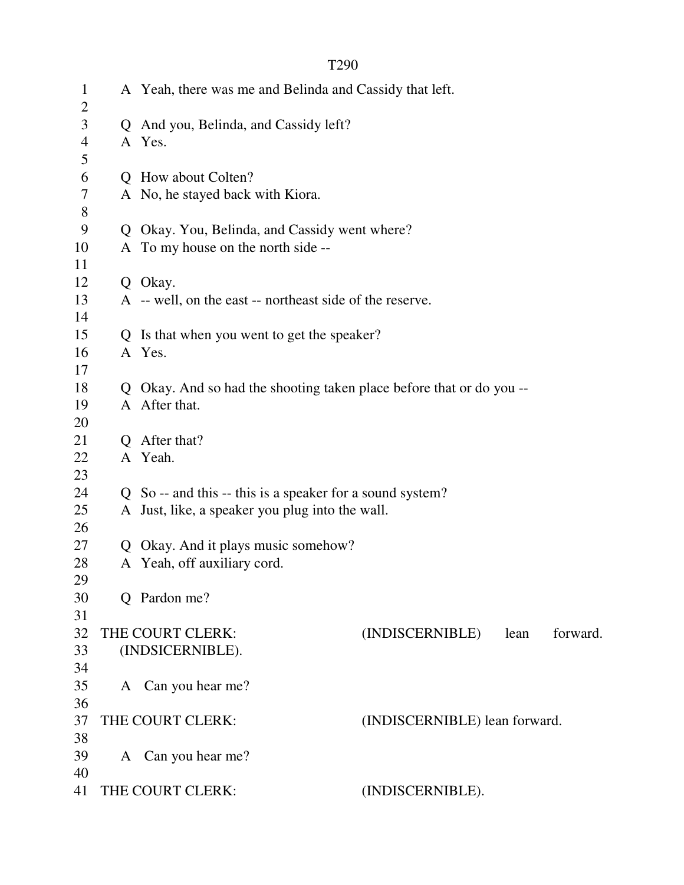| $\mathbf{1}$<br>$\overline{2}$ | A Yeah, there was me and Belinda and Cassidy that left.              |                               |      |          |
|--------------------------------|----------------------------------------------------------------------|-------------------------------|------|----------|
| $\mathfrak{Z}$                 | Q And you, Belinda, and Cassidy left?                                |                               |      |          |
| $\overline{4}$                 | A Yes.                                                               |                               |      |          |
| 5                              |                                                                      |                               |      |          |
| 6                              | Q How about Colten?                                                  |                               |      |          |
| 7                              | A No, he stayed back with Kiora.                                     |                               |      |          |
| 8                              |                                                                      |                               |      |          |
| 9                              | Q Okay. You, Belinda, and Cassidy went where?                        |                               |      |          |
| 10                             | A To my house on the north side --                                   |                               |      |          |
| 11                             |                                                                      |                               |      |          |
| 12                             | Q Okay.                                                              |                               |      |          |
| 13                             | A -- well, on the east -- northeast side of the reserve.             |                               |      |          |
| 14                             |                                                                      |                               |      |          |
| 15                             | Q Is that when you went to get the speaker?                          |                               |      |          |
| 16                             | A Yes.                                                               |                               |      |          |
| 17                             |                                                                      |                               |      |          |
| 18                             | Q Okay. And so had the shooting taken place before that or do you -- |                               |      |          |
| 19                             | A After that.                                                        |                               |      |          |
| 20                             |                                                                      |                               |      |          |
| 21                             | Q After that?                                                        |                               |      |          |
| 22                             | A Yeah.                                                              |                               |      |          |
| 23                             |                                                                      |                               |      |          |
| 24                             | Q So -- and this -- this is a speaker for a sound system?            |                               |      |          |
| 25                             | A Just, like, a speaker you plug into the wall.                      |                               |      |          |
| 26                             |                                                                      |                               |      |          |
| 27                             | Q Okay. And it plays music somehow?                                  |                               |      |          |
| 28                             | A Yeah, off auxiliary cord.                                          |                               |      |          |
| 29                             |                                                                      |                               |      |          |
| 30<br>31                       | Q Pardon me?                                                         |                               |      |          |
| 32                             | THE COURT CLERK:                                                     | (INDISCERNIBLE)               | lean | forward. |
| 33                             | (INDSICERNIBLE).                                                     |                               |      |          |
| 34                             |                                                                      |                               |      |          |
| 35                             | A Can you hear me?                                                   |                               |      |          |
| 36                             |                                                                      |                               |      |          |
| 37                             | THE COURT CLERK:                                                     | (INDISCERNIBLE) lean forward. |      |          |
| 38                             |                                                                      |                               |      |          |
| 39                             | A Can you hear me?                                                   |                               |      |          |
| 40                             |                                                                      |                               |      |          |
| 41                             | THE COURT CLERK:                                                     | (INDISCERNIBLE).              |      |          |
|                                |                                                                      |                               |      |          |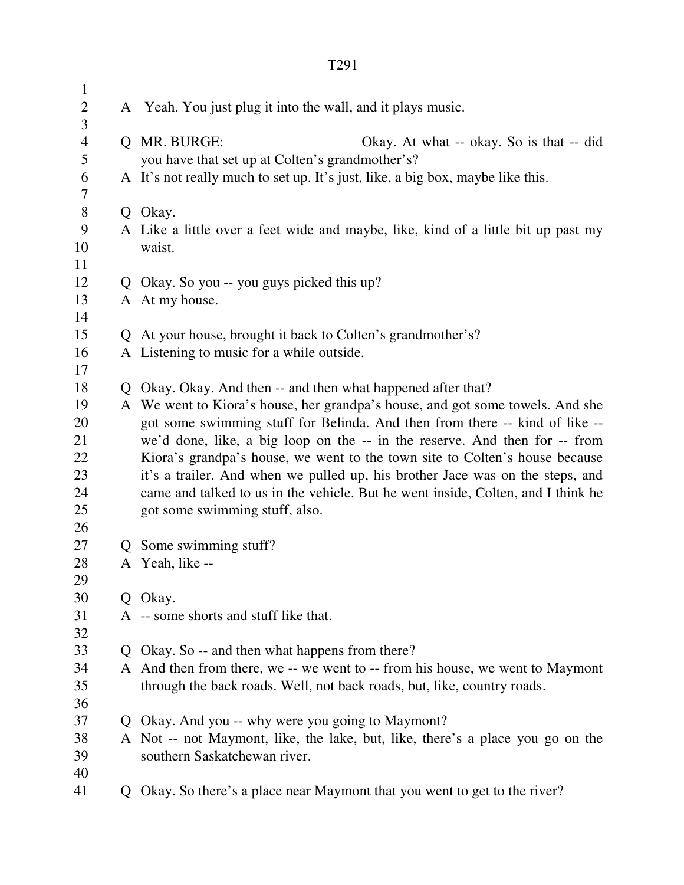| $\mathbf{1}$   |                                                                                   |
|----------------|-----------------------------------------------------------------------------------|
| $\overline{2}$ | A Yeah. You just plug it into the wall, and it plays music.                       |
| 3              |                                                                                   |
| $\overline{4}$ | Q MR. BURGE:<br>Okay. At what -- okay. So is that -- did                          |
| 5              | you have that set up at Colten's grandmother's?                                   |
| 6              | A It's not really much to set up. It's just, like, a big box, maybe like this.    |
| 7              |                                                                                   |
| $8\,$          | Q Okay.                                                                           |
| 9              | A Like a little over a feet wide and maybe, like, kind of a little bit up past my |
| 10             | waist.                                                                            |
| 11             |                                                                                   |
| 12             | Q Okay. So you -- you guys picked this up?                                        |
| 13             | A At my house.                                                                    |
| 14             |                                                                                   |
| 15             | Q At your house, brought it back to Colten's grandmother's?                       |
| 16             | A Listening to music for a while outside.                                         |
| 17             |                                                                                   |
| 18             | Q Okay. Okay. And then -- and then what happened after that?                      |
| 19             | A We went to Kiora's house, her grandpa's house, and got some towels. And she     |
| 20             | got some swimming stuff for Belinda. And then from there -- kind of like --       |
| 21             | we'd done, like, a big loop on the -- in the reserve. And then for -- from        |
| 22             | Kiora's grandpa's house, we went to the town site to Colten's house because       |
| 23             | it's a trailer. And when we pulled up, his brother Jace was on the steps, and     |
| 24             | came and talked to us in the vehicle. But he went inside, Colten, and I think he  |
| 25             | got some swimming stuff, also.                                                    |
| 26             |                                                                                   |
| 27             | Q Some swimming stuff?                                                            |
| 28             | A Yeah, like --                                                                   |
| 29             |                                                                                   |
| 30             | Q Okay.                                                                           |
| 31             | A -- some shorts and stuff like that.                                             |
| 32             |                                                                                   |
| 33             | Q Okay. So -- and then what happens from there?                                   |
| 34             | A And then from there, we -- we went to -- from his house, we went to Maymont     |
| 35             | through the back roads. Well, not back roads, but, like, country roads.           |
| 36             |                                                                                   |
| 37             | Q Okay. And you -- why were you going to Maymont?                                 |
| 38             | A Not -- not Maymont, like, the lake, but, like, there's a place you go on the    |
| 39             | southern Saskatchewan river.                                                      |
| 40             |                                                                                   |
| 41             | Q Okay. So there's a place near Maymont that you went to get to the river?        |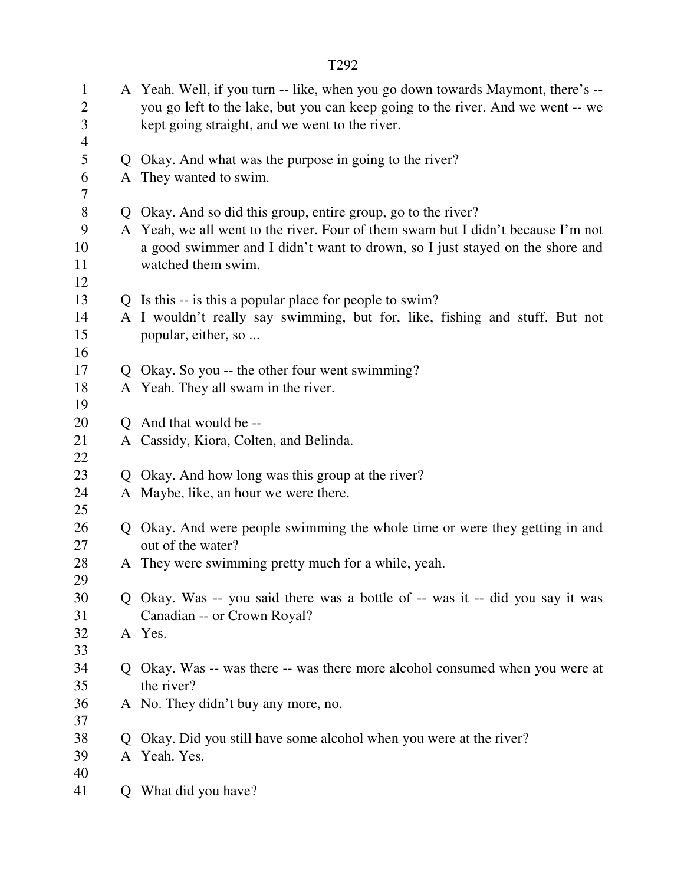|                                                                  |                | T292                                                                                                                                                                                                                 |
|------------------------------------------------------------------|----------------|----------------------------------------------------------------------------------------------------------------------------------------------------------------------------------------------------------------------|
| $\mathbf{1}$<br>$\mathbf{2}$<br>$\mathfrak{Z}$<br>$\overline{4}$ |                | A Yeah. Well, if you turn -- like, when you go down towards Maymont, there's --<br>you go left to the lake, but you can keep going to the river. And we went -- we<br>kept going straight, and we went to the river. |
| 5                                                                |                | Q Okay. And what was the purpose in going to the river?                                                                                                                                                              |
| 6<br>7                                                           |                | A They wanted to swim.                                                                                                                                                                                               |
| 8                                                                |                | Q Okay. And so did this group, entire group, go to the river?                                                                                                                                                        |
| 9<br>10<br>11<br>12                                              |                | A Yeah, we all went to the river. Four of them swam but I didn't because I'm not<br>a good swimmer and I didn't want to drown, so I just stayed on the shore and<br>watched them swim.                               |
| 13                                                               |                | Q Is this -- is this a popular place for people to swim?                                                                                                                                                             |
| 14<br>15<br>16                                                   |                | A I wouldn't really say swimming, but for, like, fishing and stuff. But not<br>popular, either, so                                                                                                                   |
| 17                                                               |                | Q Okay. So you -- the other four went swimming?                                                                                                                                                                      |
| 18<br>19                                                         |                | A Yeah. They all swam in the river.                                                                                                                                                                                  |
| 20                                                               |                | Q And that would be --                                                                                                                                                                                               |
| 21<br>22                                                         |                | A Cassidy, Kiora, Colten, and Belinda.                                                                                                                                                                               |
| 23                                                               |                | Q Okay. And how long was this group at the river?                                                                                                                                                                    |
| 24<br>25                                                         |                | A Maybe, like, an hour we were there.                                                                                                                                                                                |
| 26<br>27                                                         |                | Q Okay. And were people swimming the whole time or were they getting in and<br>out of the water?                                                                                                                     |
| 28<br>29                                                         |                | A They were swimming pretty much for a while, yeah.                                                                                                                                                                  |
| 30<br>31                                                         |                | Q Okay. Was -- you said there was a bottle of -- was it -- did you say it was<br>Canadian -- or Crown Royal?                                                                                                         |
| 32<br>33                                                         |                | A Yes.                                                                                                                                                                                                               |
| 34                                                               |                | Q Okay. Was -- was there -- was there more alcohol consumed when you were at                                                                                                                                         |
| 35                                                               |                | the river?                                                                                                                                                                                                           |
| 36                                                               |                | A No. They didn't buy any more, no.                                                                                                                                                                                  |
| 37                                                               |                |                                                                                                                                                                                                                      |
| 38                                                               | $\overline{O}$ | Okay. Did you still have some alcohol when you were at the river?                                                                                                                                                    |
| 39                                                               |                | A Yeah. Yes.                                                                                                                                                                                                         |
| 40                                                               |                |                                                                                                                                                                                                                      |
| 41                                                               | Q              | What did you have?                                                                                                                                                                                                   |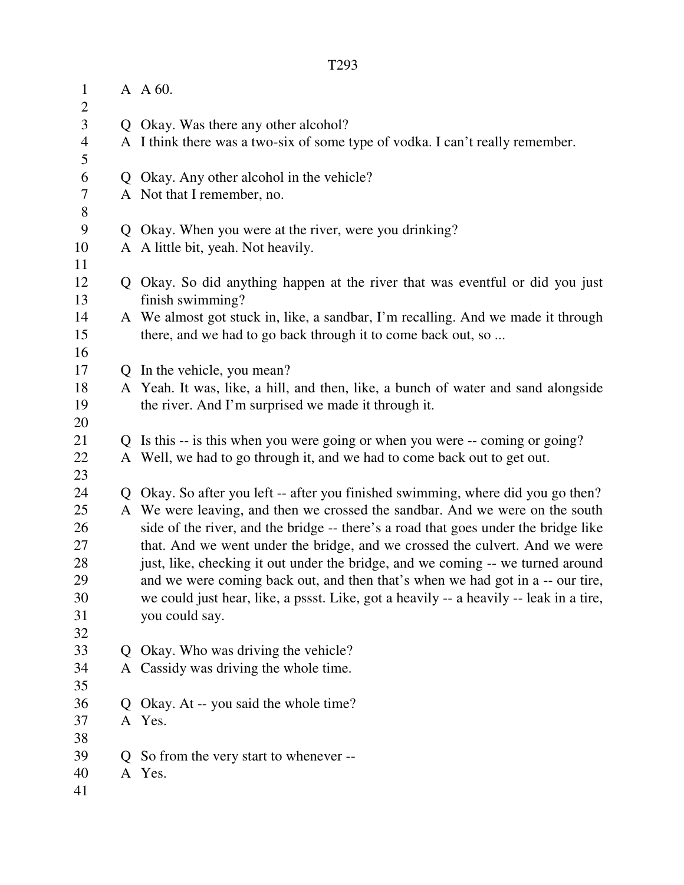| $\mathbf{1}$        | A A 60.                                                                                           |
|---------------------|---------------------------------------------------------------------------------------------------|
| $\overline{c}$      |                                                                                                   |
| $\overline{3}$      | Q Okay. Was there any other alcohol?                                                              |
| $\overline{4}$<br>5 | A I think there was a two-six of some type of vodka. I can't really remember.                     |
| 6                   | Q Okay. Any other alcohol in the vehicle?                                                         |
| $\overline{7}$      | A Not that I remember, no.                                                                        |
| $8\,$               |                                                                                                   |
| 9                   | Q Okay. When you were at the river, were you drinking?                                            |
| 10                  | A A little bit, yeah. Not heavily.                                                                |
| 11                  |                                                                                                   |
| 12<br>13            | Q Okay. So did anything happen at the river that was eventful or did you just<br>finish swimming? |
| 14                  | A We almost got stuck in, like, a sandbar, I'm recalling. And we made it through                  |
| 15                  | there, and we had to go back through it to come back out, so                                      |
| 16                  |                                                                                                   |
| 17                  | Q In the vehicle, you mean?                                                                       |
| 18                  | A Yeah. It was, like, a hill, and then, like, a bunch of water and sand alongside                 |
| 19                  | the river. And I'm surprised we made it through it.                                               |
| 20                  |                                                                                                   |
| 21                  | Q Is this -- is this when you were going or when you were -- coming or going?                     |
| 22                  | A Well, we had to go through it, and we had to come back out to get out.                          |
| 23                  |                                                                                                   |
| 24                  | Q Okay. So after you left -- after you finished swimming, where did you go then?                  |
| 25                  | A We were leaving, and then we crossed the sandbar. And we were on the south                      |
| 26                  | side of the river, and the bridge -- there's a road that goes under the bridge like               |
| 27                  | that. And we went under the bridge, and we crossed the culvert. And we were                       |
| 28                  | just, like, checking it out under the bridge, and we coming -- we turned around                   |
| 29                  | and we were coming back out, and then that's when we had got in a -- our tire,                    |
| 30                  | we could just hear, like, a pssst. Like, got a heavily -- a heavily -- leak in a tire,            |
| 31                  | you could say.                                                                                    |
| 32                  |                                                                                                   |
| 33                  | Q Okay. Who was driving the vehicle?                                                              |
| 34                  | A Cassidy was driving the whole time.                                                             |
| 35                  |                                                                                                   |
| 36                  | Q Okay. At -- you said the whole time?                                                            |
| 37                  | A Yes.                                                                                            |
| 38                  |                                                                                                   |
| 39                  | Q So from the very start to whenever --                                                           |
| 40                  | A Yes.                                                                                            |
| 41                  |                                                                                                   |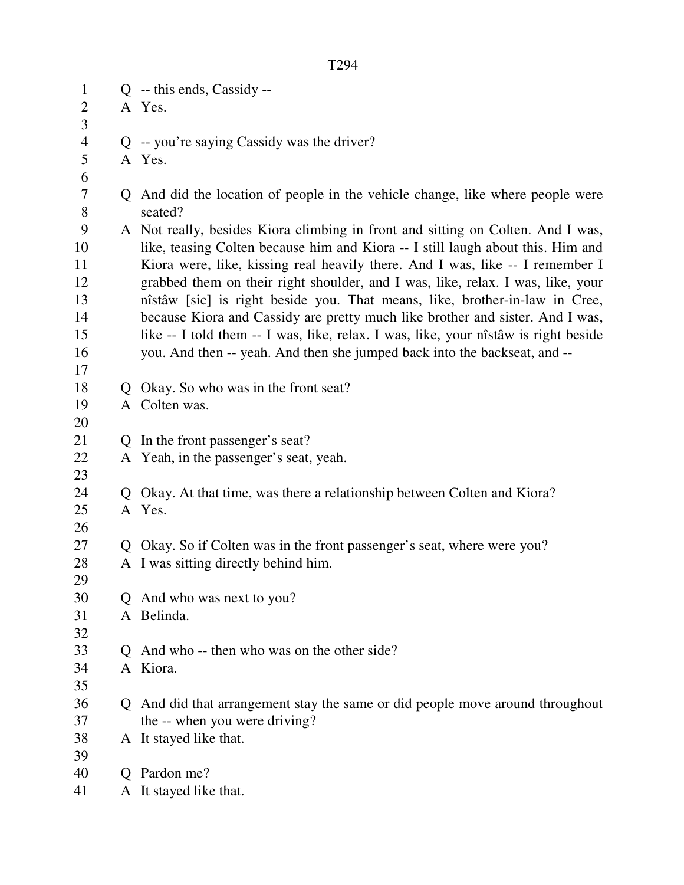1 Q -- this ends, Cassidy -- 2 A Yes. 3 4 Q -- you're saying Cassidy was the driver? 5 A Yes. 6 7 Q And did the location of people in the vehicle change, like where people were 8 seated? 9 A Not really, besides Kiora climbing in front and sitting on Colten. And I was, 10 like, teasing Colten because him and Kiora -- I still laugh about this. Him and 11 Kiora were, like, kissing real heavily there. And I was, like -- I remember I 12 grabbed them on their right shoulder, and I was, like, relax. I was, like, your 13 nîstâw [sic] is right beside you. That means, like, brother-in-law in Cree, 14 because Kiora and Cassidy are pretty much like brother and sister. And I was, 15 like -- I told them -- I was, like, relax. I was, like, your nîstâw is right beside 16 you. And then -- yeah. And then she jumped back into the backseat, and -- 17 18 Q Okay. So who was in the front seat? 19 A Colten was. 20 21 Q In the front passenger's seat? 22 A Yeah, in the passenger's seat, yeah. 23 24 Q Okay. At that time, was there a relationship between Colten and Kiora? 25 A Yes. 26 27 Q Okay. So if Colten was in the front passenger's seat, where were you? 28 A I was sitting directly behind him. 29 30 Q And who was next to you? 31 A Belinda. 32 33 Q And who -- then who was on the other side? 34 A Kiora. 35 36 Q And did that arrangement stay the same or did people move around throughout 37 the -- when you were driving? 38 A It stayed like that. 39 40 Q Pardon me?

41 A It stayed like that.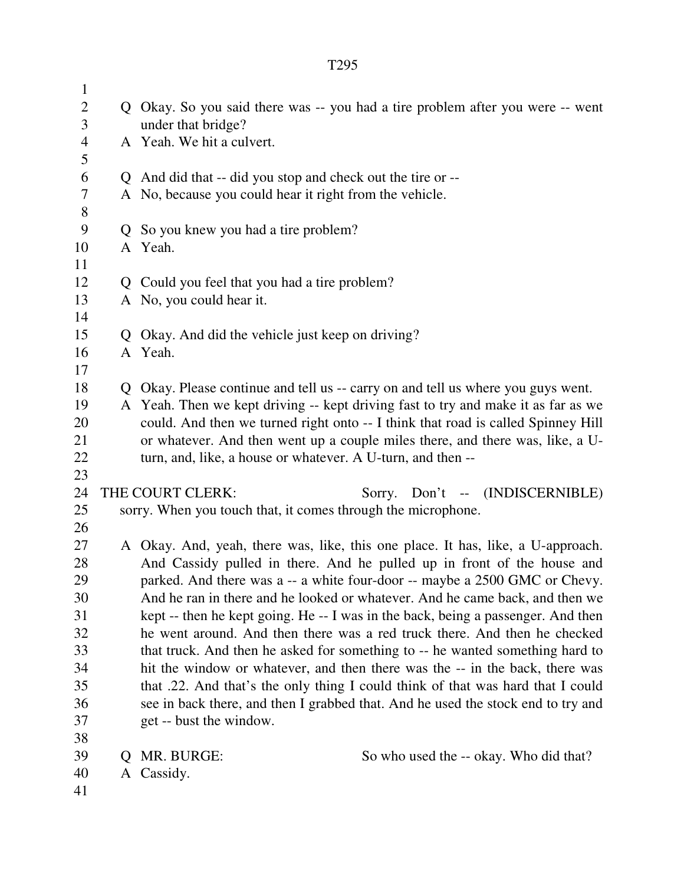| $\mathbf{1}$   |              |                                                                                                                                              |
|----------------|--------------|----------------------------------------------------------------------------------------------------------------------------------------------|
| $\mathbf{2}$   |              | Q Okay. So you said there was -- you had a tire problem after you were -- went                                                               |
| 3              |              | under that bridge?                                                                                                                           |
| $\overline{4}$ |              | A Yeah. We hit a culvert.                                                                                                                    |
| 5              |              |                                                                                                                                              |
| 6              |              | Q And did that -- did you stop and check out the tire or --                                                                                  |
| 7              |              | A No, because you could hear it right from the vehicle.                                                                                      |
| $8\,$          |              |                                                                                                                                              |
| 9              |              | Q So you knew you had a tire problem?                                                                                                        |
| 10             |              | A Yeah.                                                                                                                                      |
| 11             |              |                                                                                                                                              |
| 12             |              | Q Could you feel that you had a tire problem?                                                                                                |
| 13             |              | A No, you could hear it.                                                                                                                     |
| 14             |              |                                                                                                                                              |
| 15             |              | Q Okay. And did the vehicle just keep on driving?                                                                                            |
| 16             |              | A Yeah.                                                                                                                                      |
| 17             |              |                                                                                                                                              |
| 18             |              | Q Okay. Please continue and tell us -- carry on and tell us where you guys went.                                                             |
| 19             |              | A Yeah. Then we kept driving -- kept driving fast to try and make it as far as we                                                            |
| 20             |              | could. And then we turned right onto -- I think that road is called Spinney Hill                                                             |
| 21<br>22       |              | or whatever. And then went up a couple miles there, and there was, like, a U-<br>turn, and, like, a house or whatever. A U-turn, and then -- |
| 23             |              |                                                                                                                                              |
| 24             |              | THE COURT CLERK:<br>Sorry. Don't -- (INDISCERNIBLE)                                                                                          |
| 25             |              | sorry. When you touch that, it comes through the microphone.                                                                                 |
| 26             |              |                                                                                                                                              |
| 27             |              | A Okay. And, yeah, there was, like, this one place. It has, like, a U-approach.                                                              |
| 28             |              | And Cassidy pulled in there. And he pulled up in front of the house and                                                                      |
| 29             |              | parked. And there was a -- a white four-door -- maybe a 2500 GMC or Chevy.                                                                   |
| 30             |              | And he ran in there and he looked or whatever. And he came back, and then we                                                                 |
| 31             |              | kept -- then he kept going. He -- I was in the back, being a passenger. And then                                                             |
| 32             |              | he went around. And then there was a red truck there. And then he checked                                                                    |
| 33             |              | that truck. And then he asked for something to -- he wanted something hard to                                                                |
| 34             |              | hit the window or whatever, and then there was the -- in the back, there was                                                                 |
| 35             |              | that .22. And that's the only thing I could think of that was hard that I could                                                              |
| 36             |              | see in back there, and then I grabbed that. And he used the stock end to try and                                                             |
| 37             |              | get -- bust the window.                                                                                                                      |
| 38             |              |                                                                                                                                              |
| 39             | $\mathbf{Q}$ | MR. BURGE:<br>So who used the -- okay. Who did that?                                                                                         |
| 40             |              | A Cassidy.                                                                                                                                   |
| 41             |              |                                                                                                                                              |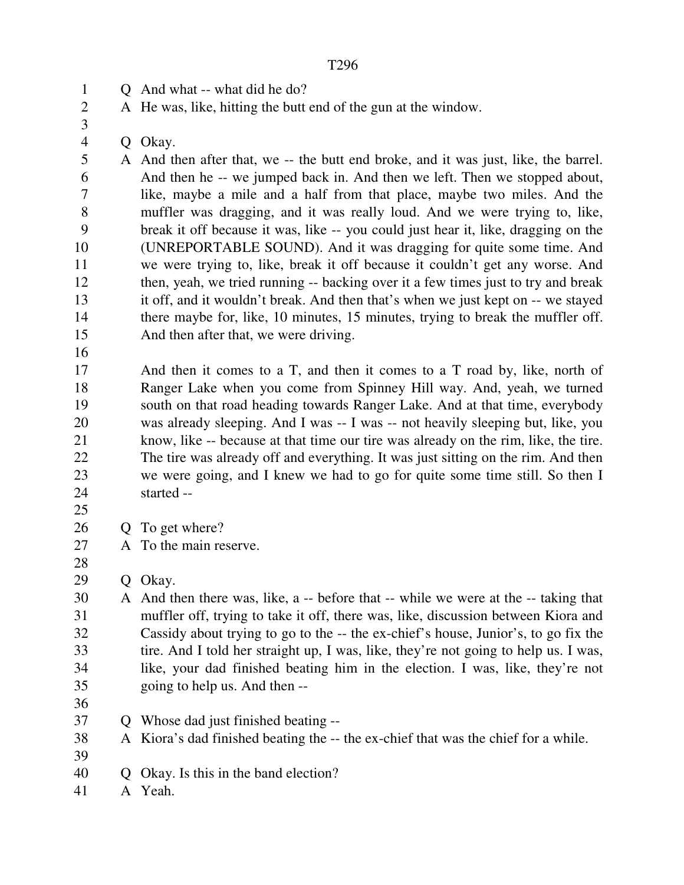1 O And what -- what did he do?

2 A He was, like, hitting the butt end of the gun at the window.

4 Q Okay.

5 A And then after that, we -- the butt end broke, and it was just, like, the barrel. 6 And then he -- we jumped back in. And then we left. Then we stopped about, 7 like, maybe a mile and a half from that place, maybe two miles. And the 8 muffler was dragging, and it was really loud. And we were trying to, like, 9 break it off because it was, like -- you could just hear it, like, dragging on the 10 (UNREPORTABLE SOUND). And it was dragging for quite some time. And 11 we were trying to, like, break it off because it couldn't get any worse. And 12 then, yeah, we tried running -- backing over it a few times just to try and break 13 it off, and it wouldn't break. And then that's when we just kept on -- we stayed 14 there maybe for, like, 10 minutes, 15 minutes, trying to break the muffler off. 15 And then after that, we were driving.

16

3

17 And then it comes to a T, and then it comes to a T road by, like, north of 18 Ranger Lake when you come from Spinney Hill way. And, yeah, we turned 19 south on that road heading towards Ranger Lake. And at that time, everybody 20 was already sleeping. And I was -- I was -- not heavily sleeping but, like, you 21 know, like -- because at that time our tire was already on the rim, like, the tire. 22 The tire was already off and everything. It was just sitting on the rim. And then 23 we were going, and I knew we had to go for quite some time still. So then I 24 started --

25

28

- 26 Q To get where?
- 27 A To the main reserve.

29 Q Okay.

30 A And then there was, like, a -- before that -- while we were at the -- taking that 31 muffler off, trying to take it off, there was, like, discussion between Kiora and 32 Cassidy about trying to go to the -- the ex-chief's house, Junior's, to go fix the 33 tire. And I told her straight up, I was, like, they're not going to help us. I was, 34 like, your dad finished beating him in the election. I was, like, they're not 35 going to help us. And then --

36

37 Q Whose dad just finished beating --

38 A Kiora's dad finished beating the -- the ex-chief that was the chief for a while.

39

40 Q Okay. Is this in the band election?

41 A Yeah.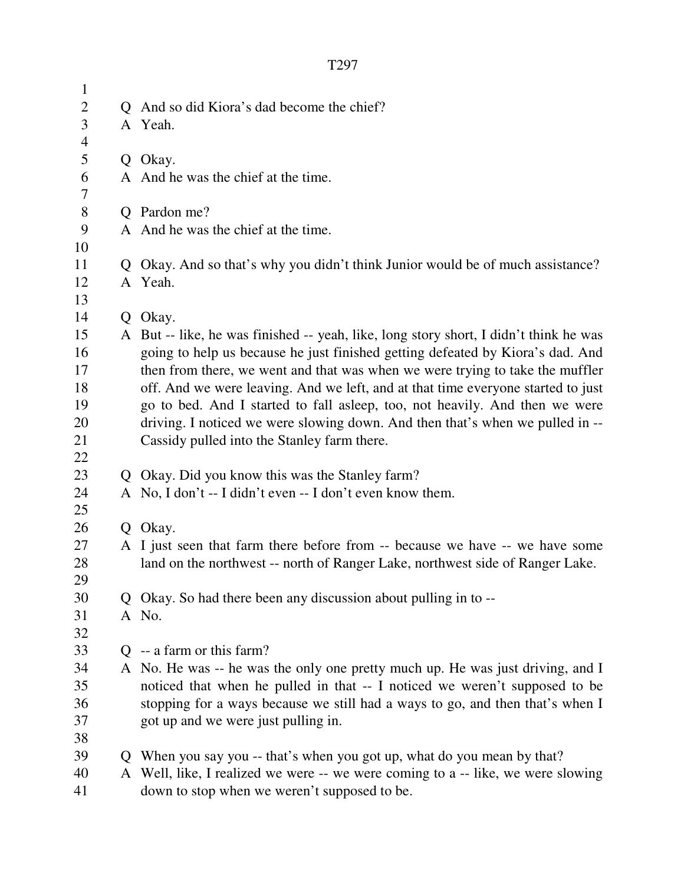| $\mathbf{1}$   |              |                                                                                       |
|----------------|--------------|---------------------------------------------------------------------------------------|
| $\overline{2}$ |              | Q And so did Kiora's dad become the chief?                                            |
| 3              |              | A Yeah.                                                                               |
| $\overline{4}$ |              |                                                                                       |
| 5              |              | Q Okay.                                                                               |
| 6              |              | A And he was the chief at the time.                                                   |
| 7              |              |                                                                                       |
| 8              |              | Q Pardon me?                                                                          |
| 9              |              | A And he was the chief at the time.                                                   |
| 10             |              |                                                                                       |
| 11             | $\mathbf{Q}$ | Okay. And so that's why you didn't think Junior would be of much assistance?          |
| 12             |              | A Yeah.                                                                               |
| 13             |              |                                                                                       |
| 14             | Q            | Okay.                                                                                 |
| 15             |              | A But -- like, he was finished -- yeah, like, long story short, I didn't think he was |
| 16             |              | going to help us because he just finished getting defeated by Kiora's dad. And        |
| 17             |              | then from there, we went and that was when we were trying to take the muffler         |
| 18             |              | off. And we were leaving. And we left, and at that time everyone started to just      |
| 19             |              | go to bed. And I started to fall asleep, too, not heavily. And then we were           |
| 20             |              | driving. I noticed we were slowing down. And then that's when we pulled in --         |
| 21             |              | Cassidy pulled into the Stanley farm there.                                           |
| 22             |              |                                                                                       |
| 23             |              | Q Okay. Did you know this was the Stanley farm?                                       |
| 24             |              | A No, I don't -- I didn't even -- I don't even know them.                             |
| 25<br>26       |              | Q Okay.                                                                               |
| 27             |              | A I just seen that farm there before from -- because we have -- we have some          |
| 28             |              | land on the northwest -- north of Ranger Lake, northwest side of Ranger Lake.         |
| 29             |              |                                                                                       |
| 30             |              | Q Okay. So had there been any discussion about pulling in to --                       |
| 31             |              | A No.                                                                                 |
| 32             |              |                                                                                       |
| 33             |              | $Q - a$ farm or this farm?                                                            |
| 34             |              | A No. He was -- he was the only one pretty much up. He was just driving, and I        |
| 35             |              | noticed that when he pulled in that -- I noticed we weren't supposed to be            |
| 36             |              | stopping for a ways because we still had a ways to go, and then that's when I         |
| 37             |              | got up and we were just pulling in.                                                   |
| 38             |              |                                                                                       |
| 39             |              | Q When you say you -- that's when you got up, what do you mean by that?               |
| 40             |              | A Well, like, I realized we were -- we were coming to a -- like, we were slowing      |
| 41             |              | down to stop when we weren't supposed to be.                                          |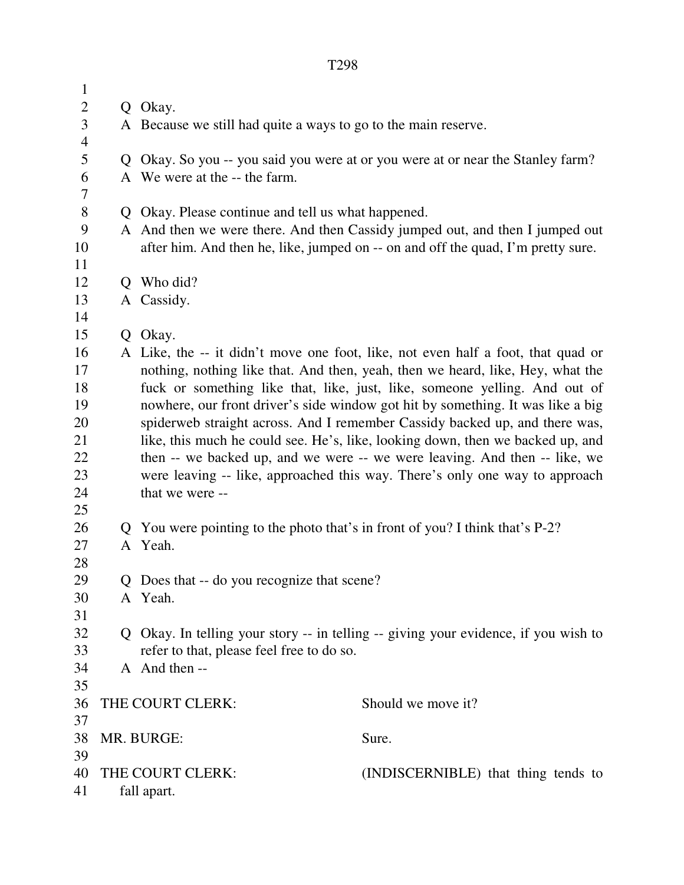| $\mathbf{1}$   |                                                         |                                                                                     |  |  |
|----------------|---------------------------------------------------------|-------------------------------------------------------------------------------------|--|--|
| $\mathbf{2}$   |                                                         | Q Okay.                                                                             |  |  |
| 3              |                                                         | A Because we still had quite a ways to go to the main reserve.                      |  |  |
| $\overline{4}$ |                                                         |                                                                                     |  |  |
| 5              |                                                         | Q Okay. So you -- you said you were at or you were at or near the Stanley farm?     |  |  |
| 6              |                                                         | A We were at the -- the farm.                                                       |  |  |
| 7              |                                                         |                                                                                     |  |  |
| $8\,$          |                                                         | Q Okay. Please continue and tell us what happened.                                  |  |  |
| 9              |                                                         | A And then we were there. And then Cassidy jumped out, and then I jumped out        |  |  |
| 10<br>11       |                                                         | after him. And then he, like, jumped on -- on and off the quad, I'm pretty sure.    |  |  |
| 12             |                                                         | Q Who did?                                                                          |  |  |
| 13             |                                                         | A Cassidy.                                                                          |  |  |
| 14             |                                                         |                                                                                     |  |  |
| 15             |                                                         | Q Okay.                                                                             |  |  |
| 16             |                                                         | A Like, the -- it didn't move one foot, like, not even half a foot, that quad or    |  |  |
| 17             |                                                         | nothing, nothing like that. And then, yeah, then we heard, like, Hey, what the      |  |  |
| 18             |                                                         | fuck or something like that, like, just, like, someone yelling. And out of          |  |  |
| 19             |                                                         | nowhere, our front driver's side window got hit by something. It was like a big     |  |  |
| 20             |                                                         | spiderweb straight across. And I remember Cassidy backed up, and there was,         |  |  |
| 21             |                                                         | like, this much he could see. He's, like, looking down, then we backed up, and      |  |  |
| 22             |                                                         | then -- we backed up, and we were -- we were leaving. And then -- like, we          |  |  |
| 23             |                                                         | were leaving -- like, approached this way. There's only one way to approach         |  |  |
| 24             |                                                         | that we were --                                                                     |  |  |
| 25             |                                                         |                                                                                     |  |  |
| 26             |                                                         | Q You were pointing to the photo that's in front of you? I think that's P-2?        |  |  |
| 27             |                                                         | A Yeah.                                                                             |  |  |
| 28             |                                                         |                                                                                     |  |  |
| 29             |                                                         | Q Does that -- do you recognize that scene?                                         |  |  |
| 30             |                                                         | A Yeah.                                                                             |  |  |
| 31             |                                                         |                                                                                     |  |  |
| 32             |                                                         | Q Okay. In telling your story -- in telling -- giving your evidence, if you wish to |  |  |
| 33             |                                                         | refer to that, please feel free to do so.                                           |  |  |
| 34             |                                                         | A And then --                                                                       |  |  |
| 35             |                                                         |                                                                                     |  |  |
| 36             |                                                         | THE COURT CLERK:<br>Should we move it?                                              |  |  |
| 37             |                                                         |                                                                                     |  |  |
| 38             |                                                         | MR. BURGE:<br>Sure.                                                                 |  |  |
| 39             |                                                         |                                                                                     |  |  |
| 40             | THE COURT CLERK:<br>(INDISCERNIBLE) that thing tends to |                                                                                     |  |  |
| 41             | fall apart.                                             |                                                                                     |  |  |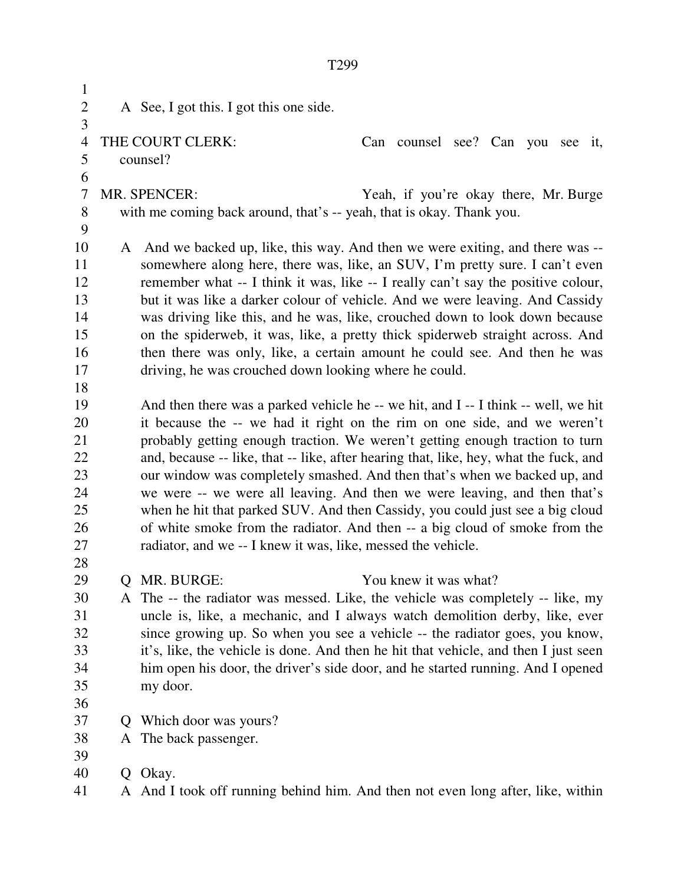1 2 A See, I got this. I got this one side. 3 4 THE COURT CLERK: Can counsel see? Can you see it, 5 counsel? 6 7 MR. SPENCER: Yeah, if you're okay there, Mr. Burge 8 with me coming back around, that's -- yeah, that is okay. Thank you. 9 10 A And we backed up, like, this way. And then we were exiting, and there was -- 11 somewhere along here, there was, like, an SUV, I'm pretty sure. I can't even 12 remember what -- I think it was, like -- I really can't say the positive colour, 13 but it was like a darker colour of vehicle. And we were leaving. And Cassidy 14 was driving like this, and he was, like, crouched down to look down because 15 on the spiderweb, it was, like, a pretty thick spiderweb straight across. And 16 then there was only, like, a certain amount he could see. And then he was 17 driving, he was crouched down looking where he could. 18 19 And then there was a parked vehicle he -- we hit, and I -- I think -- well, we hit 20 it because the -- we had it right on the rim on one side, and we weren't 21 probably getting enough traction. We weren't getting enough traction to turn 22 and, because -- like, that -- like, after hearing that, like, hey, what the fuck, and 23 our window was completely smashed. And then that's when we backed up, and 24 we were -- we were all leaving. And then we were leaving, and then that's 25 when he hit that parked SUV. And then Cassidy, you could just see a big cloud 26 of white smoke from the radiator. And then -- a big cloud of smoke from the 27 radiator, and we -- I knew it was, like, messed the vehicle. 28 29 Q MR. BURGE: You knew it was what? 30 A The -- the radiator was messed. Like, the vehicle was completely -- like, my 31 uncle is, like, a mechanic, and I always watch demolition derby, like, ever 32 since growing up. So when you see a vehicle -- the radiator goes, you know, 33 it's, like, the vehicle is done. And then he hit that vehicle, and then I just seen 34 him open his door, the driver's side door, and he started running. And I opened 35 my door. 36 37 Q Which door was yours? 38 A The back passenger. 39 40 Q Okay. 41 A And I took off running behind him. And then not even long after, like, within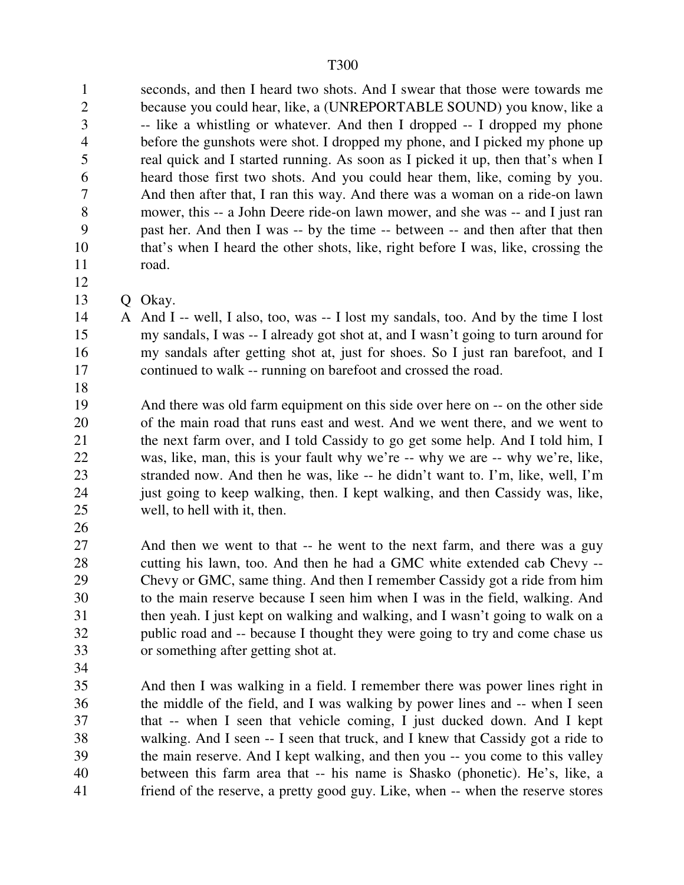1 seconds, and then I heard two shots. And I swear that those were towards me 2 because you could hear, like, a (UNREPORTABLE SOUND) you know, like a 3 -- like a whistling or whatever. And then I dropped -- I dropped my phone 4 before the gunshots were shot. I dropped my phone, and I picked my phone up 5 real quick and I started running. As soon as I picked it up, then that's when I 6 heard those first two shots. And you could hear them, like, coming by you. 7 And then after that, I ran this way. And there was a woman on a ride-on lawn 8 mower, this -- a John Deere ride-on lawn mower, and she was -- and I just ran 9 past her. And then I was -- by the time -- between -- and then after that then 10 that's when I heard the other shots, like, right before I was, like, crossing the 11 road. 12

- 13 Q Okay.
- 14 A And I -- well, I also, too, was -- I lost my sandals, too. And by the time I lost 15 my sandals, I was -- I already got shot at, and I wasn't going to turn around for 16 my sandals after getting shot at, just for shoes. So I just ran barefoot, and I 17 continued to walk -- running on barefoot and crossed the road.
- 18
- 19 And there was old farm equipment on this side over here on -- on the other side 20 of the main road that runs east and west. And we went there, and we went to 21 the next farm over, and I told Cassidy to go get some help. And I told him, I 22 was, like, man, this is your fault why we're -- why we are -- why we're, like, 23 stranded now. And then he was, like -- he didn't want to. I'm, like, well, I'm 24 just going to keep walking, then. I kept walking, and then Cassidy was, like, 25 well, to hell with it, then.
- 26

27 And then we went to that -- he went to the next farm, and there was a guy 28 cutting his lawn, too. And then he had a GMC white extended cab Chevy -- 29 Chevy or GMC, same thing. And then I remember Cassidy got a ride from him 30 to the main reserve because I seen him when I was in the field, walking. And 31 then yeah. I just kept on walking and walking, and I wasn't going to walk on a 32 public road and -- because I thought they were going to try and come chase us 33 or something after getting shot at.

34

35 And then I was walking in a field. I remember there was power lines right in 36 the middle of the field, and I was walking by power lines and -- when I seen 37 that -- when I seen that vehicle coming, I just ducked down. And I kept 38 walking. And I seen -- I seen that truck, and I knew that Cassidy got a ride to 39 the main reserve. And I kept walking, and then you -- you come to this valley 40 between this farm area that -- his name is Shasko (phonetic). He's, like, a 41 friend of the reserve, a pretty good guy. Like, when -- when the reserve stores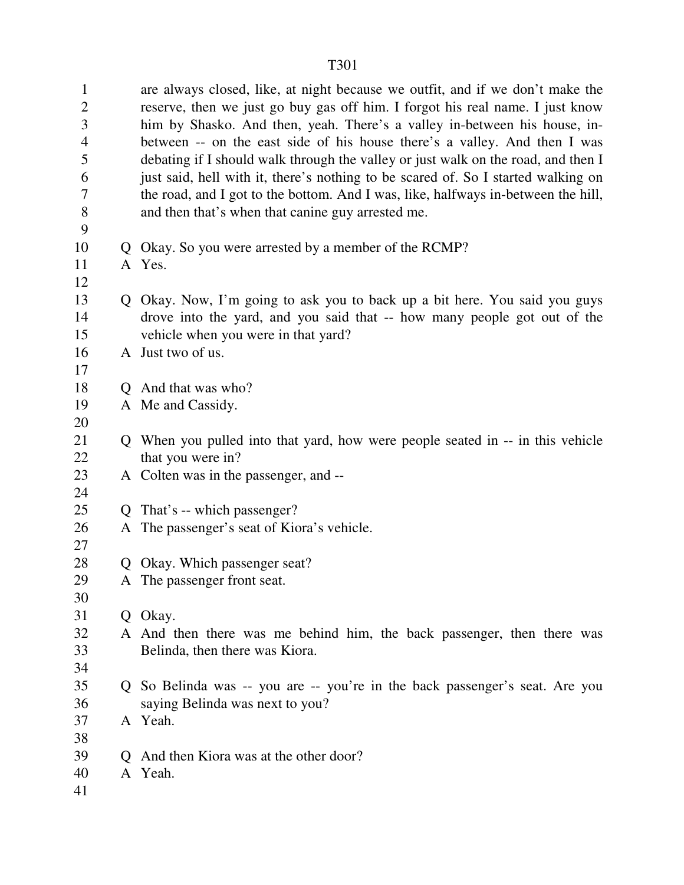1 are always closed, like, at night because we outfit, and if we don't make the 2 reserve, then we just go buy gas off him. I forgot his real name. I just know 3 him by Shasko. And then, yeah. There's a valley in-between his house, in-4 between -- on the east side of his house there's a valley. And then I was 5 debating if I should walk through the valley or just walk on the road, and then I 6 just said, hell with it, there's nothing to be scared of. So I started walking on 7 the road, and I got to the bottom. And I was, like, halfways in-between the hill, 8 and then that's when that canine guy arrested me. 9 10 Q Okay. So you were arrested by a member of the RCMP? 11 A Yes. 12 13 Q Okay. Now, I'm going to ask you to back up a bit here. You said you guys 14 drove into the yard, and you said that -- how many people got out of the 15 vehicle when you were in that yard? 16 A Just two of us. 17 18 Q And that was who? 19 A Me and Cassidy. 20 21 Q When you pulled into that yard, how were people seated in -- in this vehicle 22 that you were in? 23 A Colten was in the passenger, and -- 24 25 Q That's -- which passenger? 26 A The passenger's seat of Kiora's vehicle. 27 28 O Okay. Which passenger seat? 29 A The passenger front seat. 30 31 Q Okay. 32 A And then there was me behind him, the back passenger, then there was 33 Belinda, then there was Kiora. 34 35 Q So Belinda was -- you are -- you're in the back passenger's seat. Are you 36 saying Belinda was next to you? 37 A Yeah. 38 39 Q And then Kiora was at the other door? 40 A Yeah. 41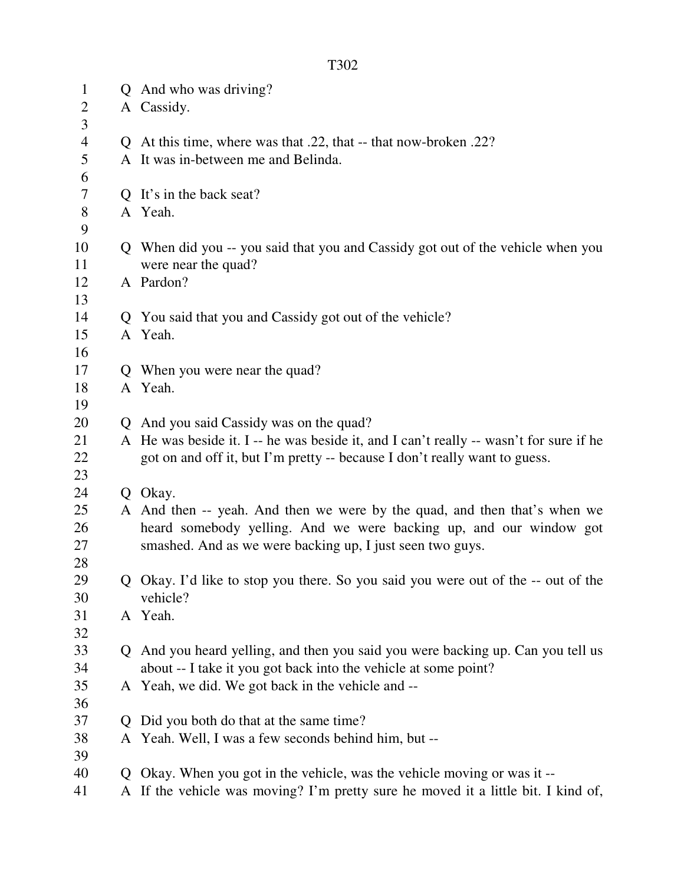| $\mathbf{1}$   |              | Q And who was driving?                                                                 |  |  |
|----------------|--------------|----------------------------------------------------------------------------------------|--|--|
| $\overline{2}$ |              | A Cassidy.                                                                             |  |  |
| 3              |              |                                                                                        |  |  |
| $\overline{4}$ |              | Q At this time, where was that .22, that -- that now-broken .22?                       |  |  |
| 5              |              | A It was in-between me and Belinda.                                                    |  |  |
| 6              |              |                                                                                        |  |  |
| 7              |              | Q It's in the back seat?                                                               |  |  |
| 8              |              | A Yeah.                                                                                |  |  |
| 9              |              |                                                                                        |  |  |
| 10             |              | Q When did you -- you said that you and Cassidy got out of the vehicle when you        |  |  |
| 11             |              | were near the quad?                                                                    |  |  |
| 12             |              | A Pardon?                                                                              |  |  |
| 13             |              |                                                                                        |  |  |
| 14             |              | Q You said that you and Cassidy got out of the vehicle?                                |  |  |
| 15             |              | A Yeah.                                                                                |  |  |
| 16             |              |                                                                                        |  |  |
| 17             |              | Q When you were near the quad?                                                         |  |  |
| 18             |              | A Yeah.                                                                                |  |  |
| 19             |              |                                                                                        |  |  |
| 20             |              | Q And you said Cassidy was on the quad?                                                |  |  |
| 21             |              | A He was beside it. I -- he was beside it, and I can't really -- wasn't for sure if he |  |  |
| 22             |              | got on and off it, but I'm pretty -- because I don't really want to guess.             |  |  |
| 23             |              |                                                                                        |  |  |
| 24             |              | Q Okay.                                                                                |  |  |
| 25             |              | A And then -- yeah. And then we were by the quad, and then that's when we              |  |  |
| 26             |              | heard somebody yelling. And we were backing up, and our window got                     |  |  |
| 27             |              | smashed. And as we were backing up, I just seen two guys.                              |  |  |
| 28             |              |                                                                                        |  |  |
| 29             |              | Q Okay. I'd like to stop you there. So you said you were out of the -- out of the      |  |  |
| 30             |              | vehicle?                                                                               |  |  |
| 31             |              | A Yeah.                                                                                |  |  |
| 32             |              |                                                                                        |  |  |
| 33             |              | Q And you heard yelling, and then you said you were backing up. Can you tell us        |  |  |
| 34             |              | about -- I take it you got back into the vehicle at some point?                        |  |  |
| 35             |              | A Yeah, we did. We got back in the vehicle and --                                      |  |  |
| 36             |              |                                                                                        |  |  |
| 37             | $\mathbf O$  | Did you both do that at the same time?                                                 |  |  |
| 38             |              | A Yeah. Well, I was a few seconds behind him, but --                                   |  |  |
| 39             |              |                                                                                        |  |  |
| 40             | $\mathbf{Q}$ | Okay. When you got in the vehicle, was the vehicle moving or was it --                 |  |  |
| 41             |              | A If the vehicle was moving? I'm pretty sure he moved it a little bit. I kind of,      |  |  |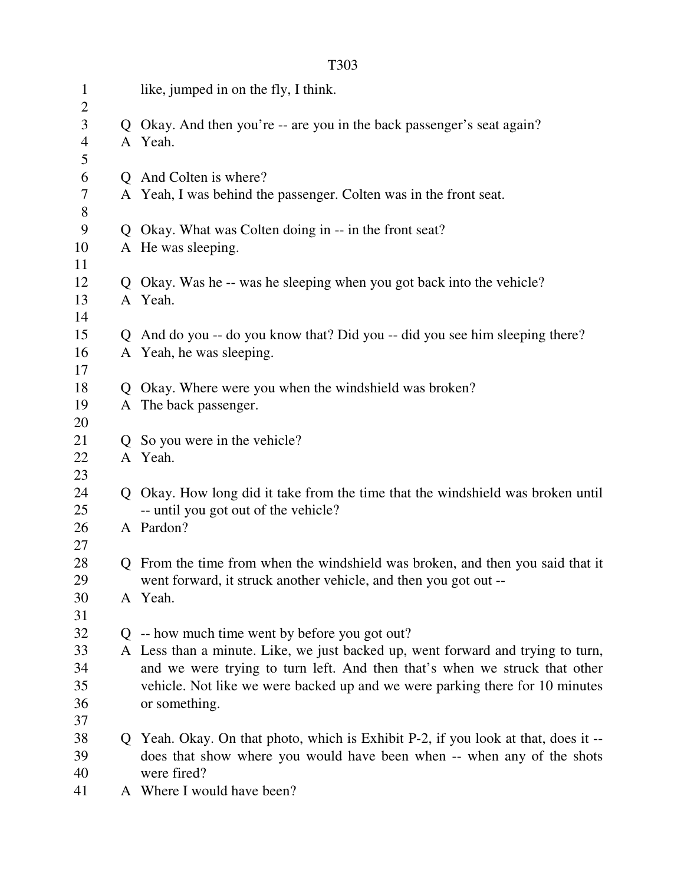| $\mathbf{1}$                     | like, jumped in on the fly, I think.                                                  |
|----------------------------------|---------------------------------------------------------------------------------------|
| $\overline{2}$<br>$\mathfrak{Z}$ | Q Okay. And then you're -- are you in the back passenger's seat again?                |
| $\overline{4}$                   | A Yeah.                                                                               |
| 5                                |                                                                                       |
| 6                                | Q And Colten is where?                                                                |
| 7                                | A Yeah, I was behind the passenger. Colten was in the front seat.                     |
| 8                                |                                                                                       |
| 9                                | Q Okay. What was Colten doing in -- in the front seat?                                |
| 10                               | A He was sleeping.                                                                    |
| 11                               |                                                                                       |
| 12                               | Q Okay. Was he -- was he sleeping when you got back into the vehicle?                 |
| 13                               | A Yeah.                                                                               |
| 14                               |                                                                                       |
| 15                               | Q And do you -- do you know that? Did you -- did you see him sleeping there?          |
| 16                               | A Yeah, he was sleeping.                                                              |
| 17                               |                                                                                       |
| 18                               | Q Okay. Where were you when the windshield was broken?                                |
| 19                               | A The back passenger.                                                                 |
| 20                               |                                                                                       |
| 21                               | Q So you were in the vehicle?                                                         |
| 22                               | A Yeah.                                                                               |
| 23                               |                                                                                       |
| 24                               | Q Okay. How long did it take from the time that the windshield was broken until       |
| 25                               | -- until you got out of the vehicle?                                                  |
| 26                               | A Pardon?                                                                             |
| 27                               |                                                                                       |
| 28                               | Q From the time from when the windshield was broken, and then you said that it        |
| 29                               | went forward, it struck another vehicle, and then you got out --                      |
| 30                               | A Yeah.                                                                               |
| 31                               |                                                                                       |
| 32                               | $Q$ -- how much time went by before you got out?                                      |
| 33                               | A Less than a minute. Like, we just backed up, went forward and trying to turn,       |
| 34                               | and we were trying to turn left. And then that's when we struck that other            |
| 35                               | vehicle. Not like we were backed up and we were parking there for 10 minutes          |
| 36                               | or something.                                                                         |
| 37                               |                                                                                       |
| 38<br>39                         | Q Yeah. Okay. On that photo, which is Exhibit P-2, if you look at that, does it --    |
| 40                               | does that show where you would have been when -- when any of the shots<br>were fired? |
| 41                               | A Where I would have been?                                                            |
|                                  |                                                                                       |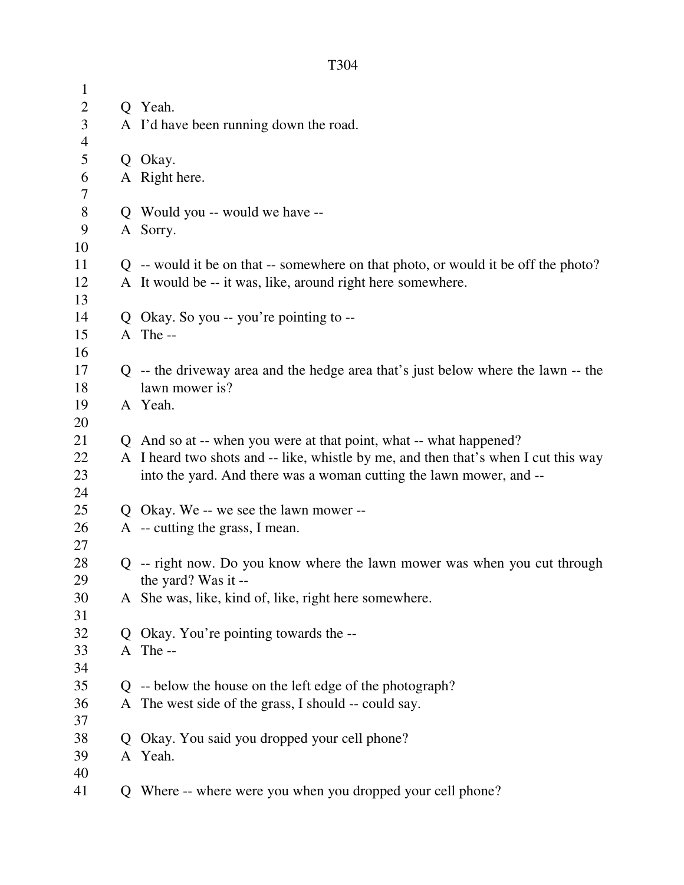| $\mathbf{1}$   |   |                                                                                     |  |
|----------------|---|-------------------------------------------------------------------------------------|--|
| $\overline{c}$ |   | Q Yeah.                                                                             |  |
| 3              |   | A I'd have been running down the road.                                              |  |
| $\overline{4}$ |   |                                                                                     |  |
| 5              |   | Q Okay.                                                                             |  |
| 6              |   | A Right here.                                                                       |  |
| 7              |   |                                                                                     |  |
| 8              |   | Q Would you -- would we have --                                                     |  |
| 9              |   | A Sorry.                                                                            |  |
| 10             |   |                                                                                     |  |
| 11             |   | Q -- would it be on that -- somewhere on that photo, or would it be off the photo?  |  |
| 12             |   | A It would be -- it was, like, around right here somewhere.                         |  |
| 13             |   |                                                                                     |  |
| 14             |   | Q Okay. So you -- you're pointing to --                                             |  |
| 15             |   | A The-                                                                              |  |
| 16             |   |                                                                                     |  |
| 17             |   | Q -- the driveway area and the hedge area that's just below where the lawn -- the   |  |
| 18             |   | lawn mower is?                                                                      |  |
| 19             |   | A Yeah.                                                                             |  |
| 20             |   |                                                                                     |  |
| 21             |   | Q And so at -- when you were at that point, what -- what happened?                  |  |
| 22             |   | A I heard two shots and -- like, whistle by me, and then that's when I cut this way |  |
| 23             |   | into the yard. And there was a woman cutting the lawn mower, and --                 |  |
| 24             |   |                                                                                     |  |
| 25             |   | Q Okay. We -- we see the lawn mower --                                              |  |
| 26             |   | A -- cutting the grass, I mean.                                                     |  |
| 27             |   |                                                                                     |  |
| 28             |   | Q -- right now. Do you know where the lawn mower was when you cut through           |  |
| 29             |   | the yard? Was it --                                                                 |  |
| 30             |   | A She was, like, kind of, like, right here somewhere.                               |  |
| 31             |   |                                                                                     |  |
| 32             |   | Q Okay. You're pointing towards the --                                              |  |
| 33             |   | A The-                                                                              |  |
| 34             |   |                                                                                     |  |
| 35             |   | Q -- below the house on the left edge of the photograph?                            |  |
| 36             |   | A The west side of the grass, I should -- could say.                                |  |
| 37             |   |                                                                                     |  |
| 38             | Q | Okay. You said you dropped your cell phone?                                         |  |
| 39             |   | A Yeah.                                                                             |  |
| 40             |   |                                                                                     |  |
| 41             |   | Q Where -- where were you when you dropped your cell phone?                         |  |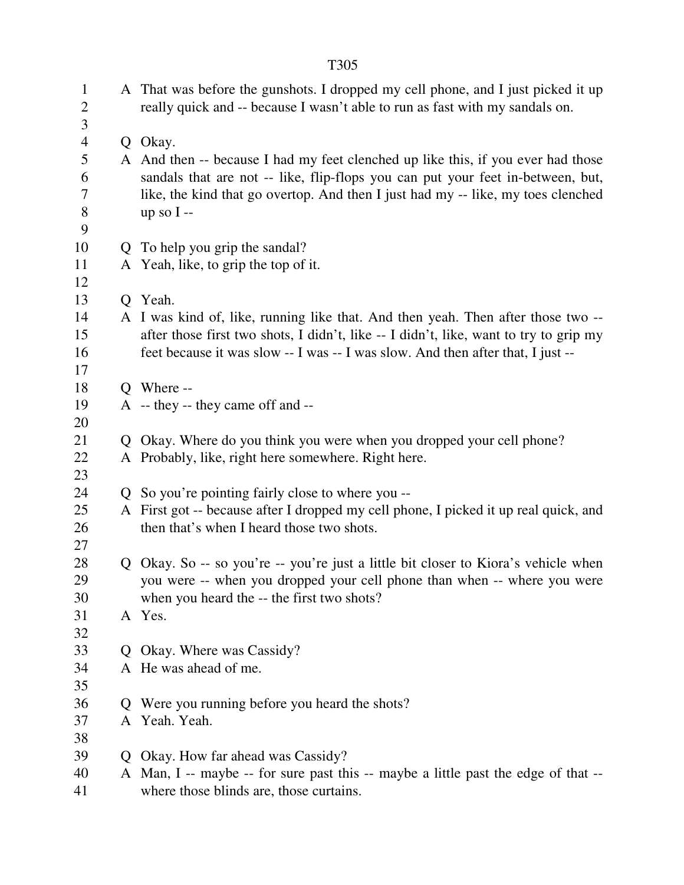|                                     |    | T305                                                                                                                                                                |  |  |
|-------------------------------------|----|---------------------------------------------------------------------------------------------------------------------------------------------------------------------|--|--|
| $\mathbf{1}$<br>$\overline{c}$<br>3 |    | A That was before the gunshots. I dropped my cell phone, and I just picked it up<br>really quick and -- because I wasn't able to run as fast with my sandals on.    |  |  |
| $\overline{4}$                      |    | Q Okay.                                                                                                                                                             |  |  |
| 5<br>6                              |    | A And then -- because I had my feet clenched up like this, if you ever had those<br>sandals that are not -- like, flip-flops you can put your feet in-between, but, |  |  |
| 7<br>8<br>9                         |    | like, the kind that go overtop. And then I just had my -- like, my toes clenched<br>up so $I -$                                                                     |  |  |
| 10                                  |    | Q To help you grip the sandal?                                                                                                                                      |  |  |
| 11                                  |    | A Yeah, like, to grip the top of it.                                                                                                                                |  |  |
| 12                                  |    |                                                                                                                                                                     |  |  |
| 13                                  |    | Q Yeah.                                                                                                                                                             |  |  |
| 14                                  |    | A I was kind of, like, running like that. And then yeah. Then after those two --                                                                                    |  |  |
| 15                                  |    | after those first two shots, I didn't, like -- I didn't, like, want to try to grip my                                                                               |  |  |
| 16                                  |    | feet because it was slow -- I was -- I was slow. And then after that, I just --                                                                                     |  |  |
| 17                                  |    |                                                                                                                                                                     |  |  |
| 18                                  |    | O Where --                                                                                                                                                          |  |  |
| 19<br>20                            |    | A -- they -- they came off and --                                                                                                                                   |  |  |
| 21                                  |    | Q Okay. Where do you think you were when you dropped your cell phone?                                                                                               |  |  |
| 22                                  |    | A Probably, like, right here somewhere. Right here.                                                                                                                 |  |  |
| 23                                  |    |                                                                                                                                                                     |  |  |
| 24                                  |    | Q So you're pointing fairly close to where you --                                                                                                                   |  |  |
| 25                                  |    | A First got -- because after I dropped my cell phone, I picked it up real quick, and                                                                                |  |  |
| 26                                  |    | then that's when I heard those two shots.                                                                                                                           |  |  |
| 27                                  |    |                                                                                                                                                                     |  |  |
| 28                                  |    | Q Okay. So -- so you're -- you're just a little bit closer to Kiora's vehicle when                                                                                  |  |  |
| 29                                  |    | you were -- when you dropped your cell phone than when -- where you were                                                                                            |  |  |
| 30                                  |    | when you heard the -- the first two shots?                                                                                                                          |  |  |
| 31                                  |    | A Yes.                                                                                                                                                              |  |  |
| 32                                  |    |                                                                                                                                                                     |  |  |
| 33                                  |    | Q Okay. Where was Cassidy?                                                                                                                                          |  |  |
| 34                                  |    | A He was ahead of me.                                                                                                                                               |  |  |
| 35                                  |    |                                                                                                                                                                     |  |  |
| 36                                  | Q. | Were you running before you heard the shots?                                                                                                                        |  |  |
| 37<br>38                            |    | A Yeah. Yeah.                                                                                                                                                       |  |  |
| 39                                  |    | Q Okay. How far ahead was Cassidy?                                                                                                                                  |  |  |
| 40                                  |    | A Man, I -- maybe -- for sure past this -- maybe a little past the edge of that --                                                                                  |  |  |
| 41                                  |    | where those blinds are, those curtains.                                                                                                                             |  |  |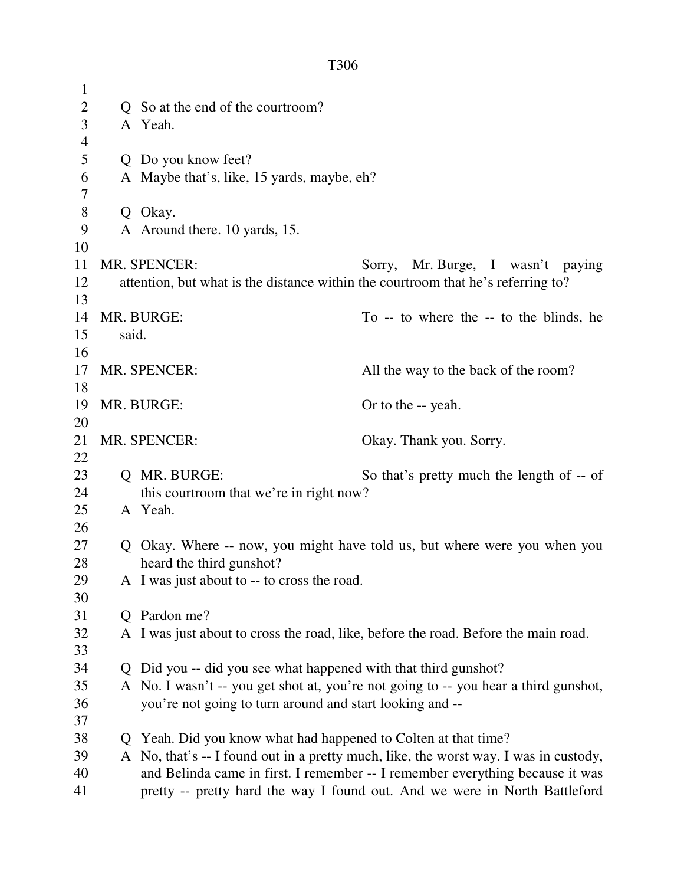| $\mathbf{1}$   |                                                                                                                                                             |                                                                                                                                                 |                                                                                      |  |
|----------------|-------------------------------------------------------------------------------------------------------------------------------------------------------------|-------------------------------------------------------------------------------------------------------------------------------------------------|--------------------------------------------------------------------------------------|--|
| $\overline{2}$ |                                                                                                                                                             | Q So at the end of the courtroom?                                                                                                               |                                                                                      |  |
| 3              |                                                                                                                                                             | A Yeah.                                                                                                                                         |                                                                                      |  |
| $\overline{4}$ |                                                                                                                                                             |                                                                                                                                                 |                                                                                      |  |
| 5              |                                                                                                                                                             | Q Do you know feet?                                                                                                                             |                                                                                      |  |
| 6              |                                                                                                                                                             | A Maybe that's, like, 15 yards, maybe, eh?                                                                                                      |                                                                                      |  |
| $\tau$         |                                                                                                                                                             |                                                                                                                                                 |                                                                                      |  |
| $8\,$          |                                                                                                                                                             | Q Okay.                                                                                                                                         |                                                                                      |  |
| 9              |                                                                                                                                                             | A Around there. 10 yards, 15.                                                                                                                   |                                                                                      |  |
| 10             |                                                                                                                                                             |                                                                                                                                                 |                                                                                      |  |
| 11             |                                                                                                                                                             | <b>MR. SPENCER:</b>                                                                                                                             | Sorry, Mr. Burge, I wasn't paying                                                    |  |
| 12<br>13       |                                                                                                                                                             | attention, but what is the distance within the courtroom that he's referring to?                                                                |                                                                                      |  |
| 14             |                                                                                                                                                             | MR. BURGE:                                                                                                                                      | To -- to where the -- to the blinds, he                                              |  |
| 15             | said.                                                                                                                                                       |                                                                                                                                                 |                                                                                      |  |
| 16             |                                                                                                                                                             |                                                                                                                                                 |                                                                                      |  |
| 17             | MR. SPENCER:                                                                                                                                                |                                                                                                                                                 | All the way to the back of the room?                                                 |  |
| 18             |                                                                                                                                                             |                                                                                                                                                 |                                                                                      |  |
| 19             | MR. BURGE:                                                                                                                                                  |                                                                                                                                                 | Or to the -- yeah.                                                                   |  |
| 20             |                                                                                                                                                             |                                                                                                                                                 |                                                                                      |  |
| 21             | MR. SPENCER:                                                                                                                                                |                                                                                                                                                 | Okay. Thank you. Sorry.                                                              |  |
| 22             |                                                                                                                                                             |                                                                                                                                                 |                                                                                      |  |
| 23             |                                                                                                                                                             | Q MR. BURGE:                                                                                                                                    | So that's pretty much the length of -- of                                            |  |
| 24             |                                                                                                                                                             | this courtroom that we're in right now?                                                                                                         |                                                                                      |  |
| 25             |                                                                                                                                                             | A Yeah.                                                                                                                                         |                                                                                      |  |
| 26             |                                                                                                                                                             |                                                                                                                                                 |                                                                                      |  |
| 27             |                                                                                                                                                             |                                                                                                                                                 | Q Okay. Where -- now, you might have told us, but where were you when you            |  |
| 28             |                                                                                                                                                             | heard the third gunshot?                                                                                                                        |                                                                                      |  |
| 29             | A I was just about to -- to cross the road.                                                                                                                 |                                                                                                                                                 |                                                                                      |  |
| 30             |                                                                                                                                                             |                                                                                                                                                 |                                                                                      |  |
| 31             | Q Pardon me?                                                                                                                                                |                                                                                                                                                 |                                                                                      |  |
| 32             |                                                                                                                                                             |                                                                                                                                                 | A I was just about to cross the road, like, before the road. Before the main road.   |  |
| 33             |                                                                                                                                                             |                                                                                                                                                 |                                                                                      |  |
| 34             |                                                                                                                                                             | Q Did you -- did you see what happened with that third gunshot?                                                                                 |                                                                                      |  |
| 35             |                                                                                                                                                             | A No. I wasn't -- you get shot at, you're not going to -- you hear a third gunshot,<br>you're not going to turn around and start looking and -- |                                                                                      |  |
| 36<br>37       |                                                                                                                                                             |                                                                                                                                                 |                                                                                      |  |
| 38             | O.                                                                                                                                                          | Yeah. Did you know what had happened to Colten at that time?                                                                                    |                                                                                      |  |
| 39             |                                                                                                                                                             |                                                                                                                                                 | A No, that's -- I found out in a pretty much, like, the worst way. I was in custody, |  |
| 40             |                                                                                                                                                             |                                                                                                                                                 |                                                                                      |  |
| 41             | and Belinda came in first. I remember -- I remember everything because it was<br>pretty -- pretty hard the way I found out. And we were in North Battleford |                                                                                                                                                 |                                                                                      |  |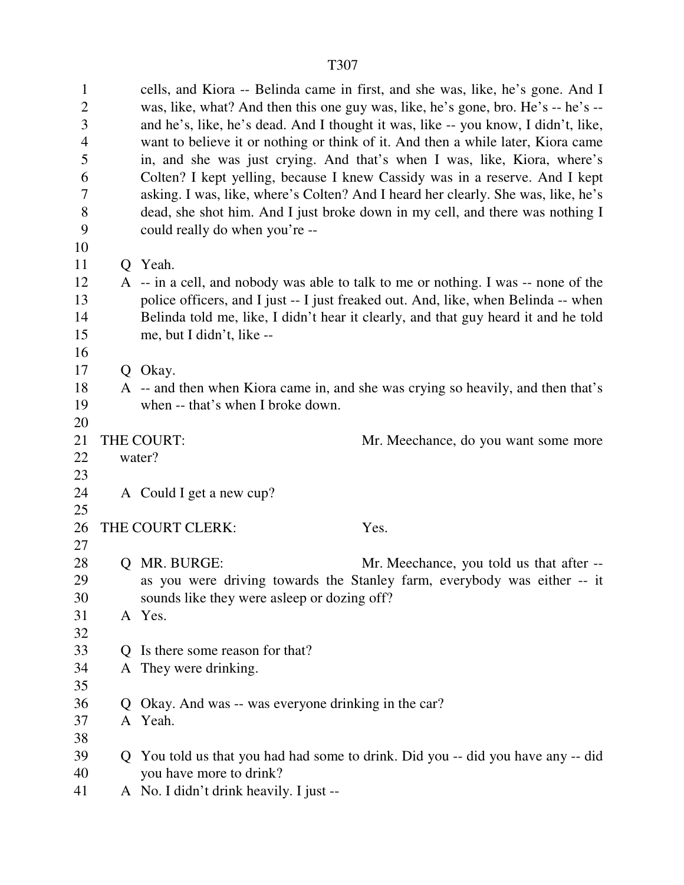1 cells, and Kiora -- Belinda came in first, and she was, like, he's gone. And I 2 was, like, what? And then this one guy was, like, he's gone, bro. He's -- he's -- 3 and he's, like, he's dead. And I thought it was, like -- you know, I didn't, like, 4 want to believe it or nothing or think of it. And then a while later, Kiora came 5 in, and she was just crying. And that's when I was, like, Kiora, where's 6 Colten? I kept yelling, because I knew Cassidy was in a reserve. And I kept 7 asking. I was, like, where's Colten? And I heard her clearly. She was, like, he's 8 dead, she shot him. And I just broke down in my cell, and there was nothing I 9 could really do when you're -- 10 11 Q Yeah. 12 A -- in a cell, and nobody was able to talk to me or nothing. I was -- none of the 13 police officers, and I just -- I just freaked out. And, like, when Belinda -- when 14 Belinda told me, like, I didn't hear it clearly, and that guy heard it and he told 15 me, but I didn't, like -- 16 17 O Okay. 18 A -- and then when Kiora came in, and she was crying so heavily, and then that's 19 when -- that's when I broke down. 20 21 THE COURT: Mr. Meechance, do you want some more 22 water? 23 24 A Could I get a new cup? 25 26 THE COURT CLERK: Yes. 27 28 O MR. BURGE: Mr. Meechance, you told us that after --29 as you were driving towards the Stanley farm, everybody was either -- it 30 sounds like they were asleep or dozing off? 31 A Yes. 32 33 Q Is there some reason for that? 34 A They were drinking. 35 36 Q Okay. And was -- was everyone drinking in the car? 37 A Yeah. 38 39 Q You told us that you had had some to drink. Did you -- did you have any -- did 40 you have more to drink? 41 A No. I didn't drink heavily. I just --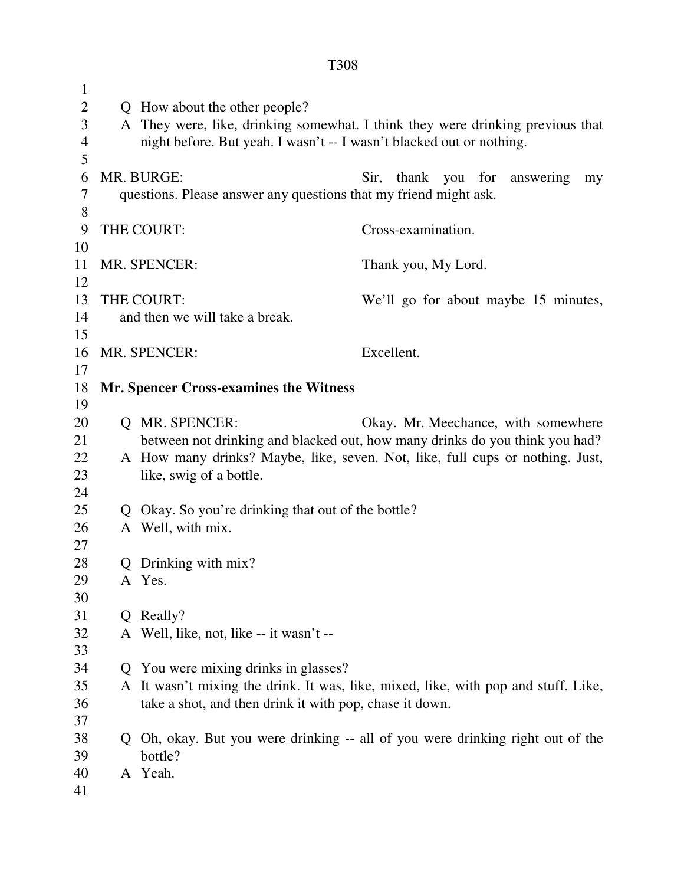| $\mathbf{1}$   |   |                                                                      |                                                                                    |
|----------------|---|----------------------------------------------------------------------|------------------------------------------------------------------------------------|
| $\mathbf{2}$   |   | Q How about the other people?                                        |                                                                                    |
| 3              |   |                                                                      | A They were, like, drinking somewhat. I think they were drinking previous that     |
| $\overline{4}$ |   | night before. But yeah. I wasn't -- I wasn't blacked out or nothing. |                                                                                    |
| 5              |   |                                                                      |                                                                                    |
| 6              |   | MR. BURGE:                                                           | Sir,<br>thank you for<br>answering<br>my                                           |
| 7              |   | questions. Please answer any questions that my friend might ask.     |                                                                                    |
| 8              |   |                                                                      |                                                                                    |
| 9              |   | THE COURT:                                                           | Cross-examination.                                                                 |
| 10             |   |                                                                      |                                                                                    |
| 11             |   | MR. SPENCER:                                                         | Thank you, My Lord.                                                                |
| 12             |   |                                                                      |                                                                                    |
| 13             |   | THE COURT:                                                           | We'll go for about maybe 15 minutes,                                               |
| 14             |   | and then we will take a break.                                       |                                                                                    |
| 15             |   |                                                                      |                                                                                    |
| 16             |   | MR. SPENCER:                                                         | Excellent.                                                                         |
| 17             |   |                                                                      |                                                                                    |
| 18             |   | <b>Mr. Spencer Cross-examines the Witness</b>                        |                                                                                    |
| 19             |   |                                                                      |                                                                                    |
| 20             |   | Q MR. SPENCER:                                                       | Okay. Mr. Meechance, with somewhere                                                |
| 21             |   |                                                                      | between not drinking and blacked out, how many drinks do you think you had?        |
| 22             |   |                                                                      | A How many drinks? Maybe, like, seven. Not, like, full cups or nothing. Just,      |
| 23             |   | like, swig of a bottle.                                              |                                                                                    |
| 24             |   |                                                                      |                                                                                    |
| 25             |   | Q Okay. So you're drinking that out of the bottle?                   |                                                                                    |
| 26             |   | A Well, with mix.                                                    |                                                                                    |
| 27             |   |                                                                      |                                                                                    |
| 28             |   | Q Drinking with mix?                                                 |                                                                                    |
| 29             |   | A Yes.                                                               |                                                                                    |
| 30             |   |                                                                      |                                                                                    |
| 31             | Q | Really?                                                              |                                                                                    |
| 32             |   | A Well, like, not, like -- it wasn't --                              |                                                                                    |
| 33             |   |                                                                      |                                                                                    |
| 34             |   | Q You were mixing drinks in glasses?                                 |                                                                                    |
| 35             |   |                                                                      | A It wasn't mixing the drink. It was, like, mixed, like, with pop and stuff. Like, |
| 36             |   | take a shot, and then drink it with pop, chase it down.              |                                                                                    |
| 37             |   |                                                                      |                                                                                    |
| 38             |   |                                                                      | Q Oh, okay. But you were drinking -- all of you were drinking right out of the     |
| 39             |   | bottle?                                                              |                                                                                    |
| 40             |   | A Yeah.                                                              |                                                                                    |
| 41             |   |                                                                      |                                                                                    |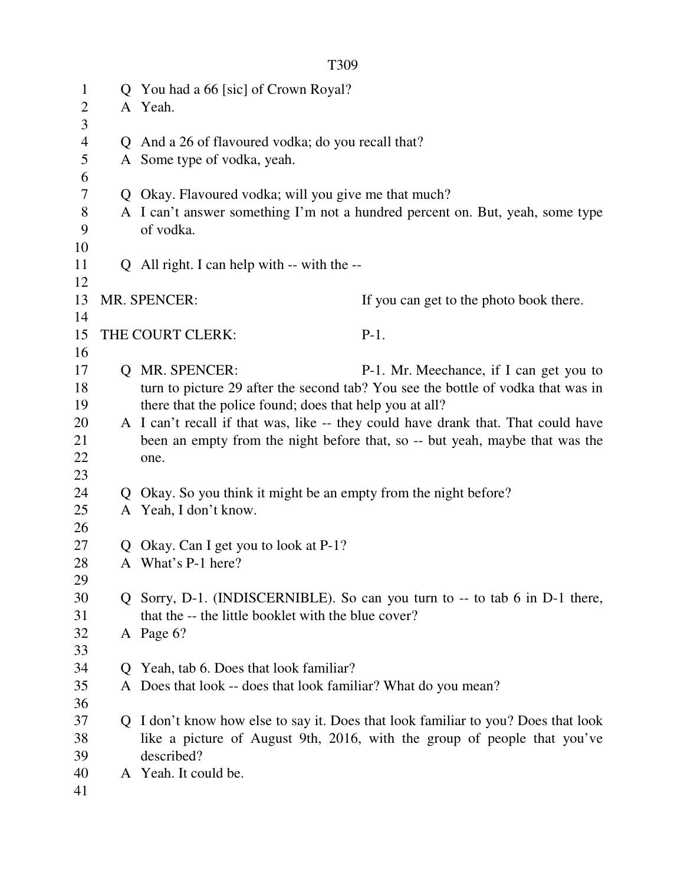| $\mathbf{1}$<br>2 |              | Q You had a 66 [sic] of Crown Royal?<br>A Yeah.                |                                                                                   |
|-------------------|--------------|----------------------------------------------------------------|-----------------------------------------------------------------------------------|
| 3                 |              |                                                                |                                                                                   |
| $\overline{4}$    | $\mathbf O$  | And a 26 of flavoured vodka; do you recall that?               |                                                                                   |
| 5                 |              | A Some type of vodka, yeah.                                    |                                                                                   |
| 6                 |              |                                                                |                                                                                   |
| 7                 |              | Q Okay. Flavoured vodka; will you give me that much?           |                                                                                   |
| 8                 |              |                                                                | A I can't answer something I'm not a hundred percent on. But, yeah, some type     |
| 9<br>10           |              | of vodka.                                                      |                                                                                   |
| 11                |              | Q All right. I can help with -- with the --                    |                                                                                   |
| 12                |              |                                                                |                                                                                   |
| 13                |              | MR. SPENCER:                                                   | If you can get to the photo book there.                                           |
| 14                |              |                                                                |                                                                                   |
| 15                |              | THE COURT CLERK:                                               | $P-1.$                                                                            |
| 16                |              |                                                                |                                                                                   |
| 17                | $\mathbf{O}$ | <b>MR. SPENCER:</b>                                            | P-1. Mr. Meechance, if I can get you to                                           |
| 18                |              |                                                                | turn to picture 29 after the second tab? You see the bottle of vodka that was in  |
| 19                |              | there that the police found; does that help you at all?        |                                                                                   |
| 20                |              |                                                                | A I can't recall if that was, like -- they could have drank that. That could have |
| 21                |              |                                                                | been an empty from the night before that, so -- but yeah, maybe that was the      |
| 22                |              | one.                                                           |                                                                                   |
| 23                |              |                                                                |                                                                                   |
| 24                | Q            | Okay. So you think it might be an empty from the night before? |                                                                                   |
| 25                |              | A Yeah, I don't know.                                          |                                                                                   |
| 26                |              |                                                                |                                                                                   |
| 27                | Q            | Okay. Can I get you to look at P-1?                            |                                                                                   |
| 28                |              | A What's P-1 here?                                             |                                                                                   |
| 29                |              |                                                                |                                                                                   |
| 30                |              |                                                                | Q Sorry, D-1. (INDISCERNIBLE). So can you turn to -- to tab 6 in D-1 there,       |
| 31                |              | that the -- the little booklet with the blue cover?            |                                                                                   |
| 32                |              | A Page 6?                                                      |                                                                                   |
| 33                |              |                                                                |                                                                                   |
| 34                |              | Q Yeah, tab 6. Does that look familiar?                        |                                                                                   |
| 35                |              | A Does that look -- does that look familiar? What do you mean? |                                                                                   |
| 36                |              |                                                                |                                                                                   |
| 37                | $\mathbf{O}$ |                                                                | I don't know how else to say it. Does that look familiar to you? Does that look   |
| 38                |              |                                                                | like a picture of August 9th, 2016, with the group of people that you've          |
| 39                |              | described?                                                     |                                                                                   |
| 40                |              | A Yeah. It could be.                                           |                                                                                   |
| 41                |              |                                                                |                                                                                   |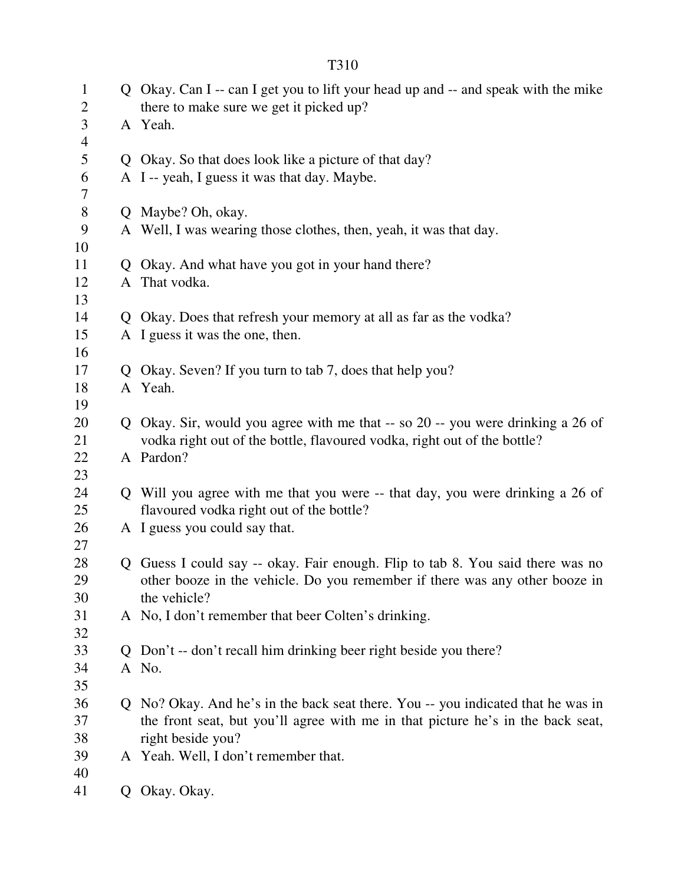| $\mathbf{1}$<br>$\overline{2}$ |   | Q Okay. Can I -- can I get you to lift your head up and -- and speak with the mike<br>there to make sure we get it picked up? |
|--------------------------------|---|-------------------------------------------------------------------------------------------------------------------------------|
| 3                              |   | A Yeah.                                                                                                                       |
| $\overline{4}$                 |   |                                                                                                                               |
| 5                              |   | Q Okay. So that does look like a picture of that day?                                                                         |
| 6                              |   | A I -- yeah, I guess it was that day. Maybe.                                                                                  |
| 7                              |   |                                                                                                                               |
| $8\,$                          |   | Q Maybe? Oh, okay.                                                                                                            |
| 9                              |   | A Well, I was wearing those clothes, then, yeah, it was that day.                                                             |
| 10                             |   |                                                                                                                               |
| 11                             | Q | Okay. And what have you got in your hand there?                                                                               |
| 12                             |   | A That vodka.                                                                                                                 |
| 13                             |   |                                                                                                                               |
| 14                             |   | Q Okay. Does that refresh your memory at all as far as the vodka?                                                             |
| 15                             |   | A I guess it was the one, then.                                                                                               |
| 16                             |   |                                                                                                                               |
| 17                             |   | Q Okay. Seven? If you turn to tab 7, does that help you?                                                                      |
| 18                             |   | A Yeah.                                                                                                                       |
| 19                             |   |                                                                                                                               |
| 20                             |   | Q Okay. Sir, would you agree with me that -- so 20 -- you were drinking a 26 of                                               |
| 21                             |   | vodka right out of the bottle, flavoured vodka, right out of the bottle?                                                      |
| 22<br>23                       |   | A Pardon?                                                                                                                     |
| 24                             |   | Q Will you agree with me that you were -- that day, you were drinking a 26 of                                                 |
| 25                             |   | flavoured vodka right out of the bottle?                                                                                      |
| 26                             |   | A I guess you could say that.                                                                                                 |
| 27                             |   |                                                                                                                               |
| 28                             |   | Q Guess I could say -- okay. Fair enough. Flip to tab 8. You said there was no                                                |
| 29                             |   | other booze in the vehicle. Do you remember if there was any other booze in                                                   |
| 30                             |   | the vehicle?                                                                                                                  |
| 31                             |   | A No, I don't remember that beer Colten's drinking.                                                                           |
| 32                             |   |                                                                                                                               |
| 33                             |   | Q Don't -- don't recall him drinking beer right beside you there?                                                             |
| 34                             |   | A No.                                                                                                                         |
| 35                             |   |                                                                                                                               |
| 36                             |   | Q No? Okay. And he's in the back seat there. You -- you indicated that he was in                                              |
| 37                             |   | the front seat, but you'll agree with me in that picture he's in the back seat,                                               |
| 38                             |   | right beside you?                                                                                                             |
| 39                             |   | A Yeah. Well, I don't remember that.                                                                                          |
| 40                             |   |                                                                                                                               |
| 41                             |   | Q Okay. Okay.                                                                                                                 |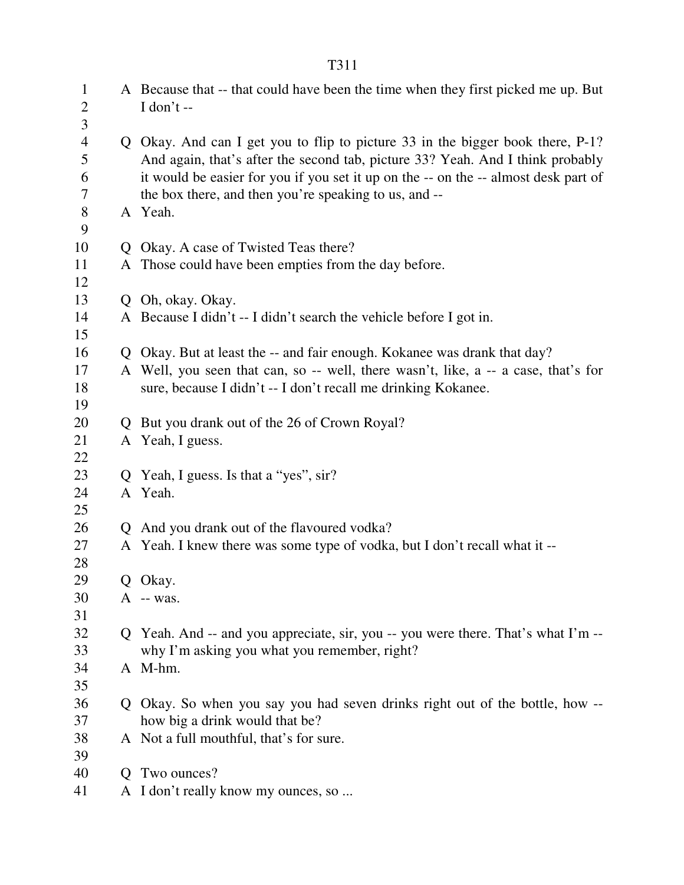| $\mathbf{1}$<br>$\overline{2}$<br>3 |    | A Because that -- that could have been the time when they first picked me up. But<br>I don't $-$                                                                                                                                                        |
|-------------------------------------|----|---------------------------------------------------------------------------------------------------------------------------------------------------------------------------------------------------------------------------------------------------------|
| $\overline{4}$<br>5<br>6            |    | Q Okay. And can I get you to flip to picture 33 in the bigger book there, P-1?<br>And again, that's after the second tab, picture 33? Yeah. And I think probably<br>it would be easier for you if you set it up on the -- on the -- almost desk part of |
| 7                                   |    | the box there, and then you're speaking to us, and --                                                                                                                                                                                                   |
| $8\,$                               |    | A Yeah.                                                                                                                                                                                                                                                 |
| 9                                   |    |                                                                                                                                                                                                                                                         |
| 10                                  |    | Q Okay. A case of Twisted Teas there?                                                                                                                                                                                                                   |
| 11                                  |    | A Those could have been empties from the day before.                                                                                                                                                                                                    |
| 12                                  |    |                                                                                                                                                                                                                                                         |
| 13                                  |    | Q Oh, okay. Okay.                                                                                                                                                                                                                                       |
| 14                                  |    | A Because I didn't -- I didn't search the vehicle before I got in.                                                                                                                                                                                      |
| 15                                  |    |                                                                                                                                                                                                                                                         |
| 16                                  |    | Q Okay. But at least the -- and fair enough. Kokanee was drank that day?                                                                                                                                                                                |
| 17                                  |    | A Well, you seen that can, so -- well, there wasn't, like, a -- a case, that's for                                                                                                                                                                      |
| 18                                  |    | sure, because I didn't -- I don't recall me drinking Kokanee.                                                                                                                                                                                           |
| 19                                  |    |                                                                                                                                                                                                                                                         |
| 20                                  | Q. | But you drank out of the 26 of Crown Royal?                                                                                                                                                                                                             |
| 21                                  |    | A Yeah, I guess.                                                                                                                                                                                                                                        |
| 22                                  |    |                                                                                                                                                                                                                                                         |
| 23                                  | Q. | Yeah, I guess. Is that a "yes", sir?                                                                                                                                                                                                                    |
| 24                                  |    | A Yeah.                                                                                                                                                                                                                                                 |
| 25                                  |    |                                                                                                                                                                                                                                                         |
| 26                                  |    | Q And you drank out of the flavoured vodka?                                                                                                                                                                                                             |
| 27                                  |    | A Yeah. I knew there was some type of vodka, but I don't recall what it --                                                                                                                                                                              |
| 28                                  |    |                                                                                                                                                                                                                                                         |
| 29                                  | Q  | Okay.                                                                                                                                                                                                                                                   |
| 30                                  |    | A -- was.                                                                                                                                                                                                                                               |
| 31                                  |    |                                                                                                                                                                                                                                                         |
| 32                                  |    | Q Yeah. And -- and you appreciate, sir, you -- you were there. That's what I'm --                                                                                                                                                                       |
| 33                                  |    | why I'm asking you what you remember, right?                                                                                                                                                                                                            |
| 34                                  |    | A M-hm.                                                                                                                                                                                                                                                 |
| 35                                  |    |                                                                                                                                                                                                                                                         |
| 36                                  |    | Q Okay. So when you say you had seven drinks right out of the bottle, how --                                                                                                                                                                            |
| 37                                  |    | how big a drink would that be?                                                                                                                                                                                                                          |
| 38                                  |    | A Not a full mouthful, that's for sure.                                                                                                                                                                                                                 |
| 39                                  |    |                                                                                                                                                                                                                                                         |
| 40                                  | Q. | Two ounces?                                                                                                                                                                                                                                             |
| 41                                  |    | A I don't really know my ounces, so                                                                                                                                                                                                                     |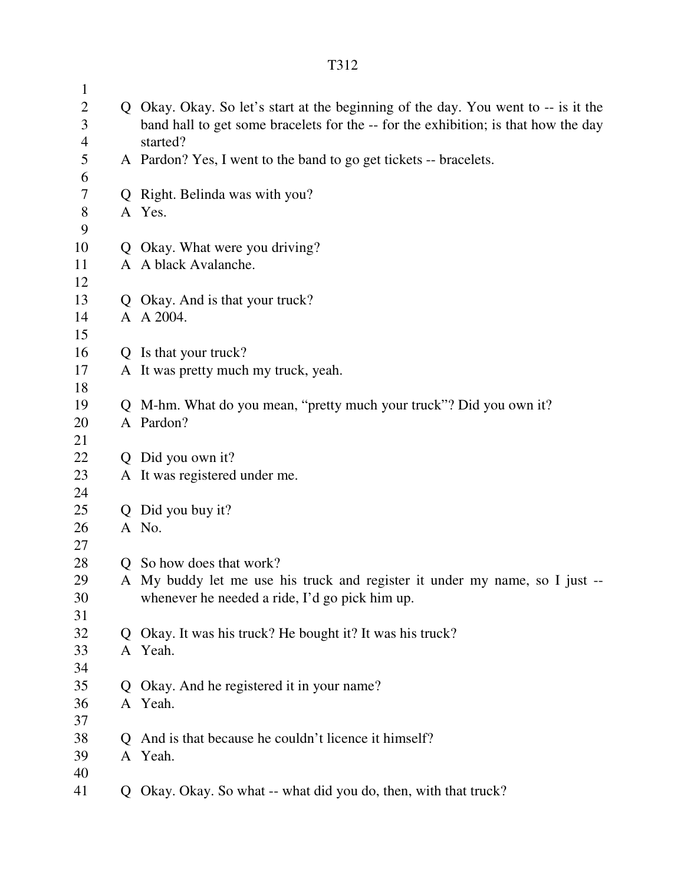| $\mathbf{1}$   |                                                                                    |
|----------------|------------------------------------------------------------------------------------|
| $\overline{2}$ | Q Okay. Okay. So let's start at the beginning of the day. You went to -- is it the |
| 3              | band hall to get some bracelets for the -- for the exhibition; is that how the day |
| $\overline{4}$ | started?                                                                           |
| 5              | A Pardon? Yes, I went to the band to go get tickets -- bracelets.                  |
| 6              |                                                                                    |
| 7              | Q Right. Belinda was with you?                                                     |
| $8\,$          | A Yes.                                                                             |
| 9              |                                                                                    |
| 10             | Q Okay. What were you driving?                                                     |
| 11             | A A black Avalanche.                                                               |
| 12             |                                                                                    |
| 13             | Q Okay. And is that your truck?                                                    |
| 14             | A A 2004.                                                                          |
| 15             |                                                                                    |
| 16             | Q Is that your truck?                                                              |
| 17             | A It was pretty much my truck, yeah.                                               |
| 18             |                                                                                    |
| 19             | Q M-hm. What do you mean, "pretty much your truck"? Did you own it?                |
| 20             | A Pardon?                                                                          |
| 21             |                                                                                    |
| 22             | Q Did you own it?                                                                  |
| 23             | A It was registered under me.                                                      |
| 24             |                                                                                    |
| 25             | Q Did you buy it?                                                                  |
| 26             | A No.                                                                              |
| 27             |                                                                                    |
| 28             | Q So how does that work?                                                           |
| 29             | A My buddy let me use his truck and register it under my name, so I just           |
| 30<br>31       | whenever he needed a ride, I'd go pick him up.                                     |
| 32             | Q Okay. It was his truck? He bought it? It was his truck?                          |
| 33             | A Yeah.                                                                            |
| 34             |                                                                                    |
| 35             | Q Okay. And he registered it in your name?                                         |
| 36             | A Yeah.                                                                            |
| 37             |                                                                                    |
| 38             | Q And is that because he couldn't licence it himself?                              |
| 39             | A Yeah.                                                                            |
| 40             |                                                                                    |
| 41             | Q Okay. Okay. So what -- what did you do, then, with that truck?                   |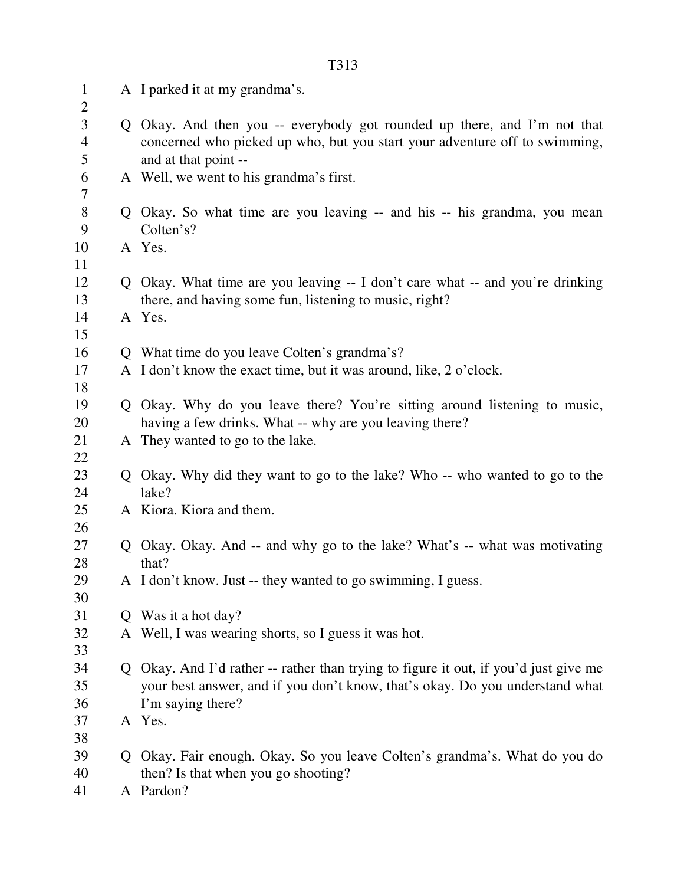| $\mathbf{1}$<br>$\overline{2}$ | A I parked it at my grandma's.                                                                                                                                                 |
|--------------------------------|--------------------------------------------------------------------------------------------------------------------------------------------------------------------------------|
| 3<br>$\overline{4}$<br>5       | Q Okay. And then you -- everybody got rounded up there, and I'm not that<br>concerned who picked up who, but you start your adventure off to swimming,<br>and at that point -- |
| 6<br>7                         | A Well, we went to his grandma's first.                                                                                                                                        |
| $8\,$                          | Q Okay. So what time are you leaving -- and his -- his grandma, you mean                                                                                                       |
| 9                              | Colten's?                                                                                                                                                                      |
| 10                             | A Yes.                                                                                                                                                                         |
| 11                             |                                                                                                                                                                                |
| 12                             | Q Okay. What time are you leaving -- I don't care what -- and you're drinking                                                                                                  |
| 13                             | there, and having some fun, listening to music, right?                                                                                                                         |
| 14                             | A Yes.                                                                                                                                                                         |
| 15                             |                                                                                                                                                                                |
| 16                             | Q What time do you leave Colten's grandma's?                                                                                                                                   |
| 17                             | A I don't know the exact time, but it was around, like, 2 o'clock.                                                                                                             |
| 18                             |                                                                                                                                                                                |
| 19                             | Q Okay. Why do you leave there? You're sitting around listening to music,                                                                                                      |
| 20                             | having a few drinks. What -- why are you leaving there?                                                                                                                        |
| 21                             | A They wanted to go to the lake.                                                                                                                                               |
| 22                             |                                                                                                                                                                                |
| 23                             | Q Okay. Why did they want to go to the lake? Who -- who wanted to go to the                                                                                                    |
| 24                             | lake?                                                                                                                                                                          |
| 25                             | A Kiora. Kiora and them.                                                                                                                                                       |
| 26                             |                                                                                                                                                                                |
| 27                             | Q Okay. Okay. And -- and why go to the lake? What's -- what was motivating                                                                                                     |
| 28                             | that?                                                                                                                                                                          |
| 29                             | A I don't know. Just -- they wanted to go swimming, I guess.                                                                                                                   |
| 30                             |                                                                                                                                                                                |
| 31                             | Q Was it a hot day?                                                                                                                                                            |
| 32                             | A Well, I was wearing shorts, so I guess it was hot.                                                                                                                           |
| 33                             |                                                                                                                                                                                |
| 34                             | Q Okay. And I'd rather -- rather than trying to figure it out, if you'd just give me                                                                                           |
| 35                             | your best answer, and if you don't know, that's okay. Do you understand what                                                                                                   |
| 36                             | I'm saying there?                                                                                                                                                              |
| 37                             | A Yes.                                                                                                                                                                         |
| 38                             |                                                                                                                                                                                |
| 39<br>40                       | Q Okay. Fair enough. Okay. So you leave Colten's grandma's. What do you do                                                                                                     |
| 41                             | then? Is that when you go shooting?<br>A Pardon?                                                                                                                               |
|                                |                                                                                                                                                                                |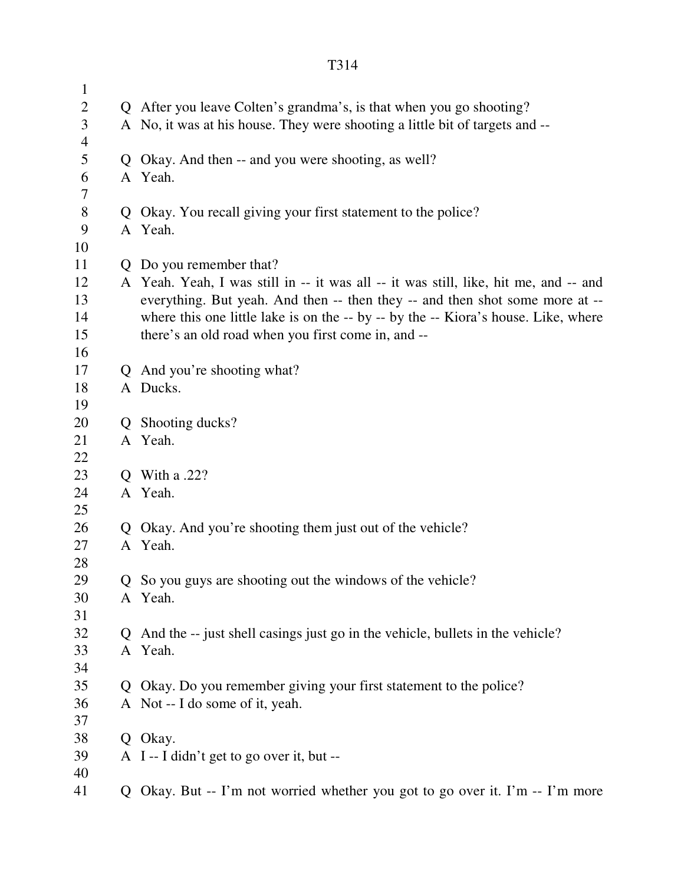| $\mathbf{1}$   |   |                                                                                      |
|----------------|---|--------------------------------------------------------------------------------------|
| $\mathbf{2}$   |   | Q After you leave Colten's grandma's, is that when you go shooting?                  |
| 3              |   | A No, it was at his house. They were shooting a little bit of targets and --         |
| $\overline{4}$ |   |                                                                                      |
| 5              | Q | Okay. And then -- and you were shooting, as well?                                    |
| 6              |   | A Yeah.                                                                              |
| 7              |   |                                                                                      |
| $8\,$          | Q | Okay. You recall giving your first statement to the police?                          |
| 9              |   | A Yeah.                                                                              |
| 10             |   |                                                                                      |
| 11             | Q | Do you remember that?                                                                |
| 12             |   | A Yeah. Yeah, I was still in -- it was all -- it was still, like, hit me, and -- and |
| 13             |   | everything. But yeah. And then -- then they -- and then shot some more at --         |
| 14             |   | where this one little lake is on the -- by -- by the -- Kiora's house. Like, where   |
| 15             |   | there's an old road when you first come in, and --                                   |
| 16             |   |                                                                                      |
| 17             |   | Q And you're shooting what?                                                          |
| 18             |   | A Ducks.                                                                             |
| 19             |   |                                                                                      |
| 20             | Q | Shooting ducks?                                                                      |
| 21             |   | A Yeah.                                                                              |
| 22             |   |                                                                                      |
| 23             | Q | <b>With a .22?</b>                                                                   |
| 24             |   | A Yeah.                                                                              |
| 25<br>26       | Q | Okay. And you're shooting them just out of the vehicle?                              |
| 27             |   | A Yeah.                                                                              |
| 28             |   |                                                                                      |
| 29             |   | Q So you guys are shooting out the windows of the vehicle?                           |
| 30             |   | A Yeah.                                                                              |
| 31             |   |                                                                                      |
| 32             | Q | And the -- just shell casings just go in the vehicle, bullets in the vehicle?        |
| 33             |   | A Yeah.                                                                              |
| 34             |   |                                                                                      |
| 35             | Q | Okay. Do you remember giving your first statement to the police?                     |
| 36             |   | A Not -- I do some of it, yeah.                                                      |
| 37             |   |                                                                                      |
| 38             |   | Q Okay.                                                                              |
| 39             |   | A I-I didn't get to go over it, but --                                               |
| 40             |   |                                                                                      |
| 41             | Q | Okay. But -- I'm not worried whether you got to go over it. I'm -- I'm more          |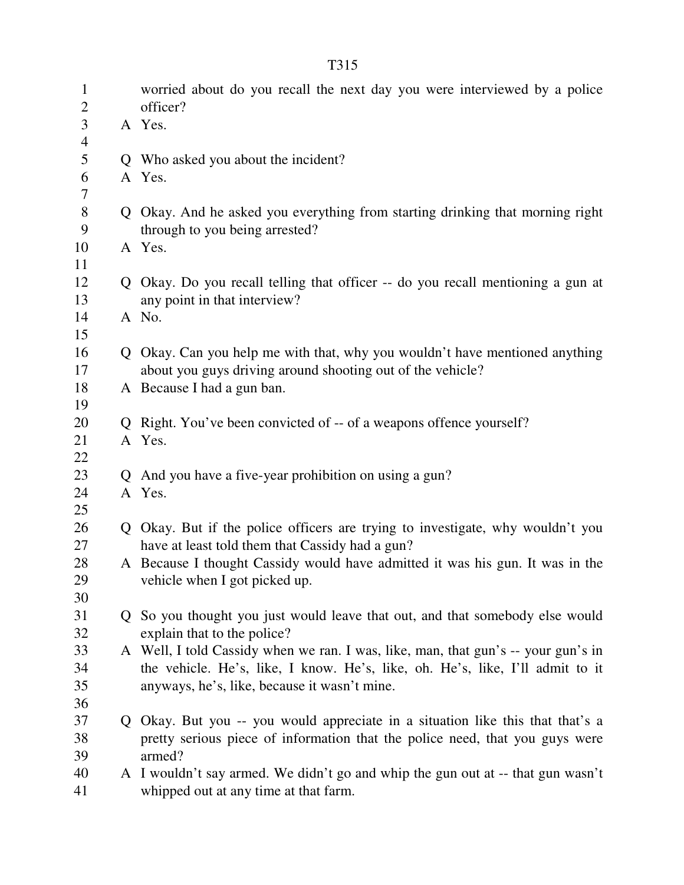| $\mathbf{1}$        | worried about do you recall the next day you were interviewed by a police                                       |
|---------------------|-----------------------------------------------------------------------------------------------------------------|
| $\mathbf{2}$        | officer?                                                                                                        |
| 3<br>$\overline{4}$ | A Yes.                                                                                                          |
| 5                   | Q Who asked you about the incident?                                                                             |
| 6                   | A Yes.                                                                                                          |
| 7                   |                                                                                                                 |
| $8\,$<br>9          | Q Okay. And he asked you everything from starting drinking that morning right<br>through to you being arrested? |
| 10                  | A Yes.                                                                                                          |
| 11                  |                                                                                                                 |
| 12<br>13            | Q Okay. Do you recall telling that officer -- do you recall mentioning a gun at<br>any point in that interview? |
| 14                  | A No.                                                                                                           |
| 15                  |                                                                                                                 |
| 16                  | Q Okay. Can you help me with that, why you wouldn't have mentioned anything                                     |
| 17                  | about you guys driving around shooting out of the vehicle?                                                      |
| 18                  | A Because I had a gun ban.                                                                                      |
| 19                  |                                                                                                                 |
| 20                  | Q Right. You've been convicted of -- of a weapons offence yourself?                                             |
| 21                  | A Yes.                                                                                                          |
| 22                  |                                                                                                                 |
| 23                  | Q And you have a five-year prohibition on using a gun?                                                          |
| 24                  | A Yes.                                                                                                          |
| 25                  |                                                                                                                 |
| 26                  | Q Okay. But if the police officers are trying to investigate, why wouldn't you                                  |
| 27                  | have at least told them that Cassidy had a gun?                                                                 |
| 28                  | A Because I thought Cassidy would have admitted it was his gun. It was in the                                   |
| 29                  | vehicle when I got picked up.                                                                                   |
| 30                  |                                                                                                                 |
| 31                  | Q So you thought you just would leave that out, and that somebody else would                                    |
| 32                  | explain that to the police?                                                                                     |
| 33                  | A Well, I told Cassidy when we ran. I was, like, man, that gun's -- your gun's in                               |
| 34                  | the vehicle. He's, like, I know. He's, like, oh. He's, like, I'll admit to it                                   |
| 35                  | anyways, he's, like, because it wasn't mine.                                                                    |
| 36                  |                                                                                                                 |
| 37                  | Q Okay. But you -- you would appreciate in a situation like this that that's a                                  |
| 38                  | pretty serious piece of information that the police need, that you guys were                                    |
| 39                  | armed?                                                                                                          |
| 40                  | A I wouldn't say armed. We didn't go and whip the gun out at -- that gun wasn't                                 |
| 41                  | whipped out at any time at that farm.                                                                           |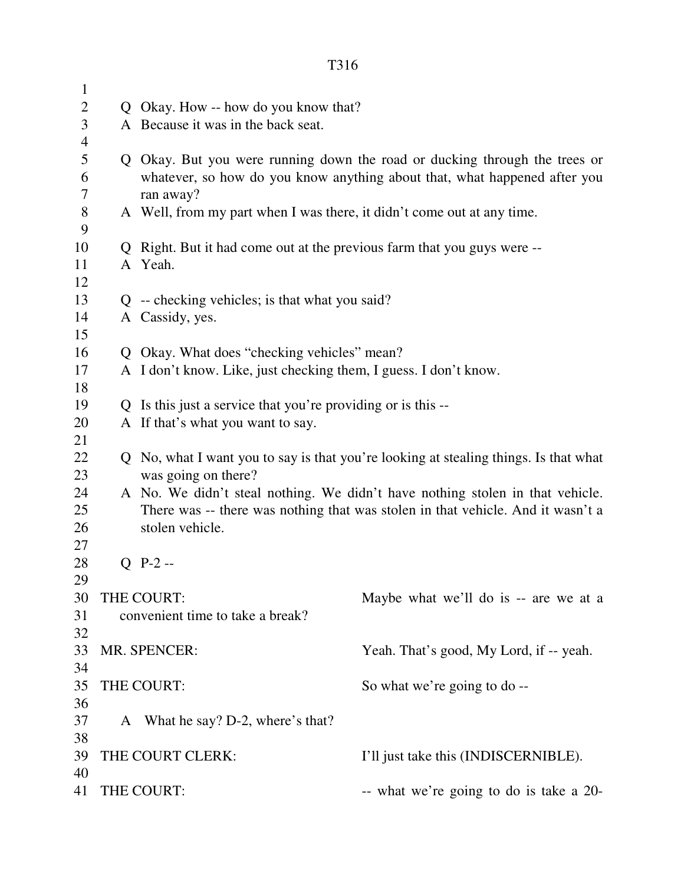| $\mathbf{1}$   |                                                                         |                                                                                      |
|----------------|-------------------------------------------------------------------------|--------------------------------------------------------------------------------------|
| $\mathbf{2}$   | Q Okay. How -- how do you know that?                                    |                                                                                      |
| 3              | A Because it was in the back seat.                                      |                                                                                      |
| $\overline{4}$ |                                                                         |                                                                                      |
| 5              |                                                                         | Q Okay. But you were running down the road or ducking through the trees or           |
| 6              |                                                                         | whatever, so how do you know anything about that, what happened after you            |
| 7              | ran away?                                                               |                                                                                      |
| $8\,$          | A Well, from my part when I was there, it didn't come out at any time.  |                                                                                      |
| 9              |                                                                         |                                                                                      |
| 10             | Q Right. But it had come out at the previous farm that you guys were -- |                                                                                      |
| 11             | A Yeah.                                                                 |                                                                                      |
| 12             |                                                                         |                                                                                      |
| 13             | $Q$ -- checking vehicles; is that what you said?                        |                                                                                      |
| 14             | A Cassidy, yes.                                                         |                                                                                      |
| 15             |                                                                         |                                                                                      |
| 16             | Q Okay. What does "checking vehicles" mean?                             |                                                                                      |
| 17             | A I don't know. Like, just checking them, I guess. I don't know.        |                                                                                      |
| 18             |                                                                         |                                                                                      |
| 19             | Q Is this just a service that you're providing or is this --            |                                                                                      |
| 20             | A If that's what you want to say.                                       |                                                                                      |
| 21             |                                                                         |                                                                                      |
| 22             |                                                                         | Q No, what I want you to say is that you're looking at stealing things. Is that what |
| 23             | was going on there?                                                     |                                                                                      |
| 24             |                                                                         | A No. We didn't steal nothing. We didn't have nothing stolen in that vehicle.        |
| 25             |                                                                         | There was -- there was nothing that was stolen in that vehicle. And it wasn't a      |
| 26             | stolen vehicle.                                                         |                                                                                      |
| 27             |                                                                         |                                                                                      |
| 28             | $Q$ P-2 --                                                              |                                                                                      |
| 29             |                                                                         |                                                                                      |
| 30             | THE COURT:                                                              | Maybe what we'll do is -- are we at a                                                |
| 31             | convenient time to take a break?                                        |                                                                                      |
| 32             |                                                                         |                                                                                      |
| 33             | MR. SPENCER:                                                            | Yeah. That's good, My Lord, if -- yeah.                                              |
| 34             |                                                                         |                                                                                      |
| 35             | THE COURT:                                                              | So what we're going to do --                                                         |
| 36             |                                                                         |                                                                                      |
| 37             | A What he say? D-2, where's that?                                       |                                                                                      |
| 38             |                                                                         |                                                                                      |
| 39             | THE COURT CLERK:                                                        | I'll just take this (INDISCERNIBLE).                                                 |
| 40             |                                                                         |                                                                                      |
| 41             | THE COURT:                                                              | -- what we're going to do is take a 20-                                              |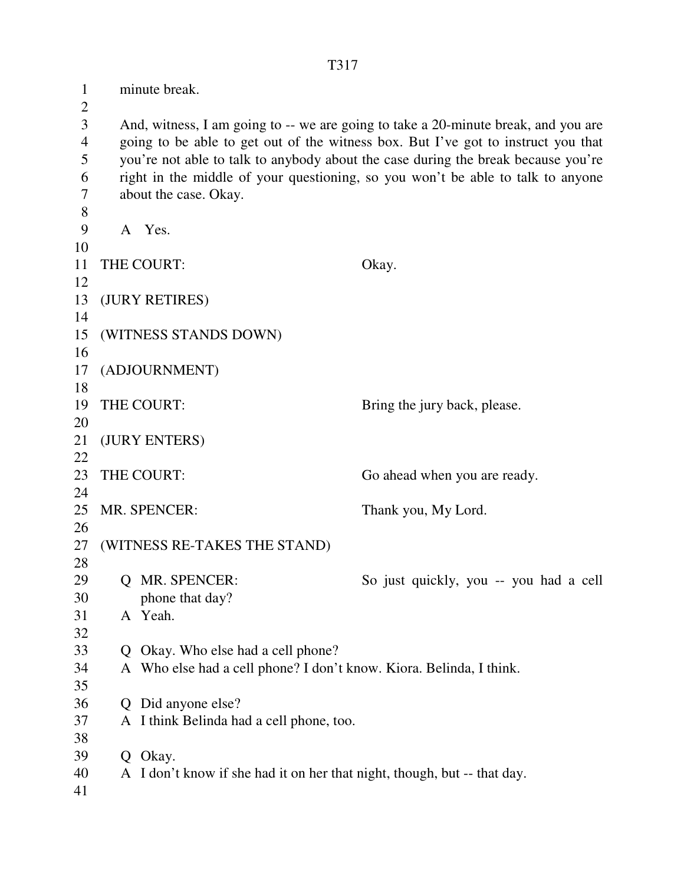1 minute break.  $\overline{2}$ 3 And, witness, I am going to -- we are going to take a 20-minute break, and you are 4 going to be able to get out of the witness box. But I've got to instruct you that 5 you're not able to talk to anybody about the case during the break because you're 6 right in the middle of your questioning, so you won't be able to talk to anyone 7 about the case. Okay. 8 9 A Yes. 10 11 THE COURT: Okay. 12 13 (JURY RETIRES) 14 15 (WITNESS STANDS DOWN) 16 17 (ADJOURNMENT) 18 19 THE COURT: Bring the jury back, please. 20 21 (JURY ENTERS) 22 23 THE COURT: Go ahead when you are ready. 24 25 MR. SPENCER: Thank you, My Lord. 26 27 (WITNESS RE-TAKES THE STAND) 28 29 Q MR. SPENCER: So just quickly, you -- you had a cell 30 phone that day? 31 A Yeah. 32 33 Q Okay. Who else had a cell phone? 34 A Who else had a cell phone? I don't know. Kiora. Belinda, I think. 35 36 Q Did anyone else? 37 A I think Belinda had a cell phone, too. 38 39 Q Okay. 40 A I don't know if she had it on her that night, though, but -- that day. 41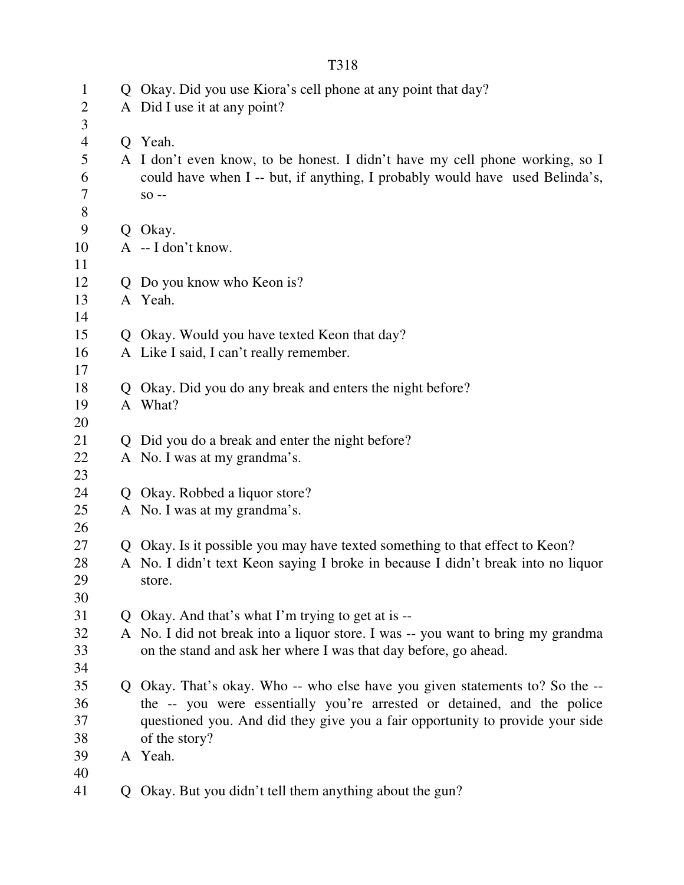| $\mathbf{1}$   | Q Okay. Did you use Kiora's cell phone at any point that day?                    |
|----------------|----------------------------------------------------------------------------------|
| $\overline{2}$ | A Did I use it at any point?                                                     |
| 3              |                                                                                  |
| $\overline{4}$ | Q Yeah.                                                                          |
| 5              | A I don't even know, to be honest. I didn't have my cell phone working, so I     |
| 6              | could have when I -- but, if anything, I probably would have used Belinda's,     |
| 7              | $SO -$                                                                           |
| $8\,$          |                                                                                  |
| 9              | Q Okay.                                                                          |
| 10             | $A - I$ don't know.                                                              |
| 11             |                                                                                  |
| 12             | Q Do you know who Keon is?                                                       |
| 13             | A Yeah.                                                                          |
| 14             |                                                                                  |
| 15             | Q Okay. Would you have texted Keon that day?                                     |
| 16             | A Like I said, I can't really remember.                                          |
| 17             |                                                                                  |
| 18             | Q Okay. Did you do any break and enters the night before?                        |
| 19             | A What?                                                                          |
| 20             |                                                                                  |
| 21             | Q Did you do a break and enter the night before?                                 |
| 22             | A No. I was at my grandma's.                                                     |
| 23             |                                                                                  |
| 24             | Q Okay. Robbed a liquor store?                                                   |
| 25             | A No. I was at my grandma's.                                                     |
| 26             |                                                                                  |
| 27             | Q Okay. Is it possible you may have texted something to that effect to Keon?     |
| 28             | A No. I didn't text Keon saying I broke in because I didn't break into no liquor |
| 29             | store.                                                                           |
| 30             |                                                                                  |
| 31             | Q Okay. And that's what I'm trying to get at is --                               |
| 32             | A No. I did not break into a liquor store. I was -- you want to bring my grandma |
| 33             | on the stand and ask her where I was that day before, go ahead.                  |
| 34             |                                                                                  |
| 35             | Q Okay. That's okay. Who -- who else have you given statements to? So the --     |
| 36             | the -- you were essentially you're arrested or detained, and the police          |
| 37             | questioned you. And did they give you a fair opportunity to provide your side    |
| 38             | of the story?                                                                    |
| 39             | A Yeah.                                                                          |
| 40             |                                                                                  |
| 41             |                                                                                  |
|                | Q Okay. But you didn't tell them anything about the gun?                         |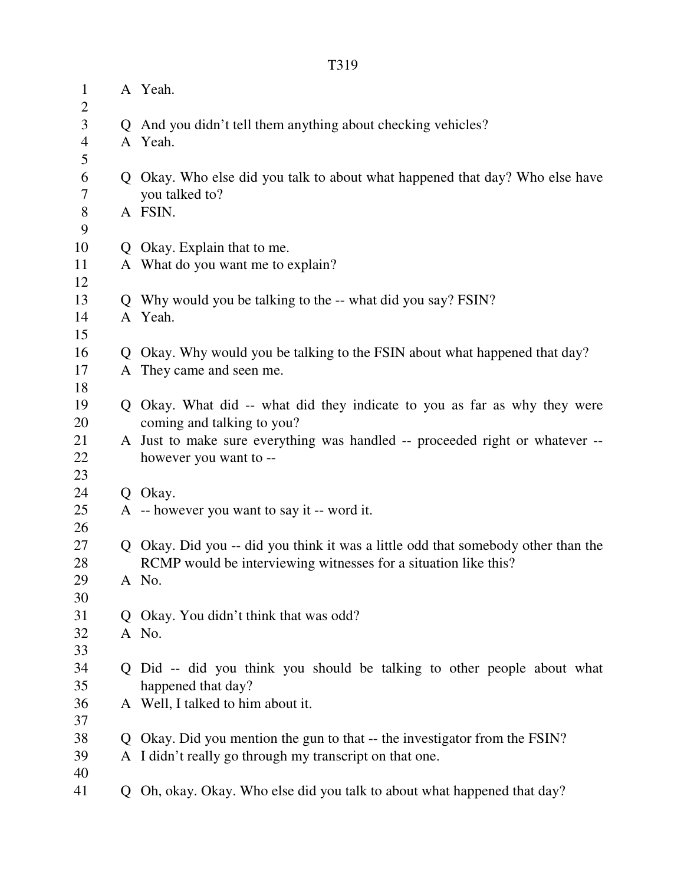| $\mathbf{1}$<br>$\overline{c}$ | A Yeah.                                                                           |
|--------------------------------|-----------------------------------------------------------------------------------|
| $\overline{\mathbf{3}}$        | Q And you didn't tell them anything about checking vehicles?                      |
| $\overline{4}$                 | A Yeah.                                                                           |
| 5                              |                                                                                   |
| $\sqrt{6}$                     | Q Okay. Who else did you talk to about what happened that day? Who else have      |
| $\overline{7}$                 | you talked to?                                                                    |
| $8\,$                          | A FSIN.                                                                           |
| 9                              |                                                                                   |
| 10                             | Q Okay. Explain that to me.                                                       |
| 11                             | A What do you want me to explain?                                                 |
| 12                             |                                                                                   |
| 13                             | Q Why would you be talking to the -- what did you say? FSIN?                      |
| 14                             | A Yeah.                                                                           |
| 15                             |                                                                                   |
| 16                             | Q Okay. Why would you be talking to the FSIN about what happened that day?        |
| 17                             | A They came and seen me.                                                          |
| 18                             |                                                                                   |
| 19                             | Q Okay. What did -- what did they indicate to you as far as why they were         |
| 20                             | coming and talking to you?                                                        |
| 21                             | A Just to make sure everything was handled -- proceeded right or whatever --      |
| 22                             | however you want to --                                                            |
| 23                             |                                                                                   |
| 24                             | Q Okay.                                                                           |
| 25                             | A -- however you want to say it -- word it.                                       |
| 26                             |                                                                                   |
| 27                             | Q Okay. Did you -- did you think it was a little odd that somebody other than the |
| 28                             | RCMP would be interviewing witnesses for a situation like this?                   |
| 29                             | A No.                                                                             |
| 30                             |                                                                                   |
| 31                             | Q Okay. You didn't think that was odd?                                            |
| 32                             | A No.                                                                             |
| 33                             |                                                                                   |
| 34                             | Q Did -- did you think you should be talking to other people about what           |
| 35                             | happened that day?                                                                |
| 36                             | A Well, I talked to him about it.                                                 |
| 37                             |                                                                                   |
| 38                             | Q Okay. Did you mention the gun to that -- the investigator from the FSIN?        |
| 39                             | A I didn't really go through my transcript on that one.                           |
| 40                             |                                                                                   |
| 41                             | Q Oh, okay. Okay. Who else did you talk to about what happened that day?          |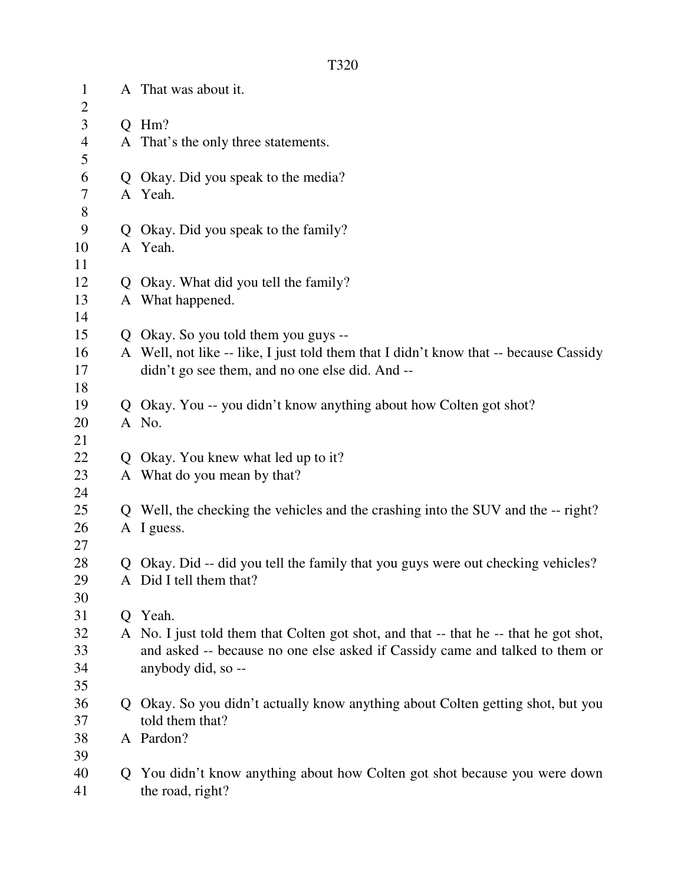1 A That was about it.  $\overline{2}$ 3 Q Hm? 4 A That's the only three statements. 5 6 Q Okay. Did you speak to the media? 7 A Yeah. 8 9 Q Okay. Did you speak to the family? 10 A Yeah. 11 12 Q Okay. What did you tell the family? 13 A What happened. 14 15 Q Okay. So you told them you guys -- 16 A Well, not like -- like, I just told them that I didn't know that -- because Cassidy 17 didn't go see them, and no one else did. And -- 18 19 Q Okay. You -- you didn't know anything about how Colten got shot? 20 A No. 21 22 Q Okay. You knew what led up to it? 23 A What do you mean by that? 24 25 Q Well, the checking the vehicles and the crashing into the SUV and the -- right? 26 A I guess. 27 28 Q Okay. Did -- did you tell the family that you guys were out checking vehicles? 29 A Did I tell them that? 30 31 Q Yeah. 32 A No. I just told them that Colten got shot, and that -- that he -- that he got shot, 33 and asked -- because no one else asked if Cassidy came and talked to them or 34 anybody did, so -- 35 36 Q Okay. So you didn't actually know anything about Colten getting shot, but you 37 told them that? 38 A Pardon? 39 40 Q You didn't know anything about how Colten got shot because you were down

41 the road, right?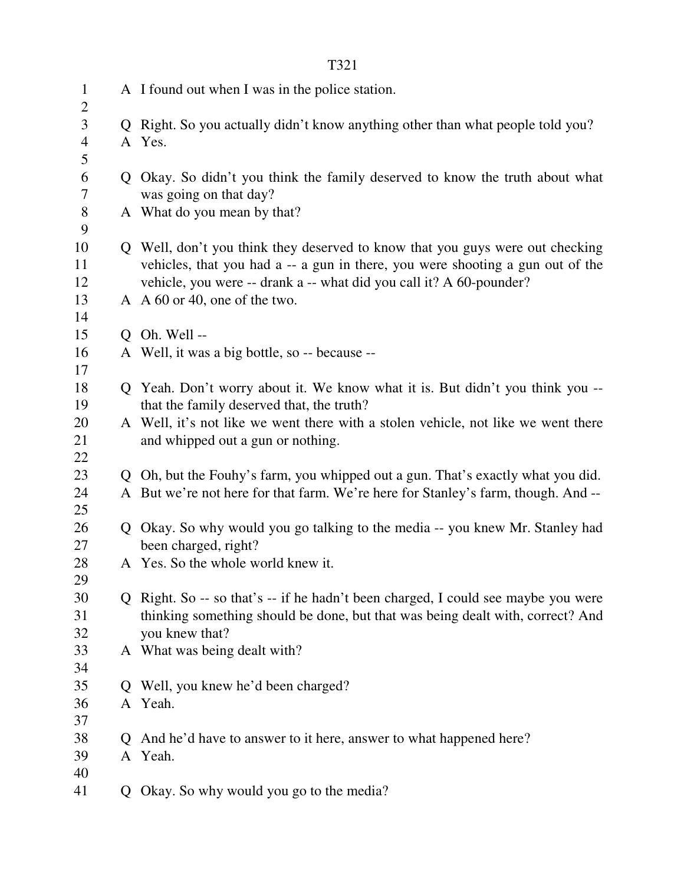|                |    | T321                                                                              |
|----------------|----|-----------------------------------------------------------------------------------|
| $\mathbf{1}$   |    | A I found out when I was in the police station.                                   |
| $\overline{2}$ |    |                                                                                   |
| 3              |    | Q Right. So you actually didn't know anything other than what people told you?    |
| $\overline{4}$ |    | A Yes.                                                                            |
| 5              |    |                                                                                   |
| 6              |    | Q Okay. So didn't you think the family deserved to know the truth about what      |
| 7              |    | was going on that day?                                                            |
| $8\,$          |    | A What do you mean by that?                                                       |
| 9              |    |                                                                                   |
| 10             |    | Q Well, don't you think they deserved to know that you guys were out checking     |
| 11             |    | vehicles, that you had a -- a gun in there, you were shooting a gun out of the    |
| 12             |    | vehicle, you were -- drank a -- what did you call it? A 60-pounder?               |
| 13             |    | A A 60 or 40, one of the two.                                                     |
| 14             |    |                                                                                   |
| 15             |    | O Oh. Well --                                                                     |
| 16             |    | A Well, it was a big bottle, so -- because --                                     |
| 17             |    |                                                                                   |
| 18             |    | Q Yeah. Don't worry about it. We know what it is. But didn't you think you --     |
| 19             |    | that the family deserved that, the truth?                                         |
| 20             |    | A Well, it's not like we went there with a stolen vehicle, not like we went there |
| 21             |    | and whipped out a gun or nothing.                                                 |
| 22             |    |                                                                                   |
| 23             |    | Q Oh, but the Fouhy's farm, you whipped out a gun. That's exactly what you did.   |
| 24<br>25       |    | A But we're not here for that farm. We're here for Stanley's farm, though. And -- |
| 26             |    | Q Okay. So why would you go talking to the media -- you knew Mr. Stanley had      |
| 27             |    | been charged, right?                                                              |
| 28             |    | A Yes. So the whole world knew it.                                                |
| 29             |    |                                                                                   |
| 30             |    | Q Right. So -- so that's -- if he hadn't been charged, I could see maybe you were |
| 31             |    | thinking something should be done, but that was being dealt with, correct? And    |
| 32             |    | you knew that?                                                                    |
| 33             |    | A What was being dealt with?                                                      |
| 34             |    |                                                                                   |
| 35             |    | Q Well, you knew he'd been charged?                                               |
| 36             |    | A Yeah.                                                                           |
| 37             |    |                                                                                   |
| 38             | Q. | And he'd have to answer to it here, answer to what happened here?                 |
| 39             |    | A Yeah.                                                                           |
| 40             |    |                                                                                   |
| 41             |    | Q Okay. So why would you go to the media?                                         |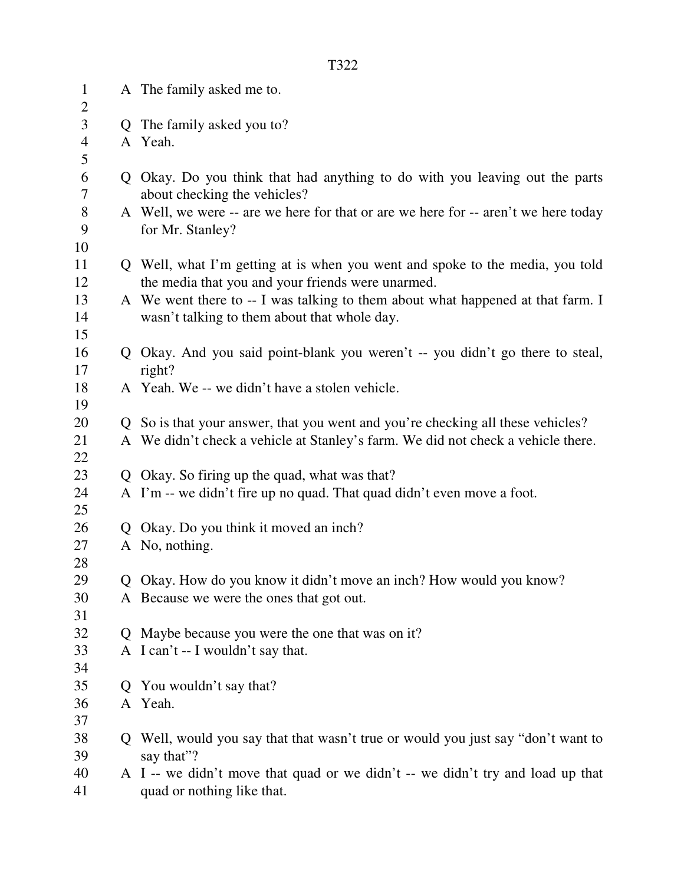| $\mathbf{1}$<br>$\overline{2}$ | A The family asked me to.                                                          |
|--------------------------------|------------------------------------------------------------------------------------|
| 3                              | Q The family asked you to?                                                         |
| $\overline{4}$                 | A Yeah.                                                                            |
| 5                              |                                                                                    |
| 6                              | Q Okay. Do you think that had anything to do with you leaving out the parts        |
| 7                              | about checking the vehicles?                                                       |
| $8\,$                          | A Well, we were -- are we here for that or are we here for -- aren't we here today |
| 9                              | for Mr. Stanley?                                                                   |
| 10                             |                                                                                    |
| 11                             | Q Well, what I'm getting at is when you went and spoke to the media, you told      |
| 12                             | the media that you and your friends were unarmed.                                  |
| 13                             | A We went there to -- I was talking to them about what happened at that farm. I    |
| 14                             | wasn't talking to them about that whole day.                                       |
| 15                             |                                                                                    |
| 16                             | Q Okay. And you said point-blank you weren't -- you didn't go there to steal,      |
| 17                             | right?                                                                             |
| 18                             | A Yeah. We -- we didn't have a stolen vehicle.                                     |
| 19                             |                                                                                    |
| 20                             | Q So is that your answer, that you went and you're checking all these vehicles?    |
| 21                             | A We didn't check a vehicle at Stanley's farm. We did not check a vehicle there.   |
| 22                             |                                                                                    |
| 23                             | Q Okay. So firing up the quad, what was that?                                      |
| 24                             | A I'm -- we didn't fire up no quad. That quad didn't even move a foot.             |
| 25                             |                                                                                    |
| 26<br>27                       | Q Okay. Do you think it moved an inch?<br>A No, nothing.                           |
| 28                             |                                                                                    |
| 29                             | Q Okay. How do you know it didn't move an inch? How would you know?                |
| 30                             | A Because we were the ones that got out.                                           |
| 31                             |                                                                                    |
| 32                             | Q Maybe because you were the one that was on it?                                   |
| 33                             | A I can't -- I wouldn't say that.                                                  |
| 34                             |                                                                                    |
| 35                             | Q You wouldn't say that?                                                           |
| 36                             | A Yeah.                                                                            |
| 37                             |                                                                                    |
| 38                             | Q Well, would you say that that wasn't true or would you just say "don't want to   |
| 39                             | say that"?                                                                         |
| 40                             | A I -- we didn't move that quad or we didn't -- we didn't try and load up that     |
| 41                             | quad or nothing like that.                                                         |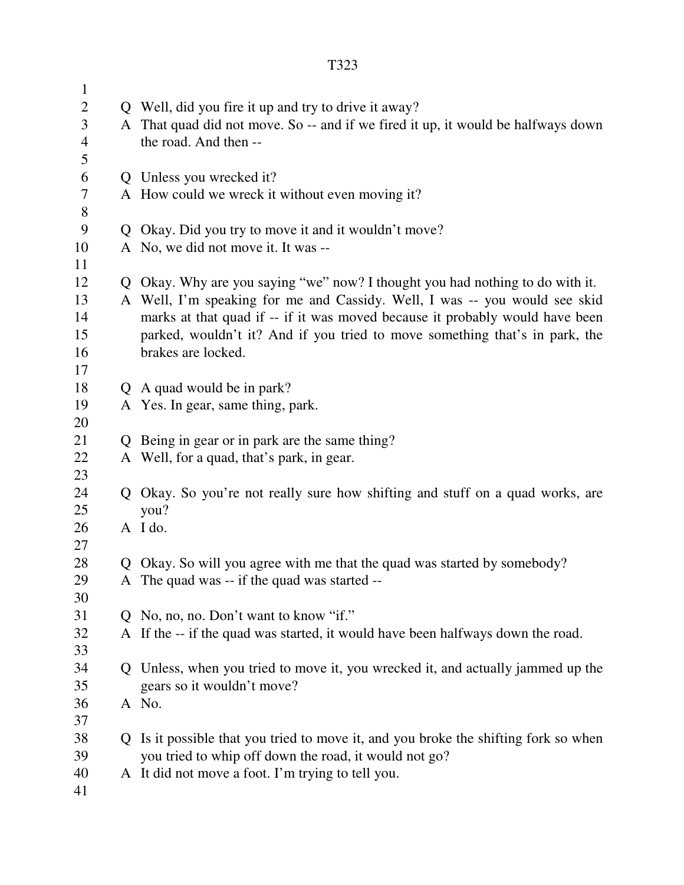| $\mathbf{1}$<br>$\mathbf{2}$ |   | Q Well, did you fire it up and try to drive it away?                                                                     |
|------------------------------|---|--------------------------------------------------------------------------------------------------------------------------|
| 3                            |   | A That quad did not move. So -- and if we fired it up, it would be halfways down                                         |
| $\overline{4}$               |   | the road. And then --                                                                                                    |
| 5                            |   |                                                                                                                          |
| 6                            |   | Q Unless you wrecked it?                                                                                                 |
| $\tau$                       |   | A How could we wreck it without even moving it?                                                                          |
| $8\,$                        |   |                                                                                                                          |
| 9                            |   | Q Okay. Did you try to move it and it wouldn't move?                                                                     |
| 10                           |   | A No, we did not move it. It was --                                                                                      |
| 11                           |   |                                                                                                                          |
| 12                           |   | Q Okay. Why are you saying "we" now? I thought you had nothing to do with it.                                            |
| 13                           |   | A Well, I'm speaking for me and Cassidy. Well, I was -- you would see skid                                               |
| 14                           |   | marks at that quad if -- if it was moved because it probably would have been                                             |
| 15                           |   | parked, wouldn't it? And if you tried to move something that's in park, the                                              |
| 16                           |   | brakes are locked.                                                                                                       |
| 17                           |   |                                                                                                                          |
| 18                           |   | Q A quad would be in park?                                                                                               |
| 19                           |   | A Yes. In gear, same thing, park.                                                                                        |
| 20                           |   |                                                                                                                          |
| 21                           |   | Q Being in gear or in park are the same thing?                                                                           |
| 22                           |   | A Well, for a quad, that's park, in gear.                                                                                |
| 23                           |   |                                                                                                                          |
| 24                           |   | Q Okay. So you're not really sure how shifting and stuff on a quad works, are                                            |
| 25                           |   | you?                                                                                                                     |
| 26                           |   | A I do.                                                                                                                  |
| 27                           |   |                                                                                                                          |
| 28<br>29                     |   | Q Okay. So will you agree with me that the quad was started by somebody?<br>A The quad was -- if the quad was started -- |
| 30                           |   |                                                                                                                          |
| 31                           |   | Q No, no, no. Don't want to know "if."                                                                                   |
| 32                           |   | A If the -- if the quad was started, it would have been halfways down the road.                                          |
| 33                           |   |                                                                                                                          |
| 34                           |   | Q Unless, when you tried to move it, you wrecked it, and actually jammed up the                                          |
| 35                           |   | gears so it wouldn't move?                                                                                               |
| 36                           |   | A No.                                                                                                                    |
| 37                           |   |                                                                                                                          |
| 38                           | Q | Is it possible that you tried to move it, and you broke the shifting fork so when                                        |
| 39                           |   | you tried to whip off down the road, it would not go?                                                                    |
| 40                           |   | A It did not move a foot. I'm trying to tell you.                                                                        |
| 41                           |   |                                                                                                                          |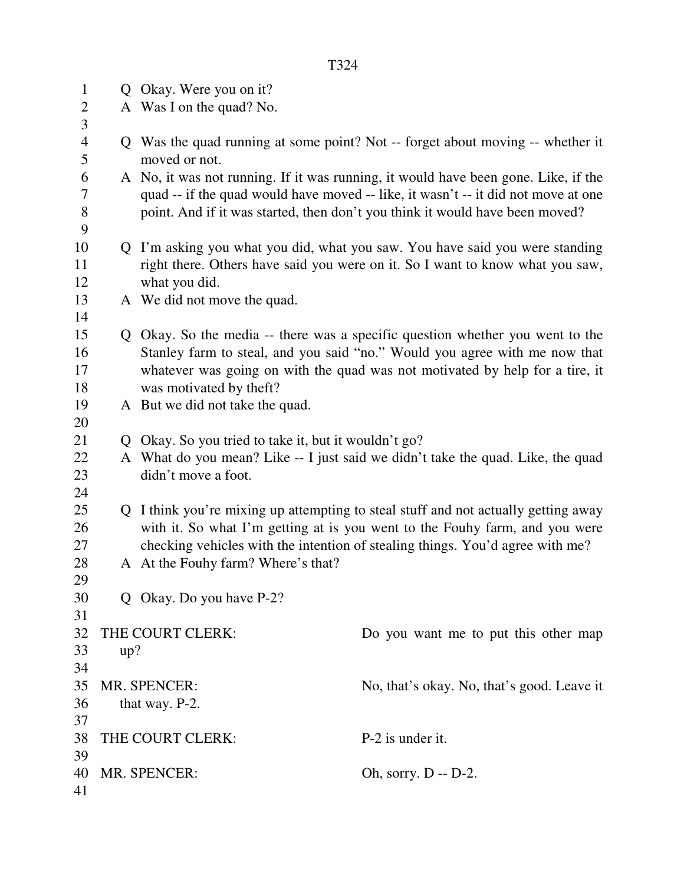| $\mathbf{1}$        |     | Q Okay. Were you on it?                                                                         |                                                                                    |  |
|---------------------|-----|-------------------------------------------------------------------------------------------------|------------------------------------------------------------------------------------|--|
| $\overline{2}$      |     | A Was I on the quad? No.                                                                        |                                                                                    |  |
| 3                   |     |                                                                                                 |                                                                                    |  |
| $\overline{4}$<br>5 |     | Q Was the quad running at some point? Not -- forget about moving -- whether it<br>moved or not. |                                                                                    |  |
| 6                   |     |                                                                                                 | A No, it was not running. If it was running, it would have been gone. Like, if the |  |
| 7                   |     |                                                                                                 | quad -- if the quad would have moved -- like, it wasn't -- it did not move at one  |  |
| 8                   |     |                                                                                                 | point. And if it was started, then don't you think it would have been moved?       |  |
| 9                   |     |                                                                                                 |                                                                                    |  |
| 10                  |     |                                                                                                 | Q I'm asking you what you did, what you saw. You have said you were standing       |  |
| 11                  |     |                                                                                                 | right there. Others have said you were on it. So I want to know what you saw,      |  |
| 12                  |     | what you did.                                                                                   |                                                                                    |  |
| 13                  |     | A We did not move the quad.                                                                     |                                                                                    |  |
| 14                  |     |                                                                                                 |                                                                                    |  |
| 15                  |     |                                                                                                 | Q Okay. So the media -- there was a specific question whether you went to the      |  |
| 16                  |     |                                                                                                 | Stanley farm to steal, and you said "no." Would you agree with me now that         |  |
| 17                  |     |                                                                                                 | whatever was going on with the quad was not motivated by help for a tire, it       |  |
| 18                  |     | was motivated by theft?                                                                         |                                                                                    |  |
| 19                  |     | A But we did not take the quad.                                                                 |                                                                                    |  |
| 20                  |     |                                                                                                 |                                                                                    |  |
| 21                  | Q   | Okay. So you tried to take it, but it wouldn't go?                                              |                                                                                    |  |
| 22                  |     |                                                                                                 | A What do you mean? Like -- I just said we didn't take the quad. Like, the quad    |  |
| 23                  |     | didn't move a foot.                                                                             |                                                                                    |  |
| 24                  |     |                                                                                                 |                                                                                    |  |
| 25                  |     |                                                                                                 | Q I think you're mixing up attempting to steal stuff and not actually getting away |  |
| 26                  |     |                                                                                                 | with it. So what I'm getting at is you went to the Fouhy farm, and you were        |  |
| 27                  |     |                                                                                                 | checking vehicles with the intention of stealing things. You'd agree with me?      |  |
| 28                  |     | A At the Fouhy farm? Where's that?                                                              |                                                                                    |  |
| 29                  |     |                                                                                                 |                                                                                    |  |
| 30                  |     | Q Okay. Do you have P-2?                                                                        |                                                                                    |  |
| 31                  |     |                                                                                                 |                                                                                    |  |
| 32                  |     | THE COURT CLERK:                                                                                | Do you want me to put this other map                                               |  |
| 33                  | up? |                                                                                                 |                                                                                    |  |
| 34                  |     |                                                                                                 |                                                                                    |  |
| 35                  |     | MR. SPENCER:                                                                                    | No, that's okay. No, that's good. Leave it                                         |  |
| 36                  |     | that way. P-2.                                                                                  |                                                                                    |  |
| 37                  |     |                                                                                                 |                                                                                    |  |
| 38                  |     | THE COURT CLERK:                                                                                | P-2 is under it.                                                                   |  |
| 39                  |     |                                                                                                 |                                                                                    |  |
| 40                  |     | MR. SPENCER:                                                                                    | Oh, sorry. D -- D-2.                                                               |  |
| 41                  |     |                                                                                                 |                                                                                    |  |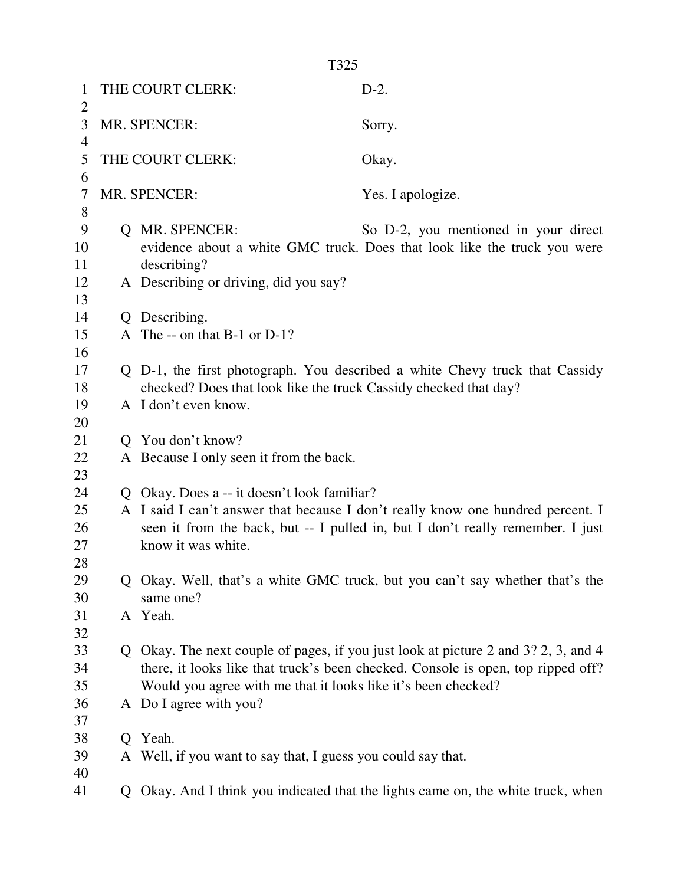|                | T325 |                                                                                                                                                                   |                                                                                    |  |
|----------------|------|-------------------------------------------------------------------------------------------------------------------------------------------------------------------|------------------------------------------------------------------------------------|--|
| 1              |      | THE COURT CLERK:                                                                                                                                                  | $D-2.$                                                                             |  |
| 2<br>3         |      | MR. SPENCER:                                                                                                                                                      |                                                                                    |  |
| $\overline{4}$ |      |                                                                                                                                                                   | Sorry.                                                                             |  |
| 5              |      | THE COURT CLERK:                                                                                                                                                  | Okay.                                                                              |  |
| 6              |      |                                                                                                                                                                   |                                                                                    |  |
| 7<br>8         |      | MR. SPENCER:                                                                                                                                                      | Yes. I apologize.                                                                  |  |
| 9              |      | Q MR. SPENCER:                                                                                                                                                    | So D-2, you mentioned in your direct                                               |  |
| 10             |      |                                                                                                                                                                   | evidence about a white GMC truck. Does that look like the truck you were           |  |
| 11             |      | describing?                                                                                                                                                       |                                                                                    |  |
| 12             |      | A Describing or driving, did you say?                                                                                                                             |                                                                                    |  |
| 13<br>14       |      | Q Describing.                                                                                                                                                     |                                                                                    |  |
| 15             |      | A The -- on that B-1 or D-1?                                                                                                                                      |                                                                                    |  |
| 16             |      |                                                                                                                                                                   |                                                                                    |  |
| 17             |      |                                                                                                                                                                   | Q D-1, the first photograph. You described a white Chevy truck that Cassidy        |  |
| 18             |      | checked? Does that look like the truck Cassidy checked that day?                                                                                                  |                                                                                    |  |
| 19<br>20       |      | A I don't even know.                                                                                                                                              |                                                                                    |  |
| 21             |      | Q You don't know?                                                                                                                                                 |                                                                                    |  |
| 22             |      | A Because I only seen it from the back.                                                                                                                           |                                                                                    |  |
| 23             |      |                                                                                                                                                                   |                                                                                    |  |
| 24             |      | Q Okay. Does a -- it doesn't look familiar?                                                                                                                       |                                                                                    |  |
| 25<br>26       |      | A I said I can't answer that because I don't really know one hundred percent. I<br>seen it from the back, but -- I pulled in, but I don't really remember. I just |                                                                                    |  |
| 27             |      | know it was white.                                                                                                                                                |                                                                                    |  |
| 28             |      |                                                                                                                                                                   |                                                                                    |  |
| 29             |      | Q Okay. Well, that's a white GMC truck, but you can't say whether that's the                                                                                      |                                                                                    |  |
| 30             |      | same one?                                                                                                                                                         |                                                                                    |  |
| 31<br>32       |      | A Yeah.                                                                                                                                                           |                                                                                    |  |
| 33             |      |                                                                                                                                                                   | Q Okay. The next couple of pages, if you just look at picture 2 and 3? 2, 3, and 4 |  |
| 34             |      | there, it looks like that truck's been checked. Console is open, top ripped off?                                                                                  |                                                                                    |  |
| 35             |      | Would you agree with me that it looks like it's been checked?                                                                                                     |                                                                                    |  |
| 36             |      | A Do I agree with you?                                                                                                                                            |                                                                                    |  |
| 37<br>38       | Q    | Yeah.                                                                                                                                                             |                                                                                    |  |
| 39             |      | A Well, if you want to say that, I guess you could say that.                                                                                                      |                                                                                    |  |
| 40             |      |                                                                                                                                                                   |                                                                                    |  |
| 41             |      |                                                                                                                                                                   | Q Okay. And I think you indicated that the lights came on, the white truck, when   |  |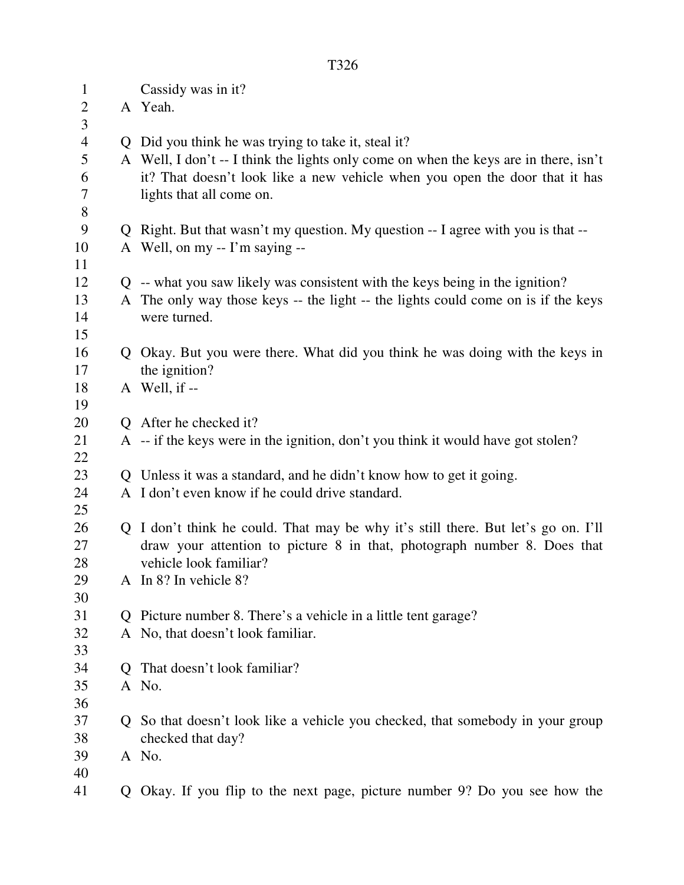1 Cassidy was in it? 2 A Yeah. 3 4 Q Did you think he was trying to take it, steal it? 5 A Well, I don't -- I think the lights only come on when the keys are in there, isn't 6 it? That doesn't look like a new vehicle when you open the door that it has 7 lights that all come on. 8 9 Q Right. But that wasn't my question. My question -- I agree with you is that -- 10 A Well, on my -- I'm saying -- 11 12 Q -- what you saw likely was consistent with the keys being in the ignition? 13 A The only way those keys -- the light -- the lights could come on is if the keys 14 were turned. 15 16 Q Okay. But you were there. What did you think he was doing with the keys in 17 the ignition? 18 A Well, if -- 19 20 Q After he checked it? 21 A -- if the keys were in the ignition, don't you think it would have got stolen? 22 23 Q Unless it was a standard, and he didn't know how to get it going. 24 A I don't even know if he could drive standard. 25 26 Q I don't think he could. That may be why it's still there. But let's go on. I'll 27 draw your attention to picture 8 in that, photograph number 8. Does that 28 vehicle look familiar? 29 A In 8? In vehicle 8? 30 31 Q Picture number 8. There's a vehicle in a little tent garage? 32 A No, that doesn't look familiar. 33 34 Q That doesn't look familiar? 35 A No. 36 37 Q So that doesn't look like a vehicle you checked, that somebody in your group 38 checked that day? 39 A No. 40

41 Q Okay. If you flip to the next page, picture number 9? Do you see how the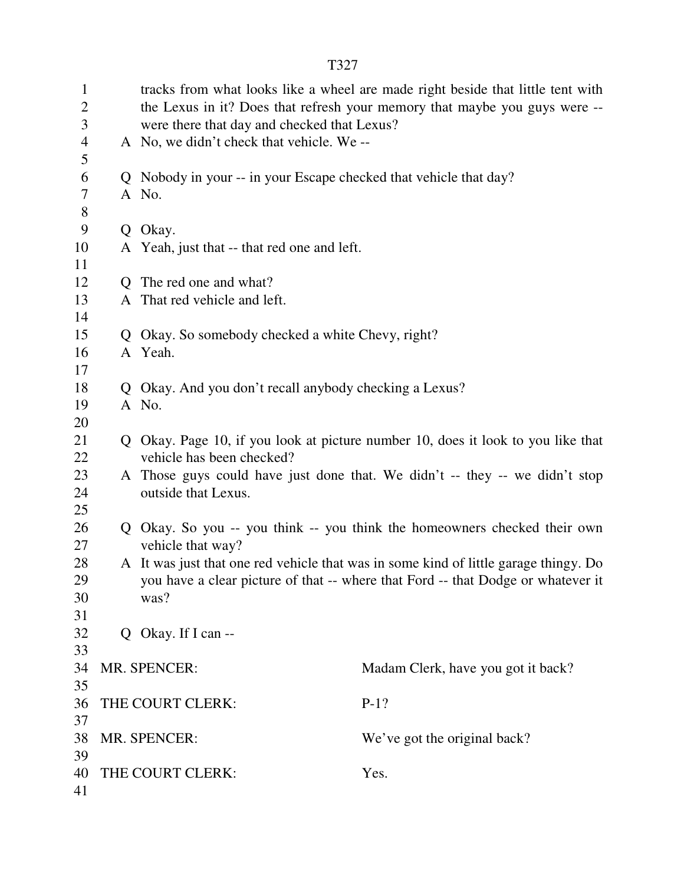| $\mathbf{1}$<br>$\overline{2}$<br>3 |              | tracks from what looks like a wheel are made right beside that little tent with<br>the Lexus in it? Does that refresh your memory that maybe you guys were --<br>were there that day and checked that Lexus? |                                                                                      |  |
|-------------------------------------|--------------|--------------------------------------------------------------------------------------------------------------------------------------------------------------------------------------------------------------|--------------------------------------------------------------------------------------|--|
| 4<br>5                              |              | A No, we didn't check that vehicle. We --                                                                                                                                                                    |                                                                                      |  |
| 6                                   |              | Q Nobody in your -- in your Escape checked that vehicle that day?                                                                                                                                            |                                                                                      |  |
| 7                                   |              | A No.                                                                                                                                                                                                        |                                                                                      |  |
| 8                                   |              |                                                                                                                                                                                                              |                                                                                      |  |
| 9                                   | $Q_{\perp}$  | Okay.                                                                                                                                                                                                        |                                                                                      |  |
| 10                                  |              | A Yeah, just that -- that red one and left.                                                                                                                                                                  |                                                                                      |  |
| 11                                  |              |                                                                                                                                                                                                              |                                                                                      |  |
| 12                                  | $\mathbf{O}$ | The red one and what?                                                                                                                                                                                        |                                                                                      |  |
| 13                                  |              | A That red vehicle and left.                                                                                                                                                                                 |                                                                                      |  |
| 14                                  |              |                                                                                                                                                                                                              |                                                                                      |  |
| 15                                  | Q.           | Okay. So somebody checked a white Chevy, right?                                                                                                                                                              |                                                                                      |  |
| 16                                  |              | A Yeah.                                                                                                                                                                                                      |                                                                                      |  |
| 17                                  |              |                                                                                                                                                                                                              |                                                                                      |  |
| 18                                  |              | Q Okay. And you don't recall anybody checking a Lexus?                                                                                                                                                       |                                                                                      |  |
| 19                                  |              | A No.                                                                                                                                                                                                        |                                                                                      |  |
| 20                                  |              |                                                                                                                                                                                                              |                                                                                      |  |
| 21                                  |              |                                                                                                                                                                                                              | Q Okay. Page 10, if you look at picture number 10, does it look to you like that     |  |
| 22                                  |              | vehicle has been checked?                                                                                                                                                                                    |                                                                                      |  |
| 23                                  |              |                                                                                                                                                                                                              | A Those guys could have just done that. We didn't -- they -- we didn't stop          |  |
| 24                                  |              | outside that Lexus.                                                                                                                                                                                          |                                                                                      |  |
| 25                                  |              |                                                                                                                                                                                                              |                                                                                      |  |
| 26                                  |              |                                                                                                                                                                                                              | Q Okay. So you -- you think -- you think the homeowners checked their own            |  |
| 27                                  |              | vehicle that way?                                                                                                                                                                                            |                                                                                      |  |
| 28                                  |              |                                                                                                                                                                                                              | A It was just that one red vehicle that was in some kind of little garage thingy. Do |  |
| 29                                  |              |                                                                                                                                                                                                              | you have a clear picture of that -- where that Ford -- that Dodge or whatever it     |  |
| 30                                  |              | was?                                                                                                                                                                                                         |                                                                                      |  |
| 31                                  |              |                                                                                                                                                                                                              |                                                                                      |  |
| 32                                  |              | Q Okay. If I can --                                                                                                                                                                                          |                                                                                      |  |
| 33                                  |              |                                                                                                                                                                                                              |                                                                                      |  |
| 34                                  |              | MR. SPENCER:                                                                                                                                                                                                 | Madam Clerk, have you got it back?                                                   |  |
| 35                                  |              |                                                                                                                                                                                                              |                                                                                      |  |
| 36<br>37                            |              | THE COURT CLERK:                                                                                                                                                                                             | $P-1?$                                                                               |  |
| 38                                  |              | MR. SPENCER:                                                                                                                                                                                                 |                                                                                      |  |
| 39                                  |              |                                                                                                                                                                                                              | We've got the original back?                                                         |  |
| 40                                  |              | THE COURT CLERK:                                                                                                                                                                                             | Yes.                                                                                 |  |
| 41                                  |              |                                                                                                                                                                                                              |                                                                                      |  |
|                                     |              |                                                                                                                                                                                                              |                                                                                      |  |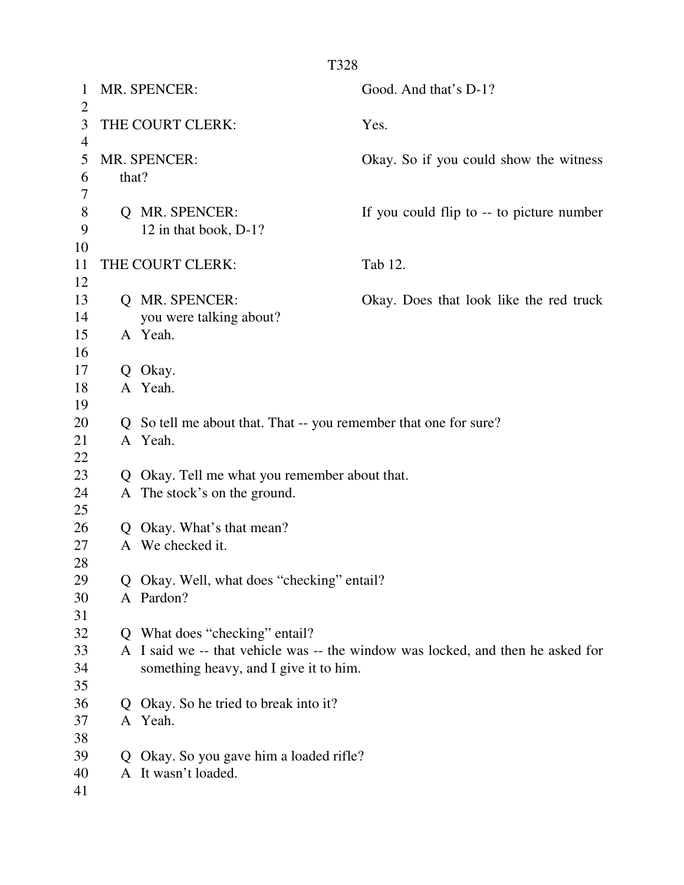| 1<br>$\overline{2}$ |       | MR. SPENCER:                                                     | Good. And that's D-1?                                                           |
|---------------------|-------|------------------------------------------------------------------|---------------------------------------------------------------------------------|
| 3<br>$\overline{4}$ |       | THE COURT CLERK:                                                 | Yes.                                                                            |
| 5<br>6              | that? | MR. SPENCER:                                                     | Okay. So if you could show the witness                                          |
| 7                   |       |                                                                  |                                                                                 |
| 8                   |       | Q MR. SPENCER:                                                   | If you could flip to -- to picture number                                       |
| 9                   |       | 12 in that book, D-1?                                            |                                                                                 |
| 10                  |       |                                                                  |                                                                                 |
| 11                  |       | THE COURT CLERK:                                                 | Tab 12.                                                                         |
| 12                  |       |                                                                  |                                                                                 |
| 13                  |       | Q MR. SPENCER:                                                   | Okay. Does that look like the red truck                                         |
| 14                  |       | you were talking about?                                          |                                                                                 |
| 15                  |       | A Yeah.                                                          |                                                                                 |
| 16                  |       |                                                                  |                                                                                 |
| 17                  | Q     | Okay.                                                            |                                                                                 |
| 18<br>19            |       | A Yeah.                                                          |                                                                                 |
| 20                  |       | Q So tell me about that. That -- you remember that one for sure? |                                                                                 |
| 21                  |       | A Yeah.                                                          |                                                                                 |
| 22                  |       |                                                                  |                                                                                 |
| 23                  |       | Q Okay. Tell me what you remember about that.                    |                                                                                 |
| 24                  |       | A The stock's on the ground.                                     |                                                                                 |
| 25                  |       |                                                                  |                                                                                 |
| 26                  |       | Q Okay. What's that mean?                                        |                                                                                 |
| 27                  |       | A We checked it.                                                 |                                                                                 |
| 28                  |       |                                                                  |                                                                                 |
| 29                  |       | Q Okay. Well, what does "checking" entail?                       |                                                                                 |
| 30                  |       | A Pardon?                                                        |                                                                                 |
| 31                  |       |                                                                  |                                                                                 |
| 32                  |       | Q What does "checking" entail?                                   |                                                                                 |
| 33                  |       |                                                                  | A I said we -- that vehicle was -- the window was locked, and then he asked for |
| 34                  |       | something heavy, and I give it to him.                           |                                                                                 |
| 35                  |       |                                                                  |                                                                                 |
| 36                  |       | Q Okay. So he tried to break into it?                            |                                                                                 |
| 37                  |       | A Yeah.                                                          |                                                                                 |
| 38                  |       |                                                                  |                                                                                 |
| 39                  | Q     | Okay. So you gave him a loaded rifle?                            |                                                                                 |
| 40                  |       | A It wasn't loaded.                                              |                                                                                 |
| 41                  |       |                                                                  |                                                                                 |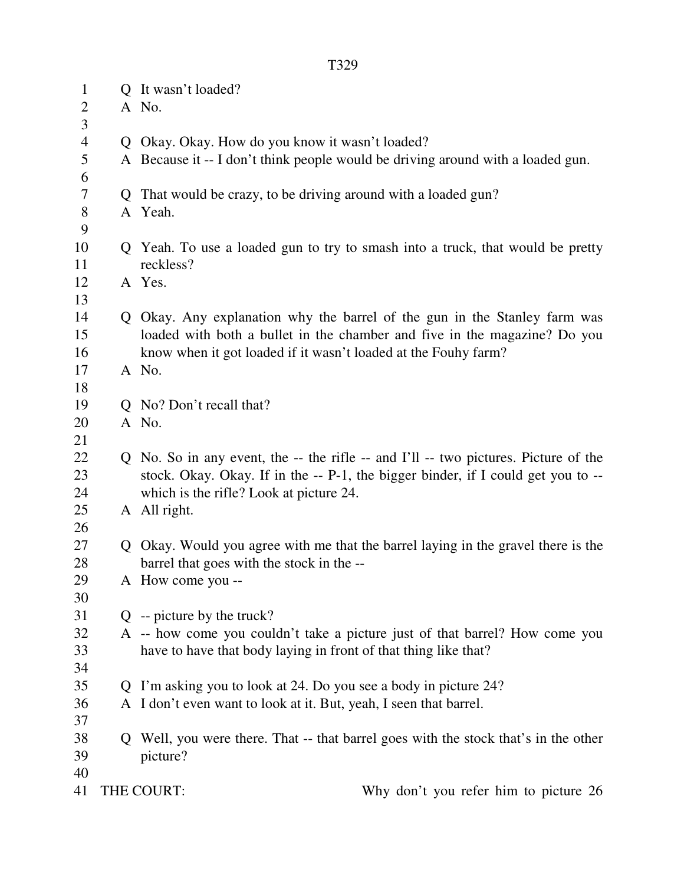| $\mathbf{1}$   |   | Q It wasn't loaded?                                                                 |
|----------------|---|-------------------------------------------------------------------------------------|
| $\mathbf{2}$   |   | A No.                                                                               |
| $\overline{3}$ |   |                                                                                     |
| $\overline{4}$ |   | Q Okay. Okay. How do you know it wasn't loaded?                                     |
| 5              |   | A Because it -- I don't think people would be driving around with a loaded gun.     |
| 6              |   |                                                                                     |
| 7              |   | Q That would be crazy, to be driving around with a loaded gun?                      |
| $8\,$          |   | A Yeah.                                                                             |
| 9              |   |                                                                                     |
| 10             |   | Q Yeah. To use a loaded gun to try to smash into a truck, that would be pretty      |
| 11             |   | reckless?                                                                           |
| 12             |   | A Yes.                                                                              |
| 13             |   |                                                                                     |
| 14             |   | Q Okay. Any explanation why the barrel of the gun in the Stanley farm was           |
| 15             |   | loaded with both a bullet in the chamber and five in the magazine? Do you           |
| 16             |   | know when it got loaded if it wasn't loaded at the Fouhy farm?                      |
| 17             |   | A No.                                                                               |
| 18             |   |                                                                                     |
| 19             |   | Q No? Don't recall that?                                                            |
| 20             |   | A No.                                                                               |
| 21             |   |                                                                                     |
| 22             |   | Q No. So in any event, the -- the rifle -- and I'll -- two pictures. Picture of the |
| 23             |   | stock. Okay. Okay. If in the -- P-1, the bigger binder, if I could get you to --    |
| 24             |   | which is the rifle? Look at picture 24.                                             |
| 25             |   | A All right.                                                                        |
| 26             |   |                                                                                     |
| 27             |   | Q Okay. Would you agree with me that the barrel laying in the gravel there is the   |
| 28             |   | barrel that goes with the stock in the --                                           |
| 29             |   | A How come you --                                                                   |
| 30             |   |                                                                                     |
| 31             |   | $Q$ -- picture by the truck?                                                        |
| 32             |   | A -- how come you couldn't take a picture just of that barrel? How come you         |
| 33             |   | have to have that body laying in front of that thing like that?                     |
| 34             |   |                                                                                     |
| 35             |   | Q I'm asking you to look at 24. Do you see a body in picture 24?                    |
| 36             |   | A I don't even want to look at it. But, yeah, I seen that barrel.                   |
| 37             |   |                                                                                     |
| 38             | Q | Well, you were there. That -- that barrel goes with the stock that's in the other   |
| 39             |   | picture?                                                                            |
| 40             |   |                                                                                     |
| 41             |   | THE COURT:<br>Why don't you refer him to picture 26                                 |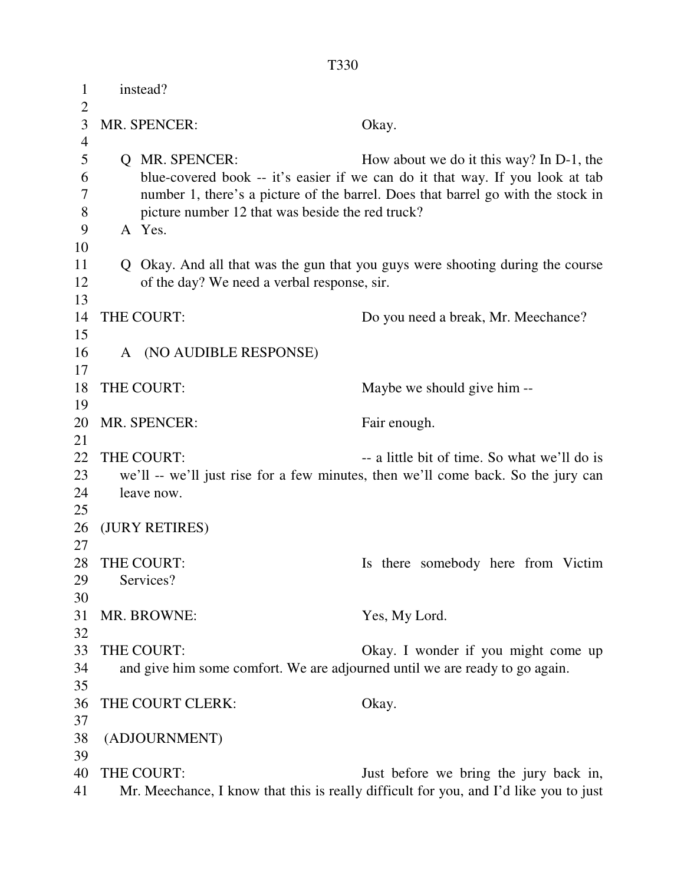| $\mathbf{1}$              | instead?                                                                  |                                                                                                                                                                                                               |  |
|---------------------------|---------------------------------------------------------------------------|---------------------------------------------------------------------------------------------------------------------------------------------------------------------------------------------------------------|--|
| $\overline{2}$<br>3       | MR. SPENCER:                                                              | Okay.                                                                                                                                                                                                         |  |
| $\overline{4}$            |                                                                           |                                                                                                                                                                                                               |  |
| 5<br>6<br>$\tau$<br>$8\,$ | <b>Q</b> MR. SPENCER:<br>picture number 12 that was beside the red truck? | How about we do it this way? In D-1, the<br>blue-covered book -- it's easier if we can do it that way. If you look at tab<br>number 1, there's a picture of the barrel. Does that barrel go with the stock in |  |
| 9                         | A Yes.                                                                    |                                                                                                                                                                                                               |  |
| 10                        |                                                                           |                                                                                                                                                                                                               |  |
| 11<br>12<br>13            | of the day? We need a verbal response, sir.                               | Q Okay. And all that was the gun that you guys were shooting during the course                                                                                                                                |  |
| 14                        | THE COURT:                                                                | Do you need a break, Mr. Meechance?                                                                                                                                                                           |  |
| 15                        |                                                                           |                                                                                                                                                                                                               |  |
| 16                        | A (NO AUDIBLE RESPONSE)                                                   |                                                                                                                                                                                                               |  |
| 17                        |                                                                           |                                                                                                                                                                                                               |  |
| 18<br>19                  | THE COURT:                                                                | Maybe we should give him--                                                                                                                                                                                    |  |
| 20                        | MR. SPENCER:                                                              | Fair enough.                                                                                                                                                                                                  |  |
| 21                        |                                                                           |                                                                                                                                                                                                               |  |
| 22                        | THE COURT:                                                                | -- a little bit of time. So what we'll do is                                                                                                                                                                  |  |
| 23                        |                                                                           | we'll -- we'll just rise for a few minutes, then we'll come back. So the jury can                                                                                                                             |  |
| 24<br>25                  | leave now.                                                                |                                                                                                                                                                                                               |  |
| 26                        | (JURY RETIRES)                                                            |                                                                                                                                                                                                               |  |
| 27                        |                                                                           |                                                                                                                                                                                                               |  |
| 28                        | THE COURT:                                                                | Is there somebody here from Victim                                                                                                                                                                            |  |
| 29                        | Services?                                                                 |                                                                                                                                                                                                               |  |
| 30                        |                                                                           |                                                                                                                                                                                                               |  |
| 31                        | MR. BROWNE:                                                               | Yes, My Lord.                                                                                                                                                                                                 |  |
| 32                        |                                                                           |                                                                                                                                                                                                               |  |
| 33                        | THE COURT:                                                                | Okay. I wonder if you might come up                                                                                                                                                                           |  |
| 34<br>35                  |                                                                           | and give him some comfort. We are adjourned until we are ready to go again.                                                                                                                                   |  |
| 36                        | THE COURT CLERK:                                                          | Okay.                                                                                                                                                                                                         |  |
| 37                        |                                                                           |                                                                                                                                                                                                               |  |
| 38                        | (ADJOURNMENT)                                                             |                                                                                                                                                                                                               |  |
| 39                        |                                                                           |                                                                                                                                                                                                               |  |
| 40                        | THE COURT:                                                                | Just before we bring the jury back in,                                                                                                                                                                        |  |
| 41                        |                                                                           | Mr. Meechance, I know that this is really difficult for you, and I'd like you to just                                                                                                                         |  |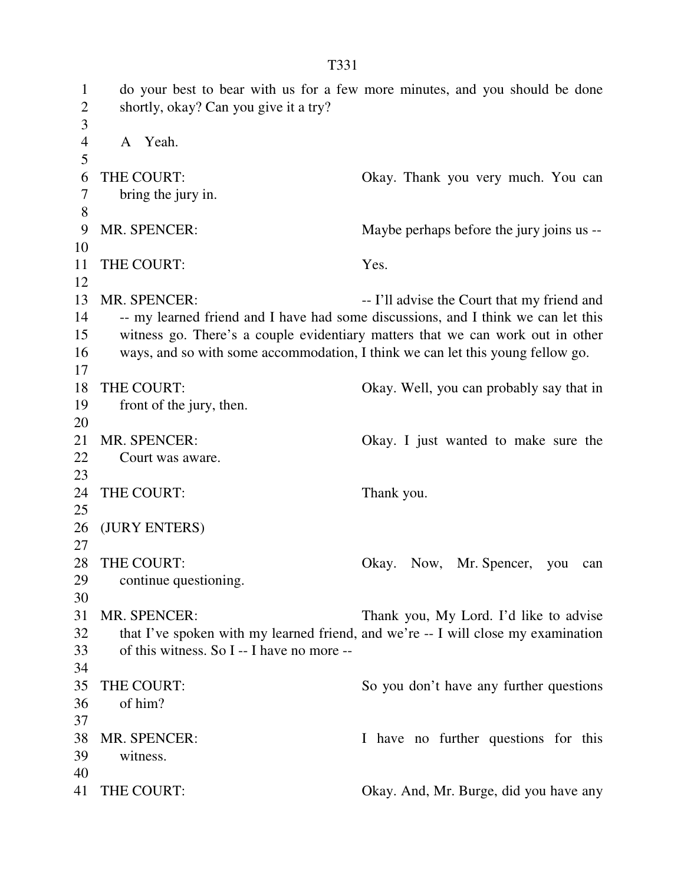1 do your best to bear with us for a few more minutes, and you should be done 2 shortly, okay? Can you give it a try? 3 4 A Yeah. 5 6 THE COURT: Okay. Thank you very much. You can 7 bring the jury in. 8 9 MR. SPENCER: Maybe perhaps before the jury joins us -- 10 11 THE COURT: Yes. 12 13 MR. SPENCER: -- I'll advise the Court that my friend and 14 -- my learned friend and I have had some discussions, and I think we can let this 15 witness go. There's a couple evidentiary matters that we can work out in other 16 ways, and so with some accommodation, I think we can let this young fellow go. 17 18 THE COURT: Okay. Well, you can probably say that in 19 front of the jury, then. 20 21 MR. SPENCER: Okay. I just wanted to make sure the 22 Court was aware. 23 24 THE COURT: Thank you. 25 26 (JURY ENTERS) 27 28 THE COURT: Okay. Now, Mr. Spencer, you can 29 continue questioning. 30 31 MR. SPENCER: Thank you, My Lord. I'd like to advise 32 that I've spoken with my learned friend, and we're -- I will close my examination 33 of this witness. So I -- I have no more -- 34 35 THE COURT: So you don't have any further questions 36 of him? 37 38 MR. SPENCER: I have no further questions for this 39 witness. 40 41 THE COURT: Okay. And, Mr. Burge, did you have any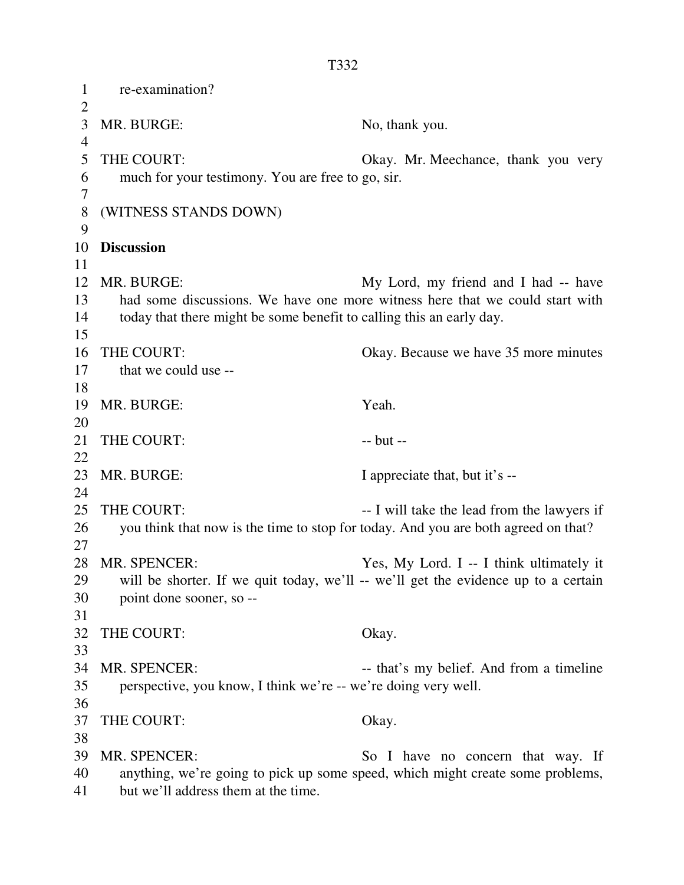1 re-examination?  $\overline{2}$ 3 MR. BURGE: No, thank you. 4 5 THE COURT: Okay. Mr. Meechance, thank you very 6 much for your testimony. You are free to go, sir. 7 8 (WITNESS STANDS DOWN) 9 10 **Discussion**  11 12 MR. BURGE: My Lord, my friend and I had -- have 13 had some discussions. We have one more witness here that we could start with 14 today that there might be some benefit to calling this an early day. 15 16 THE COURT: Okay. Because we have 35 more minutes 17 that we could use -- 18 19 MR. BURGE: Yeah. 20 21 THE COURT: -- but --22 23 MR. BURGE: I appreciate that, but it's --24 25 THE COURT: -- I will take the lead from the lawyers if 26 you think that now is the time to stop for today. And you are both agreed on that? 27 28 MR. SPENCER: Yes, My Lord. I -- I think ultimately it 29 will be shorter. If we quit today, we'll -- we'll get the evidence up to a certain 30 point done sooner, so -- 31 32 THE COURT: Okay. 33 34 MR. SPENCER: -- that's my belief. And from a timeline 35 perspective, you know, I think we're -- we're doing very well. 36 37 THE COURT: Okay. 38 39 MR. SPENCER: So I have no concern that way. If 40 anything, we're going to pick up some speed, which might create some problems, 41 but we'll address them at the time.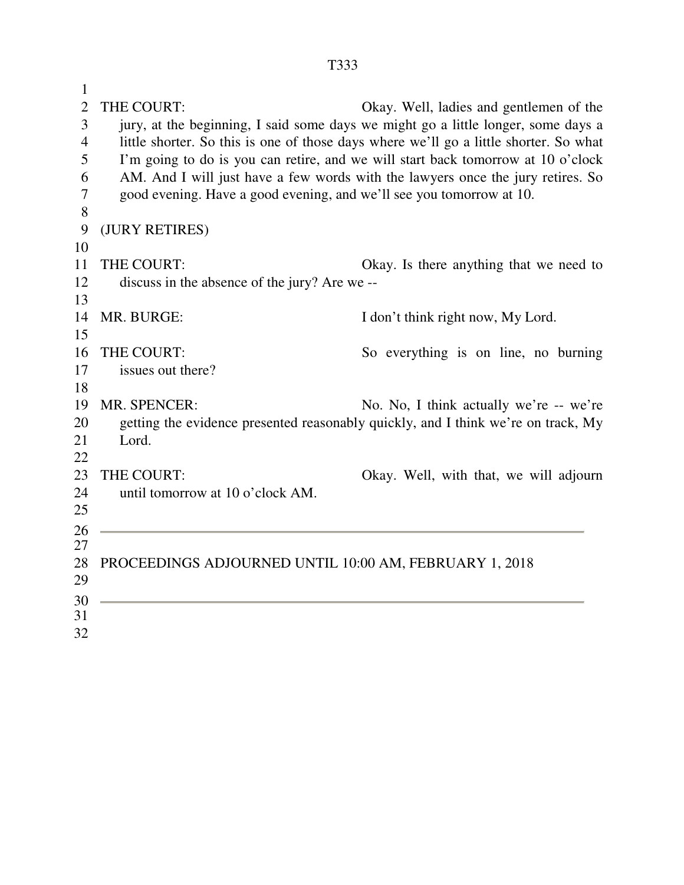1 2 THE COURT: Okay. Well, ladies and gentlemen of the 3 jury, at the beginning, I said some days we might go a little longer, some days a 4 little shorter. So this is one of those days where we'll go a little shorter. So what 5 I'm going to do is you can retire, and we will start back tomorrow at 10 o'clock 6 AM. And I will just have a few words with the lawyers once the jury retires. So 7 good evening. Have a good evening, and we'll see you tomorrow at 10. 8 9 (JURY RETIRES) 10 11 THE COURT: Okay. Is there anything that we need to 12 discuss in the absence of the jury? Are we -- 13 14 MR. BURGE: I don't think right now, My Lord. 15 16 THE COURT: So everything is on line, no burning 17 issues out there? 18 19 MR. SPENCER: No. No, I think actually we're -- we're 20 getting the evidence presented reasonably quickly, and I think we're on track, My 21 Lord. 22 23 THE COURT: Okay. Well, with that, we will adjourn 24 until tomorrow at 10 o'clock AM. 25 26 27 28 PROCEEDINGS ADJOURNED UNTIL 10:00 AM, FEBRUARY 1, 2018 29 30 31 32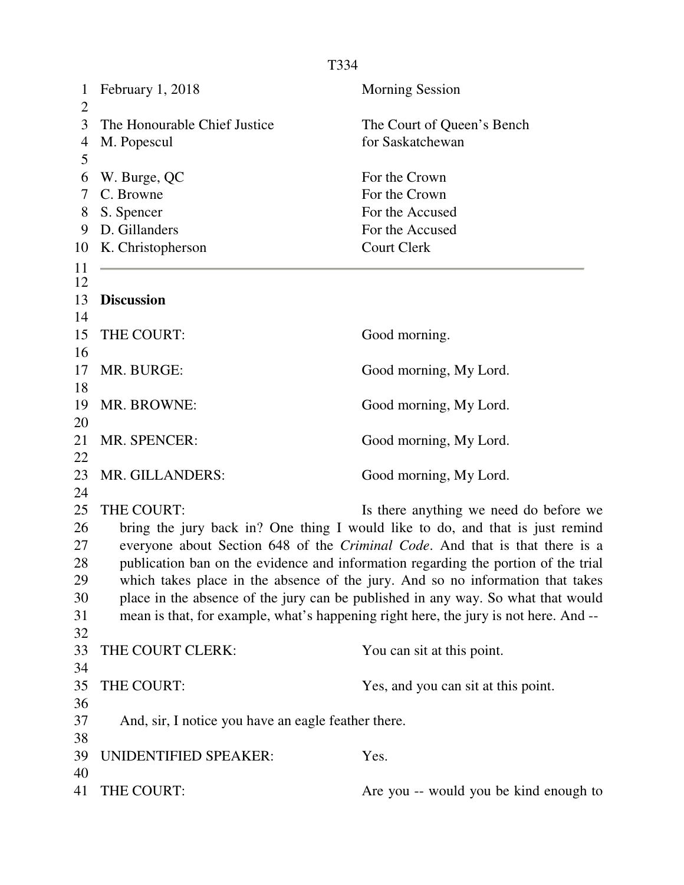| $\mathbf{1}$<br>$\overline{2}$ | February 1, 2018                                    | <b>Morning Session</b>                                                               |
|--------------------------------|-----------------------------------------------------|--------------------------------------------------------------------------------------|
| 3                              | The Honourable Chief Justice                        | The Court of Queen's Bench                                                           |
| 4<br>5                         | M. Popescul                                         | for Saskatchewan                                                                     |
| 6                              | W. Burge, QC                                        | For the Crown                                                                        |
| 7                              | C. Browne                                           | For the Crown                                                                        |
| 8                              | S. Spencer                                          | For the Accused                                                                      |
| 9                              | D. Gillanders                                       | For the Accused                                                                      |
| 10                             | K. Christopherson                                   | <b>Court Clerk</b>                                                                   |
| 11                             |                                                     |                                                                                      |
| 12<br>13                       | <b>Discussion</b>                                   |                                                                                      |
| 14                             |                                                     |                                                                                      |
| 15                             | THE COURT:                                          | Good morning.                                                                        |
| 16                             |                                                     |                                                                                      |
| 17                             | MR. BURGE:                                          | Good morning, My Lord.                                                               |
| 18                             |                                                     |                                                                                      |
| 19                             | MR. BROWNE:                                         | Good morning, My Lord.                                                               |
| 20<br>21                       | MR. SPENCER:                                        |                                                                                      |
| 22                             |                                                     | Good morning, My Lord.                                                               |
| 23                             | MR. GILLANDERS:                                     | Good morning, My Lord.                                                               |
| 24                             |                                                     |                                                                                      |
| 25                             | THE COURT:                                          | Is there anything we need do before we                                               |
| 26                             |                                                     | bring the jury back in? One thing I would like to do, and that is just remind        |
| 27                             |                                                     | everyone about Section 648 of the Criminal Code. And that is that there is a         |
| 28                             |                                                     | publication ban on the evidence and information regarding the portion of the trial   |
| 29                             |                                                     | which takes place in the absence of the jury. And so no information that takes       |
| 30                             |                                                     | place in the absence of the jury can be published in any way. So what that would     |
| 31                             |                                                     | mean is that, for example, what's happening right here, the jury is not here. And -- |
| 32                             |                                                     |                                                                                      |
| 33                             | THE COURT CLERK:                                    | You can sit at this point.                                                           |
| 34                             |                                                     |                                                                                      |
| 35                             | THE COURT:                                          | Yes, and you can sit at this point.                                                  |
| 36                             |                                                     |                                                                                      |
| 37                             | And, sir, I notice you have an eagle feather there. |                                                                                      |
| 38                             |                                                     |                                                                                      |
| 39                             | <b>UNIDENTIFIED SPEAKER:</b>                        | Yes.                                                                                 |
| 40                             |                                                     |                                                                                      |
| 41                             | THE COURT:                                          | Are you -- would you be kind enough to                                               |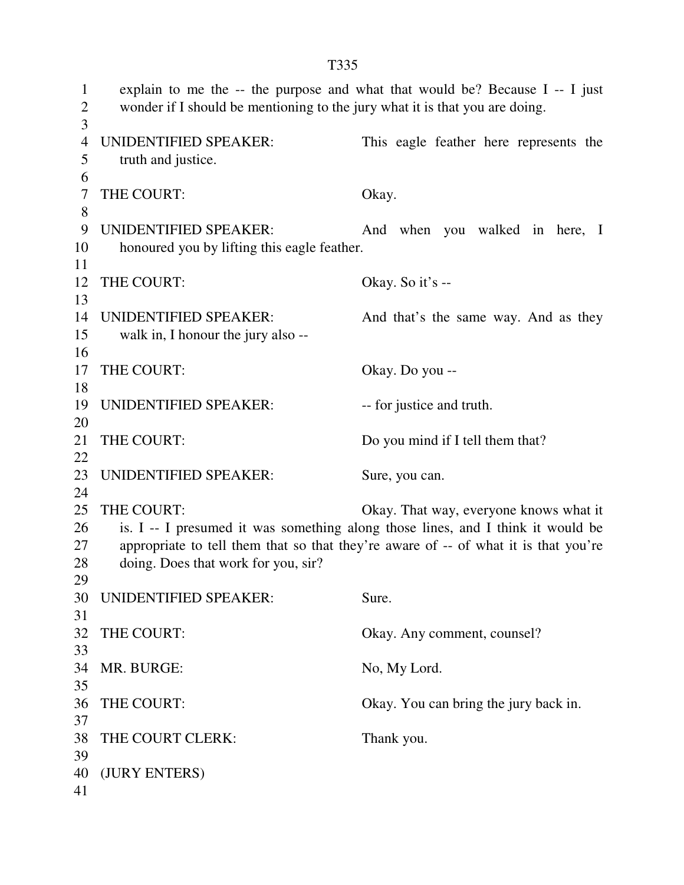| 1<br>$\overline{2}$ | wonder if I should be mentioning to the jury what it is that you are doing. | explain to me the -- the purpose and what that would be? Because $I - I$ just       |
|---------------------|-----------------------------------------------------------------------------|-------------------------------------------------------------------------------------|
| 3                   |                                                                             |                                                                                     |
| 4                   | UNIDENTIFIED SPEAKER:                                                       | This eagle feather here represents the                                              |
| 5                   | truth and justice.                                                          |                                                                                     |
| 6                   |                                                                             |                                                                                     |
| 7                   | THE COURT:                                                                  | Okay.                                                                               |
| $8\,$               |                                                                             |                                                                                     |
| 9                   | <b>UNIDENTIFIED SPEAKER:</b>                                                | And when you walked in here, I                                                      |
| 10                  | honoured you by lifting this eagle feather.                                 |                                                                                     |
| 11                  |                                                                             |                                                                                     |
| 12<br>13            | THE COURT:                                                                  | Okay. So it's --                                                                    |
|                     | <b>UNIDENTIFIED SPEAKER:</b>                                                |                                                                                     |
| 14                  |                                                                             | And that's the same way. And as they                                                |
| 15<br>16            | walk in, I honour the jury also --                                          |                                                                                     |
| 17                  | THE COURT:                                                                  | Okay. Do you --                                                                     |
| 18                  |                                                                             |                                                                                     |
| 19                  | <b>UNIDENTIFIED SPEAKER:</b>                                                | -- for justice and truth.                                                           |
| 20                  |                                                                             |                                                                                     |
| 21                  | THE COURT:                                                                  | Do you mind if I tell them that?                                                    |
| 22                  |                                                                             |                                                                                     |
| 23                  | UNIDENTIFIED SPEAKER:                                                       | Sure, you can.                                                                      |
| 24                  |                                                                             |                                                                                     |
| 25                  | THE COURT:                                                                  | Okay. That way, everyone knows what it                                              |
| 26                  |                                                                             | is. I -- I presumed it was something along those lines, and I think it would be     |
| 27                  |                                                                             | appropriate to tell them that so that they're aware of -- of what it is that you're |
| 28                  | doing. Does that work for you, sir?                                         |                                                                                     |
| 29                  |                                                                             |                                                                                     |
| 30                  | UNIDENTIFIED SPEAKER:                                                       | Sure.                                                                               |
| 31                  |                                                                             |                                                                                     |
| 32                  | THE COURT:                                                                  | Okay. Any comment, counsel?                                                         |
| 33                  |                                                                             |                                                                                     |
| 34                  | MR. BURGE:                                                                  | No, My Lord.                                                                        |
| 35                  |                                                                             |                                                                                     |
| 36                  | THE COURT:                                                                  | Okay. You can bring the jury back in.                                               |
| 37                  |                                                                             |                                                                                     |
| 38                  | THE COURT CLERK:                                                            | Thank you.                                                                          |
| 39                  |                                                                             |                                                                                     |
| 40                  | (JURY ENTERS)                                                               |                                                                                     |
| 41                  |                                                                             |                                                                                     |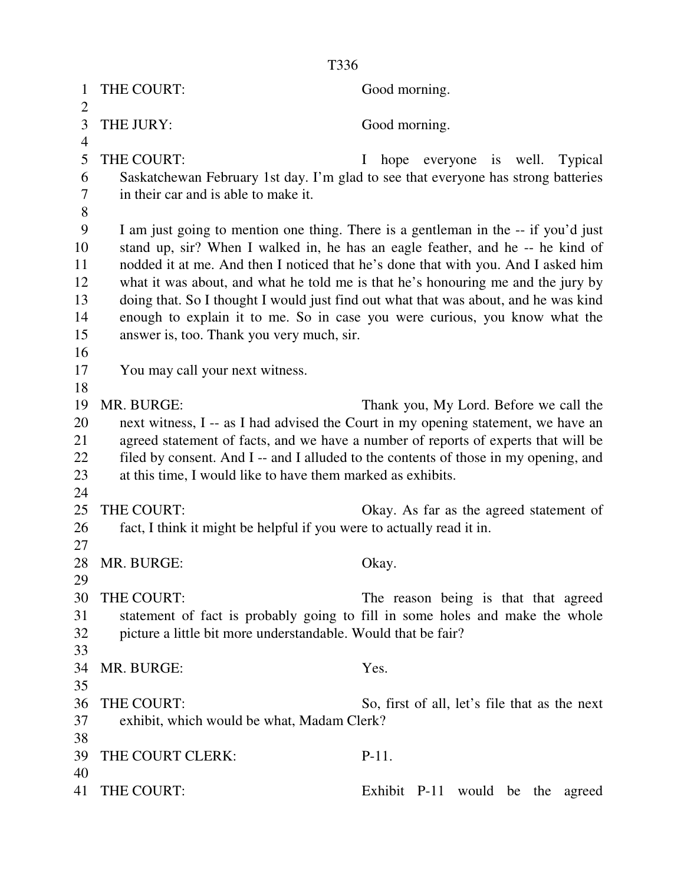| 1              | THE COURT:                                                            | Good morning.                                                                        |
|----------------|-----------------------------------------------------------------------|--------------------------------------------------------------------------------------|
| $\overline{2}$ |                                                                       |                                                                                      |
| 3              | THE JURY:                                                             | Good morning.                                                                        |
| $\overline{4}$ |                                                                       |                                                                                      |
| 5              | THE COURT:                                                            | hope<br>everyone is well.<br>Typical<br>$\mathbf{I}$                                 |
| 6              |                                                                       | Saskatchewan February 1st day. I'm glad to see that everyone has strong batteries    |
| 7              | in their car and is able to make it.                                  |                                                                                      |
| 8              |                                                                       |                                                                                      |
| 9              |                                                                       | I am just going to mention one thing. There is a gentleman in the -- if you'd just   |
| 10             |                                                                       | stand up, sir? When I walked in, he has an eagle feather, and he -- he kind of       |
| 11             |                                                                       | nodded it at me. And then I noticed that he's done that with you. And I asked him    |
| 12             |                                                                       | what it was about, and what he told me is that he's honouring me and the jury by     |
| 13             |                                                                       | doing that. So I thought I would just find out what that was about, and he was kind  |
| 14             |                                                                       | enough to explain it to me. So in case you were curious, you know what the           |
| 15             | answer is, too. Thank you very much, sir.                             |                                                                                      |
| 16             |                                                                       |                                                                                      |
| 17             | You may call your next witness.                                       |                                                                                      |
| 18             |                                                                       |                                                                                      |
| 19             | MR. BURGE:                                                            | Thank you, My Lord. Before we call the                                               |
| 20             |                                                                       | next witness, I -- as I had advised the Court in my opening statement, we have an    |
| 21             |                                                                       | agreed statement of facts, and we have a number of reports of experts that will be   |
| 22             |                                                                       | filed by consent. And I -- and I alluded to the contents of those in my opening, and |
| 23             | at this time, I would like to have them marked as exhibits.           |                                                                                      |
| 24             |                                                                       |                                                                                      |
| 25             | THE COURT:                                                            | Okay. As far as the agreed statement of                                              |
| 26             | fact, I think it might be helpful if you were to actually read it in. |                                                                                      |
| 27             |                                                                       |                                                                                      |
| 28             | MR. BURGE:                                                            | Okay.                                                                                |
| 29             |                                                                       |                                                                                      |
| 30             | THE COURT:                                                            | The reason being is that that agreed                                                 |
| 31             |                                                                       | statement of fact is probably going to fill in some holes and make the whole         |
| 32             | picture a little bit more understandable. Would that be fair?         |                                                                                      |
| 33             |                                                                       |                                                                                      |
| 34             | MR. BURGE:                                                            | Yes.                                                                                 |
| 35             |                                                                       |                                                                                      |
| 36             | THE COURT:                                                            | So, first of all, let's file that as the next                                        |
| 37             | exhibit, which would be what, Madam Clerk?                            |                                                                                      |
| 38             |                                                                       |                                                                                      |
| 39             | THE COURT CLERK:                                                      | $P-11.$                                                                              |
| 40             |                                                                       |                                                                                      |
| 41             | THE COURT:                                                            | Exhibit P-11 would be the<br>agreed                                                  |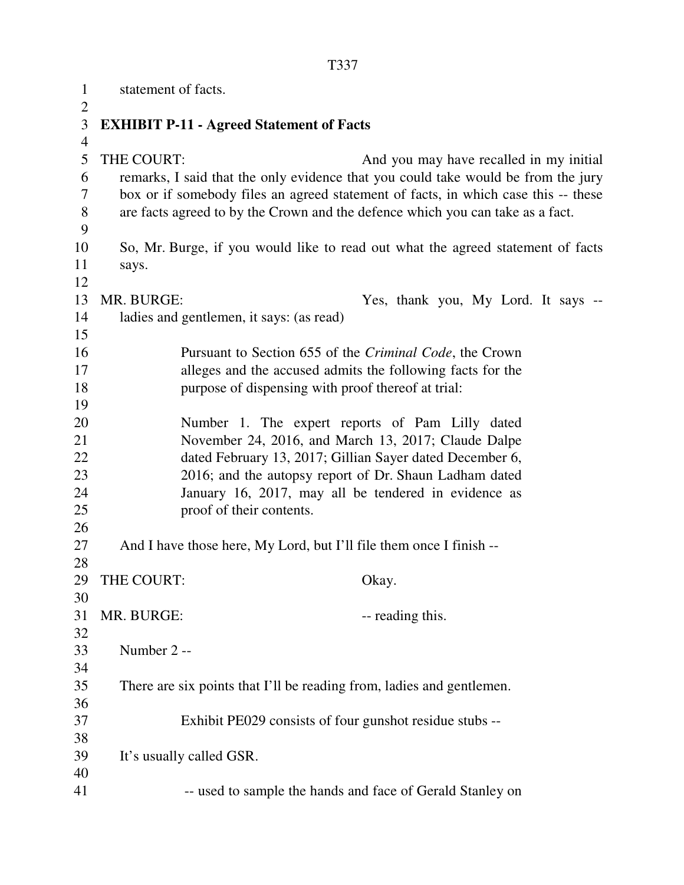1 statement of facts.  $\overline{2}$ 3 **EXHIBIT P-11 - Agreed Statement of Facts**  4 5 THE COURT: And you may have recalled in my initial 6 remarks, I said that the only evidence that you could take would be from the jury 7 box or if somebody files an agreed statement of facts, in which case this -- these 8 are facts agreed to by the Crown and the defence which you can take as a fact. 9 10 So, Mr. Burge, if you would like to read out what the agreed statement of facts 11 says. 12 13 MR. BURGE: Yes, thank you, My Lord. It says -- 14 ladies and gentlemen, it says: (as read) 15 16 Pursuant to Section 655 of the *Criminal Code*, the Crown 17 alleges and the accused admits the following facts for the 18 purpose of dispensing with proof thereof at trial: 19 20 Number 1. The expert reports of Pam Lilly dated 21 November 24, 2016, and March 13, 2017; Claude Dalpe 22 dated February 13, 2017; Gillian Sayer dated December 6, 23 2016; and the autopsy report of Dr. Shaun Ladham dated 24 January 16, 2017, may all be tendered in evidence as 25 proof of their contents. 26 27 And I have those here, My Lord, but I'll file them once I finish -- 28 29 THE COURT: Okay. 30 31 MR. BURGE: -- reading this. 32 33 Number 2 -- 34 35 There are six points that I'll be reading from, ladies and gentlemen. 36 37 Exhibit PE029 consists of four gunshot residue stubs -- 38 39 It's usually called GSR. 40 41 -- used to sample the hands and face of Gerald Stanley on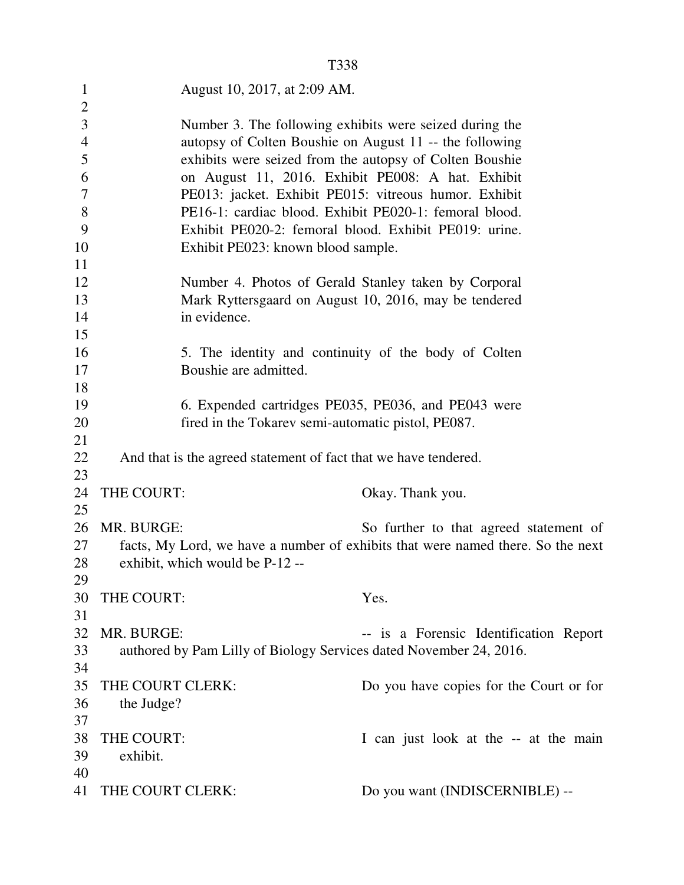|                | T338                                                               |                                                                                                                           |
|----------------|--------------------------------------------------------------------|---------------------------------------------------------------------------------------------------------------------------|
| $\mathbf{1}$   | August 10, 2017, at 2:09 AM.                                       |                                                                                                                           |
| $\overline{2}$ |                                                                    |                                                                                                                           |
| 3              | Number 3. The following exhibits were seized during the            |                                                                                                                           |
| $\overline{4}$ | autopsy of Colten Boushie on August 11 -- the following            |                                                                                                                           |
| 5              | exhibits were seized from the autopsy of Colten Boushie            |                                                                                                                           |
| 6              | on August 11, 2016. Exhibit PE008: A hat. Exhibit                  |                                                                                                                           |
| 7              | PE013: jacket. Exhibit PE015: vitreous humor. Exhibit              |                                                                                                                           |
| 8              | PE16-1: cardiac blood. Exhibit PE020-1: femoral blood.             |                                                                                                                           |
| 9              | Exhibit PE020-2: femoral blood. Exhibit PE019: urine.              |                                                                                                                           |
| 10             | Exhibit PE023: known blood sample.                                 |                                                                                                                           |
| 11             |                                                                    |                                                                                                                           |
| 12             | Number 4. Photos of Gerald Stanley taken by Corporal               |                                                                                                                           |
| 13             | Mark Ryttersgaard on August 10, 2016, may be tendered              |                                                                                                                           |
| 14             | in evidence.                                                       |                                                                                                                           |
| 15             |                                                                    |                                                                                                                           |
| 16             | 5. The identity and continuity of the body of Colten               |                                                                                                                           |
| 17             | Boushie are admitted.                                              |                                                                                                                           |
| 18             |                                                                    |                                                                                                                           |
| 19             | 6. Expended cartridges PE035, PE036, and PE043 were                |                                                                                                                           |
| 20             | fired in the Tokarev semi-automatic pistol, PE087.                 |                                                                                                                           |
| 21             |                                                                    |                                                                                                                           |
| 22             | And that is the agreed statement of fact that we have tendered.    |                                                                                                                           |
| 23             |                                                                    |                                                                                                                           |
| 24             | THE COURT:                                                         | Okay. Thank you.                                                                                                          |
| 25<br>26       | MR. BURGE:                                                         |                                                                                                                           |
| 27             |                                                                    | So further to that agreed statement of<br>facts, My Lord, we have a number of exhibits that were named there. So the next |
| 28             | exhibit, which would be P-12 --                                    |                                                                                                                           |
| 29             |                                                                    |                                                                                                                           |
| 30             | THE COURT:                                                         | Yes.                                                                                                                      |
| 31             |                                                                    |                                                                                                                           |
| 32             | MR. BURGE:                                                         | -- is a Forensic Identification Report                                                                                    |
| 33             | authored by Pam Lilly of Biology Services dated November 24, 2016. |                                                                                                                           |
| 34             |                                                                    |                                                                                                                           |
| 35             | THE COURT CLERK:                                                   | Do you have copies for the Court or for                                                                                   |
| 36             | the Judge?                                                         |                                                                                                                           |
| 37             |                                                                    |                                                                                                                           |
| 38             | THE COURT:                                                         | I can just look at the -- at the main                                                                                     |
| 39             | exhibit.                                                           |                                                                                                                           |
| 40             |                                                                    |                                                                                                                           |
| 41             | THE COURT CLERK:                                                   | Do you want (INDISCERNIBLE) --                                                                                            |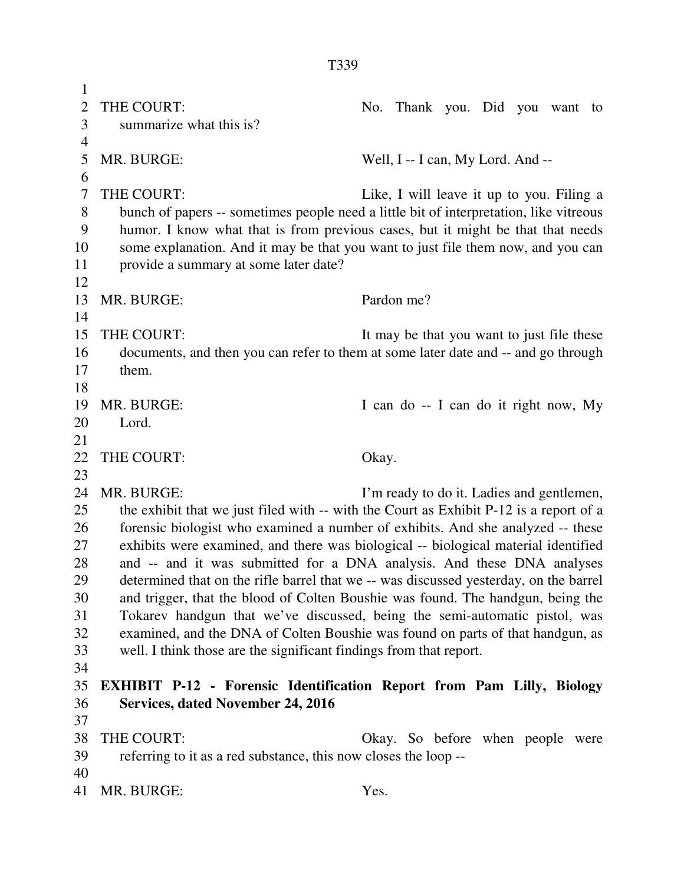1 2 THE COURT: No. Thank you. Did you want to 3 summarize what this is? 4 5 MR. BURGE: Well, I -- I can, My Lord. And -- 6 7 THE COURT: Like, I will leave it up to you. Filing a 8 bunch of papers -- sometimes people need a little bit of interpretation, like vitreous 9 humor. I know what that is from previous cases, but it might be that that needs 10 some explanation. And it may be that you want to just file them now, and you can 11 provide a summary at some later date? 12 13 MR. BURGE: Pardon me? 14 15 THE COURT: It may be that you want to just file these 16 documents, and then you can refer to them at some later date and -- and go through 17 them. 18 19 MR. BURGE: I can do -- I can do it right now, My 20 Lord. 21 22 THE COURT: Okay. 23 24 MR. BURGE: I'm ready to do it. Ladies and gentlemen, 25 the exhibit that we just filed with -- with the Court as Exhibit P-12 is a report of a 26 forensic biologist who examined a number of exhibits. And she analyzed -- these 27 exhibits were examined, and there was biological -- biological material identified 28 and -- and it was submitted for a DNA analysis. And these DNA analyses 29 determined that on the rifle barrel that we -- was discussed yesterday, on the barrel 30 and trigger, that the blood of Colten Boushie was found. The handgun, being the 31 Tokarev handgun that we've discussed, being the semi-automatic pistol, was 32 examined, and the DNA of Colten Boushie was found on parts of that handgun, as 33 well. I think those are the significant findings from that report. 34 35 **EXHIBIT P-12 - Forensic Identification Report from Pam Lilly, Biology**  36 **Services, dated November 24, 2016**  37 38 THE COURT: Okay. So before when people were 39 referring to it as a red substance, this now closes the loop -- 40 41 MR. BURGE: Yes.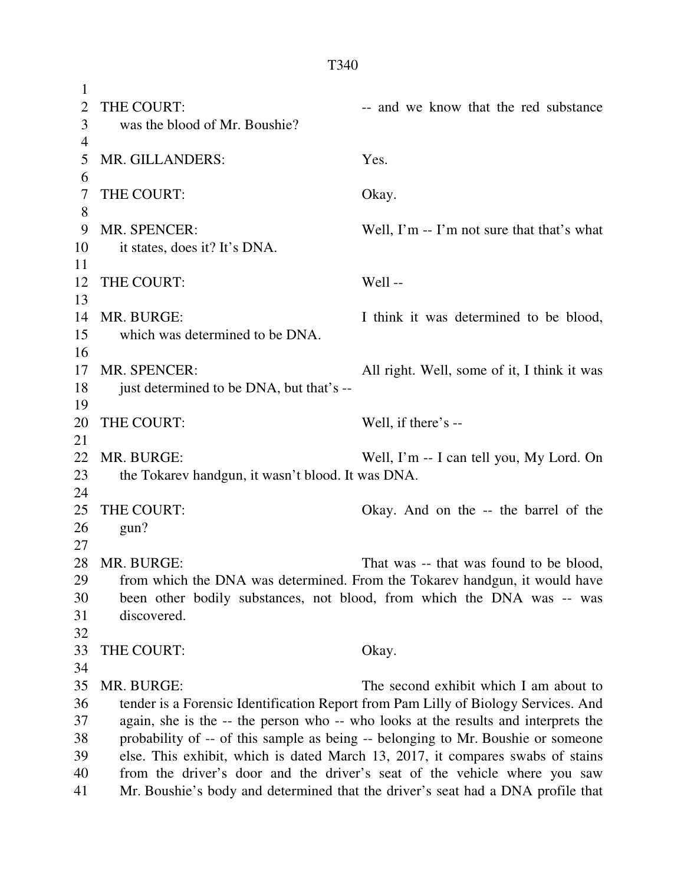| 1  |                                                                                    |                                                                                    |
|----|------------------------------------------------------------------------------------|------------------------------------------------------------------------------------|
| 2  | THE COURT:                                                                         | -- and we know that the red substance                                              |
| 3  | was the blood of Mr. Boushie?                                                      |                                                                                    |
| 4  |                                                                                    |                                                                                    |
| 5  | MR. GILLANDERS:                                                                    | Yes.                                                                               |
| 6  |                                                                                    |                                                                                    |
| 7  | THE COURT:                                                                         | Okay.                                                                              |
| 8  |                                                                                    |                                                                                    |
| 9  | MR. SPENCER:                                                                       | Well, $\Gamma$ m -- $\Gamma$ m not sure that that's what                           |
| 10 | it states, does it? It's DNA.                                                      |                                                                                    |
| 11 |                                                                                    |                                                                                    |
| 12 | THE COURT:                                                                         | Well-                                                                              |
| 13 |                                                                                    |                                                                                    |
| 14 | MR. BURGE:                                                                         | I think it was determined to be blood,                                             |
| 15 | which was determined to be DNA.                                                    |                                                                                    |
| 16 |                                                                                    |                                                                                    |
| 17 | MR. SPENCER:                                                                       | All right. Well, some of it, I think it was                                        |
| 18 | just determined to be DNA, but that's --                                           |                                                                                    |
| 19 |                                                                                    |                                                                                    |
| 20 | THE COURT:                                                                         | Well, if there's --                                                                |
| 21 |                                                                                    |                                                                                    |
| 22 | MR. BURGE:                                                                         | Well, I'm -- I can tell you, My Lord. On                                           |
| 23 | the Tokarev handgun, it wasn't blood. It was DNA.                                  |                                                                                    |
| 24 |                                                                                    |                                                                                    |
| 25 | THE COURT:                                                                         | Okay. And on the -- the barrel of the                                              |
| 26 | gun?                                                                               |                                                                                    |
| 27 |                                                                                    |                                                                                    |
| 28 | MR. BURGE:                                                                         | That was -- that was found to be blood,                                            |
| 29 |                                                                                    | from which the DNA was determined. From the Tokarev handgun, it would have         |
| 30 | been other bodily substances, not blood, from which the DNA was -- was             |                                                                                    |
| 31 | discovered.                                                                        |                                                                                    |
| 32 |                                                                                    |                                                                                    |
| 33 | THE COURT:                                                                         | Okay.                                                                              |
| 34 |                                                                                    |                                                                                    |
| 35 | MR. BURGE:                                                                         | The second exhibit which I am about to                                             |
| 36 |                                                                                    | tender is a Forensic Identification Report from Pam Lilly of Biology Services. And |
| 37 | again, she is the -- the person who -- who looks at the results and interprets the |                                                                                    |
| 38 | probability of -- of this sample as being -- belonging to Mr. Boushie or someone   |                                                                                    |
| 39 | else. This exhibit, which is dated March 13, 2017, it compares swabs of stains     |                                                                                    |
| 40 | from the driver's door and the driver's seat of the vehicle where you saw          |                                                                                    |
| 41 | Mr. Boushie's body and determined that the driver's seat had a DNA profile that    |                                                                                    |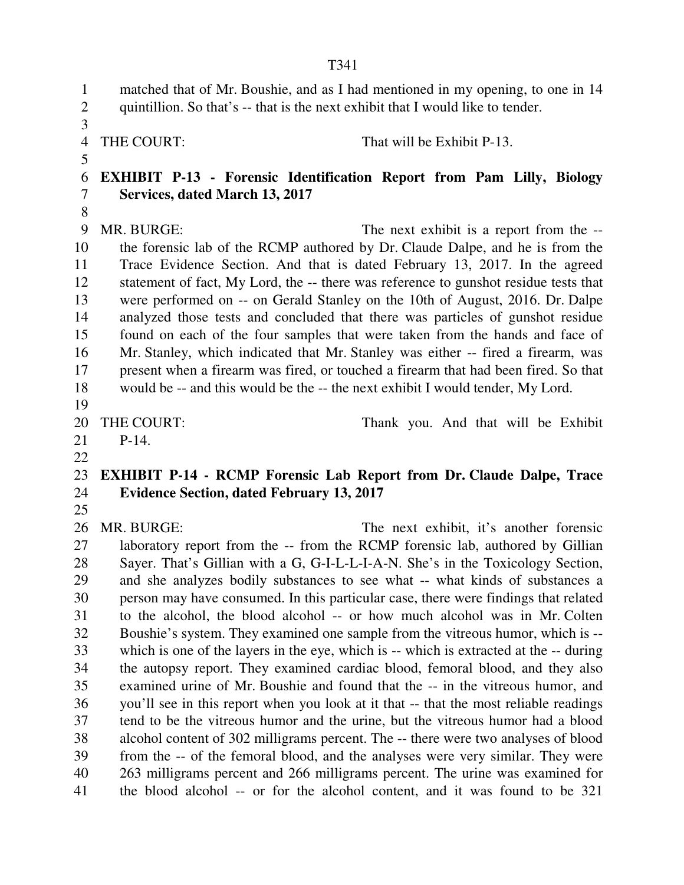T341 1 matched that of Mr. Boushie, and as I had mentioned in my opening, to one in 14 2 quintillion. So that's -- that is the next exhibit that I would like to tender. 3 4 THE COURT: That will be Exhibit P-13. 5 6 **EXHIBIT P-13 - Forensic Identification Report from Pam Lilly, Biology**  7 **Services, dated March 13, 2017**  8 9 MR. BURGE: The next exhibit is a report from the -- 10 the forensic lab of the RCMP authored by Dr. Claude Dalpe, and he is from the 11 Trace Evidence Section. And that is dated February 13, 2017. In the agreed 12 statement of fact, My Lord, the -- there was reference to gunshot residue tests that 13 were performed on -- on Gerald Stanley on the 10th of August, 2016. Dr. Dalpe 14 analyzed those tests and concluded that there was particles of gunshot residue 15 found on each of the four samples that were taken from the hands and face of 16 Mr. Stanley, which indicated that Mr. Stanley was either -- fired a firearm, was 17 present when a firearm was fired, or touched a firearm that had been fired. So that 18 would be -- and this would be the -- the next exhibit I would tender, My Lord. 19 20 THE COURT: Thank you. And that will be Exhibit 21 P-14. 22 23 **EXHIBIT P-14 - RCMP Forensic Lab Report from Dr. Claude Dalpe, Trace**  24 **Evidence Section, dated February 13, 2017**  25 26 MR. BURGE: The next exhibit, it's another forensic 27 laboratory report from the -- from the RCMP forensic lab, authored by Gillian 28 Sayer. That's Gillian with a G, G-I-L-L-I-A-N. She's in the Toxicology Section, 29 and she analyzes bodily substances to see what -- what kinds of substances a 30 person may have consumed. In this particular case, there were findings that related 31 to the alcohol, the blood alcohol -- or how much alcohol was in Mr. Colten 32 Boushie's system. They examined one sample from the vitreous humor, which is -- 33 which is one of the layers in the eye, which is -- which is extracted at the -- during 34 the autopsy report. They examined cardiac blood, femoral blood, and they also 35 examined urine of Mr. Boushie and found that the -- in the vitreous humor, and 36 you'll see in this report when you look at it that -- that the most reliable readings 37 tend to be the vitreous humor and the urine, but the vitreous humor had a blood 38 alcohol content of 302 milligrams percent. The -- there were two analyses of blood 39 from the -- of the femoral blood, and the analyses were very similar. They were 40 263 milligrams percent and 266 milligrams percent. The urine was examined for 41 the blood alcohol -- or for the alcohol content, and it was found to be 321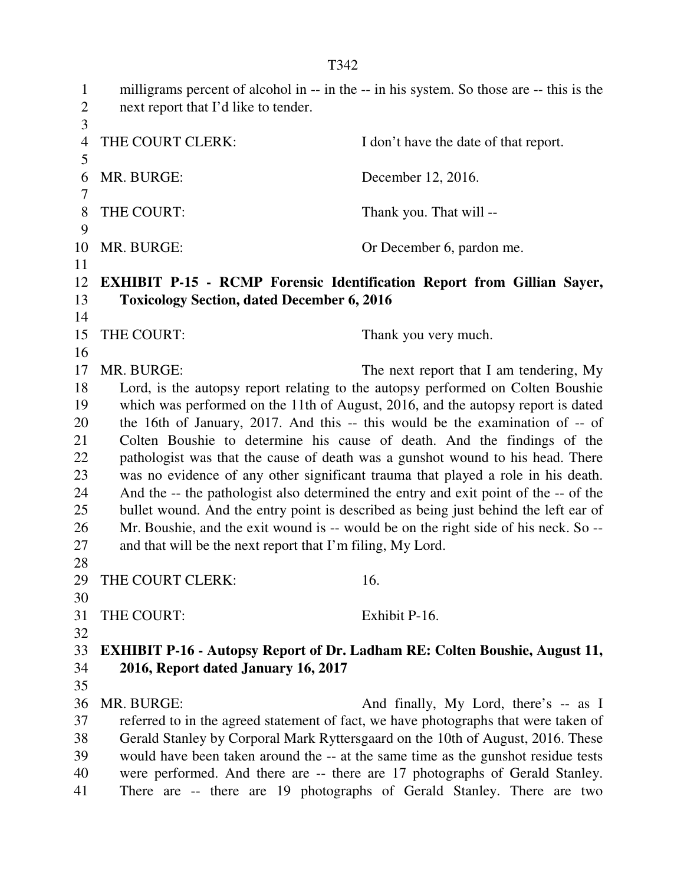1 milligrams percent of alcohol in -- in the -- in his system. So those are -- this is the 2 next report that I'd like to tender. 3 4 THE COURT CLERK: I don't have the date of that report. 5 6 MR. BURGE: December 12, 2016. 7 8 THE COURT: Thank you. That will --9 10 MR. BURGE: Or December 6, pardon me. 11 12 **EXHIBIT P-15 - RCMP Forensic Identification Report from Gillian Sayer,**  13 **Toxicology Section, dated December 6, 2016**  14 15 THE COURT: Thank you very much. 16 17 MR. BURGE: The next report that I am tendering, My 18 Lord, is the autopsy report relating to the autopsy performed on Colten Boushie 19 which was performed on the 11th of August, 2016, and the autopsy report is dated 20 the 16th of January, 2017. And this -- this would be the examination of -- of 21 Colten Boushie to determine his cause of death. And the findings of the 22 pathologist was that the cause of death was a gunshot wound to his head. There 23 was no evidence of any other significant trauma that played a role in his death. 24 And the -- the pathologist also determined the entry and exit point of the -- of the 25 bullet wound. And the entry point is described as being just behind the left ear of 26 Mr. Boushie, and the exit wound is -- would be on the right side of his neck. So -- 27 and that will be the next report that I'm filing, My Lord. 28 29 THE COURT CLERK: 16. 30 31 THE COURT: Exhibit P-16. 32 33 **EXHIBIT P-16 - Autopsy Report of Dr. Ladham RE: Colten Boushie, August 11,**  34 **2016, Report dated January 16, 2017**  35 36 MR. BURGE: And finally, My Lord, there's -- as I 37 referred to in the agreed statement of fact, we have photographs that were taken of 38 Gerald Stanley by Corporal Mark Ryttersgaard on the 10th of August, 2016. These 39 would have been taken around the -- at the same time as the gunshot residue tests 40 were performed. And there are -- there are 17 photographs of Gerald Stanley. 41 There are -- there are 19 photographs of Gerald Stanley. There are two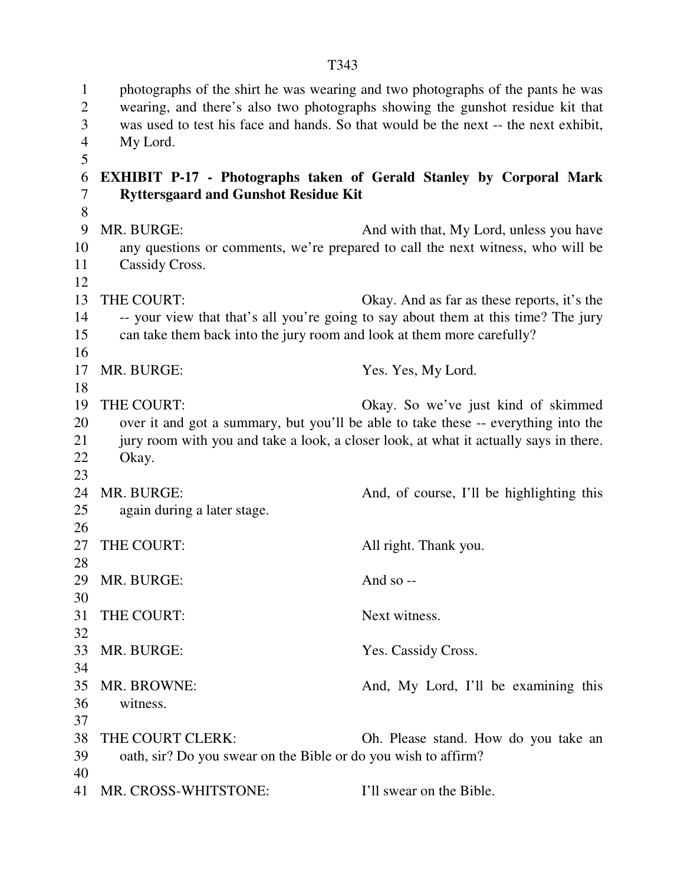1 photographs of the shirt he was wearing and two photographs of the pants he was 2 wearing, and there's also two photographs showing the gunshot residue kit that 3 was used to test his face and hands. So that would be the next -- the next exhibit, 4 My Lord. 5 6 **EXHIBIT P-17 - Photographs taken of Gerald Stanley by Corporal Mark**  7 **Ryttersgaard and Gunshot Residue Kit**  8 9 MR. BURGE: And with that, My Lord, unless you have 10 any questions or comments, we're prepared to call the next witness, who will be 11 Cassidy Cross. 12 13 THE COURT: Okay. And as far as these reports, it's the 14 -- your view that that's all you're going to say about them at this time? The jury 15 can take them back into the jury room and look at them more carefully? 16 17 MR. BURGE: Yes. Yes, My Lord. 18 19 THE COURT: Okay. So we've just kind of skimmed 20 over it and got a summary, but you'll be able to take these -- everything into the 21 jury room with you and take a look, a closer look, at what it actually says in there. 22 Okay. 23 24 MR. BURGE: And, of course, I'll be highlighting this 25 again during a later stage. 26 27 THE COURT: All right. Thank you. 28 29 MR. BURGE: And so --30 31 THE COURT: Next witness. 32 33 MR. BURGE: Yes. Cassidy Cross. 34 35 MR. BROWNE: And, My Lord, I'll be examining this 36 witness. 37 38 THE COURT CLERK: Oh. Please stand. How do you take an 39 oath, sir? Do you swear on the Bible or do you wish to affirm? 40

41 MR. CROSS-WHITSTONE: I'll swear on the Bible.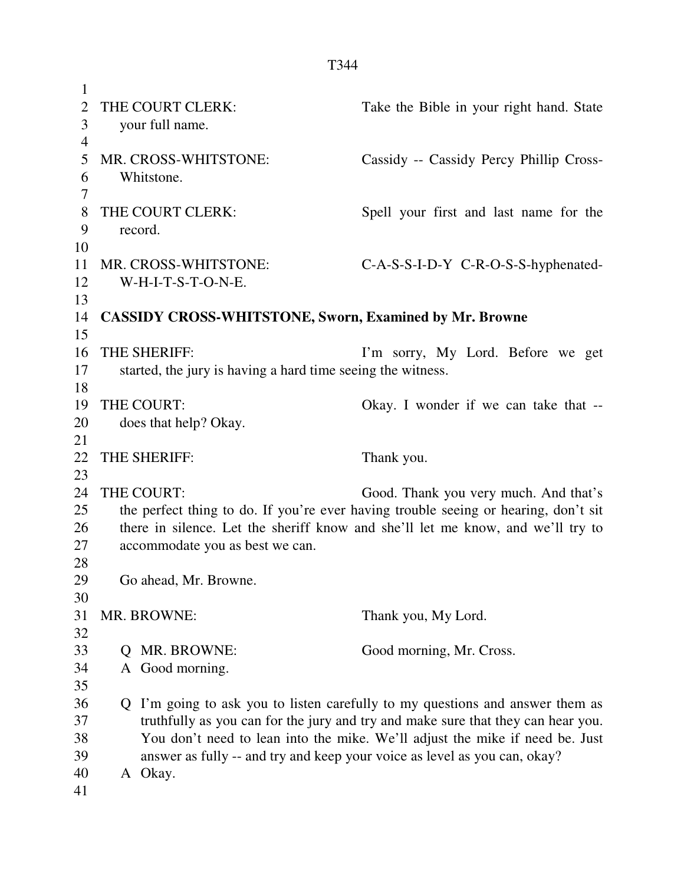| 1              |                                                               |                                                                                     |
|----------------|---------------------------------------------------------------|-------------------------------------------------------------------------------------|
| $\overline{2}$ | THE COURT CLERK:                                              | Take the Bible in your right hand. State                                            |
| 3              | your full name.                                               |                                                                                     |
| $\overline{4}$ |                                                               |                                                                                     |
| 5              | MR. CROSS-WHITSTONE:                                          | Cassidy -- Cassidy Percy Phillip Cross-                                             |
| 6              | Whitstone.                                                    |                                                                                     |
| 7              |                                                               |                                                                                     |
| 8              | THE COURT CLERK:                                              | Spell your first and last name for the                                              |
| 9              | record.                                                       |                                                                                     |
| 10             |                                                               |                                                                                     |
| 11             | MR. CROSS-WHITSTONE:                                          | C-A-S-S-I-D-Y C-R-O-S-S-hyphenated-                                                 |
| 12             | W-H-I-T-S-T-O-N-E.                                            |                                                                                     |
| 13             |                                                               |                                                                                     |
| 14             | <b>CASSIDY CROSS-WHITSTONE, Sworn, Examined by Mr. Browne</b> |                                                                                     |
| 15             |                                                               |                                                                                     |
| 16             | THE SHERIFF:                                                  | I'm sorry, My Lord. Before we get                                                   |
| 17             | started, the jury is having a hard time seeing the witness.   |                                                                                     |
| 18             |                                                               |                                                                                     |
| 19             | THE COURT:                                                    | Okay. I wonder if we can take that --                                               |
| 20             | does that help? Okay.                                         |                                                                                     |
| 21             |                                                               |                                                                                     |
|                |                                                               |                                                                                     |
| 22             | THE SHERIFF:                                                  | Thank you.                                                                          |
| 23             |                                                               |                                                                                     |
| 24             | THE COURT:                                                    | Good. Thank you very much. And that's                                               |
| 25             |                                                               | the perfect thing to do. If you're ever having trouble seeing or hearing, don't sit |
| 26             |                                                               | there in silence. Let the sheriff know and she'll let me know, and we'll try to     |
| 27             | accommodate you as best we can.                               |                                                                                     |
| 28             |                                                               |                                                                                     |
| 29             | Go ahead, Mr. Browne                                          |                                                                                     |
| 30             |                                                               |                                                                                     |
| 31             | MR. BROWNE:                                                   | Thank you, My Lord.                                                                 |
| 32             |                                                               |                                                                                     |
| 33             | MR. BROWNE:<br>O                                              | Good morning, Mr. Cross.                                                            |
| 34             | A Good morning.                                               |                                                                                     |
| 35             |                                                               |                                                                                     |
| 36             | Q                                                             | I'm going to ask you to listen carefully to my questions and answer them as         |
| 37             |                                                               | truthfully as you can for the jury and try and make sure that they can hear you.    |
| 38             |                                                               | You don't need to lean into the mike. We'll adjust the mike if need be. Just        |
| 39             |                                                               | answer as fully -- and try and keep your voice as level as you can, okay?           |
| 40<br>41       | A Okay.                                                       |                                                                                     |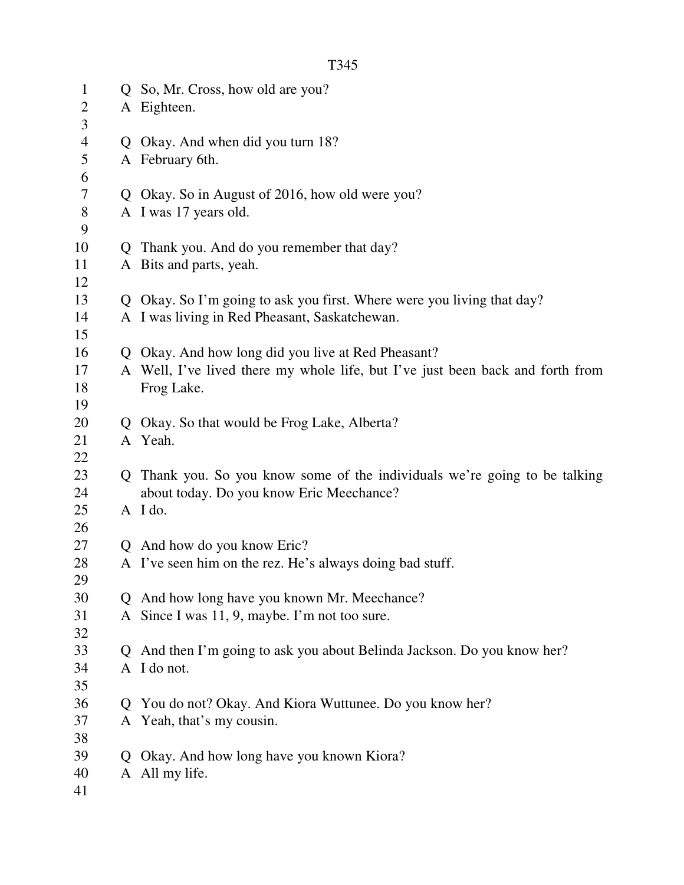| $\mathbf{1}$   |    | Q So, Mr. Cross, how old are you?                                              |
|----------------|----|--------------------------------------------------------------------------------|
| $\overline{2}$ |    | A Eighteen.                                                                    |
| 3              |    |                                                                                |
| 4              | Q. | Okay. And when did you turn 18?                                                |
| 5              |    | A February 6th.                                                                |
| 6              |    |                                                                                |
| 7              | Q. | Okay. So in August of 2016, how old were you?                                  |
| 8              |    | A I was 17 years old.                                                          |
| 9              |    |                                                                                |
| 10             | Q  | Thank you. And do you remember that day?                                       |
| 11             |    | A Bits and parts, yeah.                                                        |
| 12             |    |                                                                                |
| 13             | Q  | Okay. So I'm going to ask you first. Where were you living that day?           |
| 14             |    | A I was living in Red Pheasant, Saskatchewan.                                  |
| 15             |    |                                                                                |
| 16             | Q  | Okay. And how long did you live at Red Pheasant?                               |
| 17             |    | A Well, I've lived there my whole life, but I've just been back and forth from |
| 18             |    | Frog Lake.                                                                     |
| 19             |    |                                                                                |
| 20             |    | Okay. So that would be Frog Lake, Alberta?                                     |
| 21             |    | A Yeah.                                                                        |
| 22             |    |                                                                                |
| 23             | O  | Thank you. So you know some of the individuals we're going to be talking       |
| 24             |    | about today. Do you know Eric Meechance?                                       |
| 25             |    | A I do.                                                                        |
| 26             |    |                                                                                |
| 27             |    | Q And how do you know Eric?                                                    |
| 28             |    | A I've seen him on the rez. He's always doing bad stuff.                       |
| 29             |    |                                                                                |
| 30             |    | And how long have you known Mr. Meechance?                                     |
| 31             | A  | Since I was 11, 9, maybe. I'm not too sure.                                    |
| 32             |    |                                                                                |
| 33             |    | And then I'm going to ask you about Belinda Jackson. Do you know her?          |
| 34             |    | A I do not.                                                                    |
| 35             |    |                                                                                |
| 36             |    | You do not? Okay. And Kiora Wuttunee. Do you know her?                         |
| 37             | A  | Yeah, that's my cousin.                                                        |
| 38             |    |                                                                                |
| 39             | Q  | Okay. And how long have you known Kiora?                                       |

- 40 A All my life.
- 41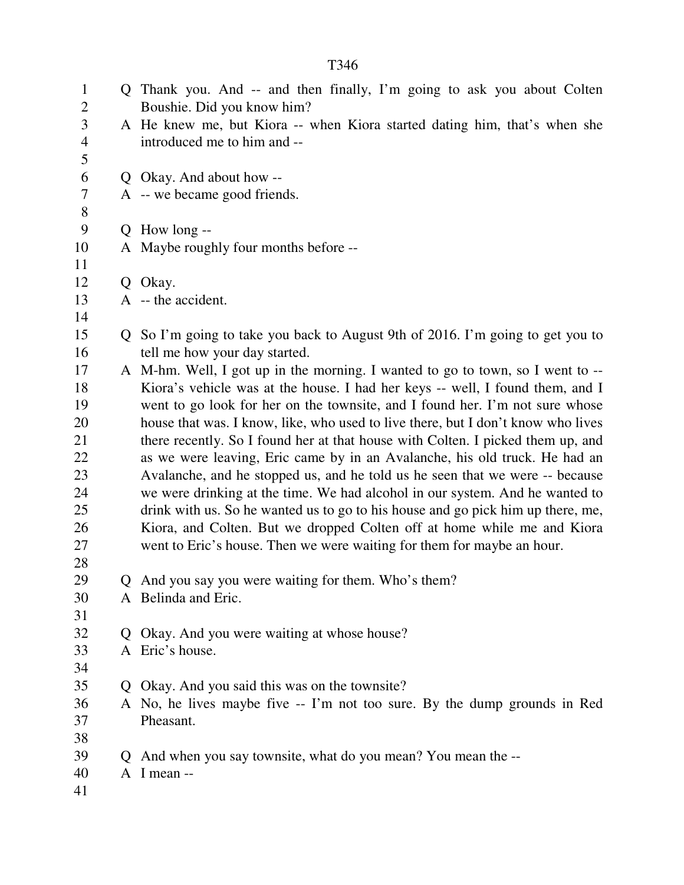1 Q Thank you. And -- and then finally, I'm going to ask you about Colten 2 Boushie. Did you know him? 3 A He knew me, but Kiora -- when Kiora started dating him, that's when she 4 introduced me to him and -- 5 6 Q Okay. And about how -- 7 A -- we became good friends. 8 9 Q How long -- 10 A Maybe roughly four months before -- 11 12 Q Okay. 13 A -- the accident. 14 15 Q So I'm going to take you back to August 9th of 2016. I'm going to get you to 16 tell me how your day started. 17 A M-hm. Well, I got up in the morning. I wanted to go to town, so I went to -- 18 Kiora's vehicle was at the house. I had her keys -- well, I found them, and I 19 went to go look for her on the townsite, and I found her. I'm not sure whose 20 house that was. I know, like, who used to live there, but I don't know who lives 21 there recently. So I found her at that house with Colten. I picked them up, and 22 as we were leaving, Eric came by in an Avalanche, his old truck. He had an 23 Avalanche, and he stopped us, and he told us he seen that we were -- because 24 we were drinking at the time. We had alcohol in our system. And he wanted to 25 drink with us. So he wanted us to go to his house and go pick him up there, me, 26 Kiora, and Colten. But we dropped Colten off at home while me and Kiora 27 went to Eric's house. Then we were waiting for them for maybe an hour. 28 29 Q And you say you were waiting for them. Who's them? 30 A Belinda and Eric. 31 32 Q Okay. And you were waiting at whose house? 33 A Eric's house. 34 35 Q Okay. And you said this was on the townsite? 36 A No, he lives maybe five -- I'm not too sure. By the dump grounds in Red 37 Pheasant. 38 39 Q And when you say townsite, what do you mean? You mean the -- 40 A I mean -- 41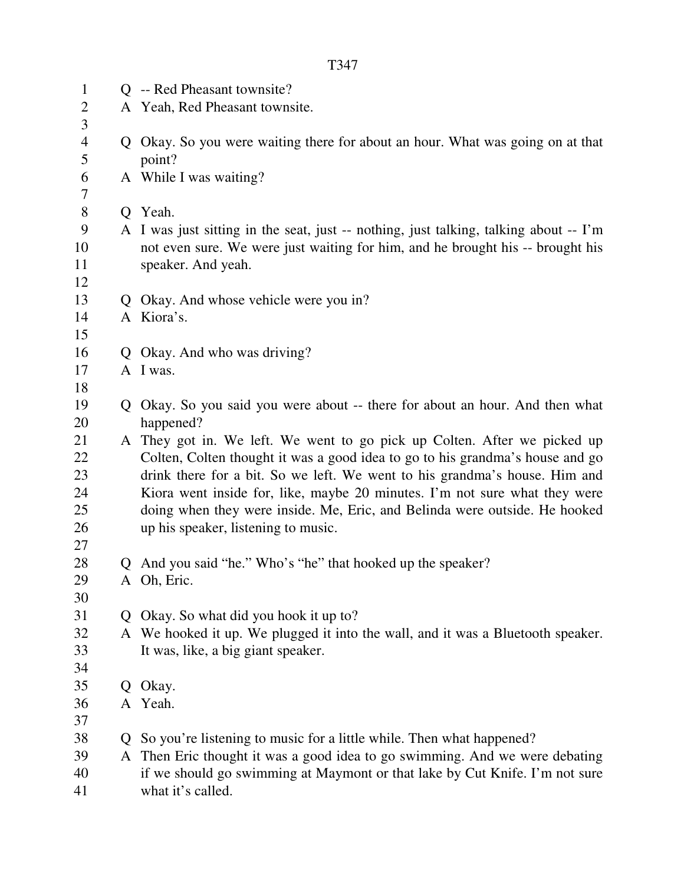| $\mathbf{1}$        |              | Q -- Red Pheasant townsite?                                                              |
|---------------------|--------------|------------------------------------------------------------------------------------------|
| $\overline{2}$      |              | A Yeah, Red Pheasant townsite.                                                           |
| 3                   |              |                                                                                          |
| $\overline{4}$<br>5 |              | Q Okay. So you were waiting there for about an hour. What was going on at that<br>point? |
| 6                   |              | A While I was waiting?                                                                   |
| 7                   |              |                                                                                          |
| 8                   | Q.           | Yeah.                                                                                    |
| 9                   |              | A I was just sitting in the seat, just -- nothing, just talking, talking about -- I'm    |
| 10                  |              | not even sure. We were just waiting for him, and he brought his -- brought his           |
| 11                  |              | speaker. And yeah.                                                                       |
| 12                  |              |                                                                                          |
| 13                  |              | Q Okay. And whose vehicle were you in?                                                   |
| 14                  |              | A Kiora's.                                                                               |
| 15                  |              |                                                                                          |
| 16                  |              | Q Okay. And who was driving?                                                             |
| 17                  |              | A I was.                                                                                 |
| 18                  |              |                                                                                          |
| 19                  | Q            | Okay. So you said you were about -- there for about an hour. And then what               |
| 20                  |              | happened?                                                                                |
| 21                  |              | A They got in. We left. We went to go pick up Colten. After we picked up                 |
| 22                  |              | Colten, Colten thought it was a good idea to go to his grandma's house and go            |
| 23                  |              | drink there for a bit. So we left. We went to his grandma's house. Him and               |
| 24                  |              | Kiora went inside for, like, maybe 20 minutes. I'm not sure what they were               |
| 25                  |              | doing when they were inside. Me, Eric, and Belinda were outside. He hooked               |
| 26                  |              | up his speaker, listening to music.                                                      |
| 27                  |              |                                                                                          |
| 28                  |              | Q And you said "he." Who's "he" that hooked up the speaker?                              |
| 29                  |              | A Oh, Eric.                                                                              |
| 30<br>31            |              |                                                                                          |
|                     | $\mathbf{O}$ | Okay. So what did you hook it up to?                                                     |
| 32                  |              | A We hooked it up. We plugged it into the wall, and it was a Bluetooth speaker.          |
| 33<br>34            |              | It was, like, a big giant speaker.                                                       |
| 35                  |              |                                                                                          |
| 36                  |              | Q Okay.<br>A Yeah.                                                                       |
| 37                  |              |                                                                                          |
| 38                  | Ő            | So you're listening to music for a little while. Then what happened?                     |
| 39                  |              | A Then Eric thought it was a good idea to go swimming. And we were debating              |
| 40                  |              | if we should go swimming at Maymont or that lake by Cut Knife. I'm not sure              |
| 41                  |              | what it's called.                                                                        |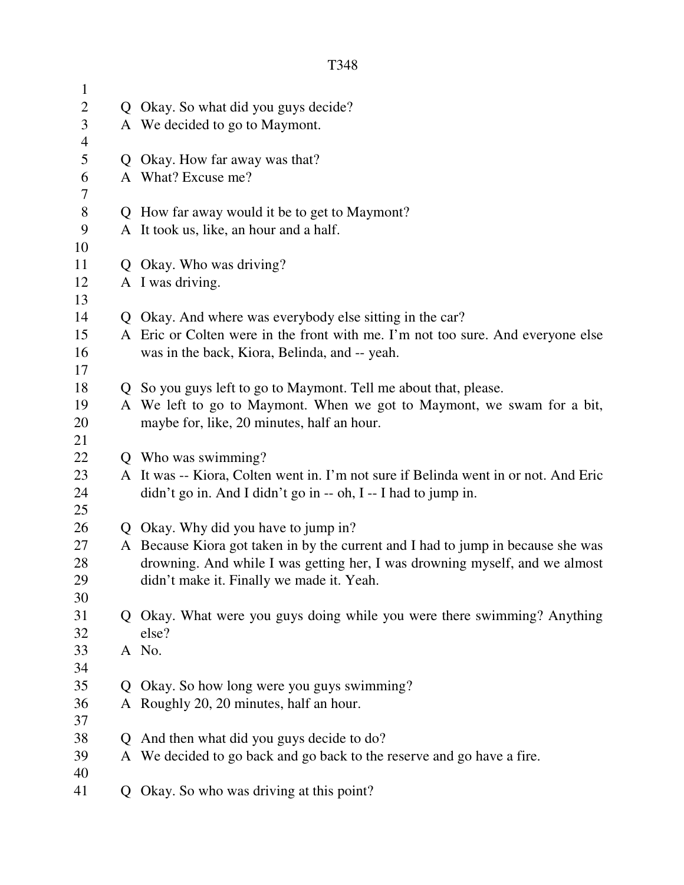| $\mathbf{1}$   |                                                                                                                      |
|----------------|----------------------------------------------------------------------------------------------------------------------|
| $\mathbf{2}$   | Q Okay. So what did you guys decide?                                                                                 |
| $\mathfrak{Z}$ | A We decided to go to Maymont.                                                                                       |
| $\overline{4}$ |                                                                                                                      |
| 5              | Q Okay. How far away was that?                                                                                       |
| 6              | A What? Excuse me?                                                                                                   |
| 7              |                                                                                                                      |
| $8\,$          | Q How far away would it be to get to Maymont?                                                                        |
| 9              | A It took us, like, an hour and a half.                                                                              |
| 10             |                                                                                                                      |
| 11             | Q Okay. Who was driving?                                                                                             |
| 12             | A I was driving.                                                                                                     |
| 13             |                                                                                                                      |
| 14             | Q Okay. And where was everybody else sitting in the car?                                                             |
| 15             | A Eric or Colten were in the front with me. I'm not too sure. And everyone else                                      |
| 16             | was in the back, Kiora, Belinda, and -- yeah.                                                                        |
| 17             |                                                                                                                      |
| 18             | Q So you guys left to go to Maymont. Tell me about that, please.                                                     |
| 19             | A We left to go to Maymont. When we got to Maymont, we swam for a bit,                                               |
| 20             | maybe for, like, 20 minutes, half an hour.                                                                           |
| 21             |                                                                                                                      |
| 22             | Q Who was swimming?                                                                                                  |
| 23             | A It was -- Kiora, Colten went in. I'm not sure if Belinda went in or not. And Eric                                  |
| 24             | didn't go in. And I didn't go in -- oh, I -- I had to jump in.                                                       |
| 25             |                                                                                                                      |
| 26             | Q Okay. Why did you have to jump in?                                                                                 |
| 27             | A Because Kiora got taken in by the current and I had to jump in because she was                                     |
| 28             | drowning. And while I was getting her, I was drowning myself, and we almost                                          |
| 29             | didn't make it. Finally we made it. Yeah.                                                                            |
| 30             |                                                                                                                      |
| 31             | Q Okay. What were you guys doing while you were there swimming? Anything                                             |
| 32             | else?                                                                                                                |
| 33             | A No.                                                                                                                |
| 34             |                                                                                                                      |
| 35             | Q Okay. So how long were you guys swimming?                                                                          |
| 36             | A Roughly 20, 20 minutes, half an hour.                                                                              |
| 37<br>38       |                                                                                                                      |
| 39             | Q And then what did you guys decide to do?<br>A We decided to go back and go back to the reserve and go have a fire. |
| 40             |                                                                                                                      |
| 41             |                                                                                                                      |
|                | Q Okay. So who was driving at this point?                                                                            |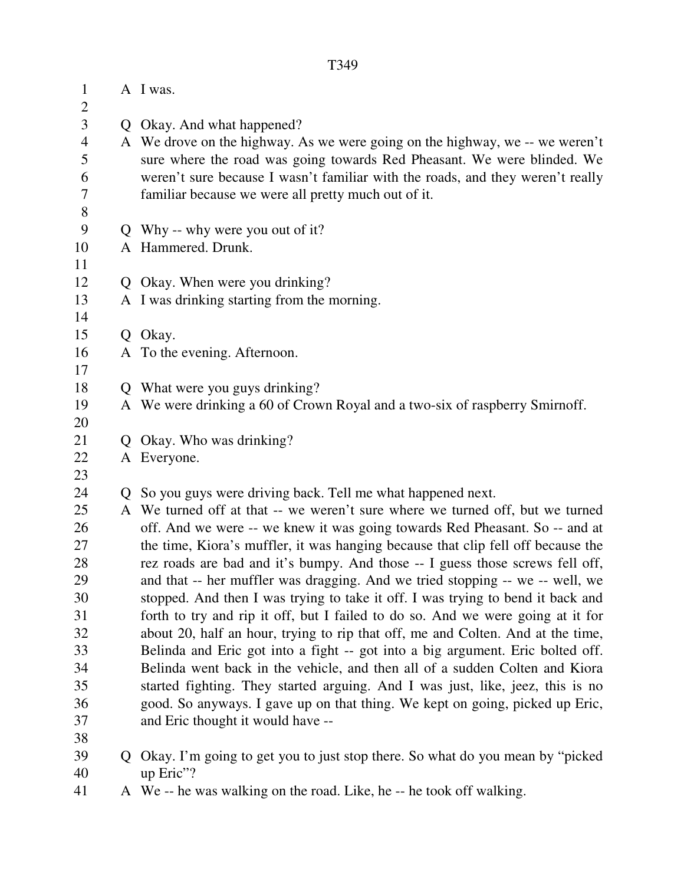| $\mathbf{1}$<br>$\mathbf{2}$ |    | A I was.                                                                                                                                                         |
|------------------------------|----|------------------------------------------------------------------------------------------------------------------------------------------------------------------|
| 3                            |    | Q Okay. And what happened?                                                                                                                                       |
| $\overline{4}$               |    | A We drove on the highway. As we were going on the highway, we -- we weren't                                                                                     |
| 5                            |    | sure where the road was going towards Red Pheasant. We were blinded. We                                                                                          |
| 6                            |    | weren't sure because I wasn't familiar with the roads, and they weren't really                                                                                   |
| $\tau$                       |    | familiar because we were all pretty much out of it.                                                                                                              |
| $8\,$                        |    |                                                                                                                                                                  |
| 9                            |    | Q Why -- why were you out of it?                                                                                                                                 |
| 10                           |    | A Hammered. Drunk.                                                                                                                                               |
| 11                           |    |                                                                                                                                                                  |
| 12                           |    | Q Okay. When were you drinking?                                                                                                                                  |
| 13                           |    | A I was drinking starting from the morning.                                                                                                                      |
| 14                           |    |                                                                                                                                                                  |
| 15                           |    | Q Okay.                                                                                                                                                          |
| 16                           |    | A To the evening. Afternoon.                                                                                                                                     |
| 17                           |    |                                                                                                                                                                  |
| 18                           |    | Q What were you guys drinking?                                                                                                                                   |
| 19                           |    | A We were drinking a 60 of Crown Royal and a two-six of raspberry Smirnoff.                                                                                      |
| 20                           |    |                                                                                                                                                                  |
| 21                           |    | Q Okay. Who was drinking?                                                                                                                                        |
| 22                           |    | A Everyone.                                                                                                                                                      |
| 23                           |    |                                                                                                                                                                  |
| 24                           |    | Q So you guys were driving back. Tell me what happened next.                                                                                                     |
| 25                           |    | A We turned off at that -- we weren't sure where we turned off, but we turned                                                                                    |
| 26                           |    | off. And we were -- we knew it was going towards Red Pheasant. So -- and at                                                                                      |
| 27                           |    | the time, Kiora's muffler, it was hanging because that clip fell off because the                                                                                 |
| 28<br>29                     |    | rez roads are bad and it's bumpy. And those -- I guess those screws fell off,                                                                                    |
| 30                           |    | and that -- her muffler was dragging. And we tried stopping -- we -- well, we<br>stopped. And then I was trying to take it off. I was trying to bend it back and |
| 31                           |    | forth to try and rip it off, but I failed to do so. And we were going at it for                                                                                  |
| 32                           |    | about 20, half an hour, trying to rip that off, me and Colten. And at the time,                                                                                  |
| 33                           |    | Belinda and Eric got into a fight -- got into a big argument. Eric bolted off.                                                                                   |
| 34                           |    | Belinda went back in the vehicle, and then all of a sudden Colten and Kiora                                                                                      |
| 35                           |    | started fighting. They started arguing. And I was just, like, jeez, this is no                                                                                   |
| 36                           |    | good. So anyways. I gave up on that thing. We kept on going, picked up Eric,                                                                                     |
| 37                           |    | and Eric thought it would have --                                                                                                                                |
| 38                           |    |                                                                                                                                                                  |
| 39                           | Q. | Okay. I'm going to get you to just stop there. So what do you mean by "picked"                                                                                   |
| 40                           |    | up Eric"?                                                                                                                                                        |
|                              |    |                                                                                                                                                                  |

41 A We -- he was walking on the road. Like, he -- he took off walking.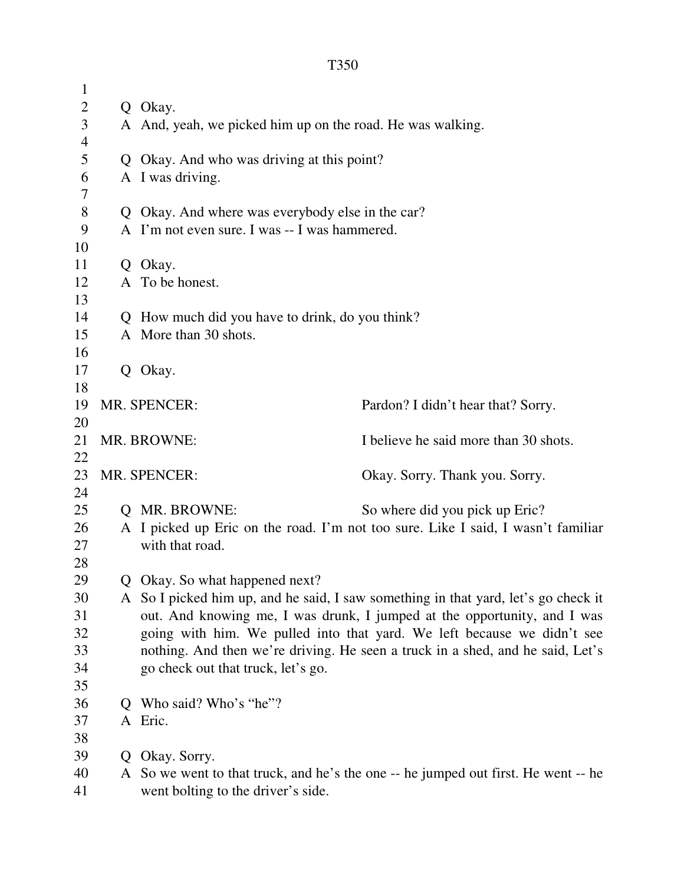| $\mathbf{1}$   |   |                                                                                    |                                       |
|----------------|---|------------------------------------------------------------------------------------|---------------------------------------|
| $\mathbf{2}$   |   | Q Okay.                                                                            |                                       |
| $\mathfrak{Z}$ |   | A And, yeah, we picked him up on the road. He was walking.                         |                                       |
| $\overline{4}$ |   |                                                                                    |                                       |
| $\mathfrak s$  |   | Q Okay. And who was driving at this point?                                         |                                       |
| 6              |   | A I was driving.                                                                   |                                       |
| 7              |   |                                                                                    |                                       |
| $8\,$          |   | Q Okay. And where was everybody else in the car?                                   |                                       |
| 9              |   | A I'm not even sure. I was -- I was hammered.                                      |                                       |
| 10             |   |                                                                                    |                                       |
| 11             |   | Q Okay.                                                                            |                                       |
| 12             |   | A To be honest.                                                                    |                                       |
| 13             |   |                                                                                    |                                       |
| 14             |   | Q How much did you have to drink, do you think?                                    |                                       |
| 15             |   | A More than 30 shots.                                                              |                                       |
| 16             |   |                                                                                    |                                       |
| 17             |   | Q Okay.                                                                            |                                       |
| 18<br>19       |   | MR. SPENCER:                                                                       |                                       |
| 20             |   |                                                                                    | Pardon? I didn't hear that? Sorry.    |
| 21             |   | MR. BROWNE:                                                                        | I believe he said more than 30 shots. |
| 22             |   |                                                                                    |                                       |
| 23             |   | MR. SPENCER:                                                                       | Okay. Sorry. Thank you. Sorry.        |
| 24             |   |                                                                                    |                                       |
| 25             |   | <b>Q MR. BROWNE:</b>                                                               | So where did you pick up Eric?        |
| 26             |   | A I picked up Eric on the road. I'm not too sure. Like I said, I wasn't familiar   |                                       |
| 27             |   | with that road.                                                                    |                                       |
| 28             |   |                                                                                    |                                       |
| 29             |   | Q Okay. So what happened next?                                                     |                                       |
| 30             |   | A So I picked him up, and he said, I saw something in that yard, let's go check it |                                       |
| 31             |   | out. And knowing me, I was drunk, I jumped at the opportunity, and I was           |                                       |
| 32             |   | going with him. We pulled into that yard. We left because we didn't see            |                                       |
| 33             |   | nothing. And then we're driving. He seen a truck in a shed, and he said, Let's     |                                       |
| 34             |   | go check out that truck, let's go.                                                 |                                       |
| 35             |   |                                                                                    |                                       |
| 36             | O | Who said? Who's "he"?                                                              |                                       |
| 37             |   | A Eric.                                                                            |                                       |
| 38             |   |                                                                                    |                                       |
| 39             | Q | Okay. Sorry.                                                                       |                                       |
| 40             |   | A So we went to that truck, and he's the one -- he jumped out first. He went -- he |                                       |
| 41             |   | went bolting to the driver's side.                                                 |                                       |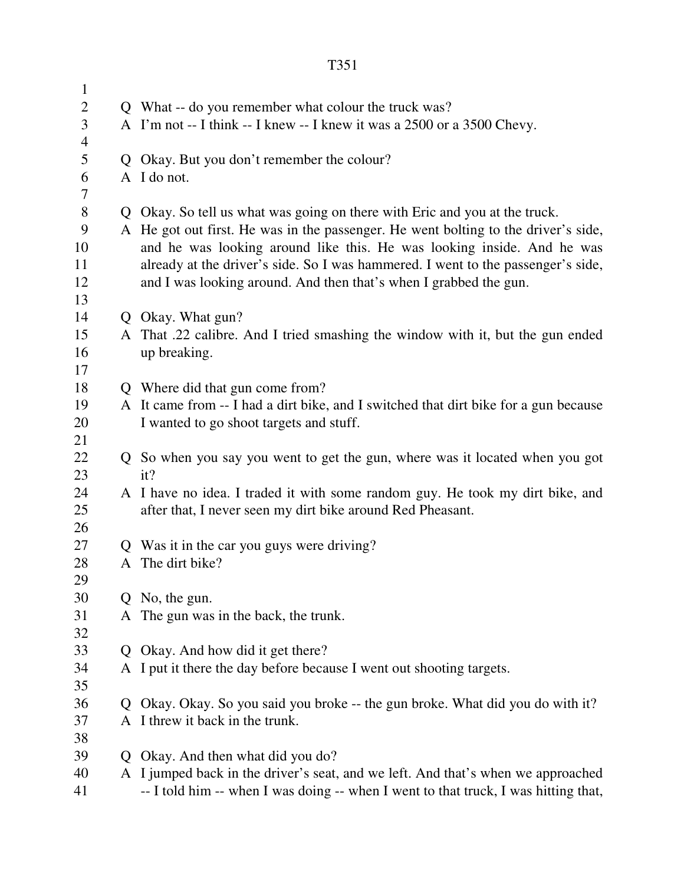| $\mathbf{1}$   |              |                                                                                      |
|----------------|--------------|--------------------------------------------------------------------------------------|
| $\overline{2}$ |              | Q What -- do you remember what colour the truck was?                                 |
| 3              |              | A I'm not -- I think -- I knew -- I knew it was a 2500 or a 3500 Chevy.              |
| $\overline{4}$ |              |                                                                                      |
| 5              | $\mathbf{O}$ | Okay. But you don't remember the colour?                                             |
| 6              |              | A I do not.                                                                          |
| 7              |              |                                                                                      |
| 8              |              | Q Okay. So tell us what was going on there with Eric and you at the truck.           |
| 9              |              | A He got out first. He was in the passenger. He went bolting to the driver's side,   |
| 10             |              | and he was looking around like this. He was looking inside. And he was               |
| 11             |              | already at the driver's side. So I was hammered. I went to the passenger's side,     |
| 12             |              | and I was looking around. And then that's when I grabbed the gun.                    |
| 13             |              |                                                                                      |
| 14             |              | Q Okay. What gun?                                                                    |
| 15             |              | A That .22 calibre. And I tried smashing the window with it, but the gun ended       |
| 16             |              | up breaking.                                                                         |
| 17             |              |                                                                                      |
| 18             |              | Q Where did that gun come from?                                                      |
| 19             |              | A It came from -- I had a dirt bike, and I switched that dirt bike for a gun because |
| 20             |              | I wanted to go shoot targets and stuff.                                              |
| 21             |              |                                                                                      |
| 22             |              | Q So when you say you went to get the gun, where was it located when you got         |
| 23             |              | it?                                                                                  |
| 24<br>25       |              | A I have no idea. I traded it with some random guy. He took my dirt bike, and        |
| 26             |              | after that, I never seen my dirt bike around Red Pheasant.                           |
| 27             | Q            | Was it in the car you guys were driving?                                             |
| 28             | A            | The dirt bike?                                                                       |
| 29             |              |                                                                                      |
| 30             | Q.           | No, the gun.                                                                         |
| 31             | A            | The gun was in the back, the trunk.                                                  |
| 32             |              |                                                                                      |
| 33             | $\mathbf{Q}$ | Okay. And how did it get there?                                                      |
| 34             |              | A I put it there the day before because I went out shooting targets.                 |
| 35             |              |                                                                                      |
| 36             | Q            | Okay. Okay. So you said you broke -- the gun broke. What did you do with it?         |
| 37             | A            | I threw it back in the trunk.                                                        |
| 38             |              |                                                                                      |
| 39             | Q            | Okay. And then what did you do?                                                      |
| 40             |              | A I jumped back in the driver's seat, and we left. And that's when we approached     |
| 41             |              | -- I told him -- when I was doing -- when I went to that truck, I was hitting that,  |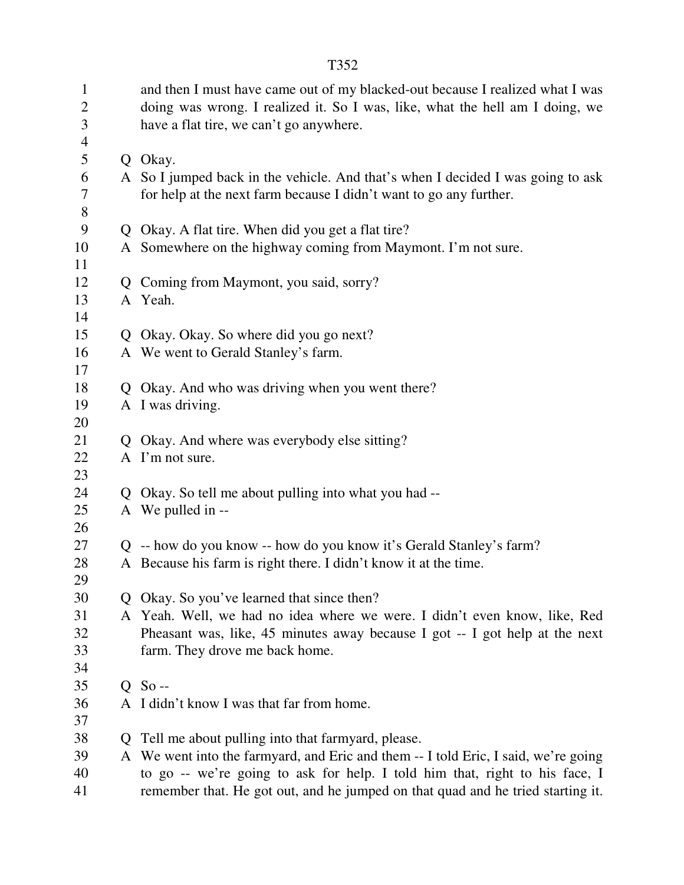| $\mathbf{1}$<br>$\mathbf{2}$<br>3<br>$\overline{4}$ |    | and then I must have came out of my blacked-out because I realized what I was<br>doing was wrong. I realized it. So I was, like, what the hell am I doing, we<br>have a flat tire, we can't go anywhere. |
|-----------------------------------------------------|----|----------------------------------------------------------------------------------------------------------------------------------------------------------------------------------------------------------|
| 5                                                   |    | Q Okay.                                                                                                                                                                                                  |
| 6<br>7<br>$8\,$                                     |    | A So I jumped back in the vehicle. And that's when I decided I was going to ask<br>for help at the next farm because I didn't want to go any further.                                                    |
| 9                                                   |    | Q Okay. A flat tire. When did you get a flat tire?                                                                                                                                                       |
|                                                     |    |                                                                                                                                                                                                          |
| 10                                                  |    | A Somewhere on the highway coming from Maymont. I'm not sure.                                                                                                                                            |
| 11                                                  |    |                                                                                                                                                                                                          |
| 12                                                  |    | Q Coming from Maymont, you said, sorry?                                                                                                                                                                  |
| 13                                                  |    | A Yeah.                                                                                                                                                                                                  |
| 14                                                  |    |                                                                                                                                                                                                          |
| 15                                                  |    | Q Okay. Okay. So where did you go next?                                                                                                                                                                  |
| 16                                                  |    | A We went to Gerald Stanley's farm.                                                                                                                                                                      |
| 17<br>18                                            |    |                                                                                                                                                                                                          |
|                                                     |    | Q Okay. And who was driving when you went there?                                                                                                                                                         |
| 19                                                  |    | A I was driving.                                                                                                                                                                                         |
| 20                                                  |    |                                                                                                                                                                                                          |
| 21                                                  |    | Q Okay. And where was everybody else sitting?                                                                                                                                                            |
| 22                                                  |    | A I'm not sure.                                                                                                                                                                                          |
| 23                                                  |    |                                                                                                                                                                                                          |
| 24                                                  |    | Q Okay. So tell me about pulling into what you had --                                                                                                                                                    |
| 25                                                  |    | A We pulled in --                                                                                                                                                                                        |
| 26                                                  |    |                                                                                                                                                                                                          |
| 27                                                  |    | Q -- how do you know -- how do you know it's Gerald Stanley's farm?                                                                                                                                      |
| 28                                                  |    | A Because his farm is right there. I didn't know it at the time.                                                                                                                                         |
| 29                                                  |    |                                                                                                                                                                                                          |
| 30                                                  |    | Q Okay. So you've learned that since then?                                                                                                                                                               |
| 31                                                  |    | A Yeah. Well, we had no idea where we were. I didn't even know, like, Red                                                                                                                                |
| 32                                                  |    | Pheasant was, like, 45 minutes away because I got -- I got help at the next                                                                                                                              |
| 33                                                  |    | farm. They drove me back home.                                                                                                                                                                           |
| 34                                                  |    |                                                                                                                                                                                                          |
| 35                                                  |    | $Q$ So --                                                                                                                                                                                                |
| 36                                                  | A  | I didn't know I was that far from home.                                                                                                                                                                  |
| 37                                                  |    |                                                                                                                                                                                                          |
| 38                                                  | Q. | Tell me about pulling into that farmyard, please.                                                                                                                                                        |
| 39                                                  |    | A We went into the farmyard, and Eric and them -- I told Eric, I said, we're going                                                                                                                       |
| 40                                                  |    | to go -- we're going to ask for help. I told him that, right to his face, I                                                                                                                              |
| 41                                                  |    | remember that. He got out, and he jumped on that quad and he tried starting it.                                                                                                                          |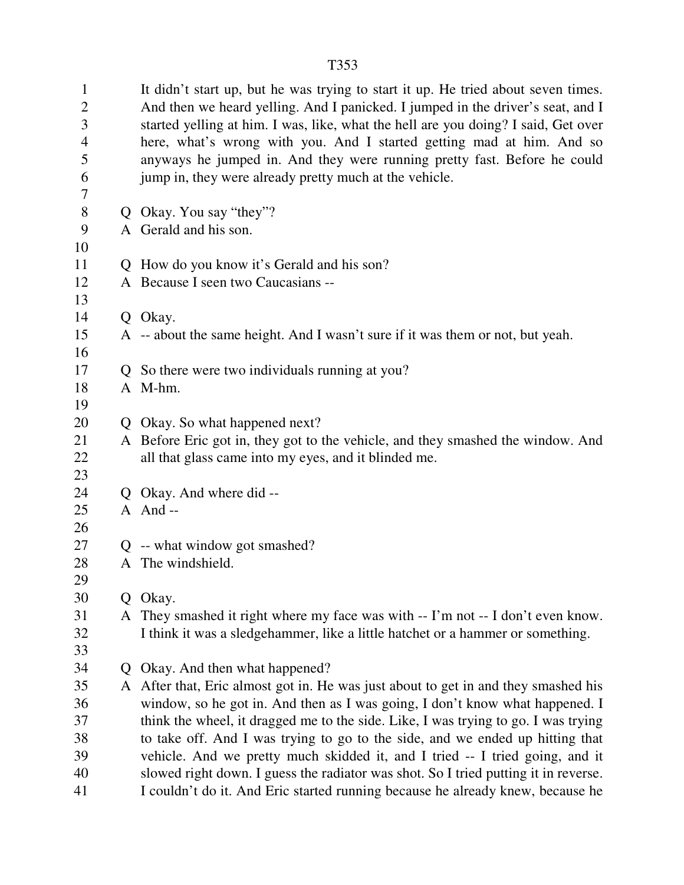1 It didn't start up, but he was trying to start it up. He tried about seven times. 2 And then we heard yelling. And I panicked. I jumped in the driver's seat, and I 3 started yelling at him. I was, like, what the hell are you doing? I said, Get over 4 here, what's wrong with you. And I started getting mad at him. And so 5 anyways he jumped in. And they were running pretty fast. Before he could 6 jump in, they were already pretty much at the vehicle. 7 8 Q Okay. You say "they"? 9 A Gerald and his son. 10 11 Q How do you know it's Gerald and his son? 12 A Because I seen two Caucasians -- 13 14 Q Okay. 15 A -- about the same height. And I wasn't sure if it was them or not, but yeah. 16 17 Q So there were two individuals running at you? 18 A M-hm. 19 20 Q Okay. So what happened next? 21 A Before Eric got in, they got to the vehicle, and they smashed the window. And 22 all that glass came into my eyes, and it blinded me. 23 24 Q Okay. And where did -- 25 A And -- 26 27 Q -- what window got smashed? 28 A The windshield. 29 30 Q Okay. 31 A They smashed it right where my face was with -- I'm not -- I don't even know. 32 I think it was a sledgehammer, like a little hatchet or a hammer or something. 33 34 Q Okay. And then what happened? 35 A After that, Eric almost got in. He was just about to get in and they smashed his 36 window, so he got in. And then as I was going, I don't know what happened. I 37 think the wheel, it dragged me to the side. Like, I was trying to go. I was trying 38 to take off. And I was trying to go to the side, and we ended up hitting that 39 vehicle. And we pretty much skidded it, and I tried -- I tried going, and it

40 slowed right down. I guess the radiator was shot. So I tried putting it in reverse. 41 I couldn't do it. And Eric started running because he already knew, because he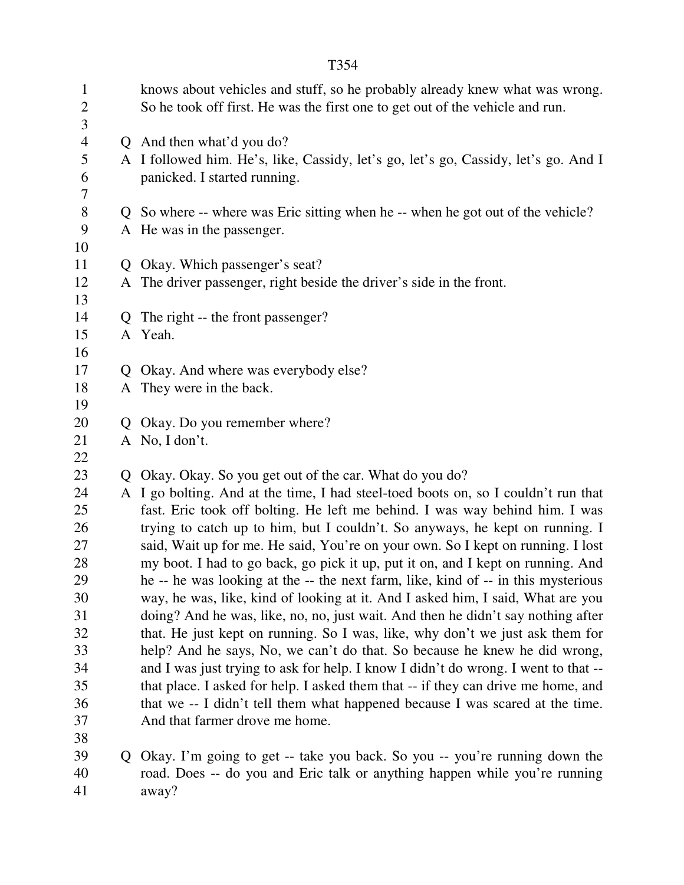| $\mathbf{1}$<br>$\mathbf{2}$<br>3 |                | knows about vehicles and stuff, so he probably already knew what was wrong.<br>So he took off first. He was the first one to get out of the vehicle and run. |
|-----------------------------------|----------------|--------------------------------------------------------------------------------------------------------------------------------------------------------------|
| $\overline{4}$                    |                | Q And then what'd you do?                                                                                                                                    |
| $\mathfrak s$                     |                | A I followed him. He's, like, Cassidy, let's go, let's go, Cassidy, let's go. And I                                                                          |
| 6                                 |                | panicked. I started running.                                                                                                                                 |
| $\overline{7}$                    |                |                                                                                                                                                              |
| $8\,$                             |                | Q So where -- where was Eric sitting when he -- when he got out of the vehicle?                                                                              |
| 9                                 |                | A He was in the passenger.                                                                                                                                   |
| 10                                |                |                                                                                                                                                              |
| 11                                |                | Q Okay. Which passenger's seat?                                                                                                                              |
| 12                                |                | A The driver passenger, right beside the driver's side in the front.                                                                                         |
| 13                                |                |                                                                                                                                                              |
| 14                                |                | Q The right -- the front passenger?                                                                                                                          |
| 15                                |                | A Yeah.                                                                                                                                                      |
| 16                                |                |                                                                                                                                                              |
| 17                                | Q              | Okay. And where was everybody else?                                                                                                                          |
| 18                                |                | A They were in the back.                                                                                                                                     |
| 19                                |                |                                                                                                                                                              |
| 20                                | $\mathbf{O}$   | Okay. Do you remember where?                                                                                                                                 |
| 21                                |                | A No, I don't.                                                                                                                                               |
| 22                                |                |                                                                                                                                                              |
| 23                                | $\overline{O}$ | Okay. Okay. So you get out of the car. What do you do?                                                                                                       |
| 24                                |                | A I go bolting. And at the time, I had steel-toed boots on, so I couldn't run that                                                                           |
| 25                                |                | fast. Eric took off bolting. He left me behind. I was way behind him. I was                                                                                  |
| 26                                |                | trying to catch up to him, but I couldn't. So anyways, he kept on running. I                                                                                 |
| 27                                |                | said, Wait up for me. He said, You're on your own. So I kept on running. I lost                                                                              |
| 28                                |                | my boot. I had to go back, go pick it up, put it on, and I kept on running. And                                                                              |
| 29                                |                | he -- he was looking at the -- the next farm, like, kind of -- in this mysterious                                                                            |
| 30                                |                | way, he was, like, kind of looking at it. And I asked him, I said, What are you                                                                              |
| 31                                |                | doing? And he was, like, no, no, just wait. And then he didn't say nothing after                                                                             |
| 32                                |                | that. He just kept on running. So I was, like, why don't we just ask them for                                                                                |
| 33                                |                | help? And he says, No, we can't do that. So because he knew he did wrong,                                                                                    |
| 34                                |                | and I was just trying to ask for help. I know I didn't do wrong. I went to that --                                                                           |
| 35                                |                | that place. I asked for help. I asked them that -- if they can drive me home, and                                                                            |
| 36                                |                | that we -- I didn't tell them what happened because I was scared at the time.                                                                                |
| 37                                |                | And that farmer drove me home.                                                                                                                               |
| 38                                |                |                                                                                                                                                              |
| 39                                |                | Q Okay. I'm going to get -- take you back. So you -- you're running down the                                                                                 |
| 40                                |                | road. Does -- do you and Eric talk or anything happen while you're running                                                                                   |
| 41                                |                | away?                                                                                                                                                        |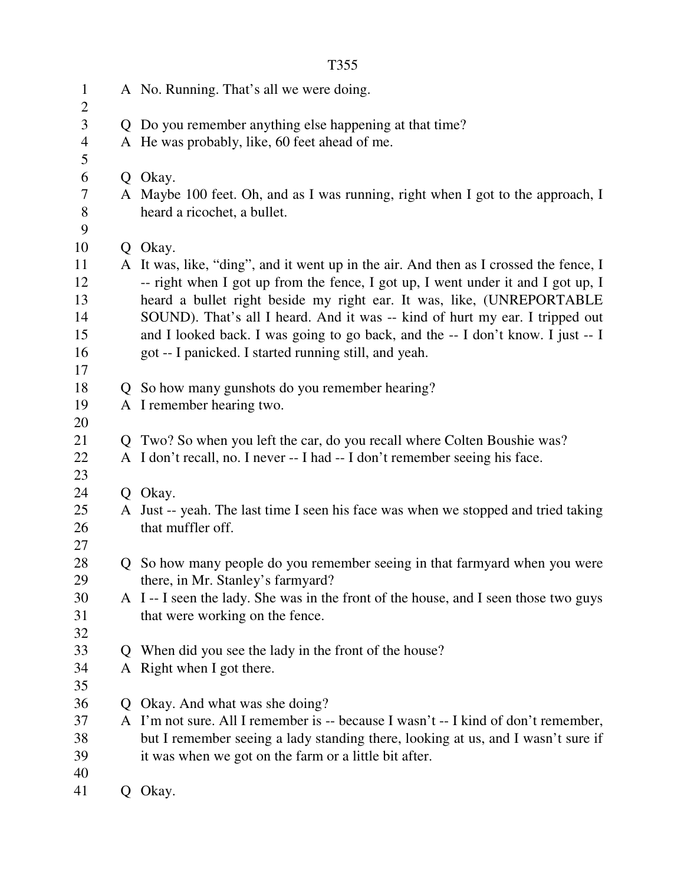|                |              | T355                                                                                                                                                                      |
|----------------|--------------|---------------------------------------------------------------------------------------------------------------------------------------------------------------------------|
| $\mathbf{1}$   |              | A No. Running. That's all we were doing.                                                                                                                                  |
| $\overline{2}$ |              |                                                                                                                                                                           |
| 3              |              | Q Do you remember anything else happening at that time?                                                                                                                   |
| $\overline{4}$ |              | A He was probably, like, 60 feet ahead of me.                                                                                                                             |
| 5              |              |                                                                                                                                                                           |
| 6              |              | Q Okay.                                                                                                                                                                   |
| 7<br>8         |              | A Maybe 100 feet. Oh, and as I was running, right when I got to the approach, I<br>heard a ricochet, a bullet.                                                            |
| 9              |              |                                                                                                                                                                           |
| 10             |              | Q Okay.                                                                                                                                                                   |
| 11<br>12       |              | A It was, like, "ding", and it went up in the air. And then as I crossed the fence, I<br>-- right when I got up from the fence, I got up, I went under it and I got up, I |
| 13             |              | heard a bullet right beside my right ear. It was, like, (UNREPORTABLE                                                                                                     |
| 14             |              | SOUND). That's all I heard. And it was -- kind of hurt my ear. I tripped out                                                                                              |
| 15             |              | and I looked back. I was going to go back, and the -- I don't know. I just -- I                                                                                           |
| 16             |              | got -- I panicked. I started running still, and yeah.                                                                                                                     |
| 17             |              |                                                                                                                                                                           |
| 18             | $\mathbf{O}$ | So how many gunshots do you remember hearing?                                                                                                                             |
| 19             |              | A I remember hearing two.                                                                                                                                                 |
| 20             |              |                                                                                                                                                                           |
| 21             | $\mathbf{O}$ | Two? So when you left the car, do you recall where Colten Boushie was?                                                                                                    |
| 22             |              | A I don't recall, no. I never -- I had -- I don't remember seeing his face.                                                                                               |
| 23             |              |                                                                                                                                                                           |
| 24             |              | Q Okay.                                                                                                                                                                   |
| 25             |              | A Just -- yeah. The last time I seen his face was when we stopped and tried taking                                                                                        |
| 26             |              | that muffler off.                                                                                                                                                         |
| 27             |              |                                                                                                                                                                           |
| 28<br>29       |              | So how many people do you remember seeing in that farmyard when you were<br>there, in Mr. Stanley's farmyard?                                                             |
| 30             |              | A I--I seen the lady. She was in the front of the house, and I seen those two guys                                                                                        |
| 31             |              | that were working on the fence.                                                                                                                                           |
| 32             |              |                                                                                                                                                                           |
| 33             | Q            | When did you see the lady in the front of the house?                                                                                                                      |
| 34             |              | A Right when I got there.                                                                                                                                                 |
| 35             |              |                                                                                                                                                                           |
| 36             | Q            | Okay. And what was she doing?                                                                                                                                             |
| 37             |              | A I'm not sure. All I remember is -- because I wasn't -- I kind of don't remember,                                                                                        |
| 38             |              | but I remember seeing a lady standing there, looking at us, and I wasn't sure if                                                                                          |
| 39             |              | it was when we got on the farm or a little bit after.                                                                                                                     |
| 40             |              |                                                                                                                                                                           |
| 41             | Q.           | Okay.                                                                                                                                                                     |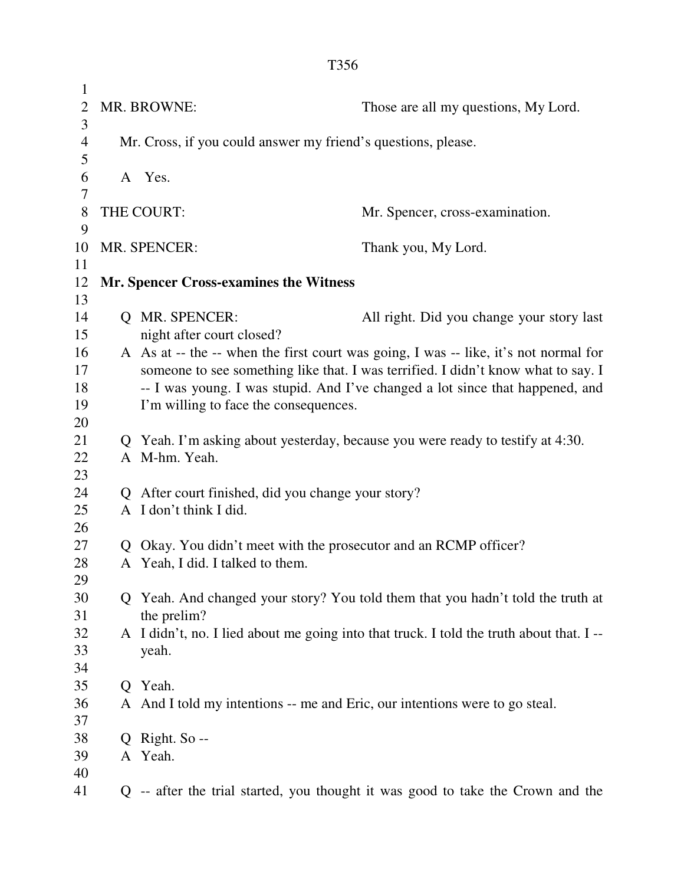1 2 MR. BROWNE: Those are all my questions, My Lord. 3 4 Mr. Cross, if you could answer my friend's questions, please. 5 6 A Yes. 7 8 THE COURT: Mr. Spencer, cross-examination. 9 10 MR. SPENCER: Thank you, My Lord. 11 12 **Mr. Spencer Cross-examines the Witness**  13 14 Q MR. SPENCER: All right. Did you change your story last 15 night after court closed? 16 A As at -- the -- when the first court was going, I was -- like, it's not normal for 17 someone to see something like that. I was terrified. I didn't know what to say. I 18 -- I was young. I was stupid. And I've changed a lot since that happened, and 19 I'm willing to face the consequences. 20 21 Q Yeah. I'm asking about yesterday, because you were ready to testify at 4:30. 22 A M-hm. Yeah. 23 24 Q After court finished, did you change your story? 25 A I don't think I did. 26 27 Q Okay. You didn't meet with the prosecutor and an RCMP officer? 28 A Yeah, I did. I talked to them. 29 30 Q Yeah. And changed your story? You told them that you hadn't told the truth at 31 the prelim? 32 A I didn't, no. I lied about me going into that truck. I told the truth about that. I -- 33 yeah. 34 35 Q Yeah. 36 A And I told my intentions -- me and Eric, our intentions were to go steal. 37 38 Q Right. So -- 39 A Yeah. 40 41 Q -- after the trial started, you thought it was good to take the Crown and the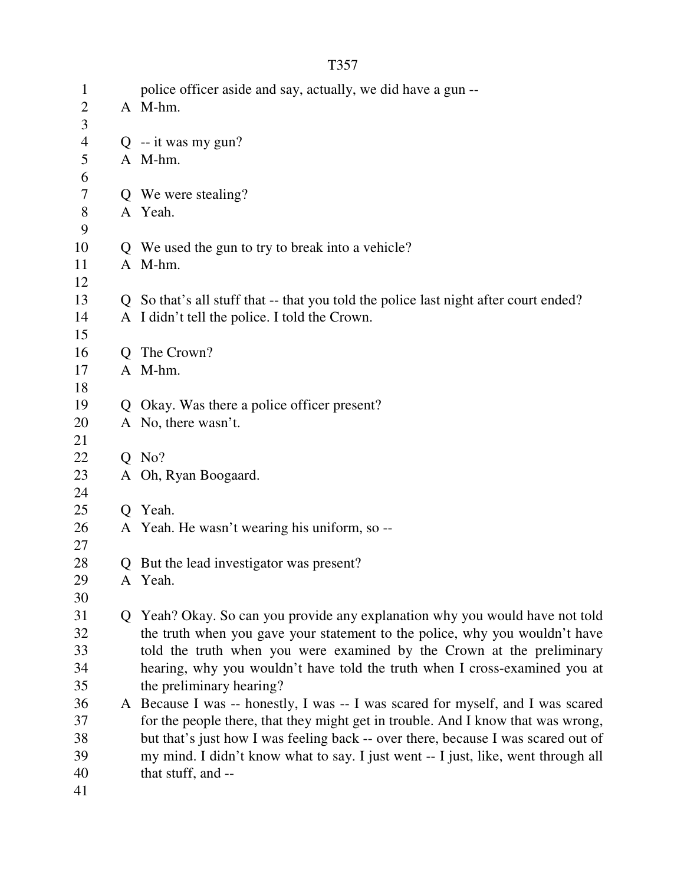| $\mathbf{1}$   | police officer aside and say, actually, we did have a gun --                         |
|----------------|--------------------------------------------------------------------------------------|
| $\overline{2}$ | A M-hm.                                                                              |
| 3              |                                                                                      |
| $\overline{4}$ | $Q$ -- it was my gun?                                                                |
| 5              | A M-hm.                                                                              |
| 6              |                                                                                      |
| 7              | Q We were stealing?                                                                  |
| $8\,$          | A Yeah.                                                                              |
| 9              |                                                                                      |
| 10             | Q We used the gun to try to break into a vehicle?                                    |
| 11             | A M-hm.                                                                              |
| 12             |                                                                                      |
| 13             | Q So that's all stuff that -- that you told the police last night after court ended? |
| 14             | A I didn't tell the police. I told the Crown.                                        |
| 15             |                                                                                      |
| 16             | Q The Crown?                                                                         |
| 17             | A M-hm.                                                                              |
| 18             |                                                                                      |
| 19             | Q Okay. Was there a police officer present?                                          |
| 20             | A No, there wasn't.                                                                  |
| 21             |                                                                                      |
| 22             | $Q$ No?                                                                              |
| 23             | A Oh, Ryan Boogaard.                                                                 |
| 24             |                                                                                      |
| 25             | Q Yeah.                                                                              |
| 26             | A Yeah. He wasn't wearing his uniform, so --                                         |
| 27             |                                                                                      |
| 28             | Q But the lead investigator was present?                                             |
| 29             | A Yeah.                                                                              |
| 30             |                                                                                      |
| 31             | Q Yeah? Okay. So can you provide any explanation why you would have not told         |
| 32             | the truth when you gave your statement to the police, why you wouldn't have          |
| 33             | told the truth when you were examined by the Crown at the preliminary                |
| 34             | hearing, why you wouldn't have told the truth when I cross-examined you at           |
| 35             | the preliminary hearing?                                                             |
| 36             | A Because I was -- honestly, I was -- I was scared for myself, and I was scared      |
| 37             | for the people there, that they might get in trouble. And I know that was wrong,     |
| 38             | but that's just how I was feeling back -- over there, because I was scared out of    |
| 39             | my mind. I didn't know what to say. I just went -- I just, like, went through all    |
| 40             | that stuff, and --                                                                   |
| 41             |                                                                                      |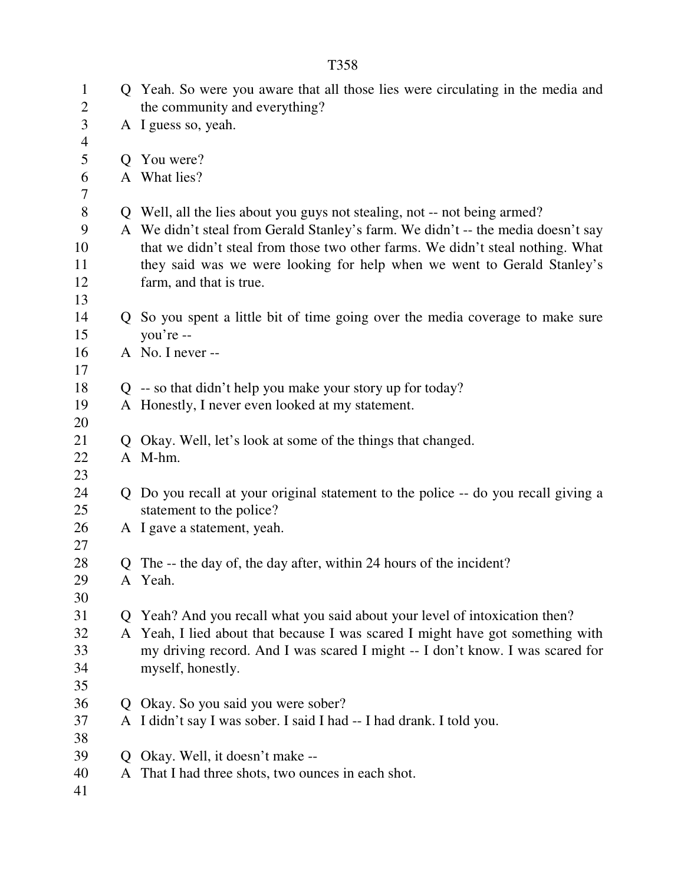| $\mathbf{1}$<br>$\overline{c}$ |                | Q Yeah. So were you aware that all those lies were circulating in the media and<br>the community and everything? |
|--------------------------------|----------------|------------------------------------------------------------------------------------------------------------------|
| 3                              |                | A I guess so, yeah.                                                                                              |
| 4                              |                |                                                                                                                  |
| 5                              | $\overline{O}$ | You were?                                                                                                        |
| 6                              |                | A What lies?                                                                                                     |
| 7                              |                |                                                                                                                  |
| $8\,$                          |                | Q Well, all the lies about you guys not stealing, not -- not being armed?                                        |
| 9                              |                | A We didn't steal from Gerald Stanley's farm. We didn't -- the media doesn't say                                 |
| 10                             |                | that we didn't steal from those two other farms. We didn't steal nothing. What                                   |
| 11                             |                | they said was we were looking for help when we went to Gerald Stanley's                                          |
| 12                             |                | farm, and that is true.                                                                                          |
| 13                             |                |                                                                                                                  |
| 14                             |                | Q So you spent a little bit of time going over the media coverage to make sure                                   |
| 15                             |                | you're --                                                                                                        |
| 16                             |                | A No. I never --                                                                                                 |
| 17                             |                |                                                                                                                  |
| 18                             |                | $Q$ -- so that didn't help you make your story up for today?                                                     |
| 19                             |                | A Honestly, I never even looked at my statement.                                                                 |
| 20                             |                |                                                                                                                  |
| 21                             | Q              | Okay. Well, let's look at some of the things that changed.                                                       |
| 22                             |                | A M-hm.                                                                                                          |
| 23                             |                |                                                                                                                  |
| 24                             |                | Q Do you recall at your original statement to the police -- do you recall giving a                               |
| 25                             |                | statement to the police?                                                                                         |
| 26                             |                | A I gave a statement, yeah.                                                                                      |
| 27                             |                |                                                                                                                  |
| 28                             |                | Q The -- the day of, the day after, within 24 hours of the incident?                                             |
| 29                             |                | A Yeah.                                                                                                          |
| 30                             |                |                                                                                                                  |
| 31                             | $\mathbf{O}$   | Yeah? And you recall what you said about your level of intoxication then?                                        |
| 32                             |                | A Yeah, I lied about that because I was scared I might have got something with                                   |
| 33                             |                | my driving record. And I was scared I might -- I don't know. I was scared for                                    |
| 34                             |                | myself, honestly.                                                                                                |
| 35                             |                |                                                                                                                  |
| 36                             | O.             | Okay. So you said you were sober?                                                                                |
| 37                             |                | A I didn't say I was sober. I said I had -- I had drank. I told you.                                             |
| 38                             |                |                                                                                                                  |
| 39                             | Ő              | Okay. Well, it doesn't make --                                                                                   |
| 40                             |                | A That I had three shots, two ounces in each shot.                                                               |
| 41                             |                |                                                                                                                  |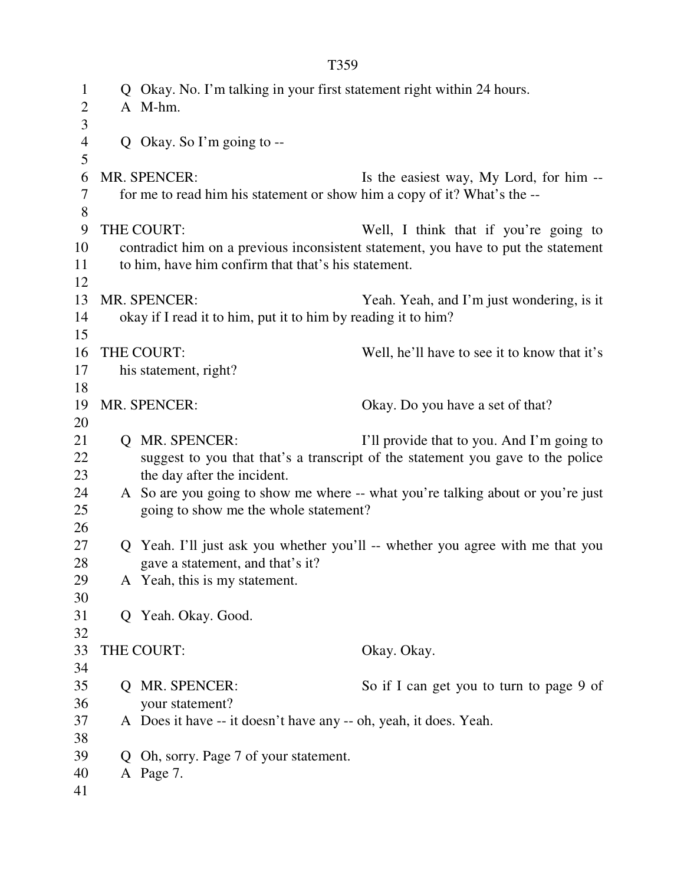| $\mathbf{1}$   |    | Q Okay. No. I'm talking in your first statement right within 24 hours.   |                                                                                    |
|----------------|----|--------------------------------------------------------------------------|------------------------------------------------------------------------------------|
| $\overline{2}$ |    | A M-hm.                                                                  |                                                                                    |
| 3              |    |                                                                          |                                                                                    |
| $\overline{4}$ |    | Q Okay. So I'm going to $-$                                              |                                                                                    |
| 5              |    |                                                                          |                                                                                    |
| 6              |    | MR. SPENCER:                                                             | Is the easiest way, My Lord, for him --                                            |
| 7              |    | for me to read him his statement or show him a copy of it? What's the -- |                                                                                    |
| 8              |    |                                                                          |                                                                                    |
| 9<br>10        |    | THE COURT:                                                               | Well, I think that if you're going to                                              |
| 11             |    |                                                                          | contradict him on a previous inconsistent statement, you have to put the statement |
| 12             |    | to him, have him confirm that that's his statement.                      |                                                                                    |
| 13             |    | MR. SPENCER:                                                             |                                                                                    |
| 14             |    | okay if I read it to him, put it to him by reading it to him?            | Yeah. Yeah, and I'm just wondering, is it                                          |
| 15             |    |                                                                          |                                                                                    |
| 16             |    | THE COURT:                                                               | Well, he'll have to see it to know that it's                                       |
| 17             |    | his statement, right?                                                    |                                                                                    |
| 18             |    |                                                                          |                                                                                    |
| 19             |    | MR. SPENCER:                                                             | Okay. Do you have a set of that?                                                   |
| 20             |    |                                                                          |                                                                                    |
| 21             |    | Q MR. SPENCER:                                                           | I'll provide that to you. And I'm going to                                         |
| 22             |    |                                                                          | suggest to you that that's a transcript of the statement you gave to the police    |
| 23             |    | the day after the incident.                                              |                                                                                    |
| 24             |    |                                                                          | A So are you going to show me where -- what you're talking about or you're just    |
| 25             |    | going to show me the whole statement?                                    |                                                                                    |
| 26             |    |                                                                          |                                                                                    |
| 27             |    |                                                                          | Q Yeah. I'll just ask you whether you'll -- whether you agree with me that you     |
| 28             |    | gave a statement, and that's it?                                         |                                                                                    |
| 29             |    | A Yeah, this is my statement.                                            |                                                                                    |
| 30             |    |                                                                          |                                                                                    |
| 31             |    | Q Yeah. Okay. Good.                                                      |                                                                                    |
| 32             |    |                                                                          |                                                                                    |
| 33             |    | THE COURT:                                                               | Okay. Okay.                                                                        |
| 34             |    |                                                                          |                                                                                    |
| 35             |    | Q MR. SPENCER:                                                           | So if I can get you to turn to page 9 of                                           |
| 36             |    | your statement?                                                          |                                                                                    |
| 37             |    | A Does it have -- it doesn't have any -- oh, yeah, it does. Yeah.        |                                                                                    |
| 38             |    |                                                                          |                                                                                    |
| 39             | Q. | Oh, sorry. Page 7 of your statement.                                     |                                                                                    |
| 40             |    | A Page 7.                                                                |                                                                                    |
| 41             |    |                                                                          |                                                                                    |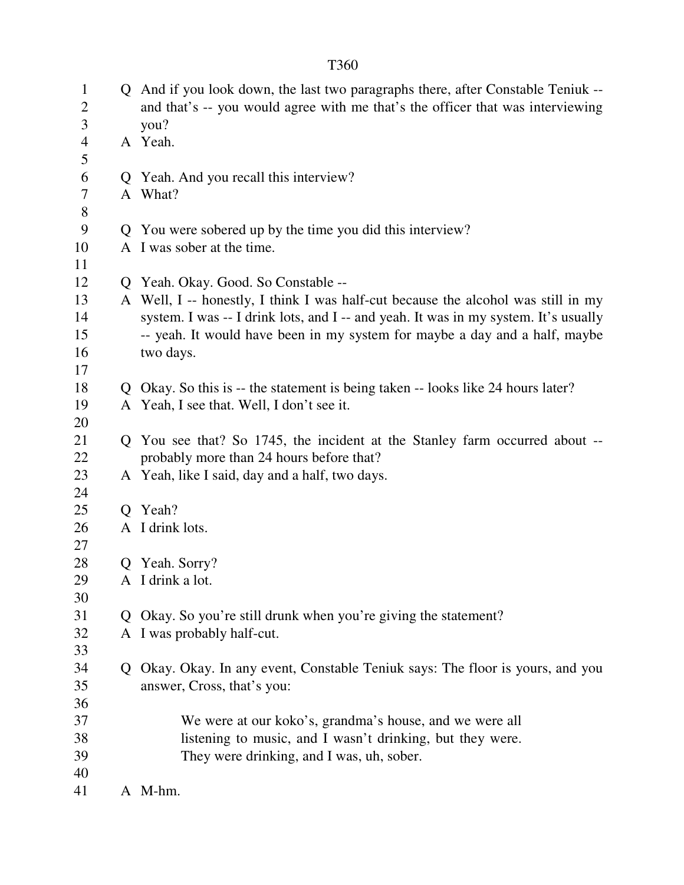|--|

| $\mathbf{1}$<br>$\overline{2}$ |   | Q And if you look down, the last two paragraphs there, after Constable Teniuk --<br>and that's -- you would agree with me that's the officer that was interviewing |
|--------------------------------|---|--------------------------------------------------------------------------------------------------------------------------------------------------------------------|
| 3                              |   | you?                                                                                                                                                               |
| $\overline{4}$                 |   | A Yeah.                                                                                                                                                            |
| 5                              |   |                                                                                                                                                                    |
| 6                              |   | Q Yeah. And you recall this interview?                                                                                                                             |
| 7                              |   | A What?                                                                                                                                                            |
| 8                              |   |                                                                                                                                                                    |
| 9                              |   | Q You were sobered up by the time you did this interview?                                                                                                          |
| 10                             |   | A I was sober at the time.                                                                                                                                         |
| 11                             |   |                                                                                                                                                                    |
| 12                             |   | Q Yeah. Okay. Good. So Constable --                                                                                                                                |
| 13                             |   | A Well, I -- honestly, I think I was half-cut because the alcohol was still in my                                                                                  |
| 14                             |   | system. I was -- I drink lots, and I -- and yeah. It was in my system. It's usually                                                                                |
| 15                             |   | -- yeah. It would have been in my system for maybe a day and a half, maybe                                                                                         |
| 16                             |   | two days.                                                                                                                                                          |
| 17                             |   |                                                                                                                                                                    |
| 18                             |   | Q Okay. So this is -- the statement is being taken -- looks like 24 hours later?                                                                                   |
| 19                             |   | A Yeah, I see that. Well, I don't see it.                                                                                                                          |
| 20                             |   |                                                                                                                                                                    |
| 21                             |   | Q You see that? So 1745, the incident at the Stanley farm occurred about --                                                                                        |
| 22                             |   | probably more than 24 hours before that?                                                                                                                           |
| 23                             |   | A Yeah, like I said, day and a half, two days.                                                                                                                     |
| 24                             |   |                                                                                                                                                                    |
| 25                             |   | Q Yeah?                                                                                                                                                            |
| 26                             |   | A I drink lots.                                                                                                                                                    |
| 27                             |   |                                                                                                                                                                    |
| 28                             |   | Q Yeah. Sorry?                                                                                                                                                     |
| 29                             |   | A I drink a lot.                                                                                                                                                   |
| 30                             |   |                                                                                                                                                                    |
| 31                             | O | Okay. So you're still drunk when you're giving the statement?                                                                                                      |
| 32                             |   | A I was probably half-cut.                                                                                                                                         |
| 33                             |   |                                                                                                                                                                    |
| 34                             |   | Q Okay. Okay. In any event, Constable Teniuk says: The floor is yours, and you                                                                                     |
| 35                             |   | answer, Cross, that's you:                                                                                                                                         |
| 36                             |   |                                                                                                                                                                    |
| 37                             |   | We were at our koko's, grandma's house, and we were all                                                                                                            |
| 38                             |   | listening to music, and I wasn't drinking, but they were.                                                                                                          |
| 39                             |   | They were drinking, and I was, uh, sober.                                                                                                                          |
| 40                             |   |                                                                                                                                                                    |
| 41                             |   | A M-hm.                                                                                                                                                            |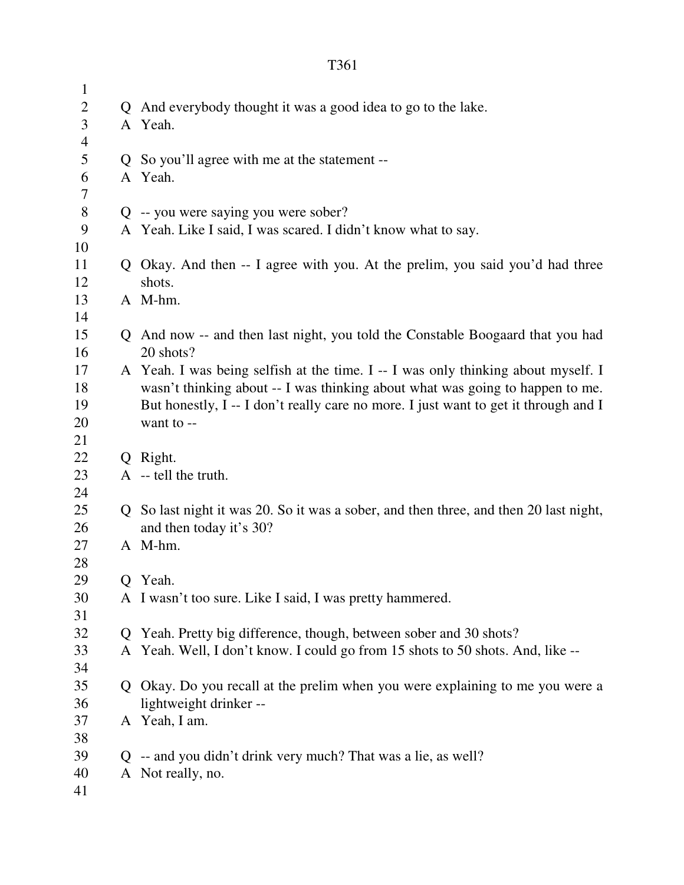| $\mathbf{1}$   |                                                                                       |
|----------------|---------------------------------------------------------------------------------------|
| $\overline{c}$ | Q And everybody thought it was a good idea to go to the lake.                         |
| 3              | A Yeah.                                                                               |
| 4              |                                                                                       |
| 5              | Q So you'll agree with me at the statement --                                         |
| 6              | A Yeah.                                                                               |
| $\tau$         |                                                                                       |
| $8\,$          | Q -- you were saying you were sober?                                                  |
| 9              | A Yeah. Like I said, I was scared. I didn't know what to say.                         |
| 10             |                                                                                       |
| 11             | Q Okay. And then -- I agree with you. At the prelim, you said you'd had three         |
| 12             | shots.                                                                                |
| 13             | A M-hm.                                                                               |
| 14             |                                                                                       |
| 15             | Q And now -- and then last night, you told the Constable Boogaard that you had        |
| 16             | 20 shots?                                                                             |
| 17             | A Yeah. I was being selfish at the time. I -- I was only thinking about myself. I     |
| 18             | wasn't thinking about -- I was thinking about what was going to happen to me.         |
| 19             | But honestly, I -- I don't really care no more. I just want to get it through and I   |
| 20             | want to --                                                                            |
| 21             |                                                                                       |
| 22             | Q Right.                                                                              |
| 23             | A -- tell the truth.                                                                  |
| 24             |                                                                                       |
| 25             | Q So last night it was 20. So it was a sober, and then three, and then 20 last night, |
| 26             | and then today it's 30?                                                               |
| 27             | A M-hm.                                                                               |
| 28             |                                                                                       |
| 29             | Q Yeah.                                                                               |
| 30             | A I wasn't too sure. Like I said, I was pretty hammered.                              |
| 31             |                                                                                       |
| 32             | Q Yeah. Pretty big difference, though, between sober and 30 shots?                    |
| 33             | A Yeah. Well, I don't know. I could go from 15 shots to 50 shots. And, like --        |
| 34             |                                                                                       |
| 35             | Q Okay. Do you recall at the prelim when you were explaining to me you were a         |
| 36             | lightweight drinker --                                                                |
| 37             | A Yeah, I am.                                                                         |
| 38             |                                                                                       |
| 39             | Q -- and you didn't drink very much? That was a lie, as well?                         |
| 40             | A Not really, no.                                                                     |
| 41             |                                                                                       |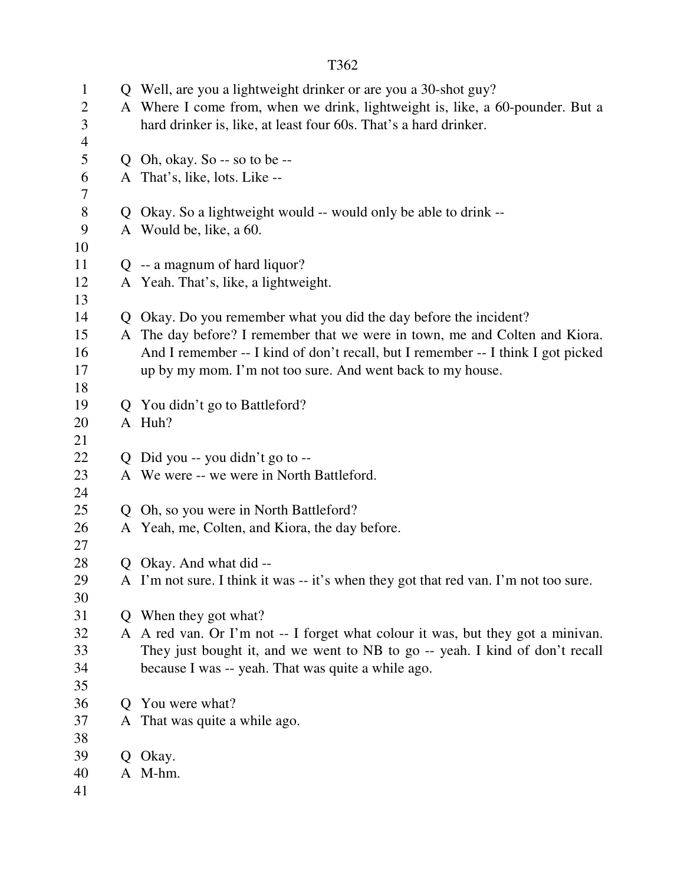| $\mathbf{1}$<br>$\overline{2}$<br>3<br>$\overline{4}$ |   | Q Well, are you a lightweight drinker or are you a 30-shot guy?<br>A Where I come from, when we drink, lightweight is, like, a 60-pounder. But a<br>hard drinker is, like, at least four 60s. That's a hard drinker. |
|-------------------------------------------------------|---|----------------------------------------------------------------------------------------------------------------------------------------------------------------------------------------------------------------------|
| 5                                                     |   | Q Oh, okay. So $-$ so to be $-$                                                                                                                                                                                      |
| 6                                                     |   | A That's, like, lots. Like --                                                                                                                                                                                        |
| 7                                                     |   |                                                                                                                                                                                                                      |
| $8\,$                                                 |   | Q Okay. So a lightweight would -- would only be able to drink --                                                                                                                                                     |
| 9                                                     |   | A Would be, like, a 60.                                                                                                                                                                                              |
| 10                                                    |   |                                                                                                                                                                                                                      |
| 11                                                    |   | $Q - a$ magnum of hard liquor?                                                                                                                                                                                       |
| 12                                                    |   | A Yeah. That's, like, a lightweight.                                                                                                                                                                                 |
| 13<br>14                                              |   | Q Okay. Do you remember what you did the day before the incident?                                                                                                                                                    |
| 15                                                    |   | A The day before? I remember that we were in town, me and Colten and Kiora.                                                                                                                                          |
| 16                                                    |   | And I remember -- I kind of don't recall, but I remember -- I think I got picked                                                                                                                                     |
| 17                                                    |   | up by my mom. I'm not too sure. And went back to my house.                                                                                                                                                           |
| 18                                                    |   |                                                                                                                                                                                                                      |
| 19                                                    |   | Q You didn't go to Battleford?                                                                                                                                                                                       |
| 20                                                    |   | A Huh?                                                                                                                                                                                                               |
| 21                                                    |   |                                                                                                                                                                                                                      |
| 22                                                    |   | Q Did you -- you didn't go to --                                                                                                                                                                                     |
| 23                                                    |   | A We were -- we were in North Battleford.                                                                                                                                                                            |
| 24                                                    |   |                                                                                                                                                                                                                      |
| 25                                                    |   | Q Oh, so you were in North Battleford?                                                                                                                                                                               |
| 26                                                    |   | A Yeah, me, Colten, and Kiora, the day before.                                                                                                                                                                       |
| 27                                                    |   |                                                                                                                                                                                                                      |
| 28                                                    | Q | Okay. And what did --                                                                                                                                                                                                |
| 29                                                    |   | A I'm not sure. I think it was -- it's when they got that red van. I'm not too sure.                                                                                                                                 |
| 30                                                    |   |                                                                                                                                                                                                                      |
| 31                                                    |   | Q When they got what?                                                                                                                                                                                                |
| 32                                                    |   | A A red van. Or I'm not -- I forget what colour it was, but they got a minivan.                                                                                                                                      |
| 33                                                    |   | They just bought it, and we went to NB to go -- yeah. I kind of don't recall                                                                                                                                         |
| 34                                                    |   | because I was -- yeah. That was quite a while ago.                                                                                                                                                                   |
| 35                                                    |   |                                                                                                                                                                                                                      |
| 36                                                    |   | Q You were what?                                                                                                                                                                                                     |
| 37                                                    |   | A That was quite a while ago.                                                                                                                                                                                        |
| 38                                                    |   |                                                                                                                                                                                                                      |
| 39                                                    |   | Q Okay.                                                                                                                                                                                                              |
| 40                                                    |   | A M-hm.                                                                                                                                                                                                              |
| 41                                                    |   |                                                                                                                                                                                                                      |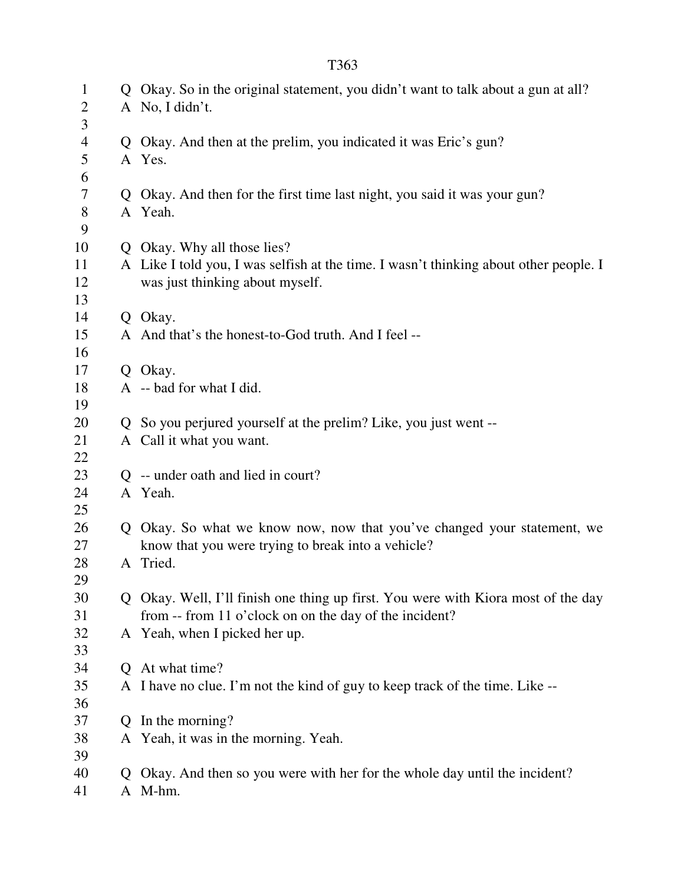| $\mathbf{1}$        |   | Q Okay. So in the original statement, you didn't want to talk about a gun at all?     |
|---------------------|---|---------------------------------------------------------------------------------------|
| $\overline{2}$<br>3 |   | A No, I didn't.                                                                       |
|                     |   | Okay. And then at the prelim, you indicated it was Eric's gun?                        |
| $\overline{4}$      | Q |                                                                                       |
| 5                   |   | A Yes.                                                                                |
| 6                   |   |                                                                                       |
| 7<br>8              |   | Q Okay. And then for the first time last night, you said it was your gun?<br>A Yeah.  |
| 9                   |   |                                                                                       |
| 10                  |   | Q Okay. Why all those lies?                                                           |
| 11                  |   | A Like I told you, I was selfish at the time. I wasn't thinking about other people. I |
| 12                  |   | was just thinking about myself.                                                       |
| 13                  |   |                                                                                       |
| 14                  |   | Q Okay.                                                                               |
| 15                  |   | A And that's the honest-to-God truth. And I feel --                                   |
| 16                  |   |                                                                                       |
| 17                  |   | Q Okay.                                                                               |
| 18                  |   | A -- bad for what I did.                                                              |
| 19                  |   |                                                                                       |
| 20                  |   | Q So you perjured yourself at the prelim? Like, you just went --                      |
| 21                  |   | A Call it what you want.                                                              |
| 22                  |   |                                                                                       |
| 23                  |   | -- under oath and lied in court?                                                      |
| 24                  |   | A Yeah.                                                                               |
| 25                  |   |                                                                                       |
| 26                  | Q | Okay. So what we know now, now that you've changed your statement, we                 |
| 27                  |   | know that you were trying to break into a vehicle?                                    |
| 28                  |   | A Tried.                                                                              |
| 29                  |   |                                                                                       |
| 30                  |   | Q Okay. Well, I'll finish one thing up first. You were with Kiora most of the day     |
| 31                  |   | from -- from 11 o'clock on on the day of the incident?                                |
| 32                  |   | A Yeah, when I picked her up.                                                         |
| 33                  |   |                                                                                       |
| 34                  |   | Q At what time?                                                                       |
| 35                  |   | A I have no clue. I'm not the kind of guy to keep track of the time. Like --          |
| 36                  |   |                                                                                       |
| 37                  |   | In the morning?                                                                       |
| 38                  |   | A Yeah, it was in the morning. Yeah.                                                  |
| 39                  |   |                                                                                       |
| 40                  |   | Okay. And then so you were with her for the whole day until the incident?             |
| 41                  |   | A M-hm.                                                                               |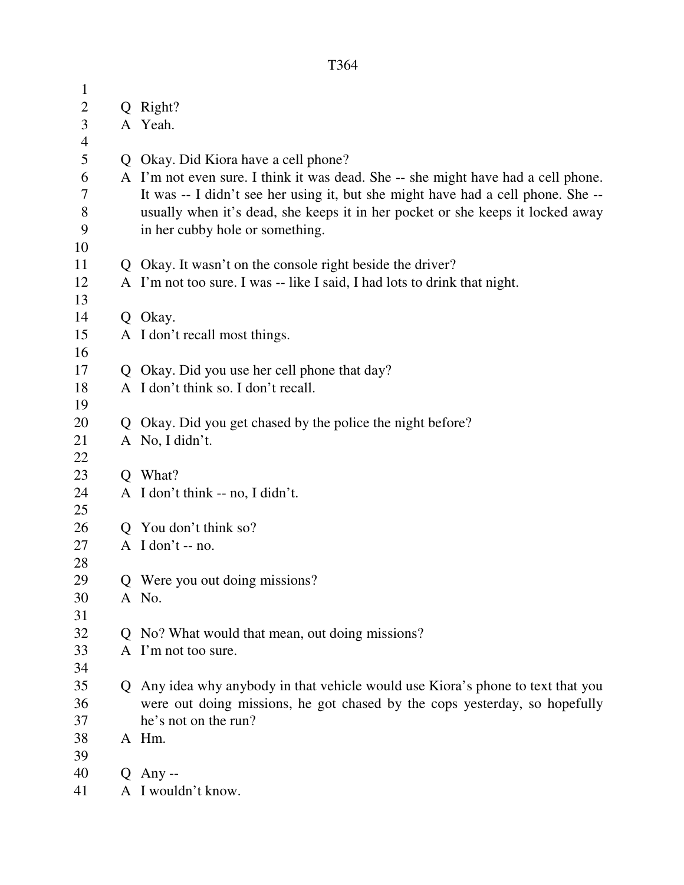| $\mathbf{1}$   |                                                                                   |
|----------------|-----------------------------------------------------------------------------------|
| $\overline{c}$ | Q Right?                                                                          |
| 3              | A Yeah.                                                                           |
| $\overline{4}$ |                                                                                   |
| 5              | Q Okay. Did Kiora have a cell phone?                                              |
| 6              | A I'm not even sure. I think it was dead. She -- she might have had a cell phone. |
| 7              | It was -- I didn't see her using it, but she might have had a cell phone. She --  |
| $8\,$          | usually when it's dead, she keeps it in her pocket or she keeps it locked away    |
| 9              | in her cubby hole or something.                                                   |
| 10             |                                                                                   |
| 11             | Q Okay. It wasn't on the console right beside the driver?                         |
| 12             | A I'm not too sure. I was -- like I said, I had lots to drink that night.         |
| 13             |                                                                                   |
| 14             | Q Okay.                                                                           |
| 15             | A I don't recall most things.                                                     |
| 16             |                                                                                   |
| 17             | Q Okay. Did you use her cell phone that day?                                      |
| 18             | A I don't think so. I don't recall.                                               |
| 19<br>20       |                                                                                   |
| 21             | Q Okay. Did you get chased by the police the night before?<br>A No, I didn't.     |
| 22             |                                                                                   |
| 23             | O What?                                                                           |
| 24             | A I don't think -- no, I didn't.                                                  |
| 25             |                                                                                   |
| 26             | Q You don't think so?                                                             |
| 27             | $A$ I don't -- no.                                                                |
| 28             |                                                                                   |
| 29             | Q Were you out doing missions?                                                    |
| 30             | A No.                                                                             |
| 31             |                                                                                   |
| 32             | Q No? What would that mean, out doing missions?                                   |
| 33             | A I'm not too sure.                                                               |
| 34             |                                                                                   |
| 35             | Q Any idea why anybody in that vehicle would use Kiora's phone to text that you   |
| 36             | were out doing missions, he got chased by the cops yesterday, so hopefully        |
| 37             | he's not on the run?                                                              |
| 38             | A Hm.                                                                             |
| 39             |                                                                                   |
| 40             | $Q$ Any --                                                                        |
| 41             | A I wouldn't know.                                                                |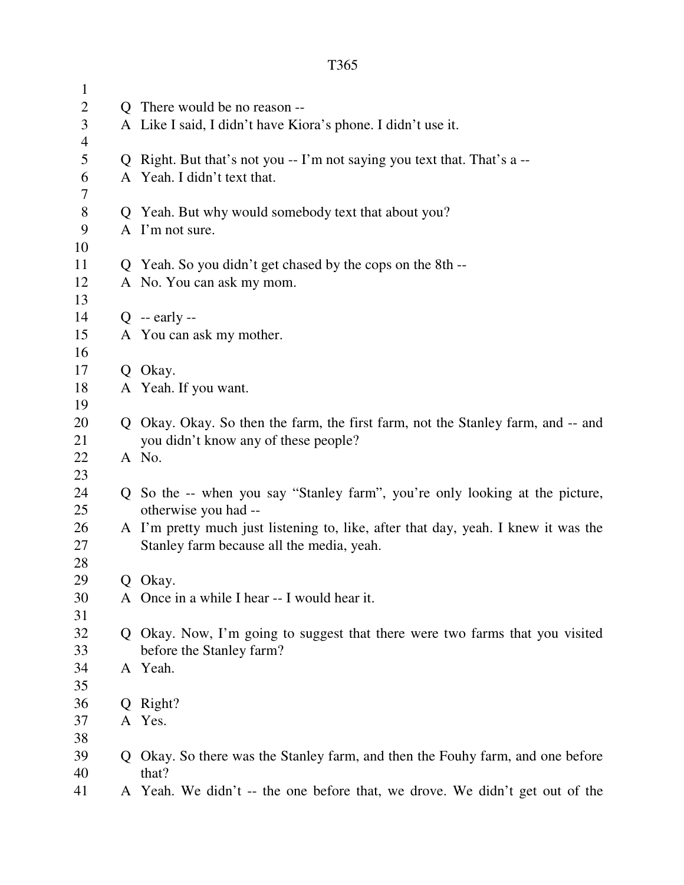| $\mathbf{1}$   |                                                                                    |
|----------------|------------------------------------------------------------------------------------|
| $\overline{2}$ | Q There would be no reason --                                                      |
| 3              | A Like I said, I didn't have Kiora's phone. I didn't use it.                       |
| 4              |                                                                                    |
| 5              | Q Right. But that's not you -- I'm not saying you text that. That's a --           |
| 6              | A Yeah. I didn't text that.                                                        |
| 7              |                                                                                    |
| $8\,$          | Q Yeah. But why would somebody text that about you?                                |
| 9              | A I'm not sure.                                                                    |
| 10             |                                                                                    |
| 11             | Q Yeah. So you didn't get chased by the cops on the 8th --                         |
| 12             | A No. You can ask my mom.                                                          |
| 13             |                                                                                    |
| 14             | $Q - \text{early} -$                                                               |
| 15             | A You can ask my mother.                                                           |
| 16             |                                                                                    |
| 17             | Q Okay.                                                                            |
| 18             | A Yeah. If you want.                                                               |
| 19             |                                                                                    |
| 20             | Q Okay. Okay. So then the farm, the first farm, not the Stanley farm, and -- and   |
| 21             | you didn't know any of these people?                                               |
| 22             | A No.                                                                              |
| 23             |                                                                                    |
| 24             | Q So the -- when you say "Stanley farm", you're only looking at the picture,       |
| 25             | otherwise you had --                                                               |
| 26             | A I'm pretty much just listening to, like, after that day, yeah. I knew it was the |
| 27             | Stanley farm because all the media, yeah.                                          |
| 28<br>29       | Q Okay.                                                                            |
| 30             | A Once in a while I hear -- I would hear it.                                       |
| 31             |                                                                                    |
| 32             | Q Okay. Now, I'm going to suggest that there were two farms that you visited       |
| 33             | before the Stanley farm?                                                           |
| 34             | A Yeah.                                                                            |
| 35             |                                                                                    |
| 36             | Q Right?                                                                           |
| 37             | A Yes.                                                                             |
| 38             |                                                                                    |
| 39             | Q Okay. So there was the Stanley farm, and then the Fouhy farm, and one before     |
| 40             | that?                                                                              |
| 41             | A Yeah. We didn't -- the one before that, we drove. We didn't get out of the       |
|                |                                                                                    |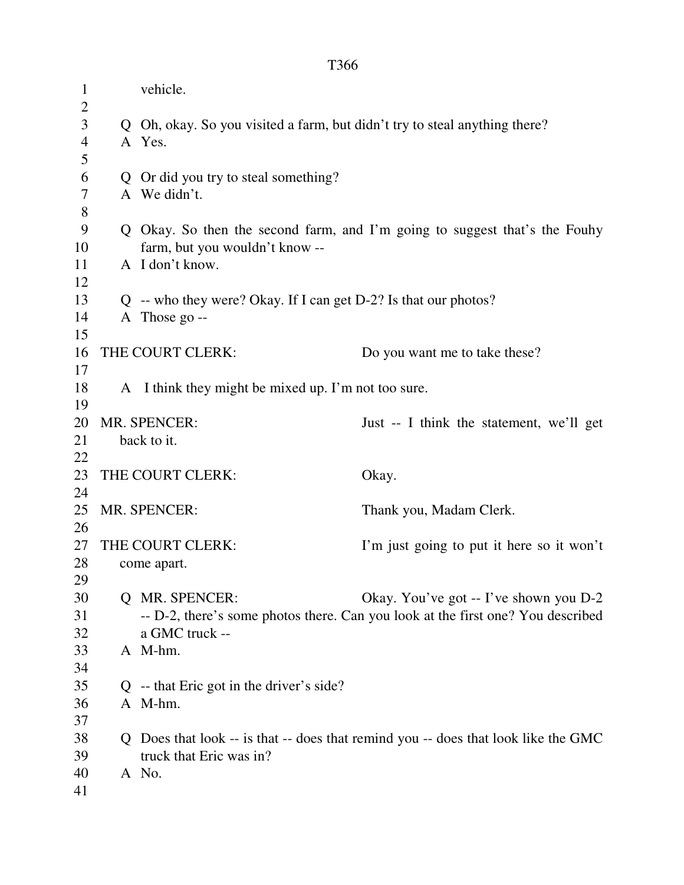| $\mathbf{1}$   | vehicle.                                                                   |                                                                                    |
|----------------|----------------------------------------------------------------------------|------------------------------------------------------------------------------------|
| $\overline{2}$ |                                                                            |                                                                                    |
| 3              | Q Oh, okay. So you visited a farm, but didn't try to steal anything there? |                                                                                    |
| $\overline{4}$ | A Yes.                                                                     |                                                                                    |
| 5              |                                                                            |                                                                                    |
| 6              | Q Or did you try to steal something?                                       |                                                                                    |
| $\tau$         | A We didn't.                                                               |                                                                                    |
| $8\,$          |                                                                            |                                                                                    |
| 9              |                                                                            | Q Okay. So then the second farm, and I'm going to suggest that's the Fouhy         |
| 10             | farm, but you wouldn't know --                                             |                                                                                    |
| 11             | A I don't know.                                                            |                                                                                    |
| 12             |                                                                            |                                                                                    |
| 13             | $Q$ -- who they were? Okay. If I can get D-2? Is that our photos?          |                                                                                    |
| 14             | A Those go --                                                              |                                                                                    |
| 15             |                                                                            |                                                                                    |
| 16             | THE COURT CLERK:                                                           | Do you want me to take these?                                                      |
| 17             |                                                                            |                                                                                    |
| 18             | A I think they might be mixed up. I'm not too sure.                        |                                                                                    |
| 19             |                                                                            |                                                                                    |
| 20             | MR. SPENCER:                                                               | Just -- I think the statement, we'll get                                           |
| 21             | back to it.                                                                |                                                                                    |
| 22             |                                                                            |                                                                                    |
| 23             | THE COURT CLERK:                                                           | Okay.                                                                              |
| 24             |                                                                            |                                                                                    |
| 25             | MR. SPENCER:                                                               | Thank you, Madam Clerk.                                                            |
| 26             |                                                                            |                                                                                    |
| 27             | THE COURT CLERK:                                                           | I'm just going to put it here so it won't                                          |
| 28             | come apart.                                                                |                                                                                    |
| 29             |                                                                            |                                                                                    |
| 30             | <b>Q MR. SPENCER:</b>                                                      | Okay. You've got -- I've shown you D-2                                             |
| 31             |                                                                            | -- D-2, there's some photos there. Can you look at the first one? You described    |
| 32             | a GMC truck --                                                             |                                                                                    |
| 33             | A M-hm.                                                                    |                                                                                    |
| 34             |                                                                            |                                                                                    |
| 35             | $Q$ -- that Eric got in the driver's side?                                 |                                                                                    |
| 36             | A M-hm.                                                                    |                                                                                    |
| 37             |                                                                            |                                                                                    |
| 38             |                                                                            | Q Does that look -- is that -- does that remind you -- does that look like the GMC |
| 39             | truck that Eric was in?                                                    |                                                                                    |
| 40             | A No.                                                                      |                                                                                    |
| 41             |                                                                            |                                                                                    |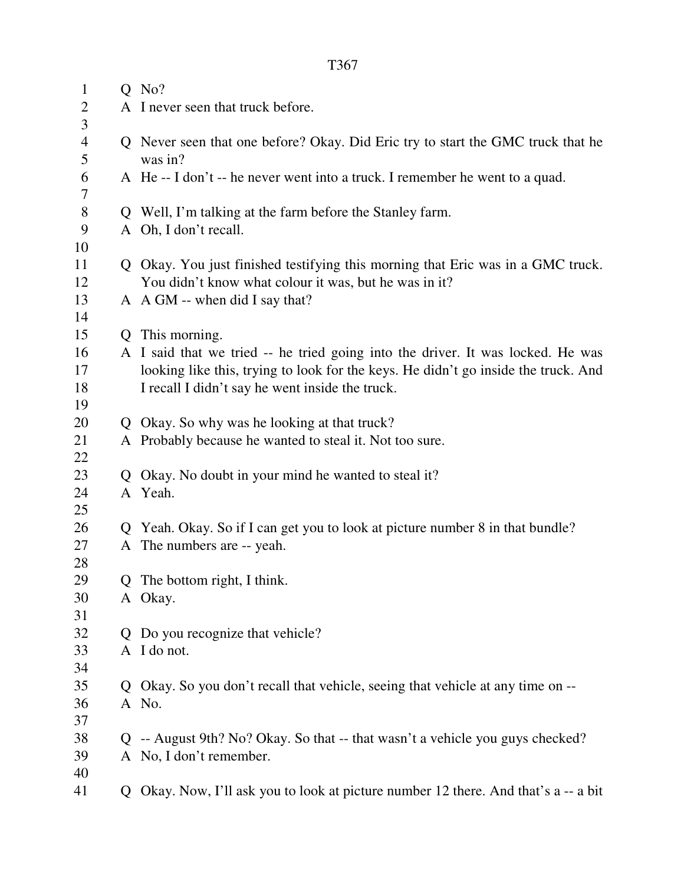| $\mathbf{1}$        |    | $Q$ No?                                                                                    |
|---------------------|----|--------------------------------------------------------------------------------------------|
| $\overline{2}$      |    | A I never seen that truck before.                                                          |
| 3                   |    |                                                                                            |
| $\overline{4}$<br>5 |    | Q Never seen that one before? Okay. Did Eric try to start the GMC truck that he<br>was in? |
| 6<br>7              |    | A He-I don't -- he never went into a truck. I remember he went to a quad.                  |
| $8\,$               |    | Q Well, I'm talking at the farm before the Stanley farm.                                   |
| 9                   |    | A Oh, I don't recall.                                                                      |
| 10                  |    |                                                                                            |
| 11                  |    | Q Okay. You just finished testifying this morning that Eric was in a GMC truck.            |
| 12                  |    | You didn't know what colour it was, but he was in it?                                      |
| 13                  |    | A A GM -- when did I say that?                                                             |
| 14                  |    |                                                                                            |
| 15                  |    | Q This morning.                                                                            |
| 16                  |    | A I said that we tried -- he tried going into the driver. It was locked. He was            |
| 17                  |    | looking like this, trying to look for the keys. He didn't go inside the truck. And         |
| 18                  |    | I recall I didn't say he went inside the truck.                                            |
| 19                  |    |                                                                                            |
| 20                  |    | Q Okay. So why was he looking at that truck?                                               |
| 21                  |    | A Probably because he wanted to steal it. Not too sure.                                    |
| 22                  |    |                                                                                            |
| 23                  |    | Q Okay. No doubt in your mind he wanted to steal it?                                       |
| 24                  |    | A Yeah.                                                                                    |
| 25                  |    |                                                                                            |
| 26                  |    | Q Yeah. Okay. So if I can get you to look at picture number 8 in that bundle?              |
| 27<br>28            |    | A The numbers are -- yeah.                                                                 |
| 29                  |    | Q The bottom right, I think.                                                               |
| 30                  |    | A Okay.                                                                                    |
| 31                  |    |                                                                                            |
| 32                  | Q. | Do you recognize that vehicle?                                                             |
| 33                  |    | A I do not.                                                                                |
| 34                  |    |                                                                                            |
| 35                  |    | Q Okay. So you don't recall that vehicle, seeing that vehicle at any time on --            |
| 36                  |    | A No.                                                                                      |
| 37                  |    |                                                                                            |
| 38                  |    | Q -- August 9th? No? Okay. So that -- that wasn't a vehicle you guys checked?              |
| 39                  |    | A No, I don't remember.                                                                    |
| 40                  |    |                                                                                            |
| 41                  |    | Q Okay. Now, I'll ask you to look at picture number 12 there. And that's a -- a bit        |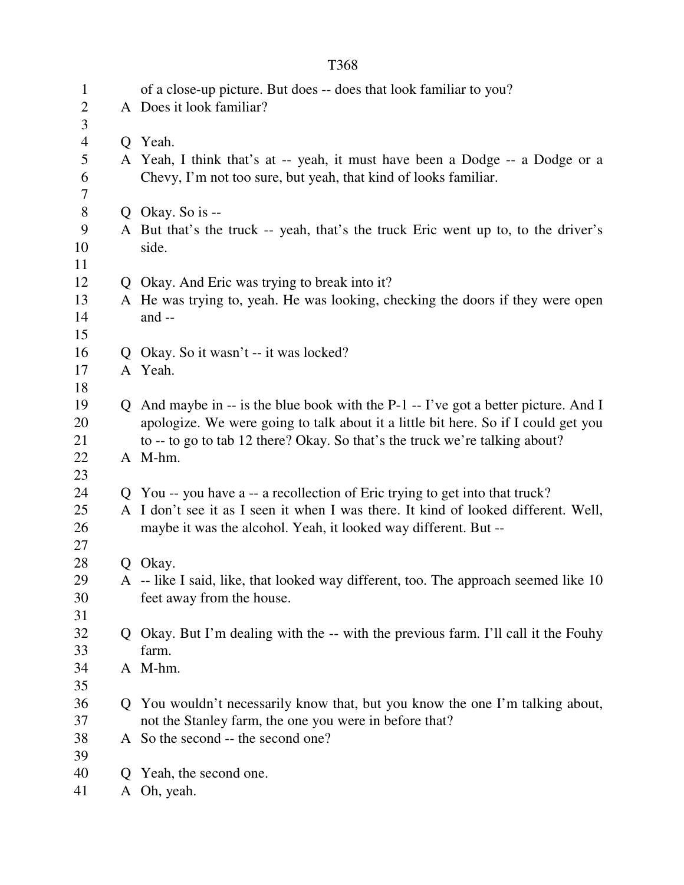|--|

| $\mathbf{1}$<br>$\overline{2}$ |   | of a close-up picture. But does -- does that look familiar to you?<br>A Does it look familiar? |  |
|--------------------------------|---|------------------------------------------------------------------------------------------------|--|
| 3                              |   |                                                                                                |  |
| $\overline{4}$<br>5            |   | Q Yeah.                                                                                        |  |
| 6                              |   | A Yeah, I think that's at -- yeah, it must have been a Dodge -- a Dodge or a                   |  |
| 7                              |   | Chevy, I'm not too sure, but yeah, that kind of looks familiar.                                |  |
| $8\,$                          |   | Q Okay. So is $-$                                                                              |  |
| 9                              |   | A But that's the truck -- yeah, that's the truck Eric went up to, to the driver's              |  |
| 10                             |   | side.                                                                                          |  |
| 11                             |   |                                                                                                |  |
| 12                             |   | Q Okay. And Eric was trying to break into it?                                                  |  |
| 13                             |   | A He was trying to, yeah. He was looking, checking the doors if they were open                 |  |
| 14                             |   | and $-$                                                                                        |  |
| 15                             |   |                                                                                                |  |
| 16                             |   | Q Okay. So it wasn't -- it was locked?                                                         |  |
| 17                             |   | A Yeah.                                                                                        |  |
| 18                             |   |                                                                                                |  |
| 19                             |   | Q And maybe in $-$ is the blue book with the P-1 $-$ I've got a better picture. And I          |  |
| 20                             |   | apologize. We were going to talk about it a little bit here. So if I could get you             |  |
| 21                             |   | to -- to go to tab 12 there? Okay. So that's the truck we're talking about?                    |  |
| 22                             |   | A M-hm.                                                                                        |  |
| 23                             |   |                                                                                                |  |
| 24                             |   | Q You -- you have a -- a recollection of Eric trying to get into that truck?                   |  |
| 25                             |   | A I don't see it as I seen it when I was there. It kind of looked different. Well,             |  |
| 26                             |   | maybe it was the alcohol. Yeah, it looked way different. But --                                |  |
| 27<br>28                       |   |                                                                                                |  |
| 29                             |   | Q Okay.<br>A -- like I said, like, that looked way different, too. The approach seemed like 10 |  |
| 30                             |   | feet away from the house.                                                                      |  |
| 31                             |   |                                                                                                |  |
| 32                             |   | Q Okay. But I'm dealing with the -- with the previous farm. I'll call it the Fouhy             |  |
| 33                             |   | farm.                                                                                          |  |
| 34                             |   | A M-hm.                                                                                        |  |
| 35                             |   |                                                                                                |  |
| 36                             |   | Q You wouldn't necessarily know that, but you know the one I'm talking about,                  |  |
| 37                             |   | not the Stanley farm, the one you were in before that?                                         |  |
| 38                             |   | A So the second -- the second one?                                                             |  |
| 39                             |   |                                                                                                |  |
| 40                             | Q | Yeah, the second one.                                                                          |  |
| 41                             | A | Oh, yeah.                                                                                      |  |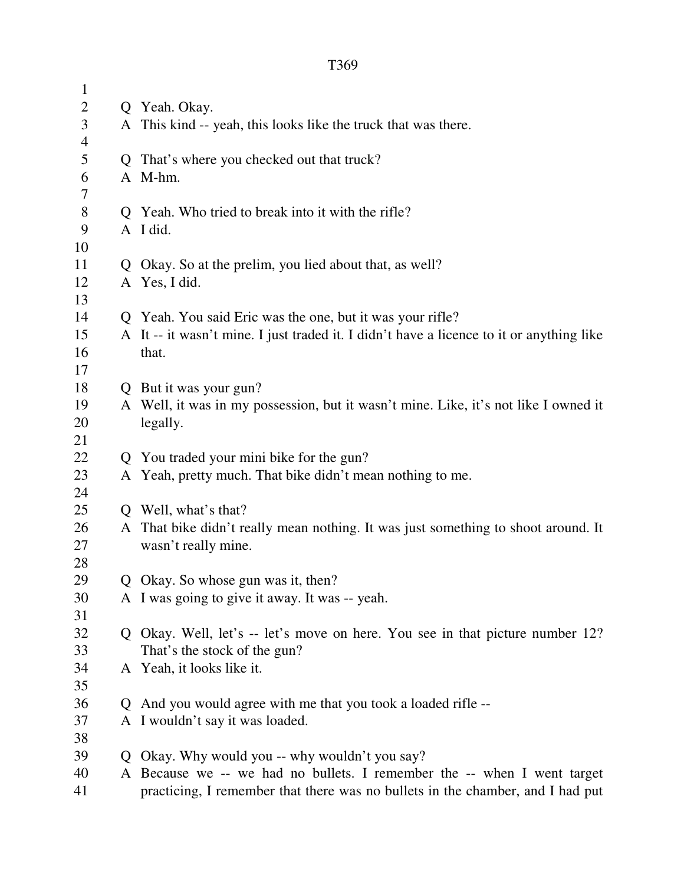| $\mathbf{1}$   |   |                                                                                          |  |  |
|----------------|---|------------------------------------------------------------------------------------------|--|--|
| $\overline{c}$ |   | Q Yeah. Okay.                                                                            |  |  |
| 3              |   | A This kind -- yeah, this looks like the truck that was there.                           |  |  |
| $\overline{4}$ |   |                                                                                          |  |  |
| 5              |   | Q That's where you checked out that truck?                                               |  |  |
| 6              |   | A M-hm.                                                                                  |  |  |
| 7              |   |                                                                                          |  |  |
| $8\,$          |   | Q Yeah. Who tried to break into it with the rifle?                                       |  |  |
| 9              |   | A I did.                                                                                 |  |  |
| 10             |   |                                                                                          |  |  |
| 11             |   | Q Okay. So at the prelim, you lied about that, as well?                                  |  |  |
| 12             |   | A Yes, I did.                                                                            |  |  |
| 13             |   |                                                                                          |  |  |
| 14             |   | Q Yeah. You said Eric was the one, but it was your rifle?                                |  |  |
| 15             |   | A It -- it wasn't mine. I just traded it. I didn't have a licence to it or anything like |  |  |
| 16             |   | that.                                                                                    |  |  |
| 17             |   |                                                                                          |  |  |
| 18             |   | Q But it was your gun?                                                                   |  |  |
| 19             |   | A Well, it was in my possession, but it wasn't mine. Like, it's not like I owned it      |  |  |
| 20             |   | legally.                                                                                 |  |  |
| 21<br>22       |   |                                                                                          |  |  |
| 23             |   | Q You traded your mini bike for the gun?                                                 |  |  |
| 24             |   | A Yeah, pretty much. That bike didn't mean nothing to me.                                |  |  |
| 25             |   | Q Well, what's that?                                                                     |  |  |
| 26             |   | A That bike didn't really mean nothing. It was just something to shoot around. It        |  |  |
| 27             |   | wasn't really mine.                                                                      |  |  |
| 28             |   |                                                                                          |  |  |
| 29             |   | Q Okay. So whose gun was it, then?                                                       |  |  |
| 30             |   | A I was going to give it away. It was -- yeah.                                           |  |  |
| 31             |   |                                                                                          |  |  |
| 32             |   | Q Okay. Well, let's -- let's move on here. You see in that picture number 12?            |  |  |
| 33             |   | That's the stock of the gun?                                                             |  |  |
| 34             |   | A Yeah, it looks like it.                                                                |  |  |
| 35             |   |                                                                                          |  |  |
| 36             | Q | And you would agree with me that you took a loaded rifle --                              |  |  |
| 37             |   | A I wouldn't say it was loaded.                                                          |  |  |
| 38             |   |                                                                                          |  |  |
| 39             | Q | Okay. Why would you -- why wouldn't you say?                                             |  |  |
| 40             |   | A Because we -- we had no bullets. I remember the -- when I went target                  |  |  |
| 41             |   | practicing, I remember that there was no bullets in the chamber, and I had put           |  |  |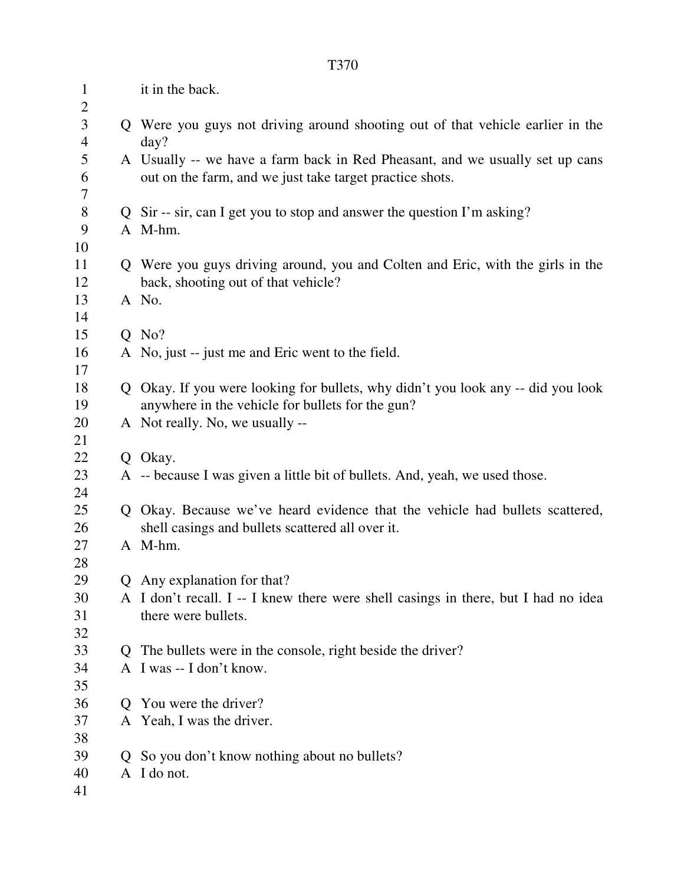| $\mathbf{1}$<br>$\overline{2}$ |    | it in the back.                                                                                                                          |  |
|--------------------------------|----|------------------------------------------------------------------------------------------------------------------------------------------|--|
| 3<br>4                         |    | Q Were you guys not driving around shooting out of that vehicle earlier in the<br>day?                                                   |  |
| 5<br>6<br>7                    |    | A Usually -- we have a farm back in Red Pheasant, and we usually set up cans<br>out on the farm, and we just take target practice shots. |  |
| $8\,$                          |    | Q Sir -- sir, can I get you to stop and answer the question I'm asking?                                                                  |  |
| 9                              |    | A M-hm.                                                                                                                                  |  |
| 10                             |    |                                                                                                                                          |  |
| 11                             |    | Q Were you guys driving around, you and Colten and Eric, with the girls in the                                                           |  |
| 12                             |    | back, shooting out of that vehicle?                                                                                                      |  |
| 13                             |    | A No.                                                                                                                                    |  |
| 14                             |    |                                                                                                                                          |  |
| 15                             |    | $Q$ No?                                                                                                                                  |  |
| 16                             |    | A No, just -- just me and Eric went to the field.                                                                                        |  |
| 17                             |    |                                                                                                                                          |  |
| 18                             |    | Q Okay. If you were looking for bullets, why didn't you look any -- did you look                                                         |  |
| 19                             |    | anywhere in the vehicle for bullets for the gun?                                                                                         |  |
| 20                             |    | A Not really. No, we usually --                                                                                                          |  |
| 21                             |    |                                                                                                                                          |  |
| 22                             |    | Q Okay.                                                                                                                                  |  |
| 23                             |    | A -- because I was given a little bit of bullets. And, yeah, we used those.                                                              |  |
| 24                             |    |                                                                                                                                          |  |
| 25                             |    | Q Okay. Because we've heard evidence that the vehicle had bullets scattered,                                                             |  |
| 26                             |    | shell casings and bullets scattered all over it.                                                                                         |  |
| 27                             |    | A M-hm.                                                                                                                                  |  |
| 28                             |    |                                                                                                                                          |  |
| 29                             |    | Q Any explanation for that?                                                                                                              |  |
| 30                             |    | A I don't recall. I -- I knew there were shell casings in there, but I had no idea                                                       |  |
| 31                             |    | there were bullets.                                                                                                                      |  |
| 32                             |    |                                                                                                                                          |  |
| 33                             | Q. | The bullets were in the console, right beside the driver?                                                                                |  |
| 34                             |    | A I was -- I don't know.                                                                                                                 |  |
| 35                             |    |                                                                                                                                          |  |
| 36                             | Ő  | You were the driver?                                                                                                                     |  |
| 37                             |    | A Yeah, I was the driver.                                                                                                                |  |
| 38                             |    |                                                                                                                                          |  |
| 39                             | Ő  | So you don't know nothing about no bullets?<br>I do not.                                                                                 |  |
| 40<br>41                       | A  |                                                                                                                                          |  |
|                                |    |                                                                                                                                          |  |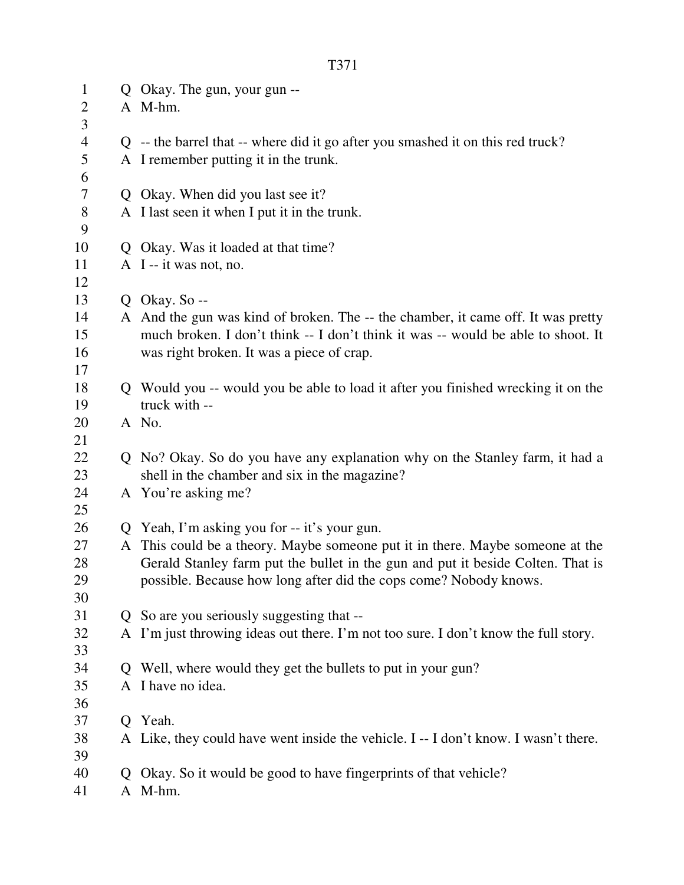| $\mathbf{1}$   |                | Q Okay. The gun, your gun --                                                                                                  |  |
|----------------|----------------|-------------------------------------------------------------------------------------------------------------------------------|--|
| $\overline{2}$ |                | A M-hm.                                                                                                                       |  |
| 3              |                |                                                                                                                               |  |
| $\overline{4}$ |                | $Q$ -- the barrel that -- where did it go after you smashed it on this red truck?                                             |  |
| 5              |                | A I remember putting it in the trunk.                                                                                         |  |
| 6              |                |                                                                                                                               |  |
| 7              |                | Q Okay. When did you last see it?                                                                                             |  |
| $8\,$          |                | A I last seen it when I put it in the trunk.                                                                                  |  |
| 9              |                |                                                                                                                               |  |
| 10             |                | Q Okay. Was it loaded at that time?                                                                                           |  |
| 11             |                | A I -- it was not, no.                                                                                                        |  |
| 12             |                |                                                                                                                               |  |
| 13             |                | Q Okay. So $-$                                                                                                                |  |
| 14             |                | A And the gun was kind of broken. The -- the chamber, it came off. It was pretty                                              |  |
| 15             |                | much broken. I don't think -- I don't think it was -- would be able to shoot. It                                              |  |
| 16             |                | was right broken. It was a piece of crap.                                                                                     |  |
| 17             |                |                                                                                                                               |  |
| 18             |                | Q Would you -- would you be able to load it after you finished wrecking it on the                                             |  |
| 19             |                | truck with --                                                                                                                 |  |
| 20             |                | A No.                                                                                                                         |  |
| 21             |                |                                                                                                                               |  |
| 22             |                | Q No? Okay. So do you have any explanation why on the Stanley farm, it had a                                                  |  |
| 23             |                | shell in the chamber and six in the magazine?<br>A You're asking me?                                                          |  |
| 24             |                |                                                                                                                               |  |
| 25<br>26       |                |                                                                                                                               |  |
| 27             |                | Q Yeah, I'm asking you for -- it's your gun.<br>A This could be a theory. Maybe someone put it in there. Maybe someone at the |  |
| 28             |                | Gerald Stanley farm put the bullet in the gun and put it beside Colten. That is                                               |  |
| 29             |                | possible. Because how long after did the cops come? Nobody knows.                                                             |  |
| 30             |                |                                                                                                                               |  |
| 31             | $\overline{O}$ | So are you seriously suggesting that --                                                                                       |  |
| 32             |                | A I'm just throwing ideas out there. I'm not too sure. I don't know the full story.                                           |  |
| 33             |                |                                                                                                                               |  |
| 34             |                | Q Well, where would they get the bullets to put in your gun?                                                                  |  |
| 35             |                | A I have no idea.                                                                                                             |  |
| 36             |                |                                                                                                                               |  |
| 37             |                | Q Yeah.                                                                                                                       |  |
| 38             |                | A Like, they could have went inside the vehicle. I -- I don't know. I wasn't there.                                           |  |
| 39             |                |                                                                                                                               |  |
| 40             | Q              | Okay. So it would be good to have fingerprints of that vehicle?                                                               |  |
| 41             |                | A M-hm.                                                                                                                       |  |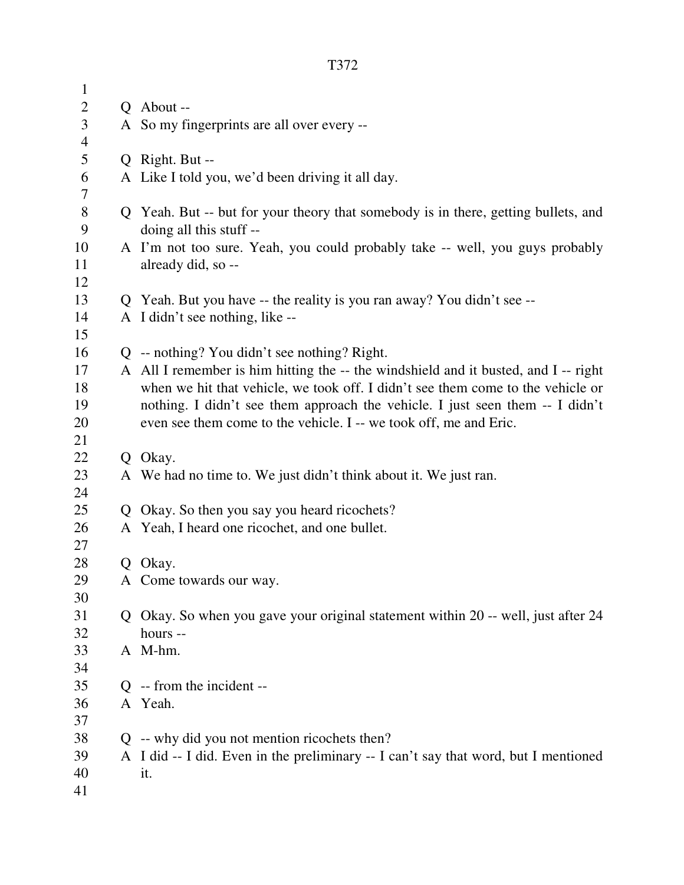| $\mathbf{1}$   |                                                                                     |  |  |
|----------------|-------------------------------------------------------------------------------------|--|--|
| $\mathbf{2}$   | Q About --                                                                          |  |  |
| $\mathfrak{Z}$ | A So my fingerprints are all over every --                                          |  |  |
| $\overline{4}$ |                                                                                     |  |  |
| 5              | Q Right. But --                                                                     |  |  |
| 6              | A Like I told you, we'd been driving it all day.                                    |  |  |
| 7              |                                                                                     |  |  |
| $8\,$          | Q Yeah. But -- but for your theory that somebody is in there, getting bullets, and  |  |  |
| 9              | doing all this stuff --                                                             |  |  |
| 10             | A I'm not too sure. Yeah, you could probably take -- well, you guys probably        |  |  |
| 11             | already did, so --                                                                  |  |  |
| 12             |                                                                                     |  |  |
| 13             | Q Yeah. But you have -- the reality is you ran away? You didn't see --              |  |  |
| 14             | A I didn't see nothing, like --                                                     |  |  |
| 15             |                                                                                     |  |  |
| 16             | $Q$ -- nothing? You didn't see nothing? Right.                                      |  |  |
| 17             | A All I remember is him hitting the -- the windshield and it busted, and I -- right |  |  |
| 18             | when we hit that vehicle, we took off. I didn't see them come to the vehicle or     |  |  |
| 19             | nothing. I didn't see them approach the vehicle. I just seen them -- I didn't       |  |  |
| 20             | even see them come to the vehicle. I -- we took off, me and Eric.                   |  |  |
| 21             |                                                                                     |  |  |
| 22             | Q Okay.                                                                             |  |  |
| 23             | A We had no time to. We just didn't think about it. We just ran.                    |  |  |
| 24             |                                                                                     |  |  |
| 25             | Q Okay. So then you say you heard ricochets?                                        |  |  |
| 26<br>27       | A Yeah, I heard one ricochet, and one bullet.                                       |  |  |
| 28             | Q Okay.                                                                             |  |  |
| 29             | A Come towards our way.                                                             |  |  |
| 30             |                                                                                     |  |  |
| 31             | Q Okay. So when you gave your original statement within 20 -- well, just after 24   |  |  |
| 32             | hours --                                                                            |  |  |
| 33             | A M-hm.                                                                             |  |  |
| 34             |                                                                                     |  |  |
| 35             | $Q$ -- from the incident --                                                         |  |  |
| 36             | A Yeah.                                                                             |  |  |
| 37             |                                                                                     |  |  |
| 38             | $Q$ -- why did you not mention ricochets then?                                      |  |  |
| 39             | A I did -- I did. Even in the preliminary -- I can't say that word, but I mentioned |  |  |
| 40             | it.                                                                                 |  |  |
| 41             |                                                                                     |  |  |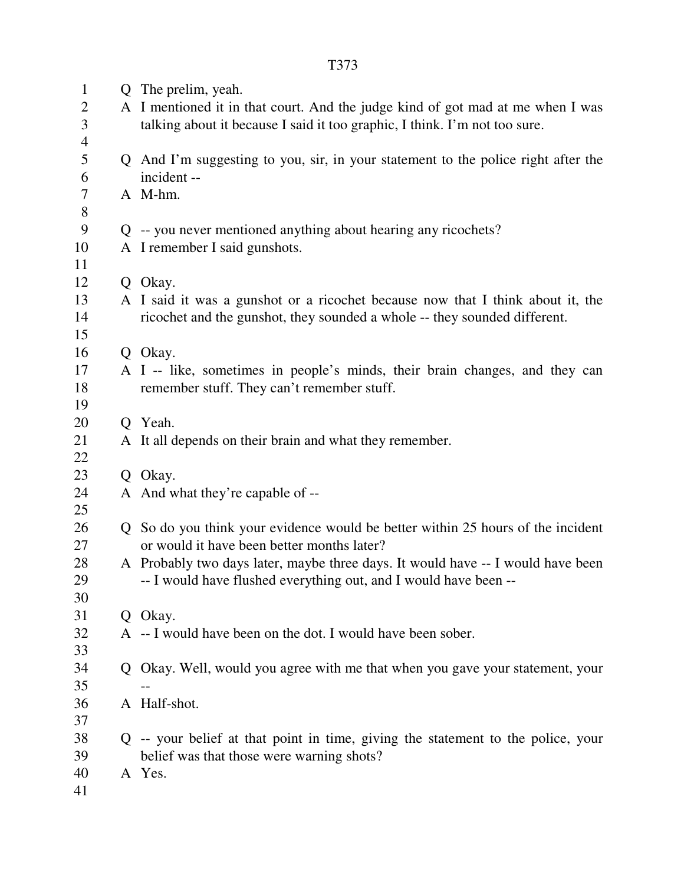| $\mathbf{1}$<br>$\overline{2}$<br>3<br>$\overline{4}$ | Q The prelim, yeah.<br>A I mentioned it in that court. And the judge kind of got mad at me when I was<br>talking about it because I said it too graphic, I think. I'm not too sure. |  |  |
|-------------------------------------------------------|-------------------------------------------------------------------------------------------------------------------------------------------------------------------------------------|--|--|
| 5<br>6                                                | Q And I'm suggesting to you, sir, in your statement to the police right after the<br>incident --                                                                                    |  |  |
| $\overline{7}$<br>$8\,$                               | A M-hm.                                                                                                                                                                             |  |  |
| 9                                                     | Q -- you never mentioned anything about hearing any ricochets?                                                                                                                      |  |  |
| 10<br>11                                              | A I remember I said gunshots.                                                                                                                                                       |  |  |
| 12                                                    | Q Okay.                                                                                                                                                                             |  |  |
| 13<br>14                                              | A I said it was a gunshot or a ricochet because now that I think about it, the<br>ricochet and the gunshot, they sounded a whole -- they sounded different.                         |  |  |
| 15                                                    |                                                                                                                                                                                     |  |  |
| 16<br>17                                              | Q Okay.                                                                                                                                                                             |  |  |
| 18<br>19                                              | A I -- like, sometimes in people's minds, their brain changes, and they can<br>remember stuff. They can't remember stuff.                                                           |  |  |
| 20                                                    | Q Yeah.                                                                                                                                                                             |  |  |
| 21<br>22                                              | A It all depends on their brain and what they remember.                                                                                                                             |  |  |
| 23                                                    | Q Okay.                                                                                                                                                                             |  |  |
| 24<br>25                                              | A And what they're capable of --                                                                                                                                                    |  |  |
| 26<br>27                                              | Q So do you think your evidence would be better within 25 hours of the incident<br>or would it have been better months later?                                                       |  |  |
| 28<br>29<br>30                                        | A Probably two days later, maybe three days. It would have -- I would have been<br>-- I would have flushed everything out, and I would have been --                                 |  |  |
| 31                                                    | Q Okay.                                                                                                                                                                             |  |  |
| 32<br>33                                              | A -- I would have been on the dot. I would have been sober.                                                                                                                         |  |  |
| 34<br>35                                              | Q Okay. Well, would you agree with me that when you gave your statement, your                                                                                                       |  |  |
| 36                                                    | A Half-shot.                                                                                                                                                                        |  |  |
| 37                                                    |                                                                                                                                                                                     |  |  |
| 38<br>39                                              | Q -- your belief at that point in time, giving the statement to the police, your<br>belief was that those were warning shots?                                                       |  |  |
| 40<br>41                                              | A Yes.                                                                                                                                                                              |  |  |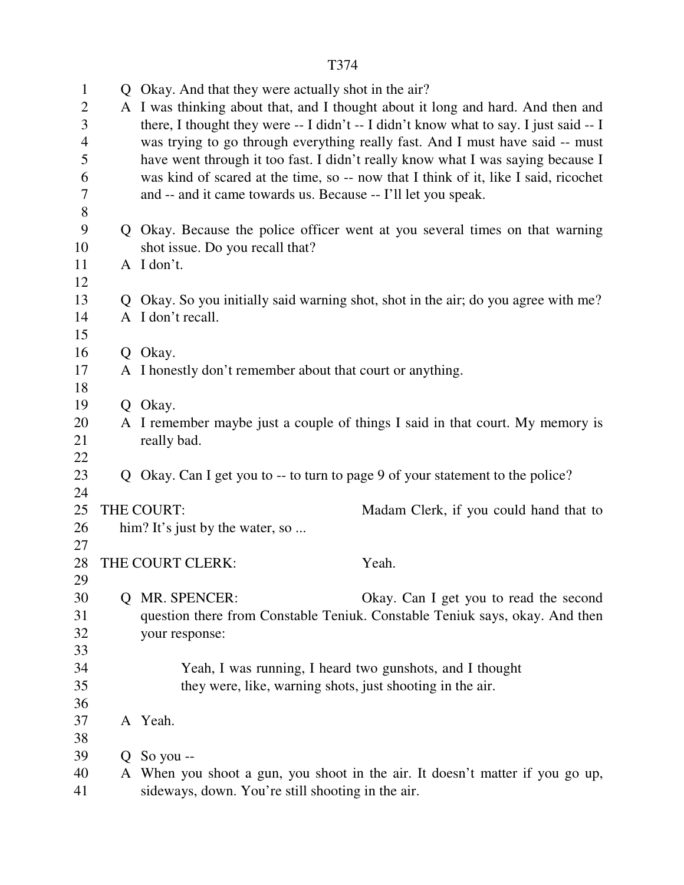|--|

| $\mathbf{1}$      |   | Q Okay. And that they were actually shot in the air?                                                                                                                   |  |  |  |
|-------------------|---|------------------------------------------------------------------------------------------------------------------------------------------------------------------------|--|--|--|
| $\mathbf{2}$<br>3 |   | A I was thinking about that, and I thought about it long and hard. And then and                                                                                        |  |  |  |
| $\overline{4}$    |   | there, I thought they were -- I didn't -- I didn't know what to say. I just said -- I<br>was trying to go through everything really fast. And I must have said -- must |  |  |  |
| 5                 |   | have went through it too fast. I didn't really know what I was saying because I                                                                                        |  |  |  |
| 6                 |   | was kind of scared at the time, so -- now that I think of it, like I said, ricochet                                                                                    |  |  |  |
| 7                 |   | and -- and it came towards us. Because -- I'll let you speak.                                                                                                          |  |  |  |
| $8\,$             |   |                                                                                                                                                                        |  |  |  |
| 9                 |   | Q Okay. Because the police officer went at you several times on that warning                                                                                           |  |  |  |
| 10                |   | shot issue. Do you recall that?                                                                                                                                        |  |  |  |
| 11                |   | A I don't.                                                                                                                                                             |  |  |  |
| 12                |   |                                                                                                                                                                        |  |  |  |
| 13                |   | Q Okay. So you initially said warning shot, shot in the air; do you agree with me?                                                                                     |  |  |  |
| 14                |   | A I don't recall.                                                                                                                                                      |  |  |  |
| 15                |   |                                                                                                                                                                        |  |  |  |
| 16                |   | Q Okay.                                                                                                                                                                |  |  |  |
| 17                |   | A I honestly don't remember about that court or anything.                                                                                                              |  |  |  |
| 18                |   |                                                                                                                                                                        |  |  |  |
| 19                |   | Q Okay.                                                                                                                                                                |  |  |  |
| 20                |   | A I remember maybe just a couple of things I said in that court. My memory is                                                                                          |  |  |  |
| 21                |   | really bad.                                                                                                                                                            |  |  |  |
| 22                |   |                                                                                                                                                                        |  |  |  |
| 23                |   | Q Okay. Can I get you to -- to turn to page 9 of your statement to the police?                                                                                         |  |  |  |
| 24                |   |                                                                                                                                                                        |  |  |  |
| 25<br>26          |   | THE COURT:<br>Madam Clerk, if you could hand that to<br>him? It's just by the water, so                                                                                |  |  |  |
| 27                |   |                                                                                                                                                                        |  |  |  |
| 28                |   | THE COURT CLERK:<br>Yeah.                                                                                                                                              |  |  |  |
| 29                |   |                                                                                                                                                                        |  |  |  |
| 30                |   | Q MR. SPENCER:<br>Okay. Can I get you to read the second                                                                                                               |  |  |  |
| 31                |   | question there from Constable Teniuk. Constable Teniuk says, okay. And then                                                                                            |  |  |  |
| 32                |   | your response:                                                                                                                                                         |  |  |  |
| 33                |   |                                                                                                                                                                        |  |  |  |
| 34                |   | Yeah, I was running, I heard two gunshots, and I thought                                                                                                               |  |  |  |
| 35                |   | they were, like, warning shots, just shooting in the air.                                                                                                              |  |  |  |
| 36                |   |                                                                                                                                                                        |  |  |  |
| 37                |   | A Yeah.                                                                                                                                                                |  |  |  |
| 38                |   |                                                                                                                                                                        |  |  |  |
| 39                | Q | So you --                                                                                                                                                              |  |  |  |
| 40                |   | A When you shoot a gun, you shoot in the air. It doesn't matter if you go up,                                                                                          |  |  |  |
| 41                |   | sideways, down. You're still shooting in the air.                                                                                                                      |  |  |  |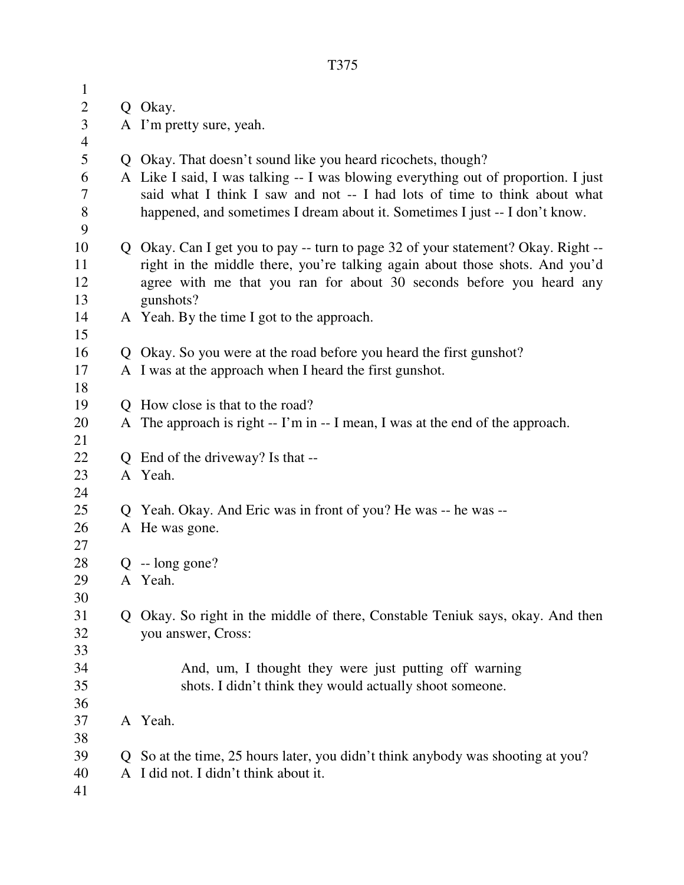| $\mathbf{1}$   |             |                                                                                    |  |  |
|----------------|-------------|------------------------------------------------------------------------------------|--|--|
| $\overline{c}$ |             | Q Okay.                                                                            |  |  |
| $\mathfrak{Z}$ |             | A I'm pretty sure, yeah.                                                           |  |  |
| $\overline{4}$ |             |                                                                                    |  |  |
| $\mathfrak s$  |             | Q Okay. That doesn't sound like you heard ricochets, though?                       |  |  |
| 6              |             | A Like I said, I was talking -- I was blowing everything out of proportion. I just |  |  |
| 7              |             | said what I think I saw and not -- I had lots of time to think about what          |  |  |
| $\,$ 8 $\,$    |             | happened, and sometimes I dream about it. Sometimes I just -- I don't know.        |  |  |
| 9              |             |                                                                                    |  |  |
| 10             |             | Q Okay. Can I get you to pay -- turn to page 32 of your statement? Okay. Right --  |  |  |
| 11             |             | right in the middle there, you're talking again about those shots. And you'd       |  |  |
| 12             |             | agree with me that you ran for about 30 seconds before you heard any               |  |  |
| 13             |             | gunshots?                                                                          |  |  |
| 14             |             | A Yeah. By the time I got to the approach.                                         |  |  |
| 15             |             |                                                                                    |  |  |
| 16             |             | Q Okay. So you were at the road before you heard the first gunshot?                |  |  |
| 17             |             | A I was at the approach when I heard the first gunshot.                            |  |  |
| 18             |             |                                                                                    |  |  |
| 19             |             | Q How close is that to the road?                                                   |  |  |
| 20             |             | A The approach is right -- I'm in -- I mean, I was at the end of the approach.     |  |  |
| 21             |             |                                                                                    |  |  |
| 22             |             | Q End of the driveway? Is that --                                                  |  |  |
| 23             |             | A Yeah.                                                                            |  |  |
| 24             |             |                                                                                    |  |  |
| 25<br>26       |             | Q Yeah. Okay. And Eric was in front of you? He was -- he was --                    |  |  |
| 27             |             | A He was gone.                                                                     |  |  |
| 28             |             | $Q - long gone?$                                                                   |  |  |
| 29             |             | A Yeah.                                                                            |  |  |
| 30             |             |                                                                                    |  |  |
| 31             |             | Okay. So right in the middle of there, Constable Teniuk says, okay. And then       |  |  |
| 32             |             | you answer, Cross:                                                                 |  |  |
| 33             |             |                                                                                    |  |  |
| 34             |             | And, um, I thought they were just putting off warning                              |  |  |
| 35             |             | shots. I didn't think they would actually shoot someone.                           |  |  |
| 36             |             |                                                                                    |  |  |
| 37             |             | A Yeah.                                                                            |  |  |
| 38             |             |                                                                                    |  |  |
| 39             | $\mathbf O$ | So at the time, 25 hours later, you didn't think anybody was shooting at you?      |  |  |
| 40             |             | A I did not. I didn't think about it.                                              |  |  |
| 41             |             |                                                                                    |  |  |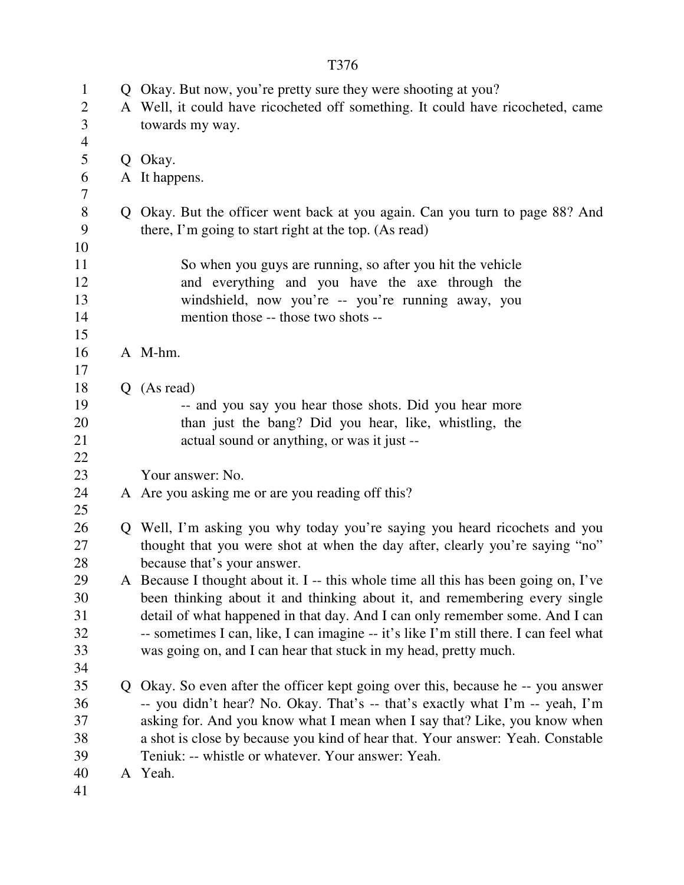| $\mathbf{1}$   | Q Okay. But now, you're pretty sure they were shooting at you?                        |  |  |  |
|----------------|---------------------------------------------------------------------------------------|--|--|--|
| $\overline{2}$ | A Well, it could have ricocheted off something. It could have ricocheted, came        |  |  |  |
| 3              | towards my way.                                                                       |  |  |  |
| $\overline{4}$ |                                                                                       |  |  |  |
| 5              | Q Okay.                                                                               |  |  |  |
| 6              | A It happens.                                                                         |  |  |  |
| 7              |                                                                                       |  |  |  |
| $8\,$          | Q Okay. But the officer went back at you again. Can you turn to page 88? And          |  |  |  |
| 9              | there, I'm going to start right at the top. (As read)                                 |  |  |  |
| 10             |                                                                                       |  |  |  |
| 11             | So when you guys are running, so after you hit the vehicle                            |  |  |  |
| 12             | and everything and you have the axe through the                                       |  |  |  |
| 13             | windshield, now you're -- you're running away, you                                    |  |  |  |
| 14             | mention those -- those two shots --                                                   |  |  |  |
| 15             |                                                                                       |  |  |  |
| 16             | A M-hm.                                                                               |  |  |  |
| 17             |                                                                                       |  |  |  |
| 18             | $Q$ (As read)                                                                         |  |  |  |
| 19             | -- and you say you hear those shots. Did you hear more                                |  |  |  |
| 20             | than just the bang? Did you hear, like, whistling, the                                |  |  |  |
| 21             | actual sound or anything, or was it just --                                           |  |  |  |
| 22             |                                                                                       |  |  |  |
| 23             | Your answer: No.                                                                      |  |  |  |
| 24             | A Are you asking me or are you reading off this?                                      |  |  |  |
| 25             |                                                                                       |  |  |  |
| 26             | Q Well, I'm asking you why today you're saying you heard ricochets and you            |  |  |  |
| 27             | thought that you were shot at when the day after, clearly you're saying "no"          |  |  |  |
| 28             | because that's your answer.                                                           |  |  |  |
| 29             | A Because I thought about it. I -- this whole time all this has been going on, I've   |  |  |  |
| 30             | been thinking about it and thinking about it, and remembering every single            |  |  |  |
| 31             | detail of what happened in that day. And I can only remember some. And I can          |  |  |  |
| 32             | -- sometimes I can, like, I can imagine -- it's like I'm still there. I can feel what |  |  |  |
| 33             | was going on, and I can hear that stuck in my head, pretty much.                      |  |  |  |
| 34             |                                                                                       |  |  |  |
| 35             | Q Okay. So even after the officer kept going over this, because he -- you answer      |  |  |  |
| 36             | -- you didn't hear? No. Okay. That's -- that's exactly what I'm -- yeah, I'm          |  |  |  |
| 37             | asking for. And you know what I mean when I say that? Like, you know when             |  |  |  |
| 38             | a shot is close by because you kind of hear that. Your answer: Yeah. Constable        |  |  |  |
| 39             | Teniuk: -- whistle or whatever. Your answer: Yeah.                                    |  |  |  |
| 40             | A Yeah.                                                                               |  |  |  |
| 41             |                                                                                       |  |  |  |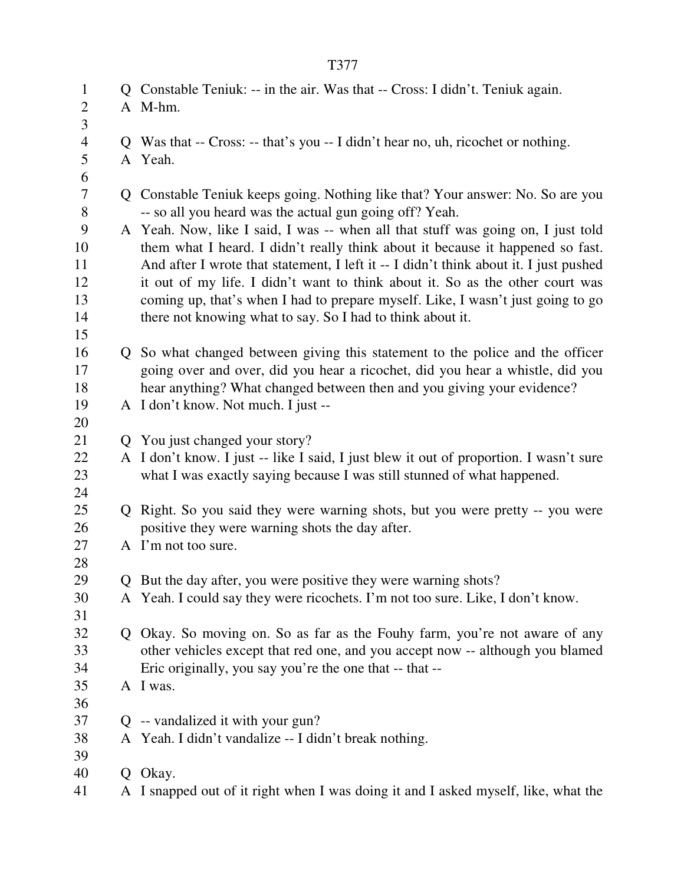| $\mathbf{1}$     | Q Constable Teniuk: -- in the air. Was that -- Cross: I didn't. Teniuk again.          |  |  |  |
|------------------|----------------------------------------------------------------------------------------|--|--|--|
| $\boldsymbol{2}$ | A M-hm.                                                                                |  |  |  |
| $\overline{3}$   |                                                                                        |  |  |  |
| $\overline{4}$   | Q Was that -- Cross: -- that's you -- I didn't hear no, uh, ricochet or nothing.       |  |  |  |
| 5                | A Yeah.                                                                                |  |  |  |
| 6                |                                                                                        |  |  |  |
| $\overline{7}$   | Q Constable Teniuk keeps going. Nothing like that? Your answer: No. So are you         |  |  |  |
| $8\,$            | -- so all you heard was the actual gun going off? Yeah.                                |  |  |  |
| 9                | A Yeah. Now, like I said, I was -- when all that stuff was going on, I just told       |  |  |  |
| 10               | them what I heard. I didn't really think about it because it happened so fast.         |  |  |  |
| 11               | And after I wrote that statement, I left it -- I didn't think about it. I just pushed  |  |  |  |
| 12               | it out of my life. I didn't want to think about it. So as the other court was          |  |  |  |
| 13               | coming up, that's when I had to prepare myself. Like, I wasn't just going to go        |  |  |  |
| 14               | there not knowing what to say. So I had to think about it.                             |  |  |  |
| 15               |                                                                                        |  |  |  |
| 16               | Q So what changed between giving this statement to the police and the officer          |  |  |  |
| 17               | going over and over, did you hear a ricochet, did you hear a whistle, did you          |  |  |  |
| 18               | hear anything? What changed between then and you giving your evidence?                 |  |  |  |
| 19               | A I don't know. Not much. I just --                                                    |  |  |  |
| 20               |                                                                                        |  |  |  |
| 21               | Q You just changed your story?                                                         |  |  |  |
| 22               | A I don't know. I just -- like I said, I just blew it out of proportion. I wasn't sure |  |  |  |
| 23               | what I was exactly saying because I was still stunned of what happened.                |  |  |  |
| 24               |                                                                                        |  |  |  |
| 25               | Q Right. So you said they were warning shots, but you were pretty -- you were          |  |  |  |
| 26               | positive they were warning shots the day after.                                        |  |  |  |
| 27               | A I'm not too sure.                                                                    |  |  |  |
| 28               |                                                                                        |  |  |  |
| 29               | Q But the day after, you were positive they were warning shots?                        |  |  |  |
| 30               | A Yeah. I could say they were ricochets. I'm not too sure. Like, I don't know.         |  |  |  |
| 31               |                                                                                        |  |  |  |
| 32               | Q Okay. So moving on. So as far as the Fouhy farm, you're not aware of any             |  |  |  |
| 33               | other vehicles except that red one, and you accept now -- although you blamed          |  |  |  |
| 34               | Eric originally, you say you're the one that -- that --                                |  |  |  |
| 35               | A I was.                                                                               |  |  |  |
| 36               |                                                                                        |  |  |  |
| 37               | Q -- vandalized it with your gun?                                                      |  |  |  |
| 38               | A Yeah. I didn't vandalize -- I didn't break nothing.                                  |  |  |  |
| 39               |                                                                                        |  |  |  |
| 40               | Q Okay.                                                                                |  |  |  |
| 41               | A I snapped out of it right when I was doing it and I asked myself, like, what the     |  |  |  |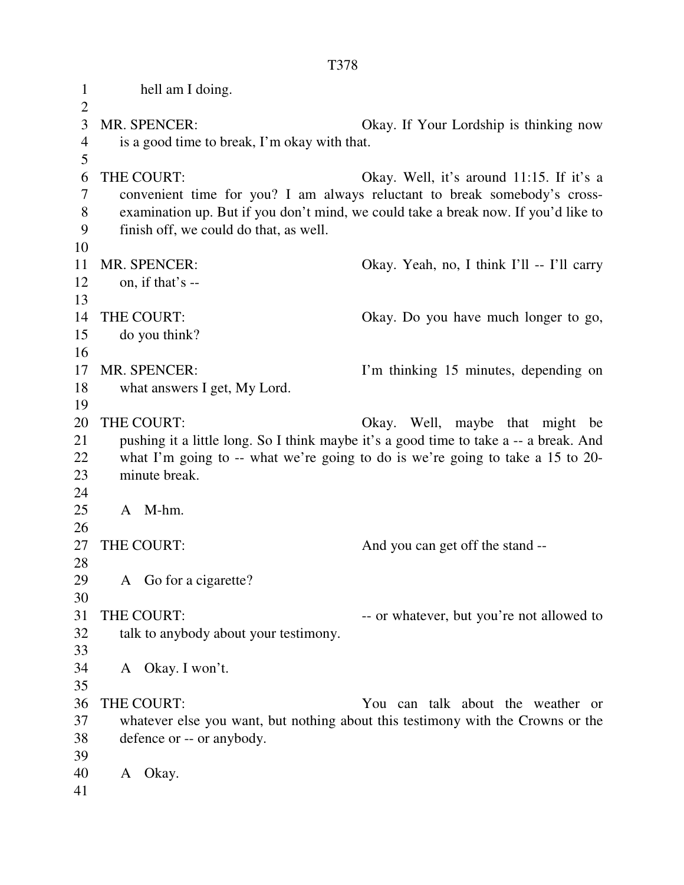1 hell am I doing.  $\overline{2}$ 3 MR. SPENCER: Okay. If Your Lordship is thinking now 4 is a good time to break, I'm okay with that. 5 6 THE COURT: Okay. Well, it's around 11:15. If it's a 7 convenient time for you? I am always reluctant to break somebody's cross-8 examination up. But if you don't mind, we could take a break now. If you'd like to 9 finish off, we could do that, as well. 10 11 MR. SPENCER: Okay. Yeah, no, I think I'll -- I'll carry  $12$  on, if that's --13 14 THE COURT: Okay. Do you have much longer to go, 15 do you think? 16 17 MR. SPENCER: I'm thinking 15 minutes, depending on 18 what answers I get, My Lord. 19 20 THE COURT: Okay. Well, maybe that might be 21 pushing it a little long. So I think maybe it's a good time to take a -- a break. And 22 what I'm going to -- what we're going to do is we're going to take a 15 to 20- 23 minute break. 24 25 A M-hm. 26 27 THE COURT: And you can get off the stand --28 29 A Go for a cigarette? 30 31 THE COURT:  $\qquad \qquad \text{or whatever, but you're not allowed to}$ 32 talk to anybody about your testimony. 33 34 A Okay. I won't. 35 36 THE COURT: You can talk about the weather or 37 whatever else you want, but nothing about this testimony with the Crowns or the 38 defence or -- or anybody. 39 40 A Okay. 41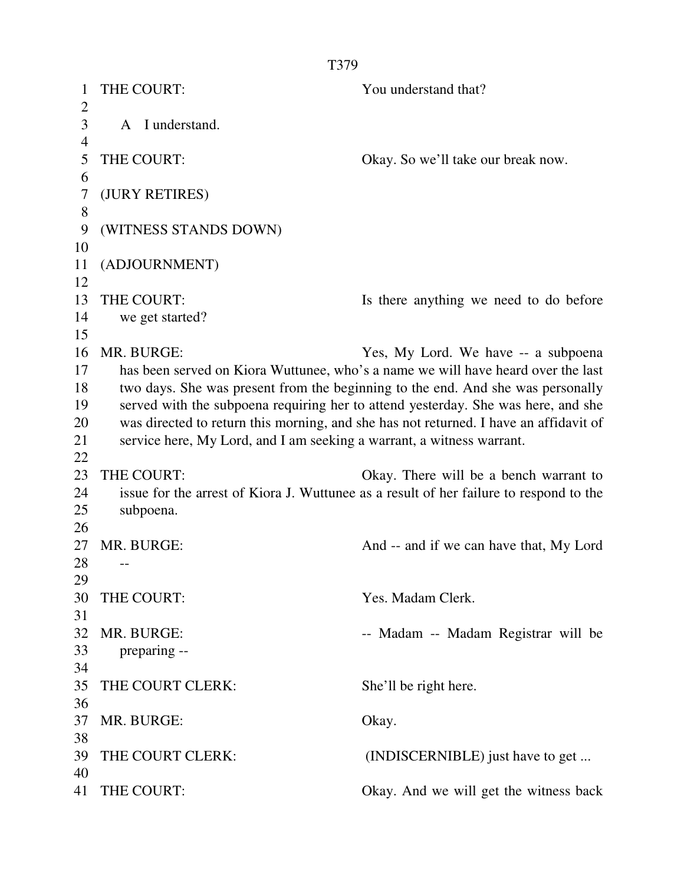| 1                    | THE COURT:                                                            | You understand that?                                                                   |
|----------------------|-----------------------------------------------------------------------|----------------------------------------------------------------------------------------|
| $\overline{2}$       |                                                                       |                                                                                        |
| 3<br>$\overline{4}$  | A I understand.                                                       |                                                                                        |
| 5                    | THE COURT:                                                            | Okay. So we'll take our break now.                                                     |
| 6                    |                                                                       |                                                                                        |
| $\overline{7}$       | (JURY RETIRES)                                                        |                                                                                        |
| 8                    |                                                                       |                                                                                        |
| 9                    | (WITNESS STANDS DOWN)                                                 |                                                                                        |
| 10                   |                                                                       |                                                                                        |
| 11                   | (ADJOURNMENT)                                                         |                                                                                        |
| 12                   |                                                                       |                                                                                        |
| 13                   | THE COURT:                                                            | Is there anything we need to do before                                                 |
| 14                   | we get started?                                                       |                                                                                        |
| 15                   |                                                                       |                                                                                        |
| 16                   | MR. BURGE:                                                            | Yes, My Lord. We have -- a subpoena                                                    |
| 17                   |                                                                       | has been served on Kiora Wuttunee, who's a name we will have heard over the last       |
| 18                   |                                                                       | two days. She was present from the beginning to the end. And she was personally        |
| 19                   |                                                                       | served with the subpoena requiring her to attend yesterday. She was here, and she      |
| 20                   |                                                                       | was directed to return this morning, and she has not returned. I have an affidavit of  |
| 21<br>22             | service here, My Lord, and I am seeking a warrant, a witness warrant. |                                                                                        |
| 23                   | THE COURT:                                                            | Okay. There will be a bench warrant to                                                 |
| 24                   |                                                                       | issue for the arrest of Kiora J. Wuttunee as a result of her failure to respond to the |
| 25                   | subpoena.                                                             |                                                                                        |
| 26                   |                                                                       |                                                                                        |
| 27                   | MR. BURGE:                                                            | And -- and if we can have that, My Lord                                                |
| 28                   |                                                                       |                                                                                        |
| 29                   |                                                                       |                                                                                        |
| 30                   | THE COURT:                                                            | Yes. Madam Clerk.                                                                      |
| 31                   |                                                                       |                                                                                        |
| 32                   | MR. BURGE:                                                            | -- Madam -- Madam Registrar will be                                                    |
| 33                   | preparing --                                                          |                                                                                        |
| 34                   |                                                                       |                                                                                        |
| 35                   | THE COURT CLERK:                                                      | She'll be right here.                                                                  |
| 36                   |                                                                       |                                                                                        |
| 37                   | MR. BURGE:                                                            | Okay.                                                                                  |
|                      |                                                                       |                                                                                        |
|                      |                                                                       |                                                                                        |
|                      |                                                                       |                                                                                        |
| 38<br>39<br>40<br>41 | THE COURT CLERK:<br>THE COURT:                                        | (INDISCERNIBLE) just have to get<br>Okay. And we will get the witness back             |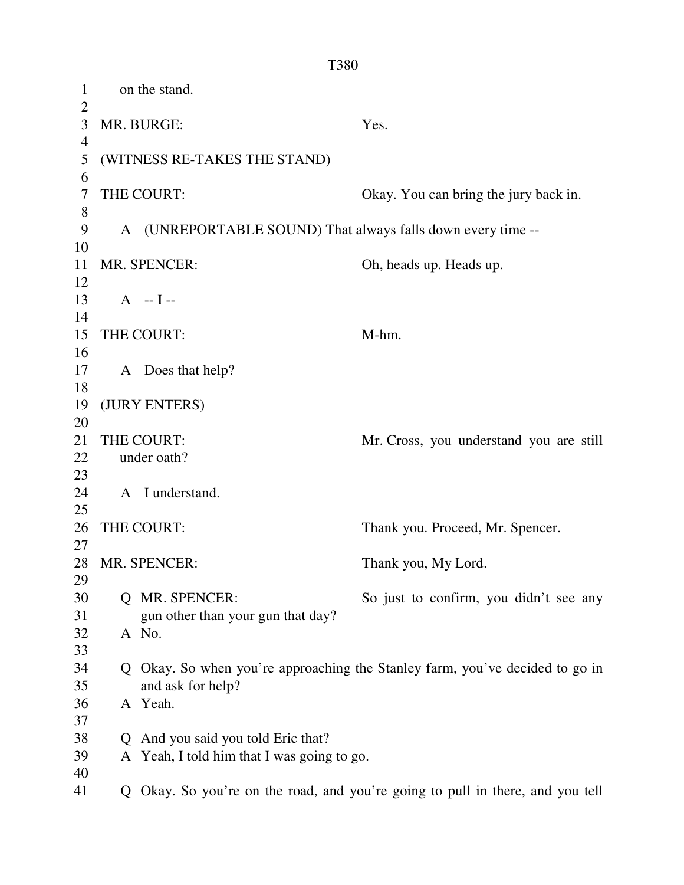1 on the stand.  $\overline{2}$ 3 MR. BURGE: Yes. 4 5 (WITNESS RE-TAKES THE STAND) 6 7 THE COURT: Okay. You can bring the jury back in. 8 9 A (UNREPORTABLE SOUND) That always falls down every time --10 11 MR. SPENCER: Oh, heads up. Heads up. 12  $13 \tA - I -$ 14 15 THE COURT: M-hm. 16 17 A Does that help? 18 19 (JURY ENTERS) 20 21 THE COURT: Mr. Cross, you understand you are still 22 under oath? 23 24 A I understand. 25 26 THE COURT: Thank you. Proceed, Mr. Spencer. 27 28 MR. SPENCER: Thank you, My Lord. 29 30 Q MR. SPENCER: So just to confirm, you didn't see any 31 gun other than your gun that day? 32 A No. 33 34 Q Okay. So when you're approaching the Stanley farm, you've decided to go in 35 and ask for help? 36 A Yeah. 37 38 Q And you said you told Eric that? 39 A Yeah, I told him that I was going to go. 40 41 Q Okay. So you're on the road, and you're going to pull in there, and you tell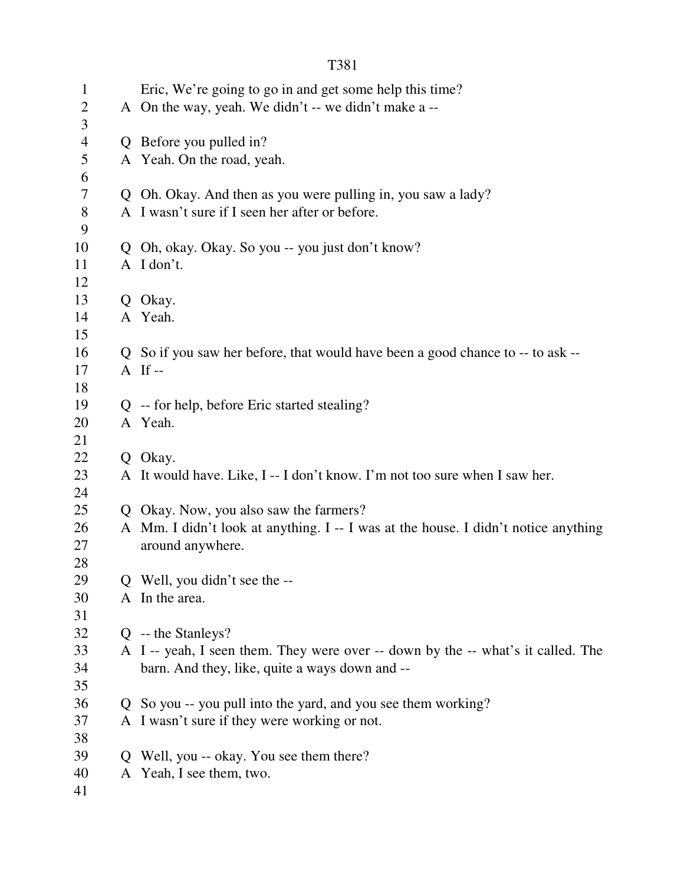| $\mathbf{1}$   |              | Eric, We're going to go in and get some help this time?                            |  |
|----------------|--------------|------------------------------------------------------------------------------------|--|
| $\overline{2}$ |              | A On the way, yeah. We didn't -- we didn't make a --                               |  |
| 3              |              |                                                                                    |  |
| $\overline{4}$ |              | Q Before you pulled in?                                                            |  |
| 5              |              | A Yeah. On the road, yeah.                                                         |  |
| 6              |              |                                                                                    |  |
| 7              |              | Q Oh. Okay. And then as you were pulling in, you saw a lady?                       |  |
| $8\,$          |              | A I wasn't sure if I seen her after or before.                                     |  |
| 9              |              |                                                                                    |  |
| 10             |              | Q Oh, okay. Okay. So you -- you just don't know?                                   |  |
| 11             |              | A I don't.                                                                         |  |
| 12             |              |                                                                                    |  |
| 13             |              | Q Okay.                                                                            |  |
| 14             |              | A Yeah.                                                                            |  |
| 15             |              |                                                                                    |  |
| 16             |              | Q So if you saw her before, that would have been a good chance to -- to ask --     |  |
| 17             |              | A If $-$                                                                           |  |
| 18             |              |                                                                                    |  |
| 19             |              | Q -- for help, before Eric started stealing?                                       |  |
| 20             |              | A Yeah.                                                                            |  |
| 21             |              |                                                                                    |  |
| 22             |              | Q Okay.                                                                            |  |
| 23             |              | A It would have. Like, I -- I don't know. I'm not too sure when I saw her.         |  |
| 24             |              |                                                                                    |  |
| 25             |              | Q Okay. Now, you also saw the farmers?                                             |  |
| 26             |              | A Mm. I didn't look at anything. I -- I was at the house. I didn't notice anything |  |
| 27             |              | around anywhere.                                                                   |  |
| 28             |              |                                                                                    |  |
| 29             |              | Q Well, you didn't see the --                                                      |  |
| 30             |              | A In the area.                                                                     |  |
| 31             |              |                                                                                    |  |
| 32             |              | $Q$ -- the Stanleys?                                                               |  |
| 33             |              | A I -- yeah, I seen them. They were over -- down by the -- what's it called. The   |  |
| 34             |              | barn. And they, like, quite a ways down and --                                     |  |
| 35             |              |                                                                                    |  |
| 36             |              | Q So you -- you pull into the yard, and you see them working?                      |  |
| 37<br>38       |              | A I wasn't sure if they were working or not.                                       |  |
| 39             | $\mathbf{Q}$ | Well, you -- okay. You see them there?                                             |  |
| 40             |              | A Yeah, I see them, two.                                                           |  |
| 41             |              |                                                                                    |  |
|                |              |                                                                                    |  |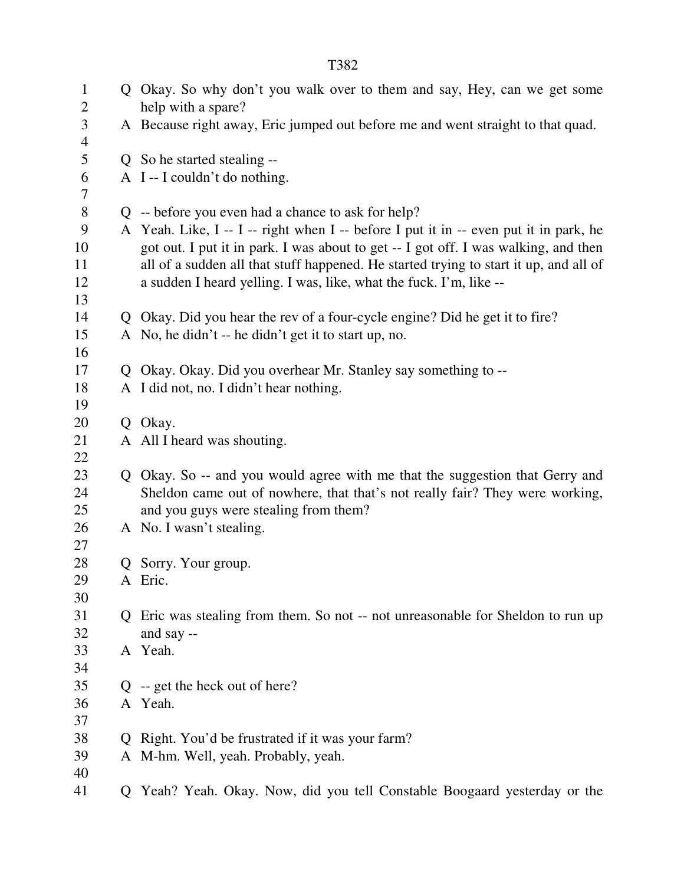1 Q Okay. So why don't you walk over to them and say, Hey, can we get some 2 help with a spare? 3 A Because right away, Eric jumped out before me and went straight to that quad. 4 5 Q So he started stealing -- 6 A I -- I couldn't do nothing. 7 8 Q -- before you even had a chance to ask for help? 9 A Yeah. Like, I -- I -- right when I -- before I put it in -- even put it in park, he 10 got out. I put it in park. I was about to get -- I got off. I was walking, and then 11 all of a sudden all that stuff happened. He started trying to start it up, and all of 12 a sudden I heard yelling. I was, like, what the fuck. I'm, like -- 13 14 Q Okay. Did you hear the rev of a four-cycle engine? Did he get it to fire? 15 A No, he didn't -- he didn't get it to start up, no. 16 17 Q Okay. Okay. Did you overhear Mr. Stanley say something to -- 18 A I did not, no. I didn't hear nothing. 19 20 Q Okay. 21 A All I heard was shouting. 22 23 Q Okay. So -- and you would agree with me that the suggestion that Gerry and 24 Sheldon came out of nowhere, that that's not really fair? They were working, 25 and you guys were stealing from them? 26 A No. I wasn't stealing. 27 28 Q Sorry. Your group. 29 A Eric. 30 31 Q Eric was stealing from them. So not -- not unreasonable for Sheldon to run up 32 and say -- 33 A Yeah. 34 35 Q -- get the heck out of here? 36 A Yeah. 37 38 Q Right. You'd be frustrated if it was your farm? 39 A M-hm. Well, yeah. Probably, yeah. 40

T382

41 Q Yeah? Yeah. Okay. Now, did you tell Constable Boogaard yesterday or the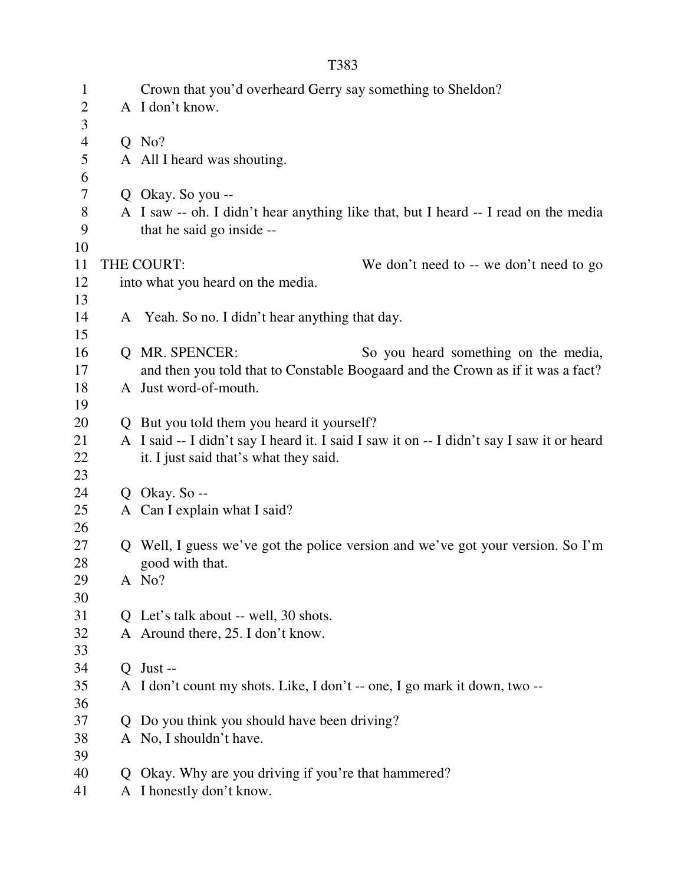| × |  |
|---|--|
|   |  |

| $\mathbf{1}$   |                | Crown that you'd overheard Gerry say something to Sheldon?                                |  |
|----------------|----------------|-------------------------------------------------------------------------------------------|--|
| $\mathbf{2}$   |                | A I don't know.                                                                           |  |
| $\overline{3}$ |                |                                                                                           |  |
| $\overline{4}$ |                | $Q$ No?                                                                                   |  |
| 5              |                | A All I heard was shouting.                                                               |  |
| 6              |                |                                                                                           |  |
| 7              |                | Q Okay. So you --                                                                         |  |
| $8\,$          |                | A I saw -- oh. I didn't hear anything like that, but I heard -- I read on the media       |  |
| 9              |                | that he said go inside --                                                                 |  |
| 10             |                |                                                                                           |  |
| 11             |                | THE COURT:<br>We don't need to -- we don't need to go                                     |  |
| 12             |                | into what you heard on the media.                                                         |  |
| 13             |                |                                                                                           |  |
| 14             |                | A Yeah. So no. I didn't hear anything that day.                                           |  |
| 15             |                |                                                                                           |  |
| 16             |                | Q MR. SPENCER:<br>So you heard something on the media,                                    |  |
| 17             |                | and then you told that to Constable Boogaard and the Crown as if it was a fact?           |  |
| 18             |                | A Just word-of-mouth.                                                                     |  |
| 19             |                |                                                                                           |  |
| 20             |                | Q But you told them you heard it yourself?                                                |  |
| 21             |                | A I said -- I didn't say I heard it. I said I saw it on -- I didn't say I saw it or heard |  |
| 22             |                | it. I just said that's what they said.                                                    |  |
| 23             |                |                                                                                           |  |
| 24             |                | Q Okay. So $-$                                                                            |  |
| 25             |                | A Can I explain what I said?                                                              |  |
| 26             |                |                                                                                           |  |
| 27             |                | Q Well, I guess we've got the police version and we've got your version. So I'm           |  |
| 28             |                | good with that.                                                                           |  |
| 29             |                | A No?                                                                                     |  |
| 30             |                |                                                                                           |  |
| 31             |                | Q Let's talk about -- well, 30 shots.                                                     |  |
| 32             |                | A Around there, 25. I don't know.                                                         |  |
| 33             |                |                                                                                           |  |
| 34             | $\overline{O}$ | Just --                                                                                   |  |
| 35             |                | A I don't count my shots. Like, I don't -- one, I go mark it down, two --                 |  |
| 36             |                |                                                                                           |  |
| 37             | Q              | Do you think you should have been driving?                                                |  |
| 38             |                | A No, I shouldn't have.                                                                   |  |
| 39             |                |                                                                                           |  |
| 40             | $\mathbf{Q}$   | Okay. Why are you driving if you're that hammered?                                        |  |
| 41             |                | A I honestly don't know.                                                                  |  |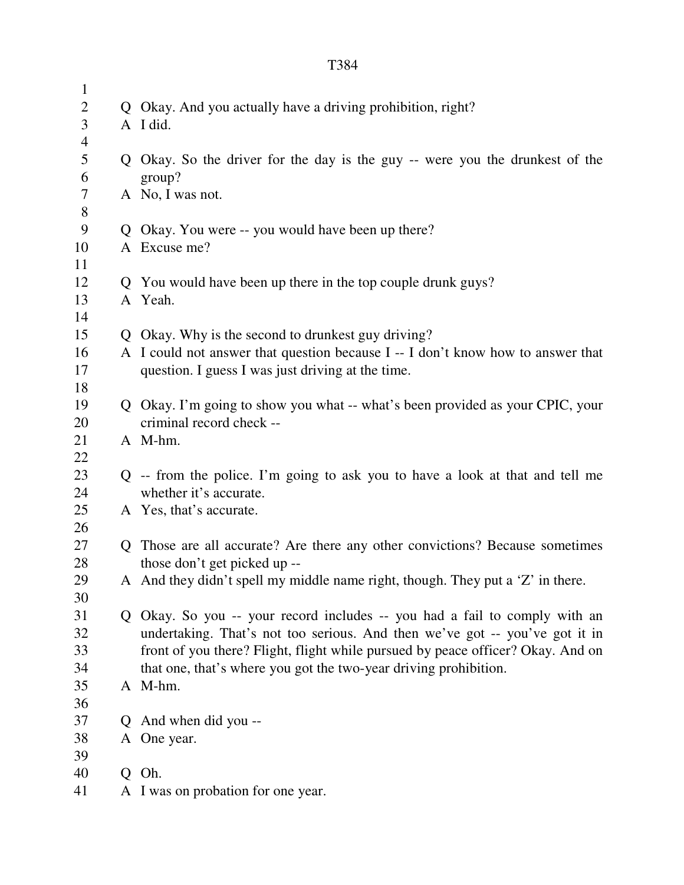| $\mathbf{1}$   |    |                                                                                 |
|----------------|----|---------------------------------------------------------------------------------|
| $\overline{2}$ |    | Q Okay. And you actually have a driving prohibition, right?                     |
| 3              |    | A I did.                                                                        |
| $\overline{4}$ |    |                                                                                 |
| 5              |    | Q Okay. So the driver for the day is the guy -- were you the drunkest of the    |
| 6              |    | group?                                                                          |
| $\tau$         |    | A No, I was not.                                                                |
| 8              |    |                                                                                 |
| 9              |    | Q Okay. You were -- you would have been up there?                               |
| 10             |    | A Excuse me?                                                                    |
| 11             |    |                                                                                 |
| 12             |    | Q You would have been up there in the top couple drunk guys?                    |
| 13             |    | A Yeah.                                                                         |
| 14             |    |                                                                                 |
| 15             |    | Q Okay. Why is the second to drunkest guy driving?                              |
| 16             |    | A I could not answer that question because I -- I don't know how to answer that |
| 17             |    | question. I guess I was just driving at the time.                               |
| 18             |    |                                                                                 |
| 19             |    | Q Okay. I'm going to show you what -- what's been provided as your CPIC, your   |
| 20             |    | criminal record check --                                                        |
| 21             |    | A M-hm.                                                                         |
| 22             |    |                                                                                 |
| 23             |    | Q -- from the police. I'm going to ask you to have a look at that and tell me   |
| 24             |    | whether it's accurate.                                                          |
| 25             |    | A Yes, that's accurate.                                                         |
| 26             |    |                                                                                 |
| 27             |    | Q Those are all accurate? Are there any other convictions? Because sometimes    |
| 28             |    | those don't get picked up --                                                    |
| 29             |    | A And they didn't spell my middle name right, though. They put a 'Z' in there.  |
| 30             |    |                                                                                 |
| 31             |    | Q Okay. So you -- your record includes -- you had a fail to comply with an      |
| 32             |    | undertaking. That's not too serious. And then we've got -- you've got it in     |
| 33             |    | front of you there? Flight, flight while pursued by peace officer? Okay. And on |
| 34             |    | that one, that's where you got the two-year driving prohibition.                |
| 35             |    | A M-hm.                                                                         |
| 36             |    |                                                                                 |
| 37             | Q. | And when did you --                                                             |
| 38             |    | A One year.                                                                     |
| 39             |    |                                                                                 |
| 40             |    | Q Oh.                                                                           |
| 41             |    | A I was on probation for one year.                                              |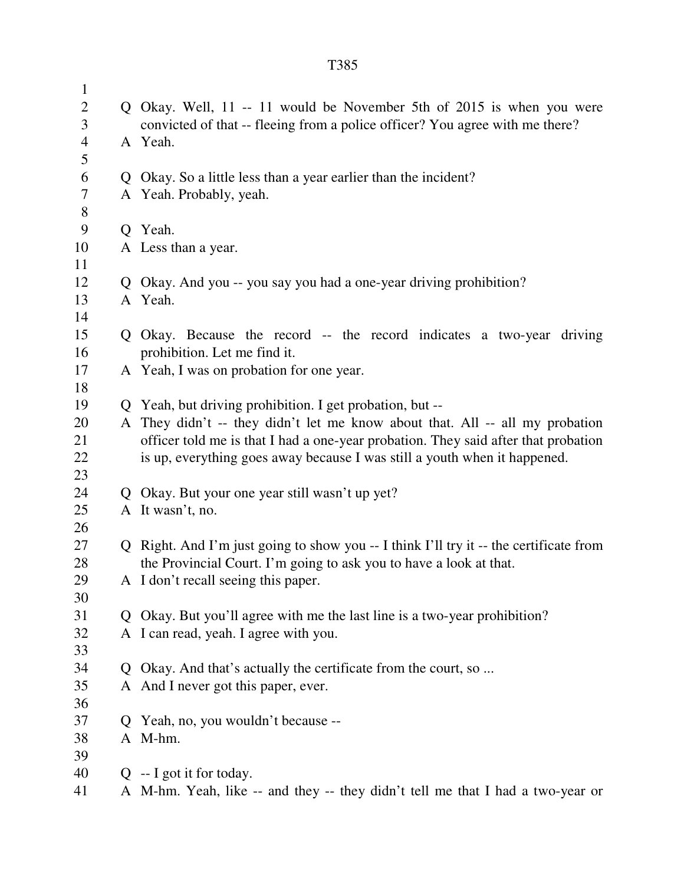| $\mathbf{1}$   |                                                                                        |  |
|----------------|----------------------------------------------------------------------------------------|--|
| $\mathbf{2}$   | Q Okay. Well, 11 -- 11 would be November 5th of 2015 is when you were                  |  |
| 3              | convicted of that -- fleeing from a police officer? You agree with me there?           |  |
| $\overline{4}$ | A Yeah.                                                                                |  |
| $\mathfrak s$  |                                                                                        |  |
| 6              | Q Okay. So a little less than a year earlier than the incident?                        |  |
| $\tau$         | A Yeah. Probably, yeah.                                                                |  |
| $8\,$          |                                                                                        |  |
| 9              | Q Yeah.                                                                                |  |
| 10             | A Less than a year.                                                                    |  |
| 11             |                                                                                        |  |
| 12             | Q Okay. And you -- you say you had a one-year driving prohibition?                     |  |
| 13             | A Yeah.                                                                                |  |
| 14             |                                                                                        |  |
| 15             | Q Okay. Because the record -- the record indicates a two-year driving                  |  |
| 16             | prohibition. Let me find it.                                                           |  |
| 17             | A Yeah, I was on probation for one year.                                               |  |
| 18             |                                                                                        |  |
| 19             | Q Yeah, but driving prohibition. I get probation, but --                               |  |
| 20             | A They didn't -- they didn't let me know about that. All -- all my probation           |  |
| 21             | officer told me is that I had a one-year probation. They said after that probation     |  |
| 22             | is up, everything goes away because I was still a youth when it happened.              |  |
| 23             |                                                                                        |  |
| 24             | Q Okay. But your one year still wasn't up yet?                                         |  |
| 25             | A It wasn't, no.                                                                       |  |
| 26             |                                                                                        |  |
| 27             | Q Right. And I'm just going to show you -- I think I'll try it -- the certificate from |  |
| 28             | the Provincial Court. I'm going to ask you to have a look at that.                     |  |
| 29             | A I don't recall seeing this paper.                                                    |  |
| 30             |                                                                                        |  |
| 31             | Q Okay. But you'll agree with me the last line is a two-year prohibition?              |  |
| 32             | A I can read, yeah. I agree with you.                                                  |  |
| 33             |                                                                                        |  |
| 34             | Q Okay. And that's actually the certificate from the court, so                         |  |
| 35             | A And I never got this paper, ever.                                                    |  |
| 36             |                                                                                        |  |
| 37             | Q Yeah, no, you wouldn't because --                                                    |  |
| 38             | A M-hm.                                                                                |  |
| 39             |                                                                                        |  |
| 40             | $Q$ -- I got it for today.                                                             |  |
| 41             | A M-hm. Yeah, like -- and they -- they didn't tell me that I had a two-year or         |  |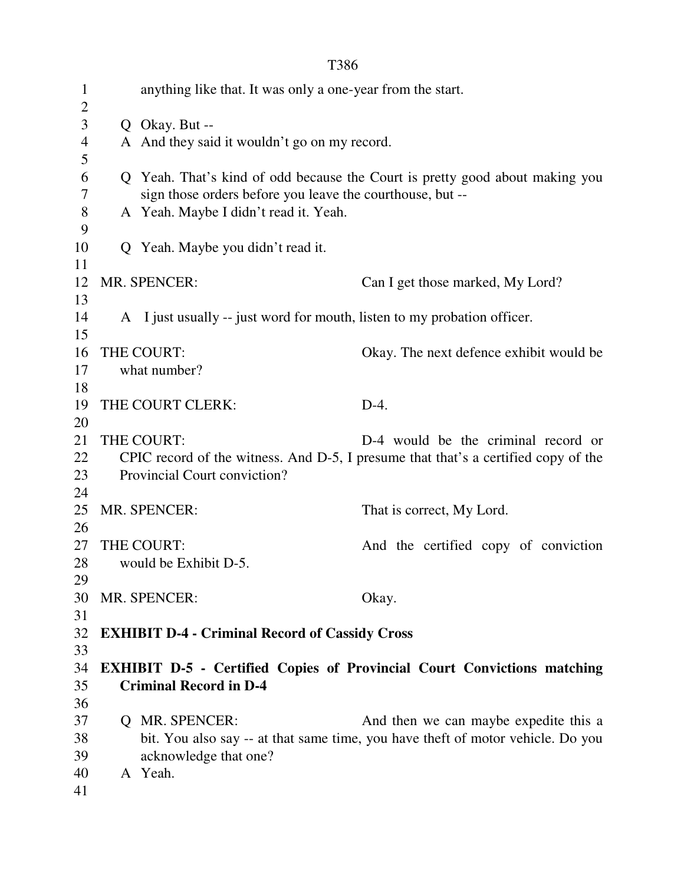|--|

| $\mathbf{1}$<br>$\overline{2}$ |              | anything like that. It was only a one-year from the start.               |                                                                                    |
|--------------------------------|--------------|--------------------------------------------------------------------------|------------------------------------------------------------------------------------|
| 3                              |              | Q Okay. But --                                                           |                                                                                    |
| 4                              |              | A And they said it wouldn't go on my record.                             |                                                                                    |
| 5                              |              |                                                                          |                                                                                    |
| 6                              |              |                                                                          | Q Yeah. That's kind of odd because the Court is pretty good about making you       |
| $\tau$                         |              | sign those orders before you leave the courthouse, but --                |                                                                                    |
| 8                              |              | A Yeah. Maybe I didn't read it. Yeah.                                    |                                                                                    |
| 9                              |              |                                                                          |                                                                                    |
| 10                             |              | Q Yeah. Maybe you didn't read it.                                        |                                                                                    |
| 11                             |              |                                                                          |                                                                                    |
| 12                             |              | MR. SPENCER:                                                             | Can I get those marked, My Lord?                                                   |
| 13                             |              |                                                                          |                                                                                    |
| 14                             |              | A I just usually -- just word for mouth, listen to my probation officer. |                                                                                    |
| 15                             |              |                                                                          |                                                                                    |
| 16                             |              | THE COURT:                                                               | Okay. The next defence exhibit would be                                            |
| 17                             |              | what number?                                                             |                                                                                    |
| 18                             |              |                                                                          |                                                                                    |
| 19                             |              | THE COURT CLERK:                                                         | $D-4.$                                                                             |
| 20                             |              |                                                                          |                                                                                    |
| 21                             |              | THE COURT:                                                               | D-4 would be the criminal record or                                                |
| 22                             |              |                                                                          | CPIC record of the witness. And D-5, I presume that that's a certified copy of the |
| 23                             |              | Provincial Court conviction?                                             |                                                                                    |
| 24                             |              |                                                                          |                                                                                    |
| 25                             |              | MR. SPENCER:                                                             | That is correct, My Lord.                                                          |
| 26                             |              |                                                                          |                                                                                    |
| 27                             |              | THE COURT:                                                               | And the certified copy of conviction                                               |
| 28                             |              | would be Exhibit D-5.                                                    |                                                                                    |
| 29                             |              |                                                                          |                                                                                    |
| 30                             |              | MR. SPENCER:                                                             | Okay.                                                                              |
| 31                             |              |                                                                          |                                                                                    |
| 32<br>33                       |              | <b>EXHIBIT D-4 - Criminal Record of Cassidy Cross</b>                    |                                                                                    |
| 34                             |              |                                                                          | <b>EXHIBIT D-5 - Certified Copies of Provincial Court Convictions matching</b>     |
| 35                             |              | <b>Criminal Record in D-4</b>                                            |                                                                                    |
| 36                             |              |                                                                          |                                                                                    |
| 37                             | $\mathbf{Q}$ | <b>MR. SPENCER:</b>                                                      | And then we can maybe expedite this a                                              |
| 38                             |              |                                                                          | bit. You also say -- at that same time, you have theft of motor vehicle. Do you    |
| 39                             |              | acknowledge that one?                                                    |                                                                                    |
| 40                             |              | A Yeah.                                                                  |                                                                                    |
| 41                             |              |                                                                          |                                                                                    |
|                                |              |                                                                          |                                                                                    |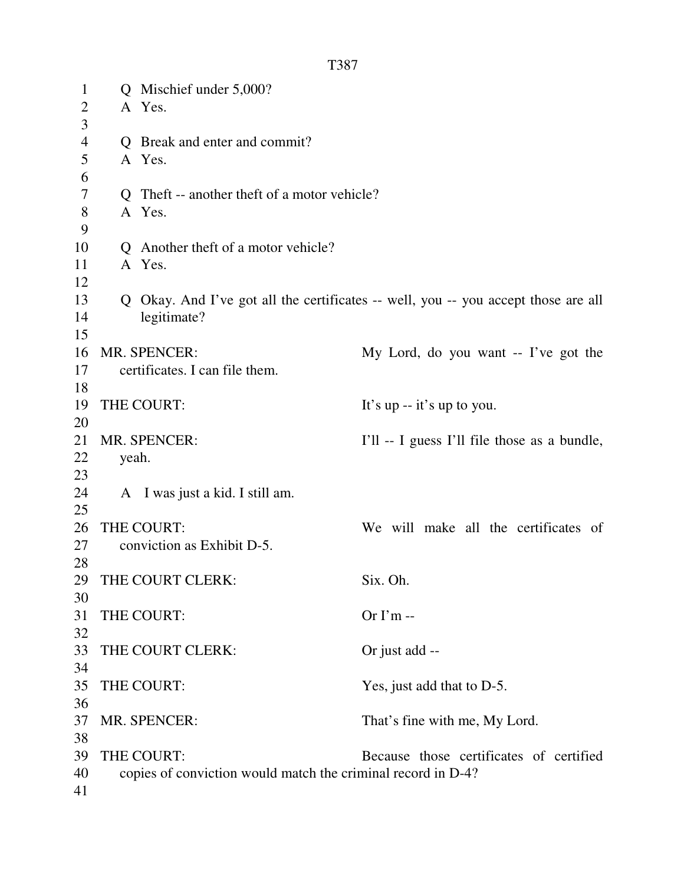| $\mathbf{1}$   |       | Q Mischief under 5,000?                                      |                                                                                    |
|----------------|-------|--------------------------------------------------------------|------------------------------------------------------------------------------------|
| $\overline{2}$ |       | A Yes.                                                       |                                                                                    |
| 3              |       |                                                              |                                                                                    |
| $\overline{4}$ |       | Q Break and enter and commit?                                |                                                                                    |
| 5              |       | A Yes.                                                       |                                                                                    |
| 6              |       |                                                              |                                                                                    |
| 7              |       | Q Theft -- another theft of a motor vehicle?                 |                                                                                    |
| $8\,$          |       | A Yes.                                                       |                                                                                    |
| 9              |       |                                                              |                                                                                    |
| 10             |       | Q Another theft of a motor vehicle?                          |                                                                                    |
| 11             |       | A Yes.                                                       |                                                                                    |
| 12             |       |                                                              |                                                                                    |
| 13             |       |                                                              | Q Okay. And I've got all the certificates -- well, you -- you accept those are all |
| 14             |       | legitimate?                                                  |                                                                                    |
| 15             |       |                                                              |                                                                                    |
| 16             |       | MR. SPENCER:                                                 | My Lord, do you want -- I've got the                                               |
| 17             |       | certificates. I can file them.                               |                                                                                    |
| 18             |       |                                                              |                                                                                    |
| 19             |       | THE COURT:                                                   | It's up -- it's up to you.                                                         |
| 20             |       |                                                              |                                                                                    |
| 21             |       | MR. SPENCER:                                                 | I'll -- I guess I'll file those as a bundle,                                       |
| 22             | yeah. |                                                              |                                                                                    |
| 23             |       |                                                              |                                                                                    |
| 24             |       | A I was just a kid. I still am.                              |                                                                                    |
| 25             |       |                                                              |                                                                                    |
| 26             |       | THE COURT:                                                   | We will make all the certificates of                                               |
| 27             |       | conviction as Exhibit D-5.                                   |                                                                                    |
| 28             |       |                                                              |                                                                                    |
| 29             |       | THE COURT CLERK:                                             | Six. Oh.                                                                           |
| 30             |       |                                                              |                                                                                    |
| 31             |       | THE COURT:                                                   | Or $\Gamma$ m --                                                                   |
| 32             |       |                                                              |                                                                                    |
| 33             |       | THE COURT CLERK:                                             | Or just add --                                                                     |
| 34             |       |                                                              |                                                                                    |
| 35             |       | THE COURT:                                                   | Yes, just add that to D-5.                                                         |
| 36             |       |                                                              |                                                                                    |
| 37             |       | MR. SPENCER:                                                 | That's fine with me, My Lord.                                                      |
| 38             |       |                                                              |                                                                                    |
| 39             |       | THE COURT:                                                   | Because those certificates of certified                                            |
| 40             |       | copies of conviction would match the criminal record in D-4? |                                                                                    |
| 41             |       |                                                              |                                                                                    |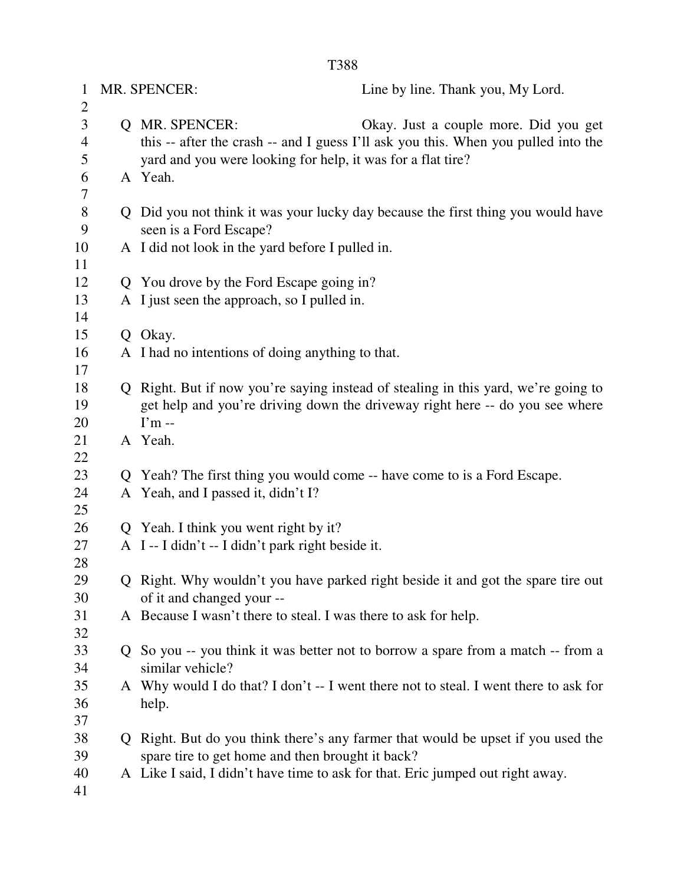| $\mathbf{1}$        | MR. SPENCER:<br>Line by line. Thank you, My Lord.                                    |  |
|---------------------|--------------------------------------------------------------------------------------|--|
| $\overline{2}$<br>3 | Q MR. SPENCER:<br>Okay. Just a couple more. Did you get                              |  |
| $\overline{4}$      | this -- after the crash -- and I guess I'll ask you this. When you pulled into the   |  |
| 5                   | yard and you were looking for help, it was for a flat tire?                          |  |
| 6                   | A Yeah.                                                                              |  |
| 7                   |                                                                                      |  |
| $8\,$               | Q Did you not think it was your lucky day because the first thing you would have     |  |
| 9                   | seen is a Ford Escape?                                                               |  |
| 10                  | A I did not look in the yard before I pulled in.                                     |  |
| 11                  |                                                                                      |  |
| 12                  | Q You drove by the Ford Escape going in?                                             |  |
| 13                  | A I just seen the approach, so I pulled in.                                          |  |
| 14                  |                                                                                      |  |
| 15                  | Q Okay.                                                                              |  |
| 16<br>17            | A I had no intentions of doing anything to that.                                     |  |
| 18                  | Q Right. But if now you're saying instead of stealing in this yard, we're going to   |  |
| 19                  | get help and you're driving down the driveway right here -- do you see where         |  |
| 20                  | $\Gamma$ m --                                                                        |  |
| 21                  | A Yeah.                                                                              |  |
| 22                  |                                                                                      |  |
| 23                  | Q Yeah? The first thing you would come -- have come to is a Ford Escape.             |  |
| 24                  | A Yeah, and I passed it, didn't I?                                                   |  |
| 25                  |                                                                                      |  |
| 26                  | Q Yeah. I think you went right by it?                                                |  |
| 27                  | A I--I didn't -- I didn't park right beside it.                                      |  |
| 28                  |                                                                                      |  |
| 29                  | Q Right. Why wouldn't you have parked right beside it and got the spare tire out     |  |
| 30                  | of it and changed your --                                                            |  |
| 31                  | A Because I wasn't there to steal. I was there to ask for help.                      |  |
| 32<br>33            | Q So you -- you think it was better not to borrow a spare from a match -- from a     |  |
| 34                  | similar vehicle?                                                                     |  |
| 35                  | A Why would I do that? I don't -- I went there not to steal. I went there to ask for |  |
| 36                  | help.                                                                                |  |
| 37                  |                                                                                      |  |
| 38                  | Q Right. But do you think there's any farmer that would be upset if you used the     |  |
| 39                  | spare tire to get home and then brought it back?                                     |  |
| 40                  | A Like I said, I didn't have time to ask for that. Eric jumped out right away.       |  |
| 41                  |                                                                                      |  |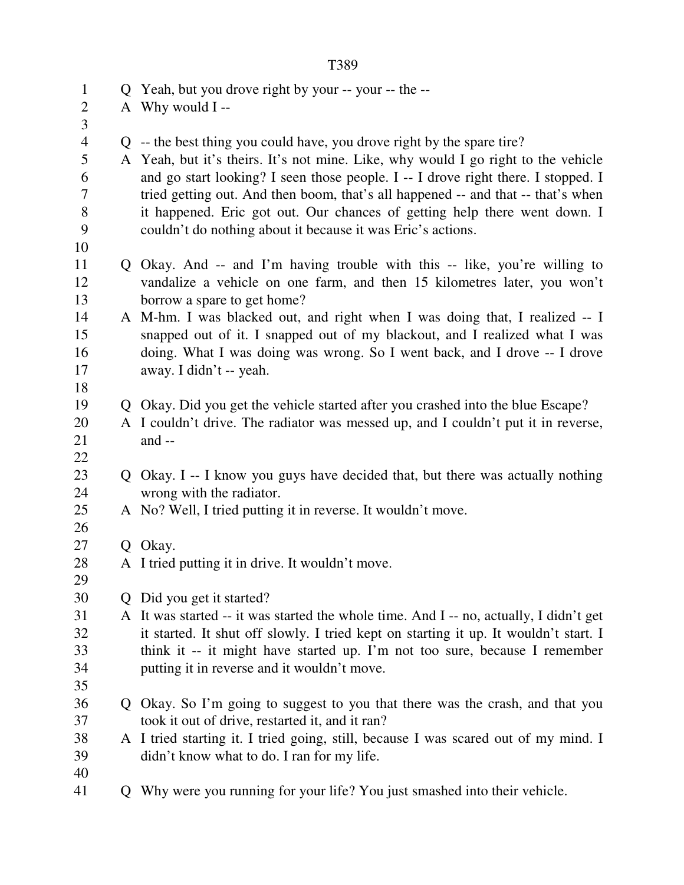| $\mathbf{1}$        | Q Yeah, but you drove right by your -- your -- the --                                    |
|---------------------|------------------------------------------------------------------------------------------|
| $\overline{2}$      | A Why would I--                                                                          |
| 3<br>$\overline{4}$ | Q -- the best thing you could have, you drove right by the spare tire?                   |
| 5                   | A Yeah, but it's theirs. It's not mine. Like, why would I go right to the vehicle        |
| 6                   | and go start looking? I seen those people. I -- I drove right there. I stopped. I        |
| 7                   | tried getting out. And then boom, that's all happened -- and that -- that's when         |
| 8                   | it happened. Eric got out. Our chances of getting help there went down. I                |
| 9                   | couldn't do nothing about it because it was Eric's actions.                              |
| 10                  |                                                                                          |
| 11                  | Q Okay. And -- and I'm having trouble with this -- like, you're willing to               |
| 12                  | vandalize a vehicle on one farm, and then 15 kilometres later, you won't                 |
| 13                  | borrow a spare to get home?                                                              |
| 14                  | A M-hm. I was blacked out, and right when I was doing that, I realized -- I              |
| 15                  | snapped out of it. I snapped out of my blackout, and I realized what I was               |
| 16                  | doing. What I was doing was wrong. So I went back, and I drove -- I drove                |
| 17                  | away. I didn't -- yeah.                                                                  |
| 18                  |                                                                                          |
| 19                  | Q Okay. Did you get the vehicle started after you crashed into the blue Escape?          |
| 20                  | A I couldn't drive. The radiator was messed up, and I couldn't put it in reverse,        |
| 21                  | and --                                                                                   |
| 22                  |                                                                                          |
| 23                  | Q Okay. I -- I know you guys have decided that, but there was actually nothing           |
| 24<br>25            | wrong with the radiator.<br>A No? Well, I tried putting it in reverse. It wouldn't move. |
| 26                  |                                                                                          |
| 27                  | Q Okay.                                                                                  |
| 28                  | A I tried putting it in drive. It wouldn't move.                                         |
| 29                  |                                                                                          |
| 30                  | Q Did you get it started?                                                                |
| 31                  | A It was started -- it was started the whole time. And I -- no, actually, I didn't get   |
| 32                  | it started. It shut off slowly. I tried kept on starting it up. It wouldn't start. I     |
| 33                  | think it -- it might have started up. I'm not too sure, because I remember               |
| 34                  | putting it in reverse and it wouldn't move.                                              |
| 35                  |                                                                                          |
| 36                  | Q Okay. So I'm going to suggest to you that there was the crash, and that you            |
| 37                  | took it out of drive, restarted it, and it ran?                                          |
| 38                  | A I tried starting it. I tried going, still, because I was scared out of my mind. I      |
| 39                  | didn't know what to do. I ran for my life.                                               |
| 40                  |                                                                                          |
| 41                  | Q Why were you running for your life? You just smashed into their vehicle.               |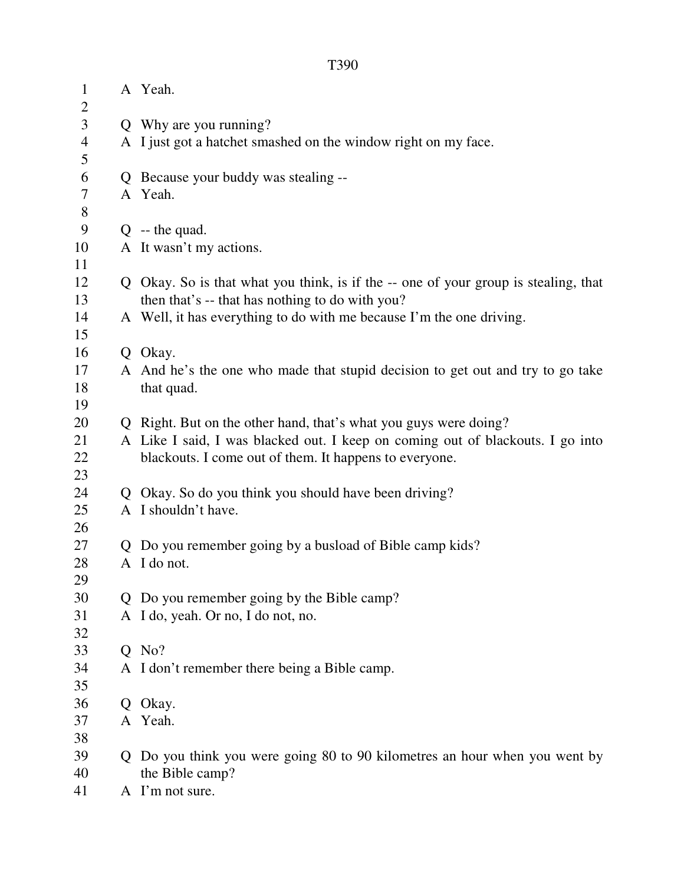| $\mathbf{1}$<br>$\overline{2}$ | A Yeah.                                                                             |  |
|--------------------------------|-------------------------------------------------------------------------------------|--|
| 3                              | Q Why are you running?                                                              |  |
| $\overline{4}$                 | A I just got a hatchet smashed on the window right on my face.                      |  |
| 5                              |                                                                                     |  |
| 6                              | Q Because your buddy was stealing --                                                |  |
| $\tau$                         | A Yeah.                                                                             |  |
| 8                              |                                                                                     |  |
| 9                              | $Q - the quad.$                                                                     |  |
| 10                             | A It wasn't my actions.                                                             |  |
| 11                             |                                                                                     |  |
| 12                             | Q Okay. So is that what you think, is if the -- one of your group is stealing, that |  |
| 13                             | then that's -- that has nothing to do with you?                                     |  |
| 14                             | A Well, it has everything to do with me because I'm the one driving.                |  |
| 15                             |                                                                                     |  |
| 16                             | Q Okay.                                                                             |  |
| 17                             | A And he's the one who made that stupid decision to get out and try to go take      |  |
| 18                             | that quad.                                                                          |  |
| 19                             |                                                                                     |  |
| 20                             | Q Right. But on the other hand, that's what you guys were doing?                    |  |
| 21                             | A Like I said, I was blacked out. I keep on coming out of blackouts. I go into      |  |
| 22                             | blackouts. I come out of them. It happens to everyone.                              |  |
| 23                             |                                                                                     |  |
| 24                             | Q Okay. So do you think you should have been driving?                               |  |
| 25                             | A I shouldn't have.                                                                 |  |
| 26                             |                                                                                     |  |
| 27                             | Q Do you remember going by a busload of Bible camp kids?                            |  |
| 28                             | A I do not.                                                                         |  |
| 29<br>30                       | Q Do you remember going by the Bible camp?                                          |  |
| 31                             | A I do, yeah. Or no, I do not, no.                                                  |  |
| 32                             |                                                                                     |  |
| 33                             | $Q$ No?                                                                             |  |
| 34                             | A I don't remember there being a Bible camp.                                        |  |
| 35                             |                                                                                     |  |
| 36                             | Q Okay.                                                                             |  |
| 37                             | A Yeah.                                                                             |  |
| 38                             |                                                                                     |  |
| 39                             | Q Do you think you were going 80 to 90 kilometres an hour when you went by          |  |
| 40                             | the Bible camp?                                                                     |  |
| 41                             | A I'm not sure.                                                                     |  |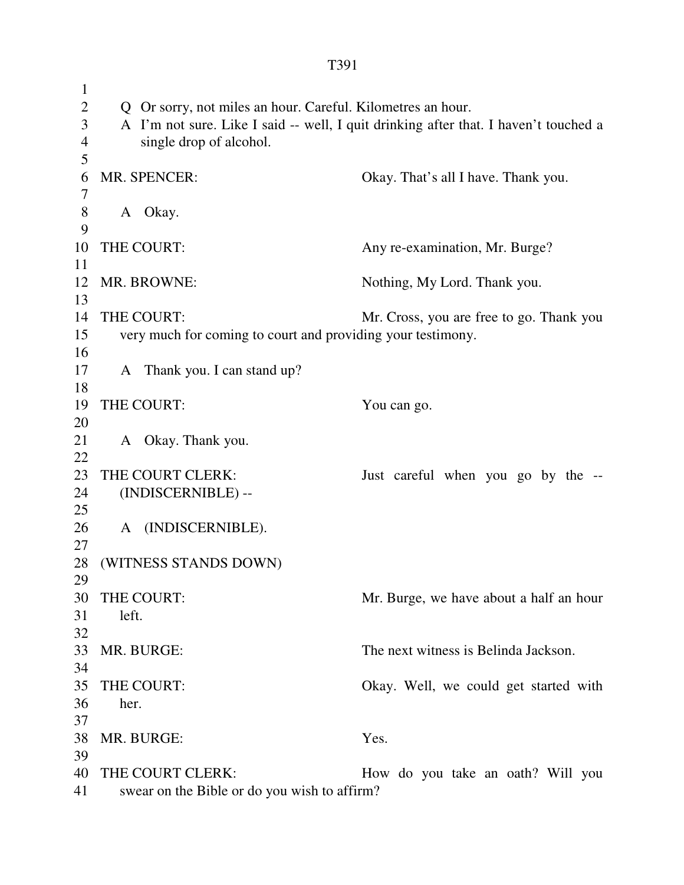1 2 Q Or sorry, not miles an hour. Careful. Kilometres an hour. 3 A I'm not sure. Like I said -- well, I quit drinking after that. I haven't touched a 4 single drop of alcohol. 5 6 MR. SPENCER: Okay. That's all I have. Thank you. 7 8 A Okay. 9 10 THE COURT: Any re-examination, Mr. Burge? 11 12 MR. BROWNE: Nothing, My Lord. Thank you. 13 14 THE COURT: Mr. Cross, you are free to go. Thank you 15 very much for coming to court and providing your testimony. 16 17 A Thank you. I can stand up? 18 19 THE COURT: You can go. 20 21 A Okay. Thank you. 22 23 THE COURT CLERK: Just careful when you go by the --24 (INDISCERNIBLE) -- 25 26 A (INDISCERNIBLE). 27 28 (WITNESS STANDS DOWN) 29 30 THE COURT: Mr. Burge, we have about a half an hour 31 left. 32 33 MR. BURGE: The next witness is Belinda Jackson. 34 35 THE COURT: Okay. Well, we could get started with 36 her. 37 38 MR. BURGE: Yes. 39 40 THE COURT CLERK: How do you take an oath? Will you 41 swear on the Bible or do you wish to affirm?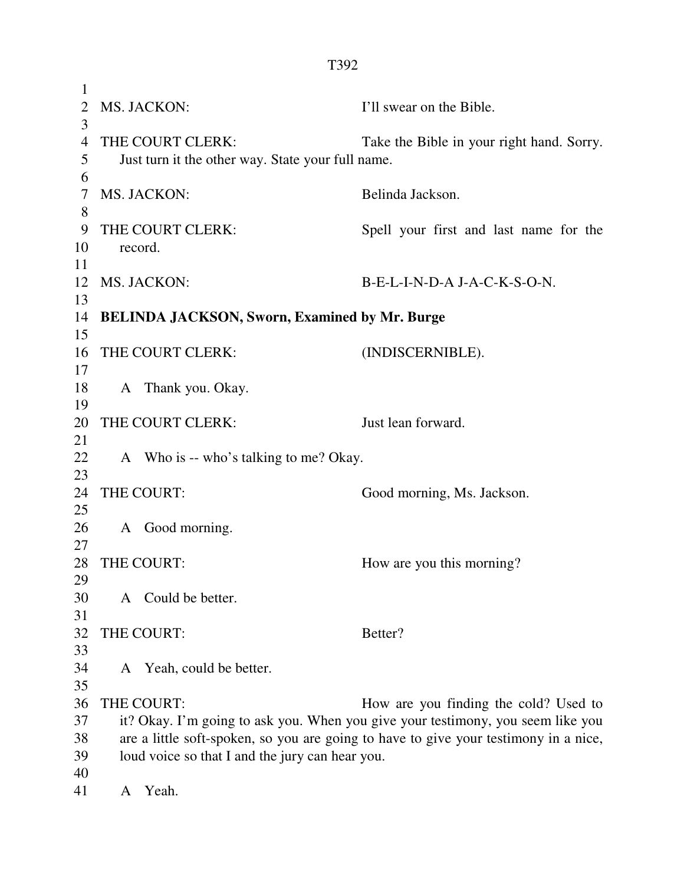| 1              |                                                      |                                                                                      |
|----------------|------------------------------------------------------|--------------------------------------------------------------------------------------|
| $\overline{2}$ | MS. JACKON:                                          | I'll swear on the Bible.                                                             |
| 3              |                                                      |                                                                                      |
| $\overline{4}$ | THE COURT CLERK:                                     | Take the Bible in your right hand. Sorry.                                            |
| 5              | Just turn it the other way. State your full name.    |                                                                                      |
| 6              |                                                      |                                                                                      |
| 7<br>8         | MS. JACKON:                                          | Belinda Jackson.                                                                     |
| 9              | THE COURT CLERK:                                     | Spell your first and last name for the                                               |
| 10             | record.                                              |                                                                                      |
| 11             |                                                      |                                                                                      |
| 12             | MS. JACKON:                                          | B-E-L-I-N-D-A J-A-C-K-S-O-N.                                                         |
| 13             |                                                      |                                                                                      |
| 14             | <b>BELINDA JACKSON, Sworn, Examined by Mr. Burge</b> |                                                                                      |
| 15             |                                                      |                                                                                      |
| 16             | THE COURT CLERK:                                     | (INDISCERNIBLE).                                                                     |
| 17             |                                                      |                                                                                      |
| 18             | A Thank you. Okay.                                   |                                                                                      |
| 19             |                                                      |                                                                                      |
| 20             | THE COURT CLERK:                                     | Just lean forward.                                                                   |
| 21             |                                                      |                                                                                      |
| 22             | A Who is -- who's talking to me? Okay.               |                                                                                      |
| 23             |                                                      |                                                                                      |
| 24             | THE COURT:                                           | Good morning, Ms. Jackson.                                                           |
| 25             |                                                      |                                                                                      |
| 26             | A Good morning.                                      |                                                                                      |
| 27             |                                                      |                                                                                      |
| 28             | THE COURT:                                           | How are you this morning?                                                            |
| 29             |                                                      |                                                                                      |
| 30             | A Could be better.                                   |                                                                                      |
| 31             |                                                      |                                                                                      |
| 32             | THE COURT:                                           | Better?                                                                              |
| 33             |                                                      |                                                                                      |
| 34             | A Yeah, could be better.                             |                                                                                      |
| 35             |                                                      |                                                                                      |
| 36             | THE COURT:                                           | How are you finding the cold? Used to                                                |
| 37             |                                                      | it? Okay. I'm going to ask you. When you give your testimony, you seem like you      |
| 38             |                                                      | are a little soft-spoken, so you are going to have to give your testimony in a nice, |
| 39             | loud voice so that I and the jury can hear you.      |                                                                                      |
| 40             |                                                      |                                                                                      |
| 41             | Yeah.<br>A                                           |                                                                                      |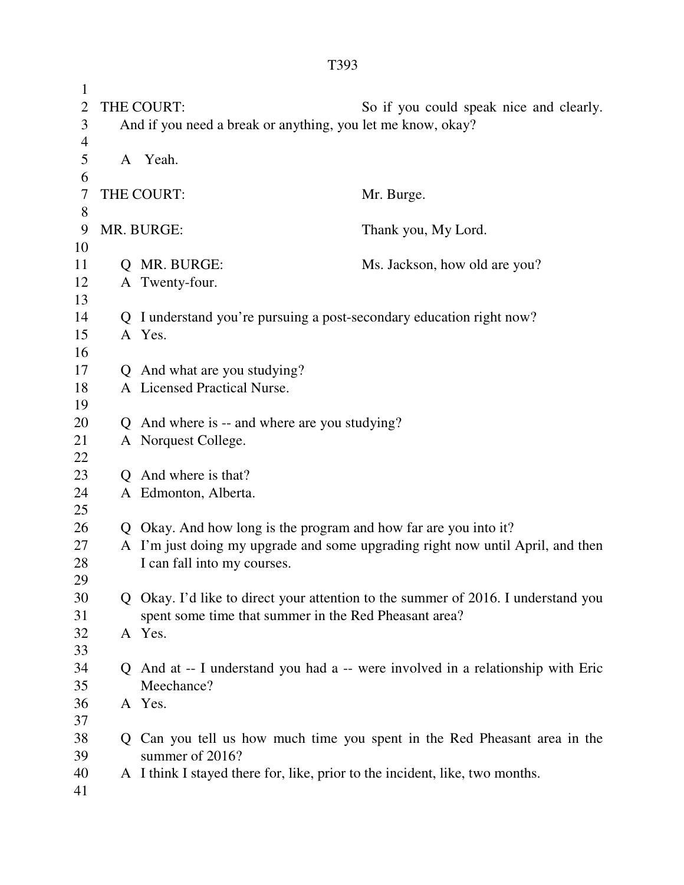1 2 THE COURT: So if you could speak nice and clearly. 3 And if you need a break or anything, you let me know, okay? 4 5 A Yeah. 6 7 THE COURT: Mr. Burge. 8 9 MR. BURGE: Thank you, My Lord. 10 11 Q MR. BURGE: Ms. Jackson, how old are you? 12 A Twenty-four. 13 14 Q I understand you're pursuing a post-secondary education right now? 15 A Yes. 16 17 Q And what are you studying? 18 A Licensed Practical Nurse. 19 20 Q And where is -- and where are you studying? 21 A Norquest College. 22 23 Q And where is that? 24 A Edmonton, Alberta. 25 26 Q Okay. And how long is the program and how far are you into it? 27 A I'm just doing my upgrade and some upgrading right now until April, and then 28 I can fall into my courses. 29 30 Q Okay. I'd like to direct your attention to the summer of 2016. I understand you 31 spent some time that summer in the Red Pheasant area? 32 A Yes. 33 34 Q And at -- I understand you had a -- were involved in a relationship with Eric 35 Meechance? 36 A Yes. 37

- 38 Q Can you tell us how much time you spent in the Red Pheasant area in the 39 summer of 2016?
- 40 A I think I stayed there for, like, prior to the incident, like, two months.
- 41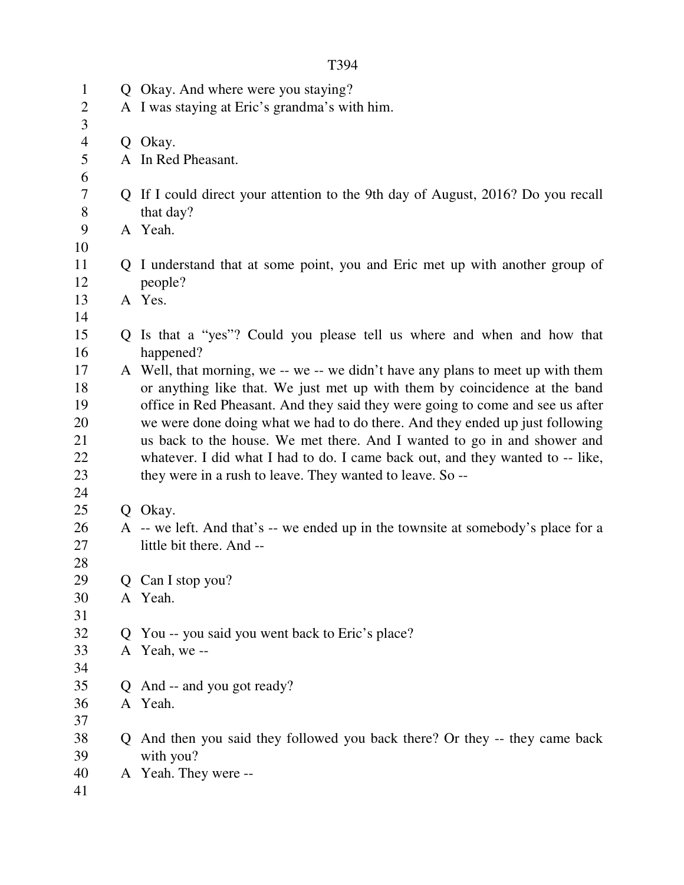| $\mathbf{1}$   |             | Q Okay. And where were you staying?                                               |
|----------------|-------------|-----------------------------------------------------------------------------------|
| $\overline{2}$ |             | A I was staying at Eric's grandma's with him.                                     |
| 3              |             |                                                                                   |
| $\overline{4}$ |             | Q Okay.                                                                           |
| 5              |             | A In Red Pheasant.                                                                |
| 6              |             |                                                                                   |
| 7              |             | Q If I could direct your attention to the 9th day of August, 2016? Do you recall  |
| 8              |             | that day?                                                                         |
| 9              |             | A Yeah.                                                                           |
| 10             |             |                                                                                   |
| 11             |             | Q I understand that at some point, you and Eric met up with another group of      |
| 12             |             | people?                                                                           |
| 13             |             | A Yes.                                                                            |
| 14             |             |                                                                                   |
| 15             |             | Q Is that a "yes"? Could you please tell us where and when and how that           |
| 16             |             | happened?                                                                         |
| 17             |             | A Well, that morning, we -- we -- we didn't have any plans to meet up with them   |
| 18             |             | or anything like that. We just met up with them by coincidence at the band        |
| 19             |             | office in Red Pheasant. And they said they were going to come and see us after    |
| 20             |             | we were done doing what we had to do there. And they ended up just following      |
| 21             |             | us back to the house. We met there. And I wanted to go in and shower and          |
| 22             |             | whatever. I did what I had to do. I came back out, and they wanted to -- like,    |
| 23             |             | they were in a rush to leave. They wanted to leave. So --                         |
| 24             |             |                                                                                   |
| 25             |             | Q Okay.                                                                           |
| 26             |             | A -- we left. And that's -- we ended up in the townsite at somebody's place for a |
| 27             |             | little bit there. And --                                                          |
| 28             |             |                                                                                   |
| 29             |             | Q Can I stop you?                                                                 |
| 30             |             | A Yeah.                                                                           |
| 31             |             |                                                                                   |
| 32             | $\mathbf O$ | You -- you said you went back to Eric's place?                                    |
| 33             |             | A Yeah, we --                                                                     |
| 34             |             |                                                                                   |
| 35             | Q           | And -- and you got ready?                                                         |
| 36             |             | A Yeah.                                                                           |
| 37             |             |                                                                                   |
| 38             | Q           | And then you said they followed you back there? Or they -- they came back         |
| 39             |             | with you?                                                                         |
| 40             |             | A Yeah. They were --                                                              |
| 41             |             |                                                                                   |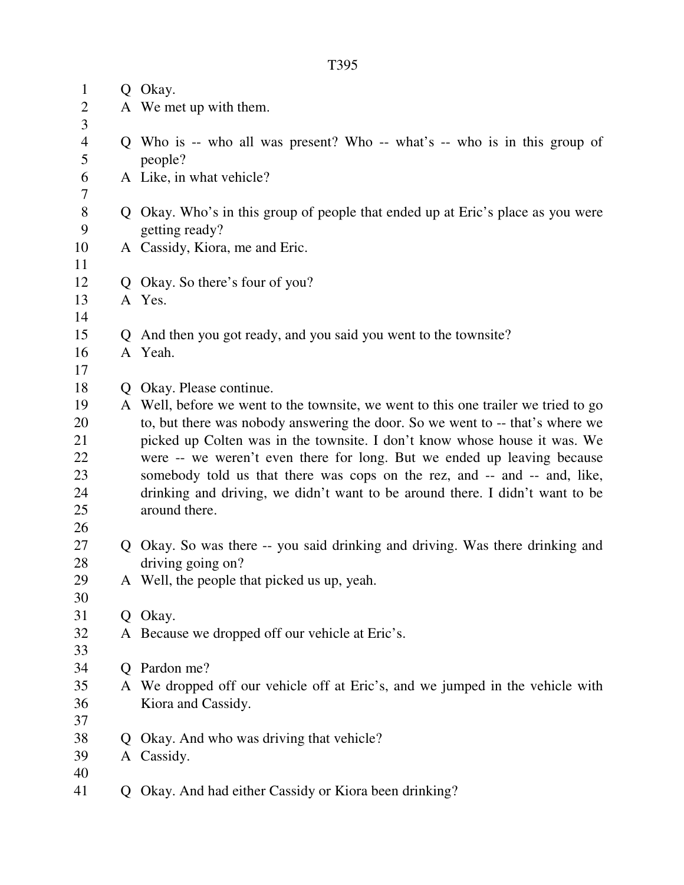| $\mathbf{1}$   |              | Q Okay.                                                                                                                                                   |
|----------------|--------------|-----------------------------------------------------------------------------------------------------------------------------------------------------------|
| $\overline{2}$ |              | A We met up with them.                                                                                                                                    |
| 3              |              |                                                                                                                                                           |
| $\overline{4}$ |              | Q Who is -- who all was present? Who -- what's -- who is in this group of                                                                                 |
| 5              |              | people?                                                                                                                                                   |
| 6              |              | A Like, in what vehicle?                                                                                                                                  |
| 7              |              |                                                                                                                                                           |
| $8\phantom{1}$ |              | Q Okay. Who's in this group of people that ended up at Eric's place as you were                                                                           |
| 9              |              | getting ready?                                                                                                                                            |
| 10             |              | A Cassidy, Kiora, me and Eric.                                                                                                                            |
| 11             |              |                                                                                                                                                           |
| 12             |              | Q Okay. So there's four of you?                                                                                                                           |
| 13             |              | A Yes.                                                                                                                                                    |
| 14             |              |                                                                                                                                                           |
| 15             |              | Q And then you got ready, and you said you went to the townsite?                                                                                          |
| 16             |              | A Yeah.                                                                                                                                                   |
| 17             |              |                                                                                                                                                           |
| 18             | Q            | Okay. Please continue.                                                                                                                                    |
| 19             |              | A Well, before we went to the townsite, we went to this one trailer we tried to go                                                                        |
| 20             |              | to, but there was nobody answering the door. So we went to -- that's where we                                                                             |
| 21             |              | picked up Colten was in the townsite. I don't know whose house it was. We                                                                                 |
| 22             |              | were -- we weren't even there for long. But we ended up leaving because                                                                                   |
| 23<br>24       |              | somebody told us that there was cops on the rez, and -- and -- and, like,<br>drinking and driving, we didn't want to be around there. I didn't want to be |
| 25             |              | around there.                                                                                                                                             |
| 26             |              |                                                                                                                                                           |
| 27             |              | Q Okay. So was there -- you said drinking and driving. Was there drinking and                                                                             |
| 28             |              | driving going on?                                                                                                                                         |
| 29             |              | A Well, the people that picked us up, yeah.                                                                                                               |
| 30             |              |                                                                                                                                                           |
| 31             |              | Q Okay.                                                                                                                                                   |
| 32             |              | A Because we dropped off our vehicle at Eric's.                                                                                                           |
| 33             |              |                                                                                                                                                           |
| 34             | $\mathbf{O}$ | Pardon me?                                                                                                                                                |
| 35             |              | A We dropped off our vehicle off at Eric's, and we jumped in the vehicle with                                                                             |
| 36             |              | Kiora and Cassidy.                                                                                                                                        |
| 37             |              |                                                                                                                                                           |
| 38             |              | Q Okay. And who was driving that vehicle?                                                                                                                 |
| 39             |              | A Cassidy.                                                                                                                                                |
| 40             |              |                                                                                                                                                           |
| 41             |              | Q Okay. And had either Cassidy or Kiora been drinking?                                                                                                    |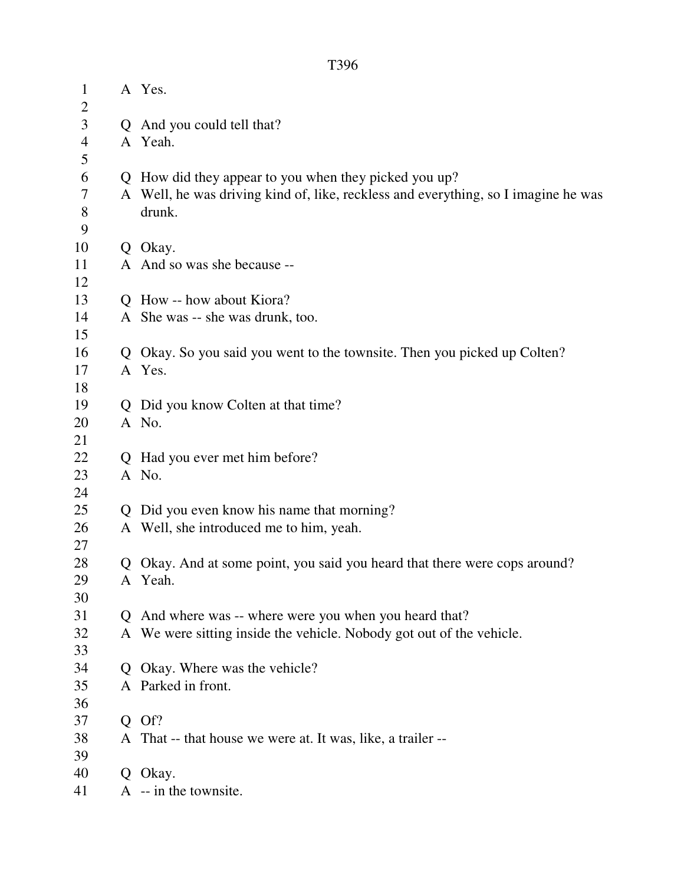|--|

| $\mathbf{1}$                     |              | A Yes.                                                                             |
|----------------------------------|--------------|------------------------------------------------------------------------------------|
| $\overline{2}$<br>$\mathfrak{Z}$ |              |                                                                                    |
|                                  |              | Q And you could tell that?                                                         |
| $\overline{4}$<br>5              |              | A Yeah.                                                                            |
| 6                                |              | Q How did they appear to you when they picked you up?                              |
| 7                                |              | A Well, he was driving kind of, like, reckless and everything, so I imagine he was |
| 8                                |              | drunk.                                                                             |
| 9                                |              |                                                                                    |
| 10                               |              | Q Okay.                                                                            |
| 11                               |              | A And so was she because --                                                        |
| 12                               |              |                                                                                    |
| 13                               |              | Q How -- how about Kiora?                                                          |
| 14                               |              | A She was -- she was drunk, too.                                                   |
| 15                               |              |                                                                                    |
| 16                               |              | Q Okay. So you said you went to the townsite. Then you picked up Colten?           |
| 17                               |              | A Yes.                                                                             |
| 18                               |              |                                                                                    |
| 19                               |              | Q Did you know Colten at that time?                                                |
| 20                               |              | A No.                                                                              |
| 21                               |              |                                                                                    |
| 22                               | Q            | Had you ever met him before?                                                       |
| 23                               |              | A No.                                                                              |
| 24                               |              |                                                                                    |
| 25                               | $\mathbf{O}$ | Did you even know his name that morning?                                           |
| 26                               |              | A Well, she introduced me to him, yeah.                                            |
| 27                               |              |                                                                                    |
| 28                               |              | Q Okay. And at some point, you said you heard that there were cops around?         |
| 29                               |              | A Yeah.                                                                            |
| 30                               |              |                                                                                    |
| 31                               |              | Q And where was -- where were you when you heard that?                             |
| 32                               |              | A We were sitting inside the vehicle. Nobody got out of the vehicle.               |
| 33                               |              |                                                                                    |
| 34                               |              | Q Okay. Where was the vehicle?                                                     |
| 35                               |              | A Parked in front.                                                                 |
| 36                               |              |                                                                                    |
| 37                               |              | $Q$ Of?                                                                            |
| 38                               |              | A That -- that house we were at. It was, like, a trailer --                        |
| 39                               |              |                                                                                    |
| 40                               |              | Q Okay.                                                                            |
| 41                               |              | $A - in the townsite.$                                                             |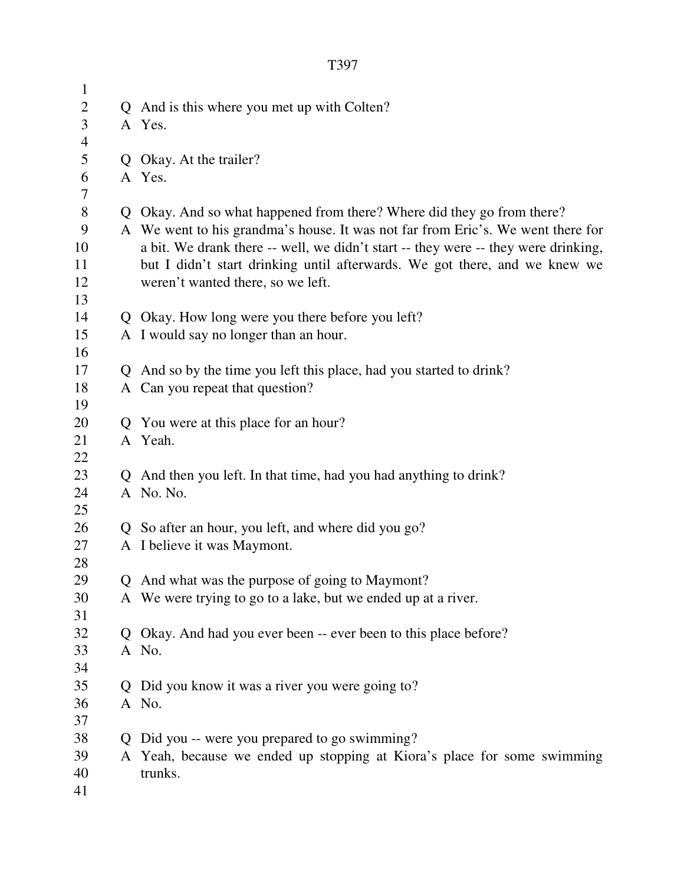| $\mathbf{1}$   |                                                                                    |
|----------------|------------------------------------------------------------------------------------|
| $\mathbf{2}$   | Q And is this where you met up with Colten?                                        |
| 3              | A Yes.                                                                             |
| $\overline{4}$ |                                                                                    |
| 5              | Q Okay. At the trailer?                                                            |
| 6              | A Yes.                                                                             |
| 7              |                                                                                    |
| $8\,$          | Q Okay. And so what happened from there? Where did they go from there?             |
| 9              | A We went to his grandma's house. It was not far from Eric's. We went there for    |
| 10             | a bit. We drank there -- well, we didn't start -- they were -- they were drinking, |
| 11             | but I didn't start drinking until afterwards. We got there, and we knew we         |
| 12             | weren't wanted there, so we left.                                                  |
| 13             |                                                                                    |
| 14             | Q Okay. How long were you there before you left?                                   |
| 15             | A I would say no longer than an hour.                                              |
| 16             |                                                                                    |
| 17             | Q And so by the time you left this place, had you started to drink?                |
| 18             | A Can you repeat that question?                                                    |
| 19             |                                                                                    |
| 20             | Q You were at this place for an hour?                                              |
| 21             | A Yeah.                                                                            |
| 22             |                                                                                    |
| 23             | Q And then you left. In that time, had you had anything to drink?                  |
| 24             | A No. No.                                                                          |
| 25             |                                                                                    |
| 26             | Q So after an hour, you left, and where did you go?                                |
| 27             | A I believe it was Maymont.                                                        |
| 28             |                                                                                    |
| 29             | Q And what was the purpose of going to Maymont?                                    |
| 30             | A We were trying to go to a lake, but we ended up at a river.                      |
| 31             |                                                                                    |
| 32             | Q Okay. And had you ever been -- ever been to this place before?                   |
| 33             | A No.                                                                              |
| 34             |                                                                                    |
| 35             | Q Did you know it was a river you were going to?                                   |
| 36             | A No.                                                                              |
| 37             |                                                                                    |
| 38             | Q Did you -- were you prepared to go swimming?                                     |
| 39             | A Yeah, because we ended up stopping at Kiora's place for some swimming            |
| 40             | trunks.                                                                            |
| 41             |                                                                                    |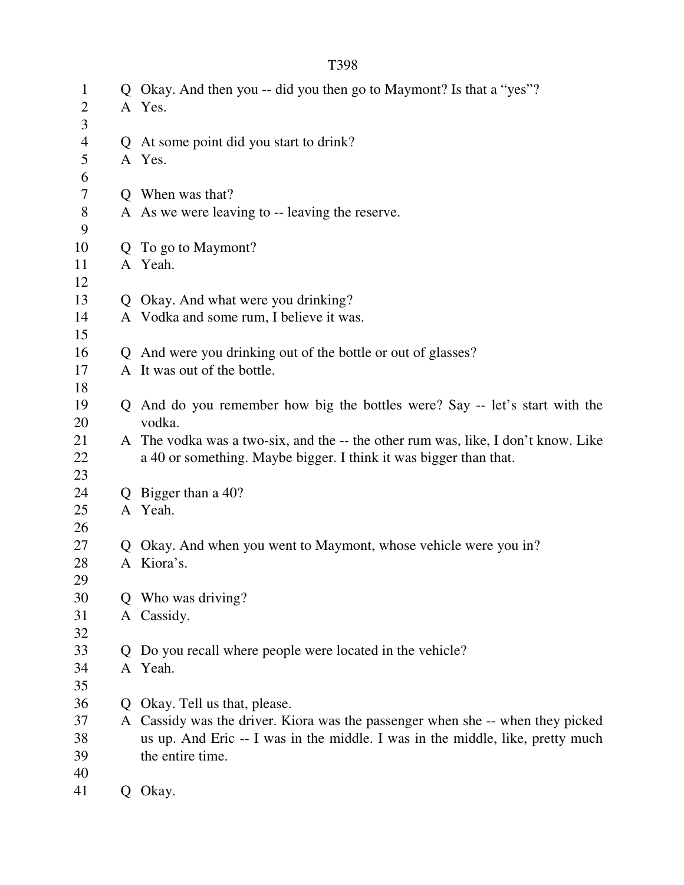| $\mathbf{1}$   |               | Q Okay. And then you -- did you then go to Maymont? Is that a "yes"?              |
|----------------|---------------|-----------------------------------------------------------------------------------|
| $\overline{c}$ |               | A Yes.                                                                            |
| 3              |               |                                                                                   |
| $\overline{4}$ |               | Q At some point did you start to drink?                                           |
| 5              |               | A Yes.                                                                            |
| 6              |               |                                                                                   |
| $\tau$         |               | Q When was that?                                                                  |
| $8\,$          |               | A As we were leaving to -- leaving the reserve.                                   |
| 9<br>10        |               | Q To go to Maymont?                                                               |
| 11             |               | A Yeah.                                                                           |
| 12             |               |                                                                                   |
| 13             |               | Q Okay. And what were you drinking?                                               |
| 14             |               | A Vodka and some rum, I believe it was.                                           |
| 15             |               |                                                                                   |
| 16             |               | Q And were you drinking out of the bottle or out of glasses?                      |
| 17             |               | A It was out of the bottle.                                                       |
| 18             |               |                                                                                   |
| 19             |               | Q And do you remember how big the bottles were? Say -- let's start with the       |
| 20             |               | vodka.                                                                            |
| 21             |               | A The vodka was a two-six, and the -- the other rum was, like, I don't know. Like |
| 22             |               | a 40 or something. Maybe bigger. I think it was bigger than that.                 |
| 23             |               |                                                                                   |
| 24             | $\mathcal{O}$ | Bigger than a 40?                                                                 |
| 25             |               | A Yeah.                                                                           |
| 26             |               |                                                                                   |
| 27             |               | Q Okay. And when you went to Maymont, whose vehicle were you in?                  |
| 28             |               | A Kiora's.                                                                        |
| 29             |               |                                                                                   |
| 30             | Q             | Who was driving?                                                                  |
| 31             |               | A Cassidy.                                                                        |
| 32             |               |                                                                                   |
| 33             |               | Do you recall where people were located in the vehicle?                           |
| 34             |               | A Yeah.                                                                           |
| 35             |               |                                                                                   |
| 36             |               | Okay. Tell us that, please.                                                       |
| 37             |               | A Cassidy was the driver. Kiora was the passenger when she -- when they picked    |
| 38             |               | us up. And Eric -- I was in the middle. I was in the middle, like, pretty much    |
| 39             |               | the entire time.                                                                  |
| 40             |               |                                                                                   |
| 41             | Q.            | Okay.                                                                             |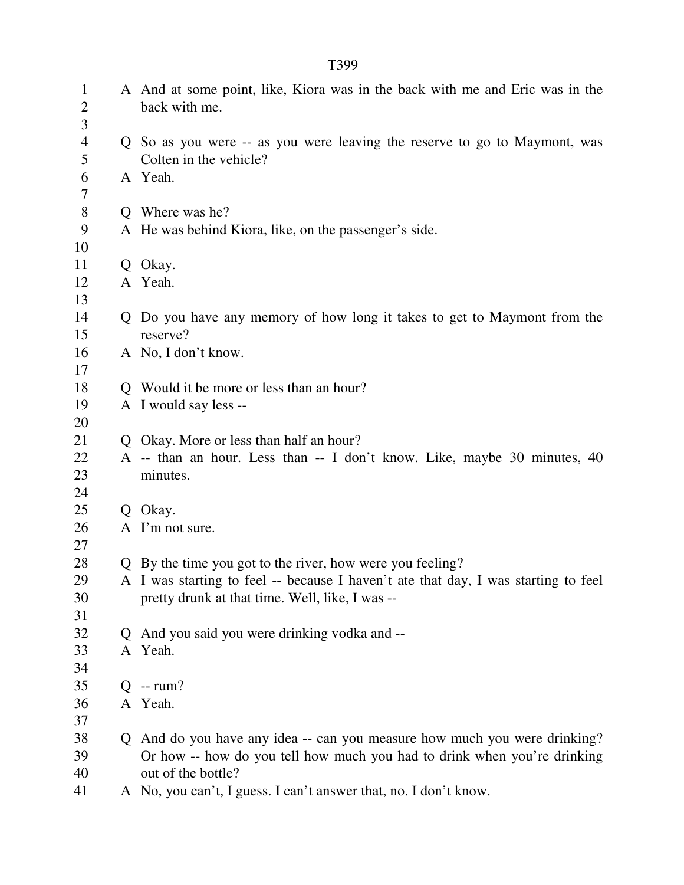| $\mathbf{1}$<br>$\overline{2}$ | A And at some point, like, Kiora was in the back with me and Eric was in the<br>back with me.       |
|--------------------------------|-----------------------------------------------------------------------------------------------------|
| 3                              |                                                                                                     |
| $\overline{4}$<br>5            | Q So as you were -- as you were leaving the reserve to go to Maymont, was<br>Colten in the vehicle? |
| 6                              | A Yeah.                                                                                             |
| $\overline{7}$                 |                                                                                                     |
| $8\,$                          | Q Where was he?                                                                                     |
| 9                              | A He was behind Kiora, like, on the passenger's side.                                               |
| 10                             |                                                                                                     |
| 11                             | Q Okay.                                                                                             |
| 12                             | A Yeah.                                                                                             |
| 13                             |                                                                                                     |
| 14                             | Q Do you have any memory of how long it takes to get to Maymont from the                            |
| 15                             | reserve?                                                                                            |
| 16                             | A No, I don't know.                                                                                 |
| 17                             |                                                                                                     |
| 18                             | Q Would it be more or less than an hour?                                                            |
| 19                             | A I would say less --                                                                               |
| 20                             |                                                                                                     |
| 21                             | Q Okay. More or less than half an hour?                                                             |
| 22                             | A -- than an hour. Less than -- I don't know. Like, maybe 30 minutes, 40                            |
| 23                             | minutes.                                                                                            |
| 24                             |                                                                                                     |
| 25                             | Q Okay.                                                                                             |
| 26                             | A I'm not sure.                                                                                     |
| 27                             |                                                                                                     |
| 28                             | Q By the time you got to the river, how were you feeling?                                           |
| 29                             | A I was starting to feel -- because I haven't ate that day, I was starting to feel                  |
| 30                             | pretty drunk at that time. Well, like, I was --                                                     |
| 31                             |                                                                                                     |
| 32                             | Q And you said you were drinking vodka and --                                                       |
| 33                             | A Yeah.                                                                                             |
| 34                             |                                                                                                     |
| 35                             | $Q$ -- rum?                                                                                         |
| 36                             | A Yeah.                                                                                             |
| 37                             |                                                                                                     |
| 38                             | Q And do you have any idea -- can you measure how much you were drinking?                           |
| 39                             | Or how -- how do you tell how much you had to drink when you're drinking                            |
| 40                             | out of the bottle?                                                                                  |
| 41                             | A No, you can't, I guess. I can't answer that, no. I don't know.                                    |
|                                |                                                                                                     |